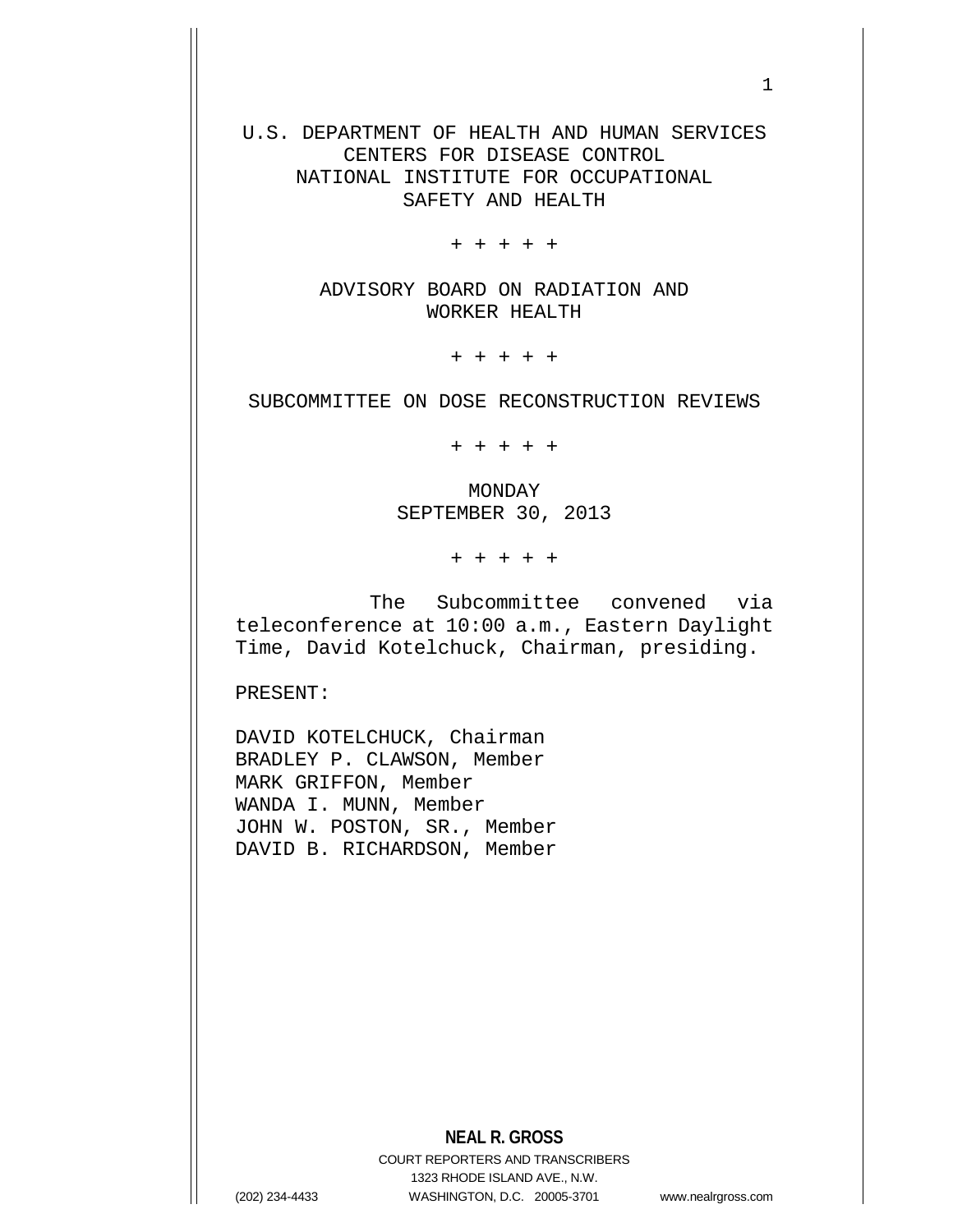U.S. DEPARTMENT OF HEALTH AND HUMAN SERVICES CENTERS FOR DISEASE CONTROL NATIONAL INSTITUTE FOR OCCUPATIONAL SAFETY AND HEALTH

+ + + + +

ADVISORY BOARD ON RADIATION AND WORKER HEALTH

+ + + + +

SUBCOMMITTEE ON DOSE RECONSTRUCTION REVIEWS

+ + + + +

MONDAY SEPTEMBER 30, 2013

+ + + + +

The Subcommittee convened via teleconference at 10:00 a.m., Eastern Daylight Time, David Kotelchuck, Chairman, presiding.

PRESENT:

DAVID KOTELCHUCK, Chairman BRADLEY P. CLAWSON, Member MARK GRIFFON, Member WANDA I. MUNN, Member JOHN W. POSTON, SR., Member DAVID B. RICHARDSON, Member

COURT REPORTERS AND TRANSCRIBERS 1323 RHODE ISLAND AVE., N.W. (202) 234-4433 WASHINGTON, D.C. 20005-3701 www.nealrgross.com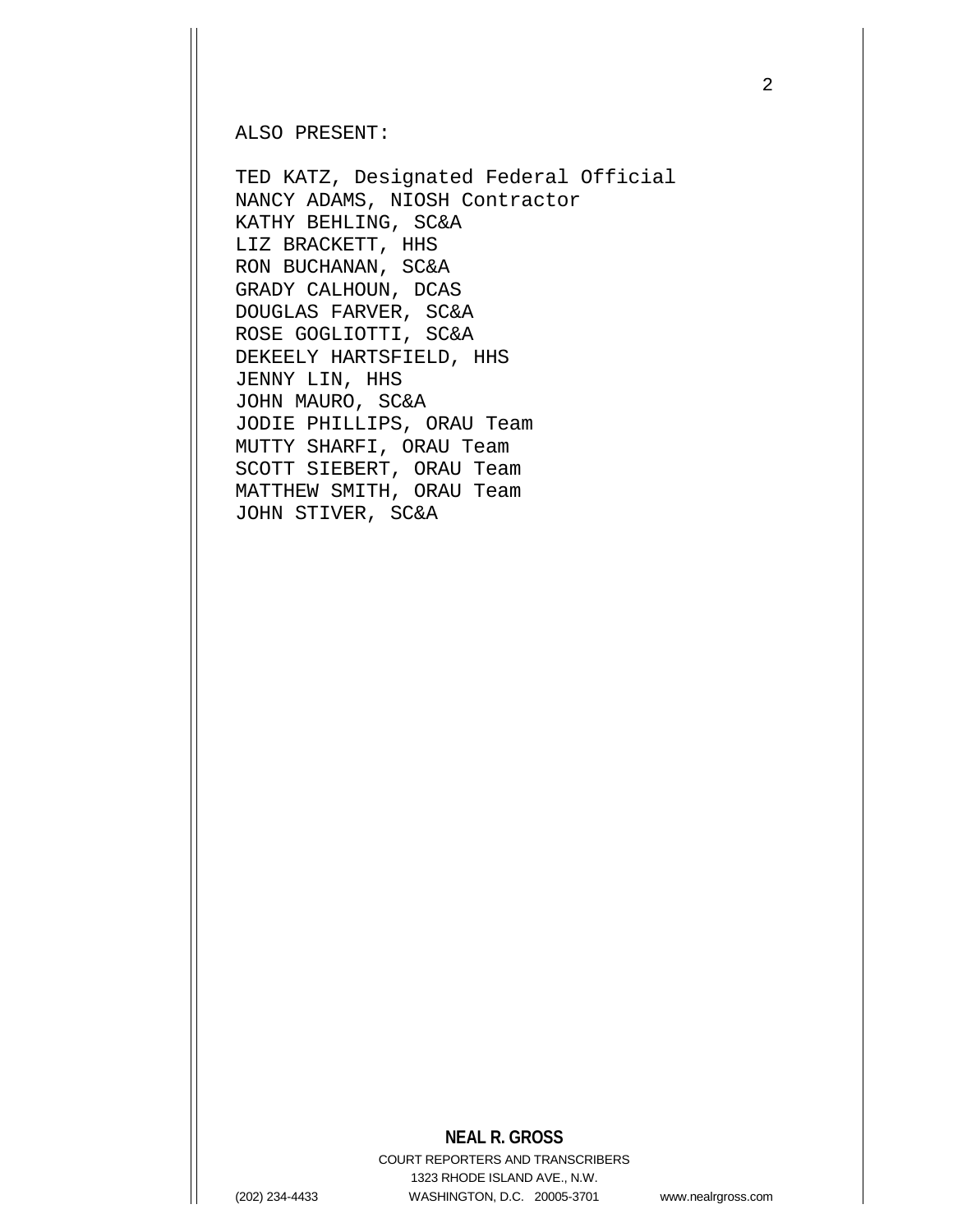ALSO PRESENT:

TED KATZ, Designated Federal Official NANCY ADAMS, NIOSH Contractor KATHY BEHLING, SC&A LIZ BRACKETT, HHS RON BUCHANAN, SC&A GRADY CALHOUN, DCAS DOUGLAS FARVER, SC&A ROSE GOGLIOTTI, SC&A DEKEELY HARTSFIELD, HHS JENNY LIN, HHS JOHN MAURO, SC&A JODIE PHILLIPS, ORAU Team MUTTY SHARFI, ORAU Team SCOTT SIEBERT, ORAU Team MATTHEW SMITH, ORAU Team JOHN STIVER, SC&A

## **NEAL R. GROSS**

COURT REPORTERS AND TRANSCRIBERS 1323 RHODE ISLAND AVE., N.W. (202) 234-4433 WASHINGTON, D.C. 20005-3701 www.nealrgross.com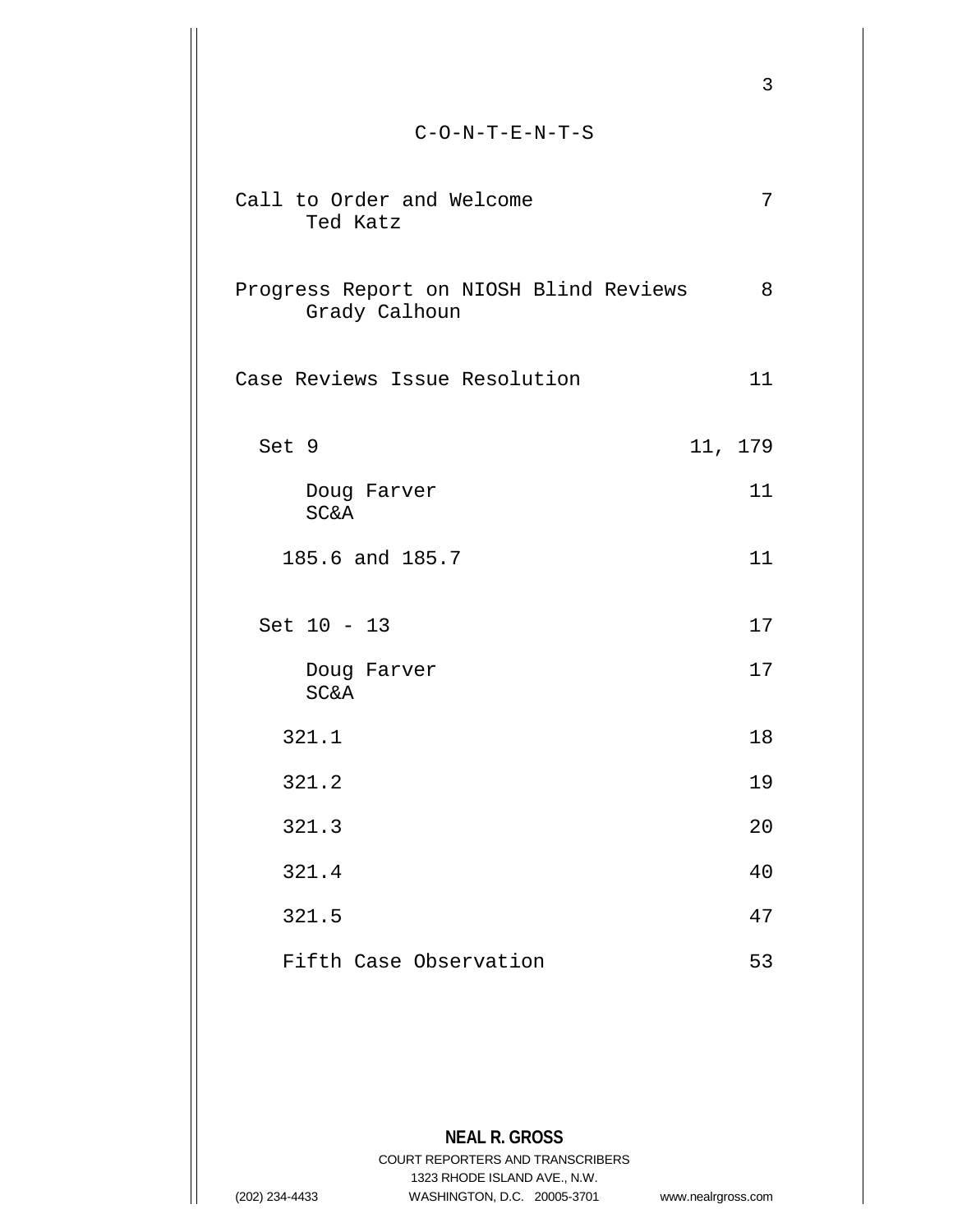|                                                          | 3       |  |
|----------------------------------------------------------|---------|--|
| $C-O-N-T-E-N-T-S$                                        |         |  |
| Call to Order and Welcome<br>Ted Katz                    | 7       |  |
| Progress Report on NIOSH Blind Reviews<br>Grady Calhoun  | 8       |  |
| Case Reviews Issue Resolution                            | 11      |  |
| Set 9                                                    | 11, 179 |  |
| Doug Farver<br><b>SC&amp;A</b>                           | 11      |  |
| 185.6 and 185.7                                          | 11      |  |
| Set 10 - 13                                              | 17      |  |
| Doug Farver<br><b>SC&amp;A</b>                           | 17      |  |
| 321.1                                                    | 18      |  |
| 321.2                                                    | 19      |  |
| 321.3                                                    | 20      |  |
| 321.4                                                    | 40      |  |
| 321.5                                                    | 47      |  |
| Fifth Case Observation                                   | 53      |  |
|                                                          |         |  |
| <b>NEAL R. GROSS</b><br>COURT REPORTERS AND TRANSCRIBERS |         |  |
| 1323 RHODE ISLAND AVE., N.W.                             |         |  |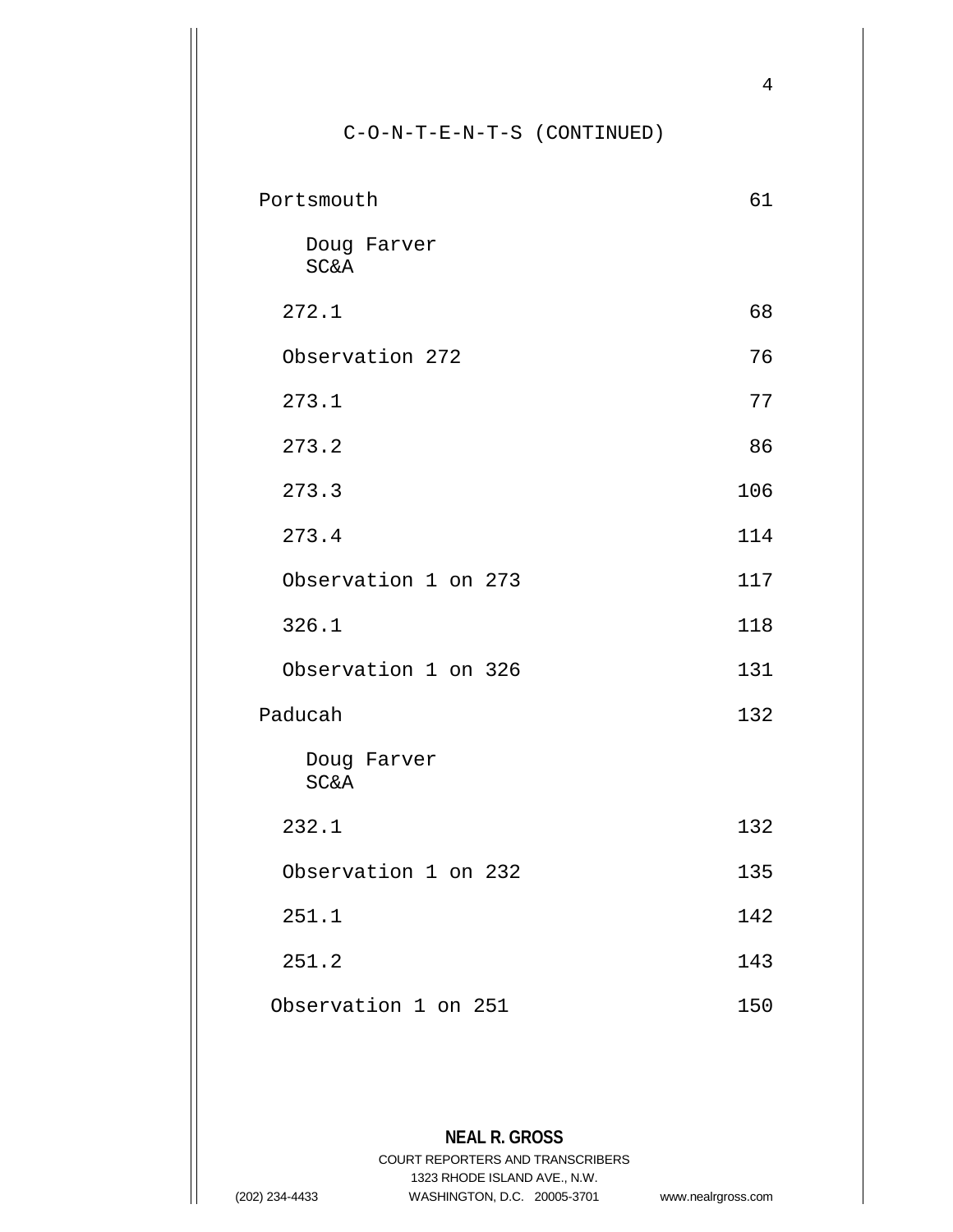# C-O-N-T-E-N-T-S (CONTINUED)

| Portsmouth                     |     |
|--------------------------------|-----|
| Doug Farver<br><b>SC&amp;A</b> |     |
| 272.1                          | 68  |
| Observation 272                | 76  |
| 273.1                          | 77  |
| 273.2                          | 86  |
| 273.3                          | 106 |
| 273.4                          | 114 |
| Observation 1 on 273           | 117 |
| 326.1                          | 118 |
| Observation 1 on 326           | 131 |
| Paducah                        | 132 |
| Doug Farver<br><b>SC&amp;A</b> |     |
| 232.1                          | 132 |
| Observation 1 on 232           | 135 |
| 251.1                          | 142 |
| 251.2                          | 143 |
| Observation 1 on 251           | 150 |
|                                |     |
|                                |     |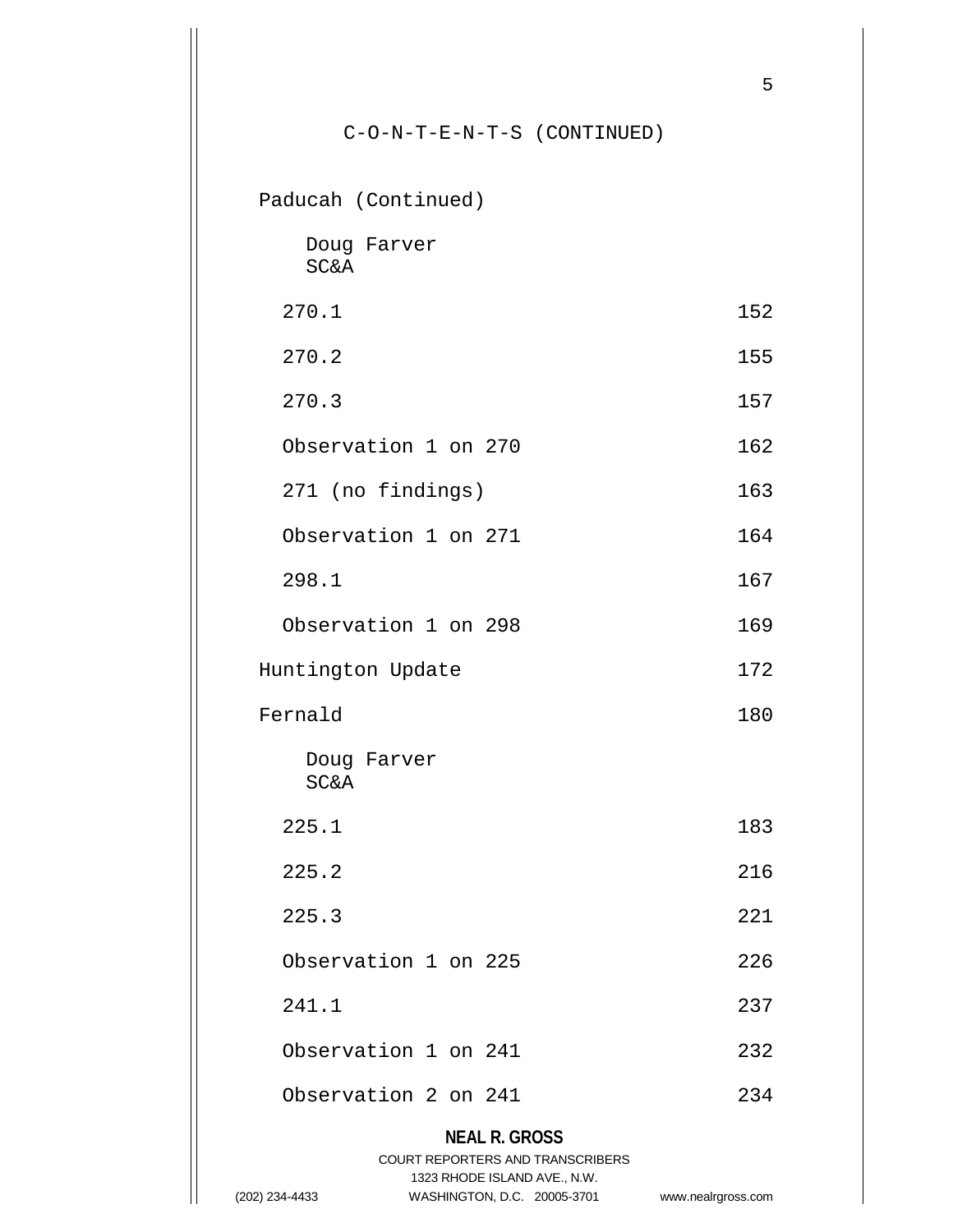# C-O-N-T-E-N-T-S (CONTINUED)

5

Paducah (Continued)

|                 | Doug Farver |
|-----------------|-------------|
| <b>SC&amp;A</b> |             |

- 270.1 152
- 270.2 155
- 270.3 157
	- Observation 1 on 270 162
	- 271 (no findings) 163
	- Observation 1 on 271 164
- 298.1 167
	- Observation 1 on 298 169
- Huntington Update 172 Fernald 180
	- Doug Farver SC&A
- 225.1 183
- 225.2 216
- 225.3 221
- Observation 1 on 225 226 241.1 237
	- Observation 1 on 241 232 Observation 2 on 241 234

# **NEAL R. GROSS**

## COURT REPORTERS AND TRANSCRIBERS 1323 RHODE ISLAND AVE., N.W.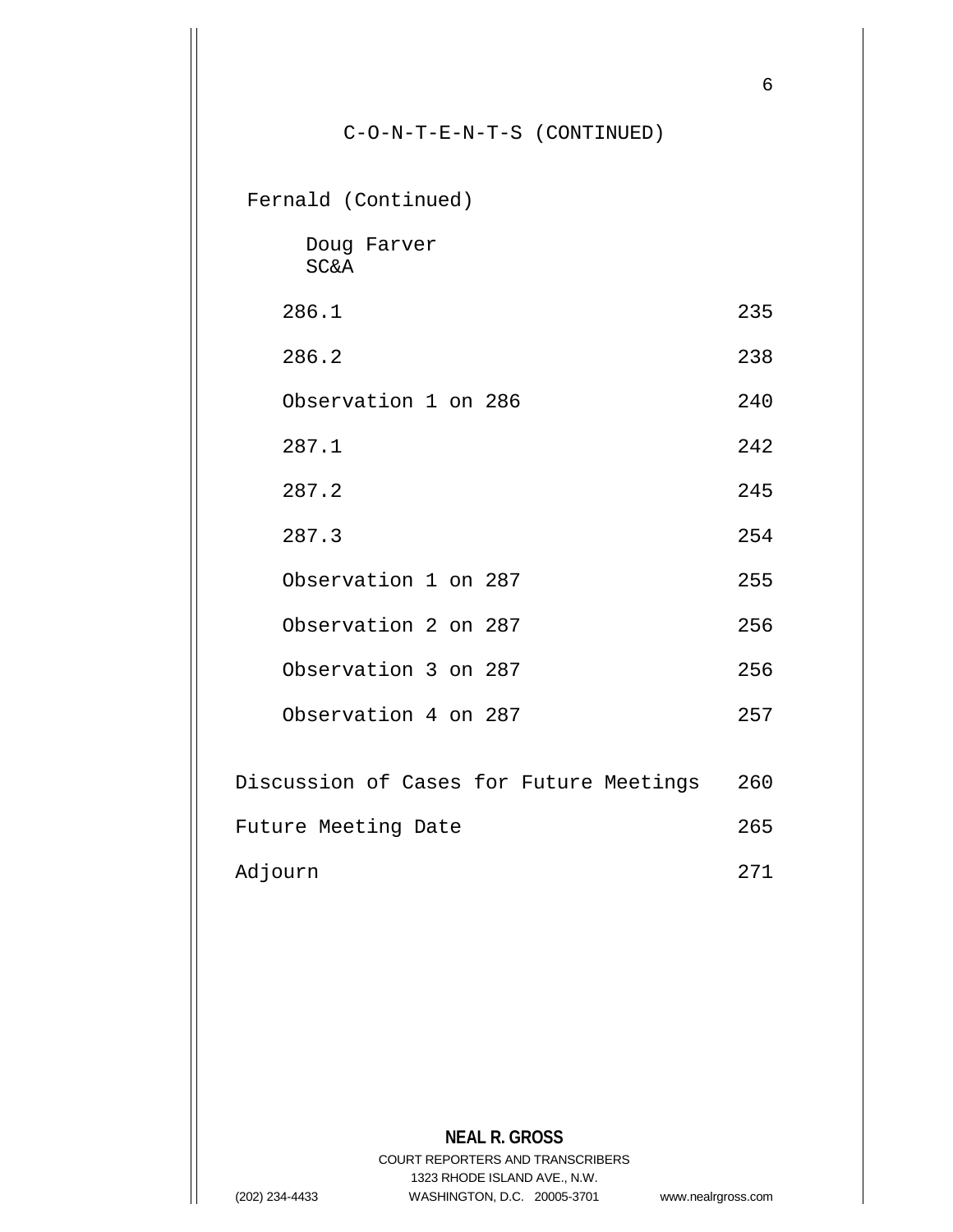|                                         | 6   |
|-----------------------------------------|-----|
| $C-O-N-T-E-N-T-S$ (CONTINUED)           |     |
| Fernald (Continued)                     |     |
| Doug Farver<br><b>SC&amp;A</b>          |     |
| 286.1                                   | 235 |
| 286.2                                   | 238 |
| Observation 1 on 286                    | 240 |
| 287.1                                   | 242 |
| 287.2                                   | 245 |
| 287.3                                   | 254 |
| Observation 1 on 287                    | 255 |
| Observation 2 on 287                    | 256 |
| Observation 3 on 287                    | 256 |
| Observation 4 on 287                    | 257 |
| Discussion of Cases for Future Meetings | 260 |
| Future Meeting Date                     | 265 |
| Adjourn                                 | 271 |
|                                         |     |

**NEAL R. GROSS** COURT REPORTERS AND TRANSCRIBERS 1323 RHODE ISLAND AVE., N.W. (202) 234-4433 WASHINGTON, D.C. 20005-3701 www.nealrgross.com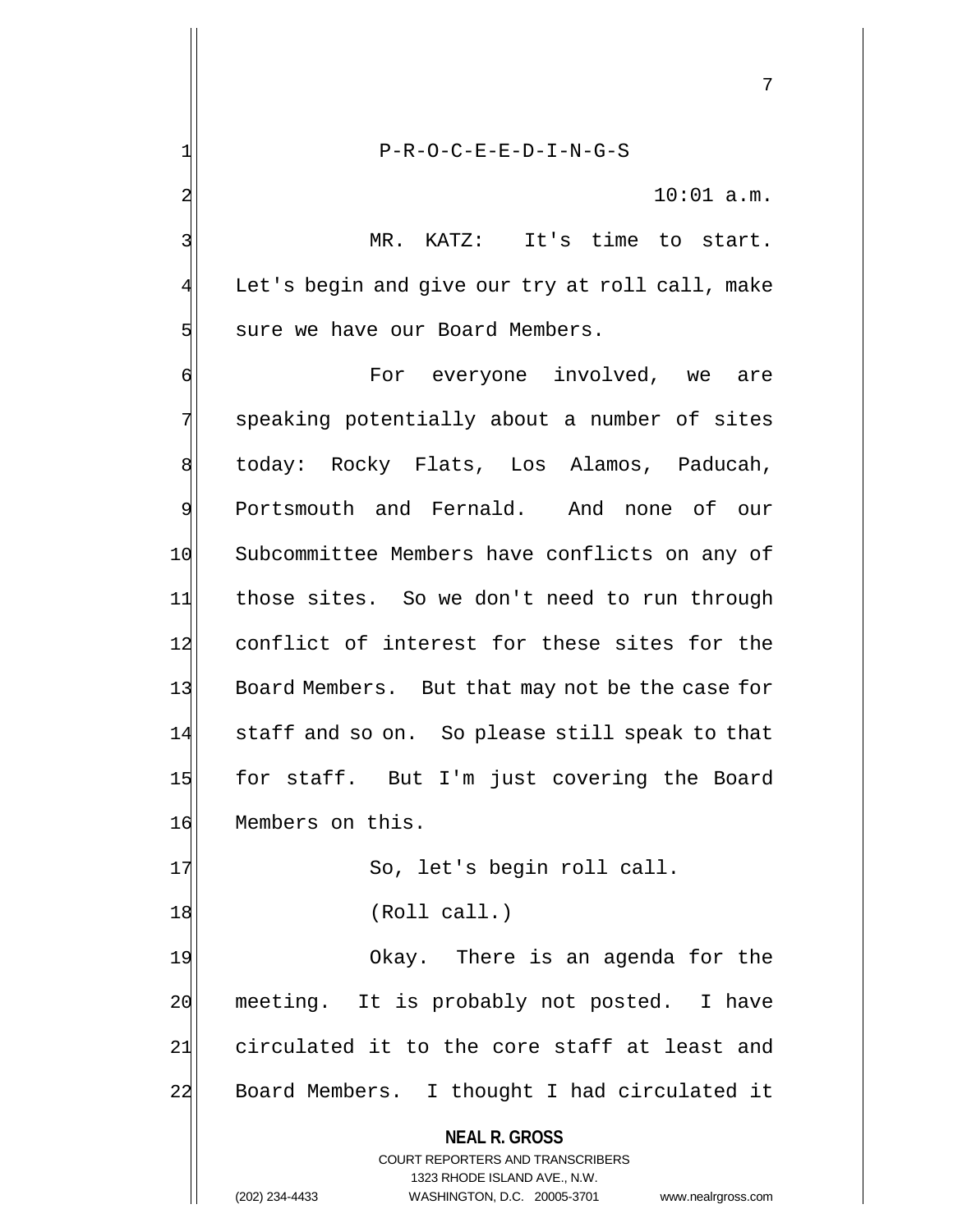1| P-R-O-C-E-E-D-I-N-G-S  $2 \vert$  10:01 a.m. 3 MR. KATZ: It's time to start. 4 Let's begin and give our try at roll call, make 5 sure we have our Board Members. 6 **6** For everyone involved, we are 7 speaking potentially about a number of sites 8 | today: Rocky Flats, Los Alamos, Paducah, 9 Portsmouth and Fernald. And none of our 10 Subcommittee Members have conflicts on any of 11 those sites. So we don't need to run through 12 conflict of interest for these sites for the 13 Board Members. But that may not be the case for 14 staff and so on. So please still speak to that 15 for staff. But I'm just covering the Board 16 Members on this. 17 So, let's begin roll call. 18 (Roll call.) 19 Okay. There is an agenda for the 20 meeting. It is probably not posted. I have 21 circulated it to the core staff at least and 22 Board Members. I thought I had circulated it

**NEAL R. GROSS**

COURT REPORTERS AND TRANSCRIBERS 1323 RHODE ISLAND AVE., N.W. (202) 234-4433 WASHINGTON, D.C. 20005-3701 www.nealrgross.com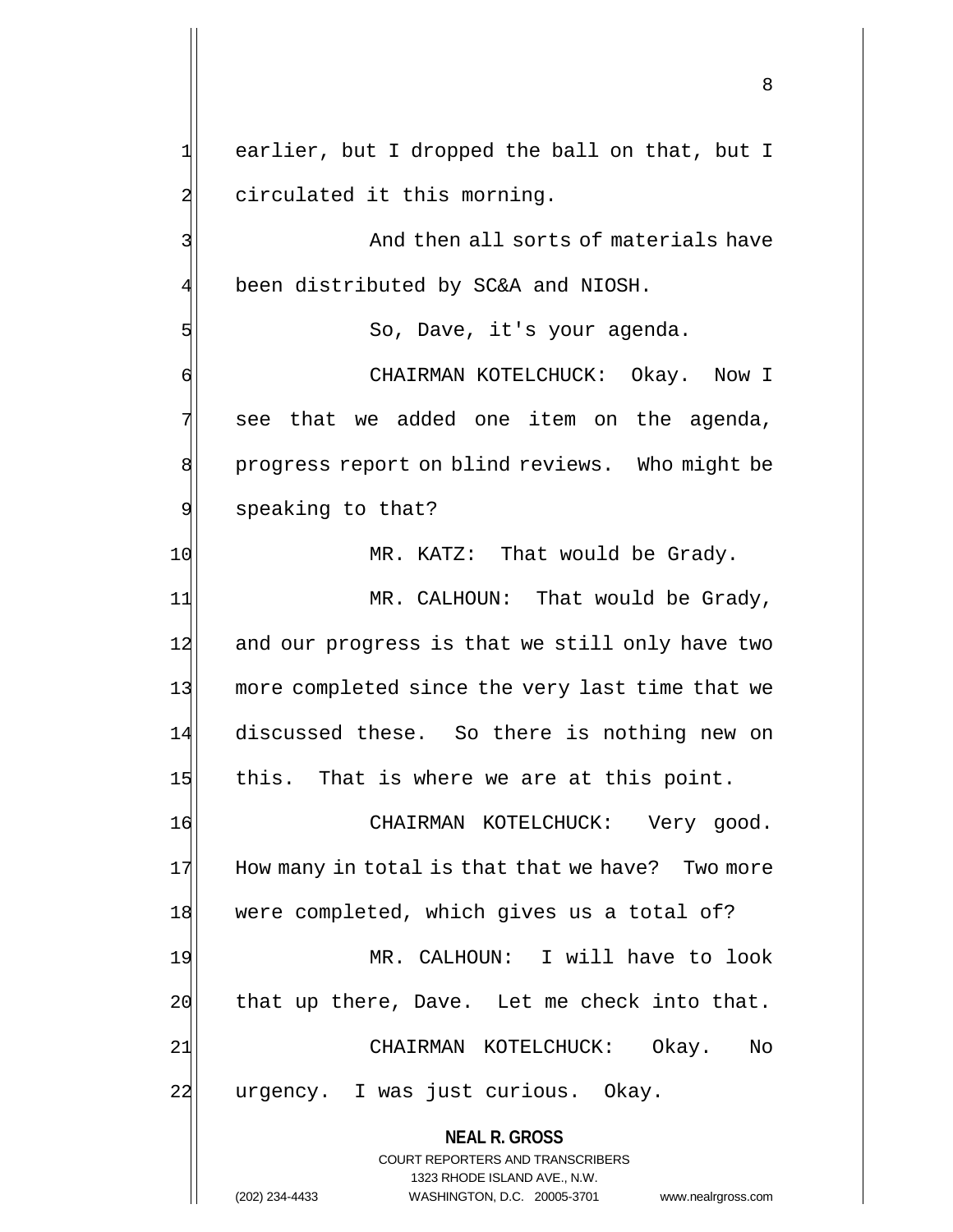1 earlier, but I dropped the ball on that, but I 2 circulated it this morning. 3 Beam and then all sorts of materials have 4 been distributed by SC&A and NIOSH. 5 So, Dave, it's your agenda. 6 CHAIRMAN KOTELCHUCK: Okay. Now I

 $7$  see that we added one item on the agenda, 8 progress report on blind reviews. Who might be 9 speaking to that?

10 MR. KATZ: That would be Grady.

11 MR. CALHOUN: That would be Grady, 12 and our progress is that we still only have two 13 more completed since the very last time that we 14 discussed these. So there is nothing new on 15 this. That is where we are at this point.

16 CHAIRMAN KOTELCHUCK: Very good.  $17$  How many in total is that that we have? Two more 18 were completed, which gives us a total of?

19 MR. CALHOUN: I will have to look 20 that up there, Dave. Let me check into that. 21 CHAIRMAN KOTELCHUCK: Okay. No 22 | urgency. I was just curious. Okay.

> **NEAL R. GROSS** COURT REPORTERS AND TRANSCRIBERS

> > 1323 RHODE ISLAND AVE., N.W.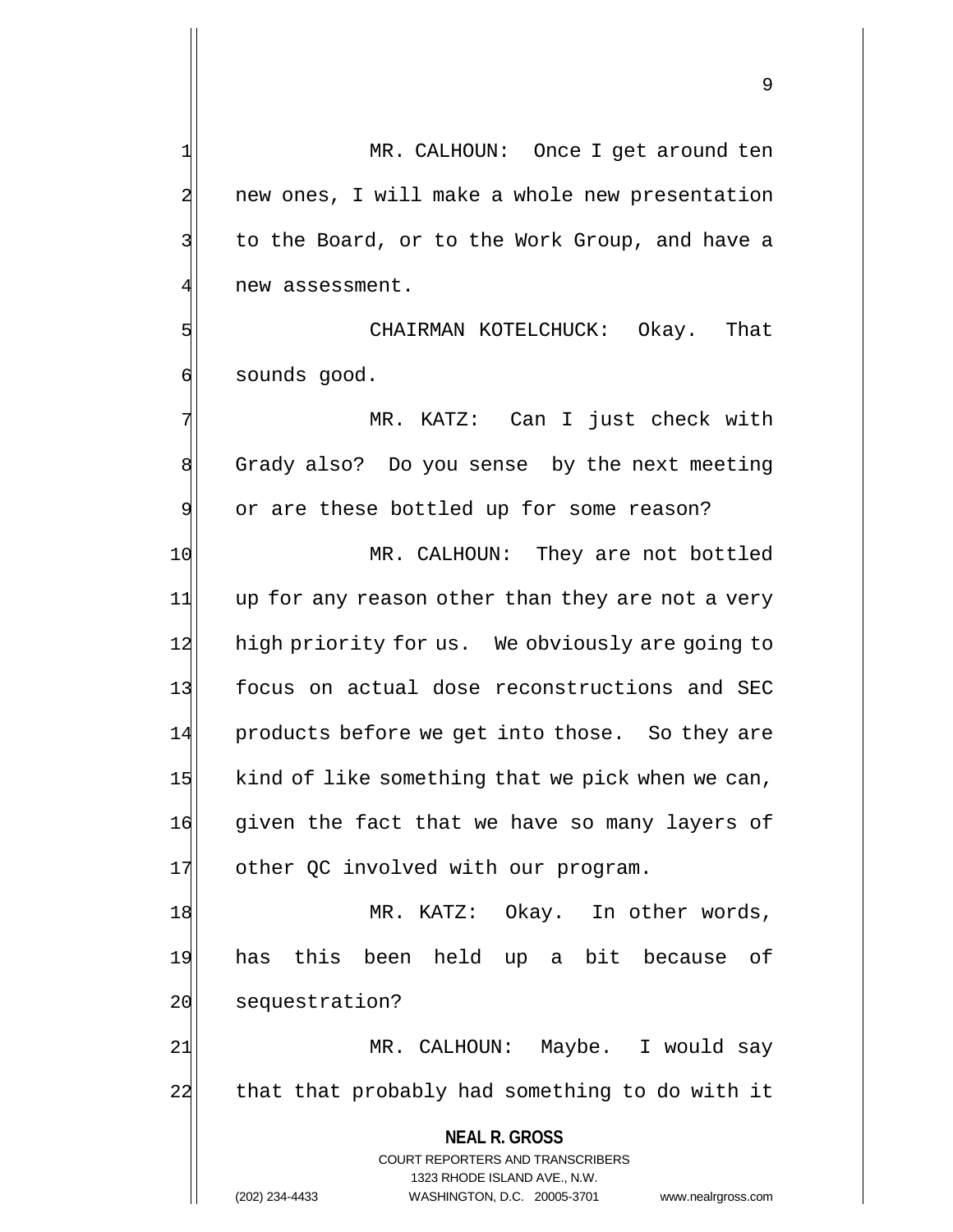9

1 MR. CALHOUN: Once I get around ten 2 new ones, I will make a whole new presentation 3 to the Board, or to the Work Group, and have a 4 new assessment. 5 CHAIRMAN KOTELCHUCK: Okay. That

6 sounds good.

7 MR. KATZ: Can I just check with 8 Grady also? Do you sense by the next meeting 9 or are these bottled up for some reason?

10 MR. CALHOUN: They are not bottled 11 up for any reason other than they are not a very 12 high priority for us. We obviously are going to 13 focus on actual dose reconstructions and SEC 14 products before we get into those. So they are  $15$  kind of like something that we pick when we can, 16 given the fact that we have so many layers of 17 other QC involved with our program.

18 MR. KATZ: Okay. In other words, 19 has this been held up a bit because of 20 sequestration?

21 MR. CALHOUN: Maybe. I would say 22 that that probably had something to do with it

> **NEAL R. GROSS** COURT REPORTERS AND TRANSCRIBERS 1323 RHODE ISLAND AVE., N.W.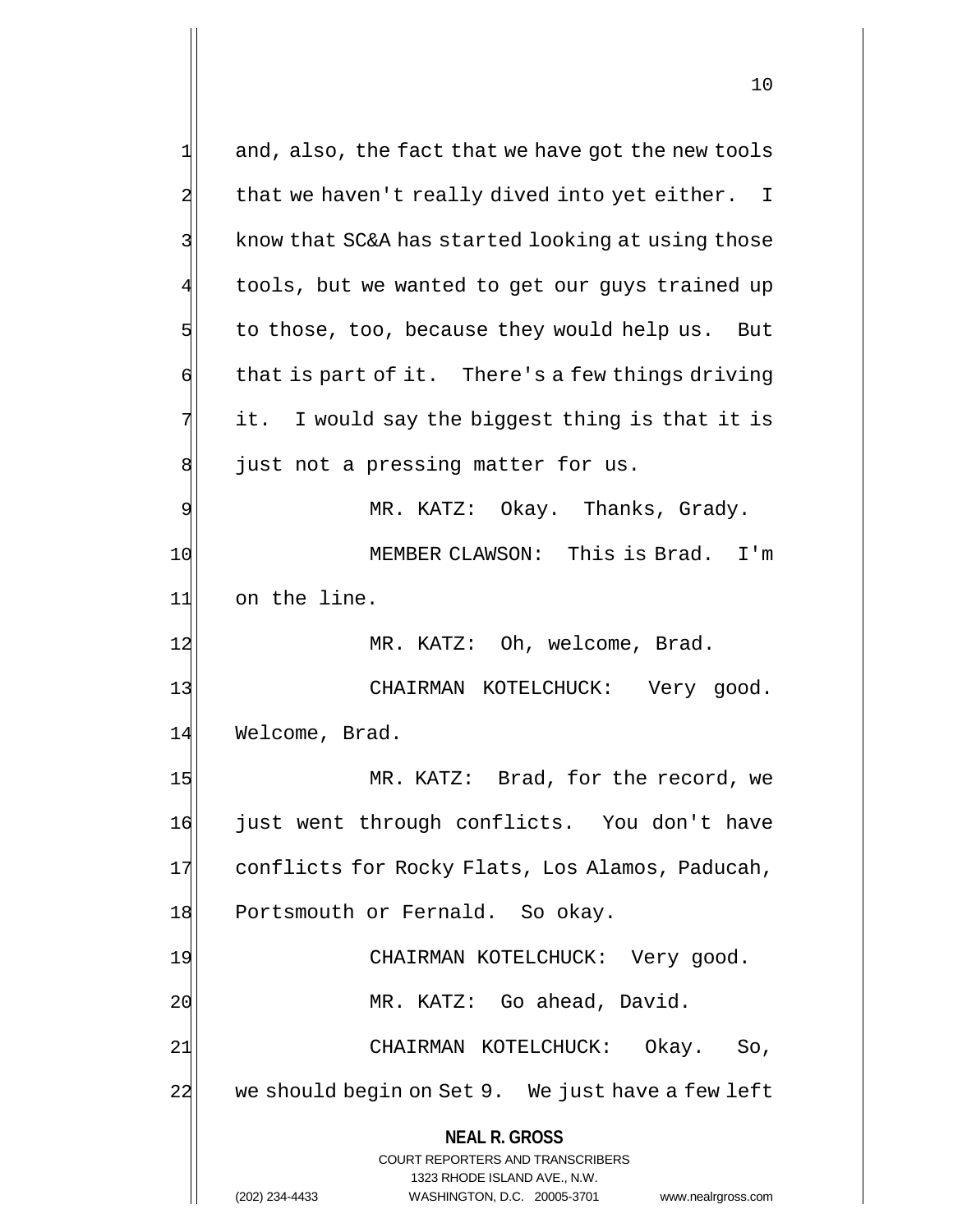| $\mathbf 1$ | and, also, the fact that we have got the new tools                  |  |
|-------------|---------------------------------------------------------------------|--|
|             | that we haven't really dived into yet either. I                     |  |
|             | know that SC&A has started looking at using those                   |  |
|             | tools, but we wanted to get our guys trained up                     |  |
| 5           | to those, too, because they would help us. But                      |  |
| 6           | that is part of it. There's a few things driving                    |  |
| 7           | it. I would say the biggest thing is that it is                     |  |
| 8           | just not a pressing matter for us.                                  |  |
| 9           | MR. KATZ: Okay. Thanks, Grady.                                      |  |
| 10          | MEMBER CLAWSON: This is Brad. I'm                                   |  |
| 11          | on the line.                                                        |  |
| 12          | MR. KATZ: Oh, welcome, Brad.                                        |  |
| 13          | CHAIRMAN KOTELCHUCK: Very good.                                     |  |
| 14          | Welcome, Brad.                                                      |  |
| 15          | MR. KATZ: Brad, for the record, we                                  |  |
| 16          | just went through conflicts. You don't have                         |  |
| 17          | conflicts for Rocky Flats, Los Alamos, Paducah,                     |  |
| 18          | Portsmouth or Fernald. So okay.                                     |  |
| 19          | CHAIRMAN KOTELCHUCK: Very good.                                     |  |
| 20          | MR. KATZ: Go ahead, David.                                          |  |
| 21          | CHAIRMAN KOTELCHUCK:<br>Okay.<br>So,                                |  |
| 22          | we should begin on Set 9. We just have a few left                   |  |
|             | <b>NEAL R. GROSS</b>                                                |  |
|             | <b>COURT REPORTERS AND TRANSCRIBERS</b>                             |  |
|             | 1323 RHODE ISLAND AVE., N.W.                                        |  |
|             | (202) 234-4433<br>WASHINGTON, D.C. 20005-3701<br>www.nealrgross.com |  |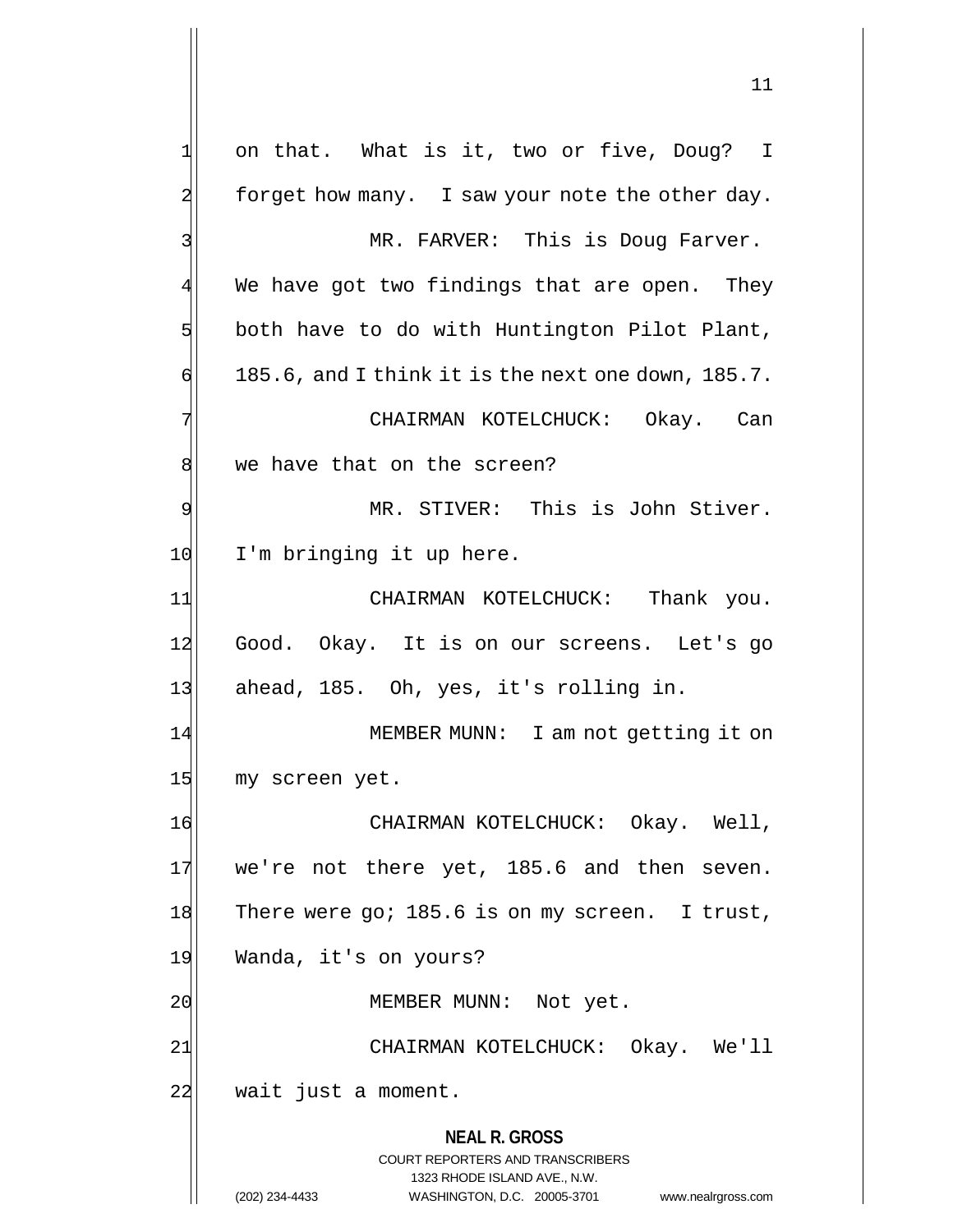**NEAL R. GROSS** COURT REPORTERS AND TRANSCRIBERS 1323 RHODE ISLAND AVE., N.W. (202) 234-4433 WASHINGTON, D.C. 20005-3701 www.nealrgross.com 1 on that. What is it, two or five, Doug? I  $2$  forget how many. I saw your note the other day. 3 MR. FARVER: This is Doug Farver.  $4$  We have got two findings that are open. They  $5$  both have to do with Huntington Pilot Plant,  $\left| \cdot \right|$  185.6, and I think it is the next one down, 185.7. 7 | CHAIRMAN KOTELCHUCK: Okay. Can 8 we have that on the screen? 9 MR. STIVER: This is John Stiver. 10 I'm bringing it up here. 11 CHAIRMAN KOTELCHUCK: Thank you. 12 Good. Okay. It is on our screens. Let's go 13 ahead, 185. Oh, yes, it's rolling in. 14 MEMBER MUNN: I am not getting it on 15 my screen yet. 16 CHAIRMAN KOTELCHUCK: Okay. Well, 17 we're not there yet, 185.6 and then seven. 18 There were go; 185.6 is on my screen. I trust, 19 Wanda, it's on yours? 20 | MEMBER MUNN: Not yet. 21| CHAIRMAN KOTELCHUCK: Okay. We'll 22 wait just a moment.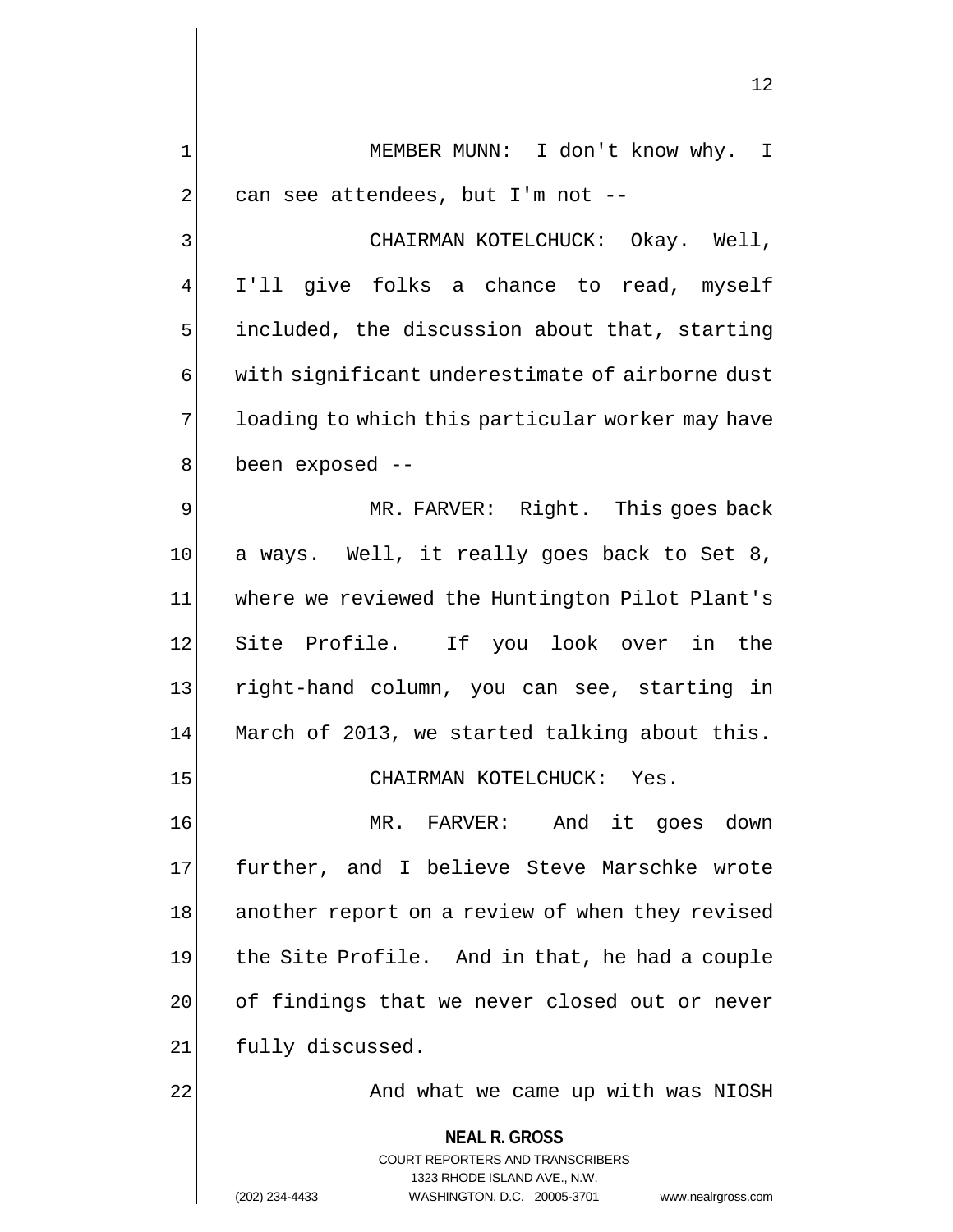1 MEMBER MUNN: I don't know why. I  $2$  can see attendees, but I'm not --

3 | CHAIRMAN KOTELCHUCK: Okay. Well, 4 I'll give folks a chance to read, myself  $5$  included, the discussion about that, starting 6 with significant underestimate of airborne dust 7 10ading to which this particular worker may have  $8$  been exposed  $-$ 

9 MR. FARVER: Right. This goes back 10 a ways. Well, it really goes back to Set 8, 11 where we reviewed the Huntington Pilot Plant's 12 Site Profile. If you look over in the 13 right-hand column, you can see, starting in 14 March of 2013, we started talking about this.

15 CHAIRMAN KOTELCHUCK: Yes.

16 MR. FARVER: And it goes down 17 further, and I believe Steve Marschke wrote 18 another report on a review of when they revised 19 the Site Profile. And in that, he had a couple  $20$  of findings that we never closed out or never 21 fully discussed.

22 and what we came up with was NIOSH

**NEAL R. GROSS** COURT REPORTERS AND TRANSCRIBERS 1323 RHODE ISLAND AVE., N.W. (202) 234-4433 WASHINGTON, D.C. 20005-3701 www.nealrgross.com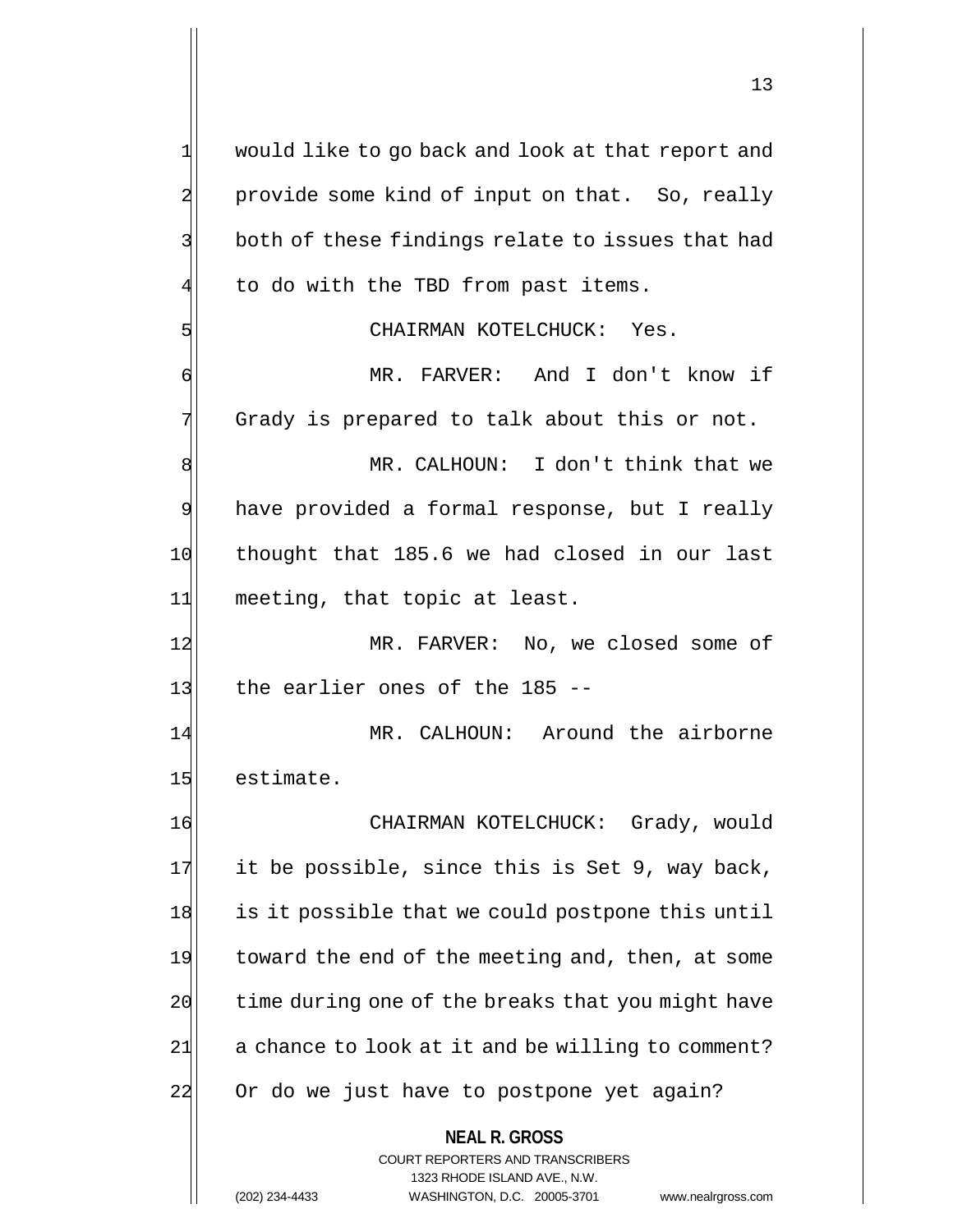**NEAL R. GROSS** 1 would like to go back and look at that report and 2 provide some kind of input on that. So, really 3 both of these findings relate to issues that had to do with the TBD from past items. 5 CHAIRMAN KOTELCHUCK: Yes. 6 MR. FARVER: And I don't know if  $7$  Grady is prepared to talk about this or not. 8 MR. CALHOUN: I don't think that we 9 have provided a formal response, but I really 10 thought that 185.6 we had closed in our last 11 meeting, that topic at least. 12 MR. FARVER: No, we closed some of 13 $|$  the earlier ones of the 185 --14 MR. CALHOUN: Around the airborne 15 estimate. 16 CHAIRMAN KOTELCHUCK: Grady, would  $17$  it be possible, since this is Set 9, way back, 18 is it possible that we could postpone this until 19 toward the end of the meeting and, then, at some  $20$  time during one of the breaks that you might have  $21$  a chance to look at it and be willing to comment? 22 Or do we just have to postpone yet again?

> COURT REPORTERS AND TRANSCRIBERS 1323 RHODE ISLAND AVE., N.W.

(202) 234-4433 WASHINGTON, D.C. 20005-3701 www.nealrgross.com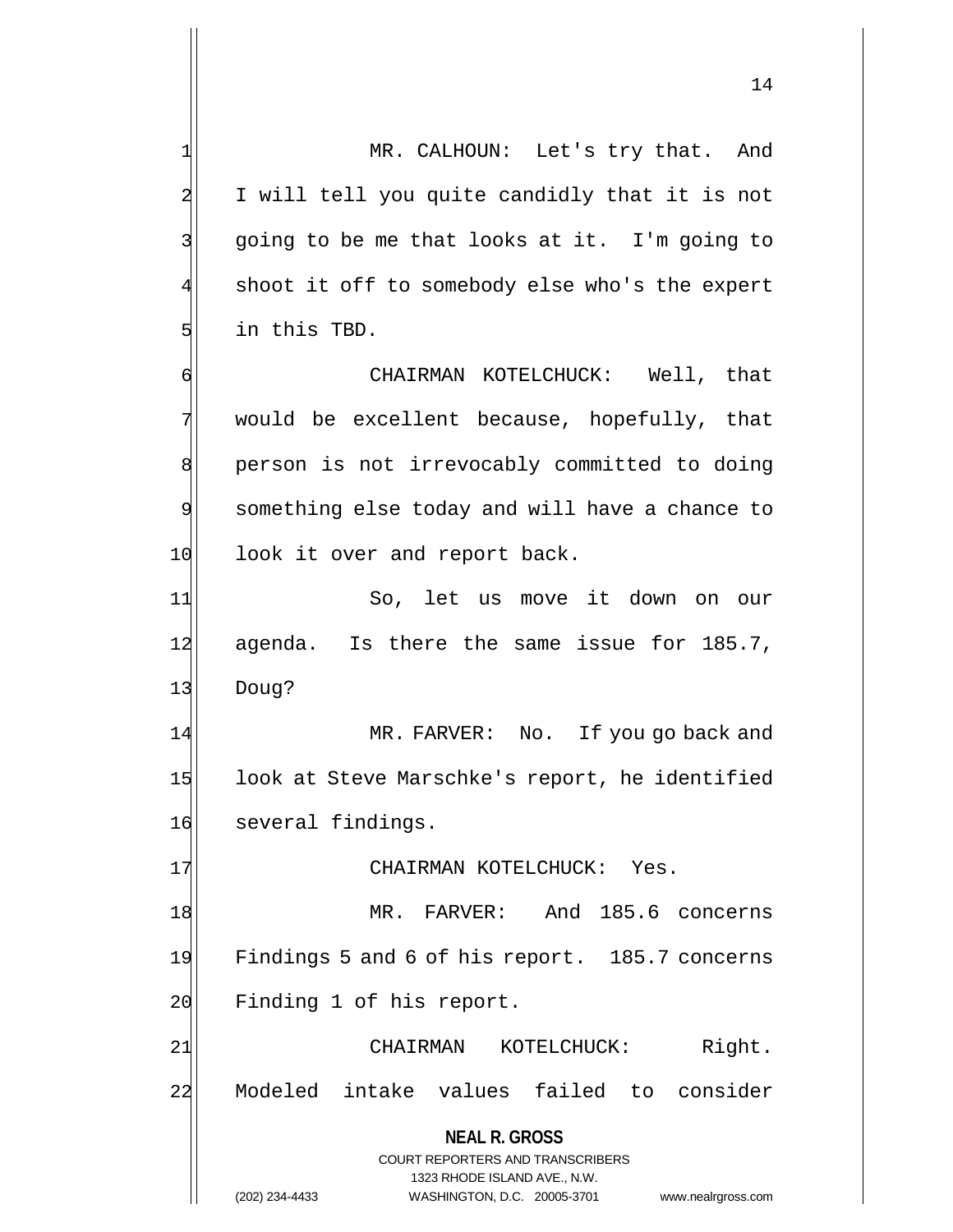14

**NEAL R. GROSS** COURT REPORTERS AND TRANSCRIBERS 1 MR. CALHOUN: Let's try that. And 2 I will tell you quite candidly that it is not  $3$  going to be me that looks at it. I'm going to 4 shoot it off to somebody else who's the expert  $5$  in this TBD. 6 CHAIRMAN KOTELCHUCK: Well, that  $7$  would be excellent because, hopefully, that 8 | person is not irrevocably committed to doing 9 something else today and will have a chance to 10 look it over and report back. 11 So, let us move it down on our 12 agenda. Is there the same issue for 185.7, 13 Doug? 14 MR. FARVER: No. If you go back and 15 look at Steve Marschke's report, he identified 16 several findings. 17 CHAIRMAN KOTELCHUCK: Yes. 18 MR. FARVER: And 185.6 concerns 19 Findings 5 and 6 of his report. 185.7 concerns 20 Finding 1 of his report. 21 CHAIRMAN KOTELCHUCK: Right. 22 Modeled intake values failed to consider

1323 RHODE ISLAND AVE., N.W.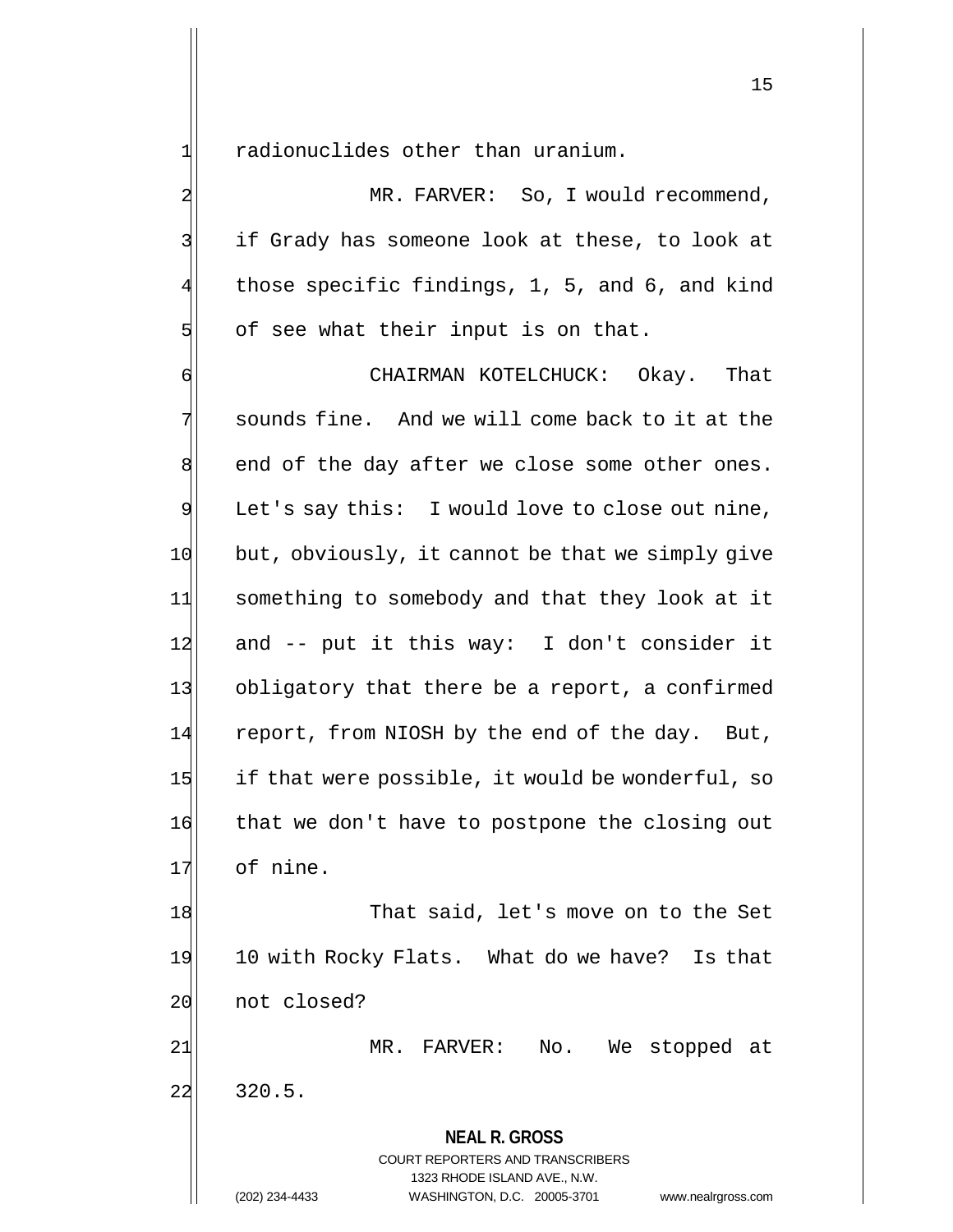$1$  radionuclides other than uranium.

2 MR. FARVER: So, I would recommend, 3 3 if Grady has someone look at these, to look at 4 those specific findings, 1, 5, and 6, and kind  $5$  of see what their input is on that.

6 CHAIRMAN KOTELCHUCK: Okay. That 7 sounds fine. And we will come back to it at the  $8$  end of the day after we close some other ones. 9 Let's say this: I would love to close out nine, 10 but, obviously, it cannot be that we simply give 11 something to somebody and that they look at it  $12$  and -- put it this way: I don't consider it 13 obligatory that there be a report, a confirmed 14 report, from NIOSH by the end of the day. But,  $15$  if that were possible, it would be wonderful, so 16 that we don't have to postpone the closing out 17 of nine.

18 That said, let's move on to the Set 19 10 with Rocky Flats. What do we have? Is that 20 not closed?

21 MR. FARVER: No. We stopped at  $22$  320.5.

> **NEAL R. GROSS** COURT REPORTERS AND TRANSCRIBERS 1323 RHODE ISLAND AVE., N.W.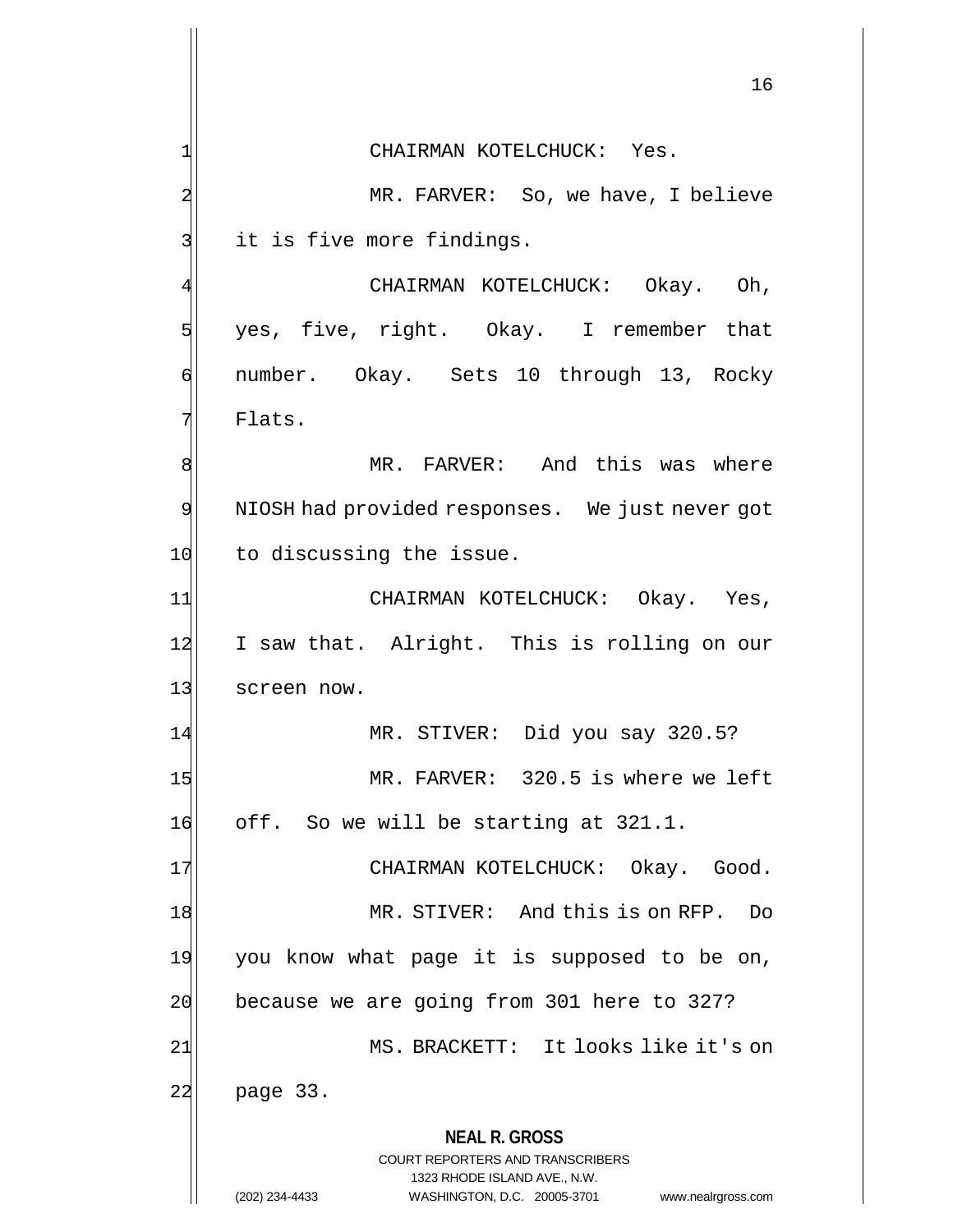**NEAL R. GROSS** COURT REPORTERS AND TRANSCRIBERS 1323 RHODE ISLAND AVE., N.W. (202) 234-4433 WASHINGTON, D.C. 20005-3701 www.nealrgross.com 16 1 CHAIRMAN KOTELCHUCK: Yes. 2 MR. FARVER: So, we have, I believe 3 it is five more findings. CHAIRMAN KOTELCHUCK: Okay. Oh, 5 yes, five, right. Okay. I remember that 6 number. Okay. Sets 10 through 13, Rocky 7 Flats. 8 MR. FARVER: And this was where 9 NIOSH had provided responses. We just never got 10 to discussing the issue. 11 CHAIRMAN KOTELCHUCK: Okay. Yes, 12 I saw that. Alright. This is rolling on our 13 screen now. 14 MR. STIVER: Did you say 320.5? 15 MR. FARVER: 320.5 is where we left 16 off. So we will be starting at 321.1. 17 CHAIRMAN KOTELCHUCK: Okay. Good. 18 MR. STIVER: And this is on RFP. Do 19 you know what page it is supposed to be on,  $20$  because we are going from 301 here to 327? 21| MS. BRACKETT: It looks like it's on 22 page 33.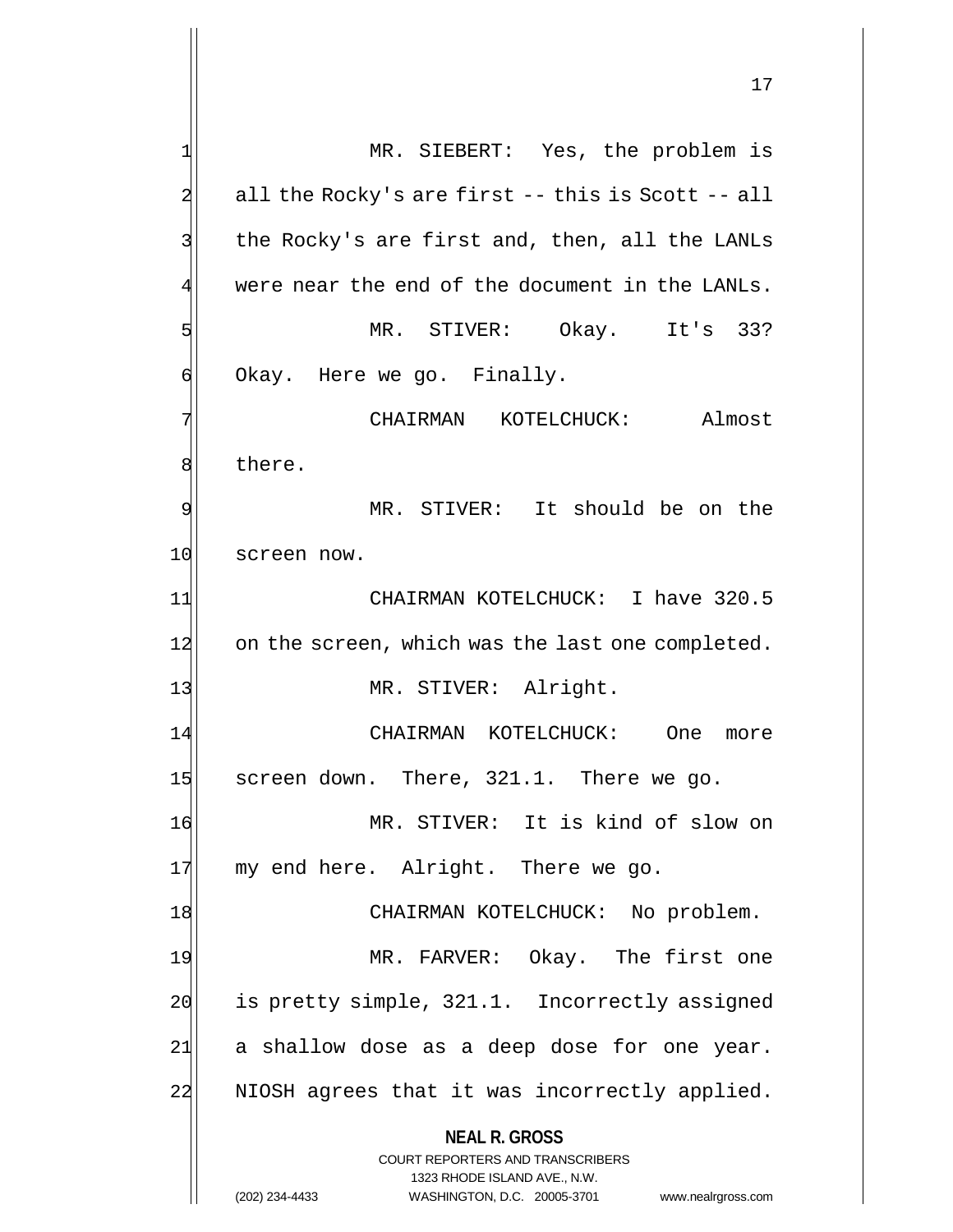**NEAL R. GROSS** COURT REPORTERS AND TRANSCRIBERS 1323 RHODE ISLAND AVE., N.W. 1 MR. SIEBERT: Yes, the problem is  $2$  all the Rocky's are first -- this is Scott -- all 3 | the Rocky's are first and, then, all the LANLs  $4$  were near the end of the document in the LANLs. 5 MR. STIVER: Okay. It's 33?  $\mathfrak{q}$  Okay. Here we go. Finally. 7 CHAIRMAN KOTELCHUCK: Almost 8 bere. 9 MR. STIVER: It should be on the 10 screen now. 11 CHAIRMAN KOTELCHUCK: I have 320.5 12 on the screen, which was the last one completed. 13 MR. STIVER: Alright. 14 CHAIRMAN KOTELCHUCK: One more 15 screen down. There, 321.1. There we go. 16 MR. STIVER: It is kind of slow on 17 my end here. Alright. There we go. 18 | CHAIRMAN KOTELCHUCK: No problem. 19 MR. FARVER: Okay. The first one 20 is pretty simple, 321.1. Incorrectly assigned  $21$  a shallow dose as a deep dose for one year. 22 NIOSH agrees that it was incorrectly applied.

(202) 234-4433 WASHINGTON, D.C. 20005-3701 www.nealrgross.com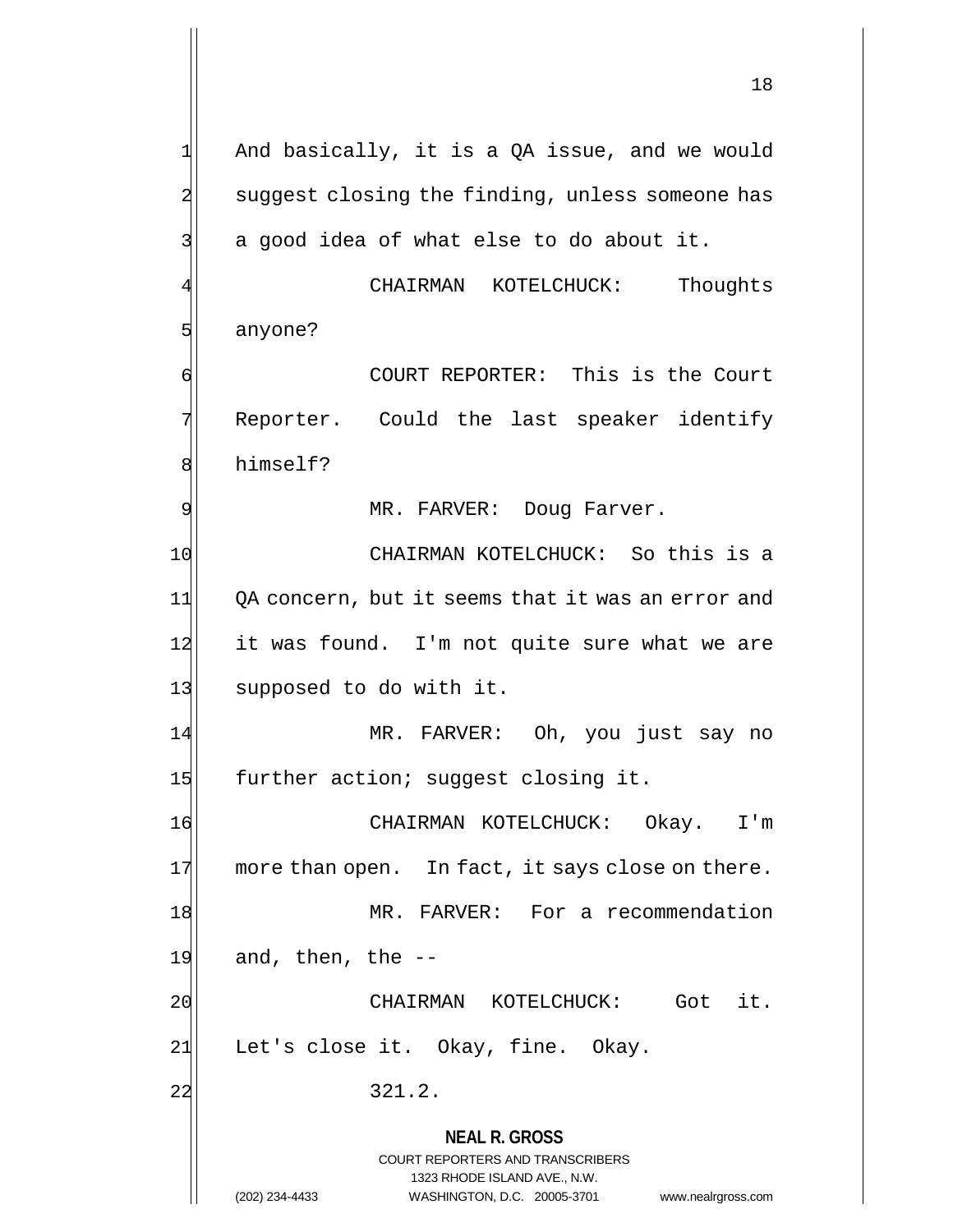$1$  And basically, it is a QA issue, and we would 2 suggest closing the finding, unless someone has  $3$  a good idea of what else to do about it.

CHAIRMAN KOTELCHUCK: Thoughts 5 anyone?

6 6 COURT REPORTER: This is the Court 7 Reporter. Could the last speaker identify 8 himself?

9 MR. FARVER: Doug Farver.

10 CHAIRMAN KOTELCHUCK: So this is a 11 QA concern, but it seems that it was an error and  $12$  it was found. I'm not quite sure what we are 13 supposed to do with it.

14 MR. FARVER: Oh, you just say no 15 further action; suggest closing it.

16 CHAIRMAN KOTELCHUCK: Okay. I'm  $17$  more than open. In fact, it says close on there. 18 MR. FARVER: For a recommendation  $19$  and, then, the  $-$ 20 CHAIRMAN KOTELCHUCK: Got it.

21 Let's close it. Okay, fine. Okay.

 $22$  321.2.

**NEAL R. GROSS**

COURT REPORTERS AND TRANSCRIBERS 1323 RHODE ISLAND AVE., N.W.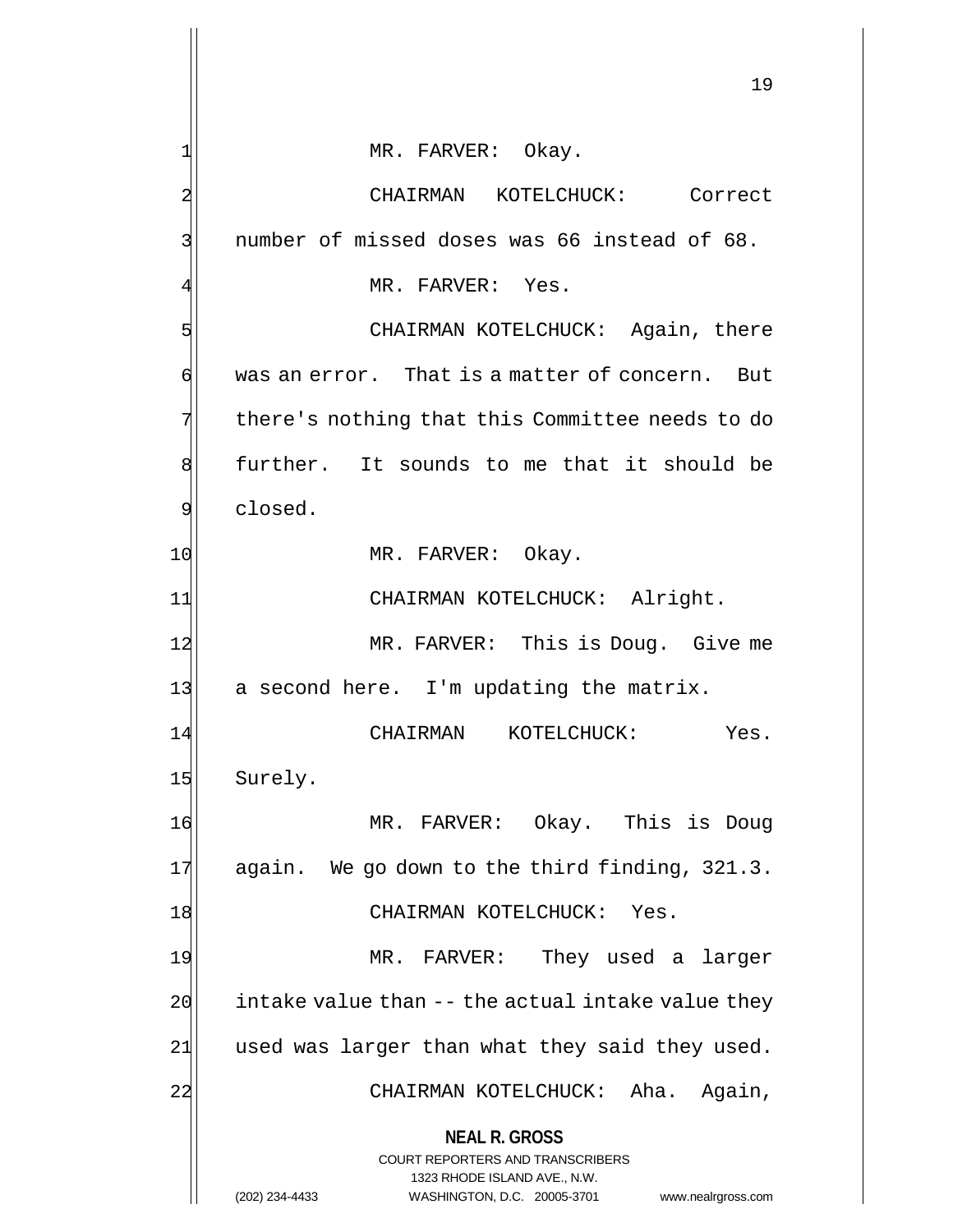**NEAL R. GROSS** COURT REPORTERS AND TRANSCRIBERS 1323 RHODE ISLAND AVE., N.W. (202) 234-4433 WASHINGTON, D.C. 20005-3701 www.nealrgross.com 1| MR. FARVER: Okay. 2 CHAIRMAN KOTELCHUCK: Correct 3 3 number of missed doses was 66 instead of 68. MR. FARVER: Yes. 5 S  $\phi$  was an error. That is a matter of concern. But 7 there's nothing that this Committee needs to do 8 further. It sounds to me that it should be 9 slosed. 10 MR. FARVER: Okay. 11| CHAIRMAN KOTELCHUCK: Alright. 12 MR. FARVER: This is Doug. Give me 13 a second here. I'm updating the matrix. 14 CHAIRMAN KOTELCHUCK: Yes. 15 Surely. 16 MR. FARVER: Okay. This is Doug 17 again. We go down to the third finding, 321.3. 18 CHAIRMAN KOTELCHUCK: Yes. 19 MR. FARVER: They used a larger  $20$  intake value than  $-$ - the actual intake value they  $21$  used was larger than what they said they used. 22 CHAIRMAN KOTELCHUCK: Aha. Again,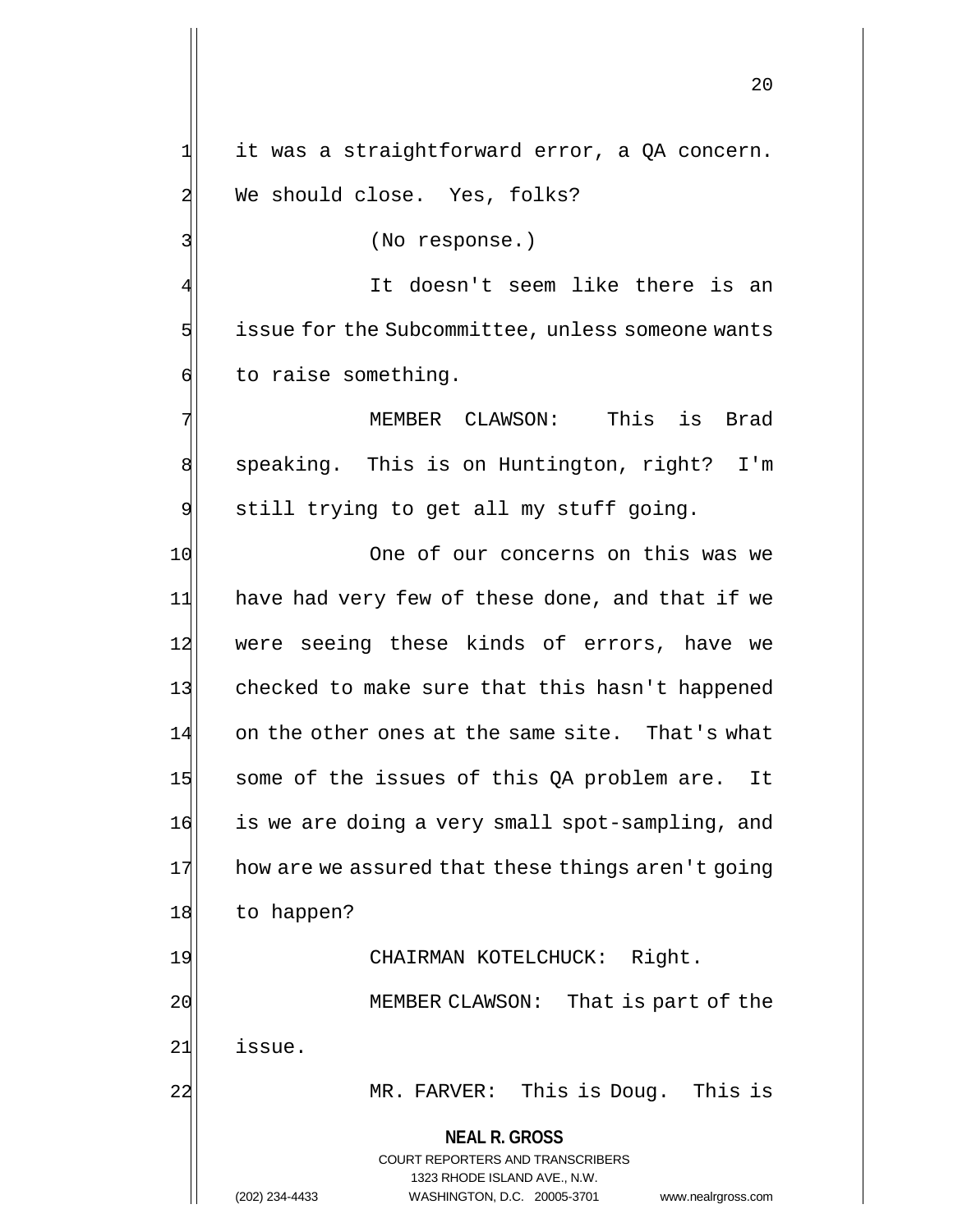**NEAL R. GROSS** COURT REPORTERS AND TRANSCRIBERS 1323 RHODE ISLAND AVE., N.W. 20 1 it was a straightforward error, a QA concern. 2 We should close. Yes, folks? 3 (No response.) It doesn't seem like there is an  $5$  issue for the Subcommittee, unless someone wants 6 to raise something. 7 MEMBER CLAWSON: This is Brad 8 speaking. This is on Huntington, right? I'm 9 still trying to get all my stuff going. 10 One of our concerns on this was we 11 have had very few of these done, and that if we 12 were seeing these kinds of errors, have we 13 checked to make sure that this hasn't happened 14 on the other ones at the same site. That's what 15 some of the issues of this QA problem are. It 16 is we are doing a very small spot-sampling, and  $17$  how are we assured that these things aren't going 18 to happen? 19 CHAIRMAN KOTELCHUCK: Right. 20 20 MEMBER CLAWSON: That is part of the 21 issue. 22 MR. FARVER: This is Doug. This is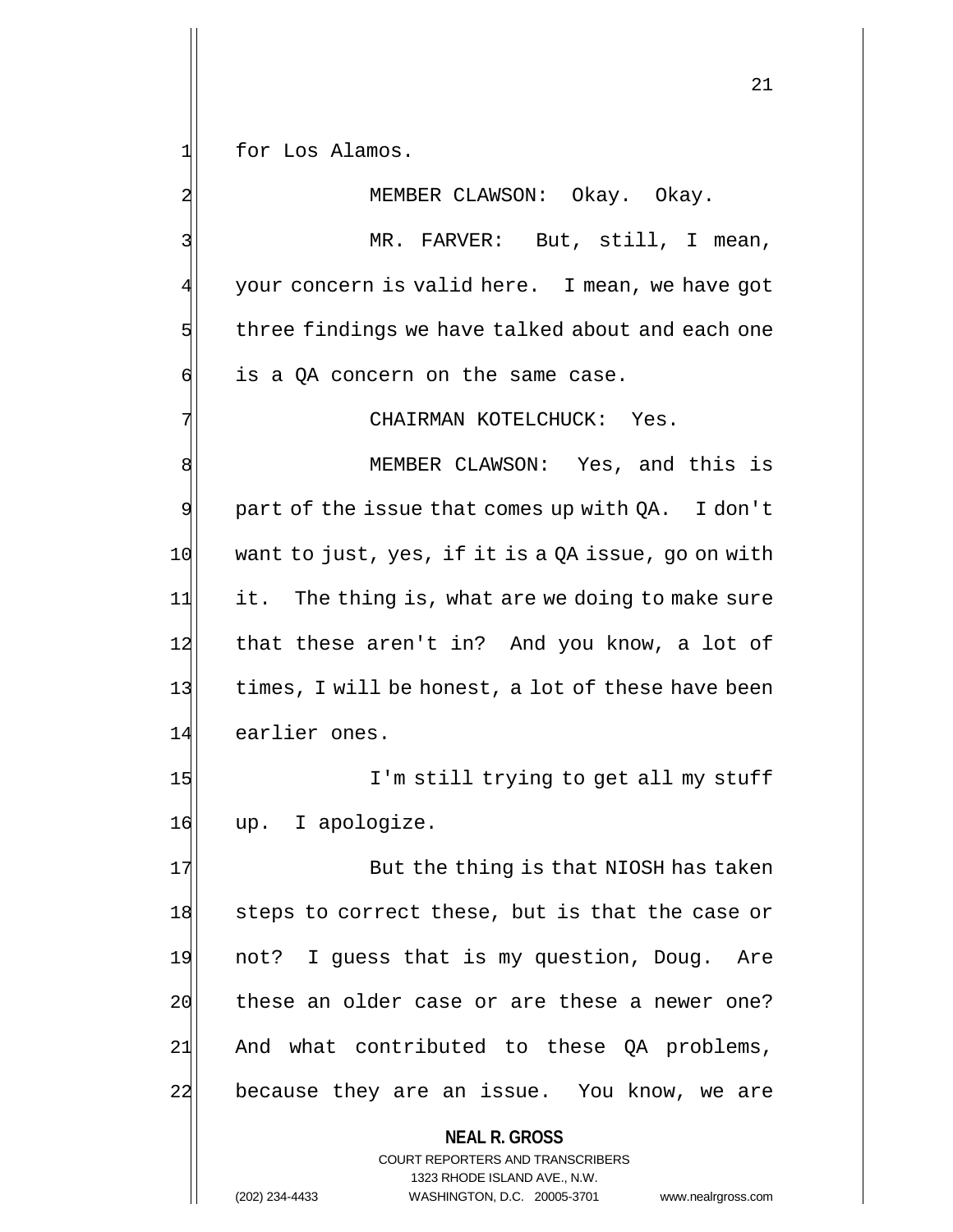1 for Los Alamos.

**NEAL R. GROSS** COURT REPORTERS AND TRANSCRIBERS 2 MEMBER CLAWSON: Okay. Okay. 3 MR. FARVER: But, still, I mean, 4 your concern is valid here. I mean, we have got  $5$  three findings we have talked about and each one  $6$  is a QA concern on the same case. 7 CHAIRMAN KOTELCHUCK: Yes. 8 MEMBER CLAWSON: Yes, and this is  $9$  part of the issue that comes up with QA. I don't  $10$  want to just, yes, if it is a QA issue, go on with 11 it. The thing is, what are we doing to make sure 12 that these aren't in? And you know, a lot of 13 times, I will be honest, a lot of these have been 14 earlier ones. 15 I'm still trying to get all my stuff 16 up. I apologize. 17 But the thing is that NIOSH has taken 18 steps to correct these, but is that the case or 19 not? I guess that is my question, Doug. Are 20 these an older case or are these a newer one?  $21$  And what contributed to these QA problems, 22 because they are an issue. You know, we are

1323 RHODE ISLAND AVE., N.W.

21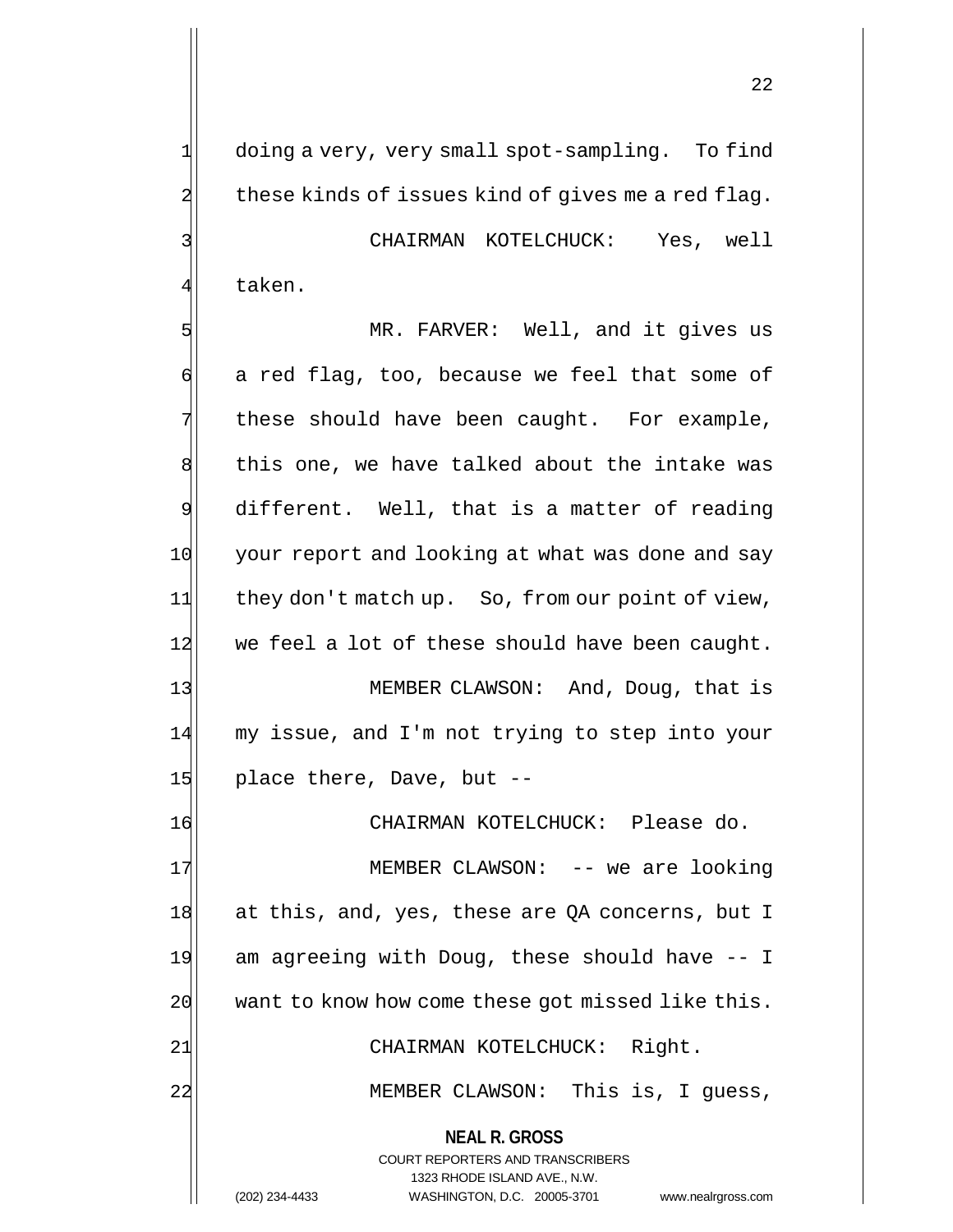22

 $2$  these kinds of issues kind of gives me a red flag. 3 CHAIRMAN KOTELCHUCK: Yes, well 4 $\parallel$  taken. 5 MR. FARVER: Well, and it gives us 6 a red flag, too, because we feel that some of  $7$  these should have been caught. For example, 8 this one, we have talked about the intake was 9 different. Well, that is a matter of reading 10 your report and looking at what was done and say 11 they don't match up. So, from our point of view, 12 we feel a lot of these should have been caught. 13 MEMBER CLAWSON: And, Doug, that is 14 my issue, and I'm not trying to step into your  $15$  place there, Dave, but  $-$ 16 CHAIRMAN KOTELCHUCK: Please do. 17 MEMBER CLAWSON: -- we are looking 18 at this, and, yes, these are QA concerns, but I 19 am agreeing with Doug, these should have -- I 20 want to know how come these got missed like this. 21 CHAIRMAN KOTELCHUCK: Right.

1 doing a very, very small spot-sampling. To find

22 MEMBER CLAWSON: This is, I guess,

**NEAL R. GROSS** COURT REPORTERS AND TRANSCRIBERS

1323 RHODE ISLAND AVE., N.W.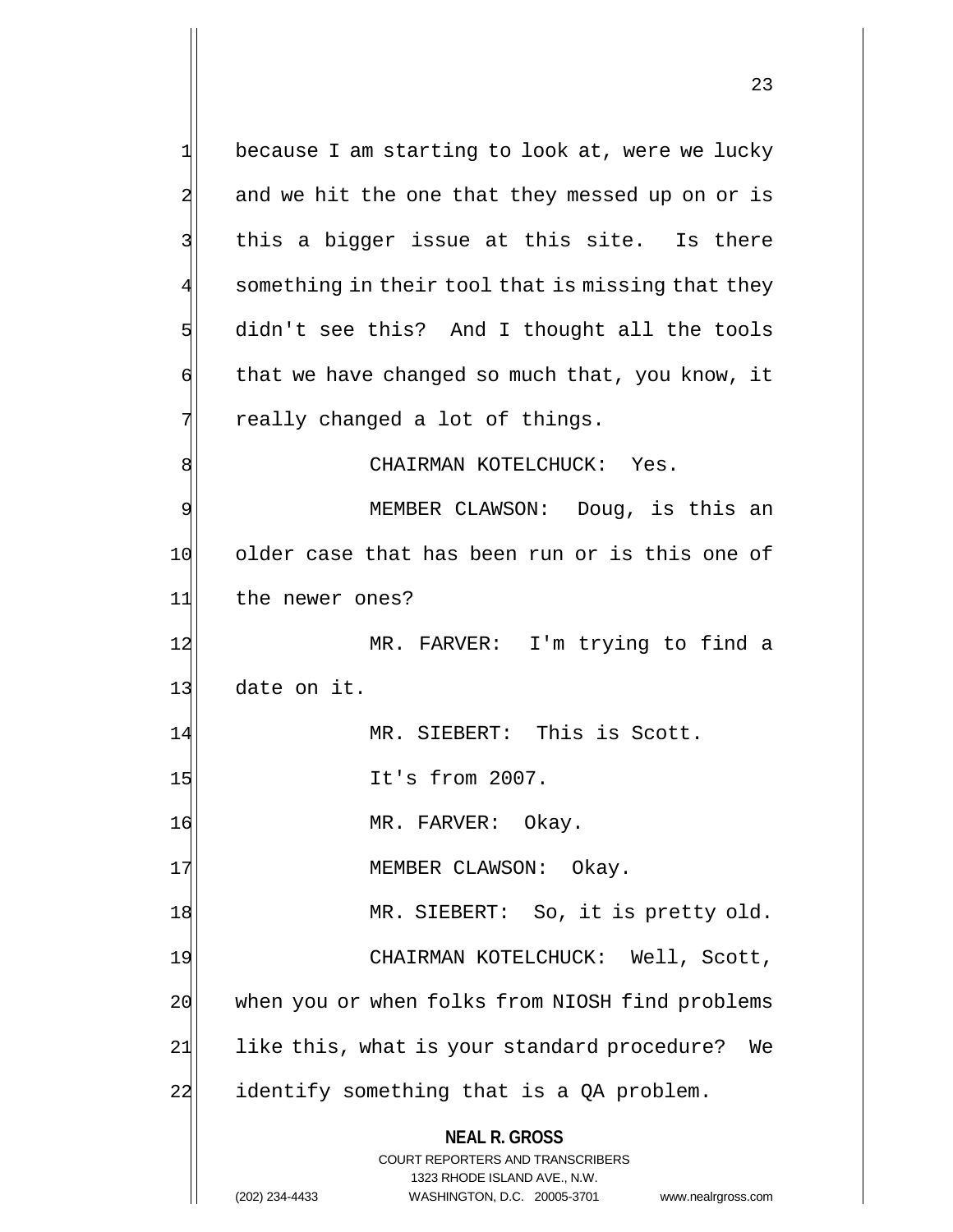**NEAL R. GROSS** COURT REPORTERS AND TRANSCRIBERS 1323 RHODE ISLAND AVE., N.W. 1 because I am starting to look at, were we lucky 2 and we hit the one that they messed up on or is  $3$  this a bigger issue at this site. Is there 4 something in their tool that is missing that they 5 didn't see this? And I thought all the tools  $\mathfrak{g}$  that we have changed so much that, you know, it  $7$  really changed a lot of things. 8 | CHAIRMAN KOTELCHUCK: Yes. 9 MEMBER CLAWSON: Doug, is this an 10 older case that has been run or is this one of 11 the newer ones? 12 MR. FARVER: I'm trying to find a 13 date on it. 14 MR. SIEBERT: This is Scott. 15 It's from 2007. 16 MR. FARVER: Okay. 17 MEMBER CLAWSON: Okay. 18 MR. SIEBERT: So, it is pretty old. 19 CHAIRMAN KOTELCHUCK: Well, Scott, 20 when you or when folks from NIOSH find problems 21 like this, what is your standard procedure? We  $22$  identify something that is a QA problem.

(202) 234-4433 WASHINGTON, D.C. 20005-3701 www.nealrgross.com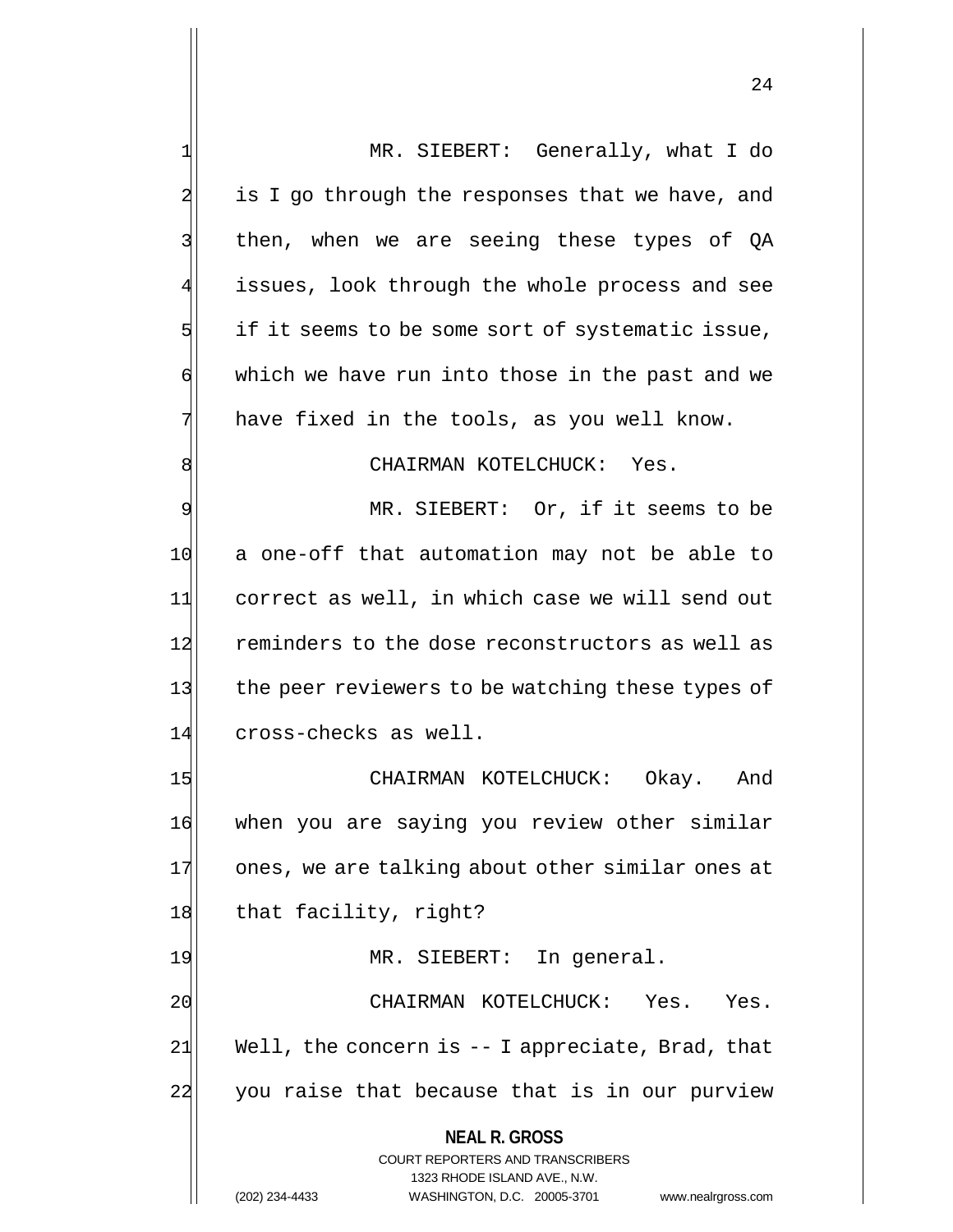**NEAL R. GROSS** COURT REPORTERS AND TRANSCRIBERS 1323 RHODE ISLAND AVE., N.W. 1 MR. SIEBERT: Generally, what I do  $2$  is I go through the responses that we have, and 3 | then, when we are seeing these types of QA issues, look through the whole process and see  $5$  if it seems to be some sort of systematic issue,  $\mathfrak{g}$  which we have run into those in the past and we 7 have fixed in the tools, as you well know. 8 8 9| MR. SIEBERT: Or, if it seems to be 10 a one-off that automation may not be able to 11 correct as well, in which case we will send out 12 reminders to the dose reconstructors as well as 13 the peer reviewers to be watching these types of 14 cross-checks as well. 15 CHAIRMAN KOTELCHUCK: Okay. And 16 when you are saying you review other similar 17 ones, we are talking about other similar ones at 18 that facility, right? 19 MR. SIEBERT: In general. 20 CHAIRMAN KOTELCHUCK: Yes. Yes.  $21$  Well, the concern is  $-1$  appreciate, Brad, that 22 you raise that because that is in our purview

(202) 234-4433 WASHINGTON, D.C. 20005-3701 www.nealrgross.com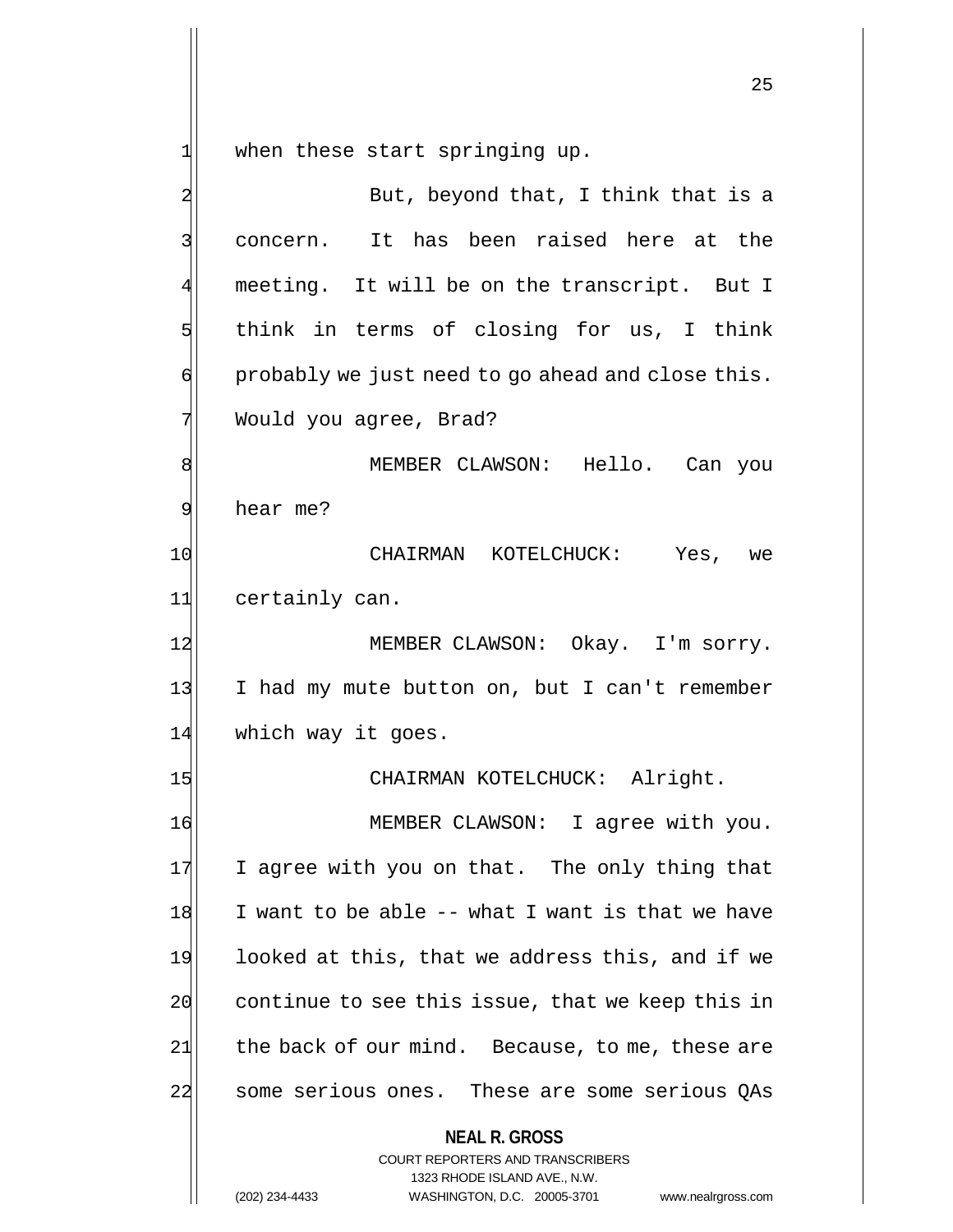1 when these start springing up.

**NEAL R. GROSS** COURT REPORTERS AND TRANSCRIBERS 1323 RHODE ISLAND AVE., N.W. (202) 234-4433 WASHINGTON, D.C. 20005-3701 www.nealrgross.com 2 But, beyond that, I think that is a 3 concern. It has been raised here at the 4 meeting. It will be on the transcript. But I  $5$  think in terms of closing for us, I think  $\mathfrak{q}$  probably we just need to go ahead and close this. 7 Would you agree, Brad? 8 MEMBER CLAWSON: Hello. Can you 9 hear me? 10 CHAIRMAN KOTELCHUCK: Yes, we 11 certainly can. 12 MEMBER CLAWSON: Okay. I'm sorry. 13 I had my mute button on, but I can't remember 14 which way it goes. 15 CHAIRMAN KOTELCHUCK: Alright. 16 MEMBER CLAWSON: I agree with you. 17 I agree with you on that. The only thing that  $18$  I want to be able  $-$ - what I want is that we have 19 looked at this, that we address this, and if we  $20$  continue to see this issue, that we keep this in  $21$  the back of our mind. Because, to me, these are 22 some serious ones. These are some serious QAs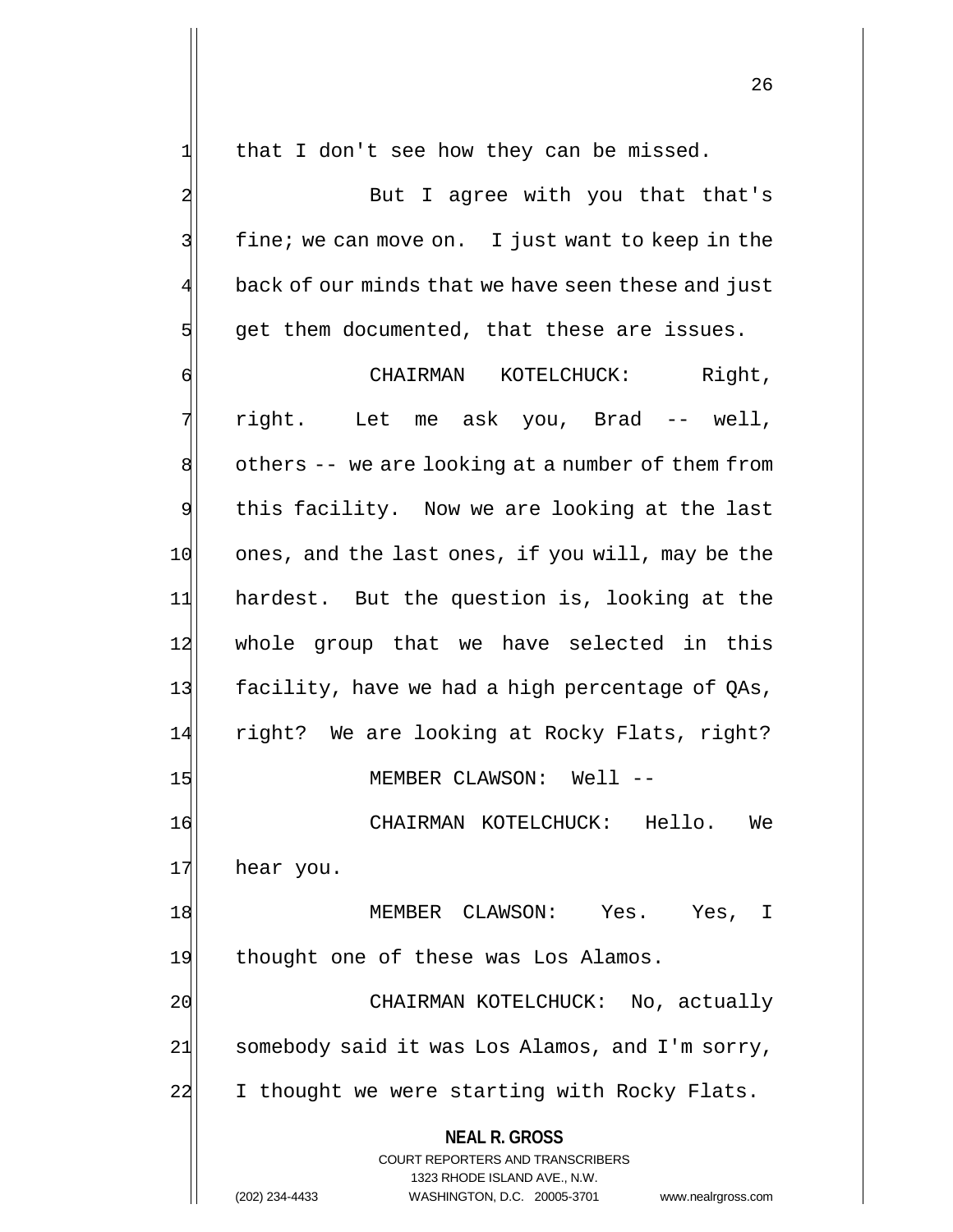$1$  that I don't see how they can be missed.

2 But I agree with you that that's  $3$  fine; we can move on. I just want to keep in the back of our minds that we have seen these and just  $5$  get them documented, that these are issues.

**NEAL R. GROSS** COURT REPORTERS AND TRANSCRIBERS 1323 RHODE ISLAND AVE., N.W. (202) 234-4433 WASHINGTON, D.C. 20005-3701 www.nealrgross.com 6 GHAIRMAN KOTELCHUCK: Right, 7 right. Let me ask you, Brad -- well, 8 others -- we are looking at a number of them from 9 this facility. Now we are looking at the last 10 ones, and the last ones, if you will, may be the 11 hardest. But the question is, looking at the 12 whole group that we have selected in this 13 facility, have we had a high percentage of QAs, 14 right? We are looking at Rocky Flats, right? 15 MEMBER CLAWSON: Well --16 CHAIRMAN KOTELCHUCK: Hello. We 17 hear you. 18 | MEMBER CLAWSON: Yes. Yes, I 19 thought one of these was Los Alamos. 20 CHAIRMAN KOTELCHUCK: No, actually  $21$  somebody said it was Los Alamos, and I'm sorry, 22 I thought we were starting with Rocky Flats.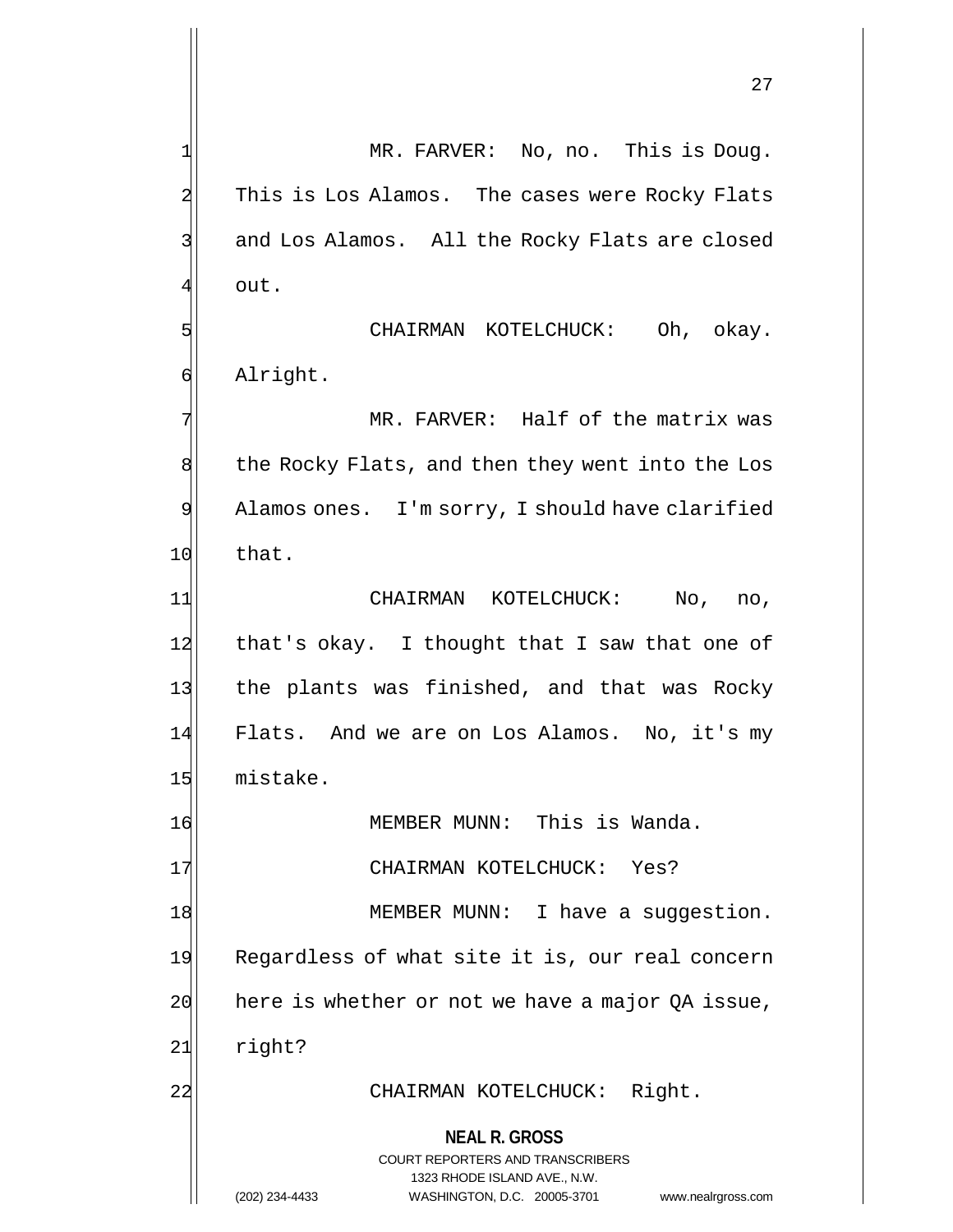1 MR. FARVER: No, no. This is Doug. 2 This is Los Alamos. The cases were Rocky Flats 3 3 and Los Alamos. All the Rocky Flats are closed 41 out.

5 CHAIRMAN KOTELCHUCK: Oh, okay. 6 Alright.

7 MR. FARVER: Half of the matrix was 8 the Rocky Flats, and then they went into the Los 9 Alamos ones. I'm sorry, I should have clarified 10 that.

11 CHAIRMAN KOTELCHUCK: No, no,  $12$  that's okay. I thought that I saw that one of 13 the plants was finished, and that was Rocky 14 Flats. And we are on Los Alamos. No, it's my 15 mistake.

16 MEMBER MUNN: This is Wanda.

17 CHAIRMAN KOTELCHUCK: Yes?

18 MEMBER MUNN: I have a suggestion.

19 Regardless of what site it is, our real concern  $20$  here is whether or not we have a major QA issue,

21 right?

## 22 CHAIRMAN KOTELCHUCK: Right.

**NEAL R. GROSS** COURT REPORTERS AND TRANSCRIBERS

1323 RHODE ISLAND AVE., N.W.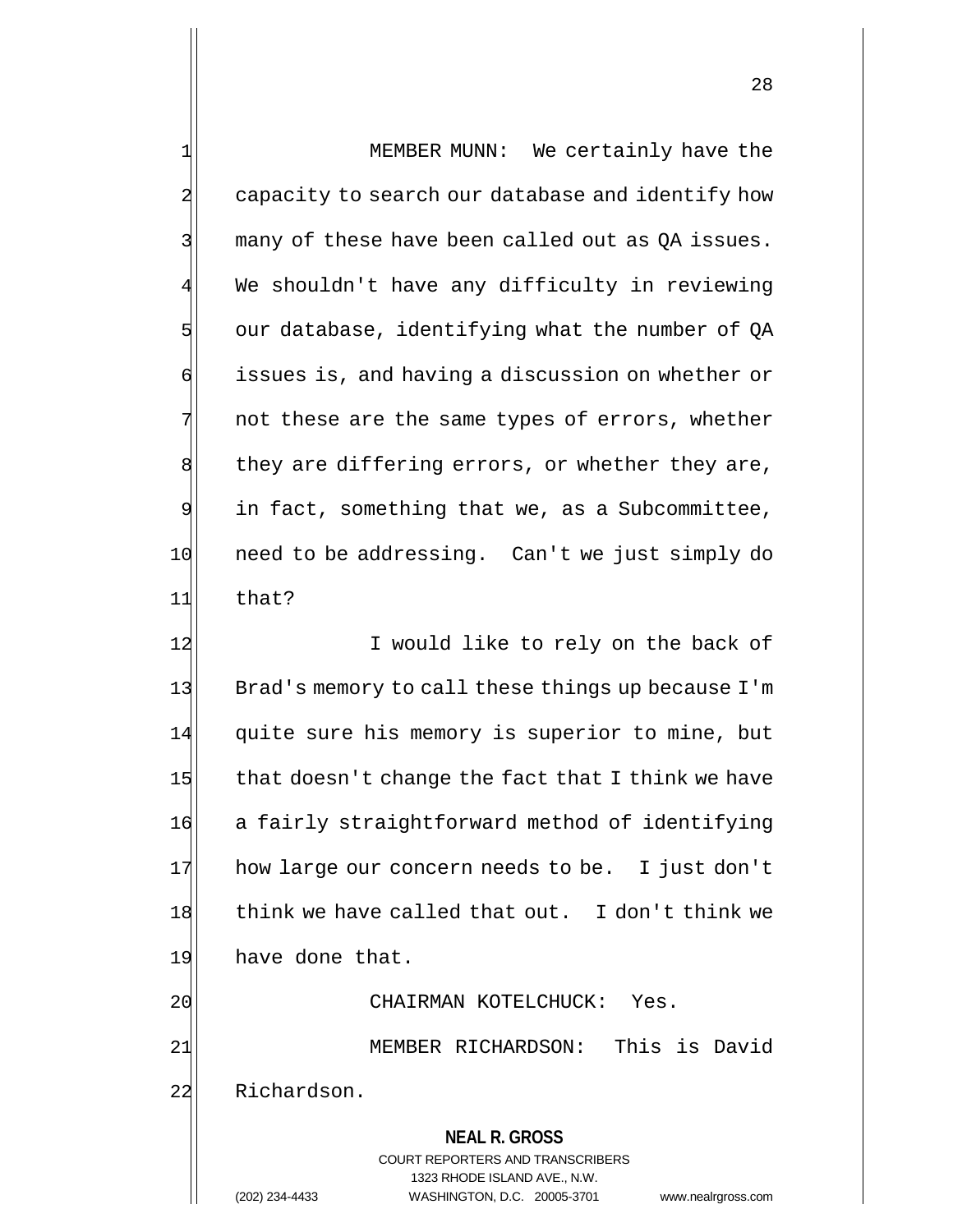| $\mathbf{1}$   | MEMBER MUNN: We certainly have the                                  |  |  |
|----------------|---------------------------------------------------------------------|--|--|
| $\overline{a}$ | capacity to search our database and identify how                    |  |  |
| 3              | many of these have been called out as QA issues.                    |  |  |
| 4              | We shouldn't have any difficulty in reviewing                       |  |  |
| 5              | our database, identifying what the number of QA                     |  |  |
| б              | issues is, and having a discussion on whether or                    |  |  |
| 7              | not these are the same types of errors, whether                     |  |  |
| 8              | they are differing errors, or whether they are,                     |  |  |
| 9              | in fact, something that we, as a Subcommittee,                      |  |  |
| 10             | need to be addressing. Can't we just simply do                      |  |  |
| 11             | that?                                                               |  |  |
| 12             | I would like to rely on the back of                                 |  |  |
| 13             | Brad's memory to call these things up because I'm                   |  |  |
| 14             | quite sure his memory is superior to mine, but                      |  |  |
| 15             | that doesn't change the fact that I think we have                   |  |  |
| 16             | a fairly straightforward method of identifying                      |  |  |
| 17             | how large our concern needs to be. I just don't                     |  |  |
| 18             | think we have called that out. I don't think we                     |  |  |
| 19             | have done that.                                                     |  |  |
| 20             | CHAIRMAN KOTELCHUCK:<br>Yes.                                        |  |  |
| 21             | This is David<br>MEMBER RICHARDSON:                                 |  |  |
| 22             | Richardson.                                                         |  |  |
|                | <b>NEAL R. GROSS</b>                                                |  |  |
|                | COURT REPORTERS AND TRANSCRIBERS                                    |  |  |
|                | 1323 RHODE ISLAND AVE., N.W.                                        |  |  |
|                | (202) 234-4433<br>WASHINGTON, D.C. 20005-3701<br>www.nealrgross.com |  |  |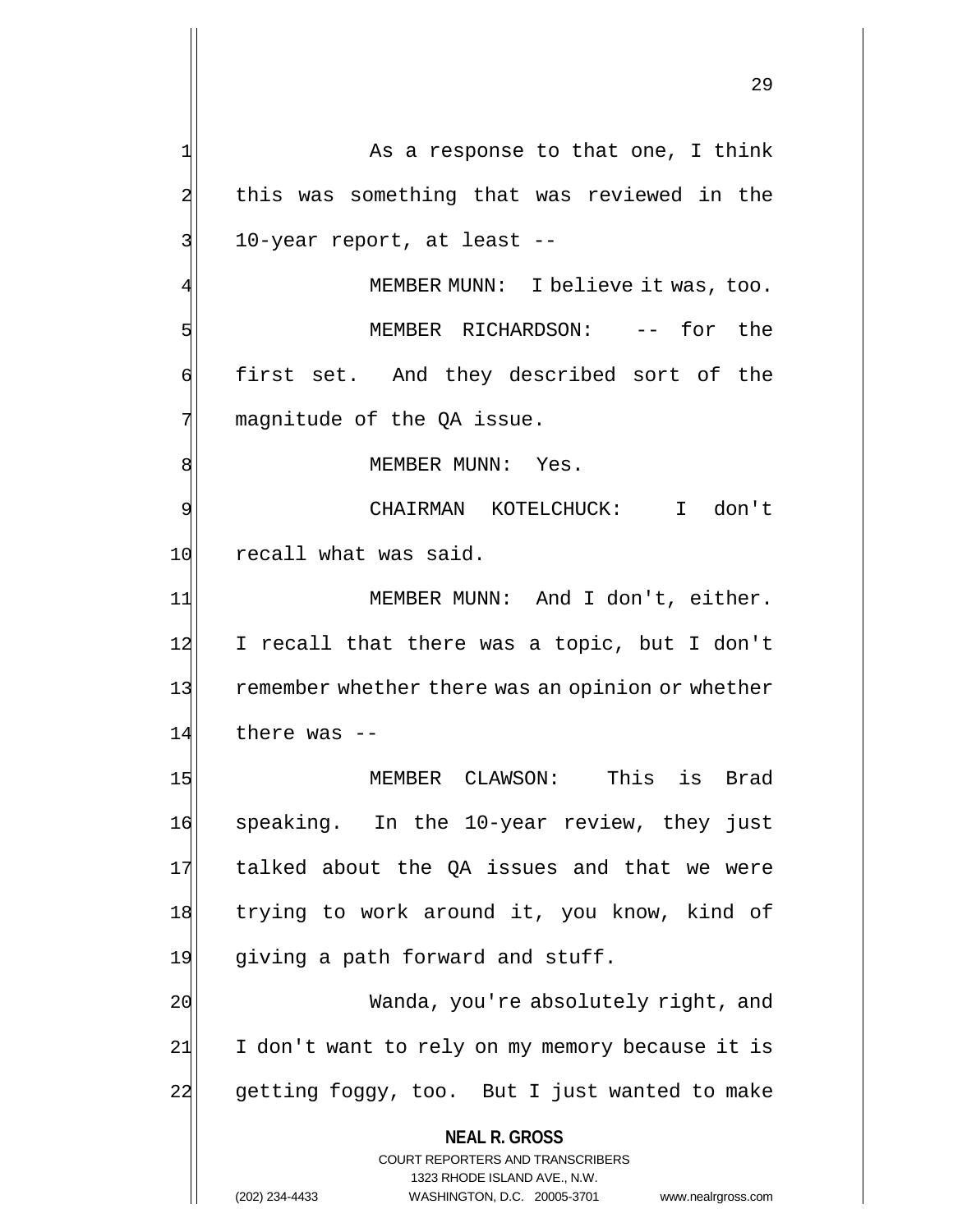**NEAL R. GROSS** COURT REPORTERS AND TRANSCRIBERS 1323 RHODE ISLAND AVE., N.W. 1 As a response to that one, I think 2 this was something that was reviewed in the 3 10-year report, at least --MEMBER MUNN: I believe it was, too. 5 Separation of the MEMBER RICHARDSON: -- for the 6 first set. And they described sort of the  $7$  magnitude of the QA issue. 8 | MEMBER MUNN: Yes. 9 CHAIRMAN KOTELCHUCK: I don't 10 recall what was said. 11 MEMBER MUNN: And I don't, either. 12 I recall that there was a topic, but I don't 13 remember whether there was an opinion or whether  $14$  there was  $-$ 15 MEMBER CLAWSON: This is Brad 16 speaking. In the 10-year review, they just 17 talked about the QA issues and that we were 18 trying to work around it, you know, kind of 19 giving a path forward and stuff. 20 Wanda, you're absolutely right, and 21 I don't want to rely on my memory because it is 22 getting foggy, too. But I just wanted to make

(202) 234-4433 WASHINGTON, D.C. 20005-3701 www.nealrgross.com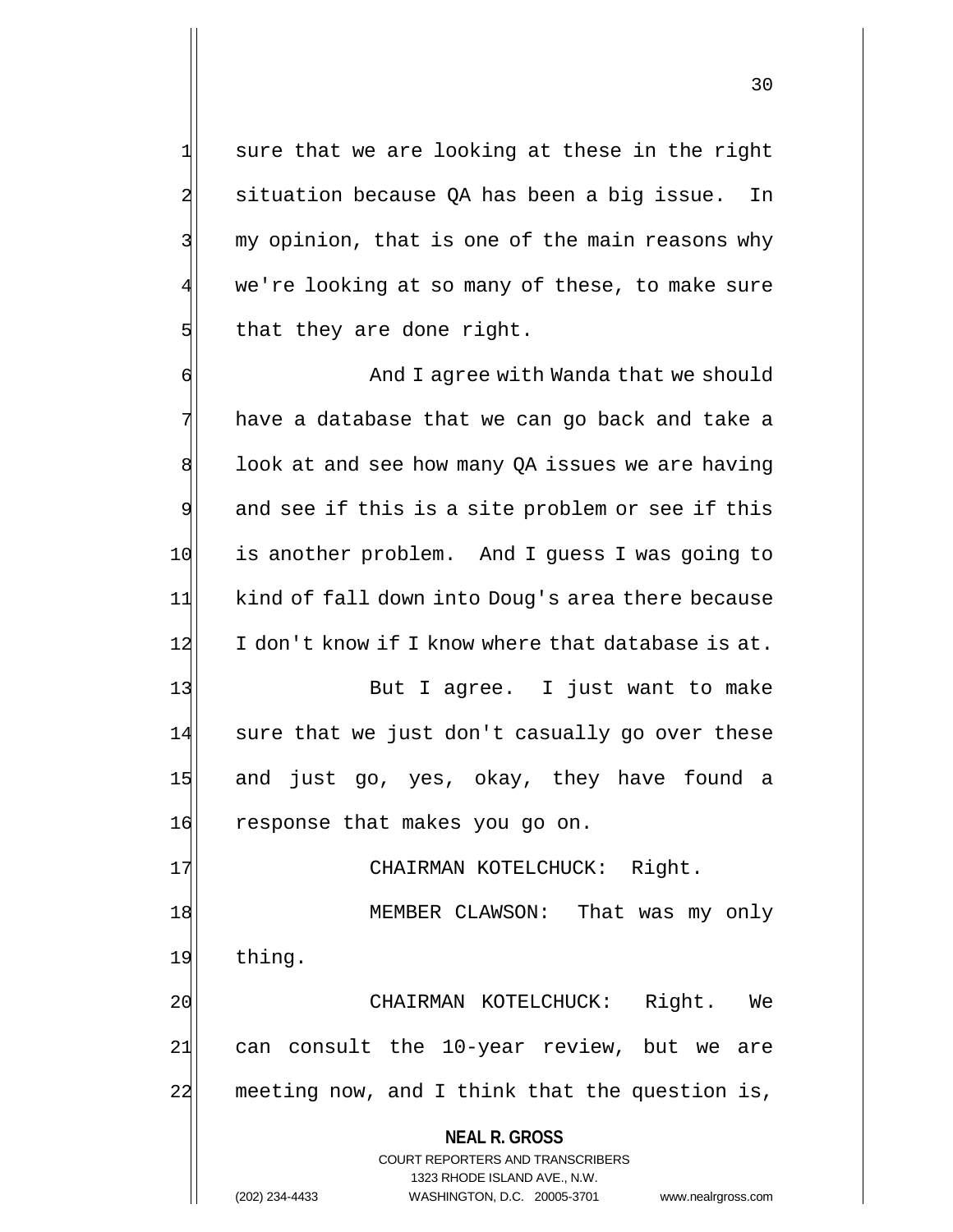sure that we are looking at these in the right situation because QA has been a big issue. In my opinion, that is one of the main reasons why we're looking at so many of these, to make sure that they are done right.

6 And I agree with Wanda that we should  $7$  have a database that we can go back and take a  $8$  look at and see how many QA issues we are having  $9$  and see if this is a site problem or see if this 10 is another problem. And I quess I was going to 11 kind of fall down into Doug's area there because 12 I don't know if I know where that database is at.

13 But I agree. I just want to make 14 sure that we just don't casually go over these 15 and just go, yes, okay, they have found a 16 response that makes you go on.

17 | CHAIRMAN KOTELCHUCK: Right. 18 MEMBER CLAWSON: That was my only 19 thing.

20 CHAIRMAN KOTELCHUCK: Right. We 21 can consult the 10-year review, but we are 22 meeting now, and I think that the question is,

> **NEAL R. GROSS** COURT REPORTERS AND TRANSCRIBERS 1323 RHODE ISLAND AVE., N.W. (202) 234-4433 WASHINGTON, D.C. 20005-3701 www.nealrgross.com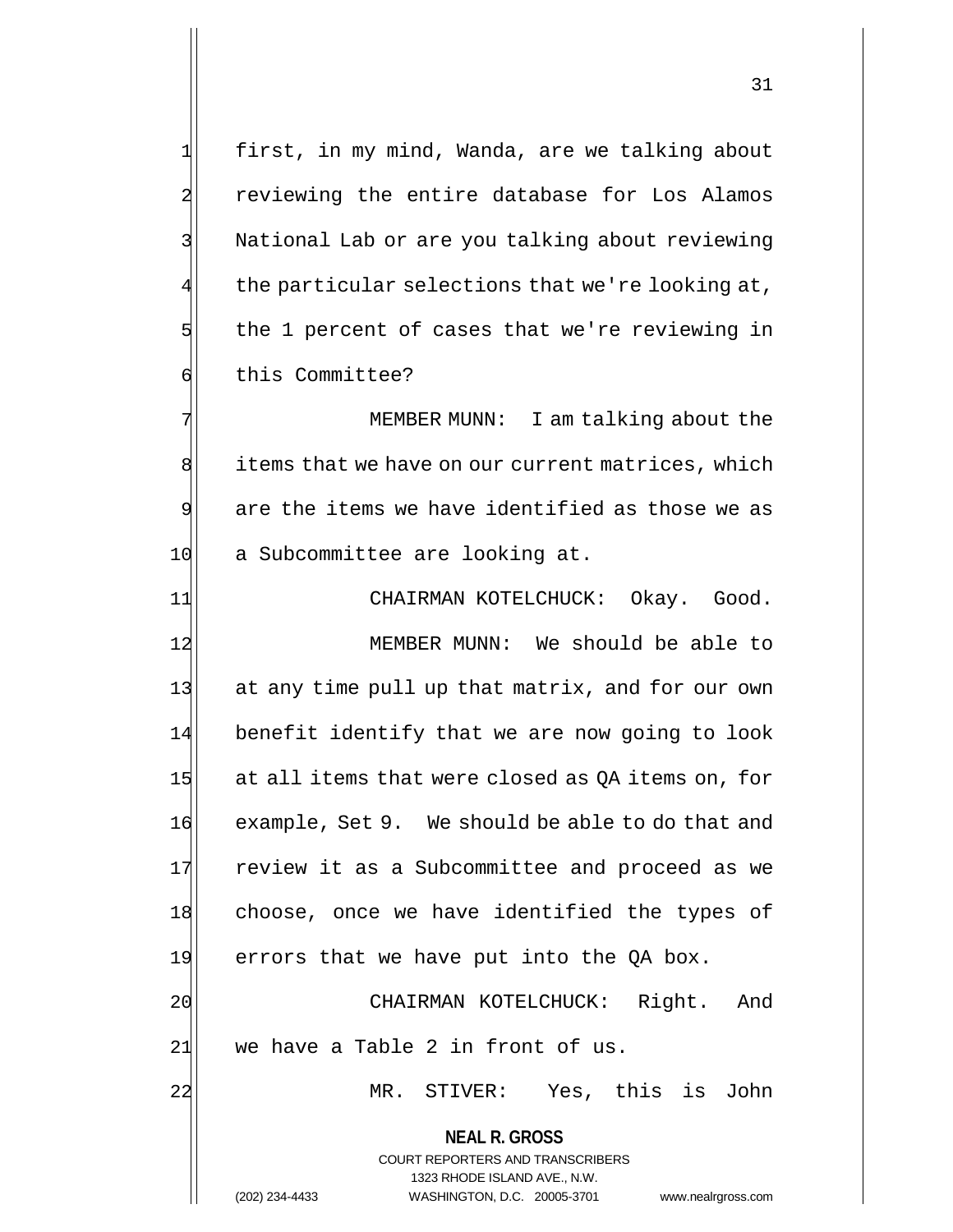1 first, in my mind, Wanda, are we talking about 2 reviewing the entire database for Los Alamos 3 National Lab or are you talking about reviewing the particular selections that we're looking at, 5 the 1 percent of cases that we're reviewing in 6 this Committee?

7 MEMBER MUNN: I am talking about the 8 items that we have on our current matrices, which 9 are the items we have identified as those we as 10 a Subcommittee are looking at.

11 CHAIRMAN KOTELCHUCK: Okay. Good. 12 MEMBER MUNN: We should be able to 13 at any time pull up that matrix, and for our own 14 benefit identify that we are now going to look 15  $|$  at all items that were closed as QA items on, for 16 example, Set 9. We should be able to do that and 17 review it as a Subcommittee and proceed as we 18 choose, once we have identified the types of  $19$  errors that we have put into the QA box. 20 CHAIRMAN KOTELCHUCK: Right. And

 $21$  we have a Table 2 in front of us.

22 MR. STIVER: Yes, this is John

**NEAL R. GROSS** COURT REPORTERS AND TRANSCRIBERS 1323 RHODE ISLAND AVE., N.W.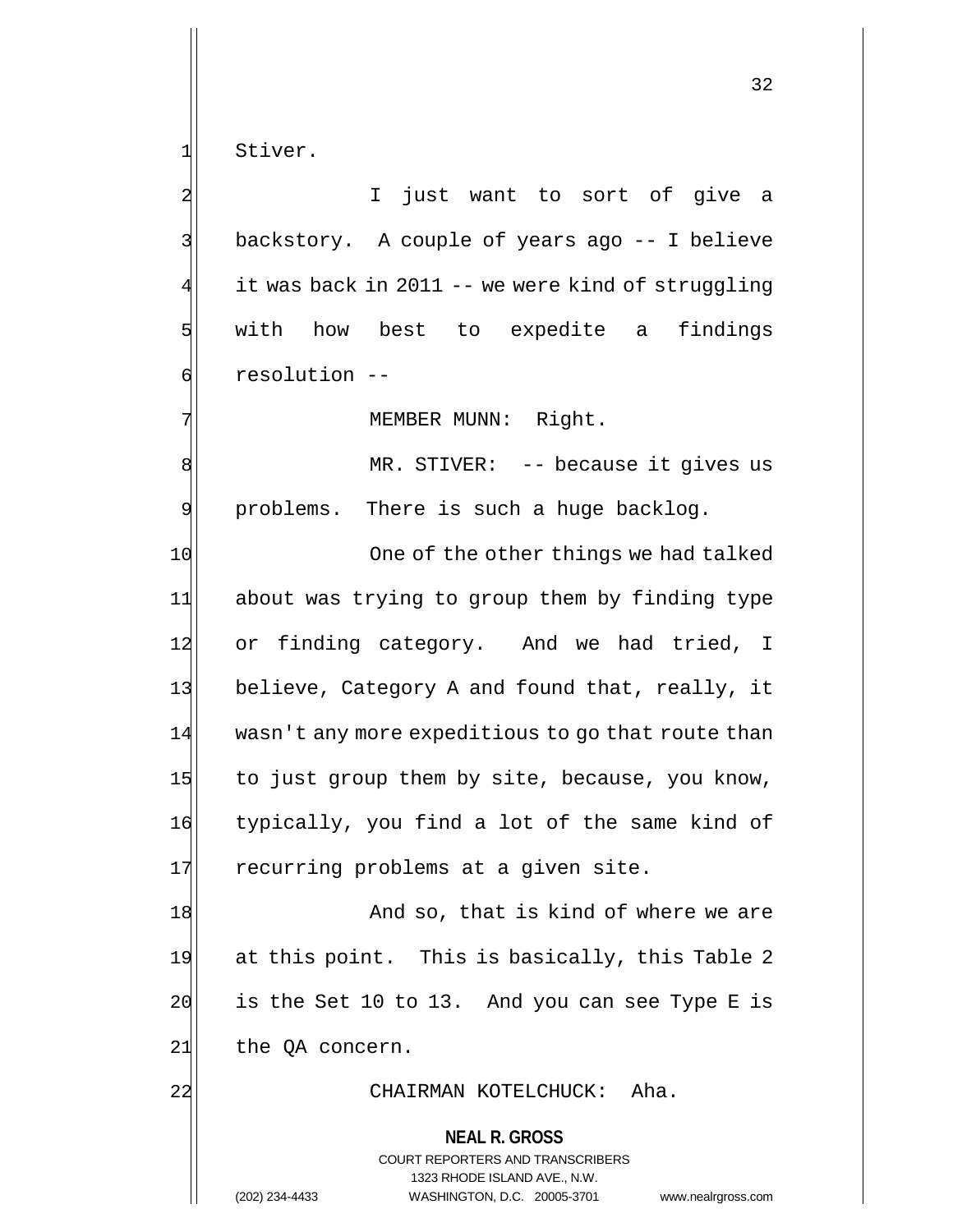1 Stiver.

2 | I just want to sort of give a 3 backstory. A couple of years ago -- I believe it was back in 2011 -- we were kind of struggling 5 | with how best to expedite a findings 6 6 resolution --

7 MEMBER MUNN: Right.

8 MR. STIVER: -- because it gives us 9 problems. There is such a huge backlog.

10 One of the other things we had talked 11 about was trying to group them by finding type 12 or finding category. And we had tried, I 13 believe, Category A and found that, really, it 14 wasn't any more expeditious to go that route than  $15$  to just group them by site, because, you know, 16 typically, you find a lot of the same kind of 17 recurring problems at a given site.

18 And so, that is kind of where we are 19 at this point. This is basically, this Table 2  $20$  is the Set 10 to 13. And you can see Type E is  $21$  the QA concern.

### 22 CHAIRMAN KOTELCHUCK: Aha.

**NEAL R. GROSS** COURT REPORTERS AND TRANSCRIBERS 1323 RHODE ISLAND AVE., N.W. (202) 234-4433 WASHINGTON, D.C. 20005-3701 www.nealrgross.com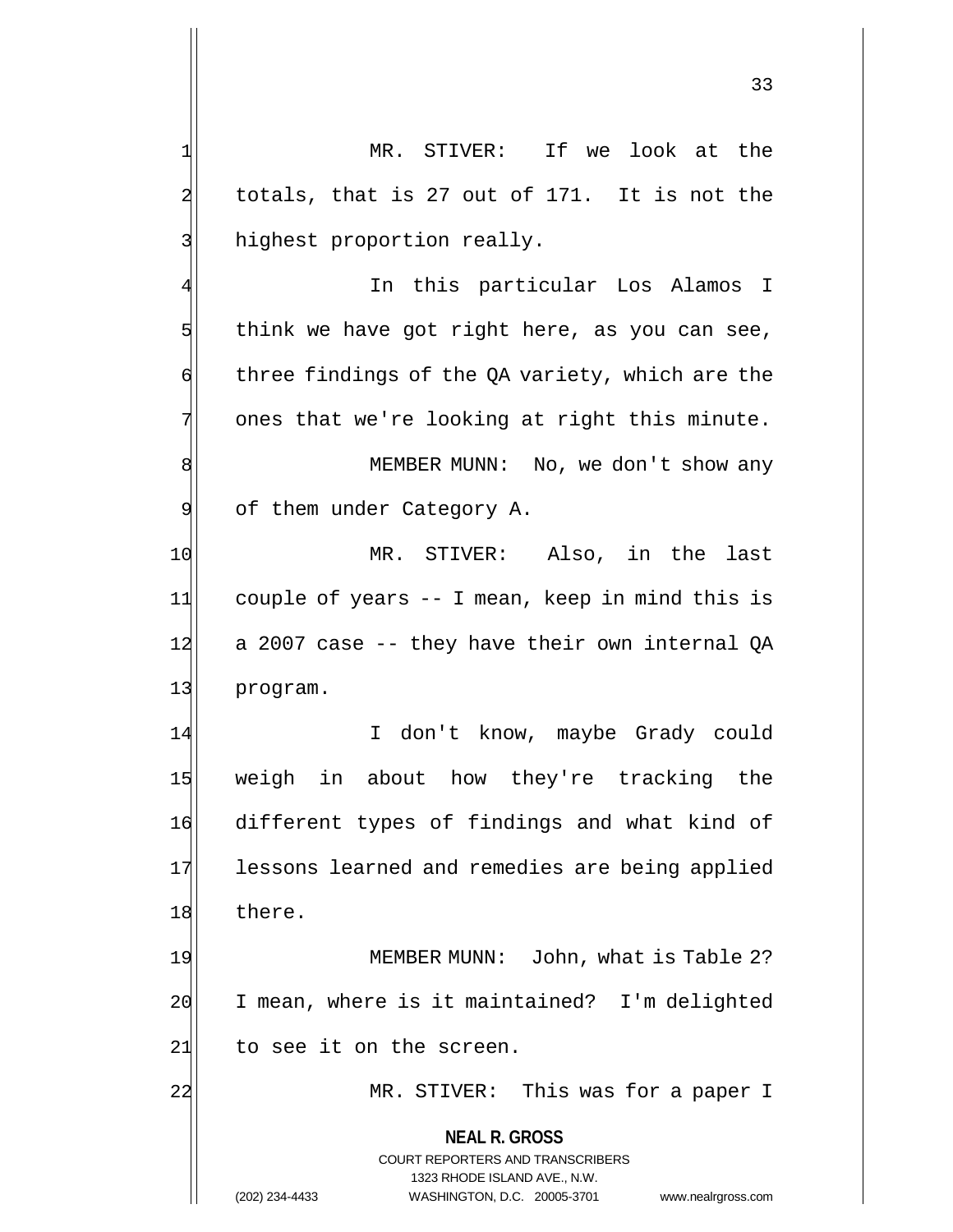33

1 MR. STIVER: If we look at the  $2$  totals, that is 27 out of 171. It is not the 3 highest proportion really. In this particular Los Alamos I  $5$  think we have got right here, as you can see,  $\mathfrak{q}$  three findings of the QA variety, which are the  $7$  ones that we're looking at right this minute. 8 | MEMBER MUNN: No, we don't show any 9 of them under Category A. 10 MR. STIVER: Also, in the last

11 couple of years -- I mean, keep in mind this is  $12$  a 2007 case  $-$ - they have their own internal OA 13 program.

14 I don't know, maybe Grady could 15 weigh in about how they're tracking the 16 different types of findings and what kind of 17 lessons learned and remedies are being applied 18 there.

19 MEMBER MUNN: John, what is Table 2? 20 I mean, where is it maintained? I'm delighted  $21$  to see it on the screen.

22 MR. STIVER: This was for a paper I

**NEAL R. GROSS** COURT REPORTERS AND TRANSCRIBERS

1323 RHODE ISLAND AVE., N.W.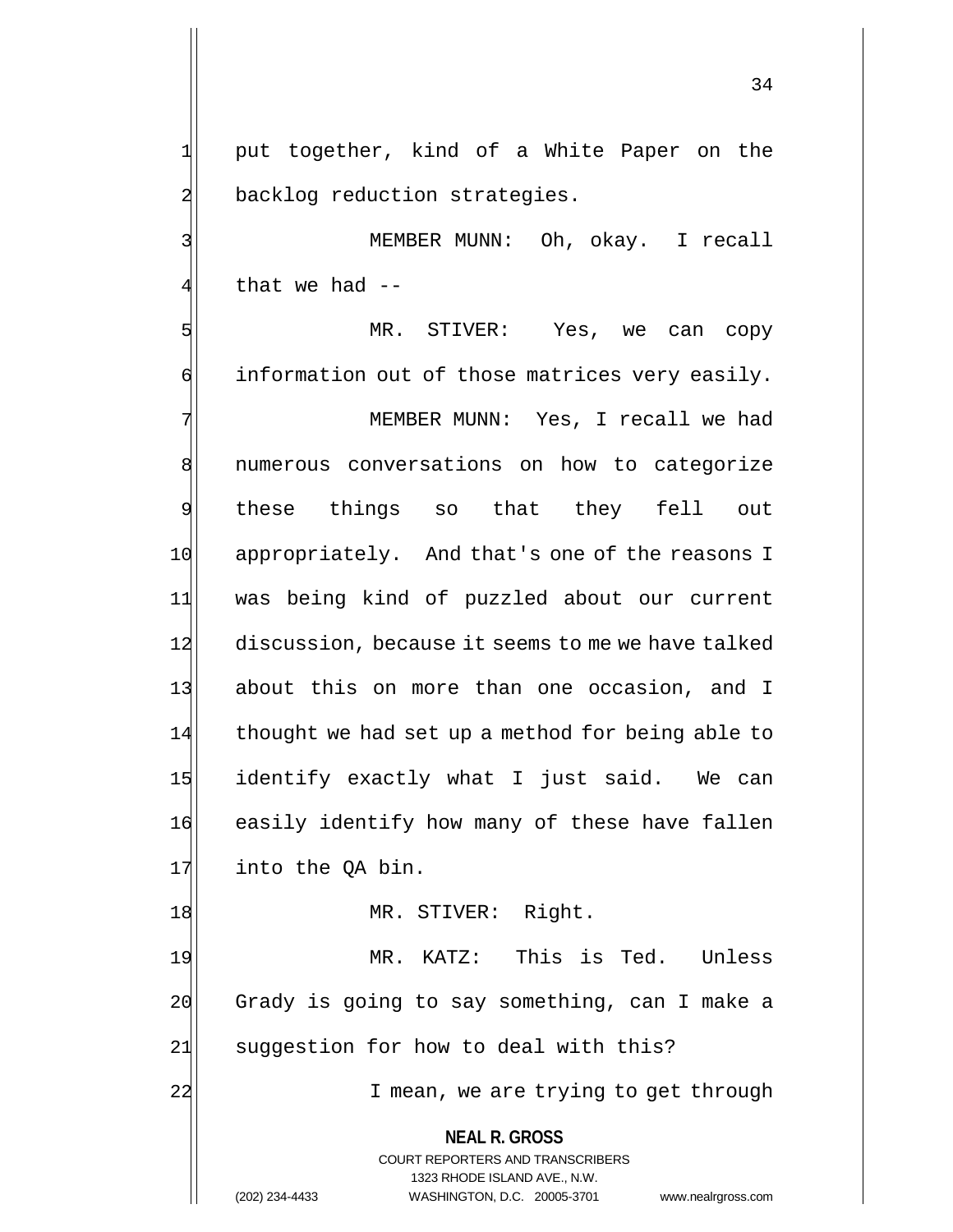34

1 put together, kind of a White Paper on the 2 backlog reduction strategies.

3 | MEMBER MUNN: Oh, okay. I recall 4 that we had --

5 MR. STIVER: Yes, we can copy  $\phi$  information out of those matrices very easily. 7 MEMBER MUNN: Yes, I recall we had 8 | numerous conversations on how to categorize 9 these things so that they fell out 10 appropriately. And that's one of the reasons I 11 was being kind of puzzled about our current 12 discussion, because it seems to me we have talked 13| about this on more than one occasion, and I 14 thought we had set up a method for being able to 15 identify exactly what I just said. We can 16 easily identify how many of these have fallen 17 into the QA bin.

18 MR. STIVER: Right.

19 MR. KATZ: This is Ted. Unless 20 Grady is going to say something, can I make a 21 suggestion for how to deal with this?

22 I mean, we are trying to get through

**NEAL R. GROSS** COURT REPORTERS AND TRANSCRIBERS

1323 RHODE ISLAND AVE., N.W.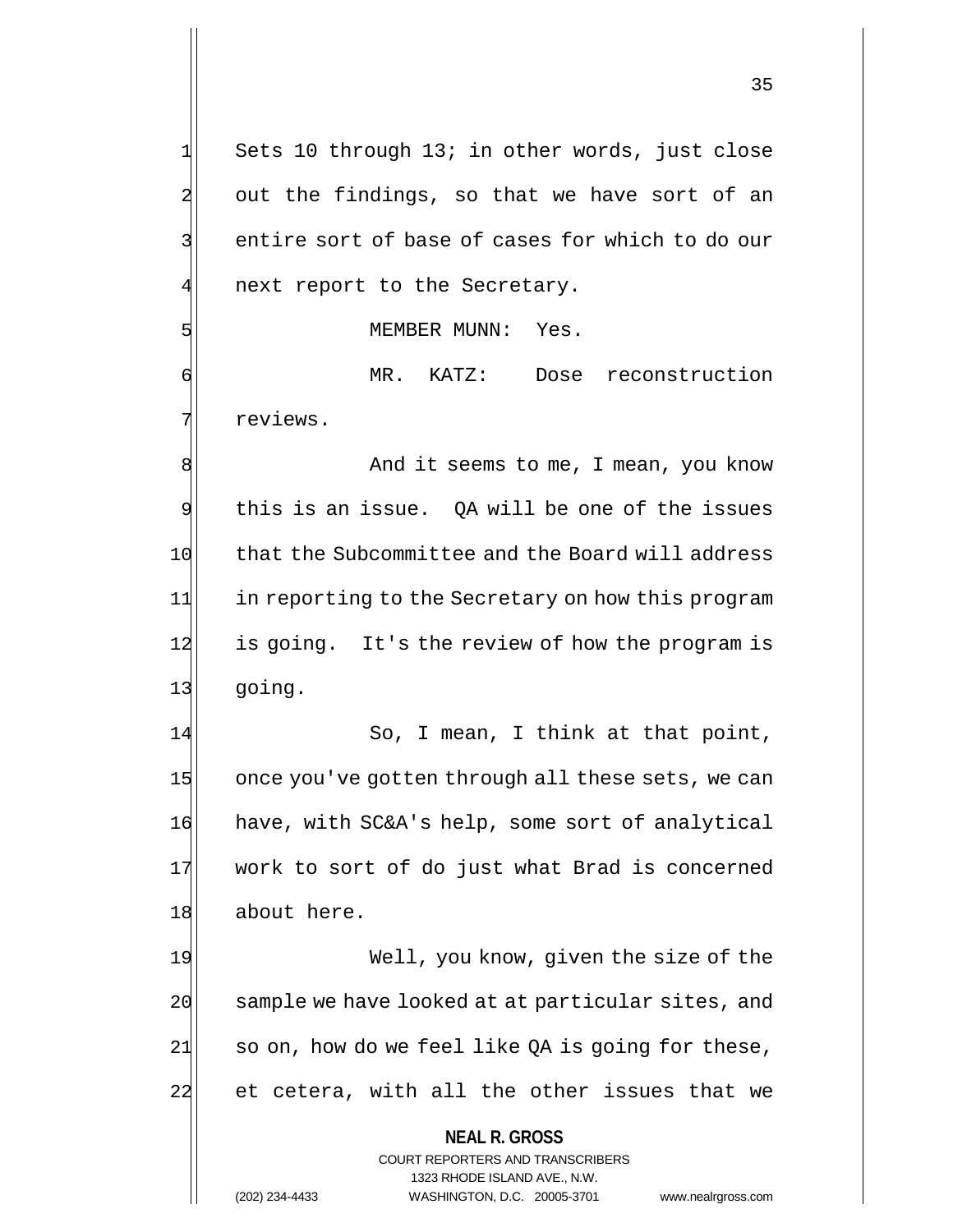$1$  Sets 10 through 13; in other words, just close  $2$  out the findings, so that we have sort of an 3 3 entire sort of base of cases for which to do our  $4$  next report to the Secretary. 5 MEMBER MUNN: Yes. 6 MR. KATZ: Dose reconstruction 7 reviews. 8 8 And it seems to me, I mean, you know 9 this is an issue. OA will be one of the issues 10 that the Subcommittee and the Board will address 11 in reporting to the Secretary on how this program 12 is going. It's the review of how the program is 13 going. 14 So, I mean, I think at that point, 15 once you've gotten through all these sets, we can

16 have, with SC&A's help, some sort of analytical 17 work to sort of do just what Brad is concerned 18 about here.

19 Well, you know, given the size of the 20 sample we have looked at at particular sites, and  $21$  so on, how do we feel like QA is going for these, 22 et cetera, with all the other issues that we

> **NEAL R. GROSS** COURT REPORTERS AND TRANSCRIBERS

> > 1323 RHODE ISLAND AVE., N.W.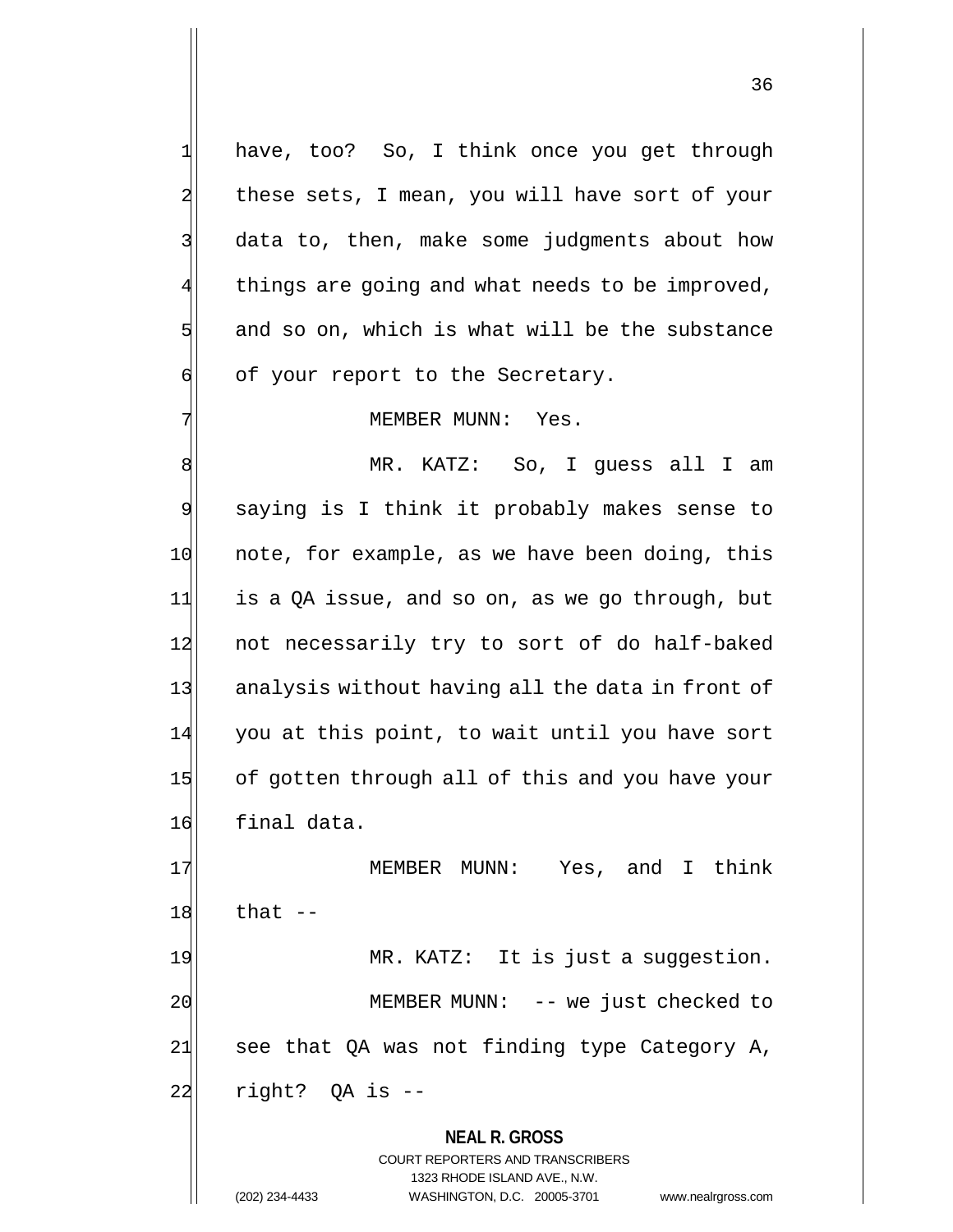1 have, too? So, I think once you get through 2 these sets, I mean, you will have sort of your 3 data to, then, make some judgments about how 4 things are going and what needs to be improved,  $5$  and so on, which is what will be the substance  $\mathfrak{q}$  of your report to the Secretary.

## 7 MEMBER MUNN: Yes.

8 MR. KATZ: So, I guess all I am 9 saying is I think it probably makes sense to 10 note, for example, as we have been doing, this  $11$  is a QA issue, and so on, as we go through, but 12 not necessarily try to sort of do half-baked 13 analysis without having all the data in front of 14 you at this point, to wait until you have sort 15 of gotten through all of this and you have your 16 final data.

17 MEMBER MUNN: Yes, and I think  $18$  that  $-$ 19 MR. KATZ: It is just a suggestion. 20 | MEMBER MUNN: -- we just checked to  $21$  see that QA was not finding type Category A, 22 right? OA is --

> **NEAL R. GROSS** COURT REPORTERS AND TRANSCRIBERS 1323 RHODE ISLAND AVE., N.W. (202) 234-4433 WASHINGTON, D.C. 20005-3701 www.nealrgross.com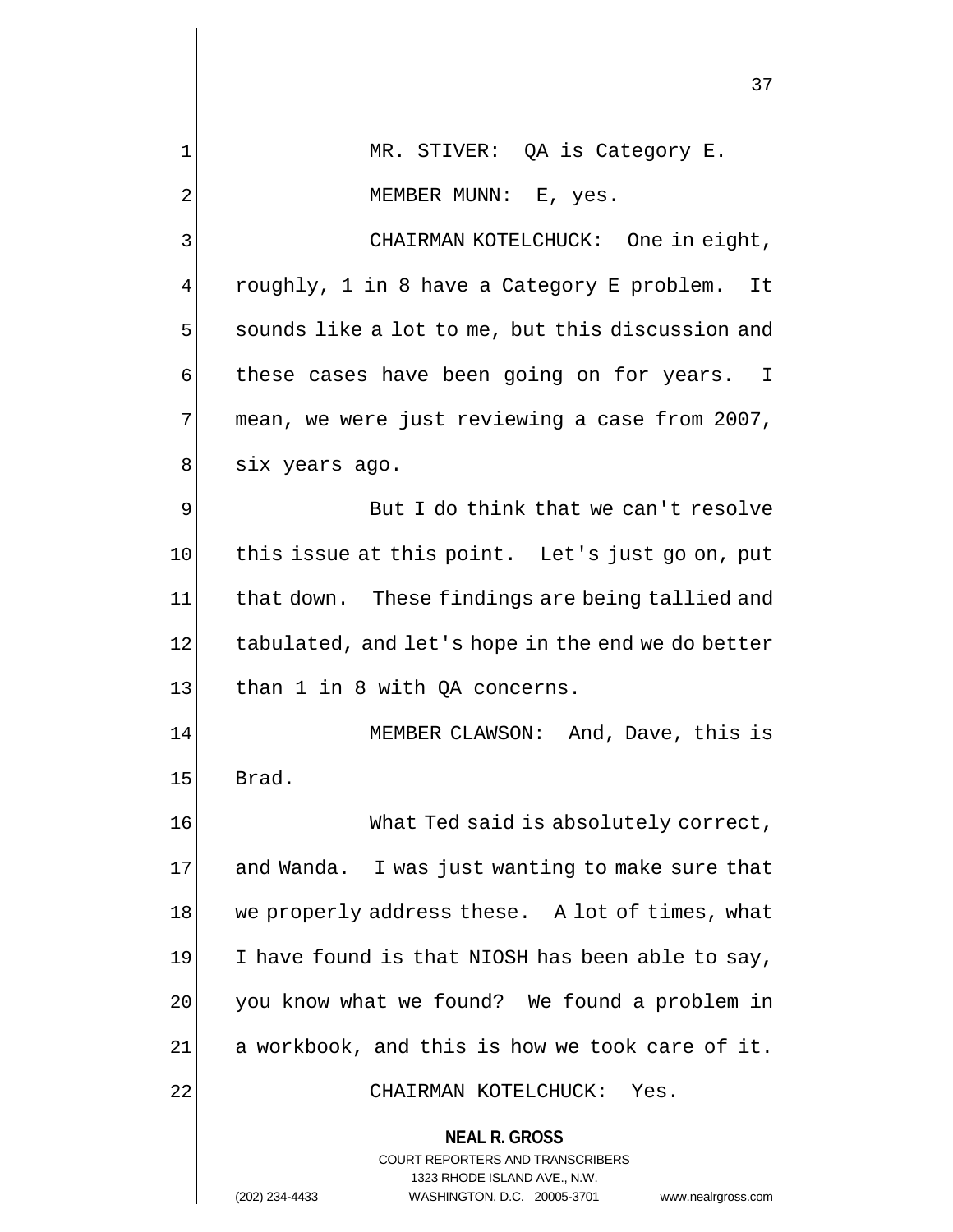**NEAL R. GROSS** COURT REPORTERS AND TRANSCRIBERS 1323 RHODE ISLAND AVE., N.W. 1 MR. STIVER: QA is Category E. 2 MEMBER MUNN: E, yes. 3 | CHAIRMAN KOTELCHUCK: One in eight, roughly, 1 in 8 have a Category E problem. It  $5$  sounds like a lot to me, but this discussion and  $\mathfrak{g}$  these cases have been going on for years. I 7 mean, we were just reviewing a case from 2007, 8 six years ago. 9 But I do think that we can't resolve 10 this issue at this point. Let's just go on, put 11 that down. These findings are being tallied and 12 tabulated, and let's hope in the end we do better 13 than 1 in 8 with QA concerns. 14 MEMBER CLAWSON: And, Dave, this is 15 Brad. 16 What Ted said is absolutely correct, 17 and Wanda. I was just wanting to make sure that 18 we properly address these. A lot of times, what 19 I have found is that NIOSH has been able to say, 20 you know what we found? We found a problem in  $21$  a workbook, and this is how we took care of it. 22 CHAIRMAN KOTELCHUCK: Yes.

(202) 234-4433 WASHINGTON, D.C. 20005-3701 www.nealrgross.com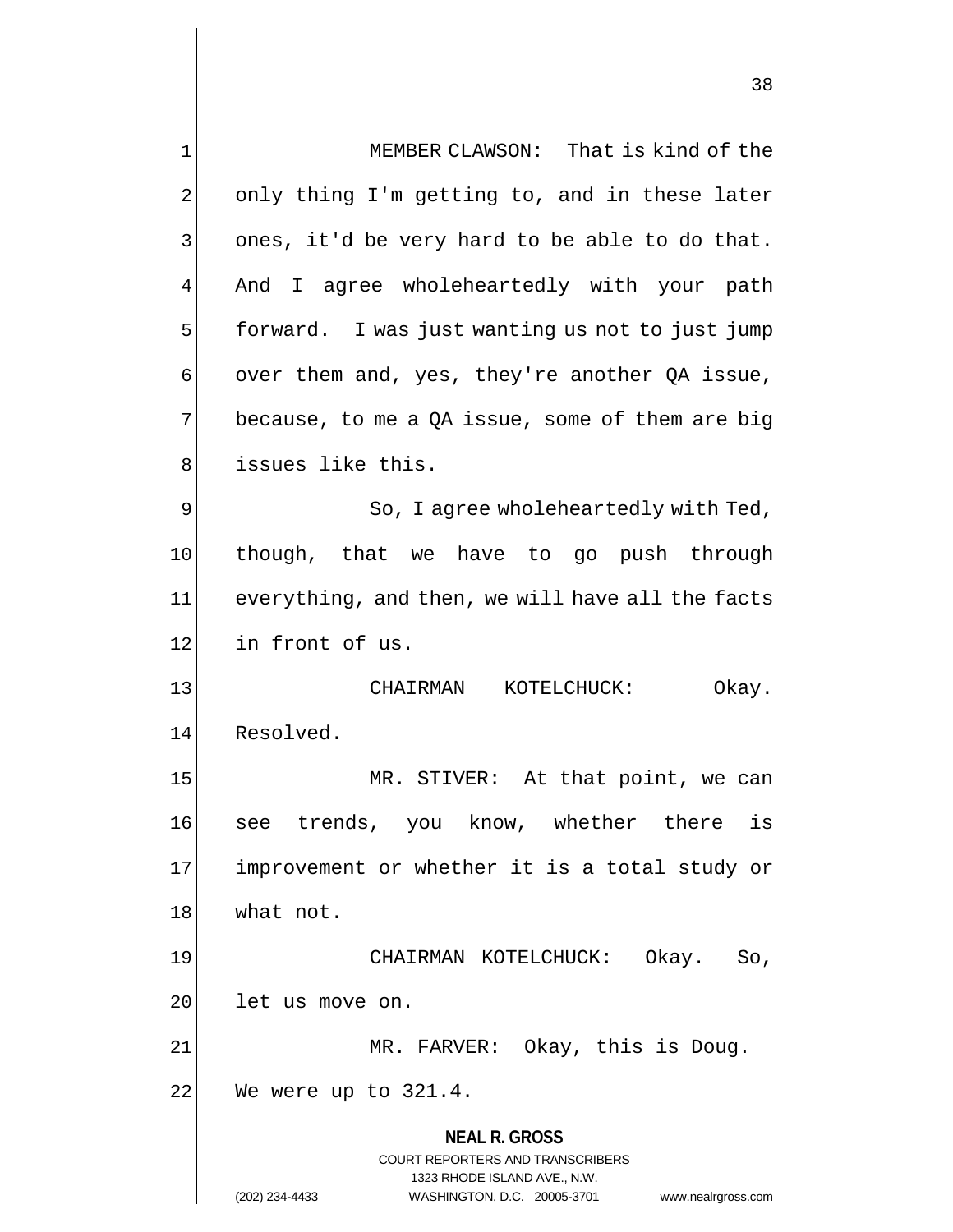**NEAL R. GROSS** COURT REPORTERS AND TRANSCRIBERS 1323 RHODE ISLAND AVE., N.W. 1 MEMBER CLAWSON: That is kind of the 2 only thing I'm getting to, and in these later  $3$  ones, it'd be very hard to be able to do that. 4 And I agree wholeheartedly with your path  $5$  forward. I was just wanting us not to just jump  $\mathfrak{q}$  over them and, yes, they're another QA issue,  $7$  because, to me a QA issue, some of them are big 8 states like this. 9 So, I agree wholeheartedly with Ted, 10 though, that we have to go push through 11 everything, and then, we will have all the facts 12 in front of us. 13 CHAIRMAN KOTELCHUCK: Okay. 14 Resolved. 15 MR. STIVER: At that point, we can 16 see trends, you know, whether there is 17 improvement or whether it is a total study or 18 what not. 19 CHAIRMAN KOTELCHUCK: Okay. So, 20 let us move on. 21 MR. FARVER: Okay, this is Doug. 22 We were up to 321.4.

(202) 234-4433 WASHINGTON, D.C. 20005-3701 www.nealrgross.com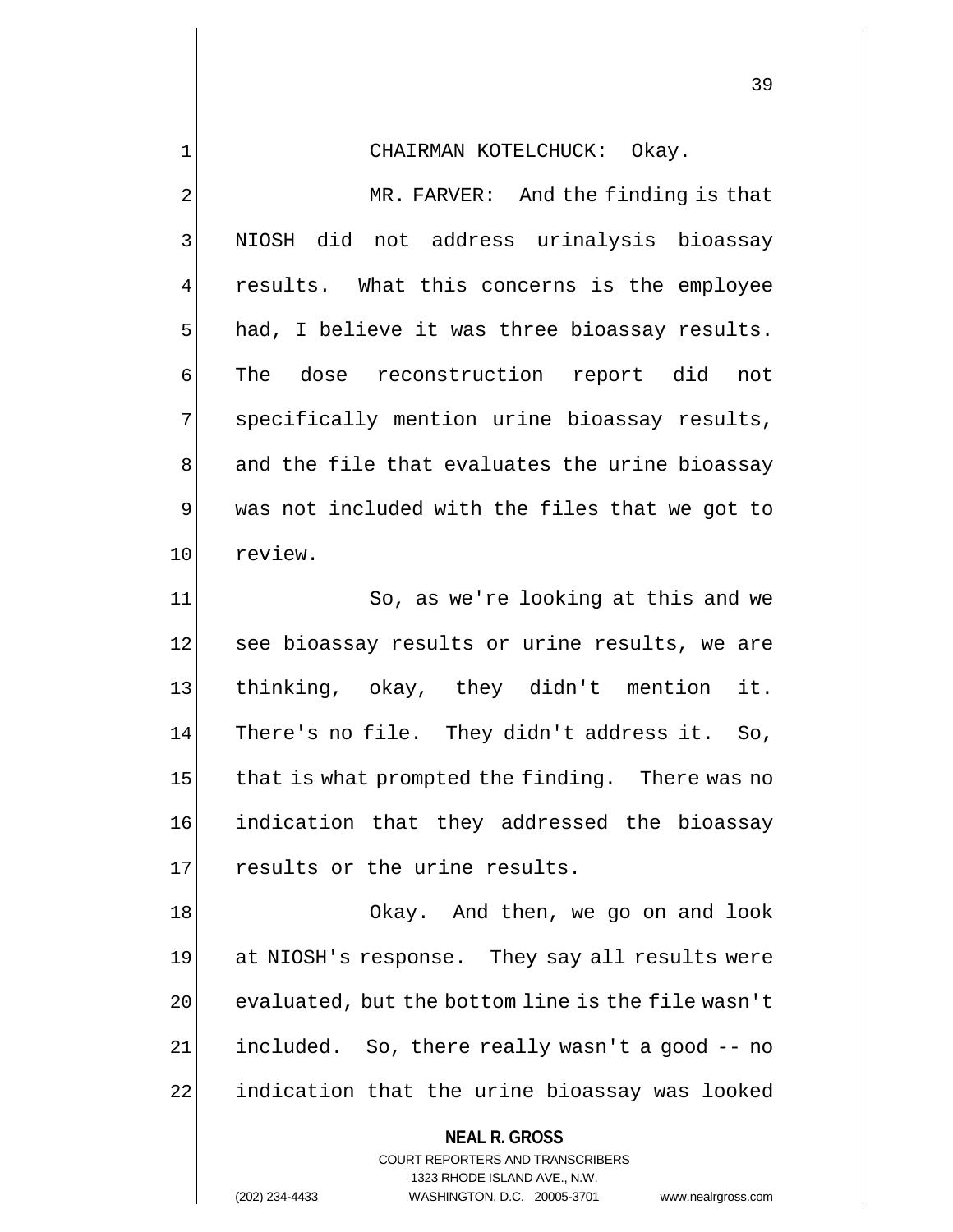## 1 CHAIRMAN KOTELCHUCK: Okay.

2 MR. FARVER: And the finding is that 3 NIOSH did not address urinalysis bioassay results. What this concerns is the employee  $5$  had, I believe it was three bioassay results. 6 The dose reconstruction report did not 7 | specifically mention urine bioassay results, 8 and the file that evaluates the urine bioassay 9 was not included with the files that we got to 10 review.

11 So, as we're looking at this and we 12 see bioassay results or urine results, we are 13 | thinking, okay, they didn't mention it. 14 There's no file. They didn't address it. So, 15 that is what prompted the finding. There was no 16 indication that they addressed the bioassay 17 results or the urine results.

18 Okay. And then, we go on and look 19 at NIOSH's response. They say all results were  $20$  evaluated, but the bottom line is the file wasn't  $21$  included. So, there really wasn't a good  $-$ - no 22 indication that the urine bioassay was looked

### **NEAL R. GROSS**

COURT REPORTERS AND TRANSCRIBERS 1323 RHODE ISLAND AVE., N.W. (202) 234-4433 WASHINGTON, D.C. 20005-3701 www.nealrgross.com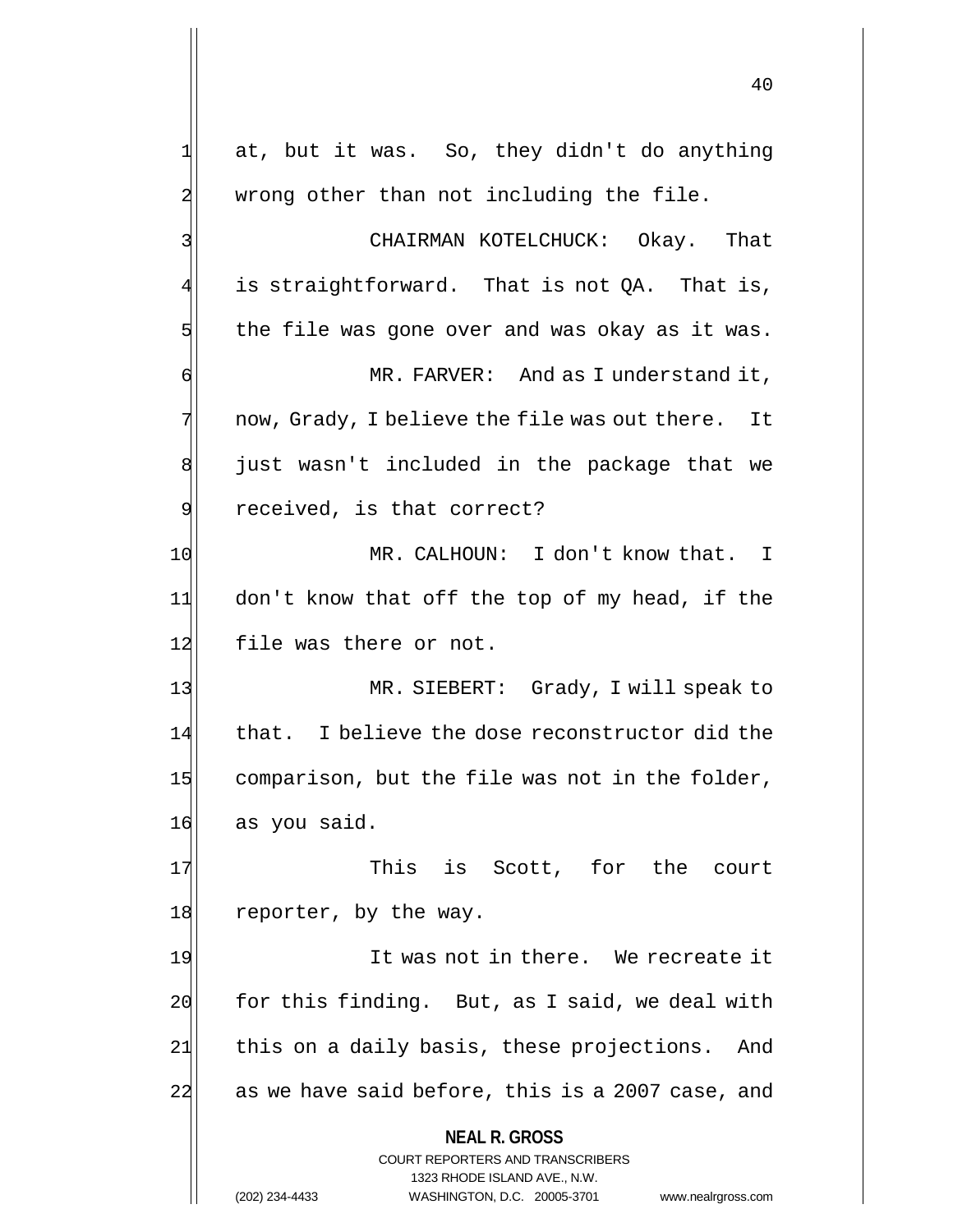**NEAL R. GROSS** COURT REPORTERS AND TRANSCRIBERS 1323 RHODE ISLAND AVE., N.W.  $1$  at, but it was. So, they didn't do anything 2 wrong other than not including the file. 3 3 3 CHAIRMAN KOTELCHUCK: Okay. That  $4$  is straightforward. That is not QA. That is,  $5$  the file was gone over and was okay as it was. 6 MR. FARVER: And as I understand it,  $7$  now, Grady, I believe the file was out there. It  $8$  just wasn't included in the package that we 9 received, is that correct? 10 MR. CALHOUN: I don't know that. I 11 don't know that off the top of my head, if the 12 file was there or not. 13 MR. SIEBERT: Grady, I will speak to 14 that. I believe the dose reconstructor did the  $15$  comparison, but the file was not in the folder, 16 as you said. 17 This is Scott, for the court 18 reporter, by the way. 19 It was not in there. We recreate it  $20$  for this finding. But, as I said, we deal with 21 this on a daily basis, these projections. And  $22$  as we have said before, this is a 2007 case, and

(202) 234-4433 WASHINGTON, D.C. 20005-3701 www.nealrgross.com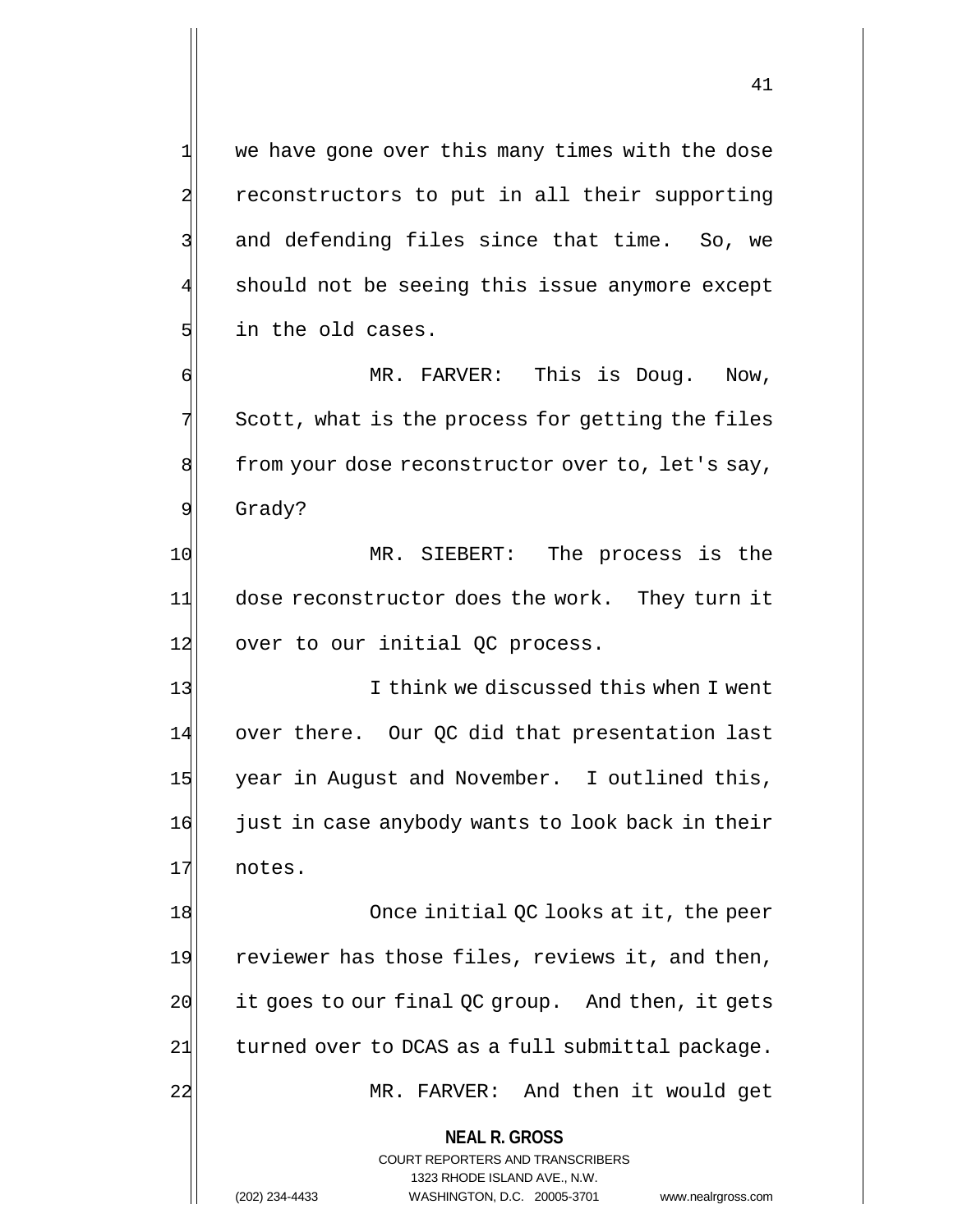41

1 we have gone over this many times with the dose 2 reconstructors to put in all their supporting  $3$  and defending files since that time. So, we should not be seeing this issue anymore except 5 in the old cases. 6 MR. FARVER: This is Doug. Now,

 $7$  Scott, what is the process for getting the files 8 from your dose reconstructor over to, let's say, 9 Grady?

10 MR. SIEBERT: The process is the 11 dose reconstructor does the work. They turn it  $12$  over to our initial QC process.

13 I think we discussed this when I went 14 over there. Our QC did that presentation last 15 year in August and November. I outlined this, 16 just in case anybody wants to look back in their 17 notes.

18 Once initial QC looks at it, the peer 19 reviewer has those files, reviews it, and then,  $20$  it goes to our final QC group. And then, it gets 21 turned over to DCAS as a full submittal package. 22 MR. FARVER: And then it would get

**NEAL R. GROSS**

COURT REPORTERS AND TRANSCRIBERS 1323 RHODE ISLAND AVE., N.W. (202) 234-4433 WASHINGTON, D.C. 20005-3701 www.nealrgross.com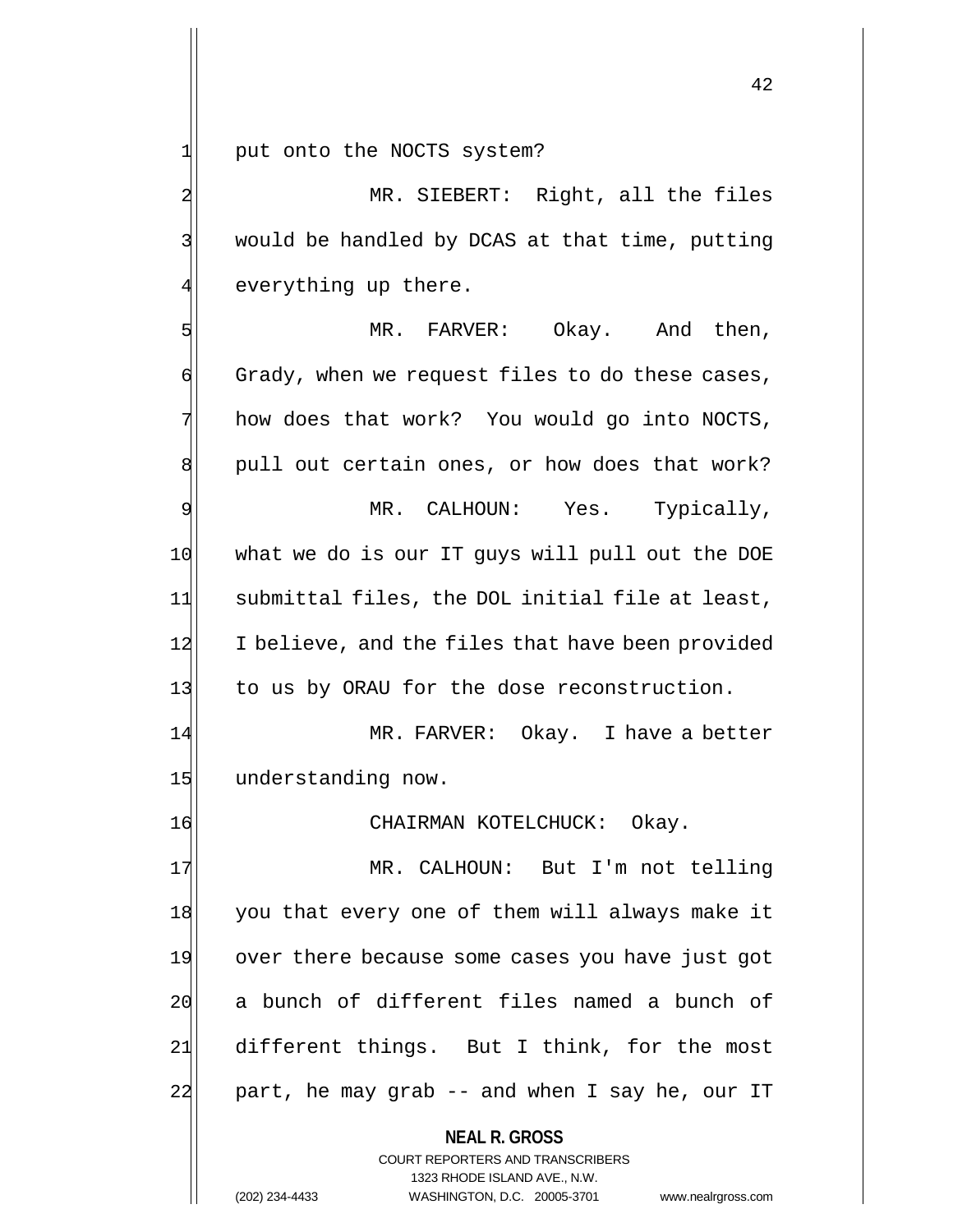1 put onto the NOCTS system?

2 MR. SIEBERT: Right, all the files 3 | would be handled by DCAS at that time, putting  $4$  everything up there.

5 MR. FARVER: Okay. And then,  $\left| \cdot \right|$  Grady, when we request files to do these cases,  $7$  how does that work? You would go into NOCTS,  $\left| \right|$  pull out certain ones, or how does that work? 9 MR. CALHOUN: Yes. Typically, 10 what we do is our IT guys will pull out the DOE 11 submittal files, the DOL initial file at least, 12 I believe, and the files that have been provided 13 to us by ORAU for the dose reconstruction. 14 MR. FARVER: Okay. I have a better

15 understanding now.

16 CHAIRMAN KOTELCHUCK: Okay.

17 MR. CALHOUN: But I'm not telling 18 you that every one of them will always make it 19 over there because some cases you have just got 20 a bunch of different files named a bunch of 21 different things. But I think, for the most 22 part, he may grab -- and when I say he, our IT

> **NEAL R. GROSS** COURT REPORTERS AND TRANSCRIBERS 1323 RHODE ISLAND AVE., N.W. (202) 234-4433 WASHINGTON, D.C. 20005-3701 www.nealrgross.com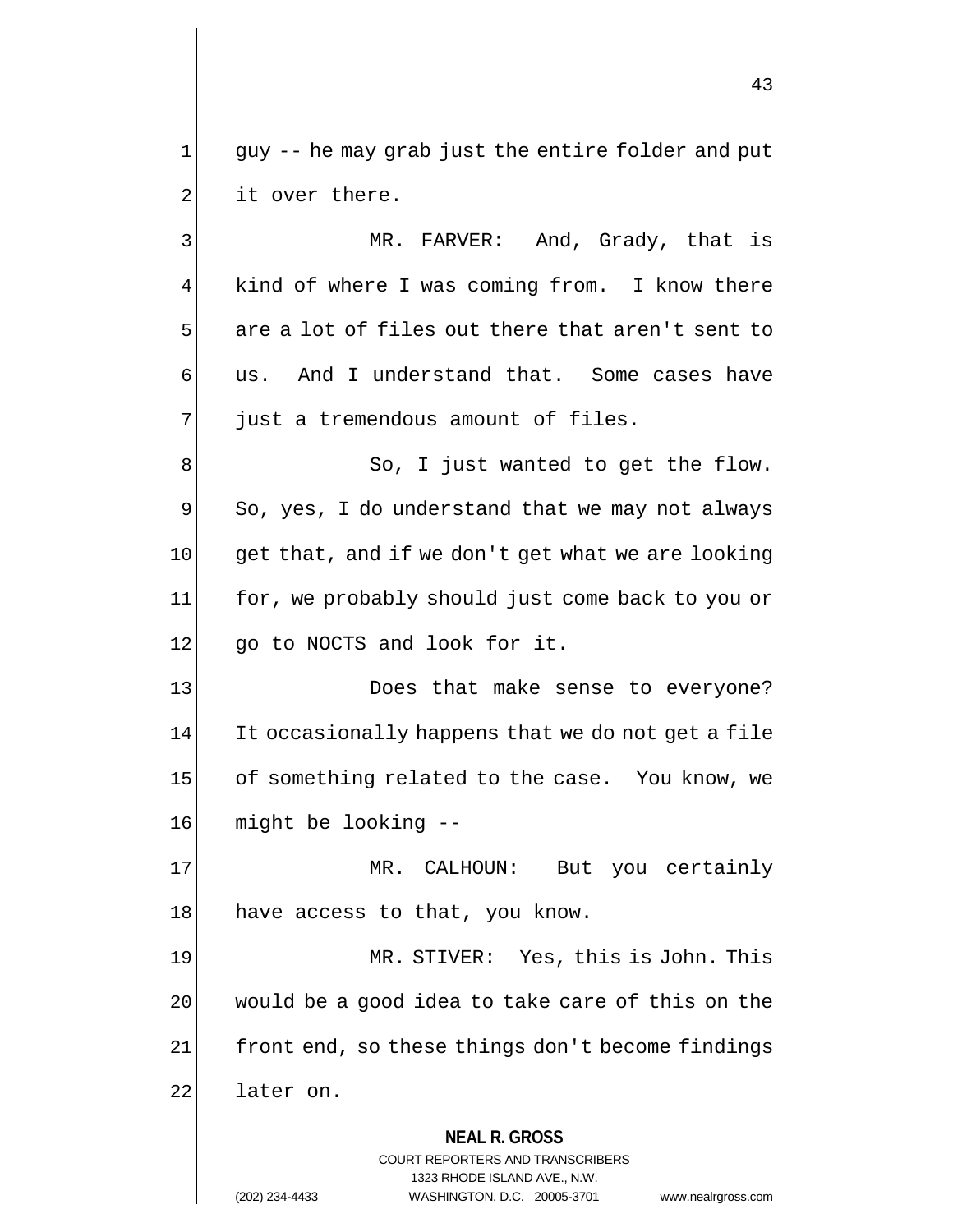$1$  guy -- he may grab just the entire folder and put 2 it over there.

3 MR. FARVER: And, Grady, that is 4 kind of where I was coming from. I know there  $5$  are a lot of files out there that aren't sent to 6 us. And I understand that. Some cases have  $7$  just a tremendous amount of files.

8 8 8 So, I just wanted to get the flow.  $9$  So, yes, I do understand that we may not always 10 get that, and if we don't get what we are looking 11 for, we probably should just come back to you or 12 go to NOCTS and look for it.

13 Does that make sense to everyone? 14 It occasionally happens that we do not get a file 15 of something related to the case. You know, we 16 might be looking --

17 | MR. CALHOUN: But you certainly 18 have access to that, you know.

19 MR. STIVER: Yes, this is John. This  $20$  would be a good idea to take care of this on the 21 front end, so these things don't become findings 22 later on.

## **NEAL R. GROSS**

COURT REPORTERS AND TRANSCRIBERS 1323 RHODE ISLAND AVE., N.W. (202) 234-4433 WASHINGTON, D.C. 20005-3701 www.nealrgross.com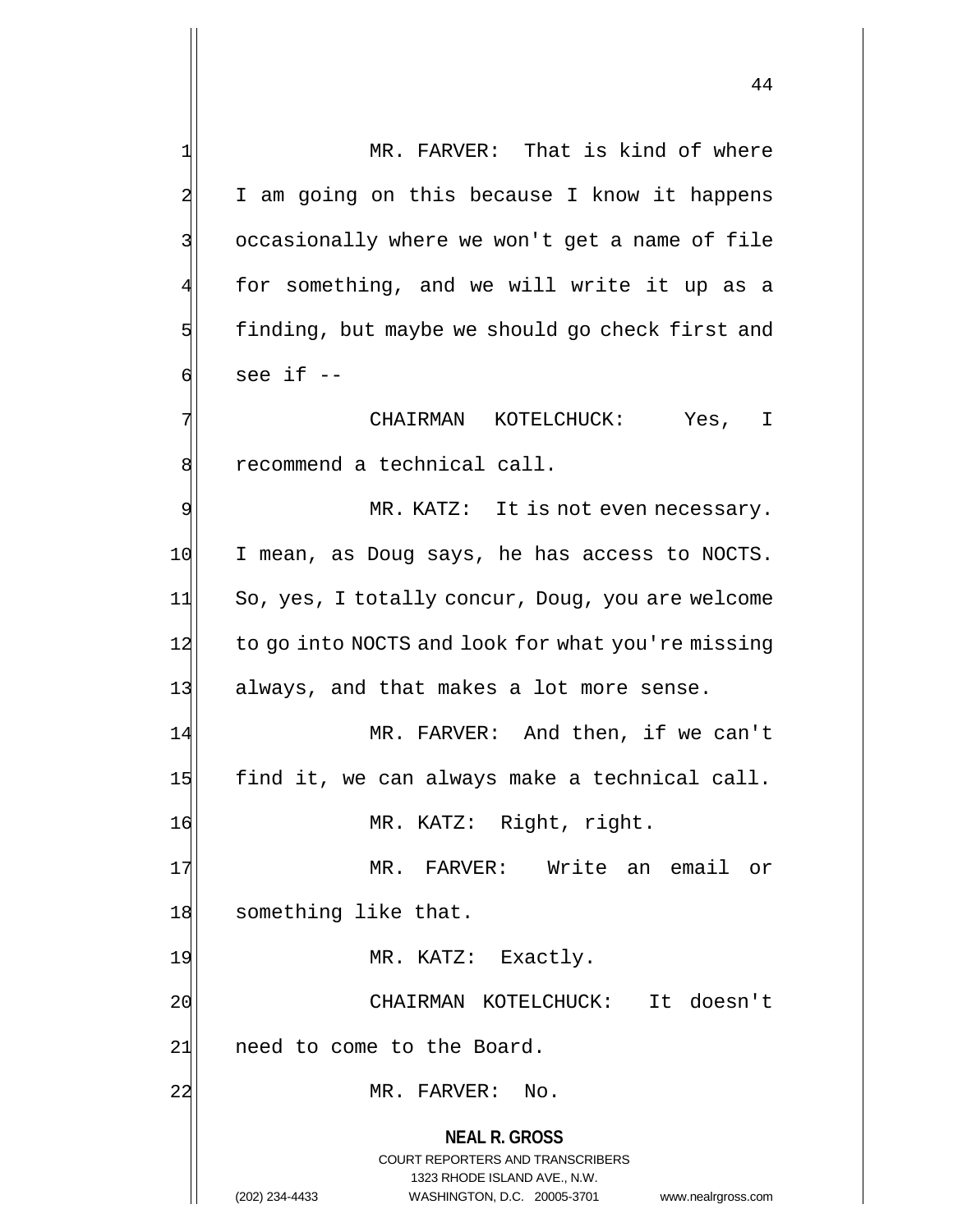**NEAL R. GROSS** COURT REPORTERS AND TRANSCRIBERS 1323 RHODE ISLAND AVE., N.W. 1 MR. FARVER: That is kind of where 2 I am going on this because I know it happens 3 occasionally where we won't get a name of file 4 for something, and we will write it up as a  $5$  finding, but maybe we should go check first and  $6$  see if  $-$ 7 | CHAIRMAN KOTELCHUCK: Yes, I 8 recommend a technical call. 9 MR. KATZ: It is not even necessary. 10 I mean, as Doug says, he has access to NOCTS. 11 So, yes, I totally concur, Doug, you are welcome 12 to go into NOCTS and look for what you're missing 13 always, and that makes a lot more sense. 14 MR. FARVER: And then, if we can't 15 find it, we can always make a technical call. 16 MR. KATZ: Right, right. 17 MR. FARVER: Write an email or 18 something like that. 19 MR. KATZ: Exactly. 20 CHAIRMAN KOTELCHUCK: It doesn't 21| need to come to the Board. 22 MR. FARVER: No.

(202) 234-4433 WASHINGTON, D.C. 20005-3701 www.nealrgross.com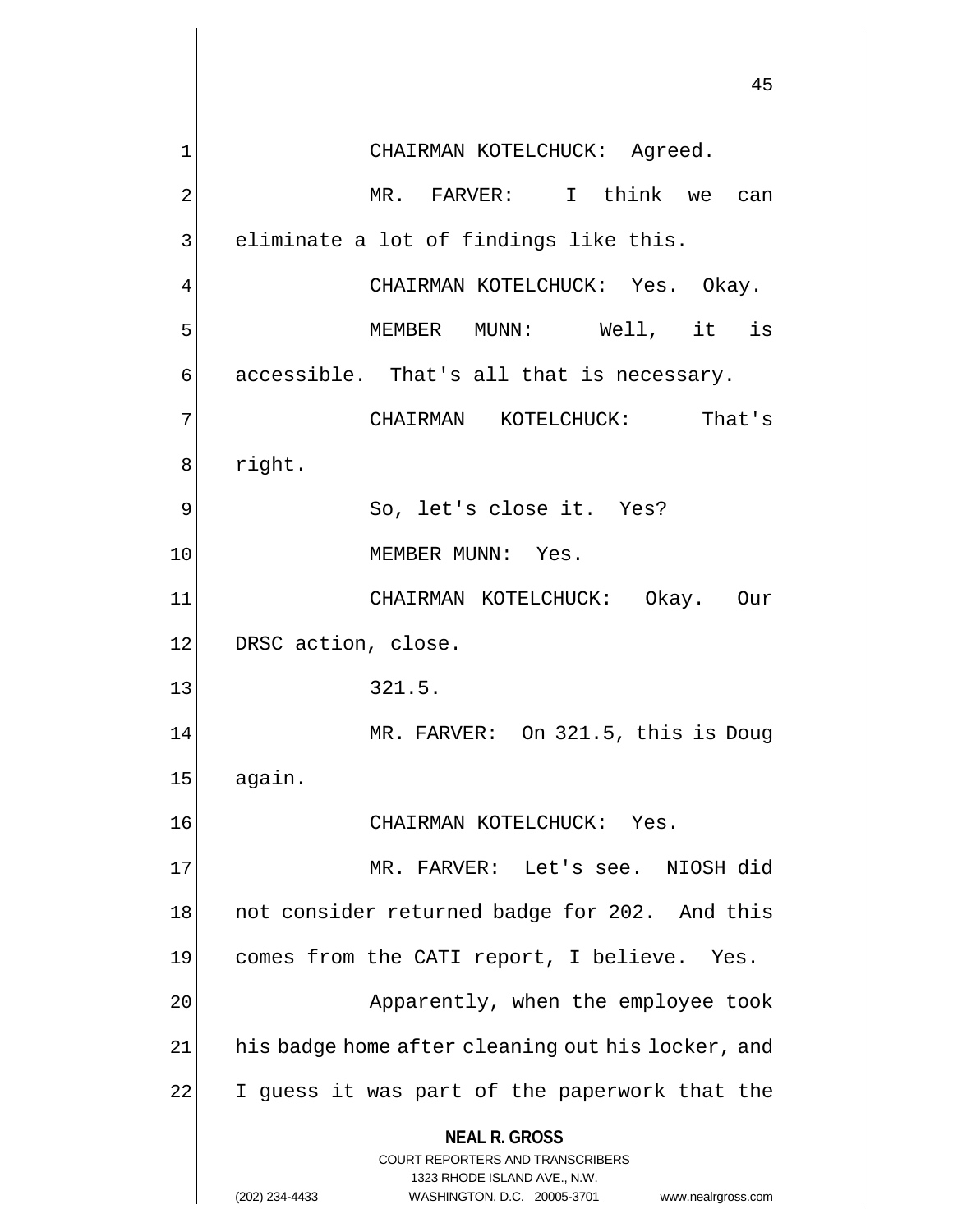**NEAL R. GROSS** COURT REPORTERS AND TRANSCRIBERS 1323 RHODE ISLAND AVE., N.W. (202) 234-4433 WASHINGTON, D.C. 20005-3701 www.nealrgross.com 45 1 CHAIRMAN KOTELCHUCK: Agreed. 2 MR. FARVER: I think we can 3 eliminate a lot of findings like this. CHAIRMAN KOTELCHUCK: Yes. Okay. 5 | September MUNN: Well, it is  $\phi$  accessible. That's all that is necessary. 7 CHAIRMAN KOTELCHUCK: That's 8 right. 9 So, let's close it. Yes? 10 MEMBER MUNN: Yes. 11 CHAIRMAN KOTELCHUCK: Okay. Our 12 DRSC action, close.  $13$  321.5. 14 MR. FARVER: On 321.5, this is Doug 15 again. 16 CHAIRMAN KOTELCHUCK: Yes. 17 MR. FARVER: Let's see. NIOSH did 18 not consider returned badge for 202. And this 19 comes from the CATI report, I believe. Yes. 20 Apparently, when the employee took 21 his badge home after cleaning out his locker, and 22 I guess it was part of the paperwork that the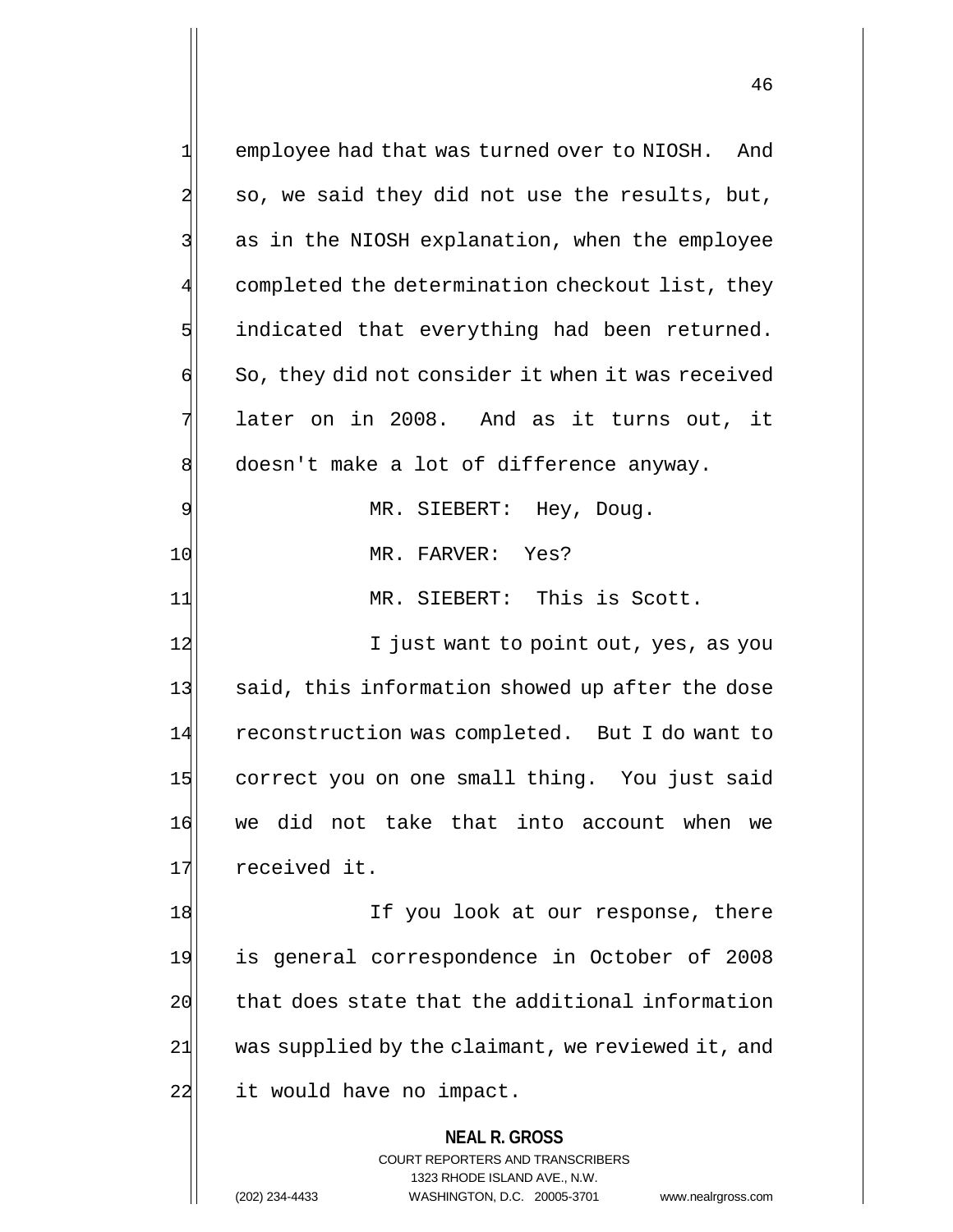**NEAL R. GROSS** COURT REPORTERS AND TRANSCRIBERS 1323 RHODE ISLAND AVE., N.W. 1 employee had that was turned over to NIOSH. And  $2$  so, we said they did not use the results, but, 3 3 3 as in the NIOSH explanation, when the employee completed the determination checkout list, they  $5$  indicated that everything had been returned.  $\mathfrak{g}$  So, they did not consider it when it was received  $7$  later on in 2008. And as it turns out, it 8 doesn't make a lot of difference anyway. 9 MR. SIEBERT: Hey, Doug. 10 MR. FARVER: Yes? 11 MR. SIEBERT: This is Scott. 12 I just want to point out, yes, as you 13 said, this information showed up after the dose 14 reconstruction was completed. But I do want to 15 correct you on one small thing. You just said 16 we did not take that into account when we 17 received it. 18 If you look at our response, there 19 is general correspondence in October of 2008 20 that does state that the additional information  $21$  was supplied by the claimant, we reviewed it, and 22 it would have no impact.

(202) 234-4433 WASHINGTON, D.C. 20005-3701 www.nealrgross.com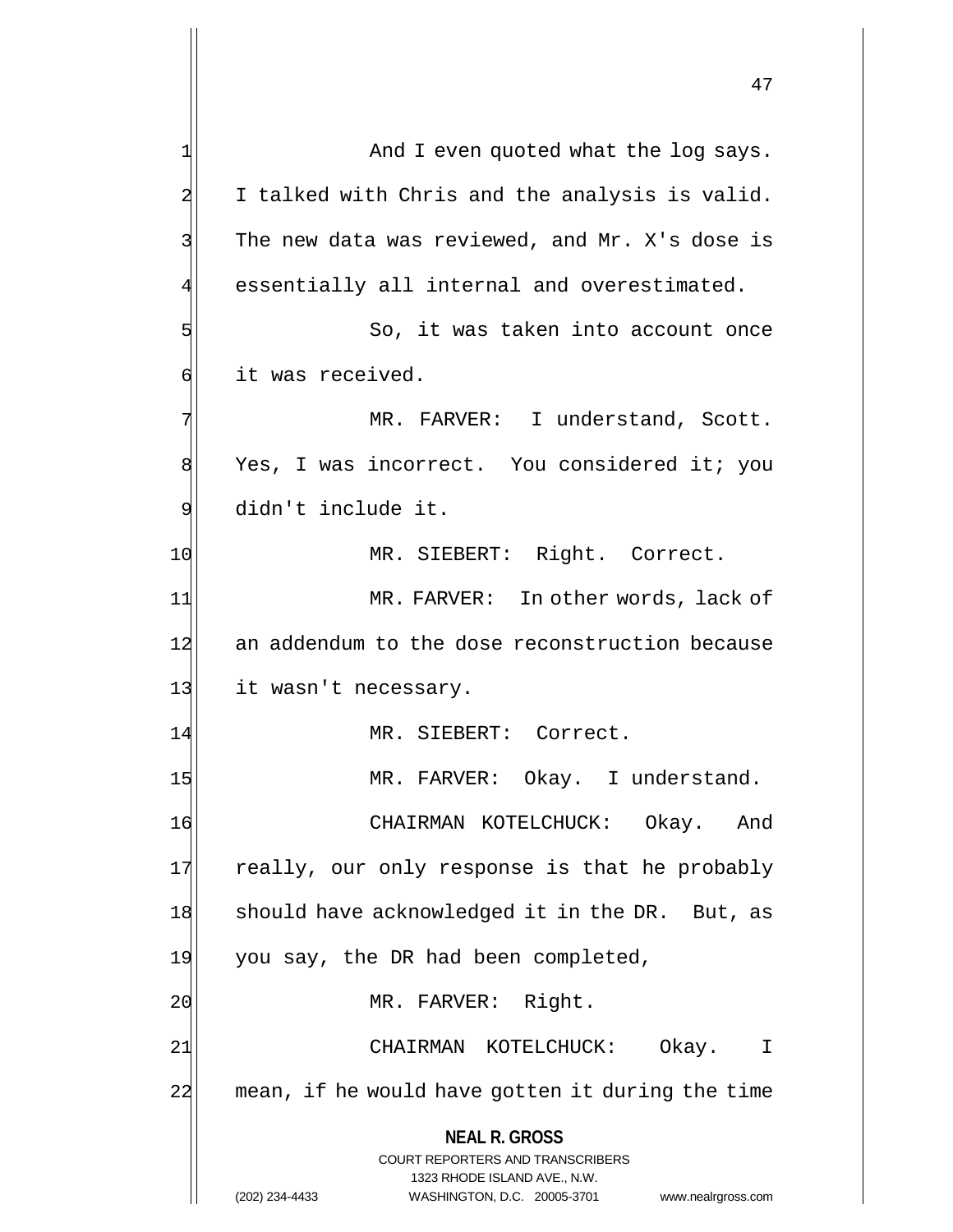**NEAL R. GROSS** COURT REPORTERS AND TRANSCRIBERS 1323 RHODE ISLAND AVE., N.W. 1 And I even quoted what the log says. 2 I talked with Chris and the analysis is valid.  $3$  The new data was reviewed, and Mr. X's dose is 4 essentially all internal and overestimated. 5 So, it was taken into account once 6 it was received. 7 MR. FARVER: I understand, Scott. 8 Yes, I was incorrect. You considered it; you 9 didn't include it. 10 MR. SIEBERT: Right. Correct. 11 MR. FARVER: In other words, lack of 12 an addendum to the dose reconstruction because 13 it wasn't necessary. 14 MR. SIEBERT: Correct. 15 MR. FARVER: Okay. I understand. 16 CHAIRMAN KOTELCHUCK: Okay. And 17 really, our only response is that he probably 18 should have acknowledged it in the DR. But, as 19 you say, the DR had been completed, 20 | MR. FARVER: Right. 21 | CHAIRMAN KOTELCHUCK: Okay. I 22 mean, if he would have gotten it during the time

(202) 234-4433 WASHINGTON, D.C. 20005-3701 www.nealrgross.com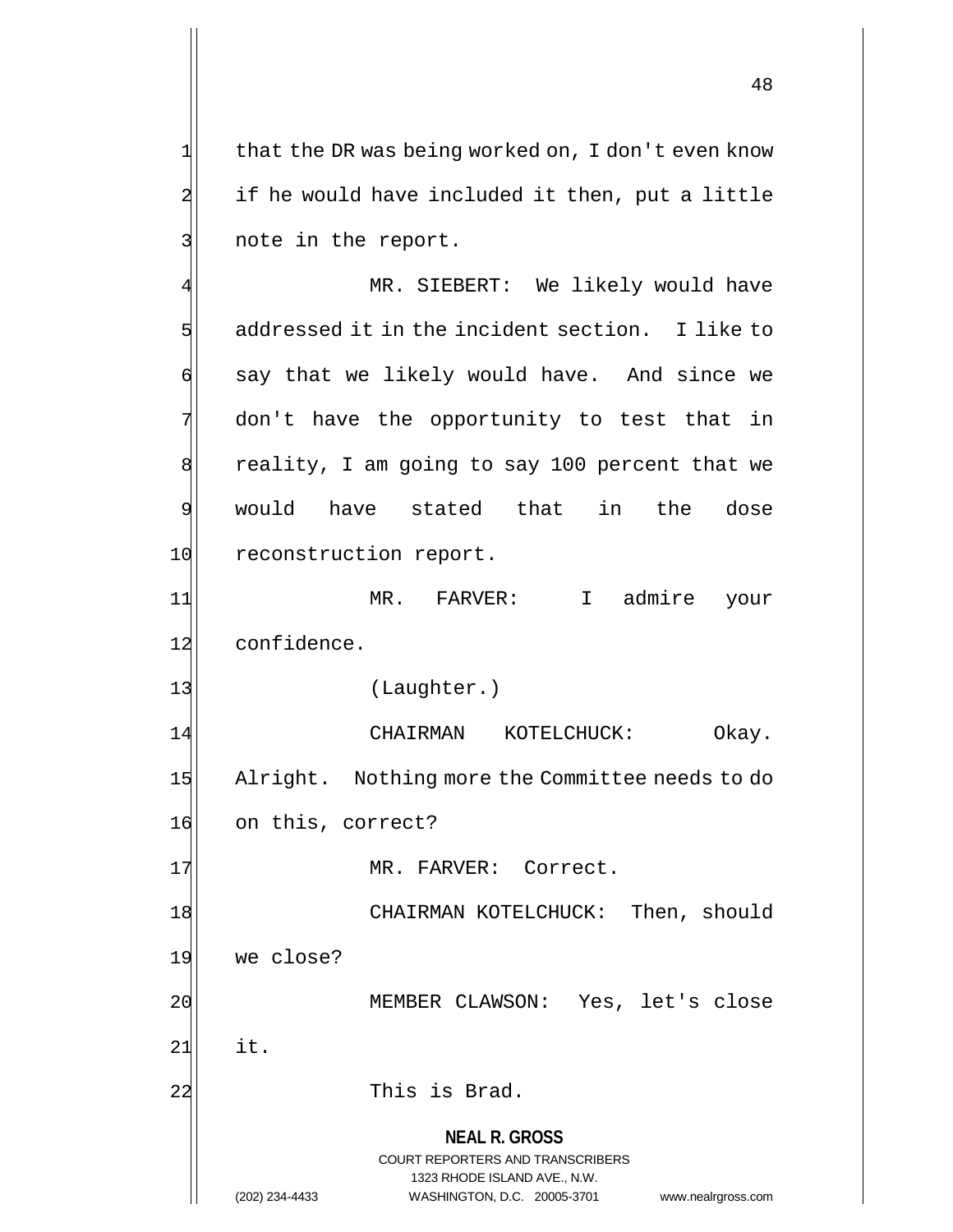$1$  that the DR was being worked on, I don't even know  $2$  if he would have included it then, put a little 3 note in the report.

**NEAL R. GROSS** COURT REPORTERS AND TRANSCRIBERS 1323 RHODE ISLAND AVE., N.W. (202) 234-4433 WASHINGTON, D.C. 20005-3701 www.nealrgross.com MR. SIEBERT: We likely would have 5 sddressed it in the incident section. I like to 6 | say that we likely would have. And since we 7 don't have the opportunity to test that in 8 reality, I am going to say 100 percent that we 9 would have stated that in the dose 10 reconstruction report. 11 MR. FARVER: I admire your 12 confidence. 13 (Laughter.) 14 CHAIRMAN KOTELCHUCK: Okay. 15 Alright. Nothing more the Committee needs to do 16 on this, correct? 17 MR. FARVER: Correct. 18 CHAIRMAN KOTELCHUCK: Then, should 19 we close? 20 MEMBER CLAWSON: Yes, let's close  $21$  it. 22 This is Brad.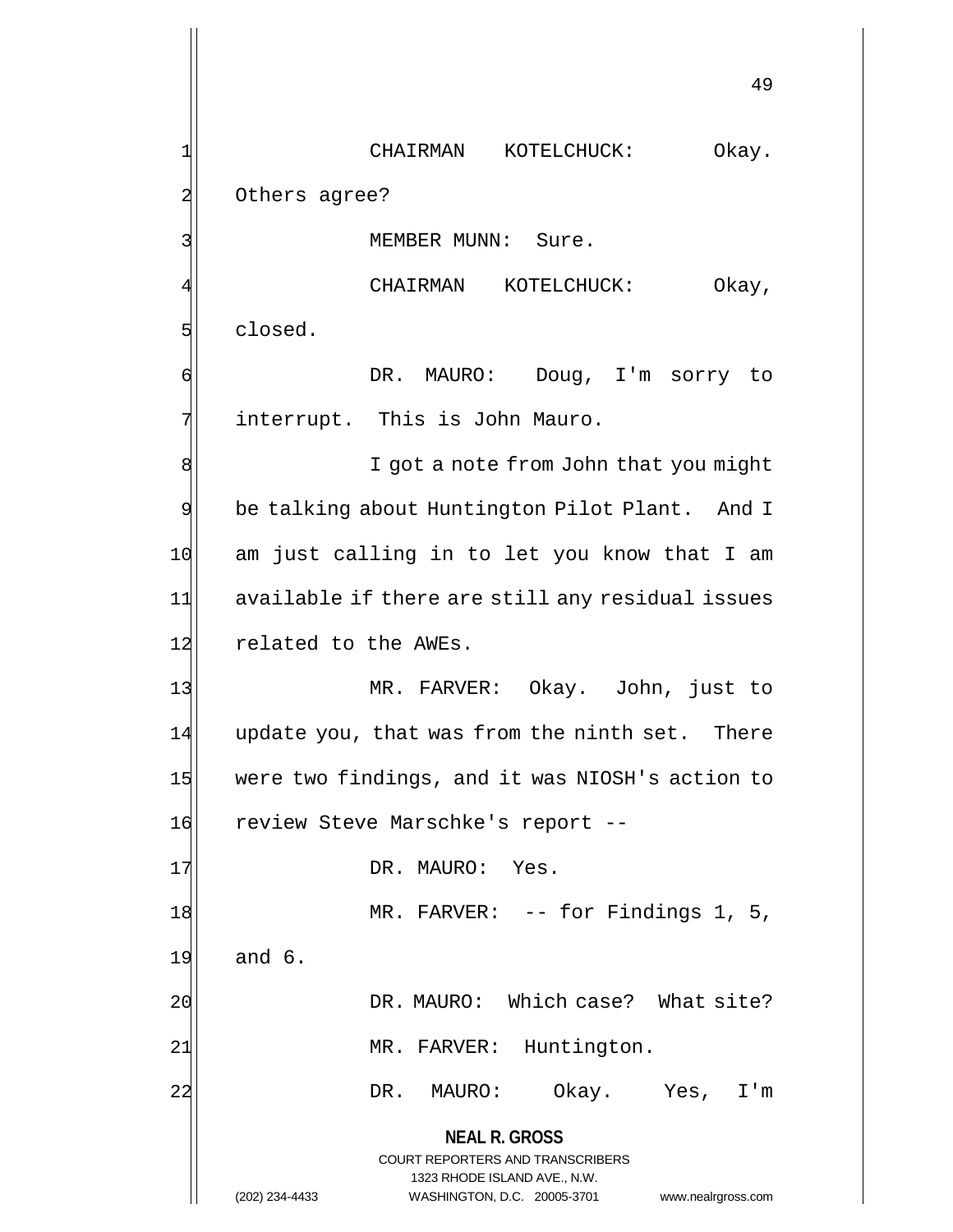**NEAL R. GROSS** COURT REPORTERS AND TRANSCRIBERS 1323 RHODE ISLAND AVE., N.W. (202) 234-4433 WASHINGTON, D.C. 20005-3701 www.nealrgross.com 49 1 CHAIRMAN KOTELCHUCK: Okay. 2 Others agree? 3 | MEMBER MUNN: Sure. CHAIRMAN KOTELCHUCK: Okay, 5 slosed. 6 DR. MAURO: Doug, I'm sorry to 7 interrupt. This is John Mauro. 8 8 I got a note from John that you might 9 be talking about Huntington Pilot Plant. And I 10 am just calling in to let you know that I am 11 available if there are still any residual issues 12 related to the AWEs. 13 MR. FARVER: Okay. John, just to  $14$  update you, that was from the ninth set. There 15 were two findings, and it was NIOSH's action to 16 review Steve Marschke's report --17 DR. MAURO: Yes. 18 MR. FARVER: -- for Findings 1, 5, 19 and 6. 20 DR. MAURO: Which case? What site? 21 MR. FARVER: Huntington. 22 DR. MAURO: Okay. Yes, I'm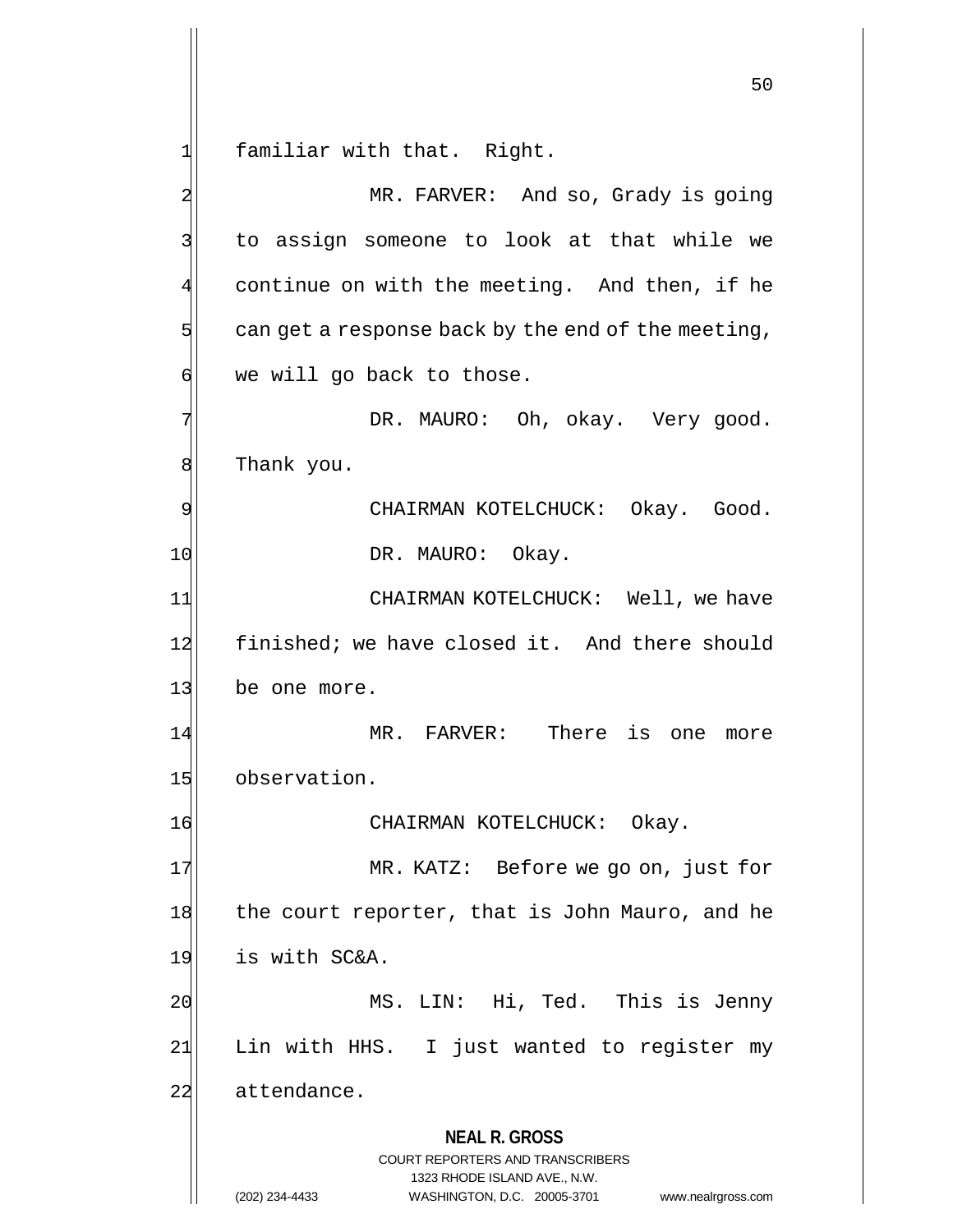$1$  familiar with that. Right.

**NEAL R. GROSS** COURT REPORTERS AND TRANSCRIBERS 1323 RHODE ISLAND AVE., N.W. (202) 234-4433 WASHINGTON, D.C. 20005-3701 www.nealrgross.com 2 MR. FARVER: And so, Grady is going 3 to assign someone to look at that while we 4 continue on with the meeting. And then, if he  $5$  can get a response back by the end of the meeting,  $\phi$  we will go back to those. 7 | The South Charlock DR. MAURO: Oh, okay. Very good. 8 Thank you. 9 CHAIRMAN KOTELCHUCK: Okay. Good. 10 DR. MAURO: Okay. 11 CHAIRMAN KOTELCHUCK: Well, we have 12 finished; we have closed it. And there should 13 be one more. 14 MR. FARVER: There is one more 15 observation. 16 CHAIRMAN KOTELCHUCK: Okay. 17 MR. KATZ: Before we go on, just for 18 the court reporter, that is John Mauro, and he 19 is with SC&A. 20 MS. LIN: Hi, Ted. This is Jenny 21 Lin with HHS. I just wanted to register my 22 attendance.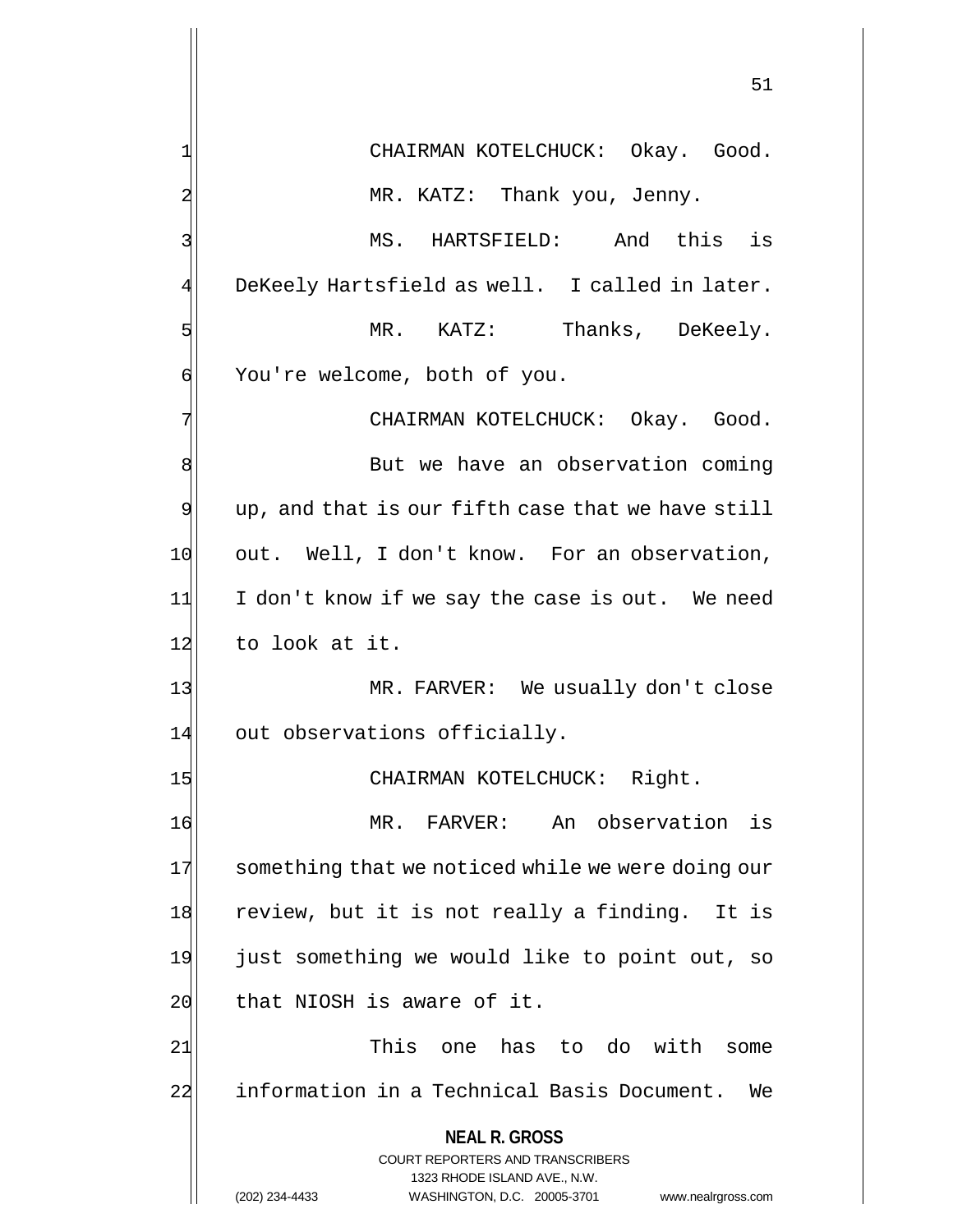**NEAL R. GROSS** COURT REPORTERS AND TRANSCRIBERS 1323 RHODE ISLAND AVE., N.W. (202) 234-4433 WASHINGTON, D.C. 20005-3701 www.nealrgross.com 51 1 CHAIRMAN KOTELCHUCK: Okay. Good. 2 MR. KATZ: Thank you, Jenny. 3 MS. HARTSFIELD: And this is 4 DeKeely Hartsfield as well. I called in later. 5 MR. KATZ: Thanks, DeKeely. 6 You're welcome, both of you. 7 | CHAIRMAN KOTELCHUCK: Okay. Good. 8 8  $9$  up, and that is our fifth case that we have still 10 out. Well, I don't know. For an observation, 11 I don't know if we say the case is out. We need 12 to look at it. 13 MR. FARVER: We usually don't close 14 out observations officially. 15 CHAIRMAN KOTELCHUCK: Right. 16 MR. FARVER: An observation is 17 something that we noticed while we were doing our 18 review, but it is not really a finding. It is 19 just something we would like to point out, so 20 that NIOSH is aware of it. 21 This one has to do with some 22 information in a Technical Basis Document. We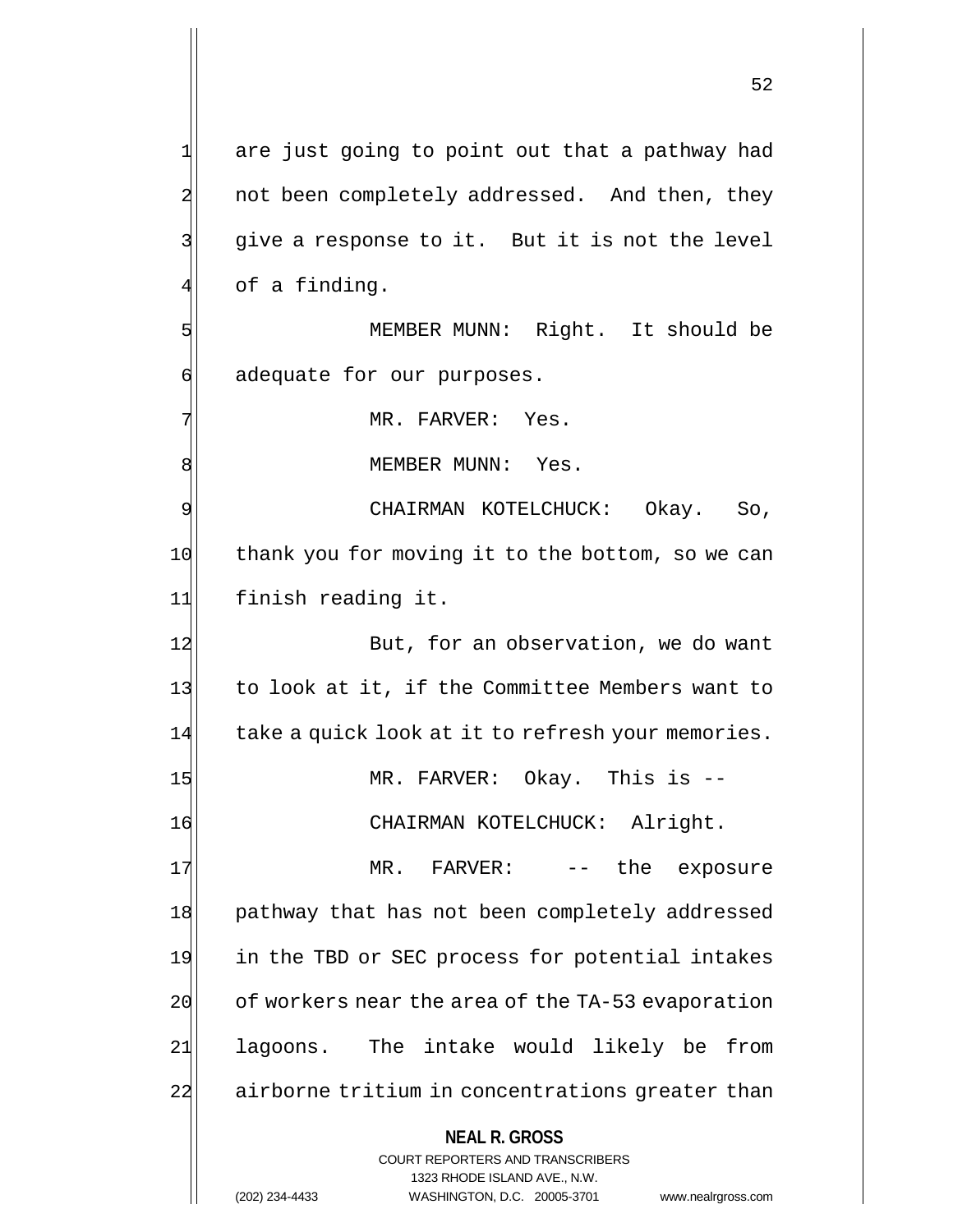**NEAL R. GROSS** COURT REPORTERS AND TRANSCRIBERS 1323 RHODE ISLAND AVE., N.W. 1 are just going to point out that a pathway had 2 not been completely addressed. And then, they 3 give a response to it. But it is not the level  $4$  of a finding. 5 MEMBER MUNN: Right. It should be 6 adequate for our purposes. 7 MR. FARVER: Yes. 8 | MEMBER MUNN: Yes. 9 CHAIRMAN KOTELCHUCK: Okay. So, 10 thank you for moving it to the bottom, so we can 11 finish reading it. 12 But, for an observation, we do want 13 to look at it, if the Committee Members want to 14 take a quick look at it to refresh your memories. 15 MR. FARVER: Okay. This is --16 CHAIRMAN KOTELCHUCK: Alright. 17 MR. FARVER: -- the exposure 18 | pathway that has not been completely addressed 19 in the TBD or SEC process for potential intakes  $20$  of workers near the area of the TA-53 evaporation 21 lagoons. The intake would likely be from 22 airborne tritium in concentrations greater than

(202) 234-4433 WASHINGTON, D.C. 20005-3701 www.nealrgross.com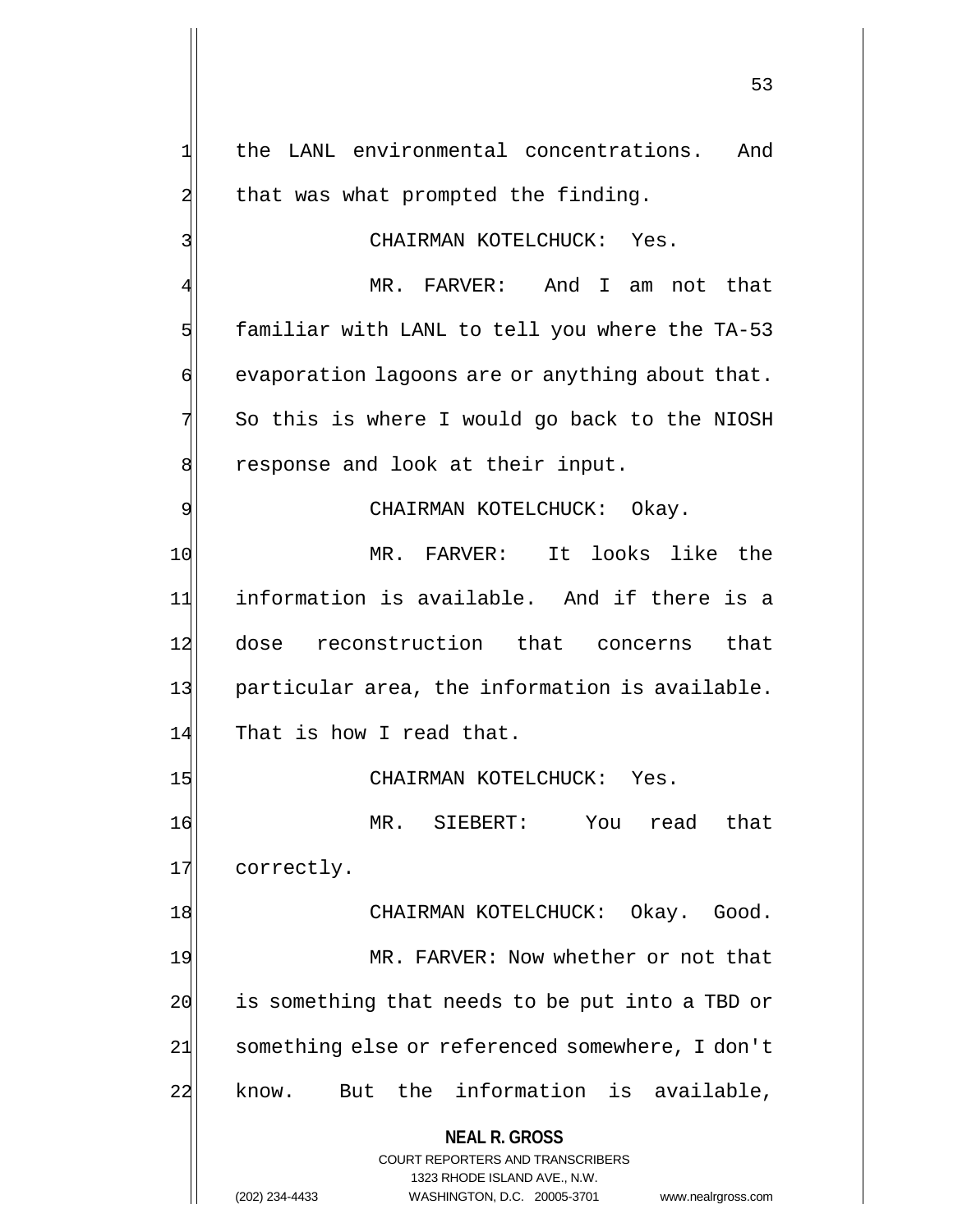**NEAL R. GROSS** COURT REPORTERS AND TRANSCRIBERS 1323 RHODE ISLAND AVE., N.W. 1 the LANL environmental concentrations. And  $2$  that was what prompted the finding. 3 CHAIRMAN KOTELCHUCK: Yes. MR. FARVER: And I am not that  $5$  familiar with LANL to tell you where the TA-53  $\phi$  evaporation lagoons are or anything about that.  $7$  So this is where I would go back to the NIOSH 8 8 8 response and look at their input. 9 CHAIRMAN KOTELCHUCK: Okay. 10 MR. FARVER: It looks like the 11 information is available. And if there is a 12 dose reconstruction that concerns that 13 particular area, the information is available. 14 That is how I read that. 15 CHAIRMAN KOTELCHUCK: Yes. 16 MR. SIEBERT: You read that 17 correctly. 18 | CHAIRMAN KOTELCHUCK: Okay. Good. 19 MR. FARVER: Now whether or not that 20 is something that needs to be put into a TBD or 21 something else or referenced somewhere, I don't 22 know. But the information is available,

(202) 234-4433 WASHINGTON, D.C. 20005-3701 www.nealrgross.com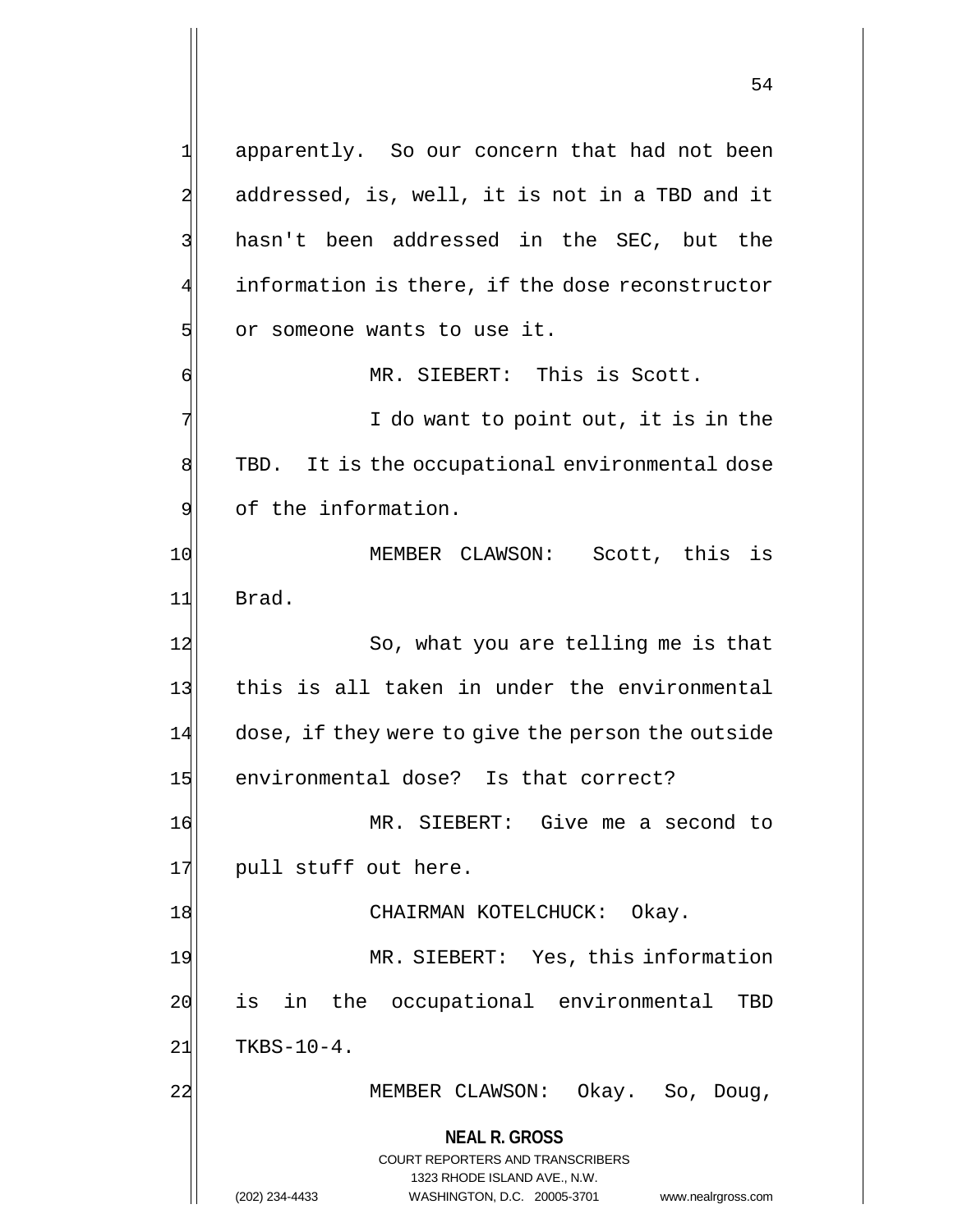**NEAL R. GROSS** COURT REPORTERS AND TRANSCRIBERS 1323 RHODE ISLAND AVE., N.W. (202) 234-4433 WASHINGTON, D.C. 20005-3701 www.nealrgross.com 1 apparently. So our concern that had not been 2 addressed, is, well, it is not in a TBD and it 3 hasn't been addressed in the SEC, but the 4 information is there, if the dose reconstructor 5 or someone wants to use it. 6 MR. SIEBERT: This is Scott. 7 T do want to point out, it is in the 8 TBD. It is the occupational environmental dose 9 9 of the information. 10 MEMBER CLAWSON: Scott, this is 11 Brad. 12 So, what you are telling me is that 13 this is all taken in under the environmental 14 dose, if they were to give the person the outside 15 environmental dose? Is that correct? 16 MR. SIEBERT: Give me a second to 17 pull stuff out here. 18 CHAIRMAN KOTELCHUCK: Okay. 19 MR. SIEBERT: Yes, this information 20 is in the occupational environmental TBD  $21$  TKBS-10-4. 22 MEMBER CLAWSON: Okay. So, Doug,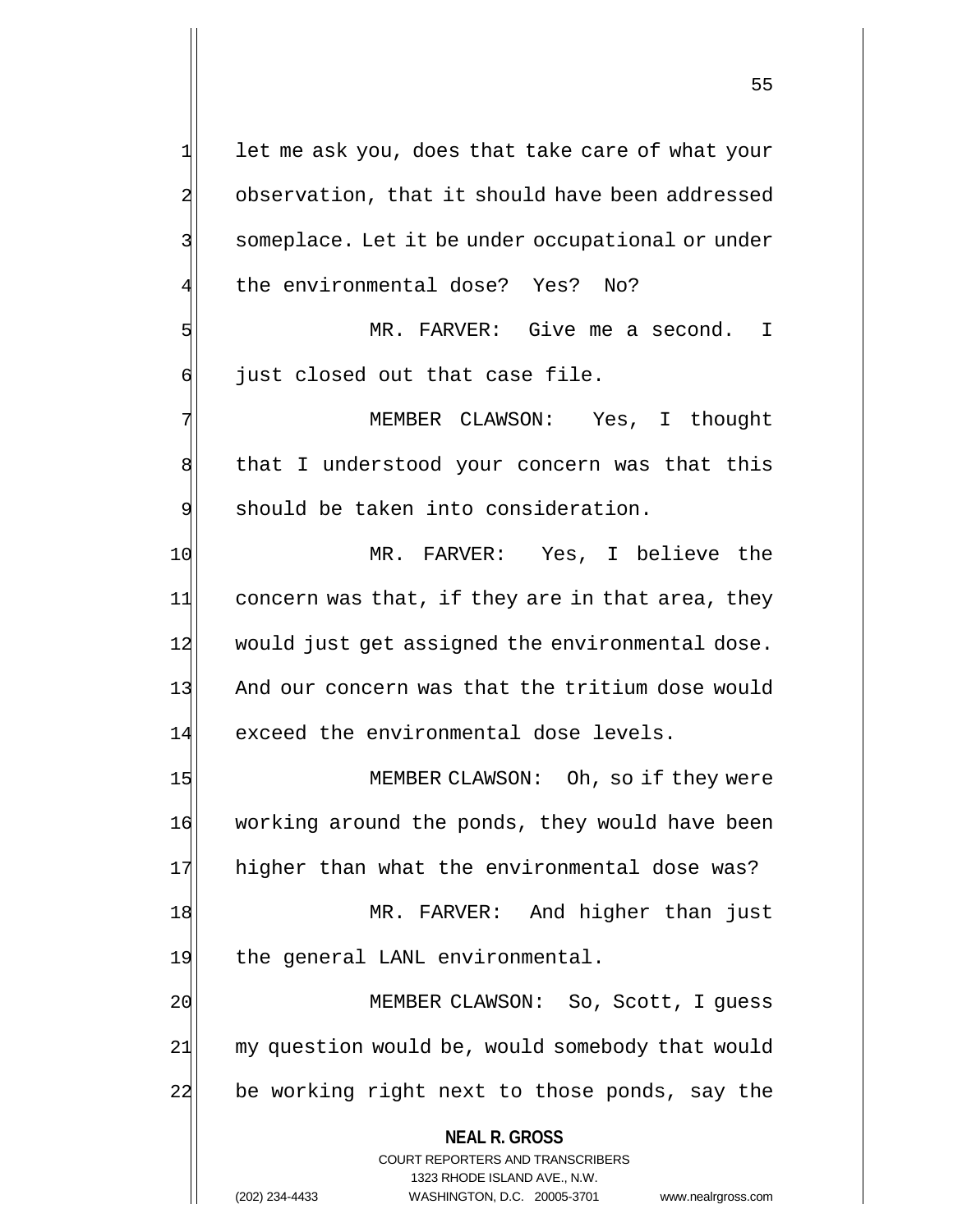**NEAL R. GROSS** COURT REPORTERS AND TRANSCRIBERS 1323 RHODE ISLAND AVE., N.W.  $1$  let me ask you, does that take care of what your 2 observation, that it should have been addressed 3 | someplace. Let it be under occupational or under the environmental dose? Yes? No? 5 MR. FARVER: Give me a second. I 6 | just closed out that case file. 7 MEMBER CLAWSON: Yes, I thought 8 8 a that I understood your concern was that this 9 should be taken into consideration. 10 MR. FARVER: Yes, I believe the  $11$  concern was that, if they are in that area, they 12 would just get assigned the environmental dose. 13 And our concern was that the tritium dose would 14 exceed the environmental dose levels. 15 MEMBER CLAWSON: Oh, so if they were 16 working around the ponds, they would have been 17 higher than what the environmental dose was? 18 MR. FARVER: And higher than just 19 the general LANL environmental. 20 MEMBER CLAWSON: So, Scott, I quess 21 my question would be, would somebody that would 22 be working right next to those ponds, say the

(202) 234-4433 WASHINGTON, D.C. 20005-3701 www.nealrgross.com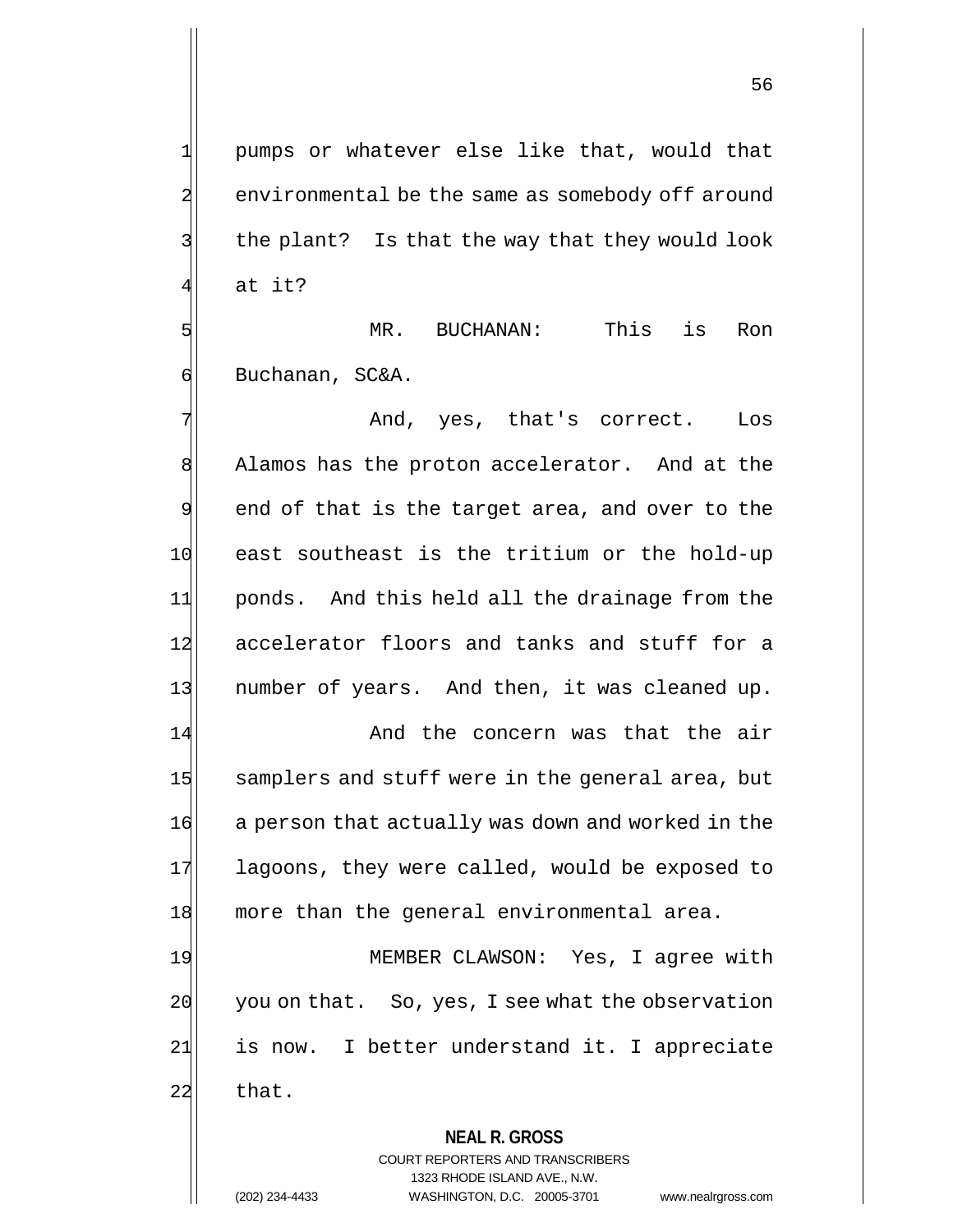1 pumps or whatever else like that, would that 2 environmental be the same as somebody off around  $3$  the plant? Is that the way that they would look at it?

5 Separation of the MR. BUCHANAN: This is Ron 6 Buchanan, SC&A.

7 And, yes, that's correct. Los 8 Alamos has the proton accelerator. And at the  $9$  end of that is the target area, and over to the 10 east southeast is the tritium or the hold-up 11 ponds. And this held all the drainage from the 12 accelerator floors and tanks and stuff for a 13 number of years. And then, it was cleaned up. 14 and the concern was that the air 15 samplers and stuff were in the general area, but 16 a person that actually was down and worked in the 17 lagoons, they were called, would be exposed to 18 more than the general environmental area.

19 MEMBER CLAWSON: Yes, I agree with 20 you on that. So, yes, I see what the observation 21 is now. I better understand it. I appreciate 22 that.

# **NEAL R. GROSS** COURT REPORTERS AND TRANSCRIBERS 1323 RHODE ISLAND AVE., N.W. (202) 234-4433 WASHINGTON, D.C. 20005-3701 www.nealrgross.com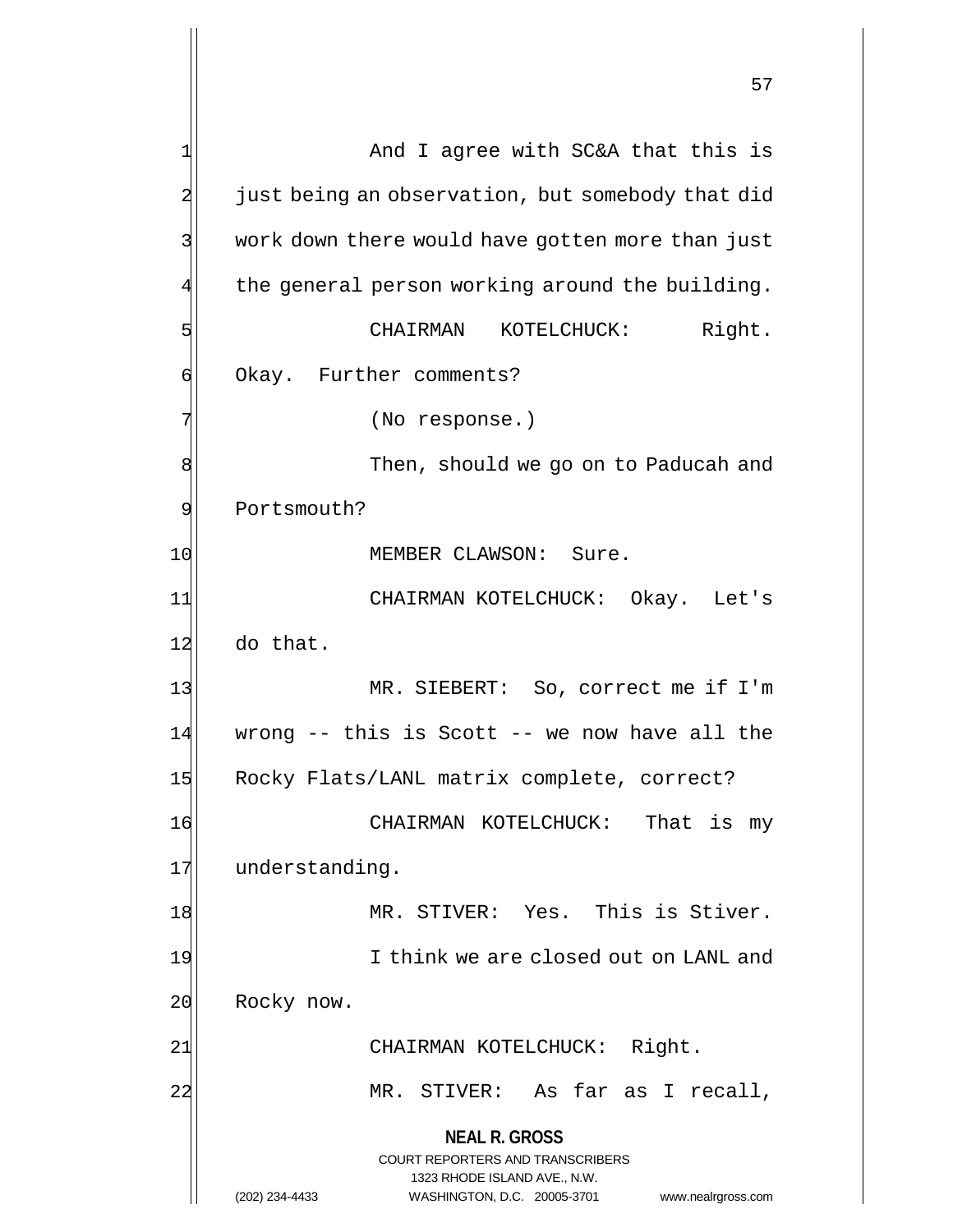**NEAL R. GROSS** COURT REPORTERS AND TRANSCRIBERS 1323 RHODE ISLAND AVE., N.W. 1 And I agree with SC&A that this is 2 just being an observation, but somebody that did 3 work down there would have gotten more than just 4 the general person working around the building. 5 Solution CHAIRMAN KOTELCHUCK: Right. 6 Okay. Further comments? 7 (No response.) 8 8 November 1, should we go on to Paducah and 9 Portsmouth? 10 MEMBER CLAWSON: Sure. 11 CHAIRMAN KOTELCHUCK: Okay. Let's 12 do that. 13 MR. SIEBERT: So, correct me if I'm  $14$  wrong -- this is Scott -- we now have all the 15 Rocky Flats/LANL matrix complete, correct? 16 CHAIRMAN KOTELCHUCK: That is my 17 understanding. 18 MR. STIVER: Yes. This is Stiver. 19 I think we are closed out on LANL and 20 Rocky now. 21| CHAIRMAN KOTELCHUCK: Right. 22 MR. STIVER: As far as I recall,

(202) 234-4433 WASHINGTON, D.C. 20005-3701 www.nealrgross.com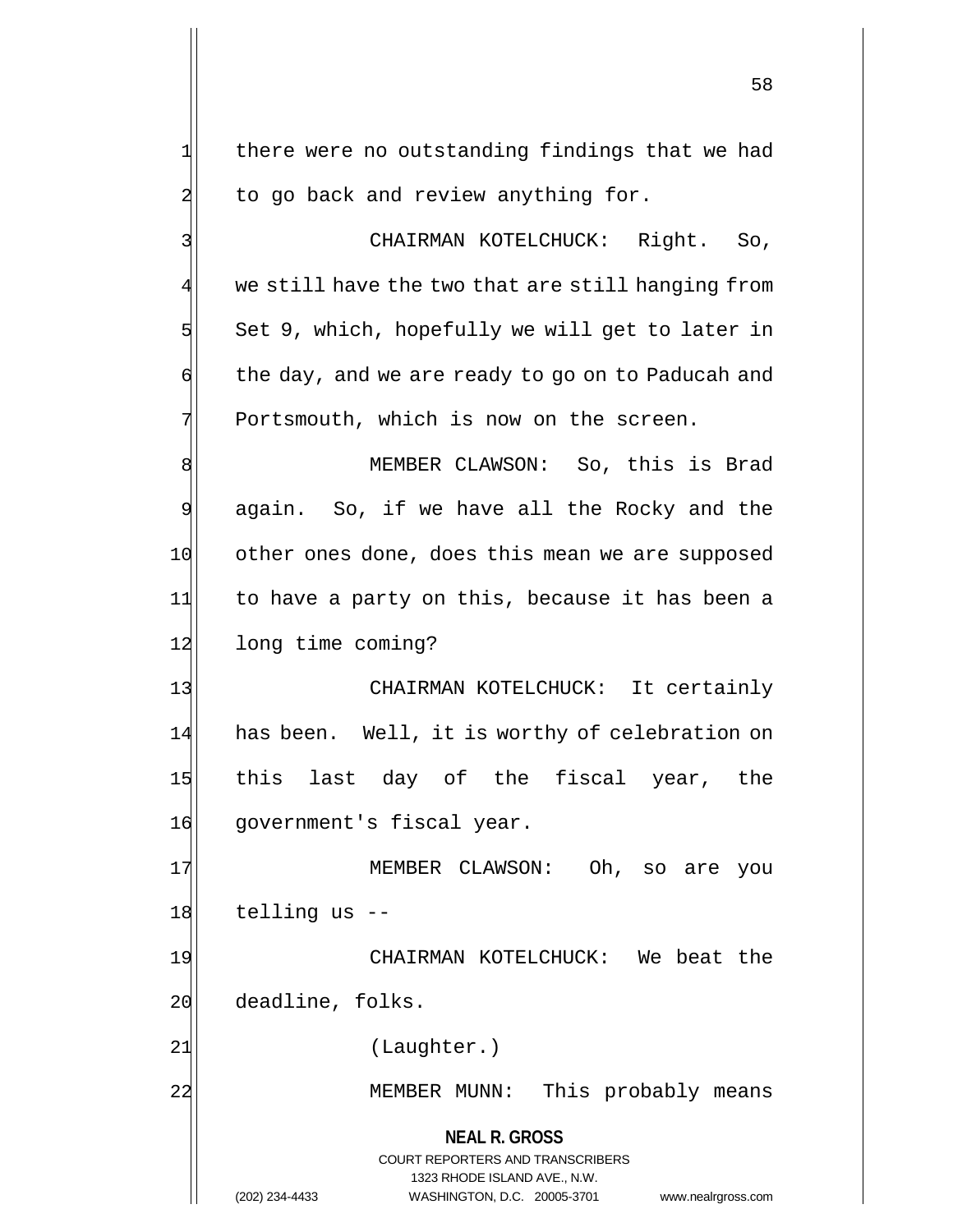$1$  there were no outstanding findings that we had  $2$  to go back and review anything for.

3 | CHAIRMAN KOTELCHUCK: Right. So, 4 we still have the two that are still hanging from  $5$  Set 9, which, hopefully we will get to later in  $\left| \cdot \right|$  the day, and we are ready to go on to Paducah and  $7$  Portsmouth, which is now on the screen.

8 MEMBER CLAWSON: So, this is Brad 9 again. So, if we have all the Rocky and the 10 other ones done, does this mean we are supposed 11 to have a party on this, because it has been a 12 long time coming?

13 CHAIRMAN KOTELCHUCK: It certainly 14 has been. Well, it is worthy of celebration on 15 this last day of the fiscal year, the 16 government's fiscal year.

17 MEMBER CLAWSON: Oh, so are you  $18$  telling us  $-$ 

19 CHAIRMAN KOTELCHUCK: We beat the 20 deadline, folks.

21 (Laughter.)

22 MEMBER MUNN: This probably means

**NEAL R. GROSS** COURT REPORTERS AND TRANSCRIBERS 1323 RHODE ISLAND AVE., N.W. (202) 234-4433 WASHINGTON, D.C. 20005-3701 www.nealrgross.com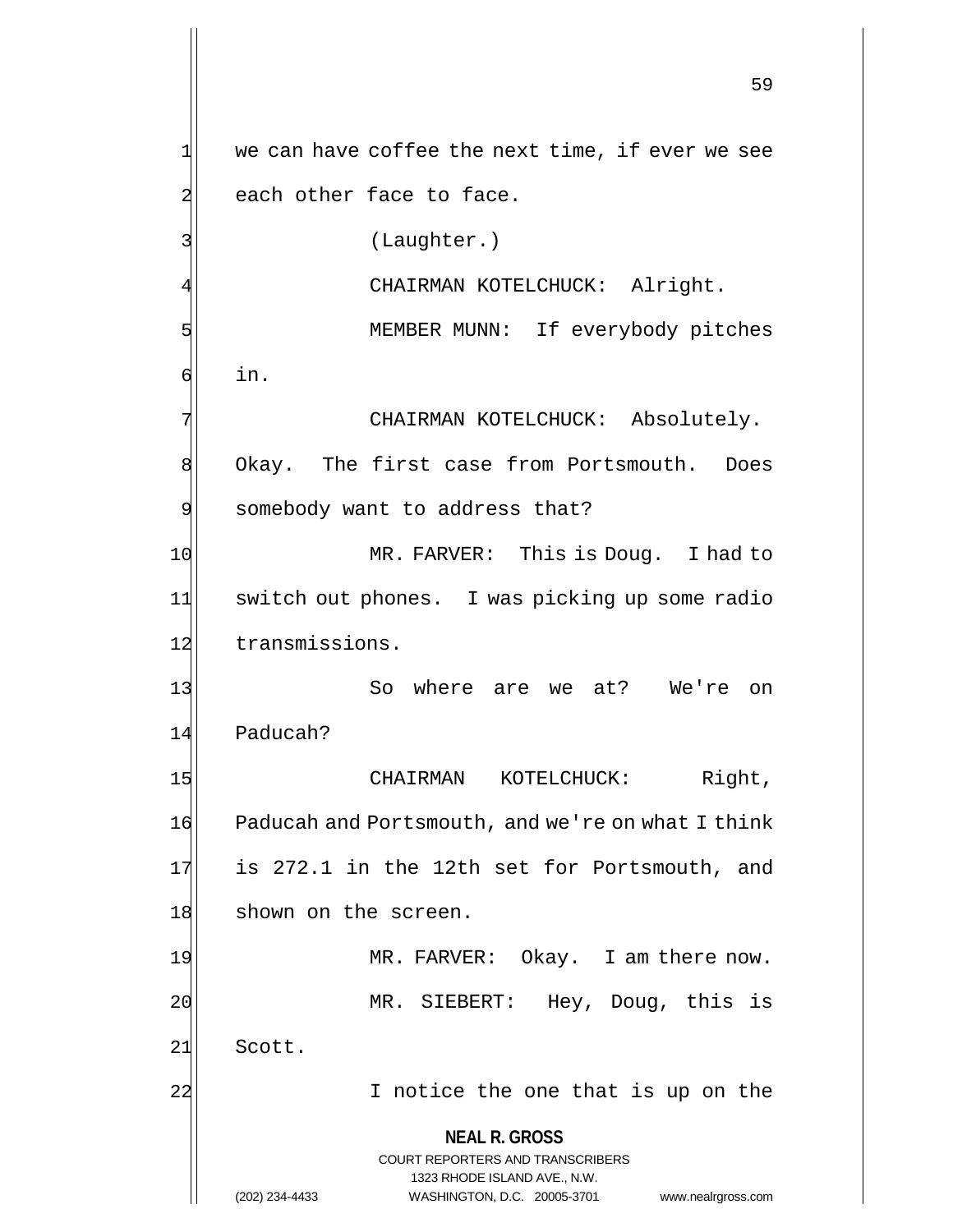**NEAL R. GROSS** COURT REPORTERS AND TRANSCRIBERS 1323 RHODE ISLAND AVE., N.W. (202) 234-4433 WASHINGTON, D.C. 20005-3701 www.nealrgross.com 59  $1$  we can have coffee the next time, if ever we see 2 each other face to face. 3 (Laughter.) CHAIRMAN KOTELCHUCK: Alright. 5 MEMBER MUNN: If everybody pitches  $6$  in. 7 | CHAIRMAN KOTELCHUCK: Absolutely. 8 Okay. The first case from Portsmouth. Does 9 somebody want to address that? 10 MR. FARVER: This is Doug. I had to 11 switch out phones. I was picking up some radio 12 transmissions. 13 So where are we at? We're on 14 Paducah? 15 CHAIRMAN KOTELCHUCK: Right, 16 Paducah and Portsmouth, and we're on what I think 17 is 272.1 in the 12th set for Portsmouth, and 18 shown on the screen. 19 MR. FARVER: Okay. I am there now. 20 MR. SIEBERT: Hey, Doug, this is 21 Scott. 22 I notice the one that is up on the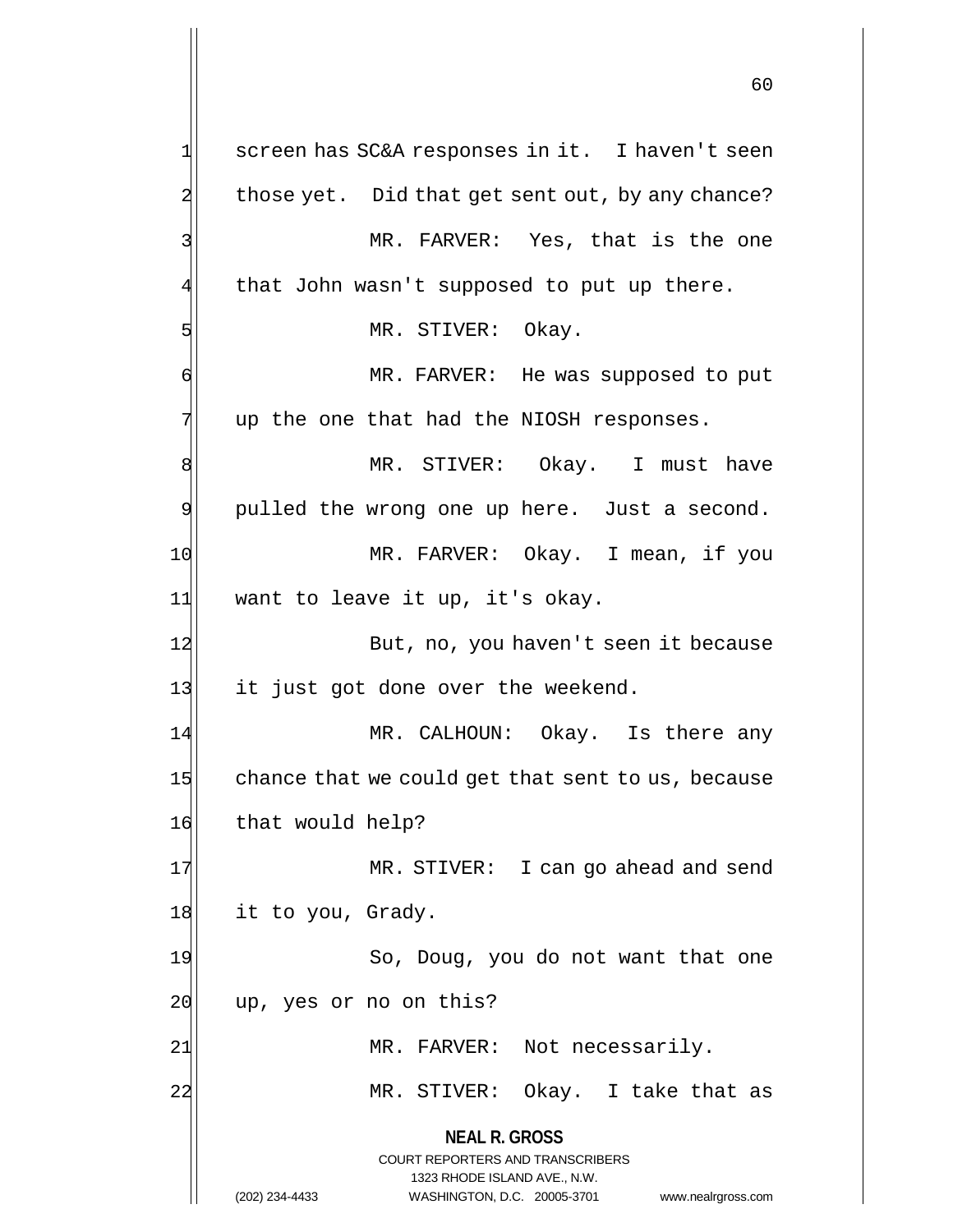**NEAL R. GROSS** COURT REPORTERS AND TRANSCRIBERS 1323 RHODE ISLAND AVE., N.W. (202) 234-4433 WASHINGTON, D.C. 20005-3701 www.nealrgross.com  $1$  screen has SC&A responses in it. I haven't seen  $2$  those yet. Did that get sent out, by any chance? 3 MR. FARVER: Yes, that is the one  $4$  that John wasn't supposed to put up there. 5 MR. STIVER: Okay. 6 MR. FARVER: He was supposed to put  $7$  up the one that had the NIOSH responses. 8 | NR. STIVER: Okay. I must have 9 pulled the wrong one up here. Just a second. 10 MR. FARVER: Okay. I mean, if you 11 want to leave it up, it's okay. 12 But, no, you haven't seen it because 13 it just got done over the weekend. 14 MR. CALHOUN: Okay. Is there any 15 chance that we could get that sent to us, because 16 that would help? 17 MR. STIVER: I can go ahead and send 18 it to you, Grady. 19 So, Doug, you do not want that one 20 up, yes or no on this? 21 MR. FARVER: Not necessarily. 22 MR. STIVER: Okay. I take that as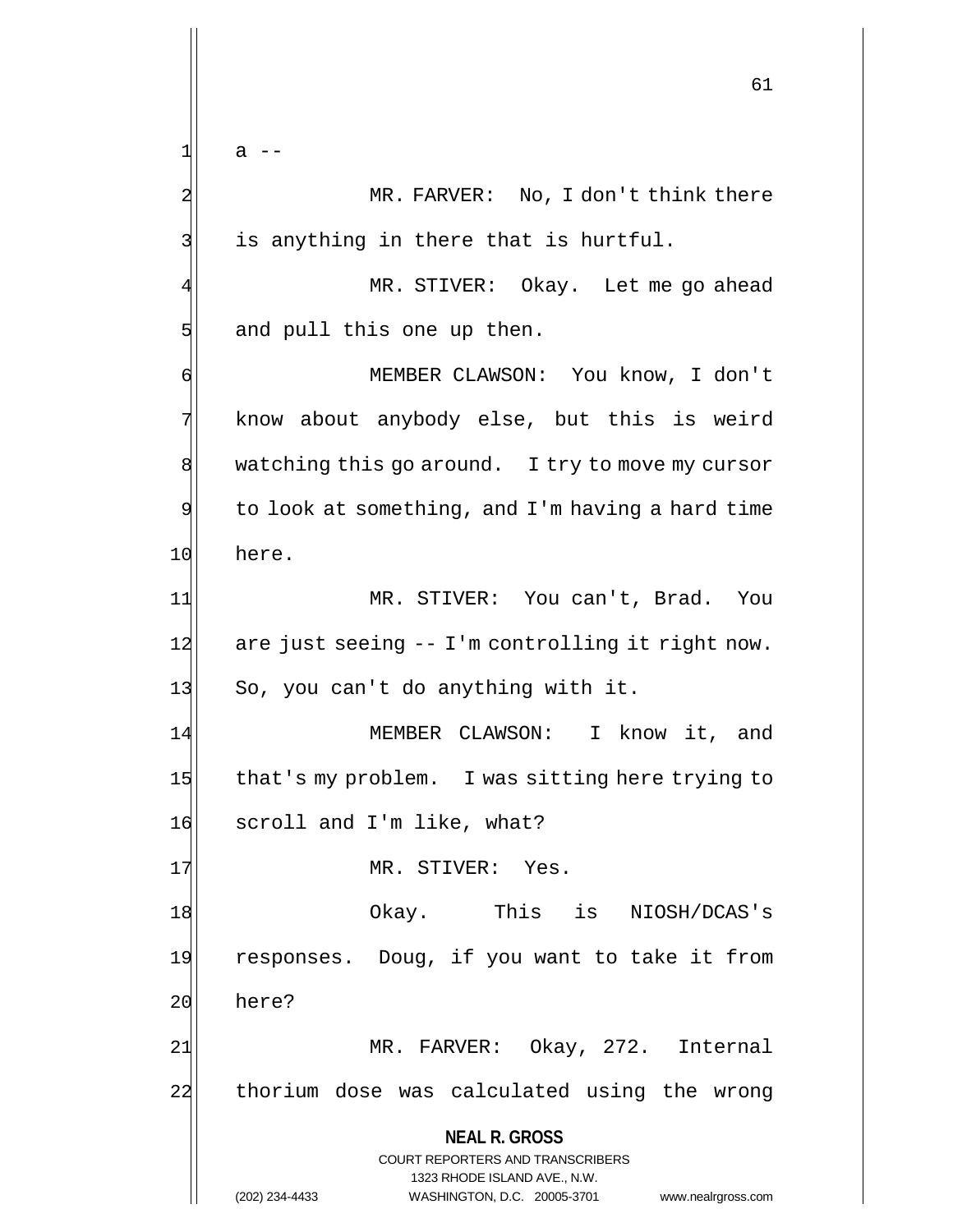$1$ | a --

2 MR. FARVER: No, I don't think there  $3$  is anything in there that is hurtful.

4 MR. STIVER: Okay. Let me go ahead  $5$  and pull this one up then.

6 MEMBER CLAWSON: You know, I don't 7 know about anybody else, but this is weird 8 watching this go around. I try to move my cursor  $9$  to look at something, and I'm having a hard time 10 here.

11| MR. STIVER: You can't, Brad. You  $12$  are just seeing  $-1$ 'm controlling it right now. 13 So, you can't do anything with it.

14 MEMBER CLAWSON: I know it, and 15 that's my problem. I was sitting here trying to 16 scroll and I'm like, what?

17 MR. STIVER: Yes.

18 Okay. This is NIOSH/DCAS's 19 responses. Doug, if you want to take it from 20 here?

21| MR. FARVER: Okay, 272. Internal 22 thorium dose was calculated using the wrong

**NEAL R. GROSS**

COURT REPORTERS AND TRANSCRIBERS 1323 RHODE ISLAND AVE., N.W. (202) 234-4433 WASHINGTON, D.C. 20005-3701 www.nealrgross.com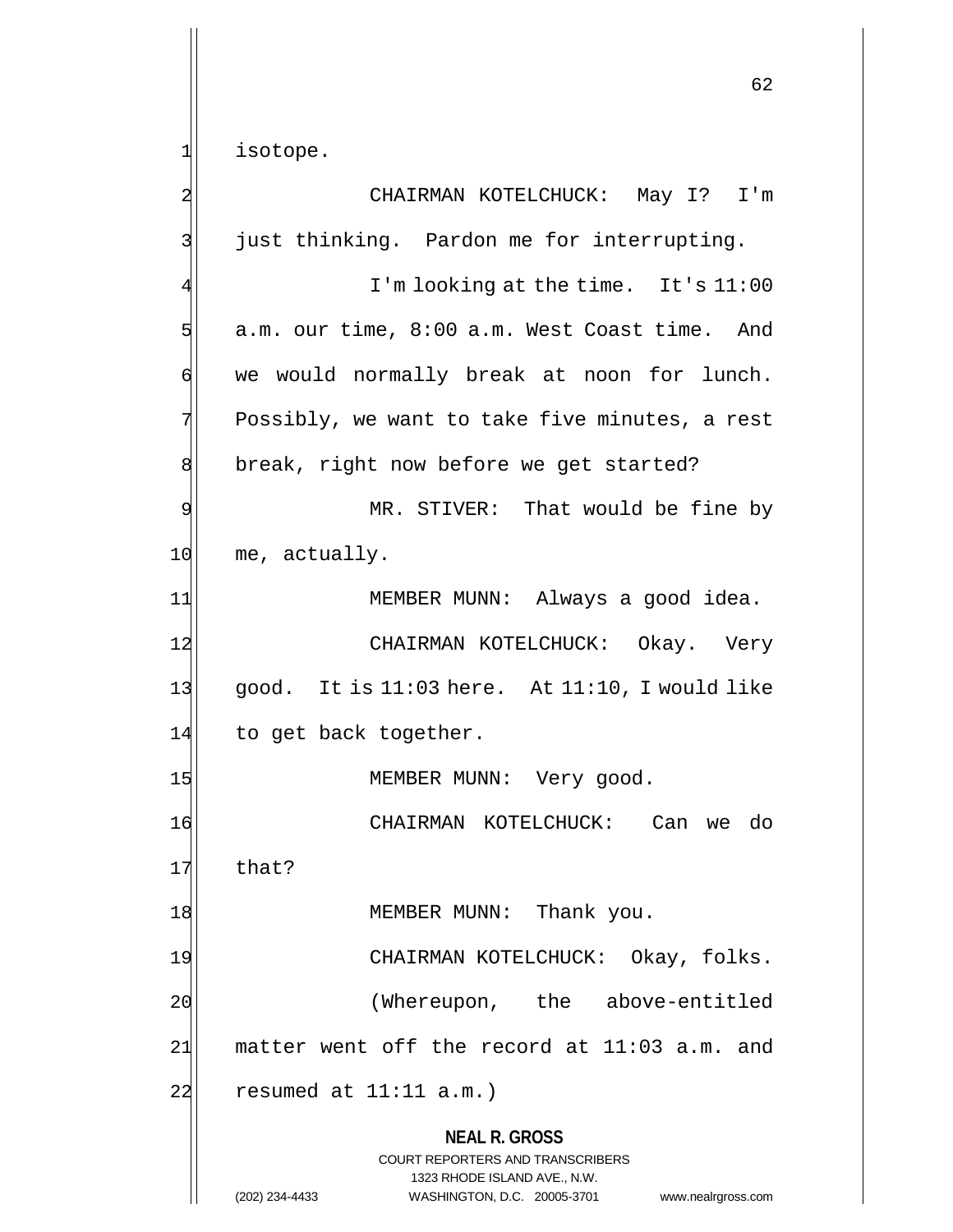1 isotope.

**NEAL R. GROSS** COURT REPORTERS AND TRANSCRIBERS 1323 RHODE ISLAND AVE., N.W. (202) 234-4433 WASHINGTON, D.C. 20005-3701 www.nealrgross.com 2 CHAIRMAN KOTELCHUCK: May I? I'm 3 just thinking. Pardon me for interrupting. I'm looking at the time. It's 11:00  $5$  a.m. our time,  $8:00$  a.m. West Coast time. And 6 we would normally break at noon for lunch. 7 Possibly, we want to take five minutes, a rest 8 break, right now before we get started? 9 MR. STIVER: That would be fine by 10 me, actually. 11| MEMBER MUNN: Always a good idea. 12 CHAIRMAN KOTELCHUCK: Okay. Very  $13$  good. It is 11:03 here. At 11:10, I would like 14 to get back together. 15 MEMBER MUNN: Very good. 16 CHAIRMAN KOTELCHUCK: Can we do  $17$  that? 18 MEMBER MUNN: Thank you. 19 CHAIRMAN KOTELCHUCK: Okay, folks. 20 (Whereupon, the above-entitled  $21$  matter went off the record at 11:03 a.m. and  $22$  resumed at  $11:11$  a.m.)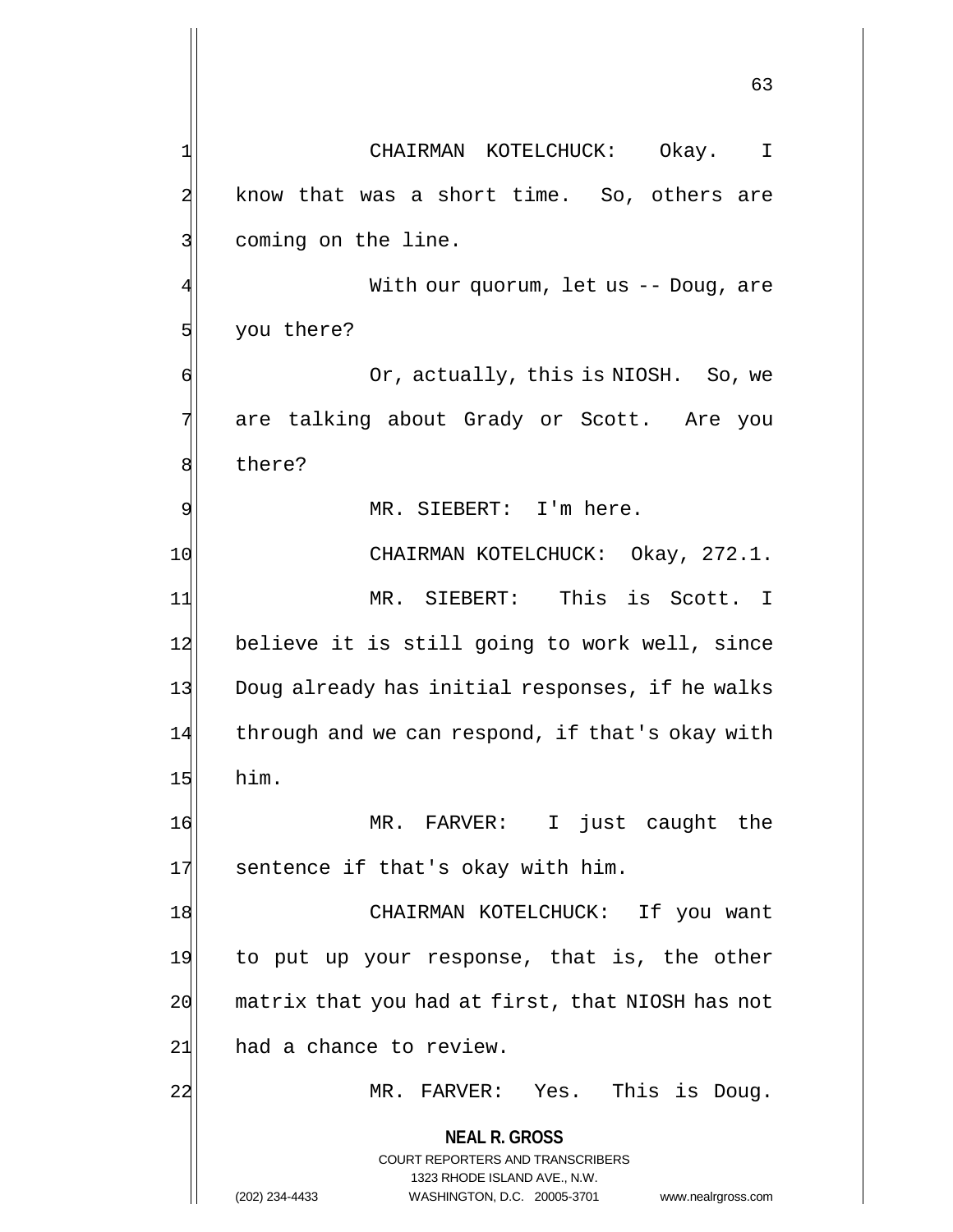**NEAL R. GROSS** COURT REPORTERS AND TRANSCRIBERS 1323 RHODE ISLAND AVE., N.W. (202) 234-4433 WASHINGTON, D.C. 20005-3701 www.nealrgross.com 63 1 CHAIRMAN KOTELCHUCK: Okay. I  $2$  know that was a short time. So, others are 3 coming on the line. With our quorum, let us -- Doug, are 5 you there? 6 Or, actually, this is NIOSH. So, we 7 are talking about Grady or Scott. Are you 8 bere? 9 MR. SIEBERT: I'm here. 10 CHAIRMAN KOTELCHUCK: Okay, 272.1. 11 MR. SIEBERT: This is Scott. I 12 believe it is still going to work well, since 13 Doug already has initial responses, if he walks 14 through and we can respond, if that's okay with  $15$  him. 16 MR. FARVER: I just caught the 17 sentence if that's okay with him. 18 | CHAIRMAN KOTELCHUCK: If you want 19 to put up your response, that is, the other  $20$  matrix that you had at first, that NIOSH has not 21 had a chance to review. 22 MR. FARVER: Yes. This is Doug.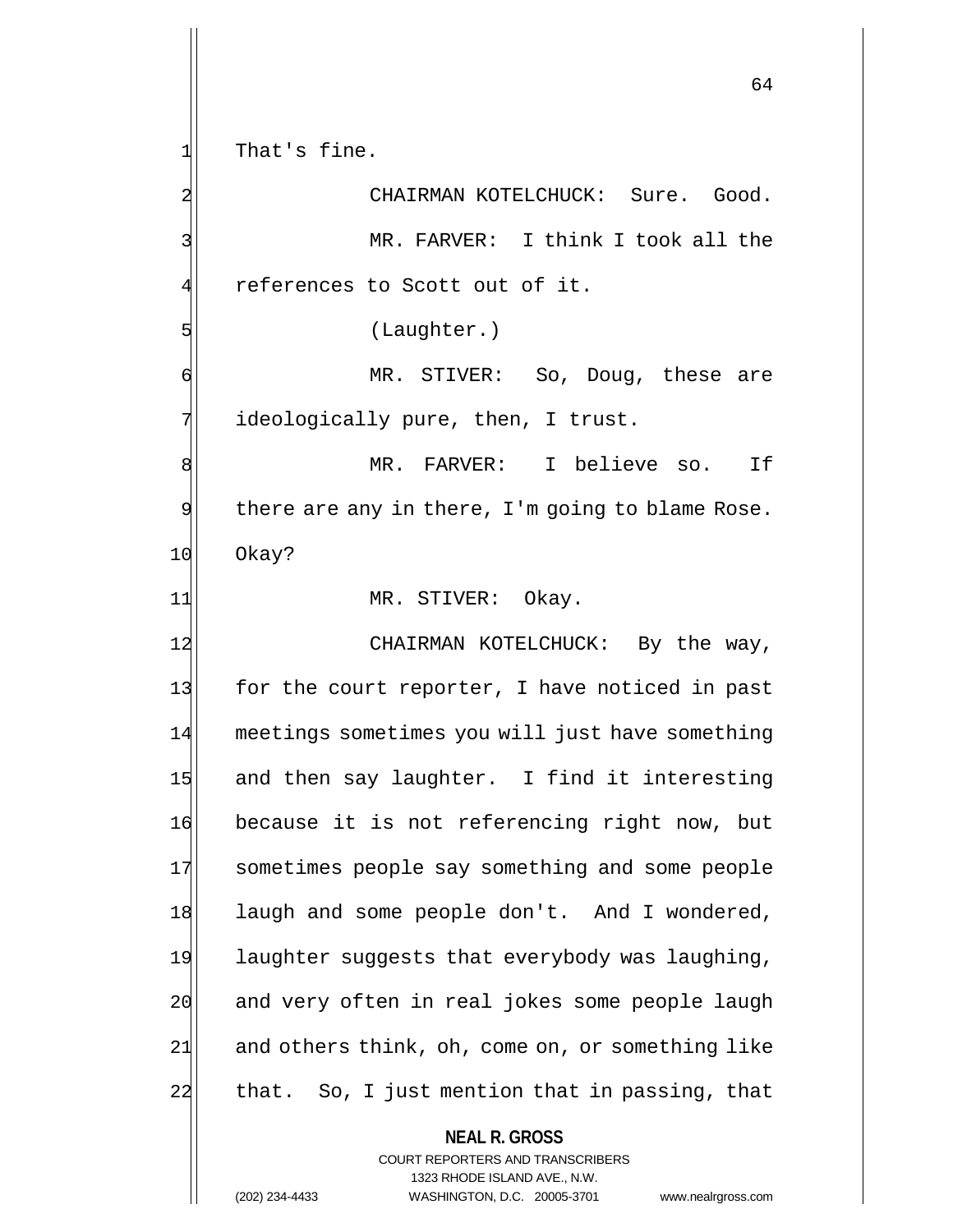$1$  That's fine.

2 CHAIRMAN KOTELCHUCK: Sure. Good. 3 MR. FARVER: I think I took all the  $4$  references to Scott out of it. 5 (Laughter.) 6 MR. STIVER: So, Doug, these are 7 ideologically pure, then, I trust. 8 MR. FARVER: I believe so. If  $9$  there are any in there, I'm going to blame Rose. 10 Okay? 11 MR. STIVER: Okay. 12 CHAIRMAN KOTELCHUCK: By the way, 13 for the court reporter, I have noticed in past 14 meetings sometimes you will just have something 15 and then say laughter. I find it interesting 16 because it is not referencing right now, but 17 Sometimes people say something and some people 18 laugh and some people don't. And I wondered, 19 laughter suggests that everybody was laughing, 20 and very often in real jokes some people laugh  $21$  and others think, oh, come on, or something like 22 that. So, I just mention that in passing, that

> **NEAL R. GROSS** COURT REPORTERS AND TRANSCRIBERS 1323 RHODE ISLAND AVE., N.W.

(202) 234-4433 WASHINGTON, D.C. 20005-3701 www.nealrgross.com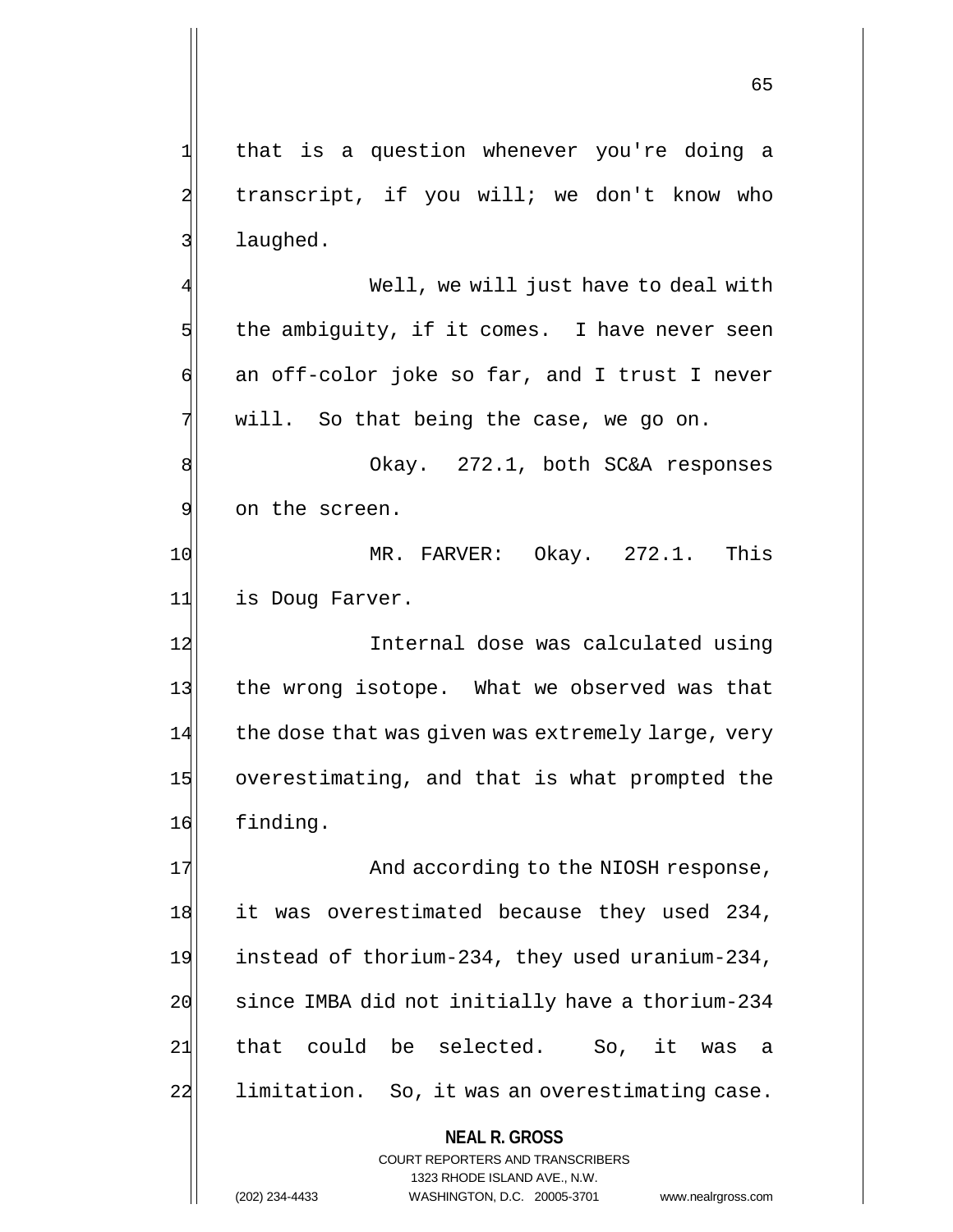1 that is a question whenever you're doing a 2 transcript, if you will; we don't know who 3 laughed.

4 Well, we will just have to deal with  $5$  the ambiguity, if it comes. I have never seen  $\mathfrak{h}$  an off-color joke so far, and I trust I never  $7$  will. So that being the case, we go on.

8 8 Okay. 272.1, both SC&A responses 9 on the screen.

10 MR. FARVER: Okay. 272.1. This 11 is Doug Farver.

12 Internal dose was calculated using 13 the wrong isotope. What we observed was that 14 the dose that was given was extremely large, very 15 overestimating, and that is what prompted the 16 finding.

17 And according to the NIOSH response, 18 it was overestimated because they used 234, 19 instead of thorium-234, they used uranium-234, 20 since IMBA did not initially have a thorium-234 21 that could be selected. So, it was a 22 limitation. So, it was an overestimating case.

### **NEAL R. GROSS**

COURT REPORTERS AND TRANSCRIBERS 1323 RHODE ISLAND AVE., N.W. (202) 234-4433 WASHINGTON, D.C. 20005-3701 www.nealrgross.com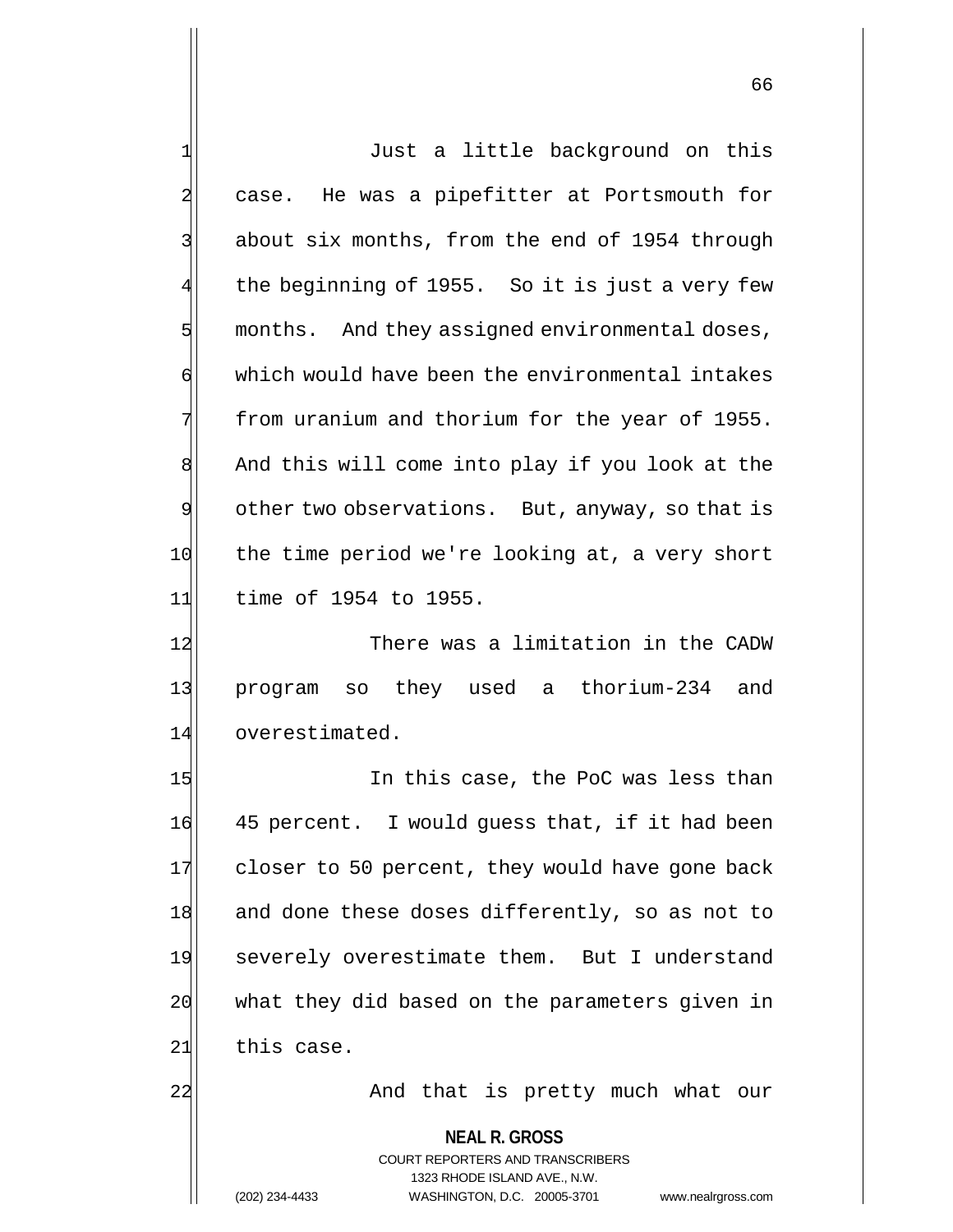**NEAL R. GROSS** COURT REPORTERS AND TRANSCRIBERS 1 Just a little background on this 2 case. He was a pipefitter at Portsmouth for 3 about six months, from the end of 1954 through the beginning of 1955. So it is just a very few  $5$  months. And they assigned environmental doses, 6 which would have been the environmental intakes 7 from uranium and thorium for the year of 1955. 8 And this will come into play if you look at the 9 other two observations. But, anyway, so that is 10 the time period we're looking at, a very short 11 time of 1954 to 1955. 12 There was a limitation in the CADW 13 program so they used a thorium-234 and 14 overestimated. 15 In this case, the PoC was less than 16 45 percent. I would guess that, if it had been 17 closer to 50 percent, they would have gone back 18 and done these doses differently, so as not to 19 severely overestimate them. But I understand 20 what they did based on the parameters given in  $21$  this case. 22| And that is pretty much what our

1323 RHODE ISLAND AVE., N.W.

(202) 234-4433 WASHINGTON, D.C. 20005-3701 www.nealrgross.com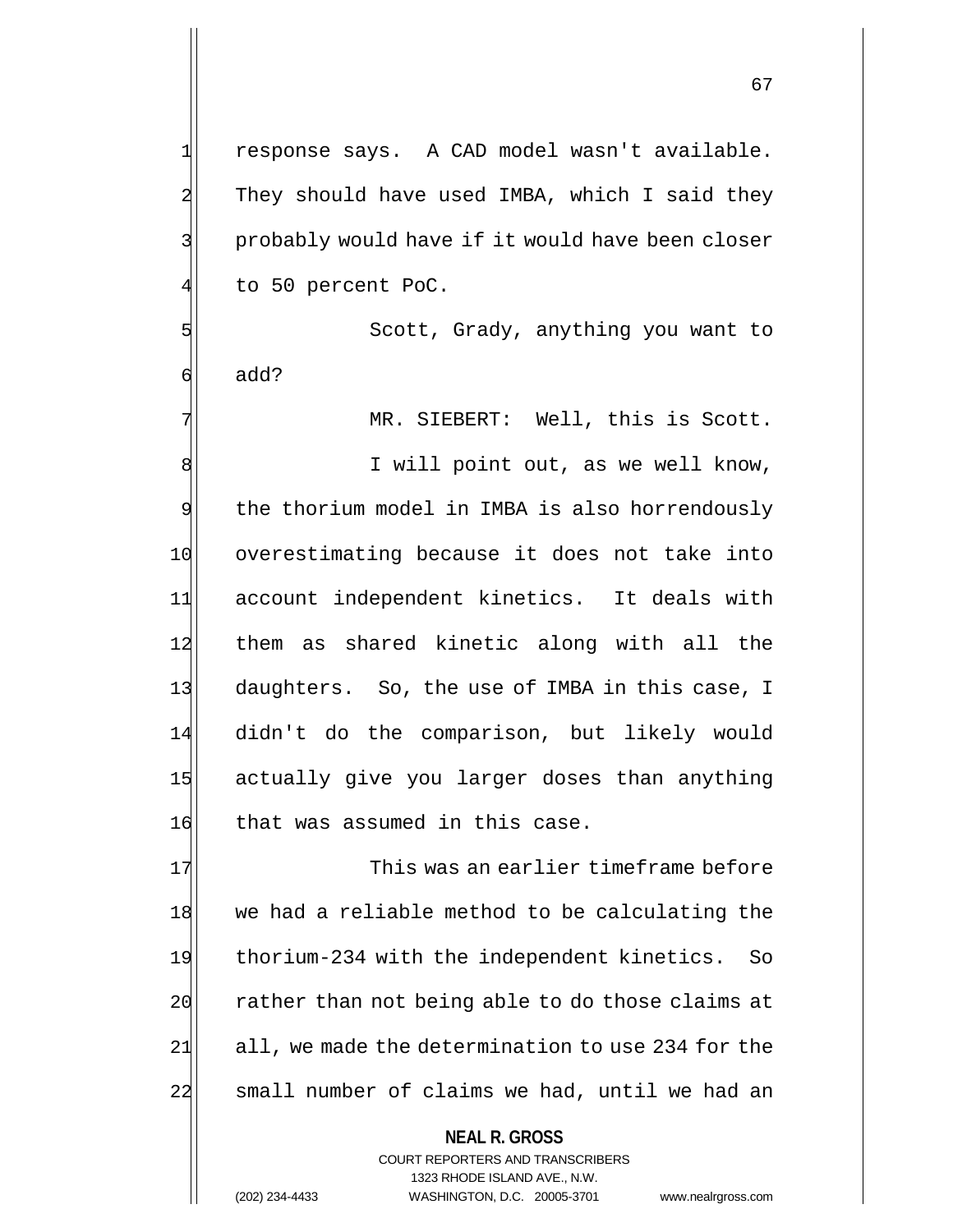1 response says. A CAD model wasn't available. 2 They should have used IMBA, which I said they 3 | show probably would have if it would have been closer to 50 percent PoC.

5 Scott, Grady, anything you want to 6 add?

7 MR. SIEBERT: Well, this is Scott.

8 | I will point out, as we well know, 9 the thorium model in IMBA is also horrendously 10 overestimating because it does not take into 11 account independent kinetics. It deals with 12 them as shared kinetic along with all the 13 daughters. So, the use of IMBA in this case, I 14 didn't do the comparison, but likely would 15 actually give you larger doses than anything 16 that was assumed in this case.

17 This was an earlier timeframe before 18 we had a reliable method to be calculating the 19 thorium-234 with the independent kinetics. So 20 rather than not being able to do those claims at  $21$  all, we made the determination to use 234 for the 22 | small number of claims we had, until we had an

> **NEAL R. GROSS** COURT REPORTERS AND TRANSCRIBERS 1323 RHODE ISLAND AVE., N.W. (202) 234-4433 WASHINGTON, D.C. 20005-3701 www.nealrgross.com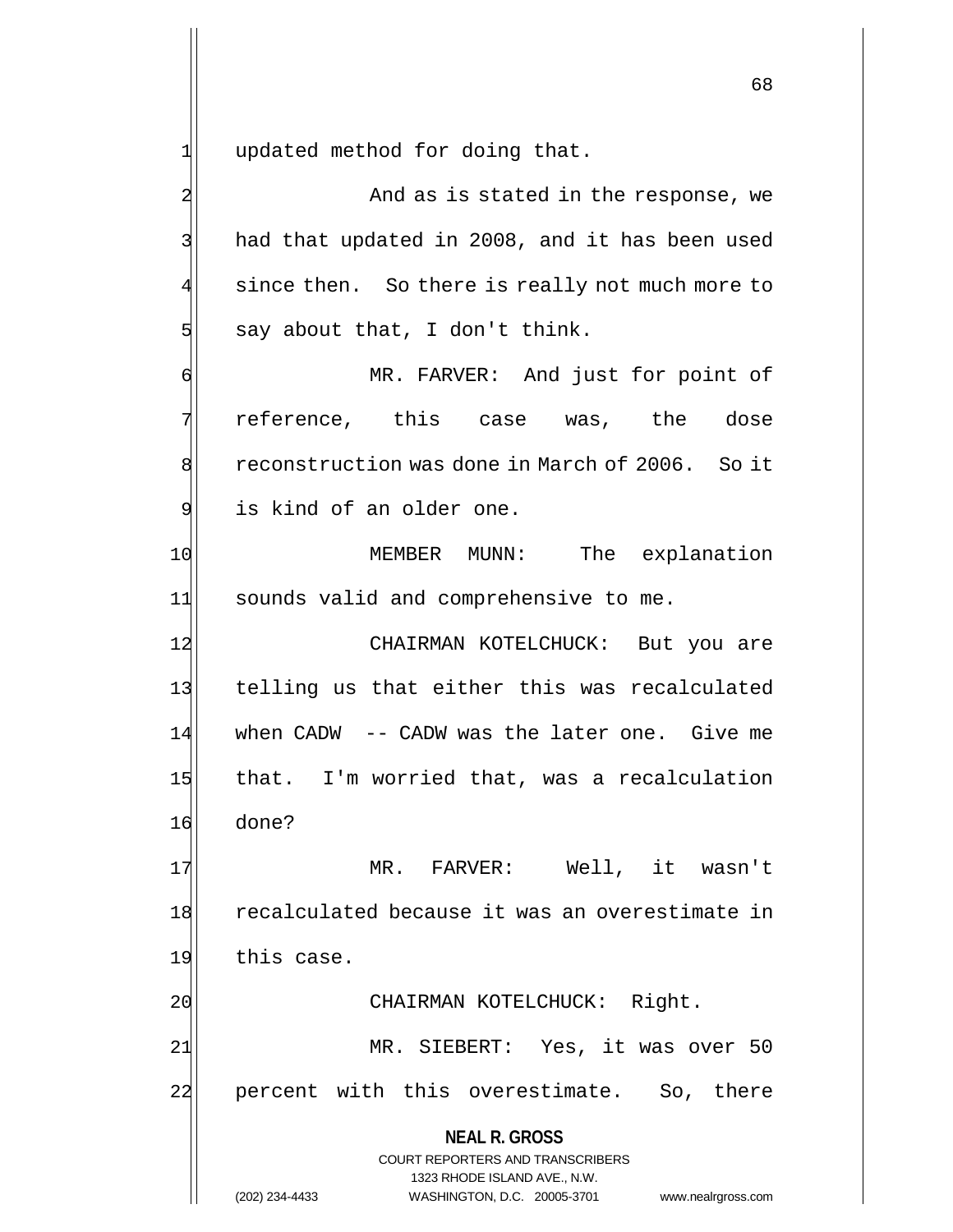$1$  updated method for doing that.

2 And as is stated in the response, we 3 had that updated in 2008, and it has been used 4 since then. So there is really not much more to  $5$  say about that, I don't think. 6 MR. FARVER: And just for point of  $7$  reference, this case was, the dose 8 reconstruction was done in March of 2006. So it 9 is kind of an older one.

10 MEMBER MUNN: The explanation 11 sounds valid and comprehensive to me.

12 CHAIRMAN KOTELCHUCK: But you are 13 telling us that either this was recalculated 14 when CADW -- CADW was the later one. Give me 15 that. I'm worried that, was a recalculation 16 done?

17 MR. FARVER: Well, it wasn't 18 recalculated because it was an overestimate in 19 this case.

20 CHAIRMAN KOTELCHUCK: Right.

21 MR. SIEBERT: Yes, it was over 50 22 percent with this overestimate. So, there

**NEAL R. GROSS**

COURT REPORTERS AND TRANSCRIBERS 1323 RHODE ISLAND AVE., N.W. (202) 234-4433 WASHINGTON, D.C. 20005-3701 www.nealrgross.com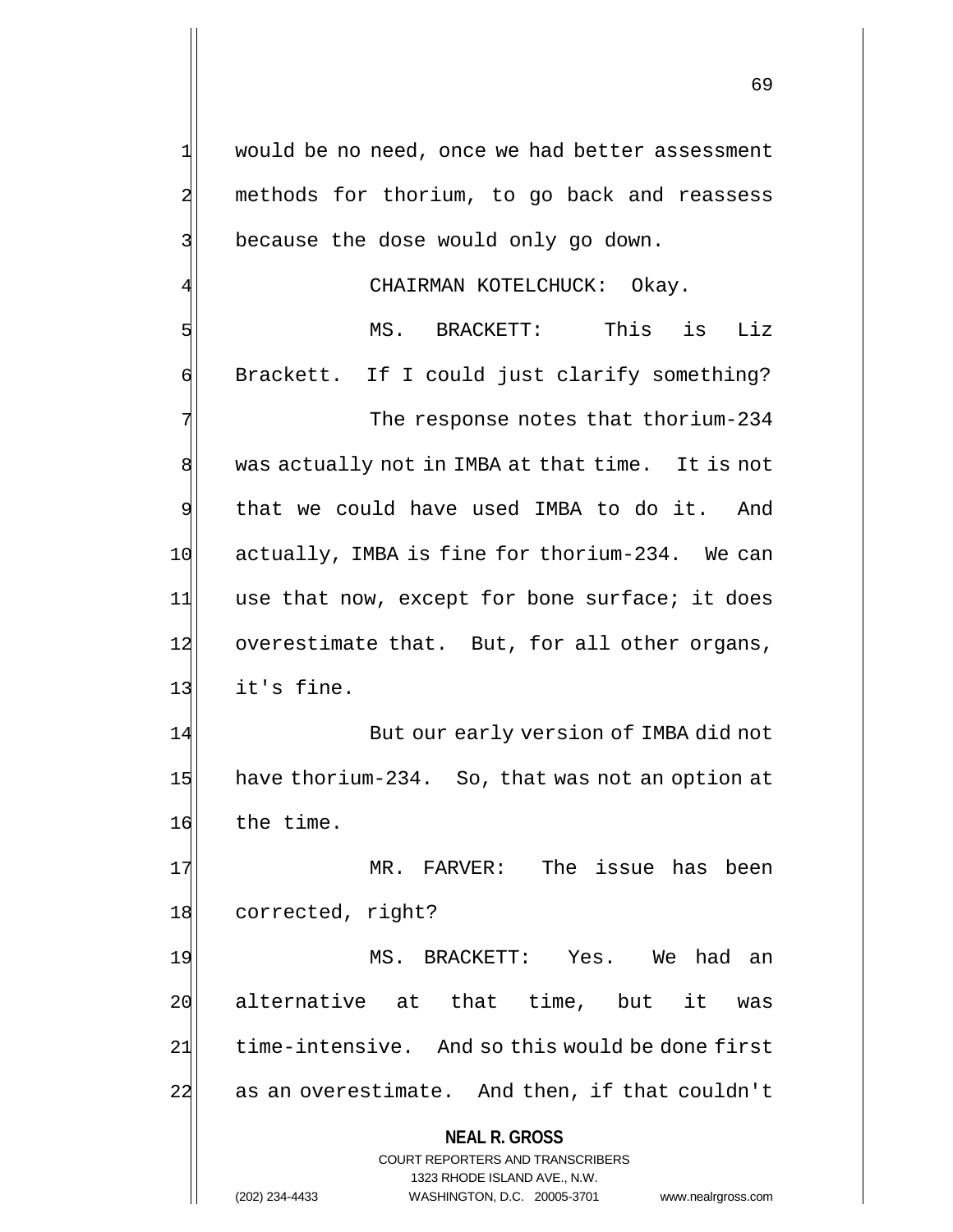**NEAL R. GROSS** COURT REPORTERS AND TRANSCRIBERS 1323 RHODE ISLAND AVE., N.W. 1 would be no need, once we had better assessment 2 methods for thorium, to go back and reassess 3 because the dose would only go down. CHAIRMAN KOTELCHUCK: Okay. 5 September 1985. BRACKETT: This is Liz 6 Brackett. If I could just clarify something? 7 The response notes that thorium-234  $8$  was actually not in IMBA at that time. It is not 9 that we could have used IMBA to do it. And 10 actually, IMBA is fine for thorium-234. We can 11 use that now, except for bone surface; it does 12 overestimate that. But, for all other organs,  $13$  it's fine. 14 But our early version of IMBA did not 15 have thorium-234. So, that was not an option at 16 the time. 17 MR. FARVER: The issue has been 18 corrected, right? 19 MS. BRACKETT: Yes. We had an 20 alternative at that time, but it was 21 time-intensive. And so this would be done first 22 as an overestimate. And then, if that couldn't

(202) 234-4433 WASHINGTON, D.C. 20005-3701 www.nealrgross.com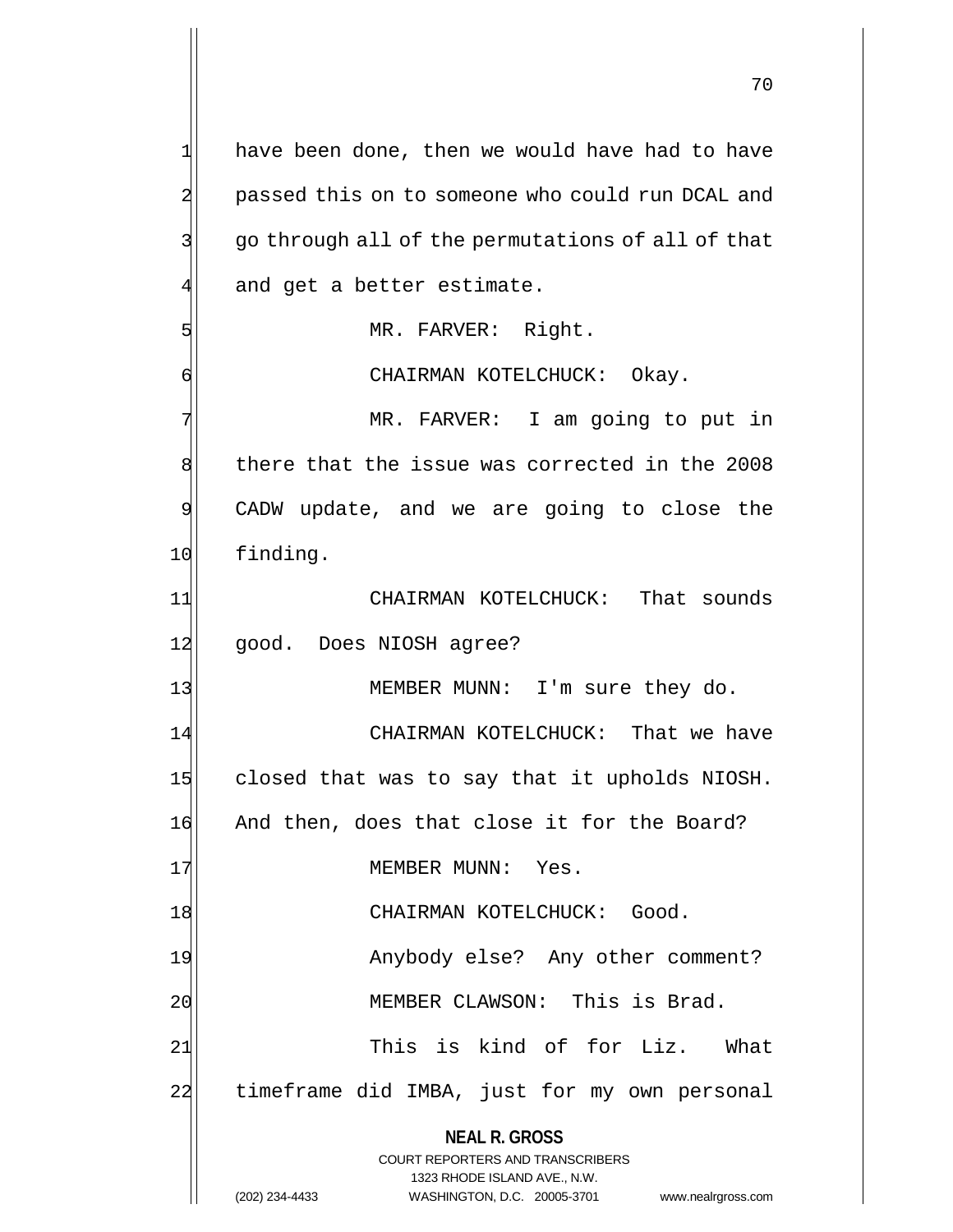**NEAL R. GROSS** COURT REPORTERS AND TRANSCRIBERS 1323 RHODE ISLAND AVE., N.W. (202) 234-4433 WASHINGTON, D.C. 20005-3701 www.nealrgross.com 1 have been done, then we would have had to have 2 passed this on to someone who could run DCAL and 3 go through all of the permutations of all of that  $4$  and get a better estimate. 5 MR. FARVER: Right. 6 CHAIRMAN KOTELCHUCK: Okay. 7 MR. FARVER: I am going to put in 8 there that the issue was corrected in the 2008 9 CADW update, and we are going to close the 10 finding. 11 CHAIRMAN KOTELCHUCK: That sounds 12 good. Does NIOSH agree? 13 MEMBER MUNN: I'm sure they do. 14 CHAIRMAN KOTELCHUCK: That we have 15 closed that was to say that it upholds NIOSH. 16 And then, does that close it for the Board? 17 MEMBER MUNN: Yes. 18 CHAIRMAN KOTELCHUCK: Good. 19 Anybody else? Any other comment? 20 MEMBER CLAWSON: This is Brad. 21 This is kind of for Liz. What 22 timeframe did IMBA, just for my own personal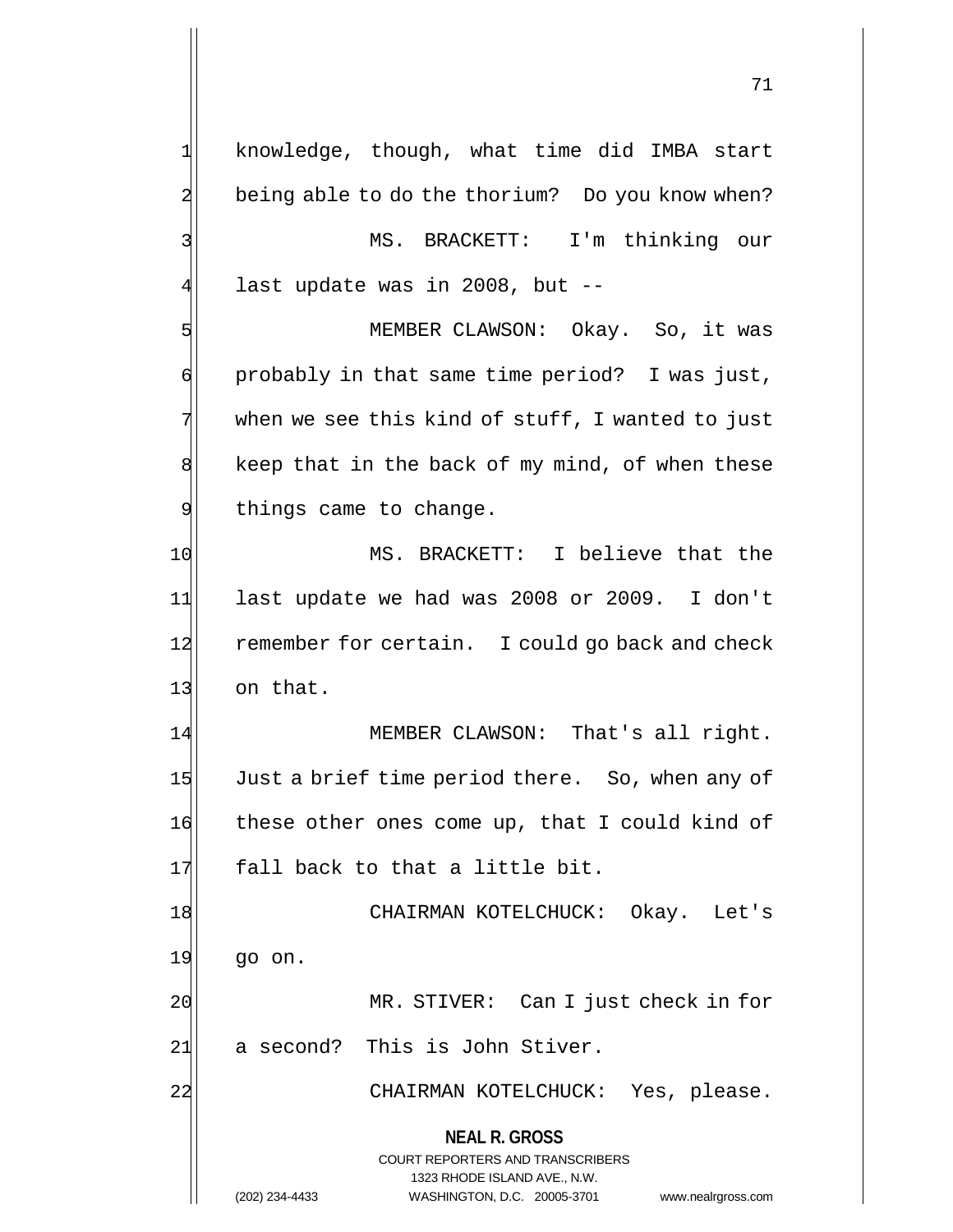**NEAL R. GROSS** COURT REPORTERS AND TRANSCRIBERS 1323 RHODE ISLAND AVE., N.W. (202) 234-4433 WASHINGTON, D.C. 20005-3701 www.nealrgross.com  $1$  knowledge, though, what time did IMBA start 2 being able to do the thorium? Do you know when? 3 | MS. BRACKETT: I'm thinking our 4 last update was in 2008, but --5 MEMBER CLAWSON: Okay. So, it was  $\mathfrak{q}$  probably in that same time period? I was just,  $7$  when we see this kind of  $\text{stuff}$ , I wanted to just  $8$  keep that in the back of my mind, of when these 9 belogier things came to change. 10 MS. BRACKETT: I believe that the 11| last update we had was 2008 or 2009. I don't 12 remember for certain. I could go back and check 13 on that. 14 MEMBER CLAWSON: That's all right. 15 Just a brief time period there. So, when any of 16 these other ones come up, that I could kind of 17 fall back to that a little bit. 18 | CHAIRMAN KOTELCHUCK: Okay. Let's  $19$  go on. 20 MR. STIVER: Can I just check in for 21 a second? This is John Stiver. 22 CHAIRMAN KOTELCHUCK: Yes, please.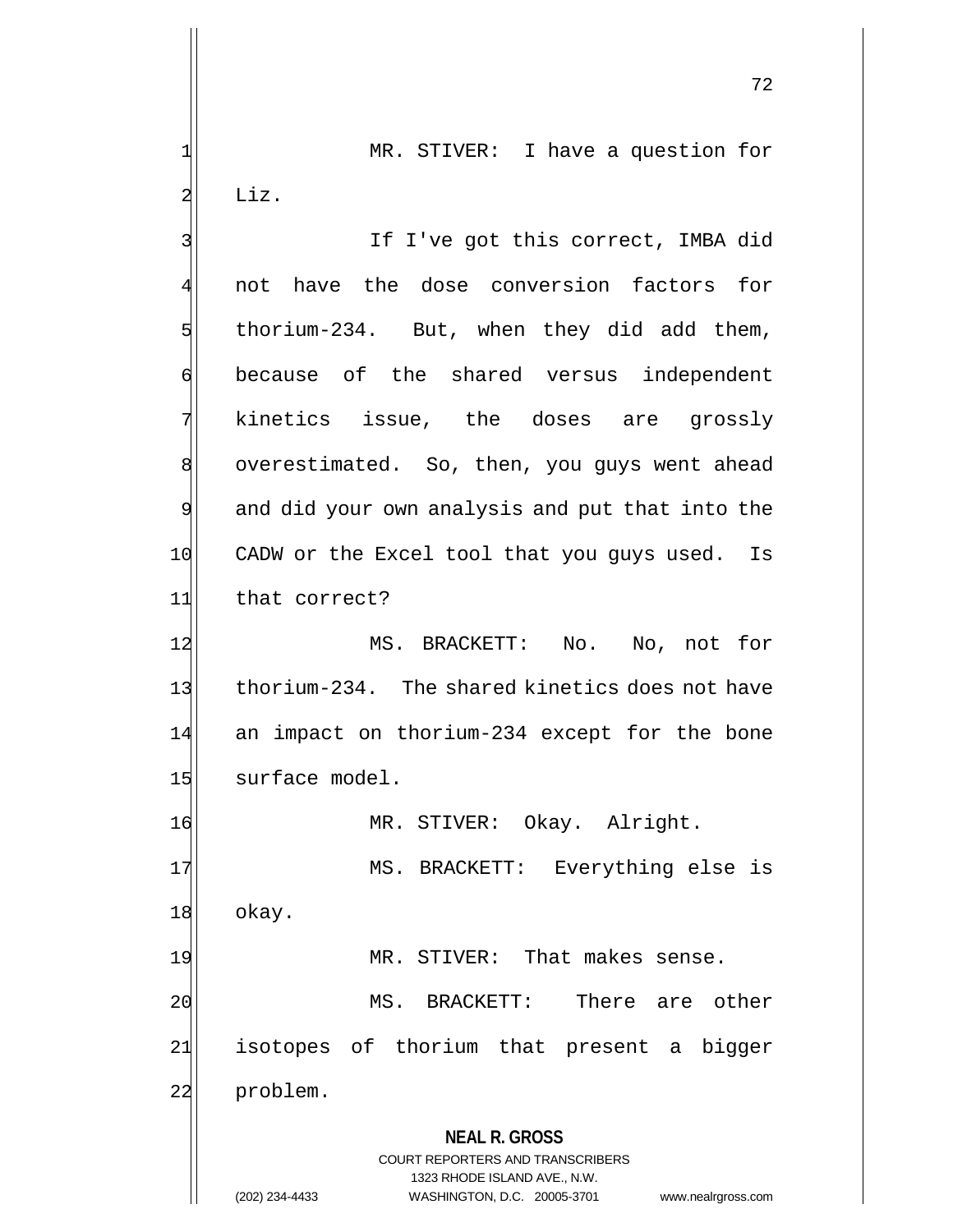1 MR. STIVER: I have a question for  $2$  Liz.

**NEAL R. GROSS** COURT REPORTERS AND TRANSCRIBERS 1323 RHODE ISLAND AVE., N.W. 3 If I've got this correct, IMBA did 4 not have the dose conversion factors for  $5$  thorium-234. But, when they did add them, 6 because of the shared versus independent 7 kinetics issue, the doses are grossly 8 overestimated. So, then, you guys went ahead 9 and did your own analysis and put that into the 10 CADW or the Excel tool that you guys used. Is 11 that correct? 12 MS. BRACKETT: No. No, not for 13 thorium-234. The shared kinetics does not have 14 an impact on thorium-234 except for the bone 15 surface model. 16 MR. STIVER: Okay. Alright. 17 MS. BRACKETT: Everything else is 18 okay. 19 MR. STIVER: That makes sense. 20 MS. BRACKETT: There are other 21 isotopes of thorium that present a bigger 22 problem.

(202) 234-4433 WASHINGTON, D.C. 20005-3701 www.nealrgross.com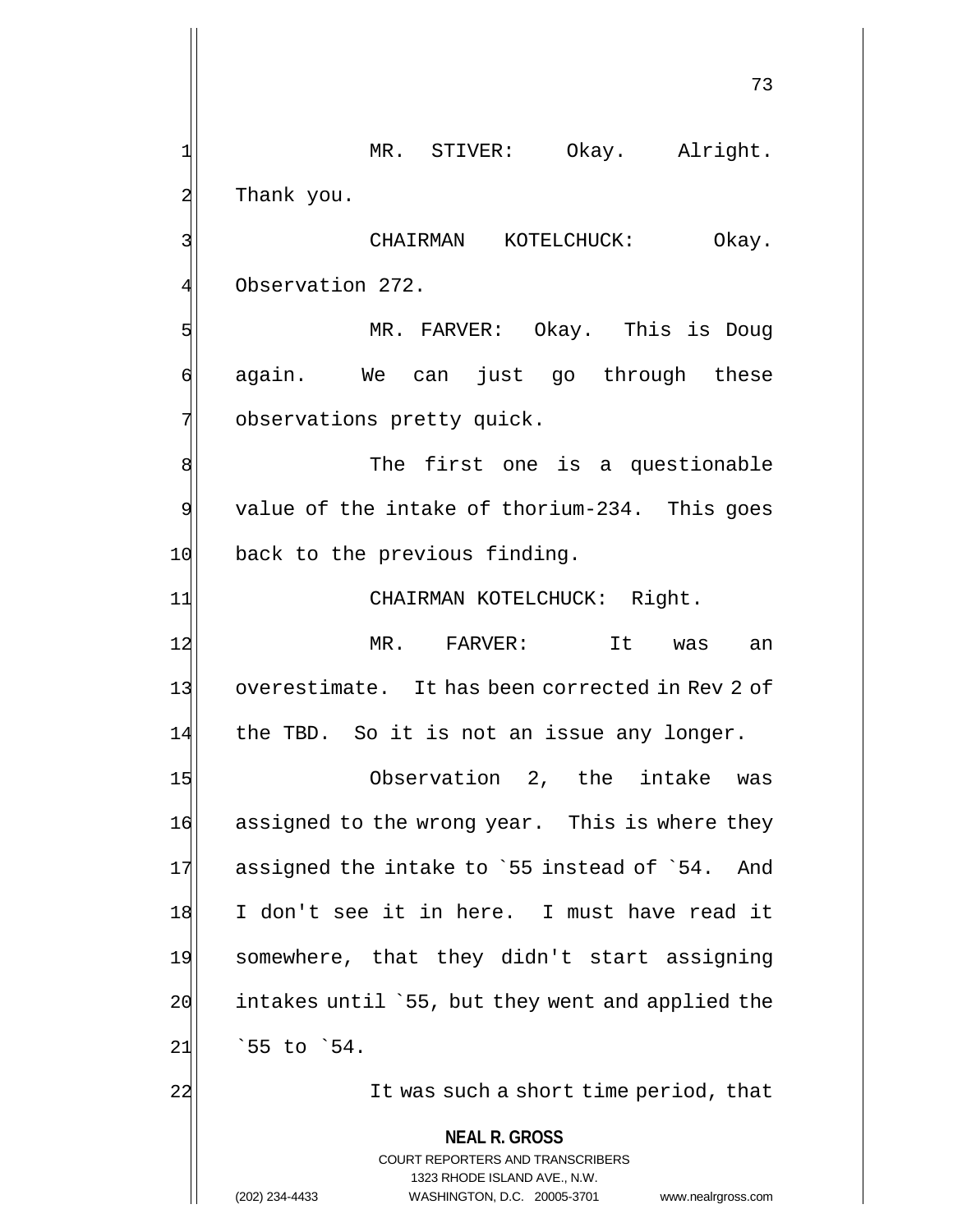**NEAL R. GROSS** COURT REPORTERS AND TRANSCRIBERS 1323 RHODE ISLAND AVE., N.W. 73 1 MR. STIVER: Okay. Alright. 2 Thank you. 3 CHAIRMAN KOTELCHUCK: Okay. 4 Observation 272. 5 MR. FARVER: Okay. This is Doug 6 again. We can just go through these 7 observations pretty quick. 8 8  $9$  value of the intake of thorium-234. This goes 10 back to the previous finding. 11 CHAIRMAN KOTELCHUCK: Right. 12 MR. FARVER: It was an 13 overestimate. It has been corrected in Rev 2 of 14 the TBD. So it is not an issue any longer. 15 Observation 2, the intake was 16 assigned to the wrong year. This is where they  $17$  assigned the intake to `55 instead of `54. And 18 I don't see it in here. I must have read it 19 somewhere, that they didn't start assigning  $20$  intakes until `55, but they went and applied the  $21$   $55$  to  $54$ . 22 22 It was such a short time period, that

(202) 234-4433 WASHINGTON, D.C. 20005-3701 www.nealrgross.com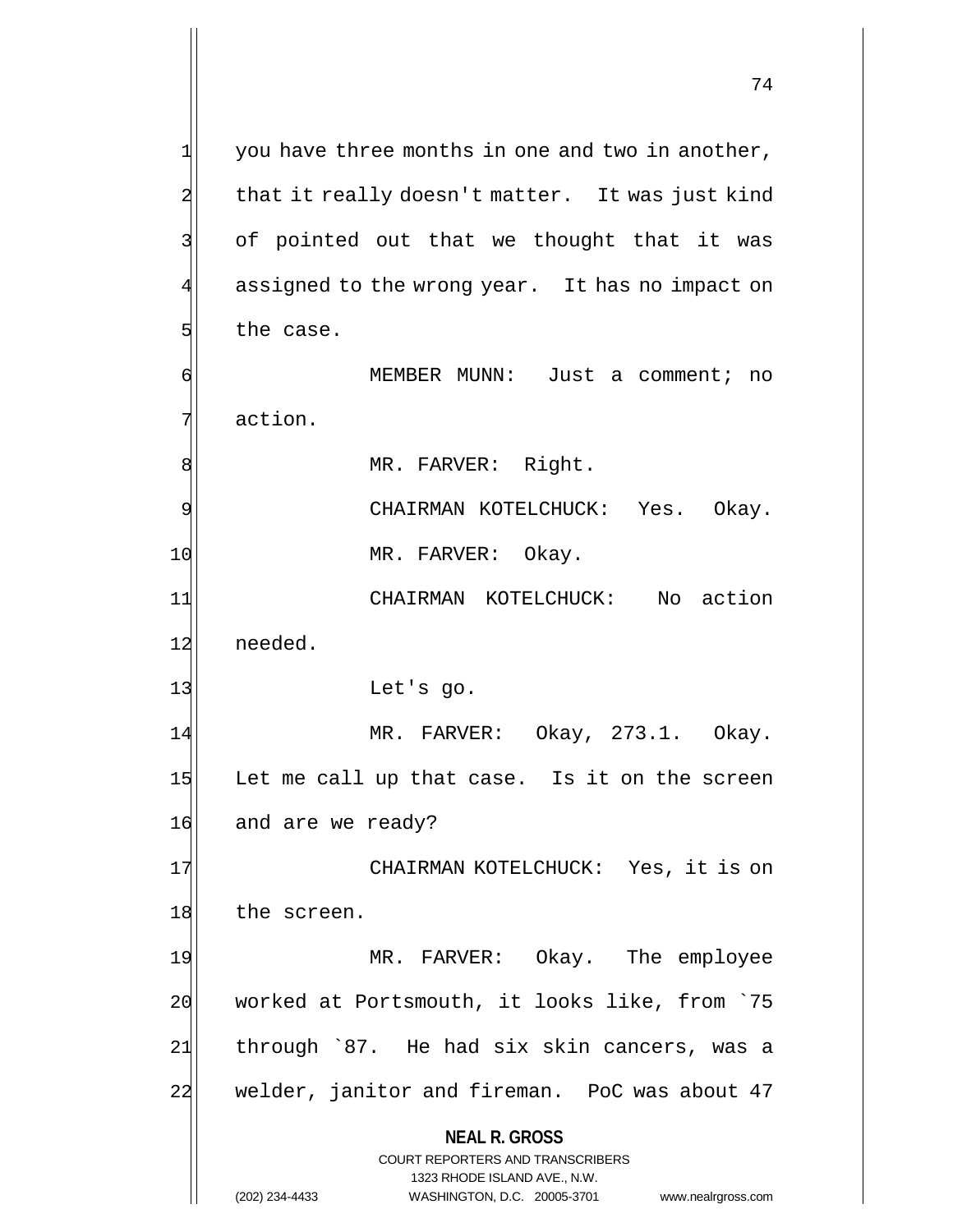**NEAL R. GROSS** COURT REPORTERS AND TRANSCRIBERS 1323 RHODE ISLAND AVE., N.W.  $1$  you have three months in one and two in another,  $2$  that it really doesn't matter. It was just kind 3 of pointed out that we thought that it was 4 assigned to the wrong year. It has no impact on 5 the case. 6 MEMBER MUNN: Just a comment; no 7 action. 8 MR. FARVER: Right. 9 | CHAIRMAN KOTELCHUCK: Yes. Okay. 10 MR. FARVER: Okay. 11 CHAIRMAN KOTELCHUCK: No action 12 needed. 13 Let's go. 14 MR. FARVER: Okay, 273.1. Okay.  $15$  Let me call up that case. Is it on the screen 16 and are we ready? 17 CHAIRMAN KOTELCHUCK: Yes, it is on 18 the screen. 19 MR. FARVER: Okay. The employee 20 worked at Portsmouth, it looks like, from `75 21 through `87. He had six skin cancers, was a 22 welder, janitor and fireman. PoC was about 47

(202) 234-4433 WASHINGTON, D.C. 20005-3701 www.nealrgross.com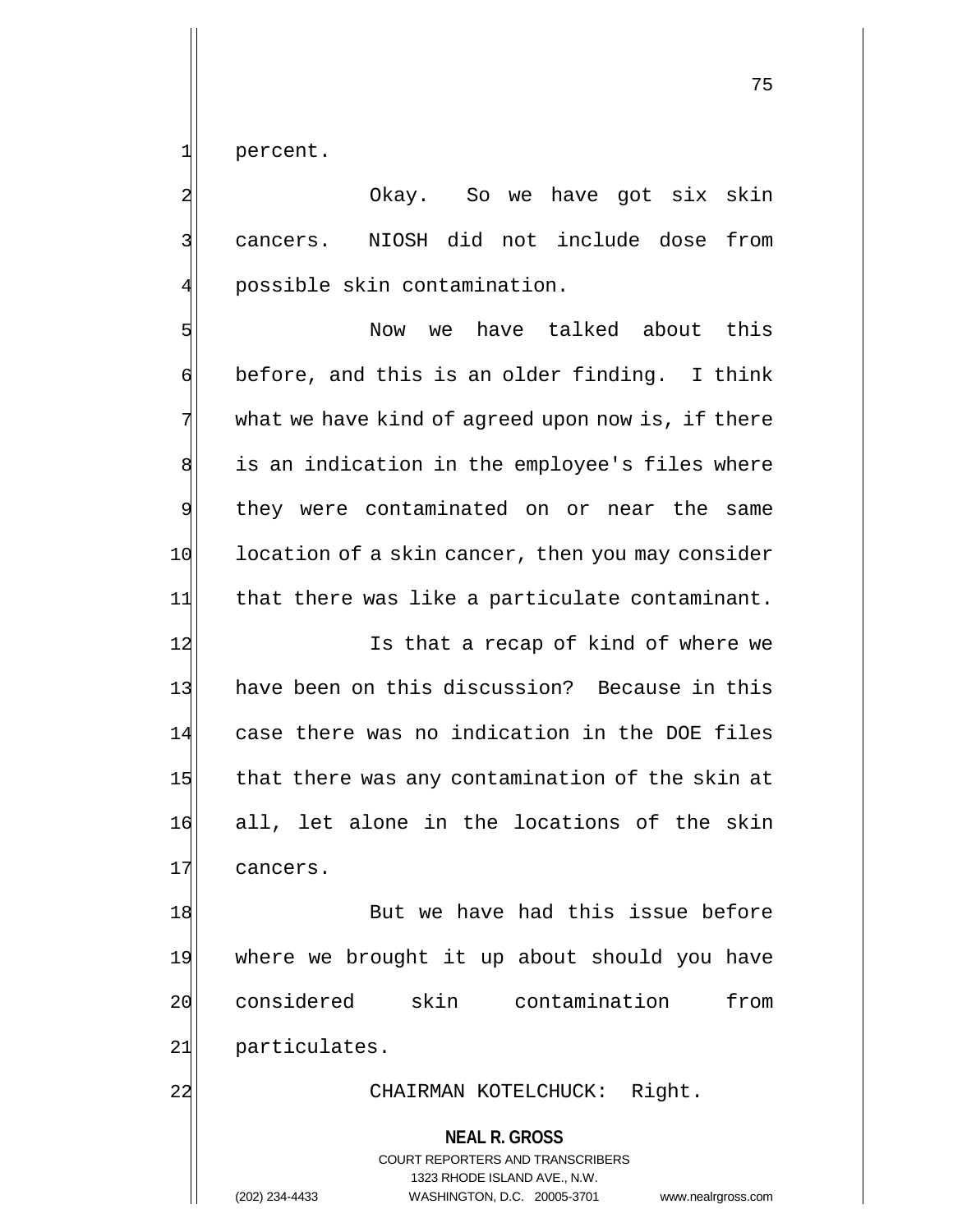1 percent.

2 | Okay. So we have got six skin 3 cancers. NIOSH did not include dose from 4 possible skin contamination.

5 Solution of the Now we have talked about this  $\mathfrak{h}$  before, and this is an older finding. I think 7 what we have kind of agreed upon now is, if there 8 is an indication in the employee's files where 9 they were contaminated on or near the same 10 location of a skin cancer, then you may consider  $11$  that there was like a particulate contaminant.

12 Is that a recap of kind of where we 13 have been on this discussion? Because in this 14 case there was no indication in the DOE files 15 that there was any contamination of the skin at 16 all, let alone in the locations of the skin 17 cancers.

18 But we have had this issue before 19 where we brought it up about should you have 20 considered skin contamination from 21 particulates.

22 CHAIRMAN KOTELCHUCK: Right.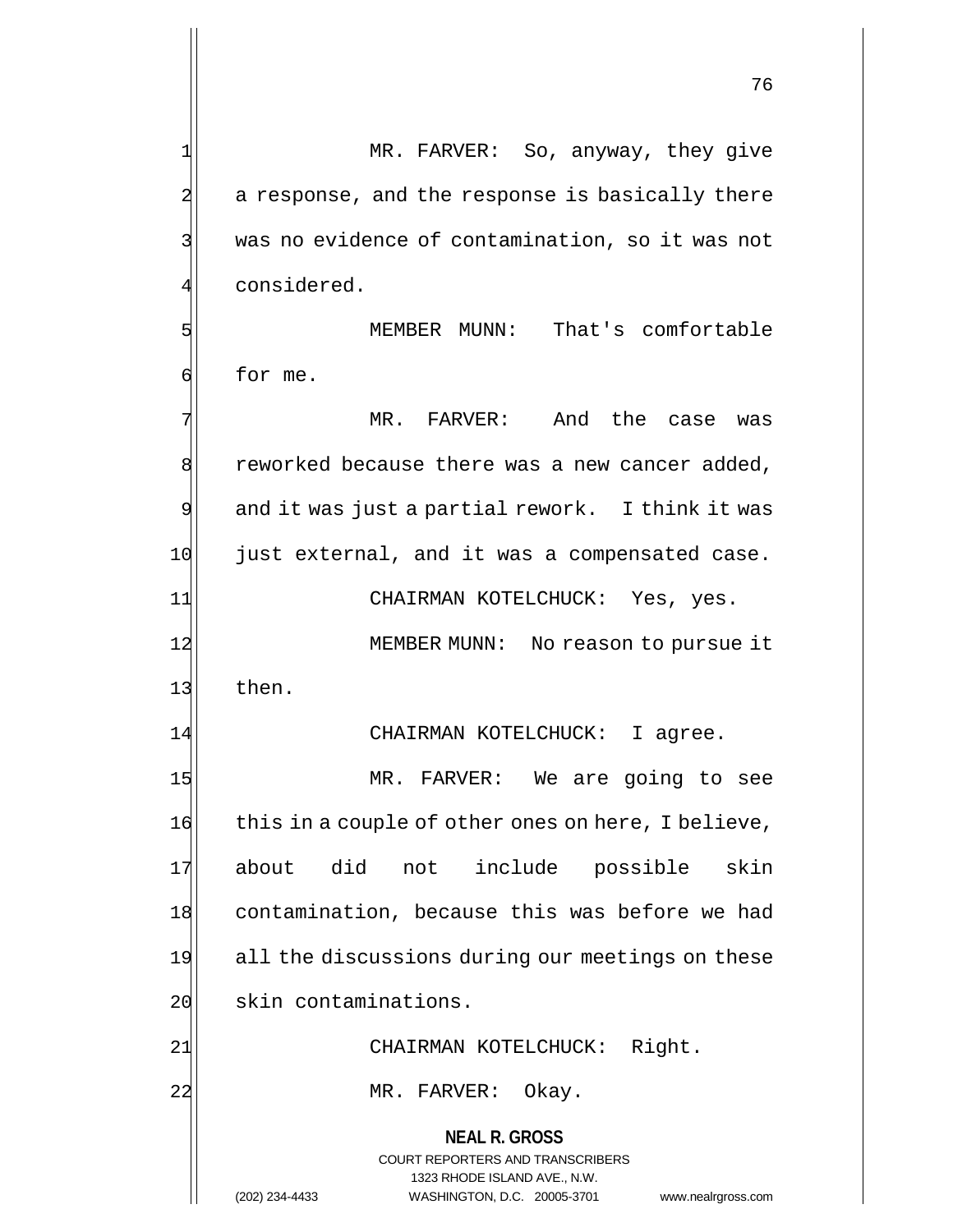2 a response, and the response is basically there 3 was no evidence of contamination, so it was not considered. 5 MEMBER MUNN: That's comfortable 6 for me. 7 MR. FARVER: And the case was 8 reworked because there was a new cancer added, 9 and it was just a partial rework. I think it was 10 just external, and it was a compensated case. 11 CHAIRMAN KOTELCHUCK: Yes, yes. 12 MEMBER MUNN: No reason to pursue it 13 then. 14 CHAIRMAN KOTELCHUCK: I agree. 15 MR. FARVER: We are going to see 16 this in a couple of other ones on here, I believe, 17 about did not include possible skin 18 contamination, because this was before we had

1 MR. FARVER: So, anyway, they give

20 skin contaminations.

21| CHAIRMAN KOTELCHUCK: Right.

22 MR. FARVER: Okay.

19 all the discussions during our meetings on these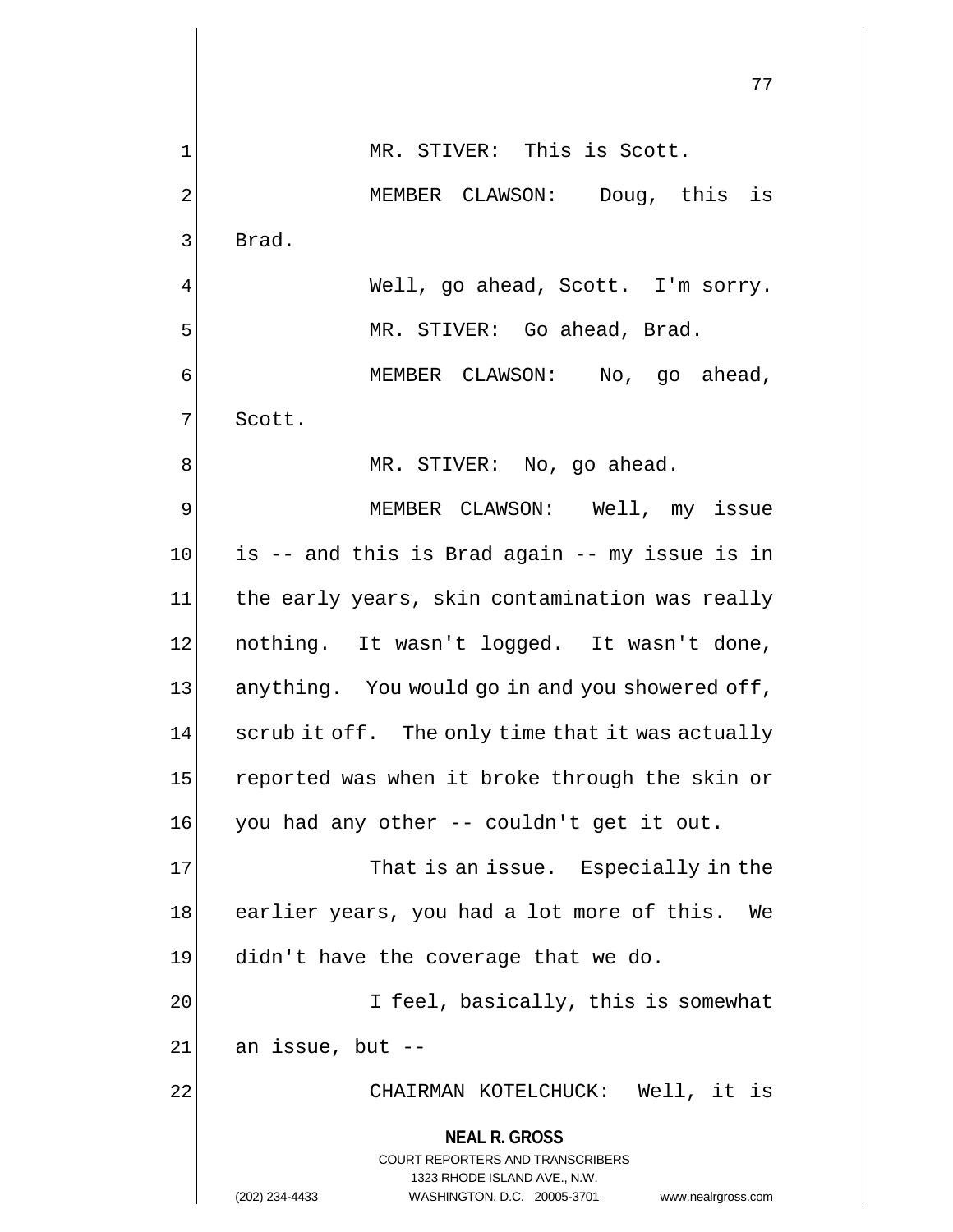1| MR. STIVER: This is Scott.

77

2 MEMBER CLAWSON: Doug, this is 3 Brad. Well, go ahead, Scott. I'm sorry.

6 MEMBER CLAWSON: No, go ahead, 7 Scott.

5 MR. STIVER: Go ahead, Brad.

8 MR. STIVER: No, go ahead.

9 MEMBER CLAWSON: Well, my issue 10 is -- and this is Brad again -- my issue is in 11 the early years, skin contamination was really 12 nothing. It wasn't logged. It wasn't done, 13 anything. You would go in and you showered off, 14 scrub it off. The only time that it was actually 15 reported was when it broke through the skin or 16 you had any other -- couldn't get it out.

17 That is an issue. Especially in the 18 earlier years, you had a lot more of this. We 19 didn't have the coverage that we do.

20 I feel, basically, this is somewhat  $21$  an issue, but  $-$ 

22 | CHAIRMAN KOTELCHUCK: Well, it is

# **NEAL R. GROSS**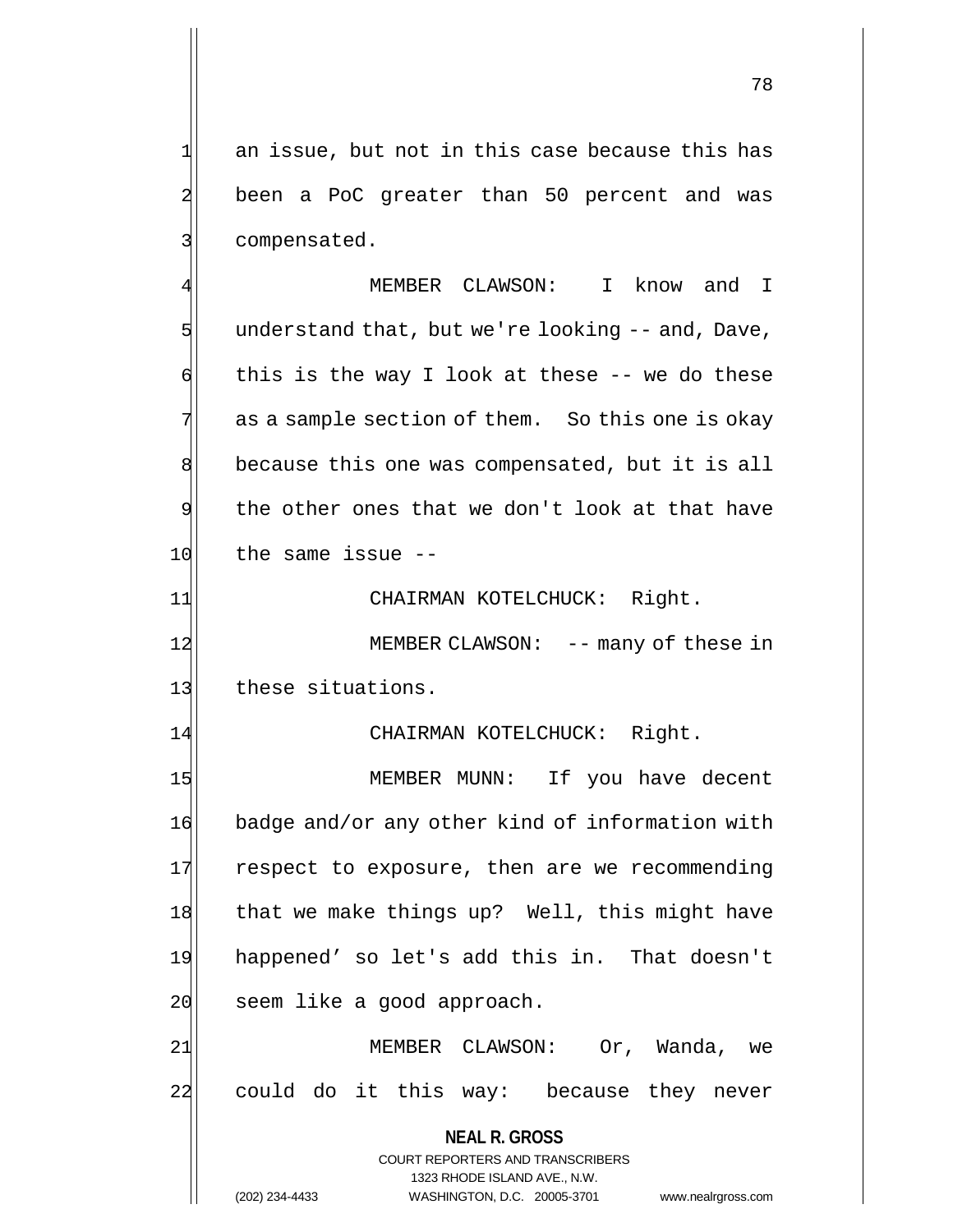$1$  an issue, but not in this case because this has 2 been a PoC greater than 50 percent and was 3 3 compensated.

MEMBER CLAWSON: I know and I  $5$  understand that, but we're looking  $-$  and, Dave,  $\mathfrak{g}$  this is the way I look at these -- we do these  $7$  as a sample section of them. So this one is okay 8 because this one was compensated, but it is all 9 the other ones that we don't look at that have  $10$  the same issue  $-$ 

11| CHAIRMAN KOTELCHUCK: Right.

12 MEMBER CLAWSON: -- many of these in 13 these situations.

14 CHAIRMAN KOTELCHUCK: Right.

15 MEMBER MUNN: If you have decent 16 badge and/or any other kind of information with 17 respect to exposure, then are we recommending 18 that we make things up? Well, this might have 19 happened' so let's add this in. That doesn't 20 seem like a good approach.

21 | MEMBER CLAWSON: Or, Wanda, we 22 could do it this way: because they never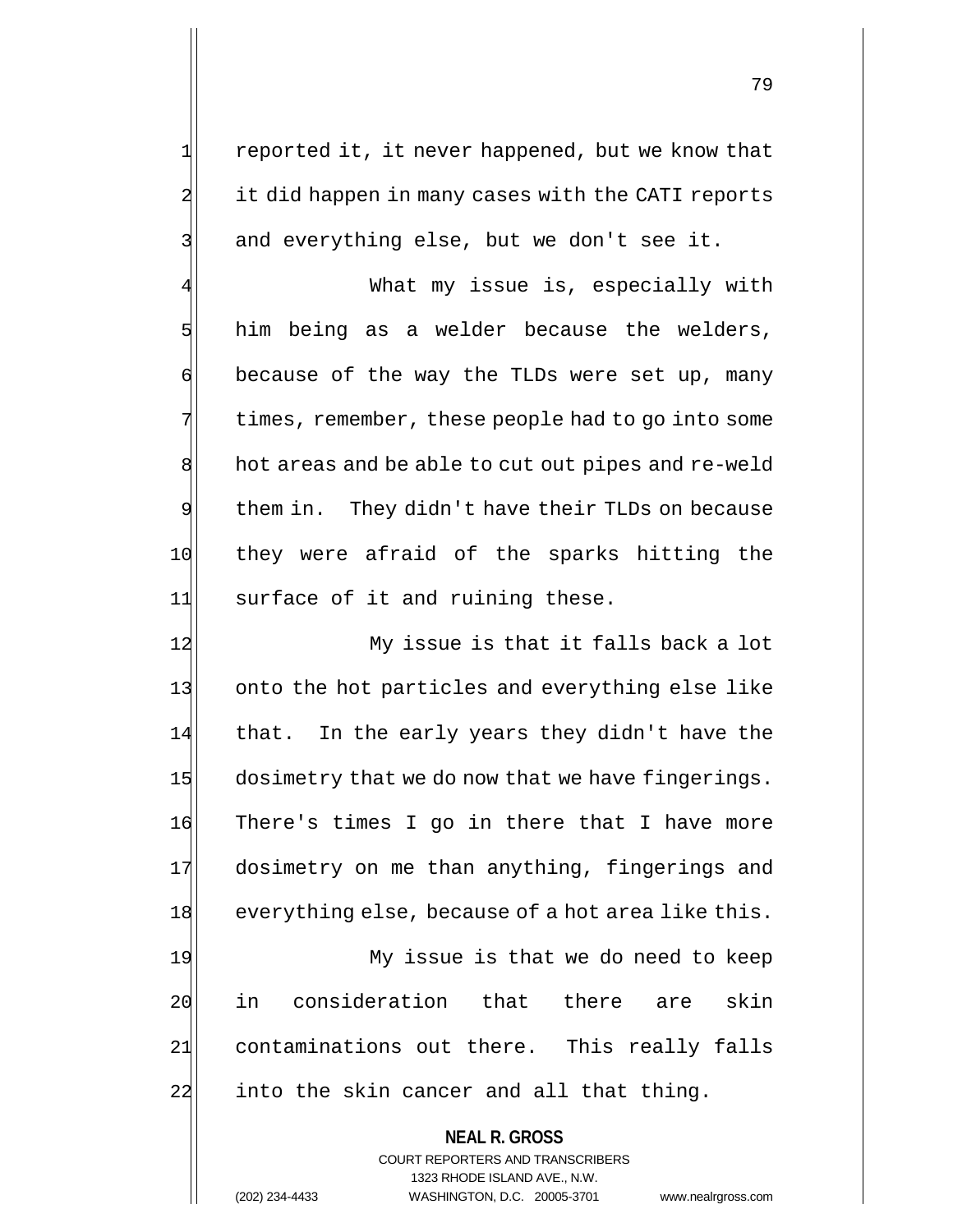1 reported it, it never happened, but we know that 2 it did happen in many cases with the CATI reports  $3$  and everything else, but we don't see it.

What my issue is, especially with  $5$  him being as a welder because the welders,  $\left| \cdot \right|$  because of the way the TLDs were set up, many 7 times, remember, these people had to go into some 8 hot areas and be able to cut out pipes and re-weld  $9$  them in. They didn't have their TLDs on because 10 they were afraid of the sparks hitting the 11 surface of it and ruining these.

12 My issue is that it falls back a lot 13 onto the hot particles and everything else like 14 that. In the early years they didn't have the 15 dosimetry that we do now that we have fingerings. 16 There's times I go in there that I have more 17 dosimetry on me than anything, fingerings and 18 everything else, because of a hot area like this.

19 My issue is that we do need to keep 20 in consideration that there are skin 21 contaminations out there. This really falls 22 into the skin cancer and all that thing.

> **NEAL R. GROSS** COURT REPORTERS AND TRANSCRIBERS 1323 RHODE ISLAND AVE., N.W. (202) 234-4433 WASHINGTON, D.C. 20005-3701 www.nealrgross.com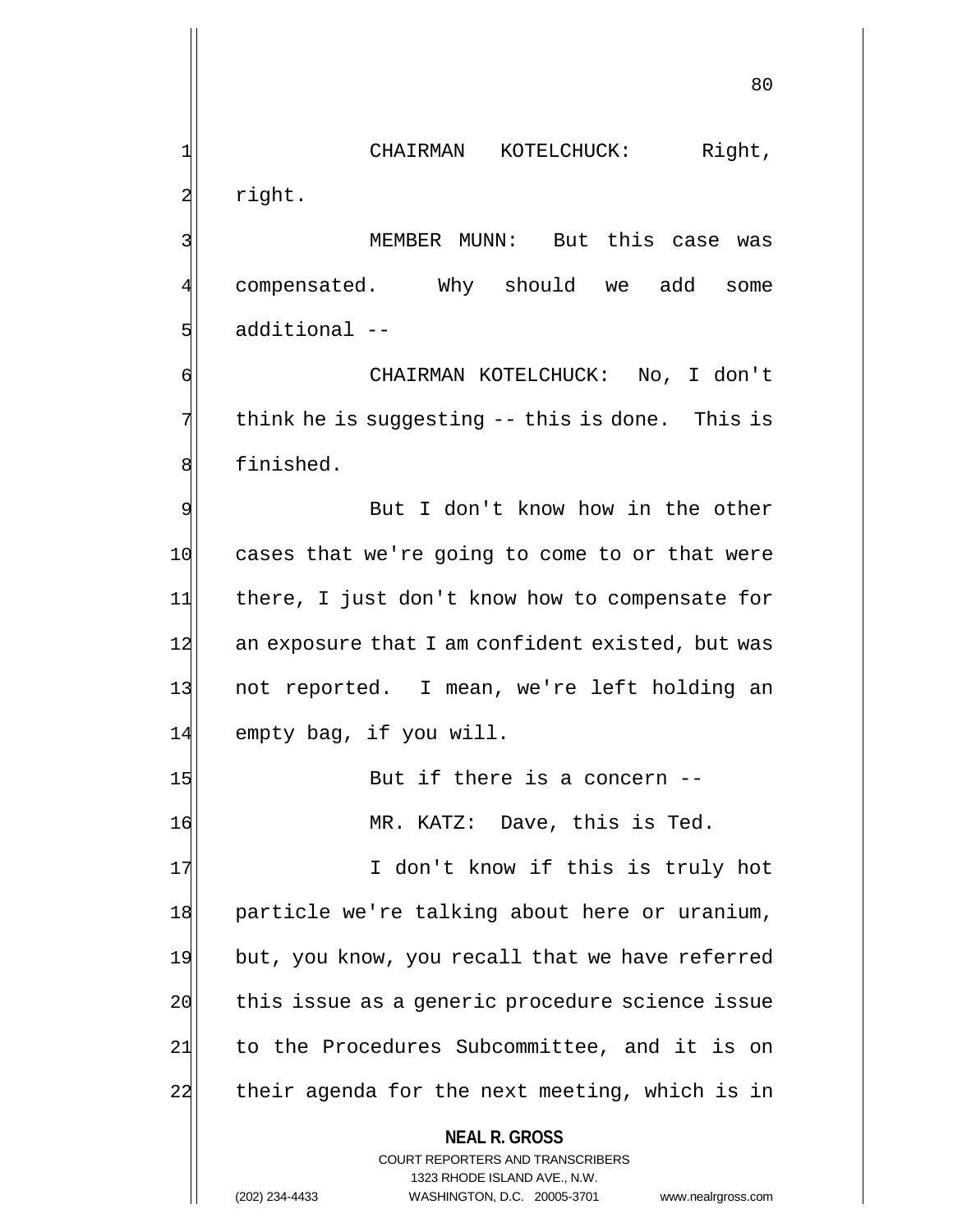1 CHAIRMAN KOTELCHUCK: Right, 2 right.

3 | MEMBER MUNN: But this case was 4 compensated. Why should we add some 5 | sdditional --

6 CHAIRMAN KOTELCHUCK: No, I don't  $7$  think he is suggesting -- this is done. This is 8 | finished.

9 But I don't know how in the other 10 cases that we're going to come to or that were 11 there, I just don't know how to compensate for 12 an exposure that I am confident existed, but was 13 not reported. I mean, we're left holding an 14 empty bag, if you will.

15 But if there is a concern --16 MR. KATZ: Dave, this is Ted.

17 I don't know if this is truly hot 18 particle we're talking about here or uranium, 19 but, you know, you recall that we have referred 20 this issue as a generic procedure science issue 21 to the Procedures Subcommittee, and it is on 22 their agenda for the next meeting, which is in

#### **NEAL R. GROSS**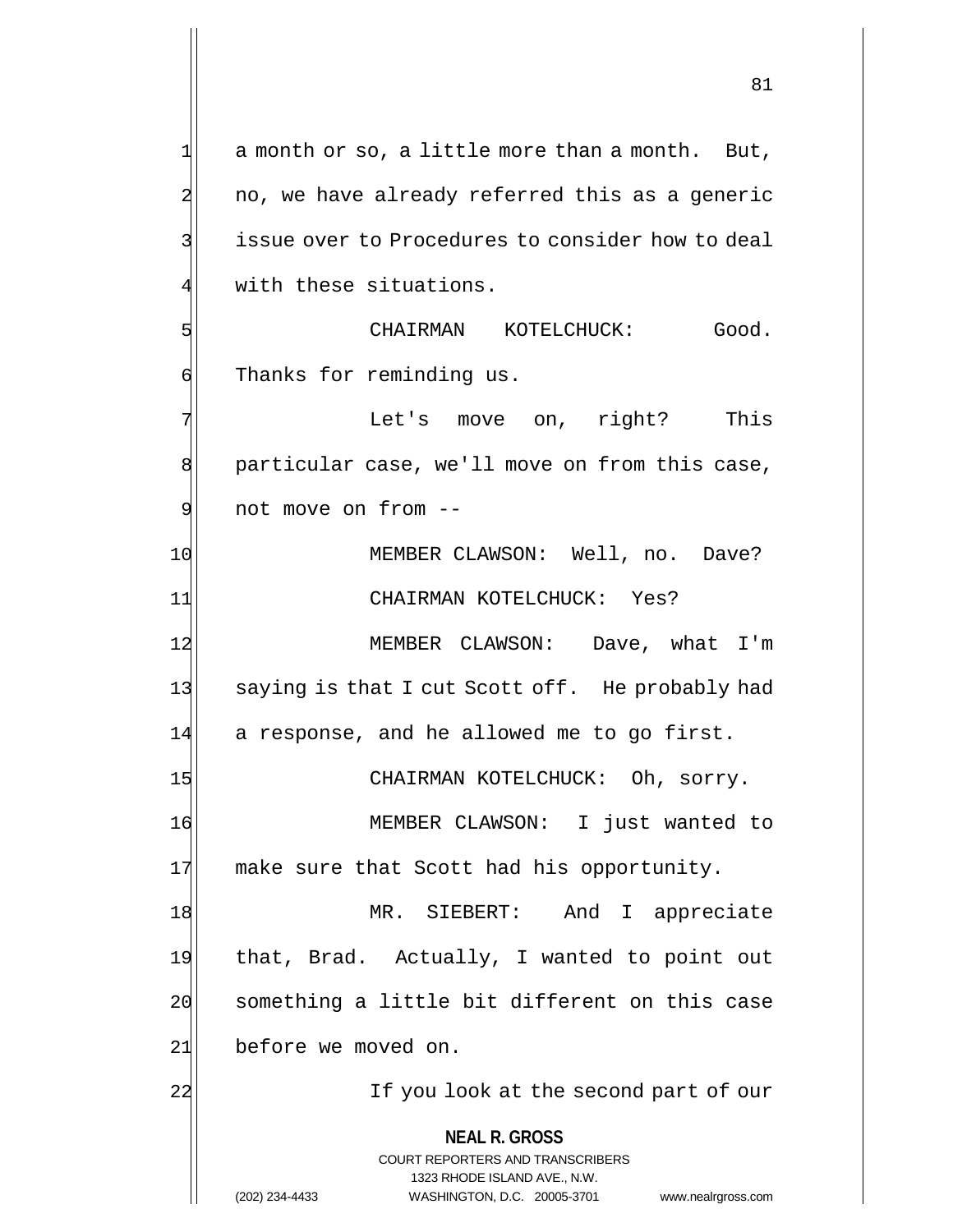**NEAL R. GROSS** COURT REPORTERS AND TRANSCRIBERS 1323 RHODE ISLAND AVE., N.W. (202) 234-4433 WASHINGTON, D.C. 20005-3701 www.nealrgross.com  $1$  a month or so, a little more than a month. But, 2 no, we have already referred this as a generic 3 3 issue over to Procedures to consider how to deal with these situations. 5 CHAIRMAN KOTELCHUCK: Good. 6 | Thanks for reminding us. 7 This in the Let's move on, right? This 8 particular case, we'll move on from this case, 9 not move on from --10 MEMBER CLAWSON: Well, no. Dave? 11 CHAIRMAN KOTELCHUCK: Yes? 12 MEMBER CLAWSON: Dave, what I'm 13 saying is that I cut Scott off. He probably had 14 a response, and he allowed me to go first. 15 CHAIRMAN KOTELCHUCK: Oh, sorry. 16 MEMBER CLAWSON: I just wanted to 17 make sure that Scott had his opportunity. 18 MR. SIEBERT: And I appreciate 19 that, Brad. Actually, I wanted to point out 20 something a little bit different on this case 21 before we moved on. 22 22 If you look at the second part of our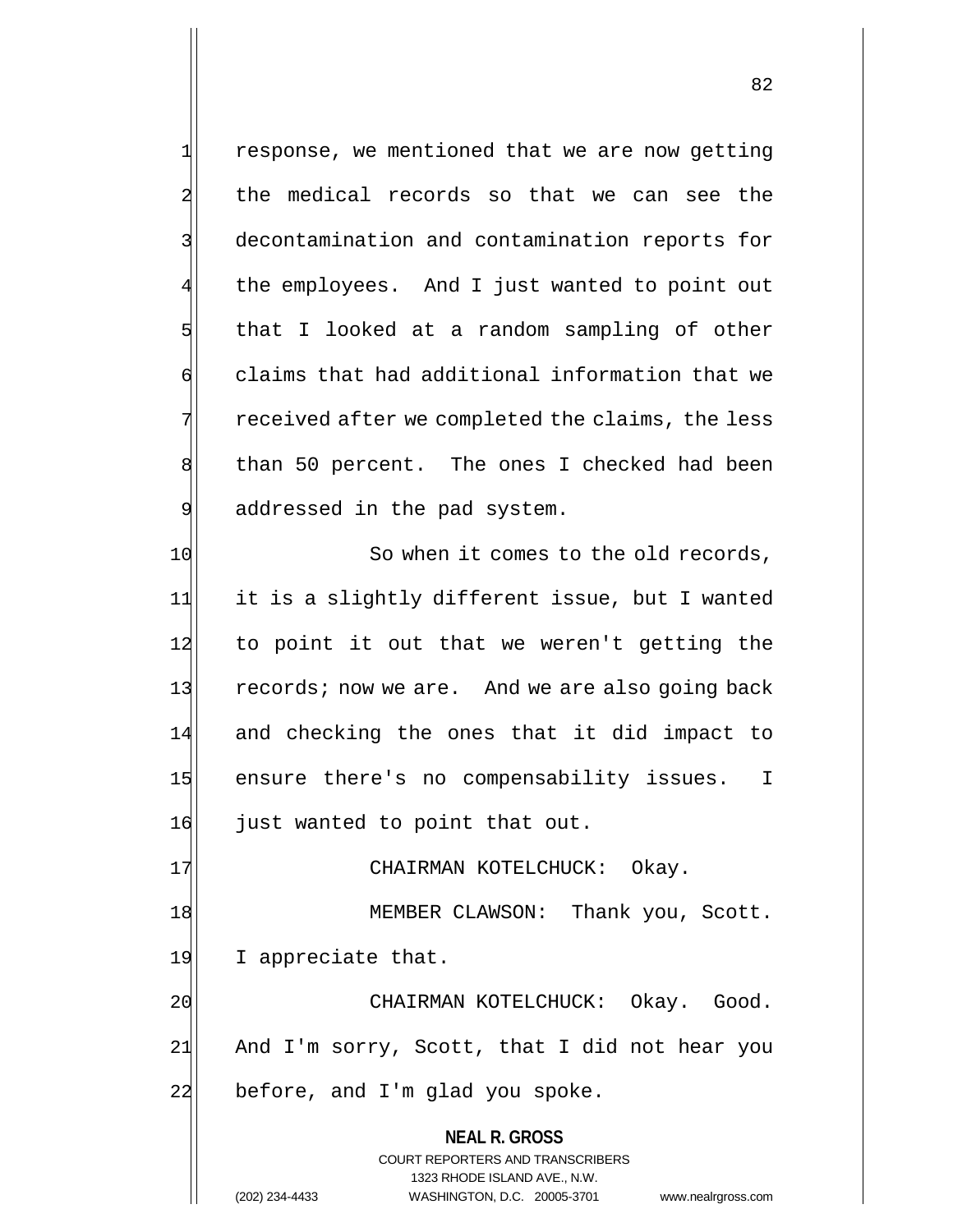1 response, we mentioned that we are now getting 2 the medical records so that we can see the 3 decontamination and contamination reports for the employees. And I just wanted to point out  $5$  that I looked at a random sampling of other 6 6 6 claims that had additional information that we  $7$  received after we completed the claims, the less 8 than 50 percent. The ones I checked had been 9 addressed in the pad system. 10 So when it comes to the old records, 11 it is a slightly different issue, but I wanted 12 to point it out that we weren't getting the 13 records; now we are. And we are also going back 14 and checking the ones that it did impact to 15 ensure there's no compensability issues. I 16 just wanted to point that out. 17 CHAIRMAN KOTELCHUCK: Okay. 18 MEMBER CLAWSON: Thank you, Scott. 19 I appreciate that.

20 CHAIRMAN KOTELCHUCK: Okay. Good. 21 And I'm sorry, Scott, that I did not hear you  $22$  before, and I'm glad you spoke.

> **NEAL R. GROSS** COURT REPORTERS AND TRANSCRIBERS 1323 RHODE ISLAND AVE., N.W. (202) 234-4433 WASHINGTON, D.C. 20005-3701 www.nealrgross.com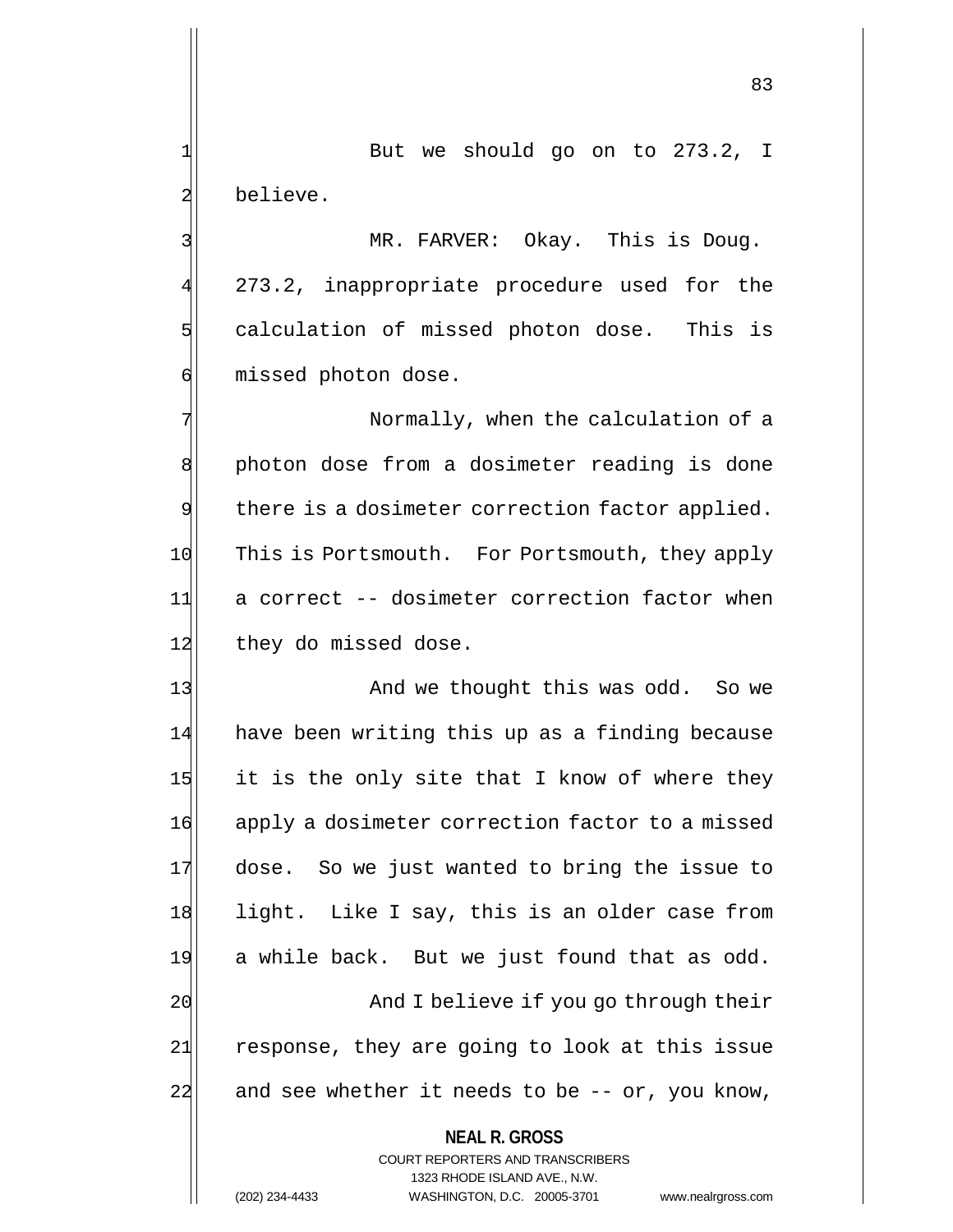$1$  But we should go on to 273.2, I 2 believe.

3 MR. FARVER: Okay. This is Doug. 273.2, inappropriate procedure used for the 5 calculation of missed photon dose. This is 6 missed photon dose.

7 Normally, when the calculation of a 8 | photon dose from a dosimeter reading is done  $9$  there is a dosimeter correction factor applied. 10 This is Portsmouth. For Portsmouth, they apply 11 a correct -- dosimeter correction factor when 12 they do missed dose.

13 And we thought this was odd. So we 14 have been writing this up as a finding because  $15$  it is the only site that I know of where they 16 apply a dosimeter correction factor to a missed 17 dose. So we just wanted to bring the issue to 18 light. Like I say, this is an older case from 19 a while back. But we just found that as odd. 20 and I believe if you go through their 21 response, they are going to look at this issue 22 and see whether it needs to be  $-$ - or, you know,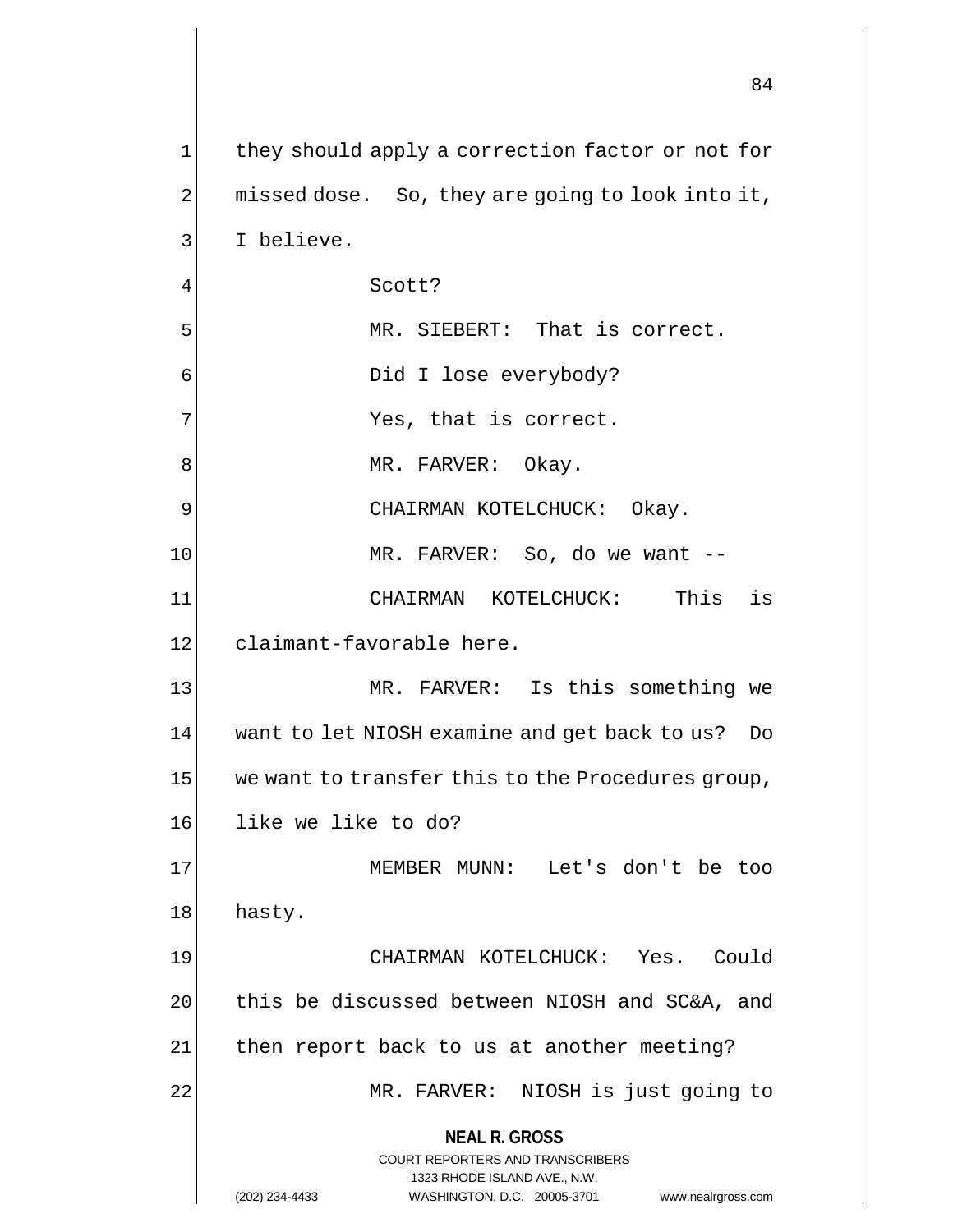**NEAL R. GROSS** COURT REPORTERS AND TRANSCRIBERS 1323 RHODE ISLAND AVE., N.W. (202) 234-4433 WASHINGTON, D.C. 20005-3701 www.nealrgross.com 1 they should apply a correction factor or not for  $2$  missed dose. So, they are going to look into it, 3 I believe. Scott? 5 MR. SIEBERT: That is correct. 6 | Oid I lose everybody?  $7$   $\frac{7}{1}$ 8 MR. FARVER: Okay. 9 | CHAIRMAN KOTELCHUCK: Okay. 10 MR. FARVER: So, do we want --11 CHAIRMAN KOTELCHUCK: This is 12 claimant-favorable here. 13 MR. FARVER: Is this something we 14 want to let NIOSH examine and get back to us? Do  $15$  we want to transfer this to the Procedures group, 16 like we like to do? 17 MEMBER MUNN: Let's don't be too 18 hasty. 19 CHAIRMAN KOTELCHUCK: Yes. Could 20 this be discussed between NIOSH and SC&A, and 21 then report back to us at another meeting? 22 MR. FARVER: NIOSH is just going to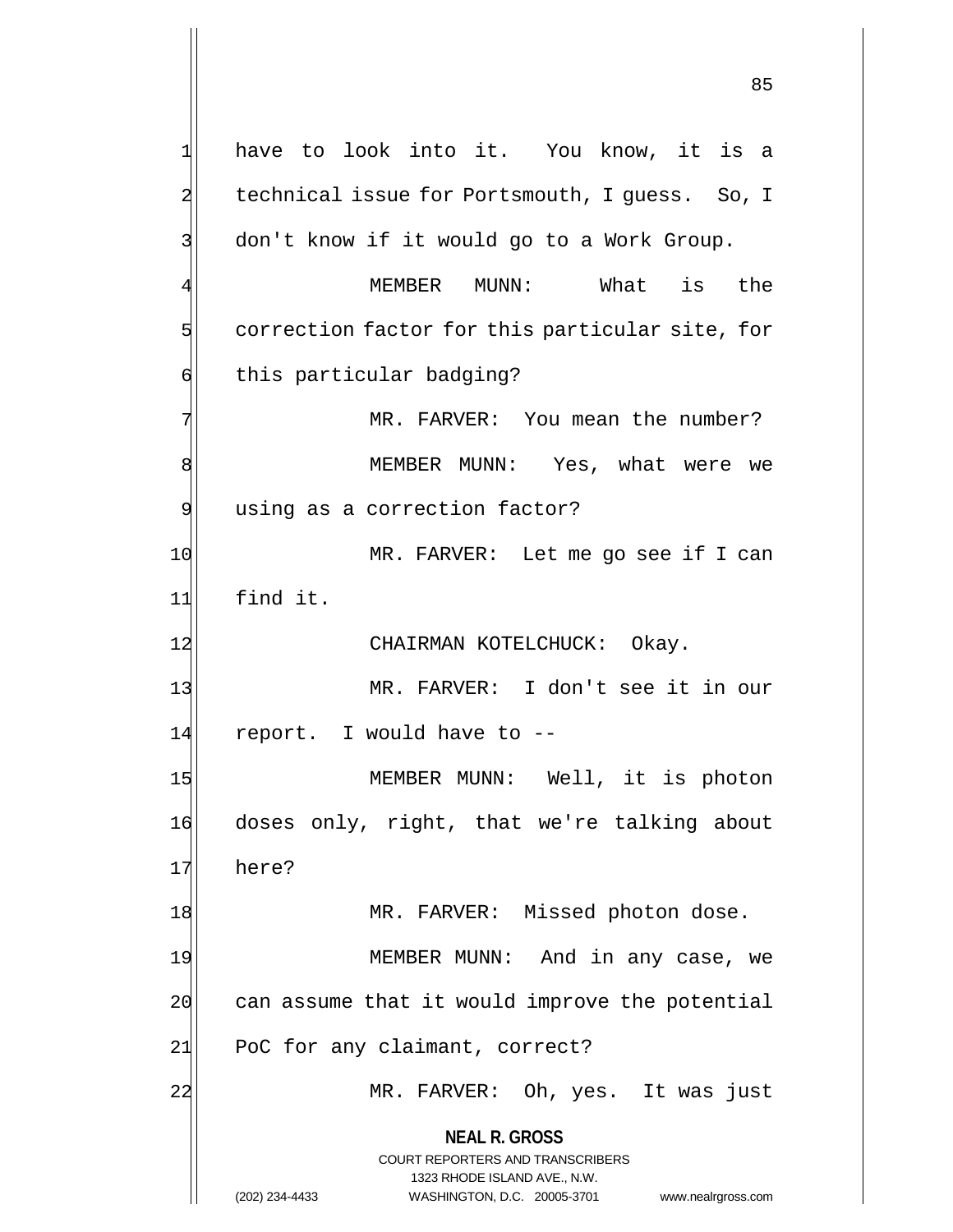**NEAL R. GROSS** COURT REPORTERS AND TRANSCRIBERS 1323 RHODE ISLAND AVE., N.W. (202) 234-4433 WASHINGTON, D.C. 20005-3701 www.nealrgross.com 1 have to look into it. You know, it is a 2 technical issue for Portsmouth, I guess. So, I 3 don't know if it would go to a Work Group. 4 MEMBER MUNN: What is the  $5$  correction factor for this particular site, for 6 this particular badging? 7 MR. FARVER: You mean the number? 8 | MEMBER MUNN: Yes, what were we 9 using as a correction factor? 10 MR. FARVER: Let me go see if I can 11 find it. 12 CHAIRMAN KOTELCHUCK: Okay. 13 MR. FARVER: I don't see it in our 14 report. I would have to --15 MEMBER MUNN: Well, it is photon 16 doses only, right, that we're talking about 17 here? 18 MR. FARVER: Missed photon dose. 19 MEMBER MUNN: And in any case, we  $20$  can assume that it would improve the potential  $21$  PoC for any claimant, correct? 22 MR. FARVER: Oh, yes. It was just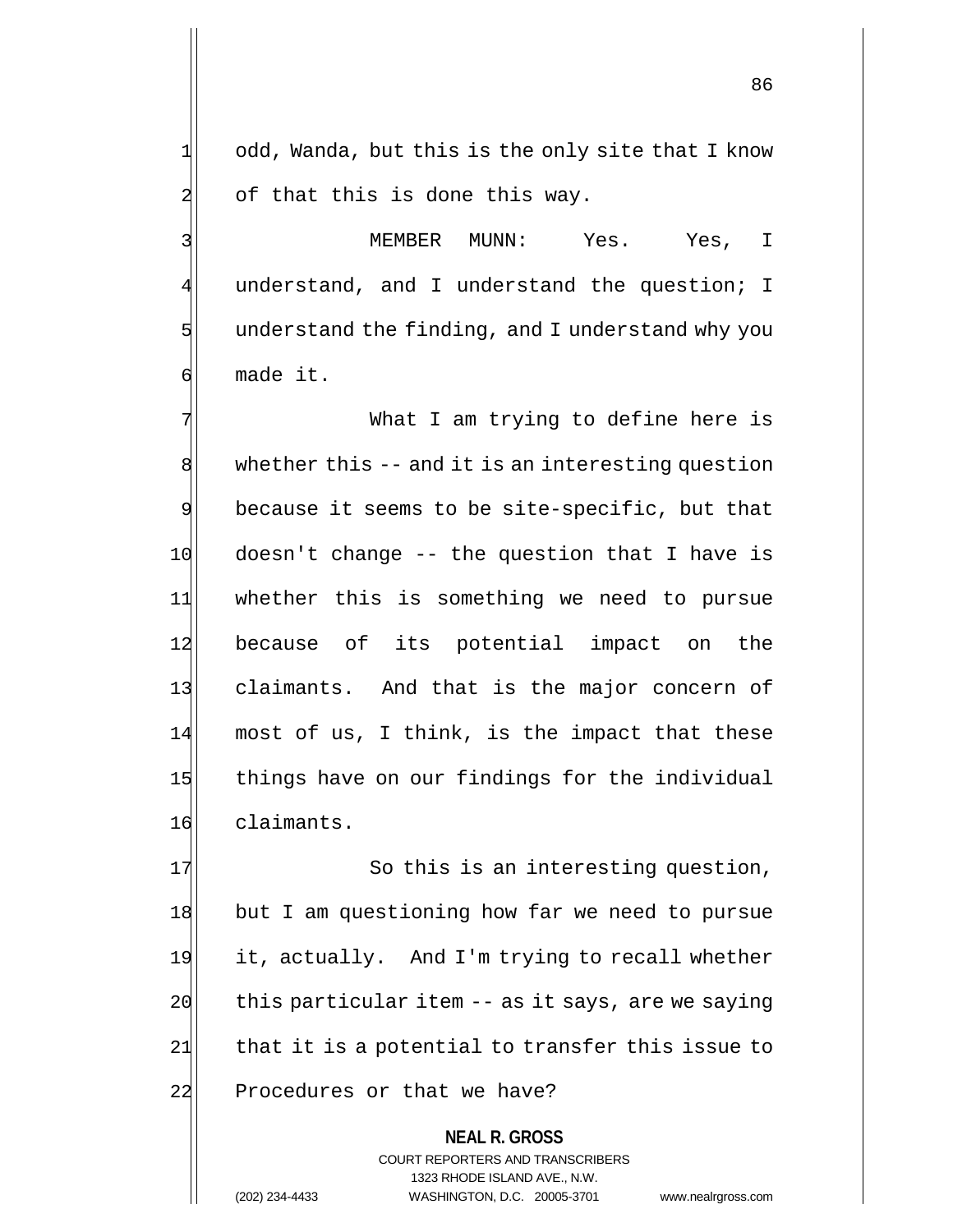$1$  odd, Wanda, but this is the only site that I know  $2$  of that this is done this way.

3 MEMBER MUNN: Yes. Yes, I understand, and I understand the question; I  $5$  understand the finding, and I understand why you 6| made it.

7 What I am trying to define here is  $8$  whether this  $-$  and it is an interesting question  $9$  because it seems to be site-specific, but that  $10$  doesn't change -- the question that I have is 11 whether this is something we need to pursue 12 because of its potential impact on the 13 claimants. And that is the major concern of  $14$  most of us, I think, is the impact that these 15 things have on our findings for the individual 16 claimants.

17 So this is an interesting question, 18 but I am questioning how far we need to pursue 19 it, actually. And I'm trying to recall whether  $20$  this particular item  $-$  as it says, are we saying  $21$  that it is a potential to transfer this issue to 22 Procedures or that we have?

> **NEAL R. GROSS** COURT REPORTERS AND TRANSCRIBERS 1323 RHODE ISLAND AVE., N.W. (202) 234-4433 WASHINGTON, D.C. 20005-3701 www.nealrgross.com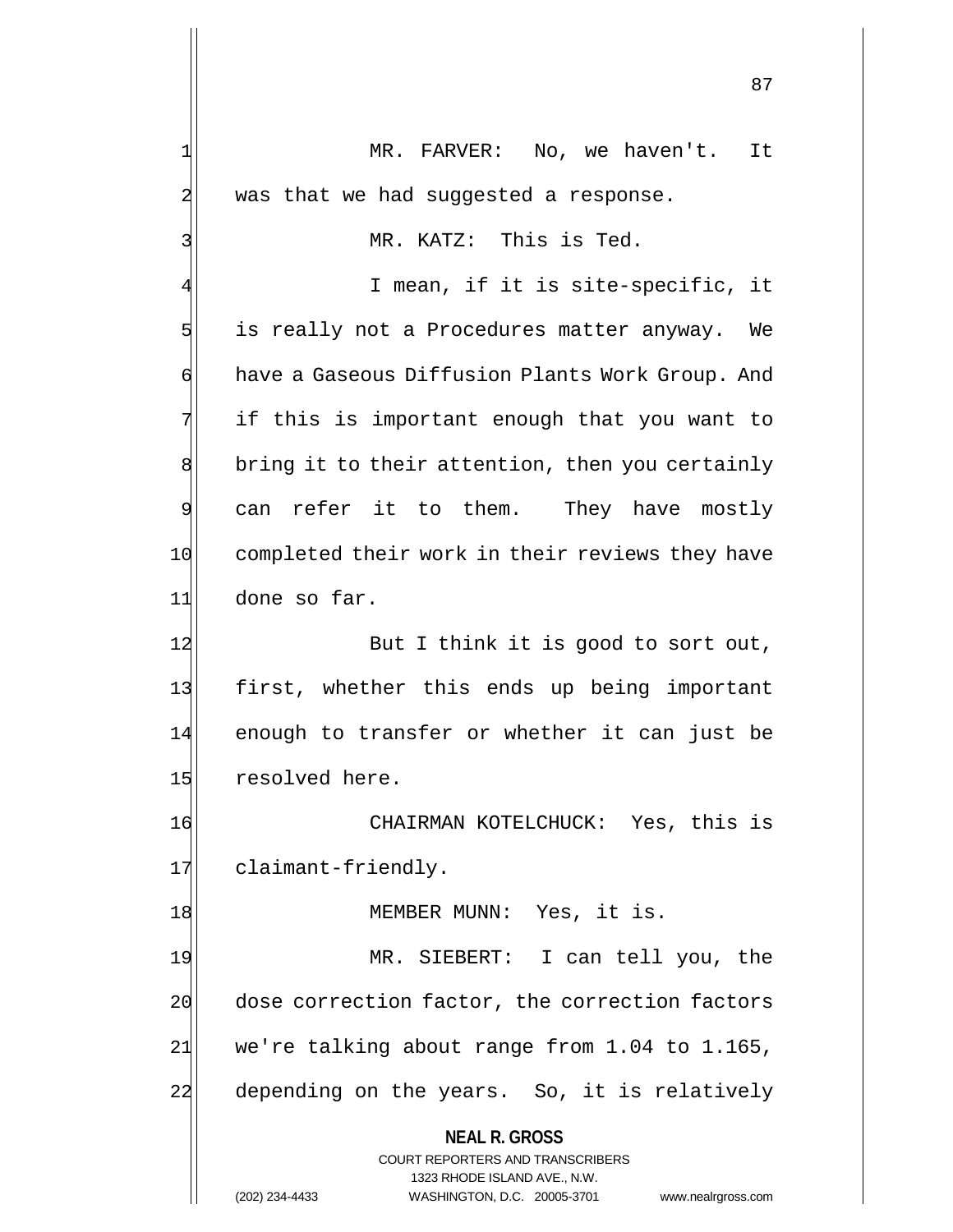**NEAL R. GROSS** COURT REPORTERS AND TRANSCRIBERS 1323 RHODE ISLAND AVE., N.W. 87 1 MR. FARVER: No, we haven't. It  $2$  was that we had suggested a response. 3 MR. KATZ: This is Ted. I mean, if it is site-specific, it 5 is really not a Procedures matter anyway. We 6 have a Gaseous Diffusion Plants Work Group. And 7 if this is important enough that you want to 8 bring it to their attention, then you certainly 9 can refer it to them. They have mostly 10 completed their work in their reviews they have 11 done so far. 12 But I think it is good to sort out, 13 first, whether this ends up being important 14 enough to transfer or whether it can just be 15 resolved here. 16 CHAIRMAN KOTELCHUCK: Yes, this is 17 claimant-friendly. 18 MEMBER MUNN: Yes, it is. 19 MR. SIEBERT: I can tell you, the 20 dose correction factor, the correction factors  $21$  we're talking about range from 1.04 to 1.165, 22| depending on the years. So, it is relatively

(202) 234-4433 WASHINGTON, D.C. 20005-3701 www.nealrgross.com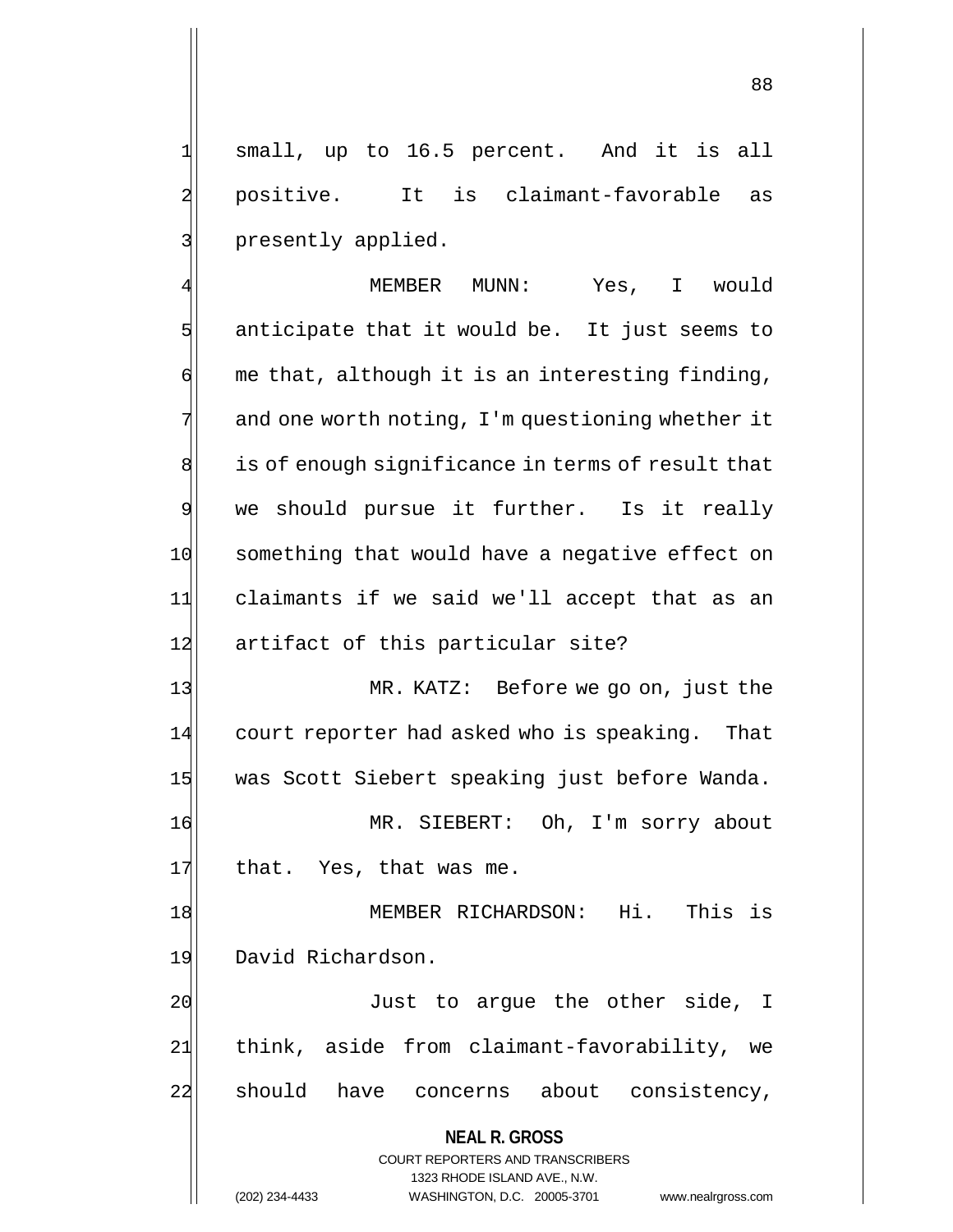1 small, up to 16.5 percent. And it is all 2 positive. It is claimant-favorable as 3 | presently applied.

4 MEMBER MUNN: Yes, I would  $5$  anticipate that it would be. It just seems to  $\left| \cdot \right|$  me that, although it is an interesting finding,  $7$  and one worth noting, I'm questioning whether it  $8$  is of enough significance in terms of result that 9 we should pursue it further. Is it really 10 something that would have a negative effect on 11 claimants if we said we'll accept that as an 12 artifact of this particular site?

13 MR. KATZ: Before we go on, just the 14 court reporter had asked who is speaking. That 15 was Scott Siebert speaking just before Wanda.

16 MR. SIEBERT: Oh, I'm sorry about 17 that. Yes, that was me.

18 MEMBER RICHARDSON: Hi. This is 19 David Richardson.

20 Just to argue the other side, I 21 think, aside from claimant-favorability, we 22 should have concerns about consistency,

> **NEAL R. GROSS** COURT REPORTERS AND TRANSCRIBERS 1323 RHODE ISLAND AVE., N.W. (202) 234-4433 WASHINGTON, D.C. 20005-3701 www.nealrgross.com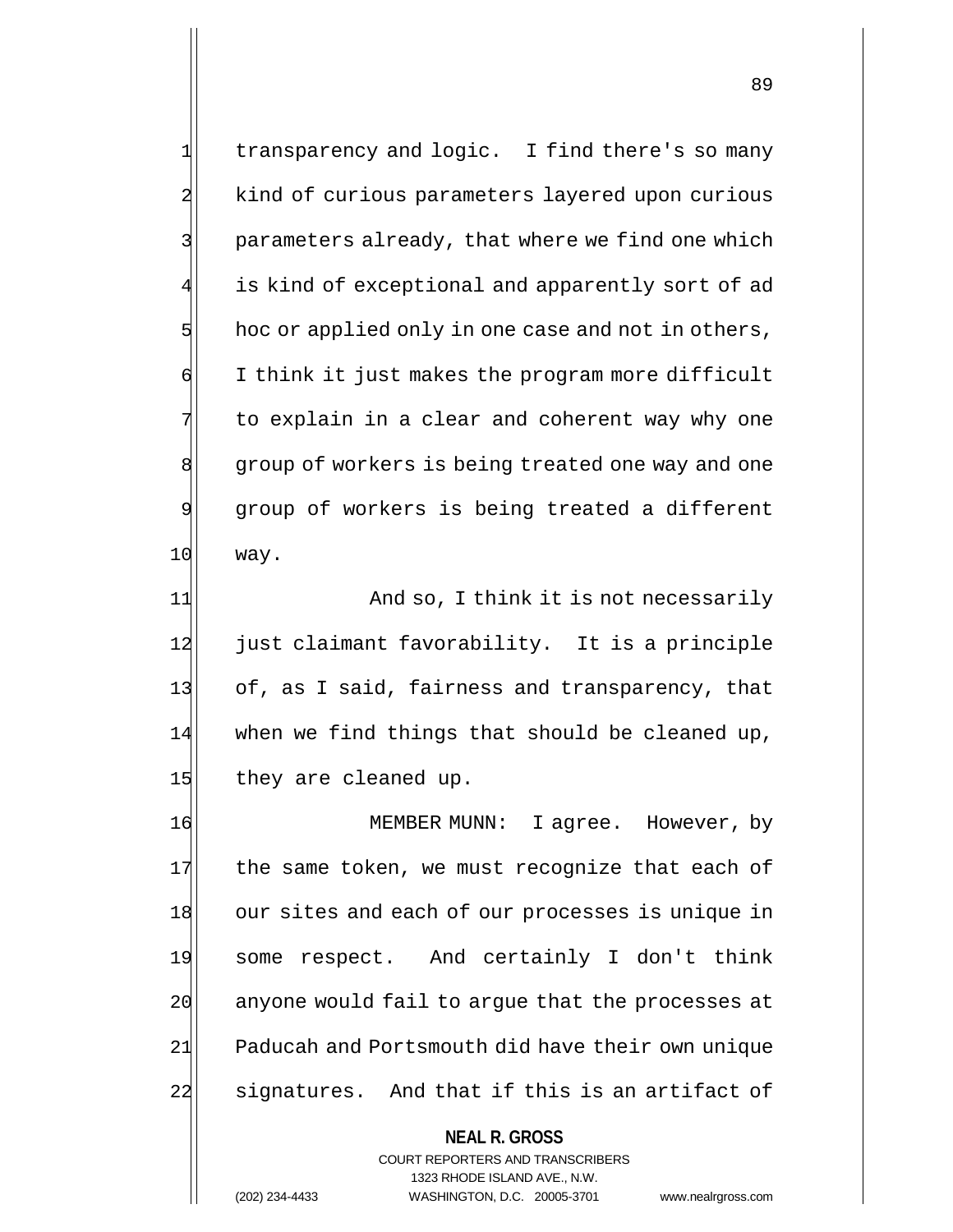1 transparency and logic. I find there's so many 2 kind of curious parameters layered upon curious 3 parameters already, that where we find one which is kind of exceptional and apparently sort of ad  $5$  hoc or applied only in one case and not in others, 6 I think it just makes the program more difficult  $7$  to explain in a clear and coherent way why one 8 group of workers is being treated one way and one 9 group of workers is being treated a different 10 way.

11 And so, I think it is not necessarily 12 just claimant favorability. It is a principle 13 of, as I said, fairness and transparency, that  $14$  when we find things that should be cleaned up, 15 they are cleaned up.

16 MEMBER MUNN: I agree. However, by  $17$  the same token, we must recognize that each of 18 our sites and each of our processes is unique in 19 some respect. And certainly I don't think 20 anyone would fail to arque that the processes at 21 Paducah and Portsmouth did have their own unique 22 signatures. And that if this is an artifact of

> **NEAL R. GROSS** COURT REPORTERS AND TRANSCRIBERS 1323 RHODE ISLAND AVE., N.W. (202) 234-4433 WASHINGTON, D.C. 20005-3701 www.nealrgross.com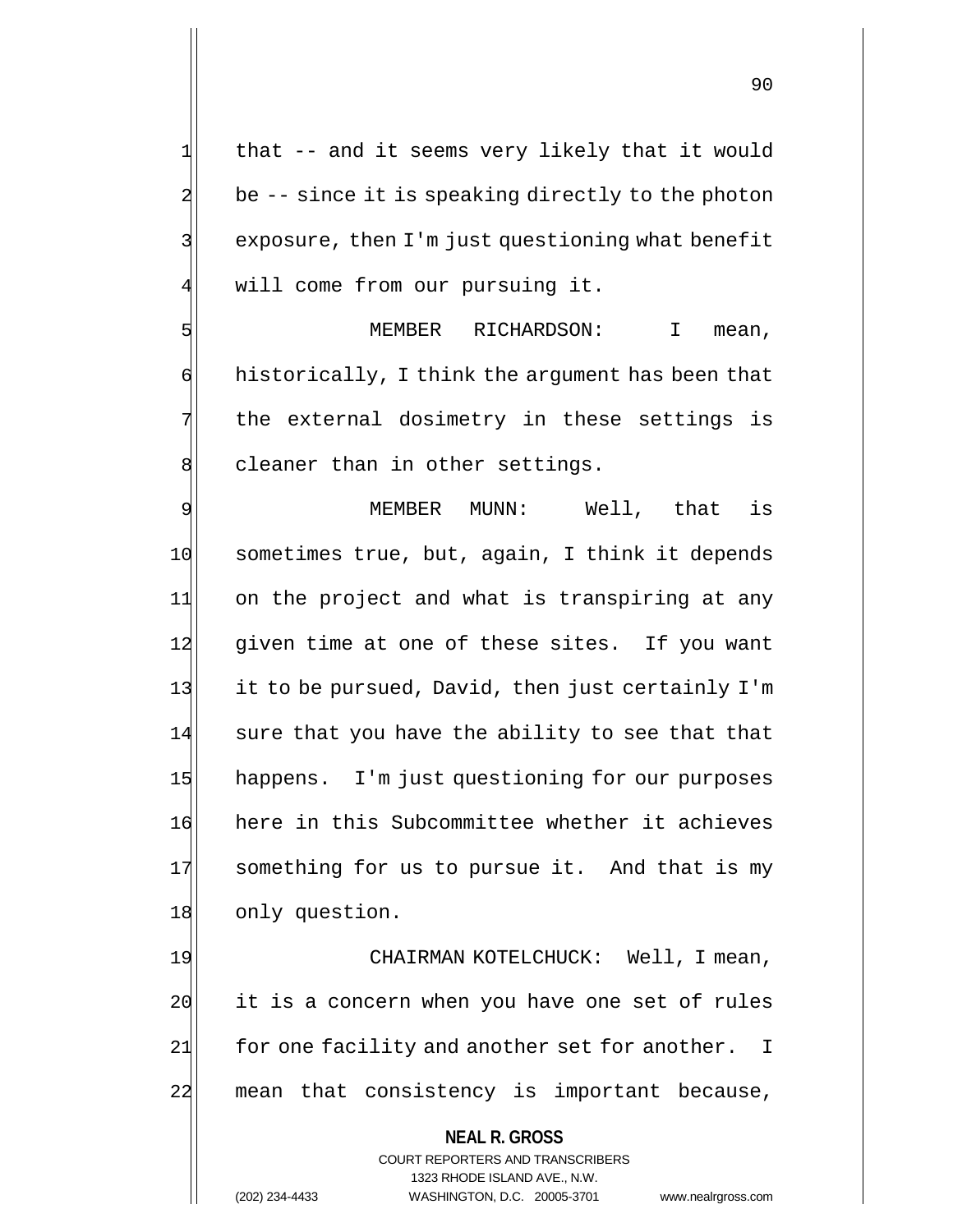that -- and it seems very likely that it would be  $-$ - since it is speaking directly to the photon exposure, then I'm just questioning what benefit 4 will come from our pursuing it.

5 SI MEMBER RICHARDSON: I mean,  $\phi$  historically, I think the argument has been that  $7$  the external dosimetry in these settings is 8 cleaner than in other settings.

9 MEMBER MUNN: Well, that is 10 sometimes true, but, again, I think it depends 11 on the project and what is transpiring at any 12 given time at one of these sites. If you want 13 it to be pursued, David, then just certainly I'm  $14$  sure that you have the ability to see that that 15 happens. I'm just questioning for our purposes 16 here in this Subcommittee whether it achieves 17 something for us to pursue it. And that is my 18 only question.

19 CHAIRMAN KOTELCHUCK: Well, I mean, 20 it is a concern when you have one set of rules 21 for one facility and another set for another. I 22 mean that consistency is important because,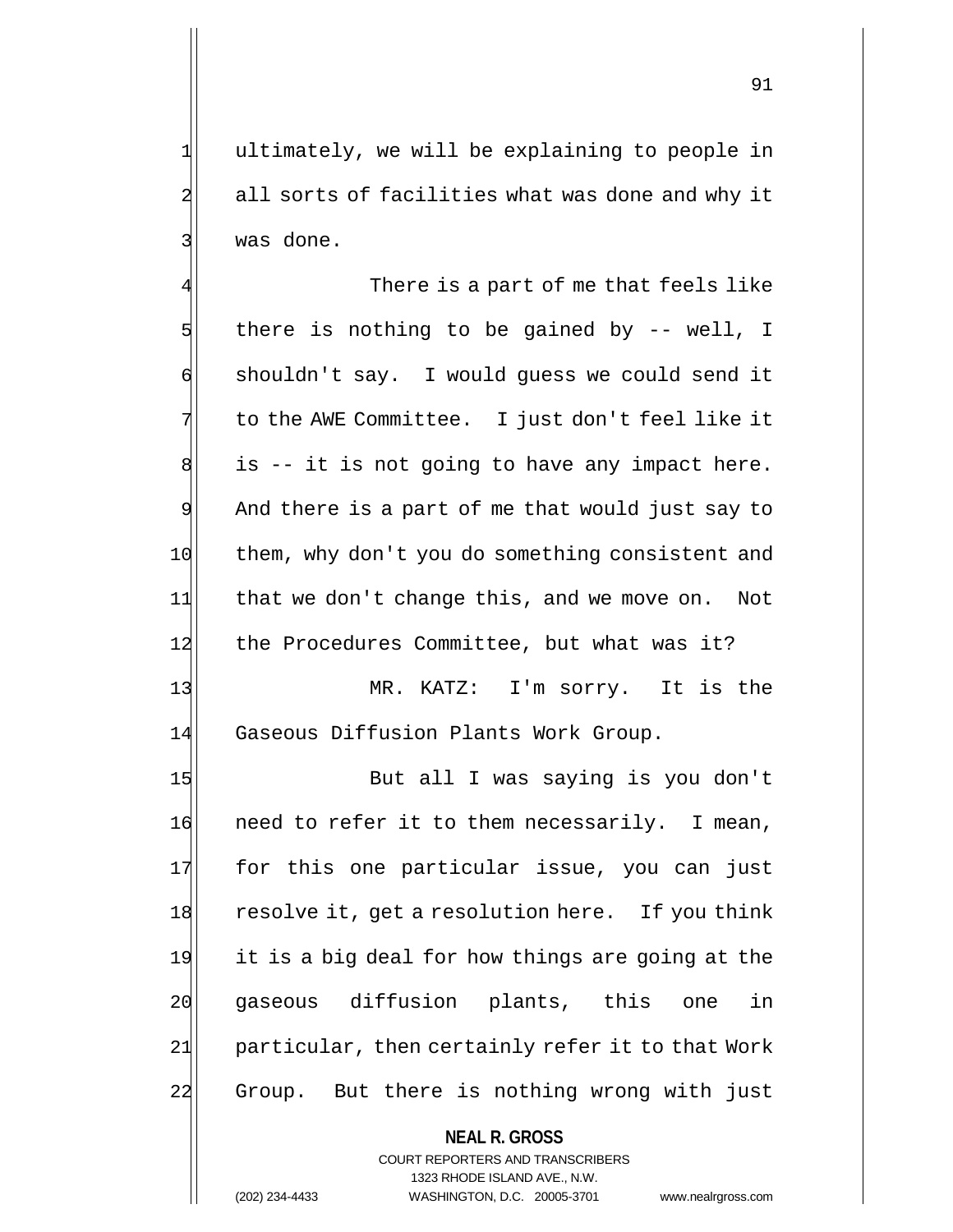1 ultimately, we will be explaining to people in 2 all sorts of facilities what was done and why it 3 | was done.

There is a part of me that feels like  $5$  there is nothing to be gained by -- well, I 6 shouldn't say. I would guess we could send it 7 to the AWE Committee. I just don't feel like it  $8$  is -- it is not going to have any impact here. 9 And there is a part of me that would just say to 10 them, why don't you do something consistent and 11 that we don't change this, and we move on. Not 12 the Procedures Committee, but what was it?

13 MR. KATZ: I'm sorry. It is the 14 Gaseous Diffusion Plants Work Group.

15 But all I was saying is you don't 16 need to refer it to them necessarily. I mean, 17 for this one particular issue, you can just 18 resolve it, get a resolution here. If you think 19 it is a big deal for how things are going at the 20 gaseous diffusion plants, this one in 24 particular, then certainly refer it to that Work 22 Group. But there is nothing wrong with just

> **NEAL R. GROSS** COURT REPORTERS AND TRANSCRIBERS 1323 RHODE ISLAND AVE., N.W. (202) 234-4433 WASHINGTON, D.C. 20005-3701 www.nealrgross.com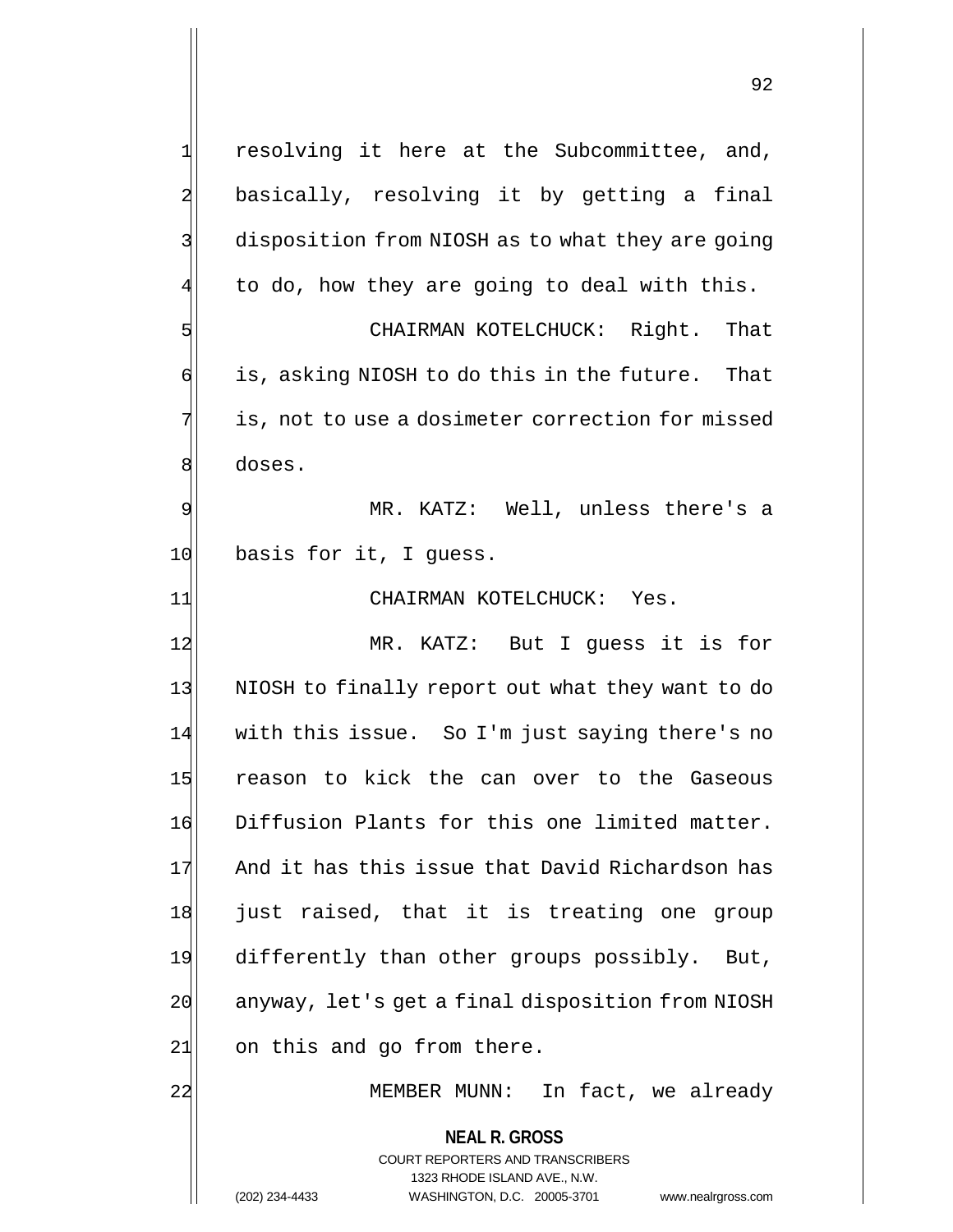**NEAL R. GROSS** COURT REPORTERS AND TRANSCRIBERS 1323 RHODE ISLAND AVE., N.W. (202) 234-4433 WASHINGTON, D.C. 20005-3701 www.nealrgross.com  $1$  resolving it here at the Subcommittee, and, 2 basically, resolving it by getting a final 3 disposition from NIOSH as to what they are going to do, how they are going to deal with this. 5 Separation CHAIRMAN KOTELCHUCK: Right. That  $\mathfrak{g}$  is, asking NIOSH to do this in the future. That 7 is, not to use a dosimeter correction for missed 8 doses. 9 MR. KATZ: Well, unless there's a 10 basis for it, I quess. 11 CHAIRMAN KOTELCHUCK: Yes. 12 MR. KATZ: But I quess it is for 13 NIOSH to finally report out what they want to do 14 with this issue. So I'm just saying there's no 15 reason to kick the can over to the Gaseous 16 Diffusion Plants for this one limited matter. 17 And it has this issue that David Richardson has 18 just raised, that it is treating one group 19 differently than other groups possibly. But, 20 anyway, let's get a final disposition from NIOSH  $21$  on this and go from there. 22 MEMBER MUNN: In fact, we already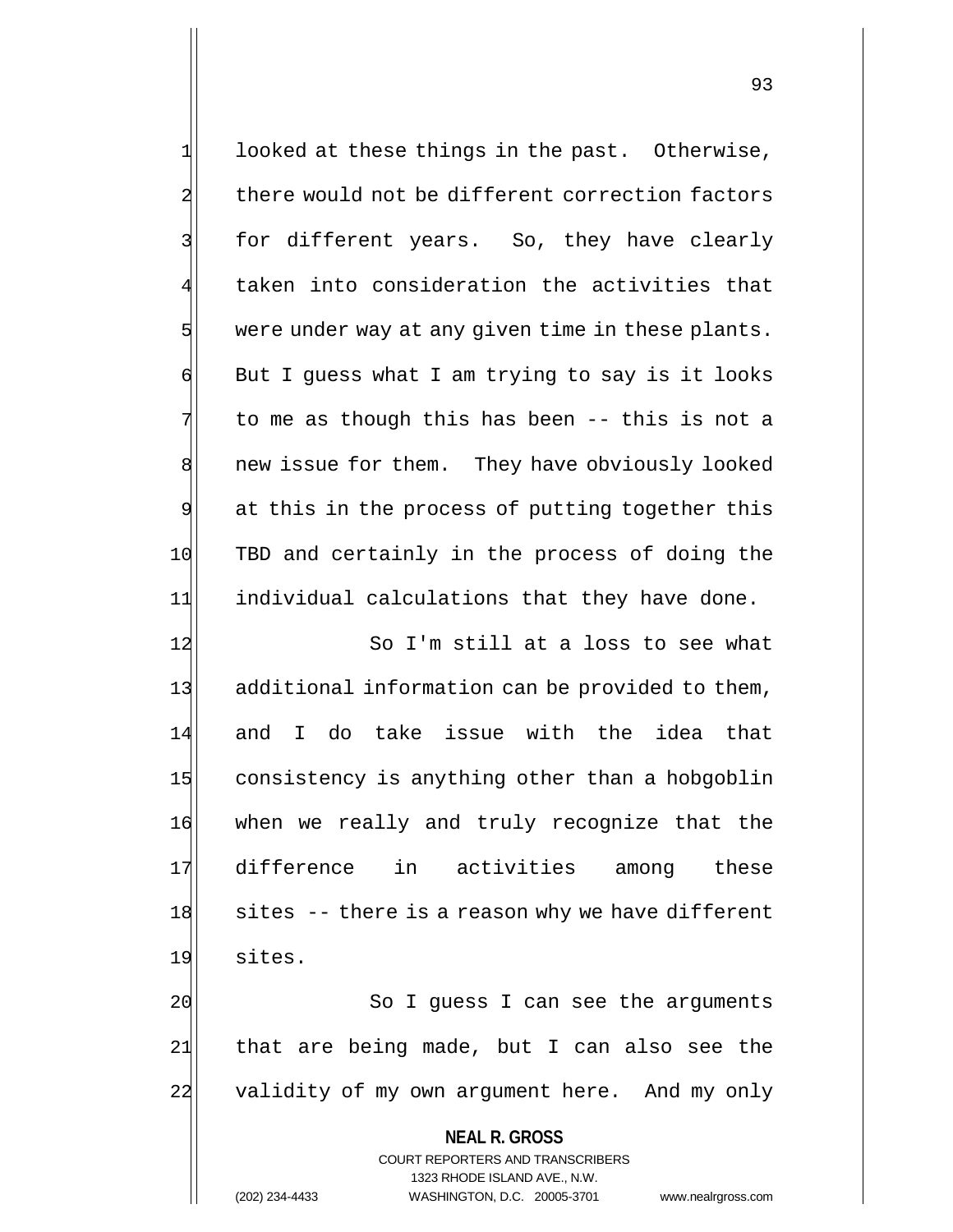| $\mathbf{1}$            | looked at these things in the past. Otherwise,                      |
|-------------------------|---------------------------------------------------------------------|
| $\overline{\mathbf{c}}$ | there would not be different correction factors                     |
| 3                       | for different years. So, they have clearly                          |
| $\overline{4}$          | taken into consideration the activities that                        |
| 5                       | were under way at any given time in these plants.                   |
| $\sigma$                | But I guess what I am trying to say is it looks                     |
| 7                       | to me as though this has been -- this is not a                      |
| 8                       | new issue for them. They have obviously looked                      |
| $\overline{9}$          | at this in the process of putting together this                     |
| 10                      | TBD and certainly in the process of doing the                       |
| 11                      | individual calculations that they have done.                        |
| 12                      | So I'm still at a loss to see what                                  |
| 13                      | additional information can be provided to them,                     |
| 14                      | and I do take issue with the idea that                              |
| 15                      | consistency is anything other than a hobgoblin                      |
| 16                      | when we really and truly recognize that the                         |
| 17                      | difference in activities among<br>these                             |
| 18                      | sites -- there is a reason why we have different                    |
| 19                      | sites.                                                              |
| 20                      | So I guess I can see the arguments                                  |
| 21                      | that are being made, but I can also see the                         |
| 22                      | validity of my own argument here. And my only                       |
|                         | <b>NEAL R. GROSS</b>                                                |
|                         | COURT REPORTERS AND TRANSCRIBERS                                    |
|                         | 1323 RHODE ISLAND AVE., N.W.                                        |
|                         | (202) 234-4433<br>WASHINGTON, D.C. 20005-3701<br>www.nealrgross.com |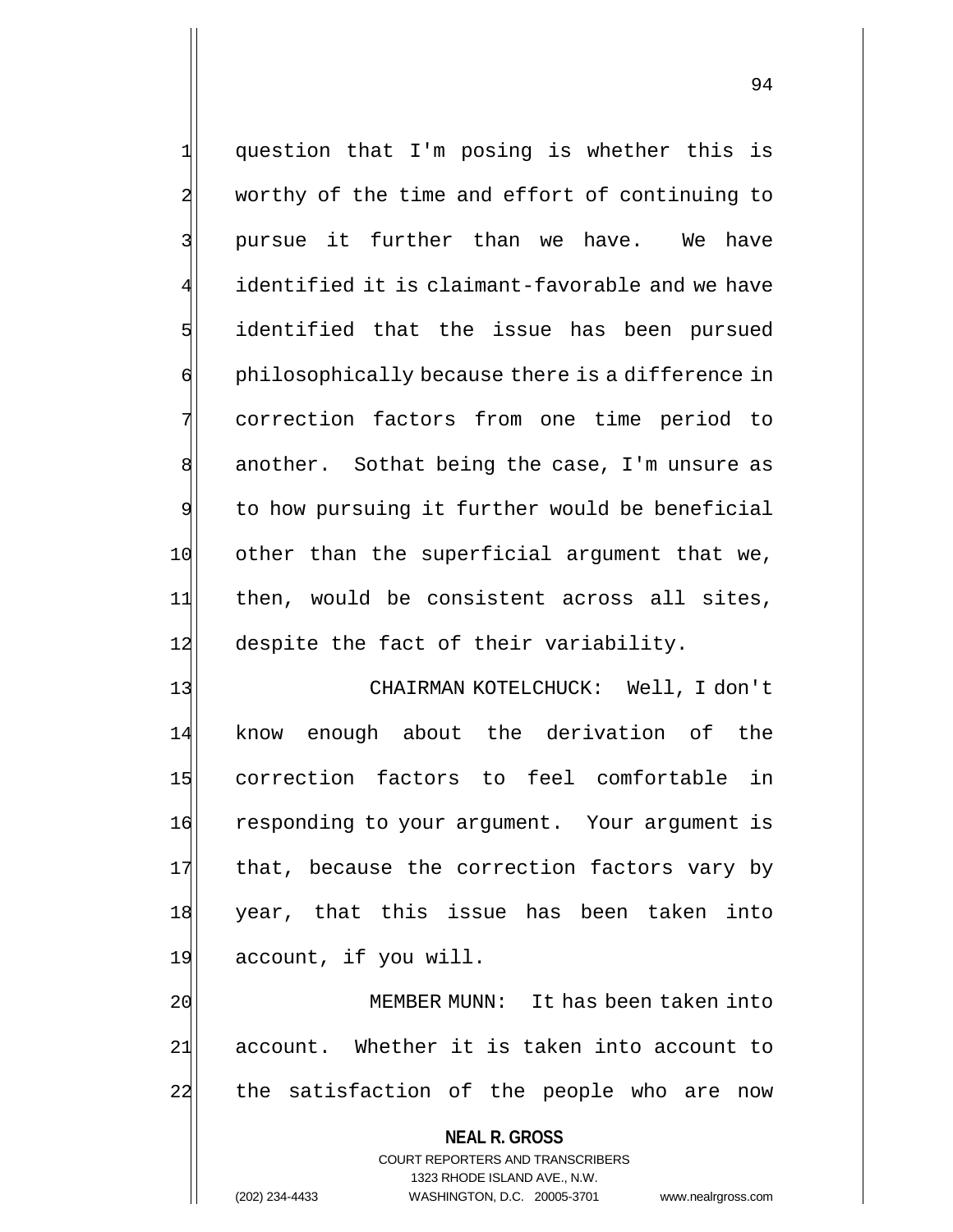1 question that I'm posing is whether this is 2 worthy of the time and effort of continuing to 3 pursue it further than we have. We have identified it is claimant-favorable and we have 5 identified that the issue has been pursued 6 philosophically because there is a difference in 7 correction factors from one time period to  $8$  another. Sothat being the case, I'm unsure as 9 to how pursuing it further would be beneficial 10 other than the superficial argument that we, 11 then, would be consistent across all sites, 12 despite the fact of their variability.

13 | CHAIRMAN KOTELCHUCK: Well, I don't 14 know enough about the derivation of the 15 correction factors to feel comfortable in 16 responding to your argument. Your argument is 17 that, because the correction factors vary by 18 year, that this issue has been taken into 19 account, if you will.

20 MEMBER MUNN: It has been taken into 21 account. Whether it is taken into account to 22 the satisfaction of the people who are now

> **NEAL R. GROSS** COURT REPORTERS AND TRANSCRIBERS 1323 RHODE ISLAND AVE., N.W. (202) 234-4433 WASHINGTON, D.C. 20005-3701 www.nealrgross.com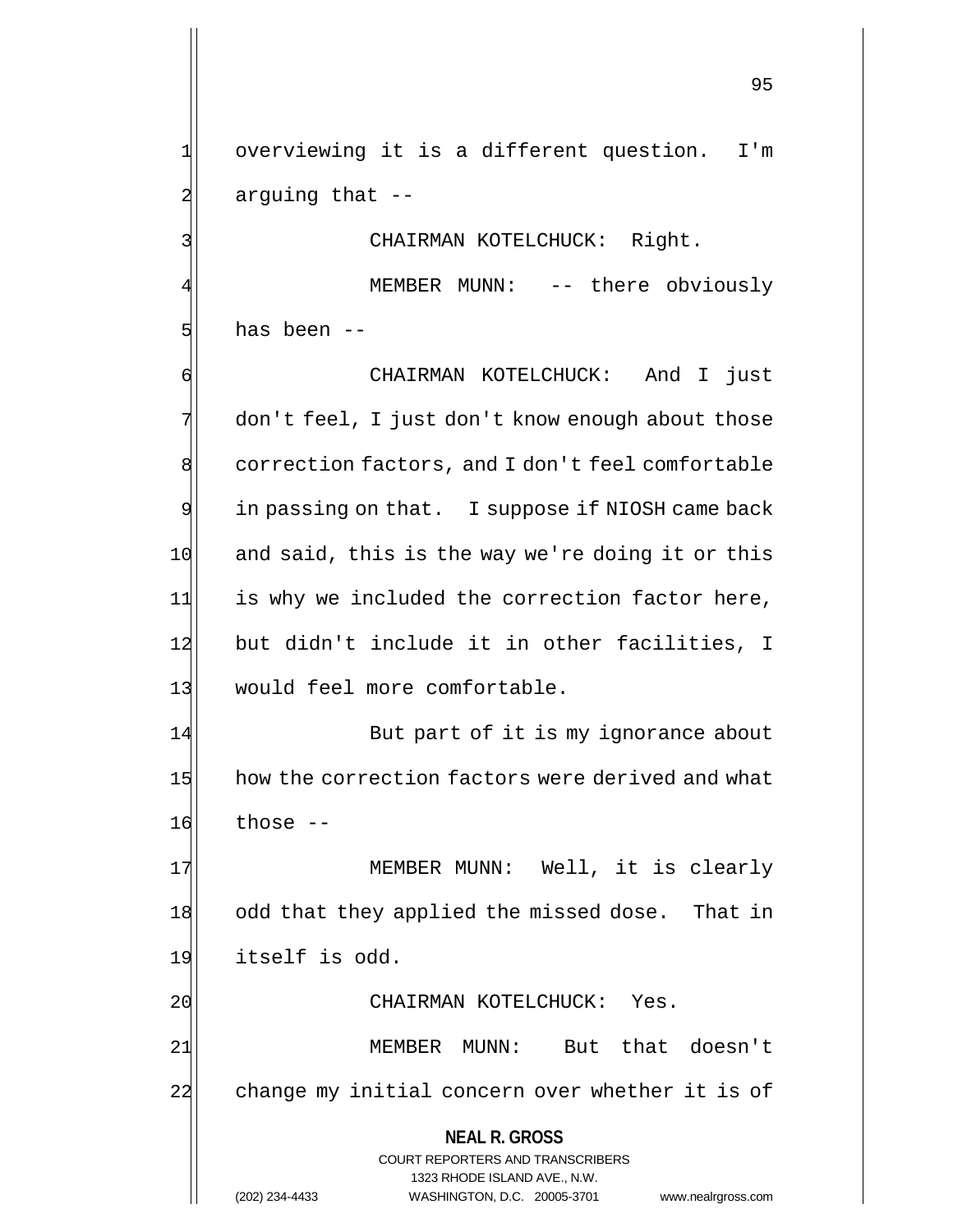1 overviewing it is a different question. I'm 2 arguing that --

3 | CHAIRMAN KOTELCHUCK: Right.

MEMBER MUNN: -- there obviously 5 has been --

6 CHAIRMAN KOTELCHUCK: And I just 7 don't feel, I just don't know enough about those 8 correction factors, and I don't feel comfortable 9 in passing on that. I suppose if NIOSH came back 10 and said, this is the way we're doing it or this 11 is why we included the correction factor here, 12 but didn't include it in other facilities, I 13 would feel more comfortable.

14 But part of it is my ignorance about 15 how the correction factors were derived and what  $16$  those  $-$ 

17 MEMBER MUNN: Well, it is clearly 18 odd that they applied the missed dose. That in 19 itself is odd.

20 CHAIRMAN KOTELCHUCK: Yes.

21 | MEMBER MUNN: But that doesn't 22 change my initial concern over whether it is of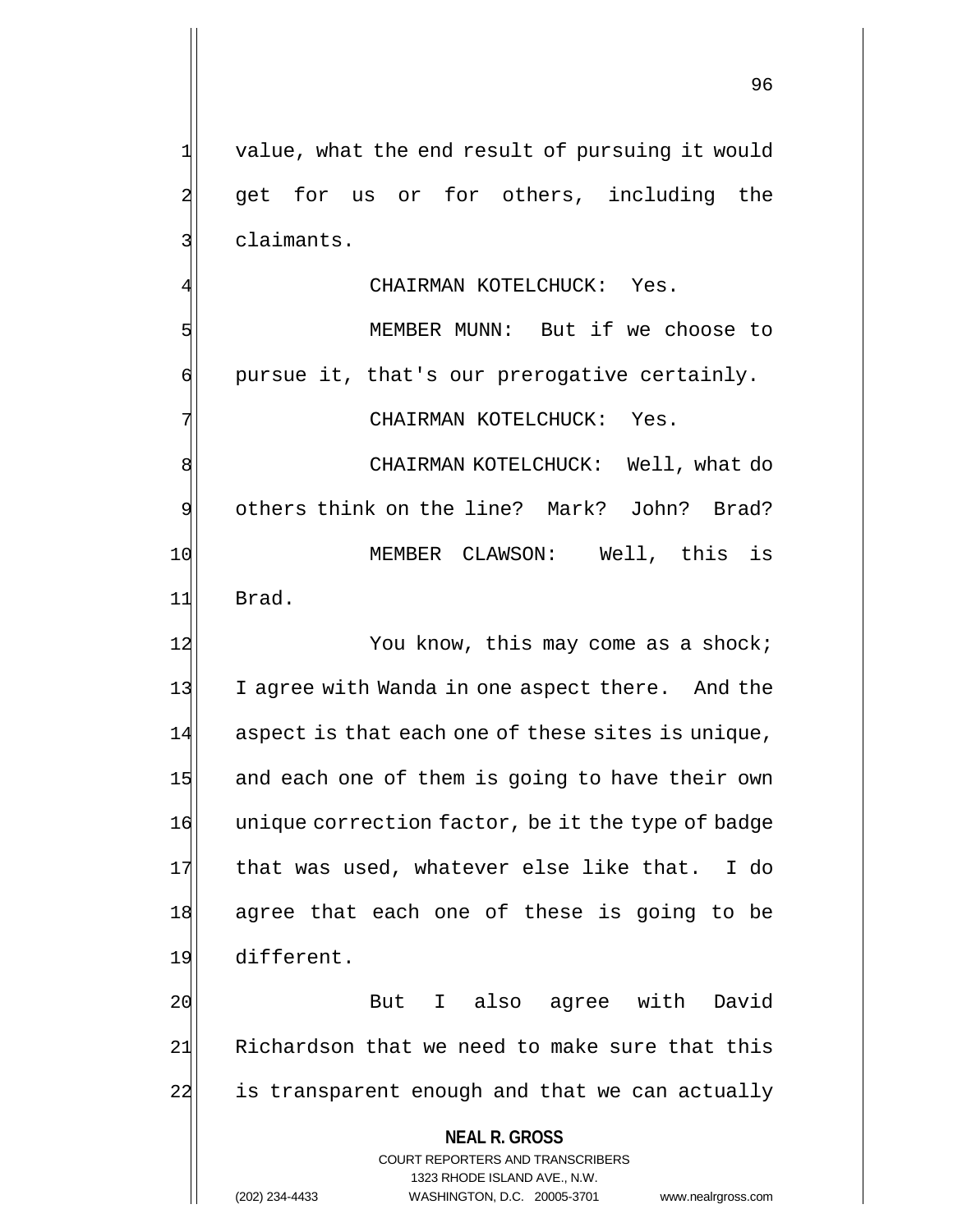**NEAL R. GROSS** COURT REPORTERS AND TRANSCRIBERS  $1$  value, what the end result of pursuing it would 2 get for us or for others, including the 3| claimants. CHAIRMAN KOTELCHUCK: Yes. 5 MEMBER MUNN: But if we choose to  $\phi$  pursue it, that's our prerogative certainly. 7 CHAIRMAN KOTELCHUCK: Yes. 8 SIMBLE MAIRMAN KOTELCHUCK: Well, what do 9 others think on the line? Mark? John? Brad? 10 MEMBER CLAWSON: Well, this is 11 Brad. 12 You know, this may come as a shock; 13 I agree with Wanda in one aspect there. And the 14 aspect is that each one of these sites is unique, 15 and each one of them is going to have their own 16 unique correction factor, be it the type of badge 17 that was used, whatever else like that. I do 18 agree that each one of these is going to be 19 different. 20 But I also agree with David 21 Richardson that we need to make sure that this 22 is transparent enough and that we can actually

1323 RHODE ISLAND AVE., N.W.

96

(202) 234-4433 WASHINGTON, D.C. 20005-3701 www.nealrgross.com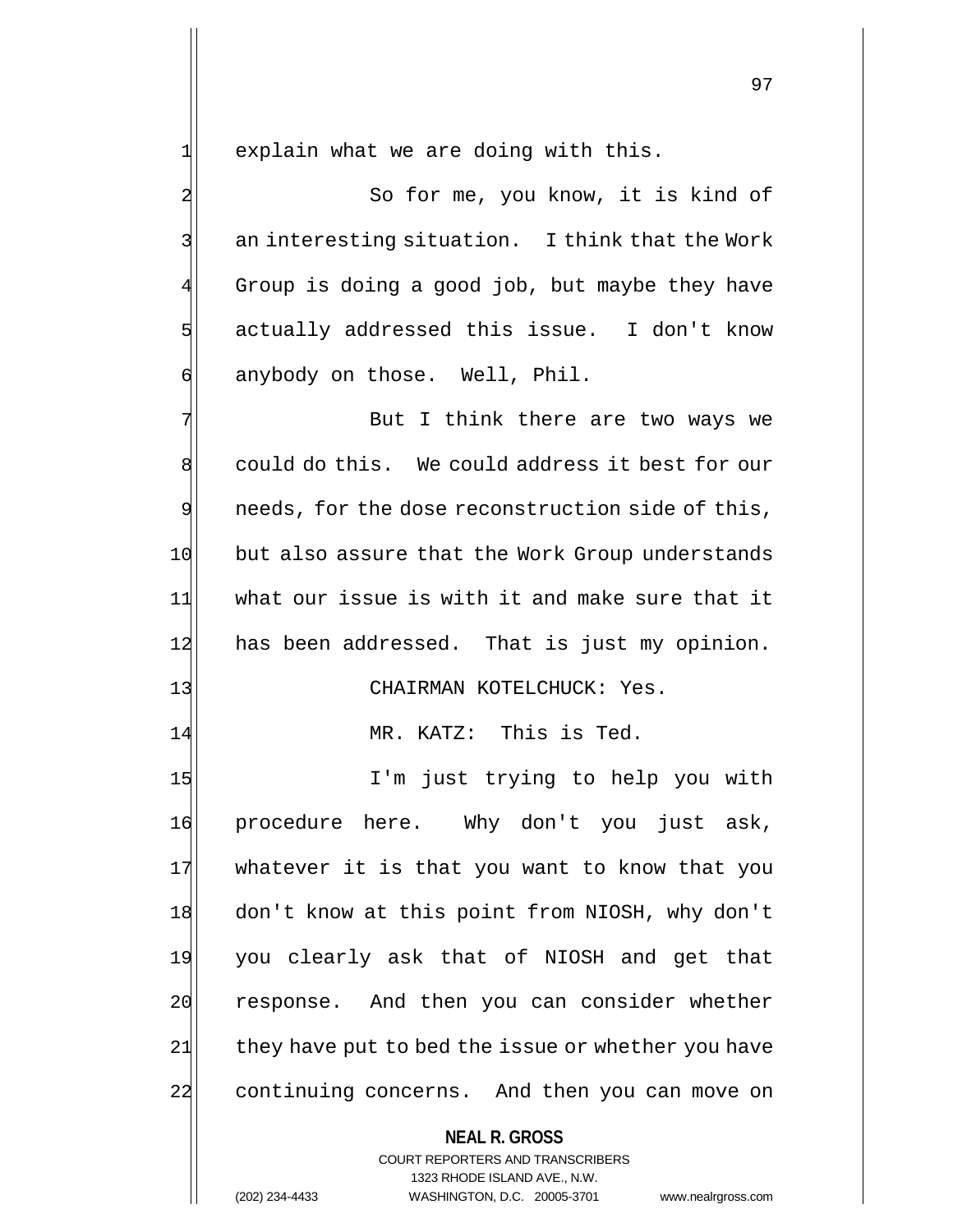$1$  explain what we are doing with this.

2 3 So for me, you know, it is kind of  $3$  an interesting situation. I think that the Work Group is doing a good job, but maybe they have 5 actually addressed this issue. I don't know 6 anybody on those. Well, Phil.

7 But I think there are two ways we 8 could do this. We could address it best for our 9 needs, for the dose reconstruction side of this, 10 but also assure that the Work Group understands 11 what our issue is with it and make sure that it 12 has been addressed. That is just my opinion.

## 13 CHAIRMAN KOTELCHUCK: Yes.

14 MR. KATZ: This is Ted.

15 I'm just trying to help you with 16 procedure here. Why don't you just ask, 17 whatever it is that you want to know that you 18 don't know at this point from NIOSH, why don't 19 you clearly ask that of NIOSH and get that 20 response. And then you can consider whether  $21$  they have put to bed the issue or whether you have 22 continuing concerns. And then you can move on

### **NEAL R. GROSS**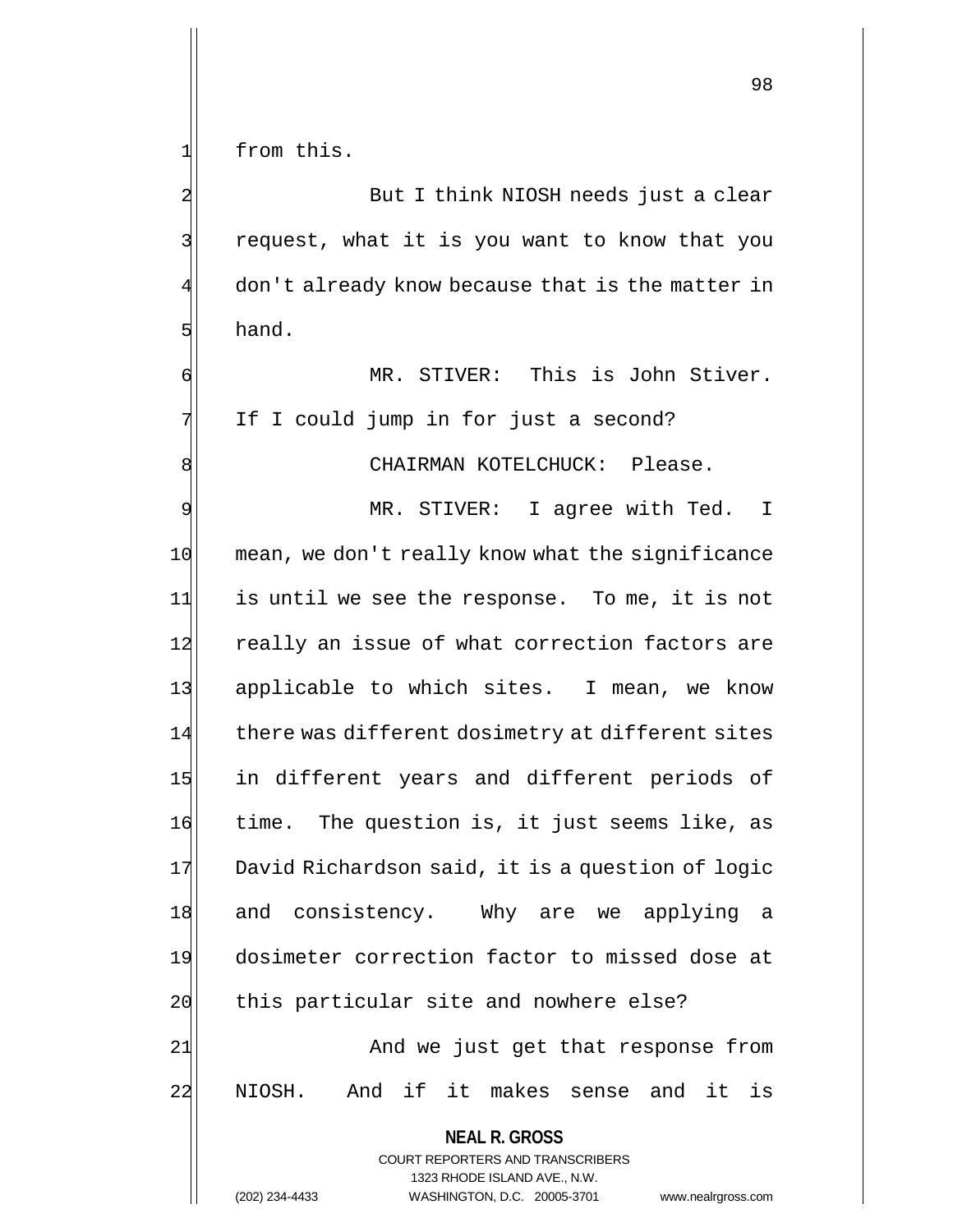1 from this.

2 But I think NIOSH needs just a clear 3 | request, what it is you want to know that you don't already know because that is the matter in  $5$  hand.

6 MR. STIVER: This is John Stiver. 7 If I could jump in for just a second?

8 | CHAIRMAN KOTELCHUCK: Please.

9 MR. STIVER: I agree with Ted. I 10 mean, we don't really know what the significance 11 is until we see the response. To me, it is not 12 really an issue of what correction factors are 13 applicable to which sites. I mean, we know 14 there was different dosimetry at different sites 15 in different years and different periods of 16 time. The question is, it just seems like, as 17 David Richardson said, it is a question of logic 18 and consistency. Why are we applying a 19 dosimeter correction factor to missed dose at 20 this particular site and nowhere else?

21 and we just get that response from 22 NIOSH. And if it makes sense and it is

<sup>98</sup>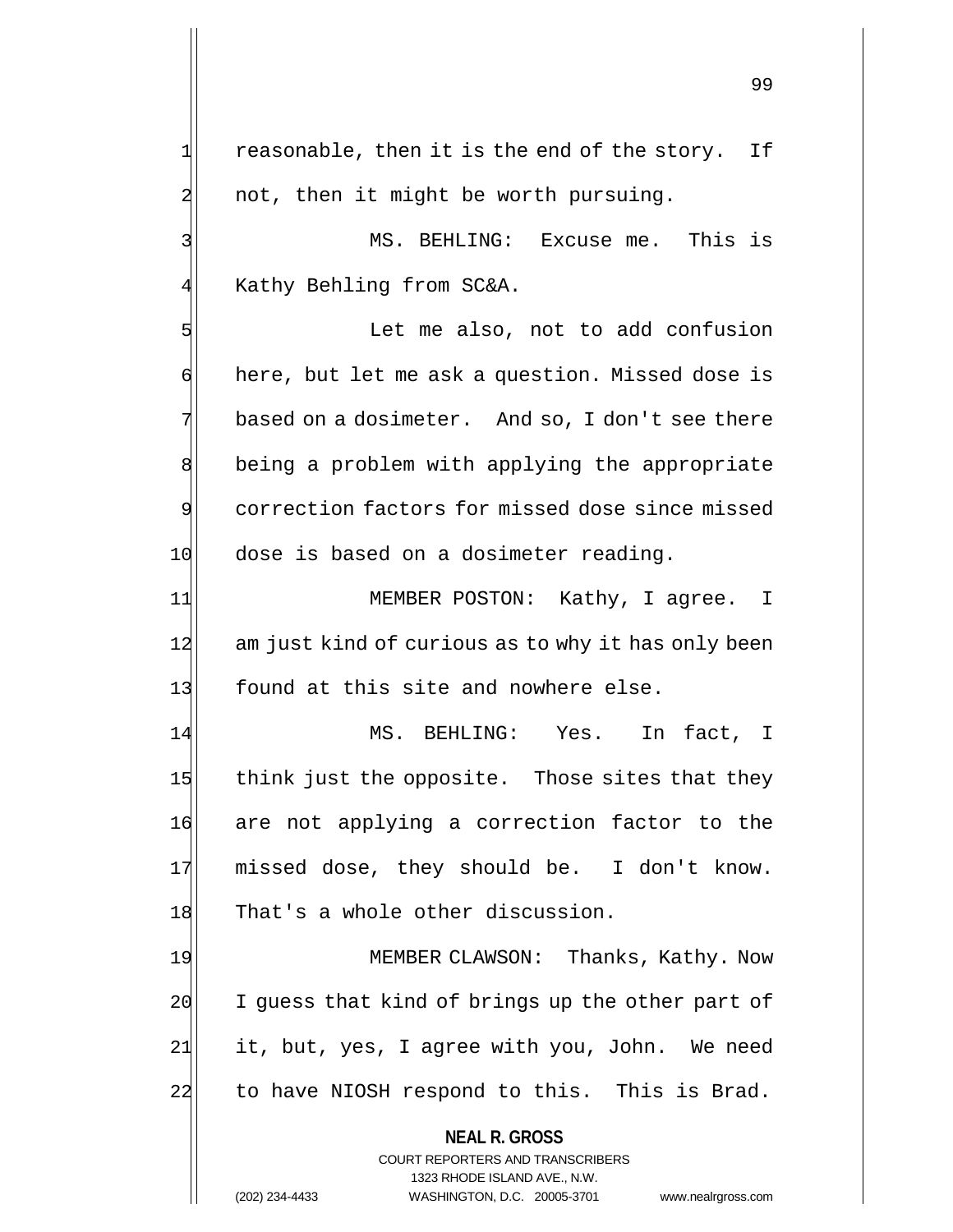$1$  reasonable, then it is the end of the story. If 2 not, then it might be worth pursuing.

3 MS. BEHLING: Excuse me. This is 4 Kathy Behling from SC&A.

5 Solution Let me also, not to add confusion 6 here, but let me ask a question. Missed dose is 7 based on a dosimeter. And so, I don't see there 8 being a problem with applying the appropriate 9 correction factors for missed dose since missed 10 dose is based on a dosimeter reading.

11 MEMBER POSTON: Kathy, I agree. I 12 am just kind of curious as to why it has only been 13 found at this site and nowhere else.

14 MS. BEHLING: Yes. In fact, I 15 think just the opposite. Those sites that they 16 are not applying a correction factor to the 17 missed dose, they should be. I don't know. 18 That's a whole other discussion.

19 MEMBER CLAWSON: Thanks, Kathy. Now  $20$  I guess that kind of brings up the other part of 21 it, but, yes, I agree with you, John. We need 22 to have NIOSH respond to this. This is Brad.

> **NEAL R. GROSS** COURT REPORTERS AND TRANSCRIBERS

> > 1323 RHODE ISLAND AVE., N.W.

(202) 234-4433 WASHINGTON, D.C. 20005-3701 www.nealrgross.com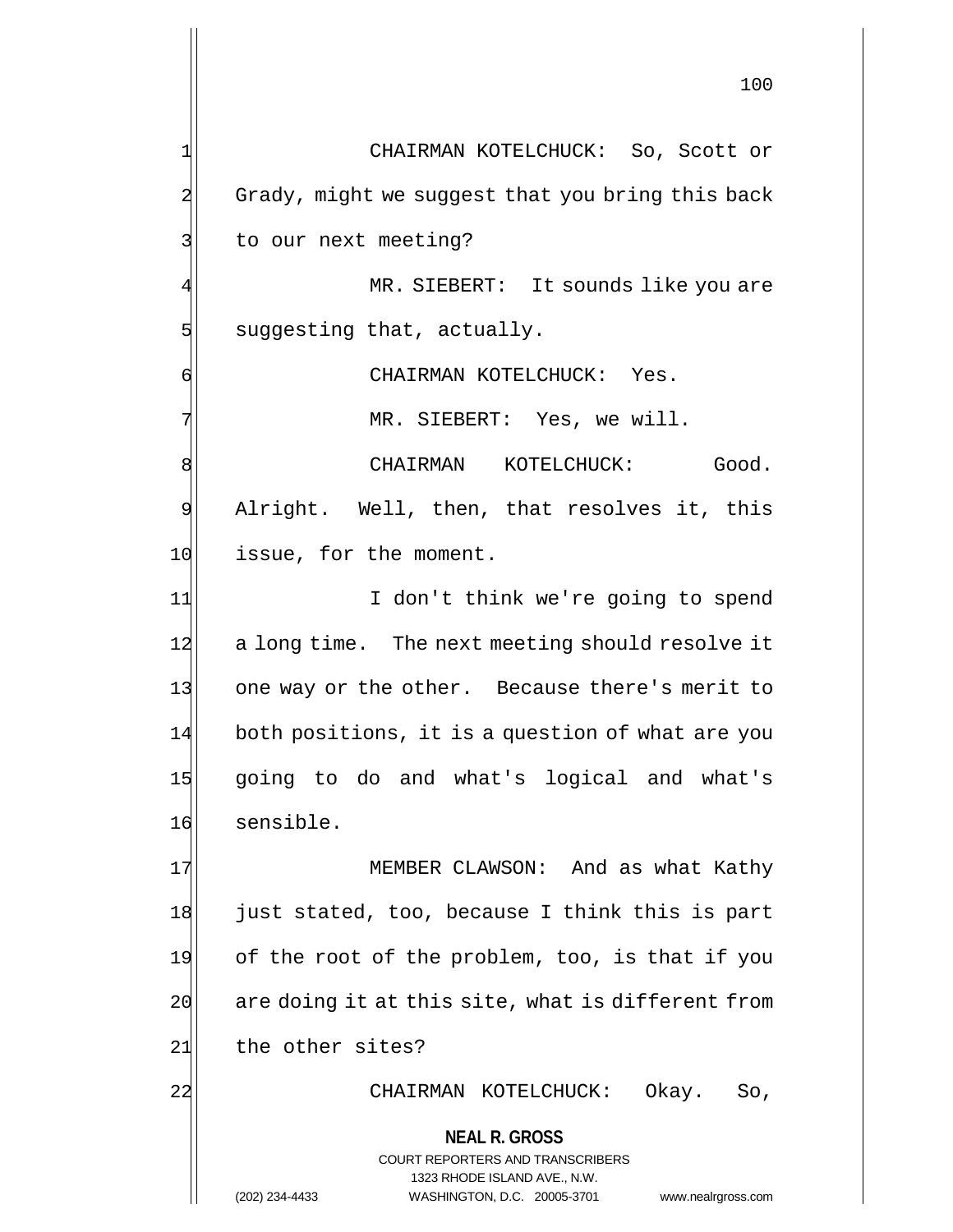**NEAL R. GROSS** COURT REPORTERS AND TRANSCRIBERS 1323 RHODE ISLAND AVE., N.W. (202) 234-4433 WASHINGTON, D.C. 20005-3701 www.nealrgross.com 1 CHAIRMAN KOTELCHUCK: So, Scott or 2 Grady, might we suggest that you bring this back 3 to our next meeting? MR. SIEBERT: It sounds like you are 5 suggesting that, actually. 6 CHAIRMAN KOTELCHUCK: Yes. 7 MR. SIEBERT: Yes, we will. 8 CHAIRMAN KOTELCHUCK: Good. 9 Alright. Well, then, that resolves it, this 10 issue, for the moment. 11| I don't think we're going to spend 12 a long time. The next meeting should resolve it 13 one way or the other. Because there's merit to 14 both positions, it is a question of what are you 15 going to do and what's logical and what's 16 sensible. 17 MEMBER CLAWSON: And as what Kathy 18 just stated, too, because I think this is part 19 of the root of the problem, too, is that if you  $20$  are doing it at this site, what is different from 21 the other sites? 22 | CHAIRMAN KOTELCHUCK: Okay. So,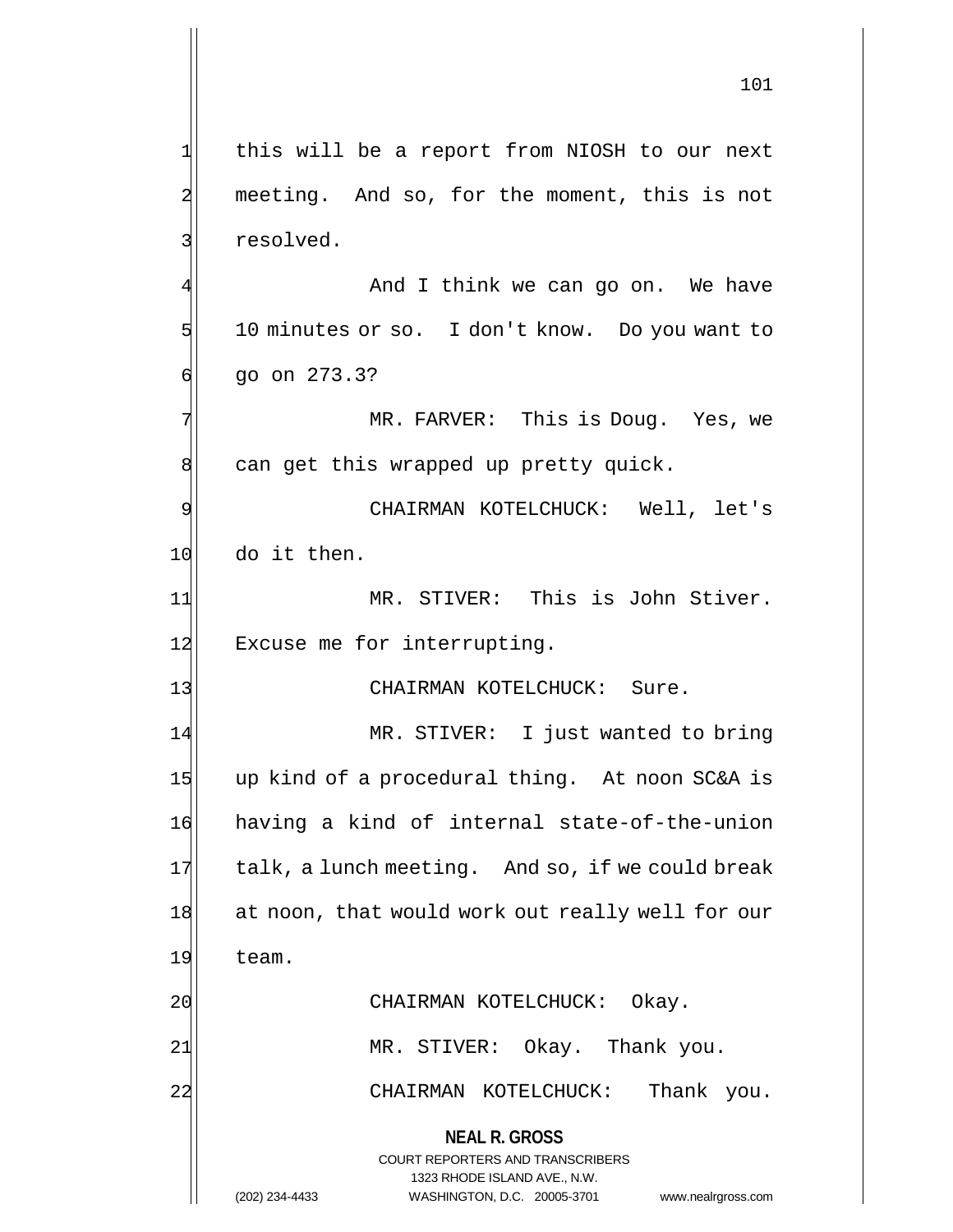**NEAL R. GROSS** COURT REPORTERS AND TRANSCRIBERS 1323 RHODE ISLAND AVE., N.W. 101 1 this will be a report from NIOSH to our next 2 meeting. And so, for the moment, this is not 3 slued. And I think we can go on. We have  $5$  10 minutes or so. I don't know. Do you want to  $6$  go on 273.3? 7 MR. FARVER: This is Doug. Yes, we 8 can get this wrapped up pretty quick. 9 CHAIRMAN KOTELCHUCK: Well, let's 10 do it then. 11 MR. STIVER: This is John Stiver. 12 Excuse me for interrupting. 13 CHAIRMAN KOTELCHUCK: Sure. 14 MR. STIVER: I just wanted to bring 15 up kind of a procedural thing. At noon SC&A is 16 having a kind of internal state-of-the-union  $17$  talk, a lunch meeting. And so, if we could break 18 at noon, that would work out really well for our 19 team. 20 CHAIRMAN KOTELCHUCK: Okay. 21 MR. STIVER: Okay. Thank you. 22 CHAIRMAN KOTELCHUCK: Thank you.

(202) 234-4433 WASHINGTON, D.C. 20005-3701 www.nealrgross.com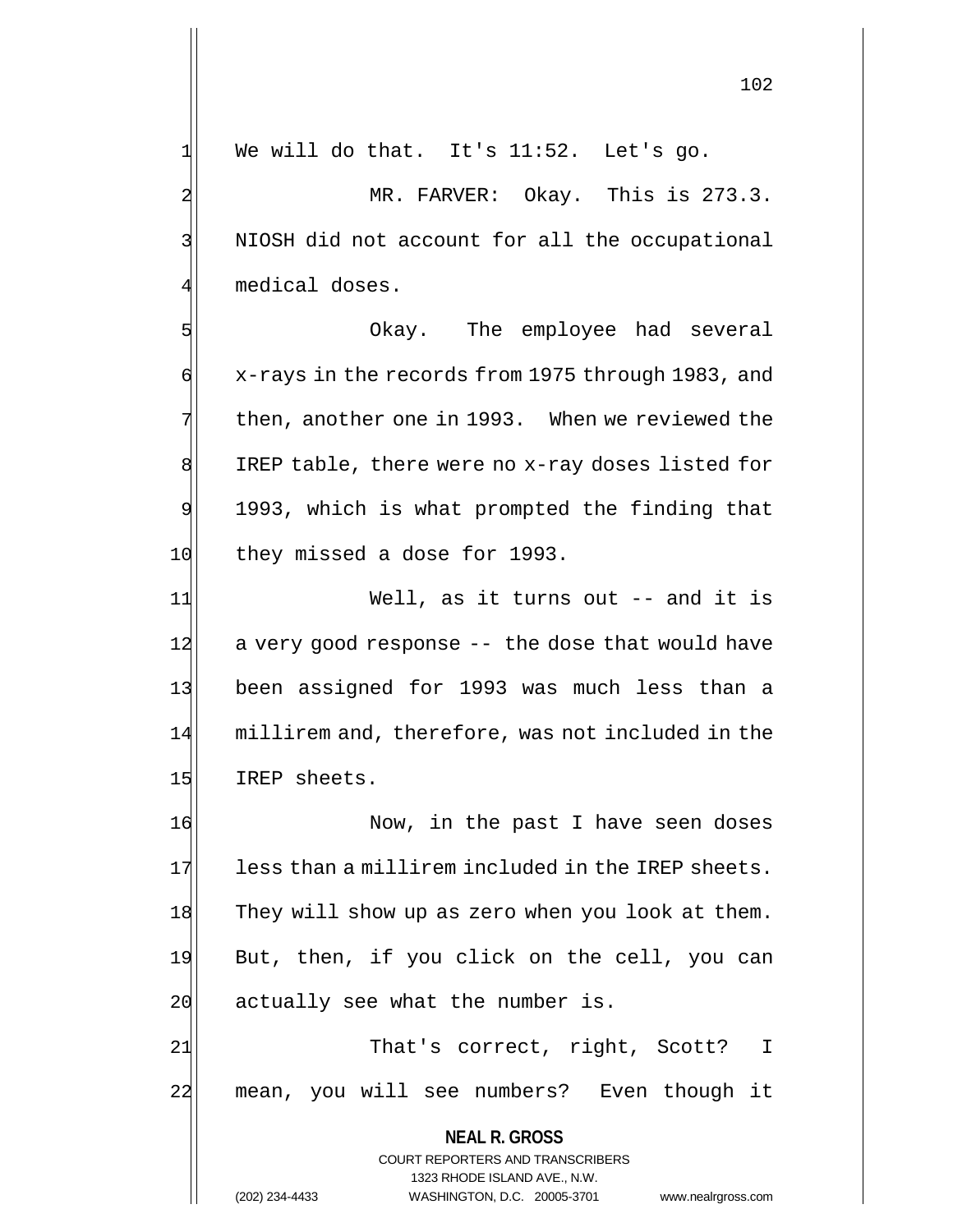$\frac{1}{1}$  We will do that. It's 11:52. Let's go.

2 MR. FARVER: Okay. This is 273.3. 3 | NIOSH did not account for all the occupational 4 medical doses.

5 Serve The employee had several 6 x-rays in the records from 1975 through 1983, and  $7$  then, another one in 1993. When we reviewed the 8 IREP table, there were no x-ray doses listed for 9 1993, which is what prompted the finding that 10 they missed a dose for 1993.

11 Well, as it turns out -- and it is 12 a very good response -- the dose that would have 13 been assigned for 1993 was much less than a 14 millirem and, therefore, was not included in the 15 IREP sheets.

16 Now, in the past I have seen doses 17 less than a millirem included in the IREP sheets. 18 They will show up as zero when you look at them. 19 But, then, if you click on the cell, you can  $20$  actually see what the number is.

21 That's correct, right, Scott? I 22 mean, you will see numbers? Even though it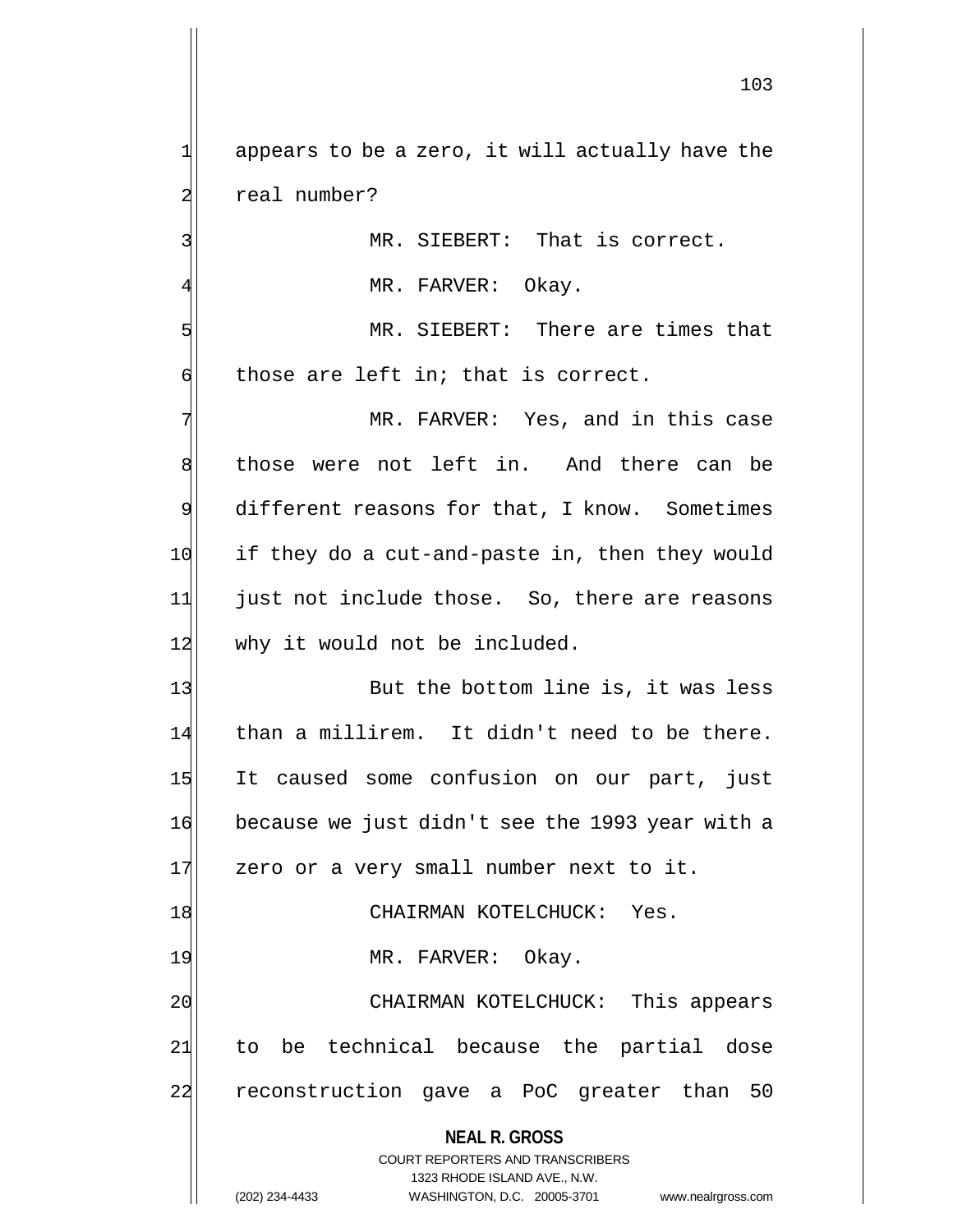1 appears to be a zero, it will actually have the 2 real number?

3 MR. SIEBERT: That is correct.

MR. FARVER: Okay.

5 MR. SIEBERT: There are times that  $\mathfrak{h}$  those are left in; that is correct.

7 MR. FARVER: Yes, and in this case 8 those were not left in. And there can be 9 different reasons for that, I know. Sometimes 10 if they do a cut-and-paste in, then they would 11 just not include those. So, there are reasons 12 why it would not be included.

13| But the bottom line is, it was less 14 than a millirem. It didn't need to be there. 15 It caused some confusion on our part, just 16 because we just didn't see the 1993 year with a 17 zero or a very small number next to it. 18 CHAIRMAN KOTELCHUCK: Yes.

19 MR. FARVER: Okay.

20 CHAIRMAN KOTELCHUCK: This appears 21 to be technical because the partial dose 22 reconstruction gave a PoC greater than 50

**NEAL R. GROSS**

COURT REPORTERS AND TRANSCRIBERS 1323 RHODE ISLAND AVE., N.W. (202) 234-4433 WASHINGTON, D.C. 20005-3701 www.nealrgross.com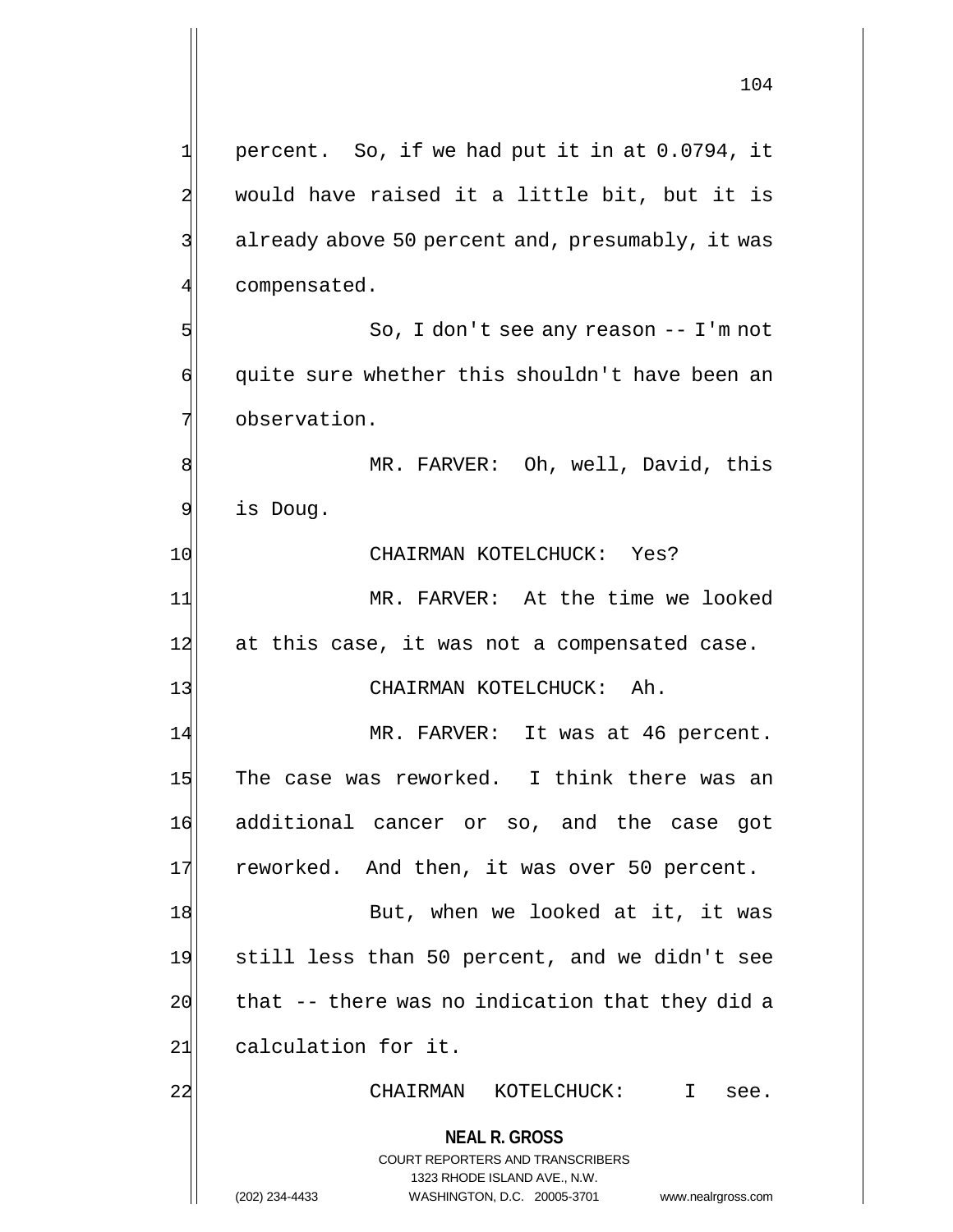$1$  percent. So, if we had put it in at 0.0794, it 2 would have raised it a little bit, but it is 3 3 already above 50 percent and, presumably, it was 5 So, I don't see any reason -- I'm not 6 quite sure whether this shouldn't have been an 8 MR. FARVER: Oh, well, David, this

9 is Doug.

4 compensated.

7 observation.

10 CHAIRMAN KOTELCHUCK: Yes?

11 MR. FARVER: At the time we looked 12 at this case, it was not a compensated case.

13 CHAIRMAN KOTELCHUCK: Ah.

14 MR. FARVER: It was at 46 percent. 15 The case was reworked. I think there was an 16 additional cancer or so, and the case got 17 reworked. And then, it was over 50 percent.

18 But, when we looked at it, it was 19 still less than 50 percent, and we didn't see  $20$  that  $-$ - there was no indication that they did a 21 calculation for it.

22 | CHAIRMAN KOTELCHUCK: I see.

**NEAL R. GROSS** COURT REPORTERS AND TRANSCRIBERS

1323 RHODE ISLAND AVE., N.W. (202) 234-4433 WASHINGTON, D.C. 20005-3701 www.nealrgross.com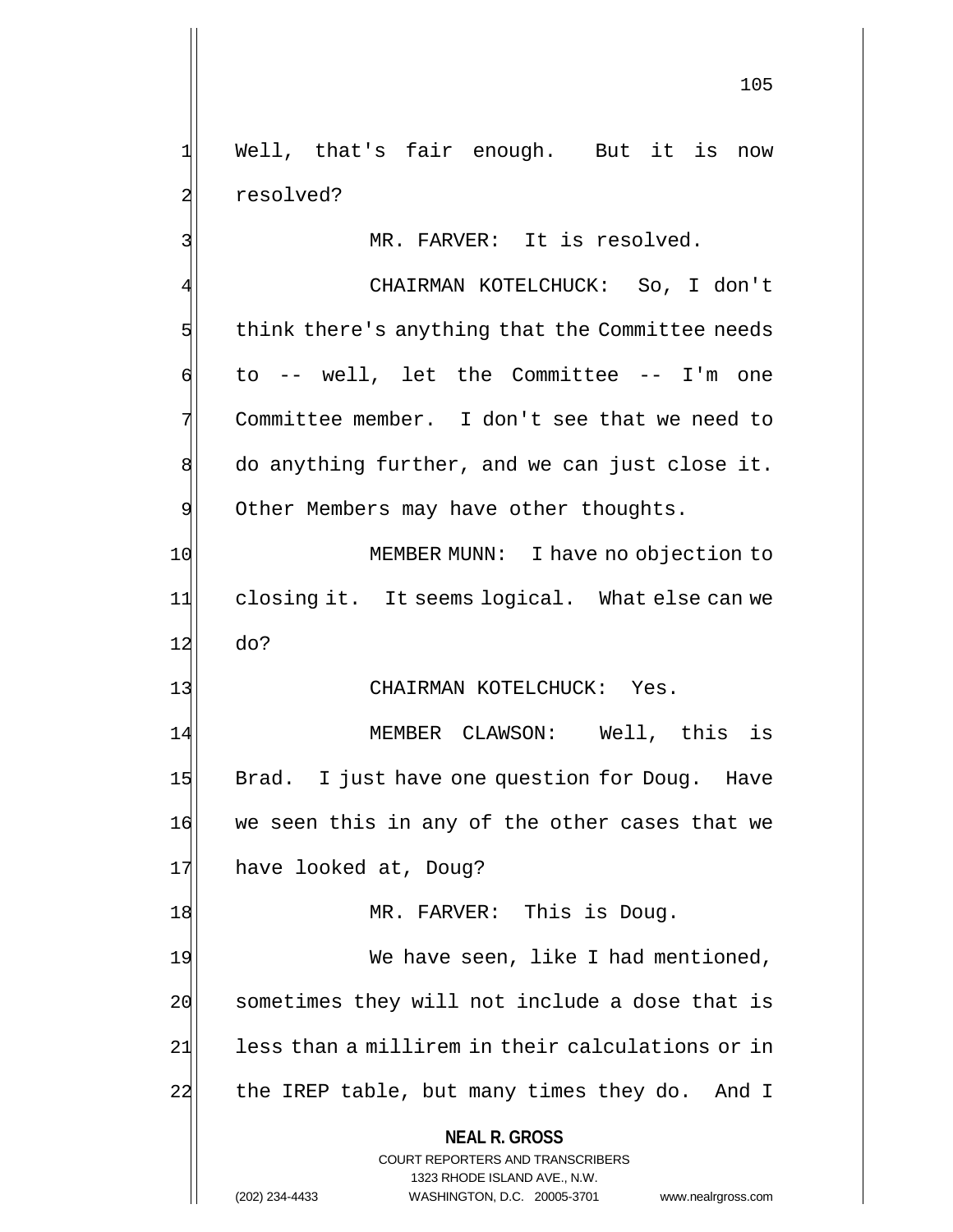1 Well, that's fair enough. But it is now 2 resolved?

3 MR. FARVER: It is resolved.

4 CHAIRMAN KOTELCHUCK: So, I don't  $5$  think there's anything that the Committee needs  $\left| \begin{array}{cccc} 0 & 0 & -1 \\ 0 & -1 & 0 \end{array} \right|$  well, let the Committee -- I'm one 7 Committee member. I don't see that we need to  $8$  do anything further, and we can just close it. 9 Other Members may have other thoughts. 10 MEMBER MUNN: I have no objection to 11 closing it. It seems logical. What else can we 12 do?

### 13 CHAIRMAN KOTELCHUCK: Yes.

14 MEMBER CLAWSON: Well, this is 15 Brad. I just have one question for Doug. Have 16 we seen this in any of the other cases that we 17 have looked at, Doug?

18 MR. FARVER: This is Doug. 19 We have seen, like I had mentioned, 20 sometimes they will not include a dose that is 21 less than a millirem in their calculations or in 22 the IREP table, but many times they do. And I

### **NEAL R. GROSS**

COURT REPORTERS AND TRANSCRIBERS 1323 RHODE ISLAND AVE., N.W. (202) 234-4433 WASHINGTON, D.C. 20005-3701 www.nealrgross.com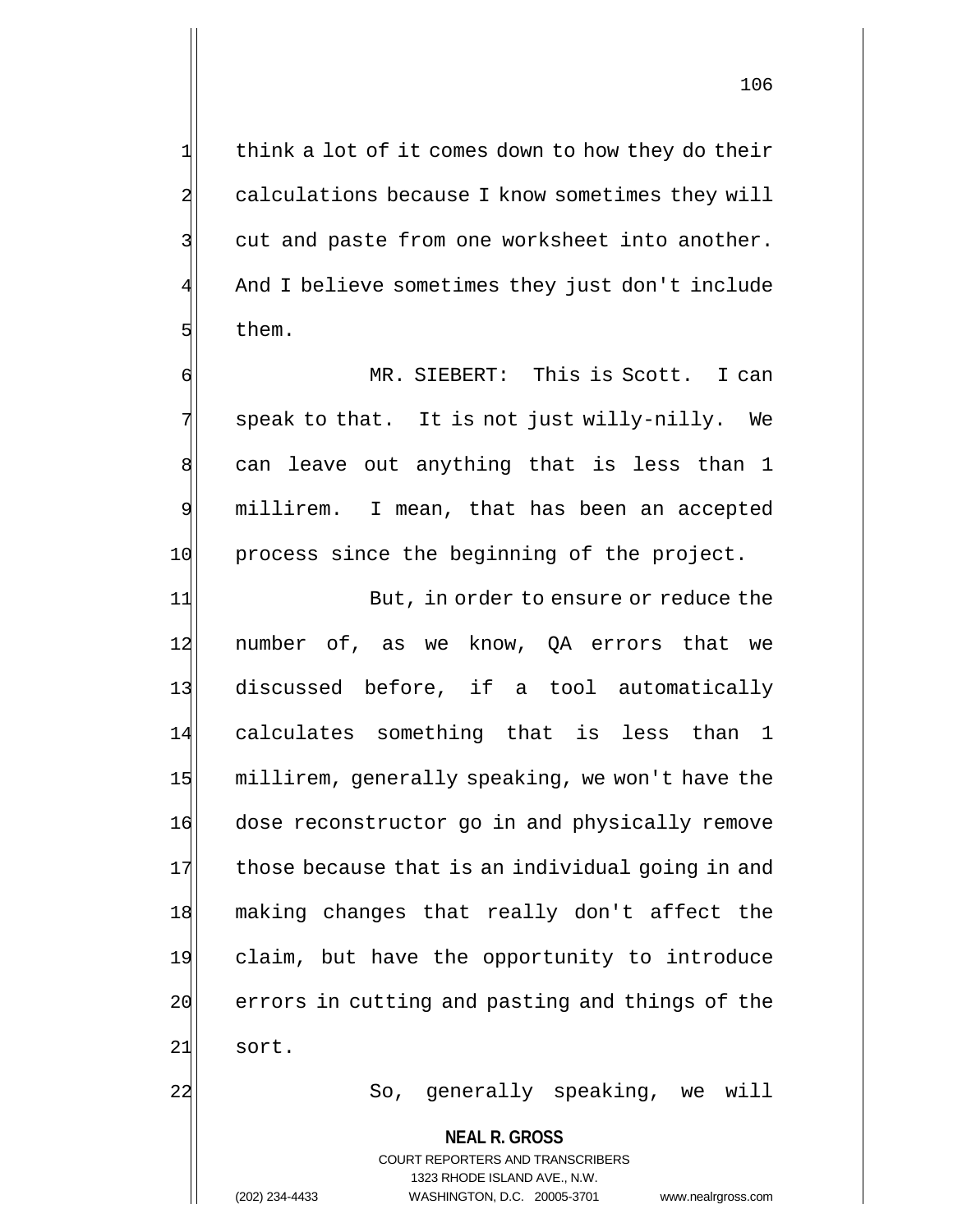106

 $1$  think a lot of it comes down to how they do their 2 calculations because I know sometimes they will  $3$  cut and paste from one worksheet into another. And I believe sometimes they just don't include 5 5 them.

6 MR. SIEBERT: This is Scott. I can  $7$  speak to that. It is not just willy-nilly. We  $8$  can leave out anything that is less than 1 9 millirem. I mean, that has been an accepted 10 process since the beginning of the project.

11 But, in order to ensure or reduce the 12 number of, as we know, QA errors that we 13 discussed before, if a tool automatically 14 calculates something that is less than 1 15 millirem, generally speaking, we won't have the 16 dose reconstructor go in and physically remove 17 those because that is an individual going in and 18 making changes that really don't affect the 19 claim, but have the opportunity to introduce 20 errors in cutting and pasting and things of the 21 sort.

22 So, generally speaking, we will

**NEAL R. GROSS**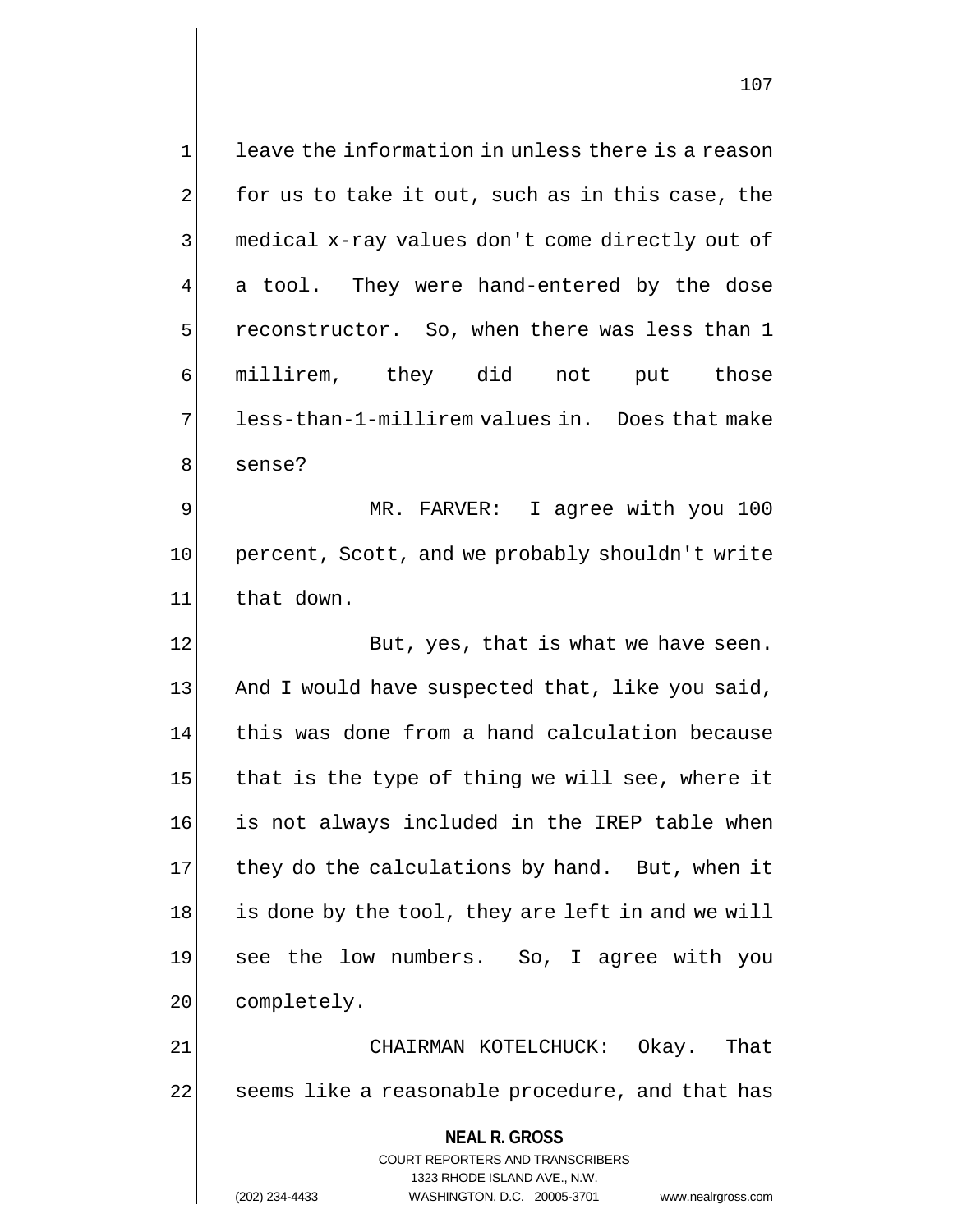| $\mathbf{1}$   | leave the information in unless there is a reason                                                   |
|----------------|-----------------------------------------------------------------------------------------------------|
| $\overline{a}$ | for us to take it out, such as in this case, the                                                    |
| 3              | medical x-ray values don't come directly out of                                                     |
| 4              | a tool. They were hand-entered by the dose                                                          |
| 5              | reconstructor. So, when there was less than 1                                                       |
| б              | millirem, they did not<br>put those                                                                 |
| 7              | less-than-1-millirem values in. Does that make                                                      |
| 8              | sense?                                                                                              |
| 9              | I agree with you 100<br>MR. FARVER:                                                                 |
| 10             | percent, Scott, and we probably shouldn't write                                                     |
| 11             | that down.                                                                                          |
| 12             | But, yes, that is what we have seen.                                                                |
| 13             | And I would have suspected that, like you said,                                                     |
| 14             | this was done from a hand calculation because                                                       |
| 15             | that is the type of thing we will see, where it                                                     |
| 16             | is not always included in the IREP table when                                                       |
| 17             | they do the calculations by hand. But, when it                                                      |
| 18             | is done by the tool, they are left in and we will                                                   |
| 19             | see the low numbers. So, I agree with you                                                           |
| 20             | completely.                                                                                         |
| 21             | CHAIRMAN KOTELCHUCK: Okay. That                                                                     |
| 22             | seems like a reasonable procedure, and that has                                                     |
|                | <b>NEAL R. GROSS</b>                                                                                |
|                | <b>COURT REPORTERS AND TRANSCRIBERS</b>                                                             |
|                | 1323 RHODE ISLAND AVE., N.W.<br>(202) 234-4433<br>WASHINGTON, D.C. 20005-3701<br>www.nealrgross.com |
|                |                                                                                                     |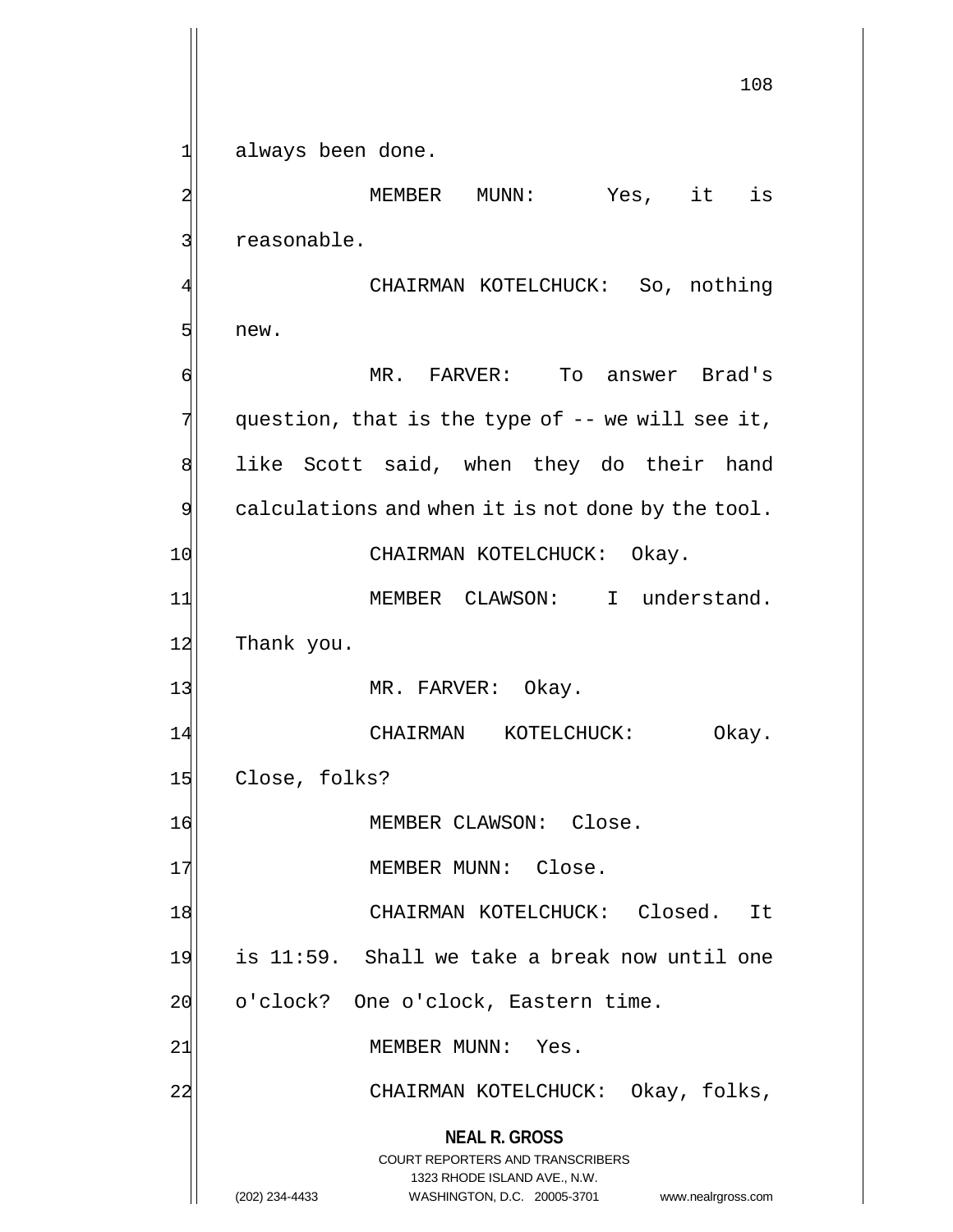1| always been done.

**NEAL R. GROSS** COURT REPORTERS AND TRANSCRIBERS 2 MEMBER MUNN: Yes, it is 3 | reasonable. CHAIRMAN KOTELCHUCK: So, nothing 5 new. 6 MR. FARVER: To answer Brad's  $7$  question, that is the type of -- we will see it, 8 all like Scott said, when they do their hand  $9$  calculations and when it is not done by the tool. 10 CHAIRMAN KOTELCHUCK: Okay. 11 MEMBER CLAWSON: I understand. 12 Thank you. 13 MR. FARVER: Okay. 14 CHAIRMAN KOTELCHUCK: Okay. 15 Close, folks? 16 MEMBER CLAWSON: Close. 17 MEMBER MUNN: Close. 18 CHAIRMAN KOTELCHUCK: Closed. It  $19$  is 11:59. Shall we take a break now until one 20 o'clock? One o'clock, Eastern time. 21 MEMBER MUNN: Yes. 22 CHAIRMAN KOTELCHUCK: Okay, folks,

> 1323 RHODE ISLAND AVE., N.W. (202) 234-4433 WASHINGTON, D.C. 20005-3701 www.nealrgross.com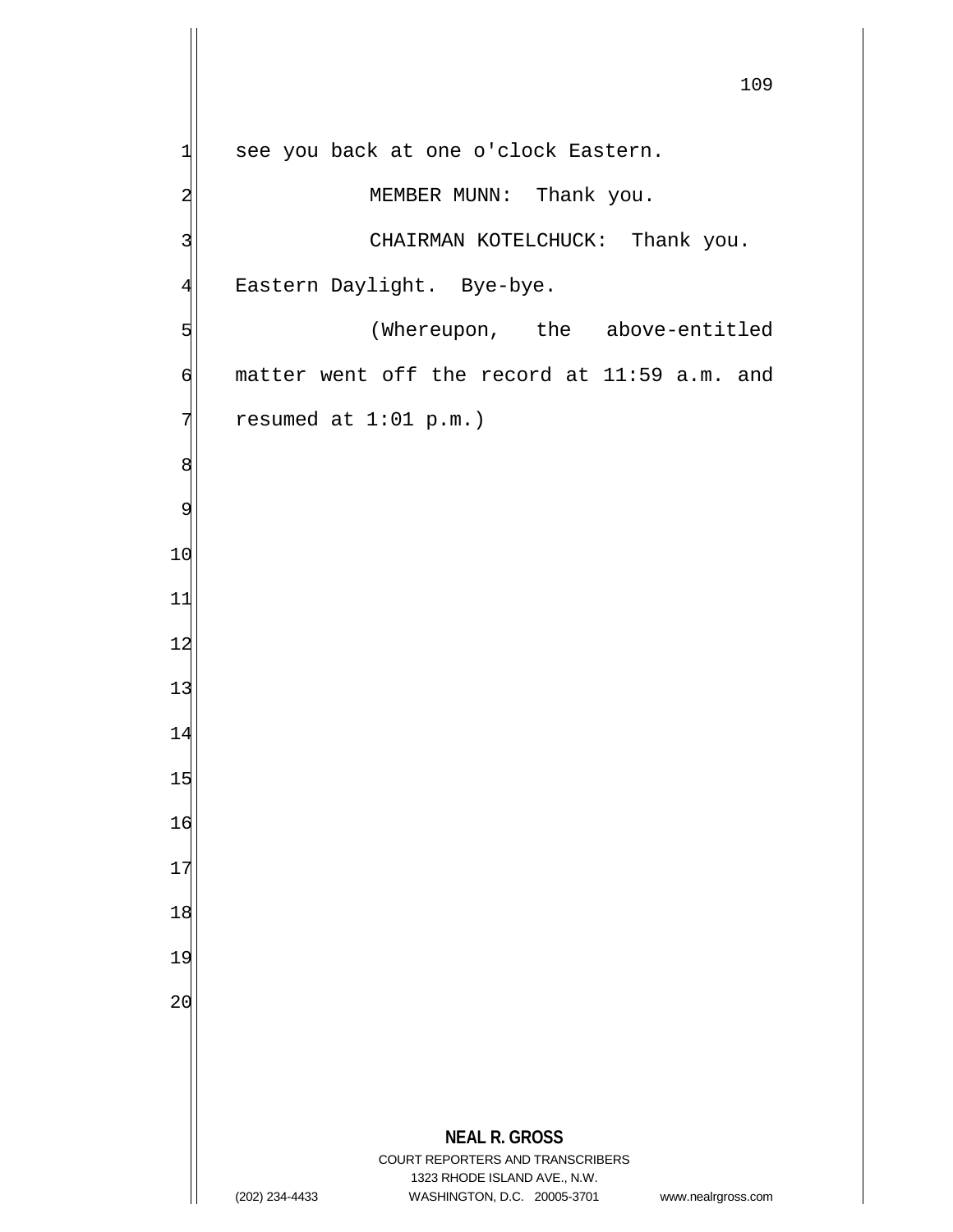**NEAL R. GROSS** COURT REPORTERS AND TRANSCRIBERS 1323 RHODE ISLAND AVE., N.W. (202) 234-4433 WASHINGTON, D.C. 20005-3701 www.nealrgross.com see you back at one o'clock Eastern. 2 MEMBER MUNN: Thank you. 3 CHAIRMAN KOTELCHUCK: Thank you. 4 Eastern Daylight. Bye-bye. 5 (Whereupon, the above-entitled  $\left| \right|$  matter went off the record at 11:59 a.m. and resumed at  $1:01$  p.m.)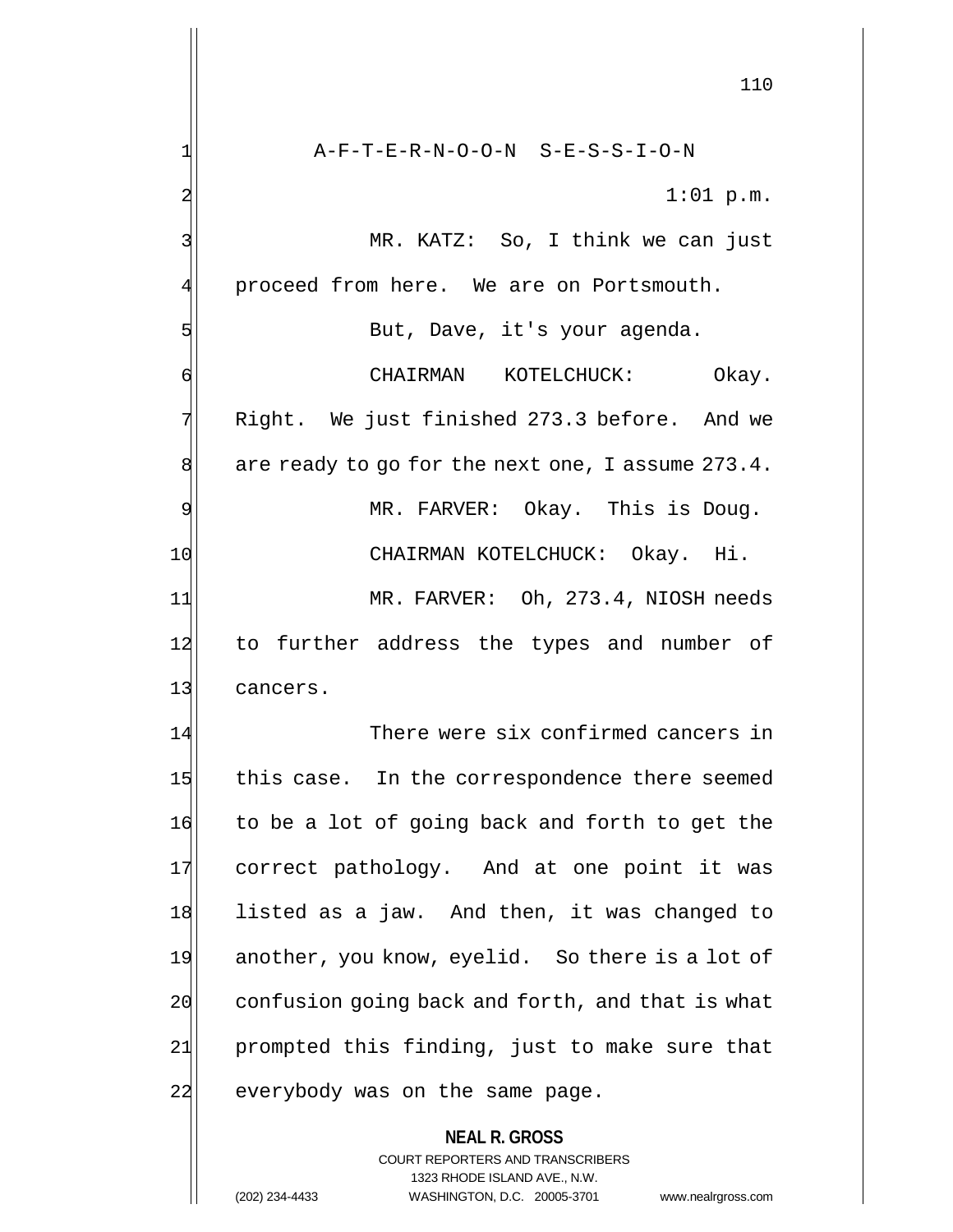**NEAL R. GROSS** COURT REPORTERS AND TRANSCRIBERS 1323 RHODE ISLAND AVE., N.W. 110 1| A-F-T-E-R-N-O-O-N S-E-S-S-I-O-N 2  $1:01 \text{ p.m.}$ 3 MR. KATZ: So, I think we can just 4 proceed from here. We are on Portsmouth. 5 But, Dave, it's your agenda. 6 CHAIRMAN KOTELCHUCK: Okay.  $7$  Right. We just finished 273.3 before. And we  $8$  are ready to go for the next one, I assume 273.4. 9 MR. FARVER: Okay. This is Doug. 10 CHAIRMAN KOTELCHUCK: Okay. Hi. 11 MR. FARVER: Oh, 273.4, NIOSH needs 12 to further address the types and number of 13 cancers. 14 There were six confirmed cancers in 15 this case. In the correspondence there seemed 16 to be a lot of going back and forth to get the 17 correct pathology. And at one point it was 18 listed as a jaw. And then, it was changed to 19 another, you know, eyelid. So there is a lot of 20 confusion going back and forth, and that is what 21 prompted this finding, just to make sure that 22 everybody was on the same page.

(202) 234-4433 WASHINGTON, D.C. 20005-3701 www.nealrgross.com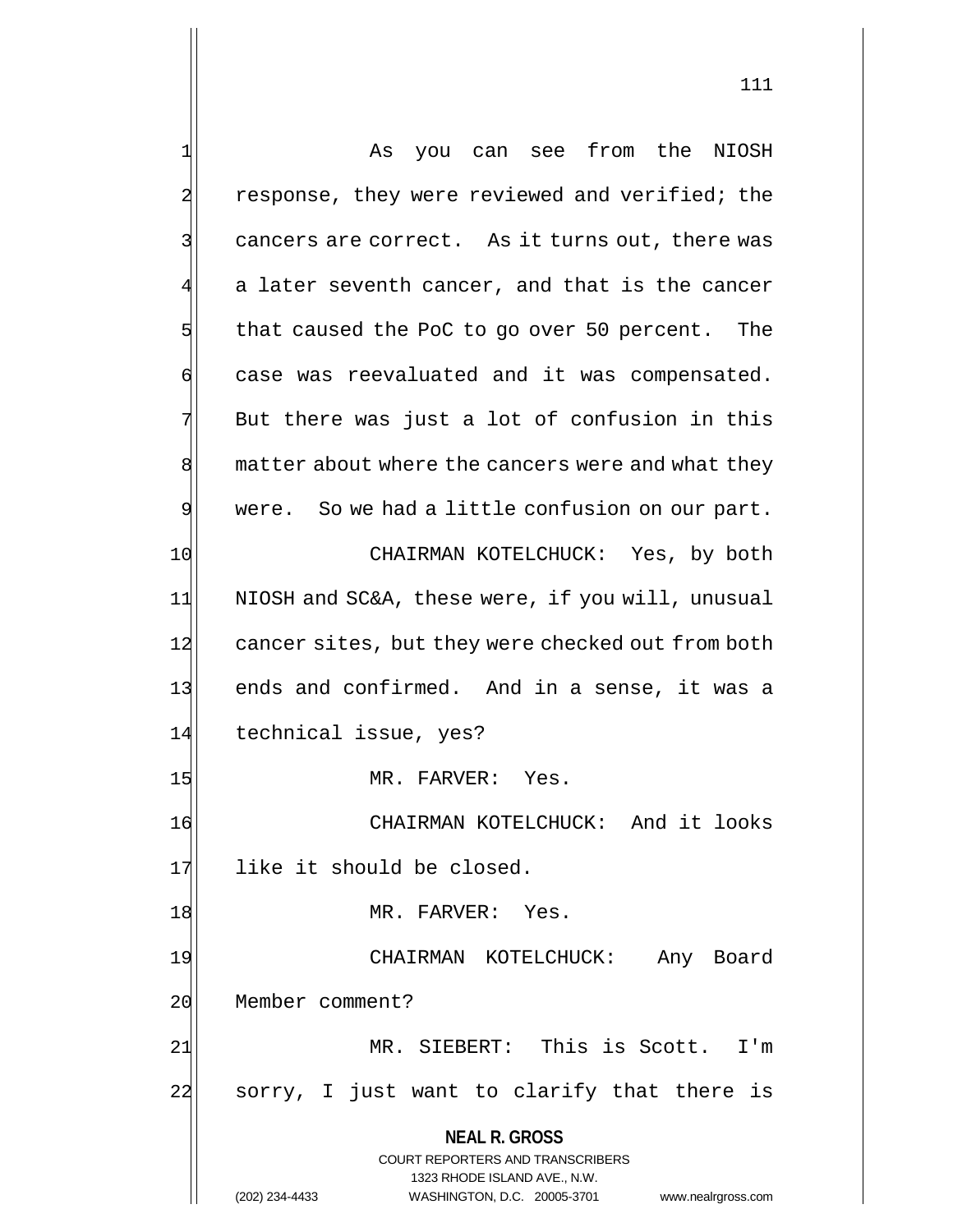**NEAL R. GROSS** COURT REPORTERS AND TRANSCRIBERS 1323 RHODE ISLAND AVE., N.W. (202) 234-4433 WASHINGTON, D.C. 20005-3701 www.nealrgross.com 1 As you can see from the NIOSH 2 response, they were reviewed and verified; the 3 3 cancers are correct. As it turns out, there was  $4\vert$  a later seventh cancer, and that is the cancer  $5$  that caused the PoC to go over 50 percent. The 6 case was reevaluated and it was compensated.  $7$  But there was just a lot of confusion in this 8 matter about where the cancers were and what they 9 were. So we had a little confusion on our part. 10 CHAIRMAN KOTELCHUCK: Yes, by both 11 NIOSH and SC&A, these were, if you will, unusual 12 cancer sites, but they were checked out from both 13 ends and confirmed. And in a sense, it was a 14 technical issue, yes? 15 MR. FARVER: Yes. 16 CHAIRMAN KOTELCHUCK: And it looks 17 like it should be closed. 18 MR. FARVER: Yes. 19 CHAIRMAN KOTELCHUCK: Any Board 20 Member comment? 21| MR. SIEBERT: This is Scott. I'm 22 sorry, I just want to clarify that there is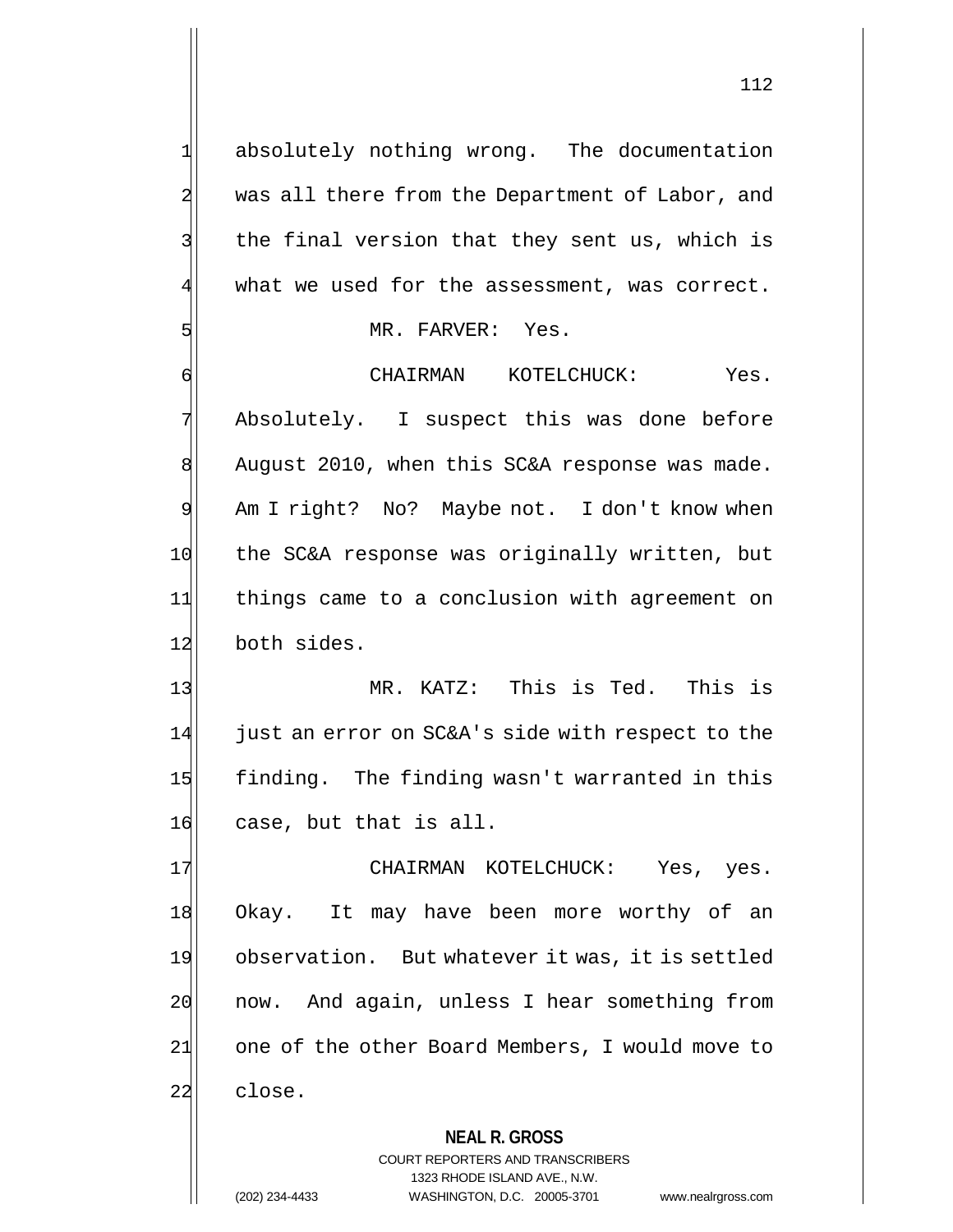1 absolutely nothing wrong. The documentation 2 was all there from the Department of Labor, and 3 | the final version that they sent us, which is  $4$  what we used for the assessment, was correct.

#### 5 MR. FARVER: Yes.

6 CHAIRMAN KOTELCHUCK: Yes. 7 Absolutely. I suspect this was done before 8 August 2010, when this SC&A response was made. 9 Am I right? No? Maybe not. I don't know when 10 the SC&A response was originally written, but 11 things came to a conclusion with agreement on 12 both sides.

13 MR. KATZ: This is Ted. This is  $14$  just an error on SC&A's side with respect to the 15 finding. The finding wasn't warranted in this 16 case, but that is all.

17 CHAIRMAN KOTELCHUCK: Yes, yes. 18 Okay. It may have been more worthy of an 19 observation. But whatever it was, it is settled 20 now. And again, unless I hear something from 21 one of the other Board Members, I would move to 22 close.

# **NEAL R. GROSS**

COURT REPORTERS AND TRANSCRIBERS 1323 RHODE ISLAND AVE., N.W. (202) 234-4433 WASHINGTON, D.C. 20005-3701 www.nealrgross.com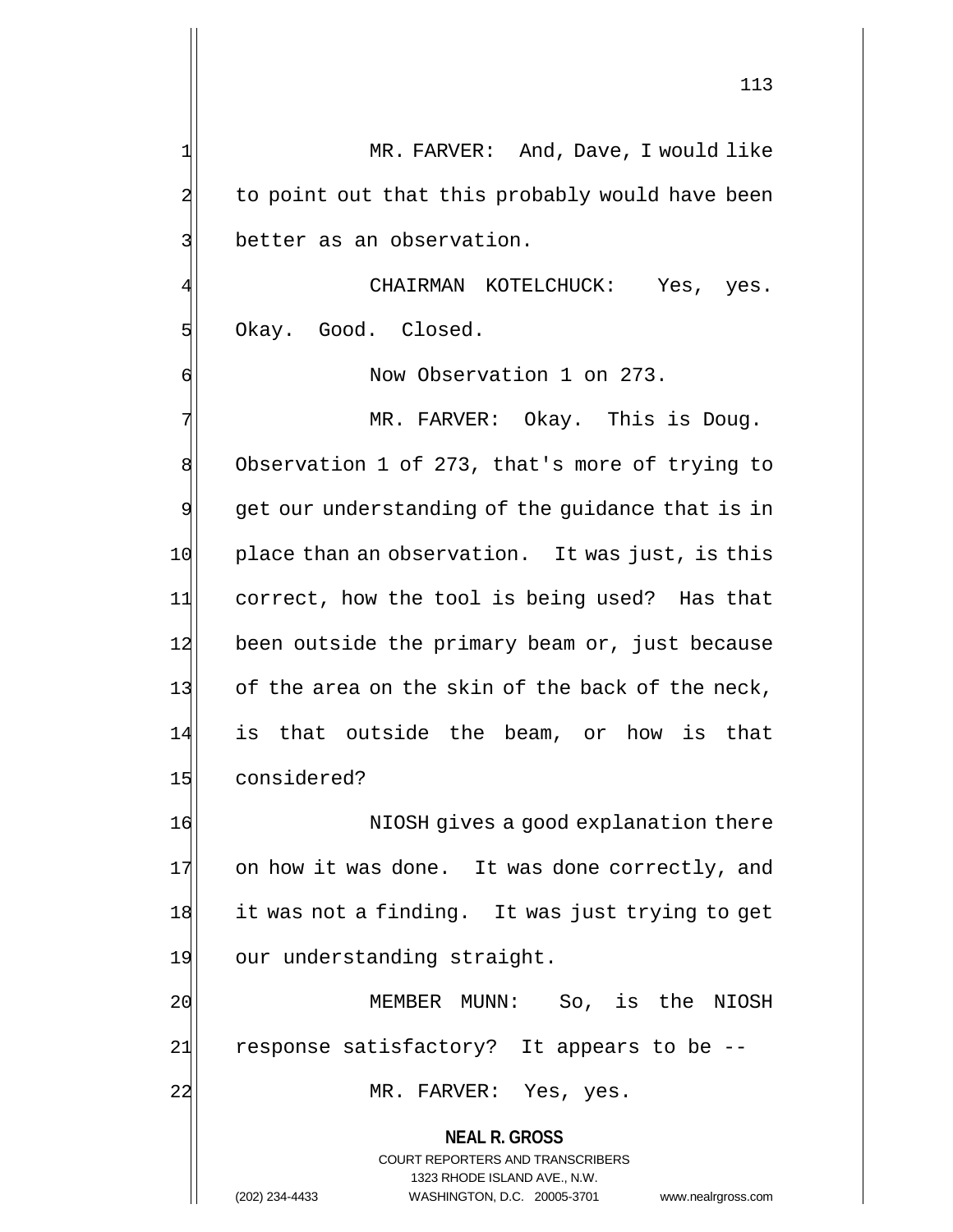1 MR. FARVER: And, Dave, I would like 2 to point out that this probably would have been

3 better as an observation.

CHAIRMAN KOTELCHUCK: Yes, yes. 5 Okay. Good. Closed.

6 **6** Now Observation 1 on 273.

7 MR. FARVER: Okay. This is Doug. 8 Observation 1 of 273, that's more of trying to  $9$  get our understanding of the guidance that is in 10 place than an observation. It was just, is this 11 correct, how the tool is being used? Has that 12 been outside the primary beam or, just because 13 of the area on the skin of the back of the neck, 14 is that outside the beam, or how is that 15 considered?

16 16 NIOSH gives a good explanation there 17 on how it was done. It was done correctly, and 18 it was not a finding. It was just trying to get 19 our understanding straight.

20 MEMBER MUNN: So, is the NIOSH  $21$  response satisfactory? It appears to be  $-$ 

22 MR. FARVER: Yes, yes.

**NEAL R. GROSS** COURT REPORTERS AND TRANSCRIBERS 1323 RHODE ISLAND AVE., N.W. (202) 234-4433 WASHINGTON, D.C. 20005-3701 www.nealrgross.com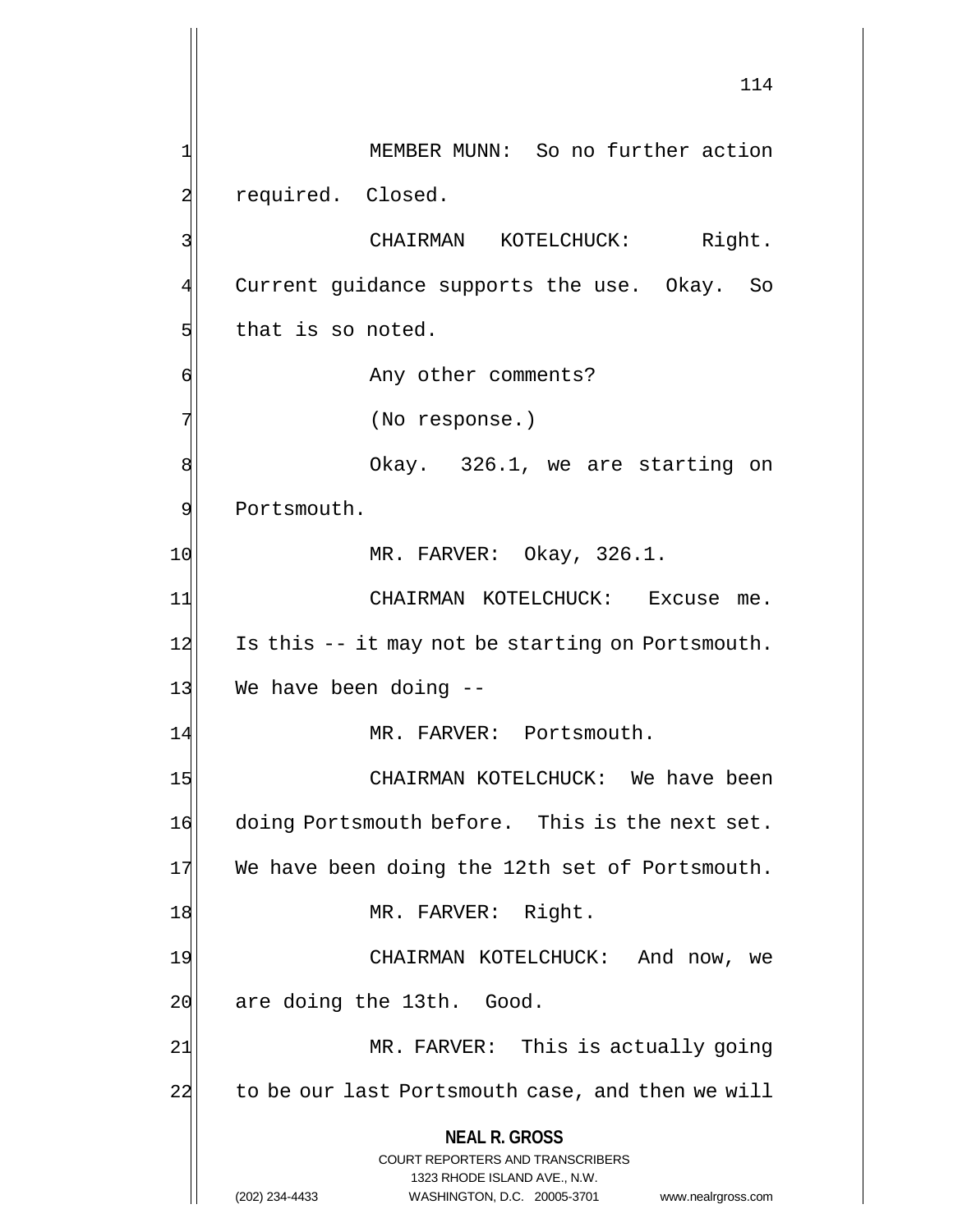**NEAL R. GROSS** COURT REPORTERS AND TRANSCRIBERS 1323 RHODE ISLAND AVE., N.W. (202) 234-4433 WASHINGTON, D.C. 20005-3701 www.nealrgross.com 114 1 MEMBER MUNN: So no further action 2 required. Closed. 3 | CHAIRMAN KOTELCHUCK: Right. 4 Current guidance supports the use. Okay. So 5 that is so noted. 6 | Any other comments? 7 (No response.) 8 8 8 Okay. 326.1, we are starting on 9 Portsmouth. 10 MR. FARVER: Okay, 326.1. 11 CHAIRMAN KOTELCHUCK: Excuse me.  $12$  Is this  $-$  it may not be starting on Portsmouth.  $13$  We have been doing  $-$ 14 MR. FARVER: Portsmouth. 15 CHAIRMAN KOTELCHUCK: We have been 16 doing Portsmouth before. This is the next set. 17 We have been doing the 12th set of Portsmouth. 18 MR. FARVER: Right. 19 CHAIRMAN KOTELCHUCK: And now, we 20 are doing the 13th. Good. 21 MR. FARVER: This is actually going 22 to be our last Portsmouth case, and then we will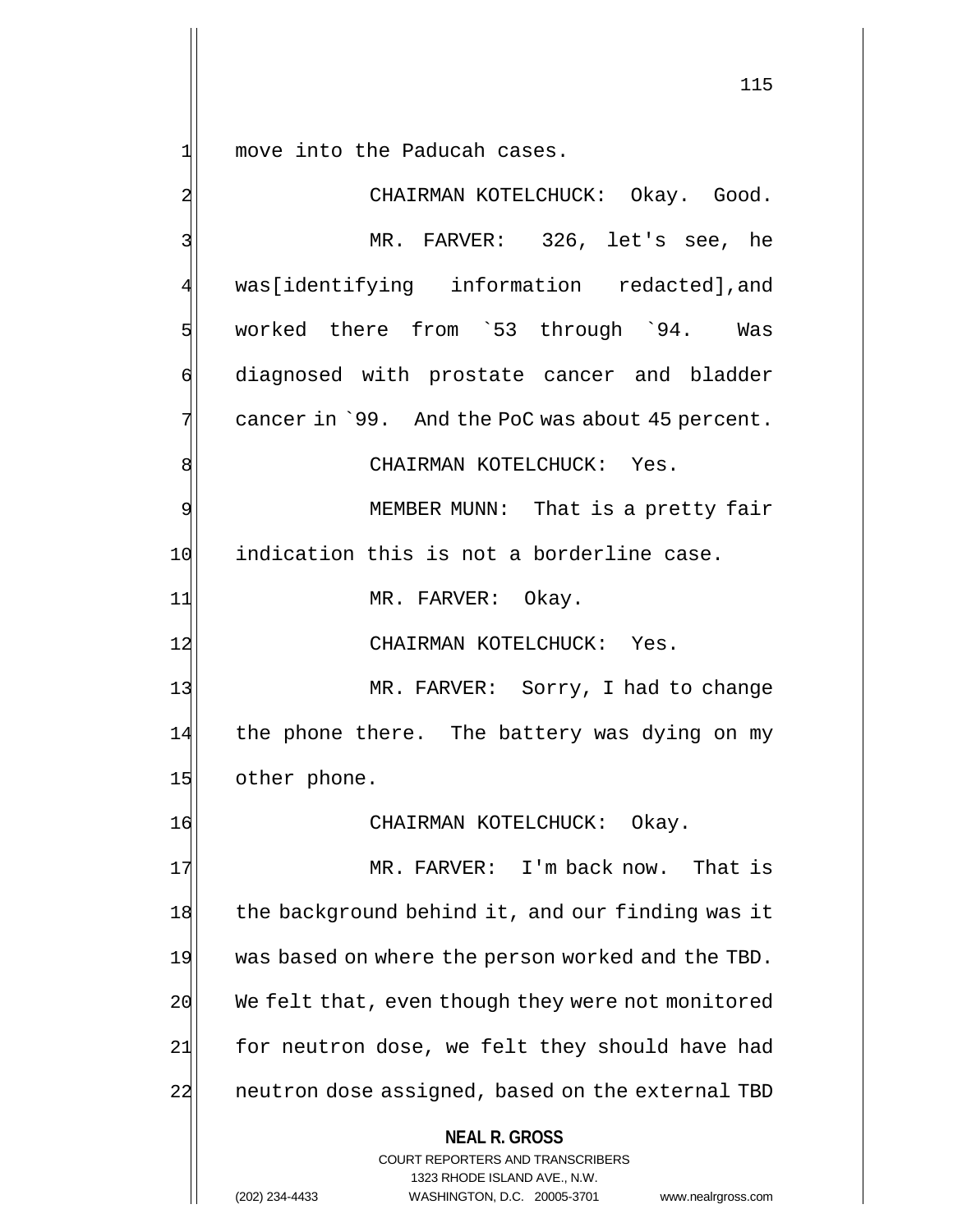$1$  move into the Paducah cases.

**NEAL R. GROSS** COURT REPORTERS AND TRANSCRIBERS 1323 RHODE ISLAND AVE., N.W. 2 CHAIRMAN KOTELCHUCK: Okay. Good. 3 MR. FARVER: 326, let's see, he 4 was[identifying information redacted],and 5 worked there from `53 through `94. Was 6 diagnosed with prostate cancer and bladder  $7$  cancer in `99. And the PoC was about 45 percent. 8 | CHAIRMAN KOTELCHUCK: Yes. 9 MEMBER MUNN: That is a pretty fair 10 indication this is not a borderline case. 11 MR. FARVER: Okay. 12 CHAIRMAN KOTELCHUCK: Yes. 13 MR. FARVER: Sorry, I had to change 14 the phone there. The battery was dying on my 15 other phone. 16 CHAIRMAN KOTELCHUCK: Okay. 17 MR. FARVER: I'm back now. That is 18 the background behind it, and our finding was it 19 was based on where the person worked and the TBD. 20 We felt that, even though they were not monitored  $21$  for neutron dose, we felt they should have had 22 neutron dose assigned, based on the external TBD

(202) 234-4433 WASHINGTON, D.C. 20005-3701 www.nealrgross.com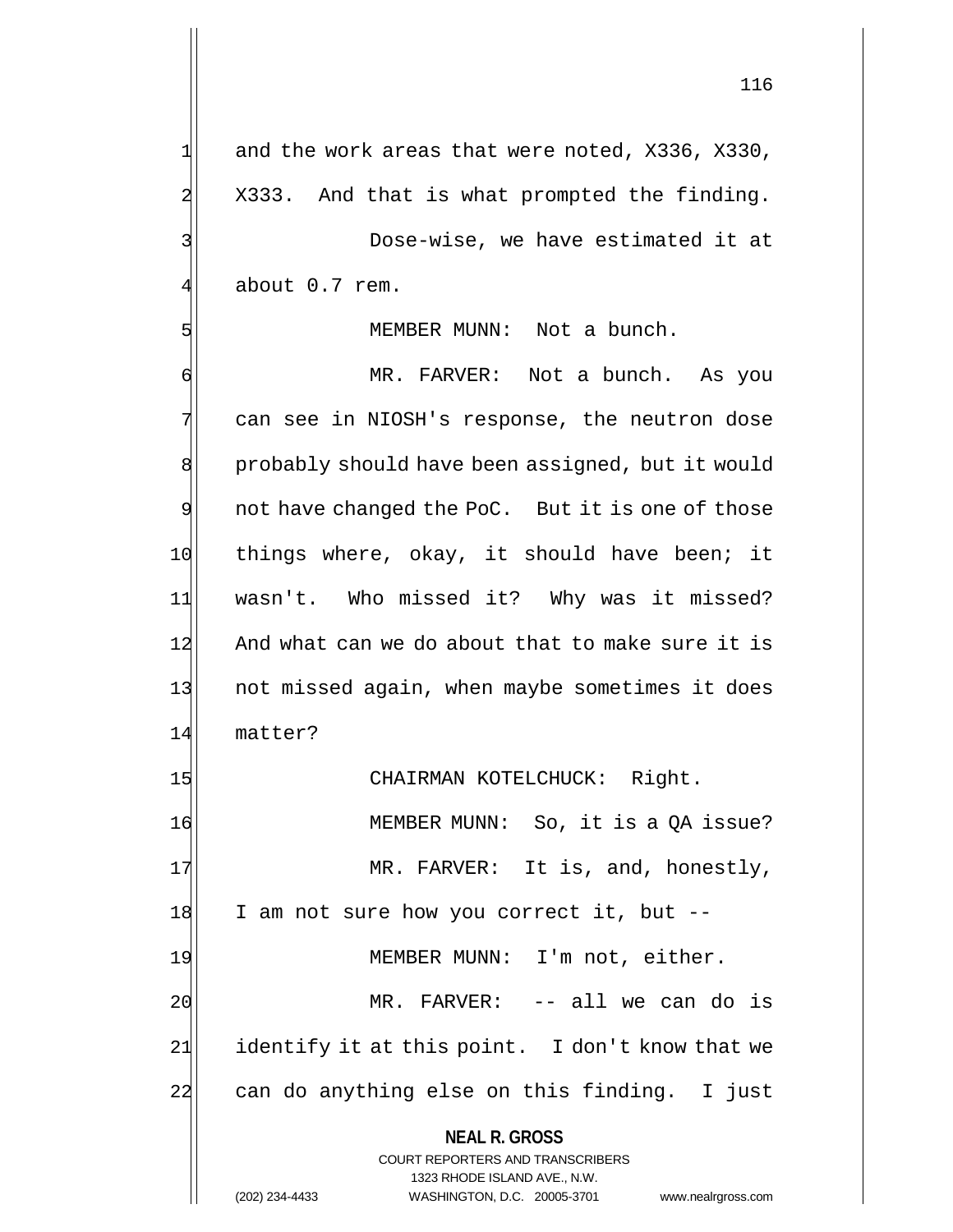**NEAL R. GROSS**  $1$  and the work areas that were noted, X336, X330,  $2$  X333. And that is what prompted the finding. 3 Dose-wise, we have estimated it at 4 about 0.7 rem. 5 MEMBER MUNN: Not a bunch. 6 MR. FARVER: Not a bunch. As you 7 can see in NIOSH's response, the neutron dose 8 probably should have been assigned, but it would 9 | not have changed the PoC. But it is one of those 10 things where, okay, it should have been; it 11 wasn't. Who missed it? Why was it missed? 12 And what can we do about that to make sure it is 13 not missed again, when maybe sometimes it does 14 matter? 15 CHAIRMAN KOTELCHUCK: Right. 16 MEMBER MUNN: So, it is a QA issue? 17 MR. FARVER: It is, and, honestly, 18 I am not sure how you correct it, but --19 MEMBER MUNN: I'm not, either. 20 MR. FARVER: -- all we can do is  $21$  identify it at this point. I don't know that we 22 can do anything else on this finding. I just

> COURT REPORTERS AND TRANSCRIBERS 1323 RHODE ISLAND AVE., N.W.

(202) 234-4433 WASHINGTON, D.C. 20005-3701 www.nealrgross.com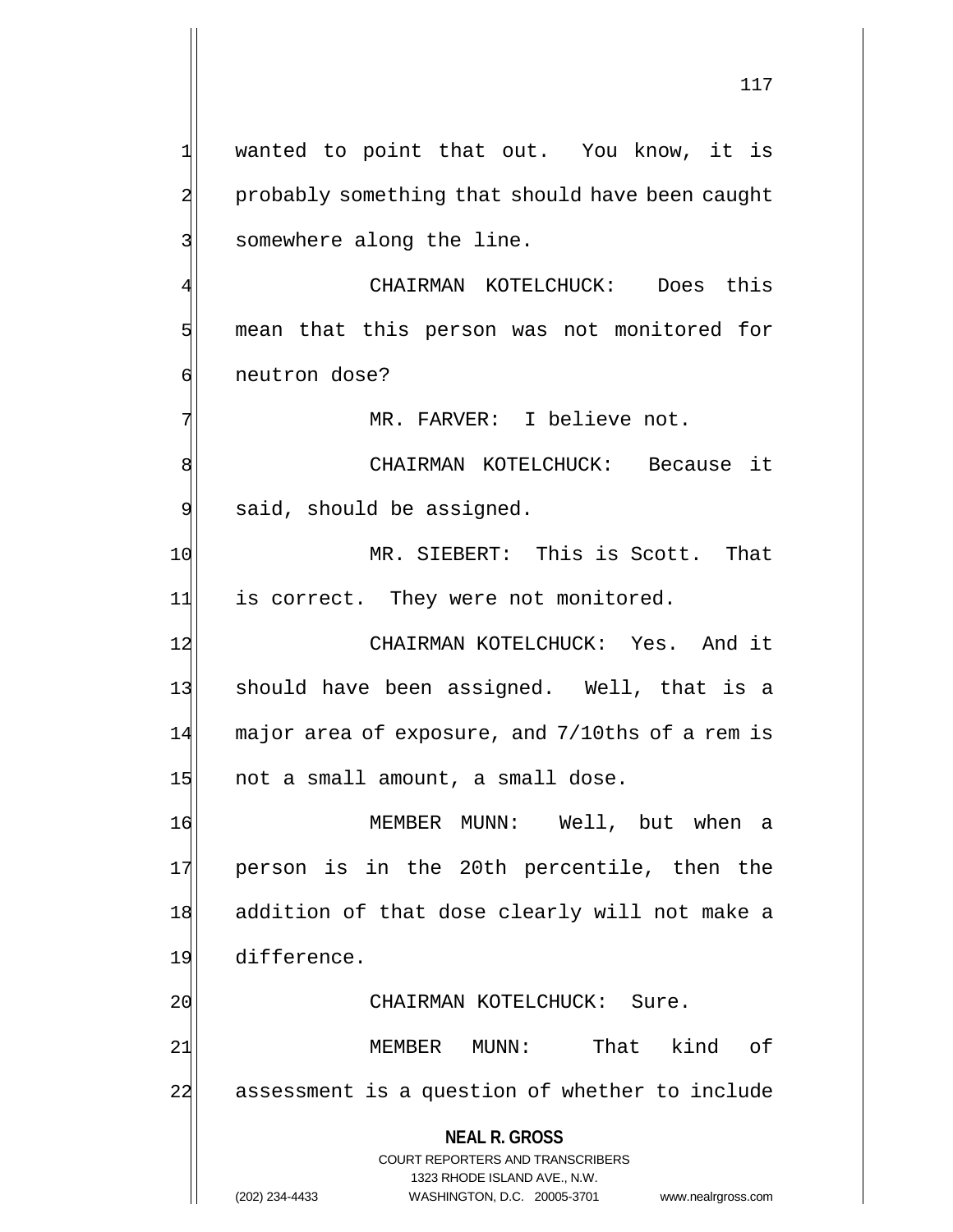$1$  wanted to point that out. You know, it is 2 probably something that should have been caught 3 somewhere along the line. 4 CHAIRMAN KOTELCHUCK: Does this 5 mean that this person was not monitored for 6 | neutron dose? 7 MR. FARVER: I believe not. 8 SI CHAIRMAN KOTELCHUCK: Because it 9 said, should be assigned. 10 MR. SIEBERT: This is Scott. That 11 is correct. They were not monitored. 12 CHAIRMAN KOTELCHUCK: Yes. And it 13| should have been assigned. Well, that is a 14 major area of exposure, and 7/10ths of a rem is  $15$  not a small amount, a small dose. 16 MEMBER MUNN: Well, but when a 17 person is in the 20th percentile, then the 18 addition of that dose clearly will not make a 19 difference.

21 MEMBER MUNN: That kind of 22 assessment is a question of whether to include

20 CHAIRMAN KOTELCHUCK: Sure.

**NEAL R. GROSS** COURT REPORTERS AND TRANSCRIBERS 1323 RHODE ISLAND AVE., N.W. (202) 234-4433 WASHINGTON, D.C. 20005-3701 www.nealrgross.com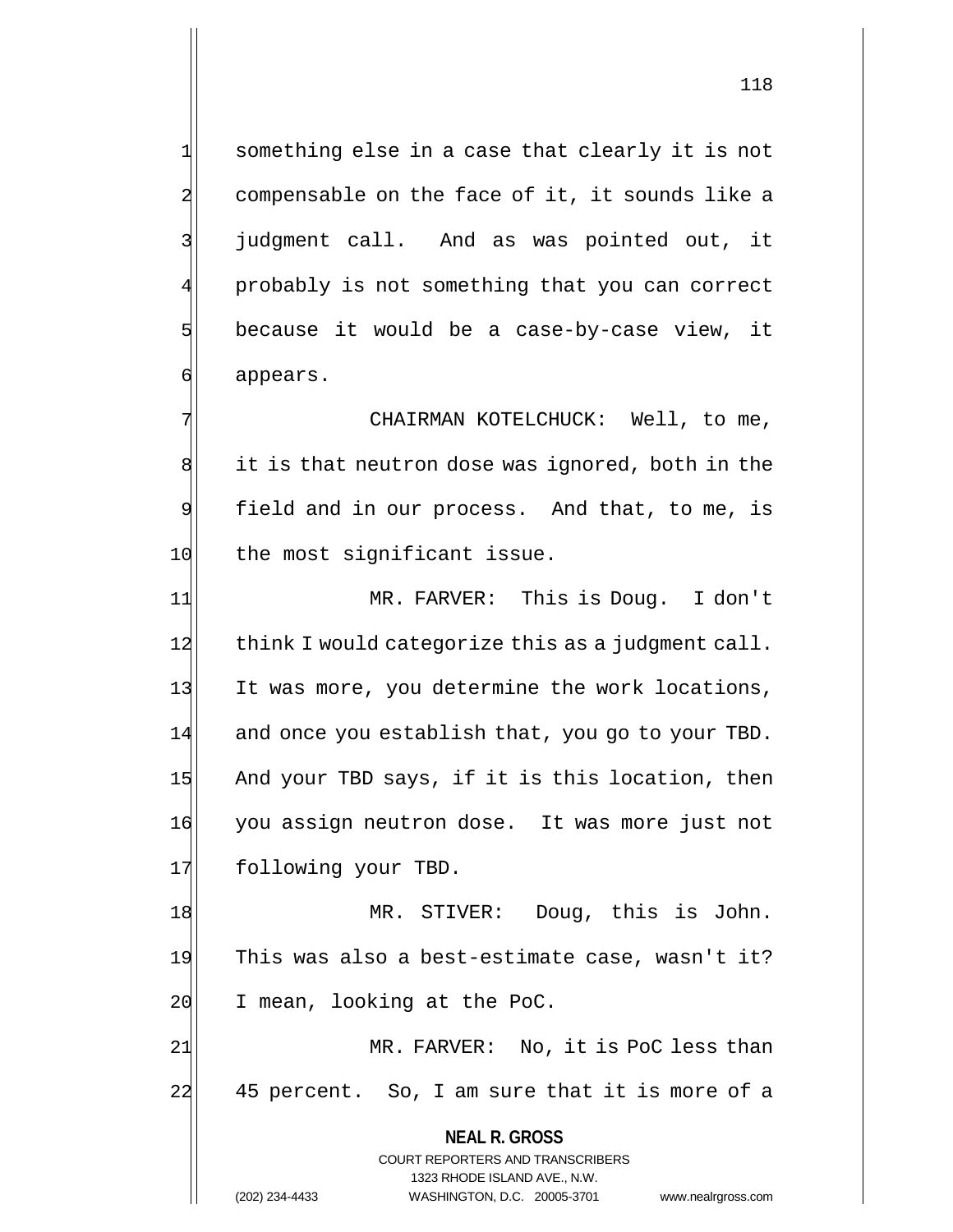1 something else in a case that clearly it is not 2 compensable on the face of it, it sounds like a 3 | judgment call. And as was pointed out, it probably is not something that you can correct  $5$  because it would be a case-by-case view, it 6 appears.

7 CHAIRMAN KOTELCHUCK: Well, to me, 8 it is that neutron dose was ignored, both in the 9 field and in our process. And that, to me, is 10 the most significant issue.

11 MR. FARVER: This is Doug. I don't 12 think I would categorize this as a judgment call. 13 It was more, you determine the work locations, 14 and once you establish that, you go to your TBD. 15 And your TBD says, if it is this location, then 16 you assign neutron dose. It was more just not 17 following your TBD.

18 MR. STIVER: Doug, this is John. 19 This was also a best-estimate case, wasn't it? 20 I mean, looking at the PoC.

21 MR. FARVER: No, it is PoC less than 22 45 percent. So, I am sure that it is more of a

> **NEAL R. GROSS** COURT REPORTERS AND TRANSCRIBERS

118

1323 RHODE ISLAND AVE., N.W. (202) 234-4433 WASHINGTON, D.C. 20005-3701 www.nealrgross.com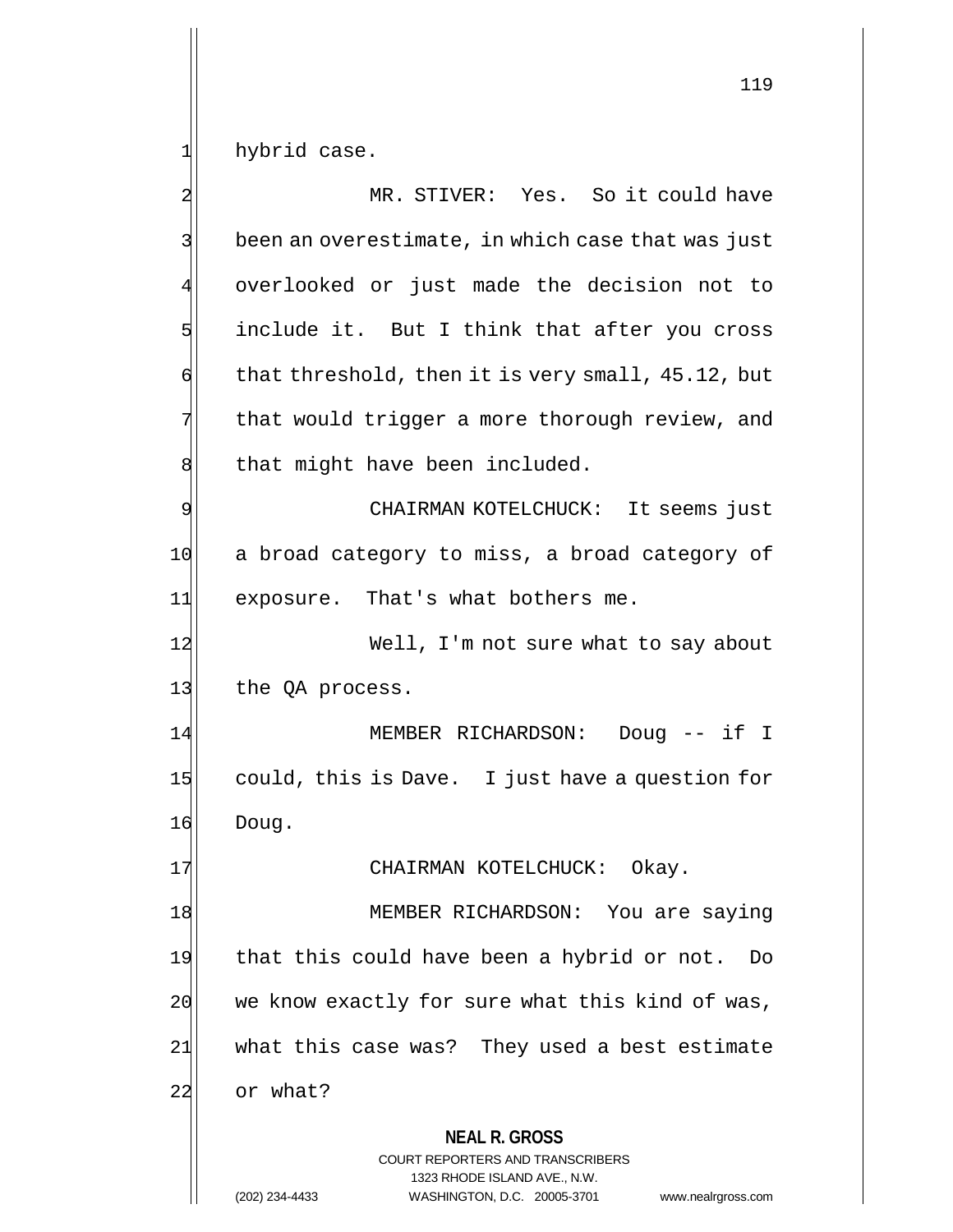hybrid case.

|    | MR. STIVER: Yes. So it could have                                                                                                                                      |
|----|------------------------------------------------------------------------------------------------------------------------------------------------------------------------|
|    | been an overestimate, in which case that was just                                                                                                                      |
|    | overlooked or just made the decision not to                                                                                                                            |
| 5  | include it. But I think that after you cross                                                                                                                           |
| 6  | that threshold, then it is very small, 45.12, but                                                                                                                      |
| 7  | that would trigger a more thorough review, and                                                                                                                         |
| 8  | that might have been included.                                                                                                                                         |
| 9  | CHAIRMAN KOTELCHUCK: It seems just                                                                                                                                     |
| 10 | a broad category to miss, a broad category of                                                                                                                          |
| 11 | exposure. That's what bothers me.                                                                                                                                      |
| 12 | Well, I'm not sure what to say about                                                                                                                                   |
| 13 | the QA process.                                                                                                                                                        |
| 14 | MEMBER RICHARDSON: Doug -- if I                                                                                                                                        |
| 15 | could, this is Dave. I just have a question for                                                                                                                        |
| 16 | Doug.                                                                                                                                                                  |
| 17 | CHAIRMAN KOTELCHUCK:<br>Okay.                                                                                                                                          |
| 18 | MEMBER RICHARDSON: You are saying                                                                                                                                      |
| 19 | that this could have been a hybrid or not.<br>Do                                                                                                                       |
| 20 | we know exactly for sure what this kind of was,                                                                                                                        |
| 21 | what this case was? They used a best estimate                                                                                                                          |
| 22 | or what?                                                                                                                                                               |
|    | <b>NEAL R. GROSS</b><br><b>COURT REPORTERS AND TRANSCRIBERS</b><br>1323 RHODE ISLAND AVE., N.W.<br>(202) 234-4433<br>WASHINGTON, D.C. 20005-3701<br>www.nealrgross.com |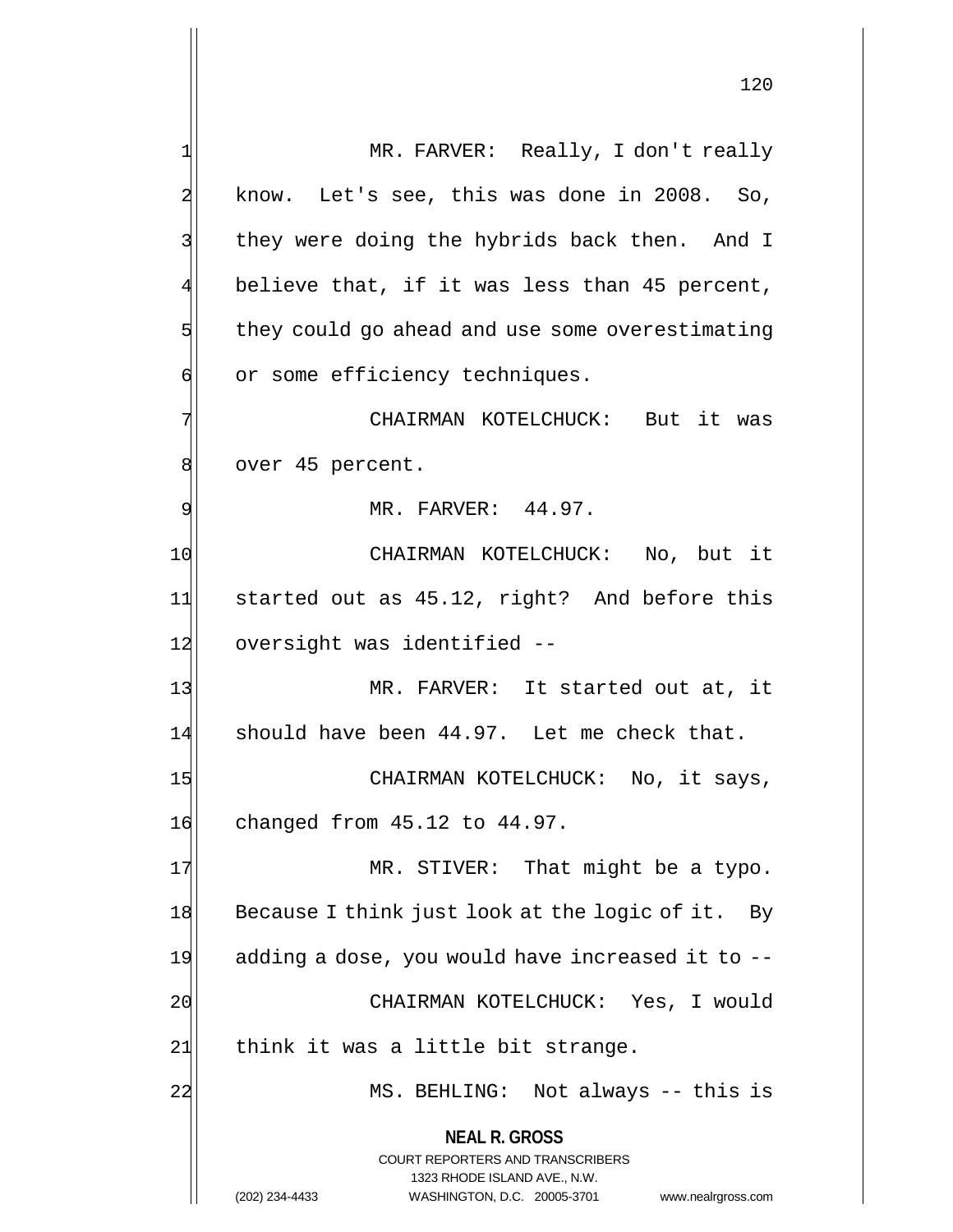**NEAL R. GROSS** COURT REPORTERS AND TRANSCRIBERS 1323 RHODE ISLAND AVE., N.W. 1 MR. FARVER: Really, I don't really  $2$  know. Let's see, this was done in 2008. So, 3 3 || they were doing the hybrids back then. And I believe that, if it was less than 45 percent, 5 they could go ahead and use some overestimating 6 or some efficiency techniques. 7 | CHAIRMAN KOTELCHUCK: But it was 8 over 45 percent. 9 MR. FARVER: 44.97. 10 CHAIRMAN KOTELCHUCK: No, but it 11 started out as 45.12, right? And before this 12 oversight was identified --13 MR. FARVER: It started out at, it 14 should have been 44.97. Let me check that. 15 CHAIRMAN KOTELCHUCK: No, it says, 16 changed from 45.12 to 44.97. 17 MR. STIVER: That might be a typo. 18 Because I think just look at the logic of it. By  $19$  adding a dose, you would have increased it to  $-$ 20 CHAIRMAN KOTELCHUCK: Yes, I would  $21$  think it was a little bit strange. 22 MS. BEHLING: Not always -- this is

(202) 234-4433 WASHINGTON, D.C. 20005-3701 www.nealrgross.com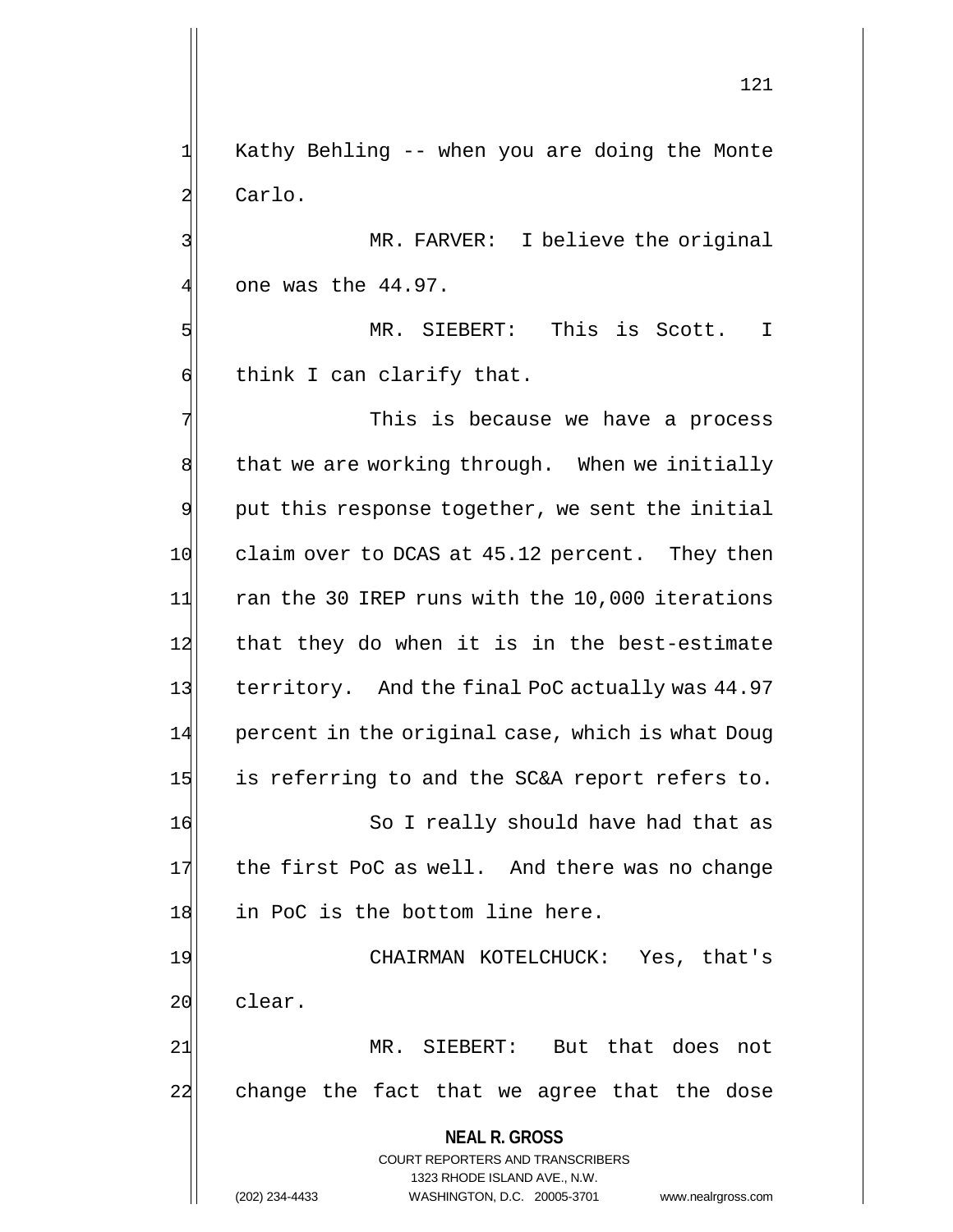$1$ | Kathy Behling -- when you are doing the Monte 2 Carlo.

3 MR. FARVER: I believe the original  $4$  one was the  $44.97$ .

5 MR. SIEBERT: This is Scott. I  $\mathfrak{q}$  think I can clarify that.

**NEAL R. GROSS** COURT REPORTERS AND TRANSCRIBERS 1323 RHODE ISLAND AVE., N.W. (202) 234-4433 WASHINGTON, D.C. 20005-3701 www.nealrgross.com 7 This is because we have a process  $8$  that we are working through. When we initially 9 put this response together, we sent the initial 10 claim over to DCAS at 45.12 percent. They then 11 ran the 30 IREP runs with the 10,000 iterations 12 that they do when it is in the best-estimate 13 territory. And the final PoC actually was 44.97 14 percent in the original case, which is what Doug 15 is referring to and the SC&A report refers to. 16 So I really should have had that as 17 the first PoC as well. And there was no change 18 in PoC is the bottom line here. 19 CHAIRMAN KOTELCHUCK: Yes, that's 20 clear. 21 MR. SIEBERT: But that does not 22 change the fact that we agree that the dose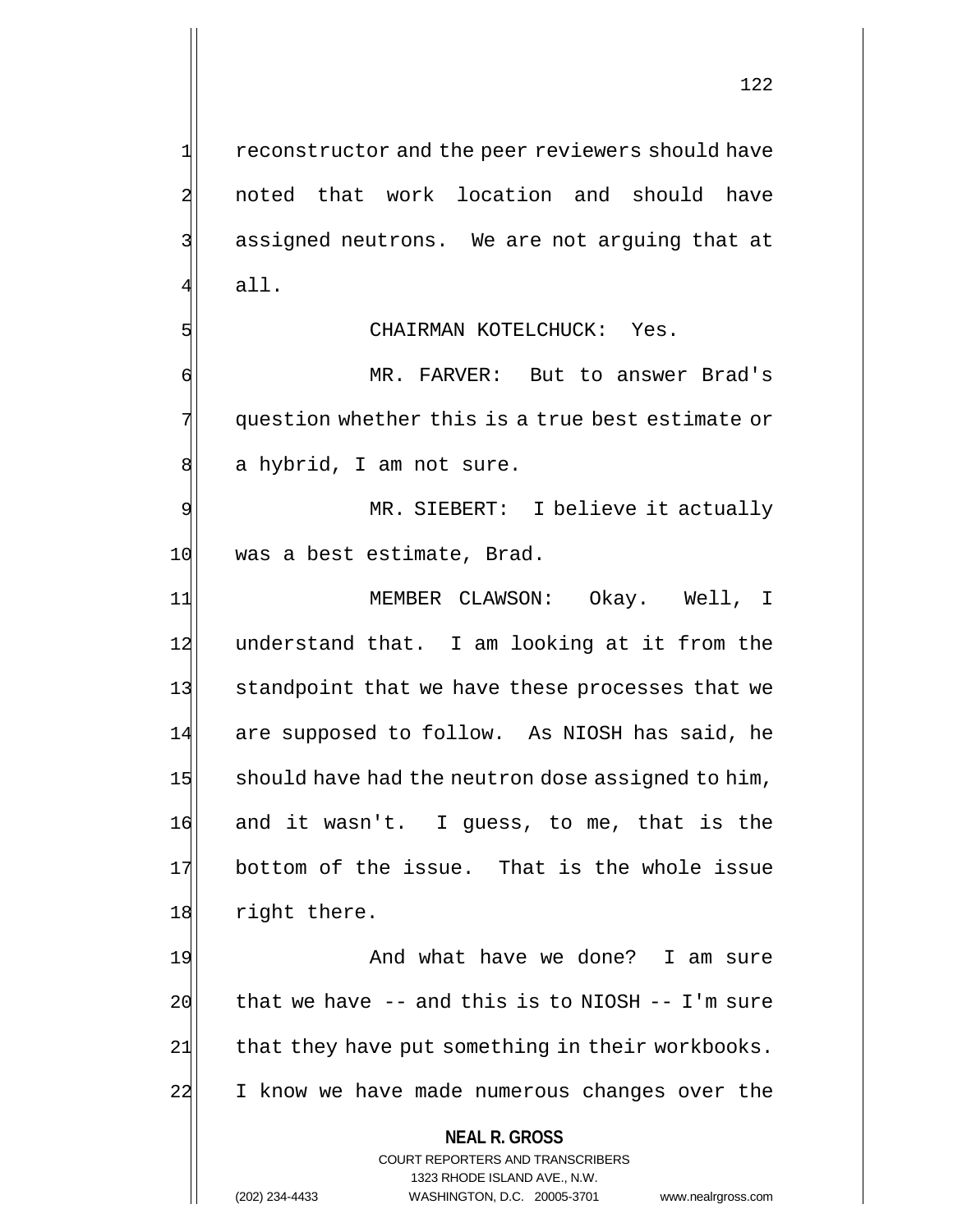122

2 noted that work location and should have 3| assigned neutrons. We are not arguing that at 4 all.

# 5 SI

6 MR. FARVER: But to answer Brad's 7 question whether this is a true best estimate or 8 a hybrid, I am not sure.

9 MR. SIEBERT: I believe it actually 10 was a best estimate, Brad.

11 | MEMBER CLAWSON: Okay. Well, I 12 understand that. I am looking at it from the 13 standpoint that we have these processes that we 14 are supposed to follow. As NIOSH has said, he 15 should have had the neutron dose assigned to him, 16 and it wasn't. I guess, to me, that is the 17 bottom of the issue. That is the whole issue 18 right there.

19 And what have we done? I am sure  $20$  that we have -- and this is to NIOSH -- I'm sure 21 that they have put something in their workbooks. 22 I know we have made numerous changes over the

### **NEAL R. GROSS**

COURT REPORTERS AND TRANSCRIBERS 1323 RHODE ISLAND AVE., N.W. (202) 234-4433 WASHINGTON, D.C. 20005-3701 www.nealrgross.com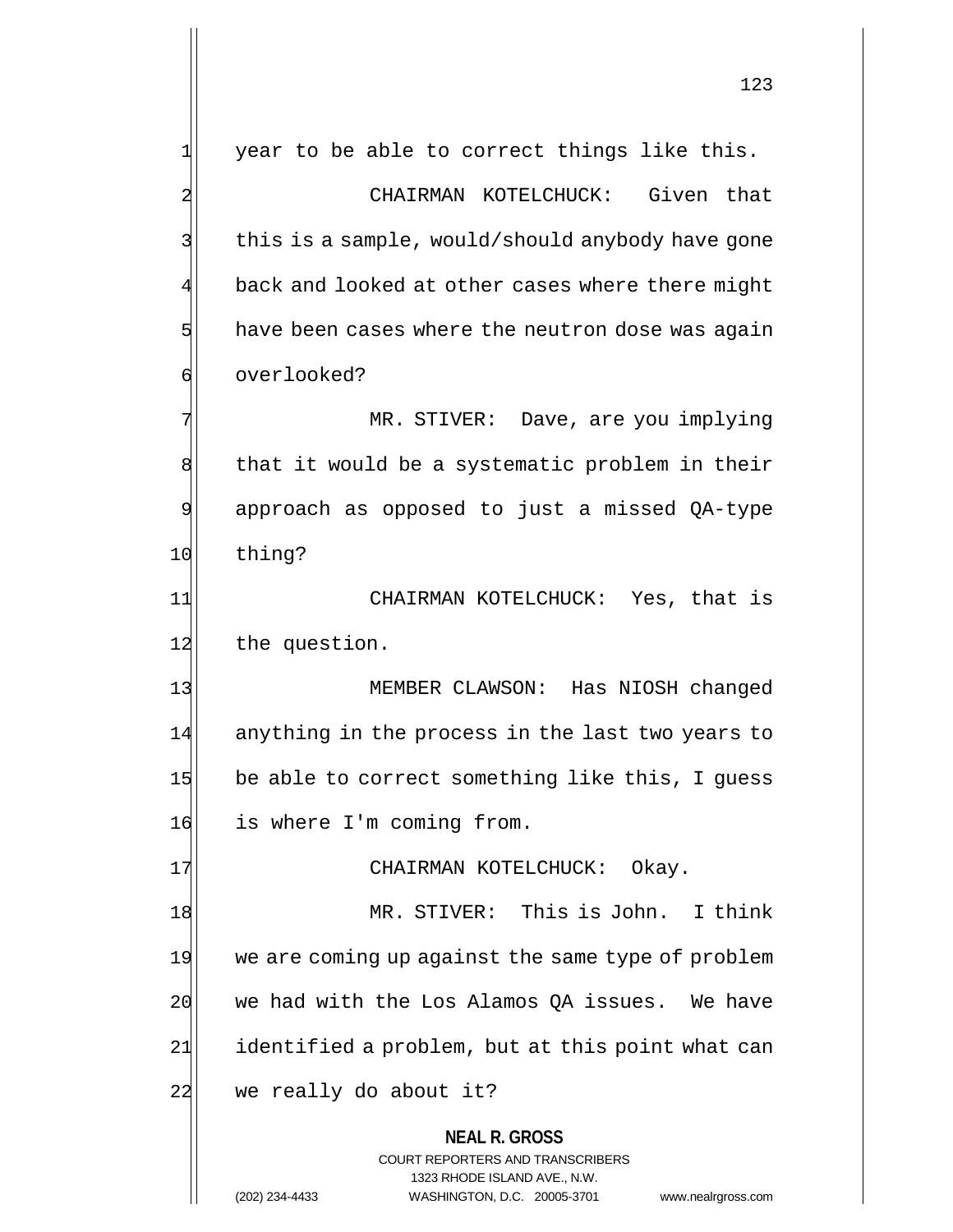**NEAL R. GROSS** COURT REPORTERS AND TRANSCRIBERS 1323 RHODE ISLAND AVE., N.W.  $1$  year to be able to correct things like this. 2 CHAIRMAN KOTELCHUCK: Given that 3 | this is a sample, would/should anybody have gone back and looked at other cases where there might  $5$  have been cases where the neutron dose was again 6 overlooked? 7 MR. STIVER: Dave, are you implying 8 that it would be a systematic problem in their 9 approach as opposed to just a missed QA-type 10 thing? 11 CHAIRMAN KOTELCHUCK: Yes, that is 12 the question. 13 MEMBER CLAWSON: Has NIOSH changed 14 anything in the process in the last two years to 15 be able to correct something like this, I guess 16 is where I'm coming from. 17 CHAIRMAN KOTELCHUCK: Okay. 18 MR. STIVER: This is John. I think 19 we are coming up against the same type of problem 20 we had with the Los Alamos OA issues. We have 21 identified a problem, but at this point what can 22 we really do about it?

(202) 234-4433 WASHINGTON, D.C. 20005-3701 www.nealrgross.com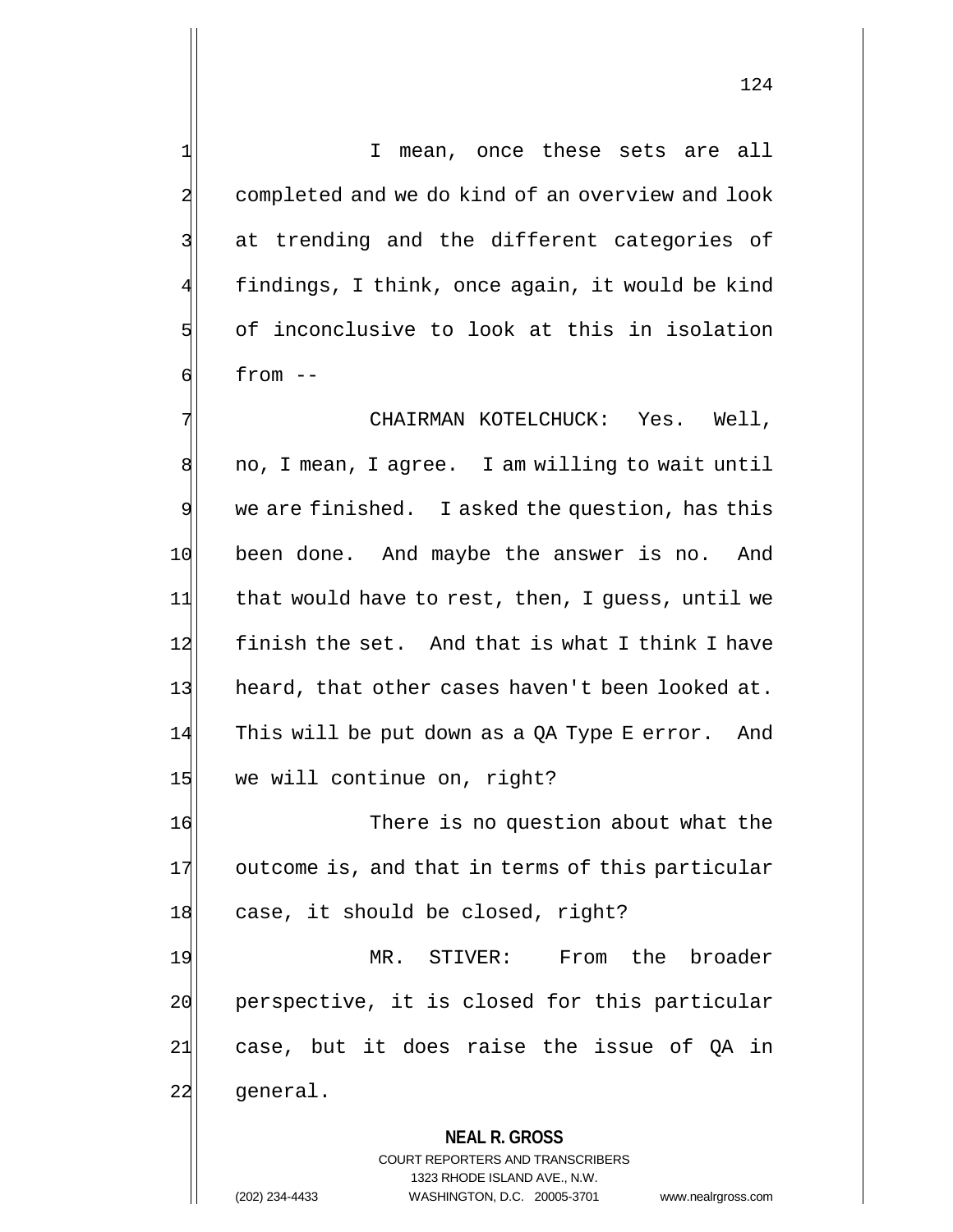1 I mean, once these sets are all 2 completed and we do kind of an overview and look 3 3 at trending and the different categories of findings, I think, once again, it would be kind 5 of inconclusive to look at this in isolation  $6$  from  $-$ 

7 CHAIRMAN KOTELCHUCK: Yes. Well, 8 no, I mean, I agree. I am willing to wait until 9 we are finished. I asked the question, has this 10 been done. And maybe the answer is no. And 11 that would have to rest, then, I quess, until we 12 finish the set. And that is what I think I have 13 heard, that other cases haven't been looked at. 14 This will be put down as a QA Type E error. And 15 we will continue on, right?

16 There is no question about what the 17 outcome is, and that in terms of this particular 18 case, it should be closed, right?

19 MR. STIVER: From the broader 20 perspective, it is closed for this particular  $21$  case, but it does raise the issue of QA in 22 general.

### **NEAL R. GROSS** COURT REPORTERS AND TRANSCRIBERS

1323 RHODE ISLAND AVE., N.W. (202) 234-4433 WASHINGTON, D.C. 20005-3701 www.nealrgross.com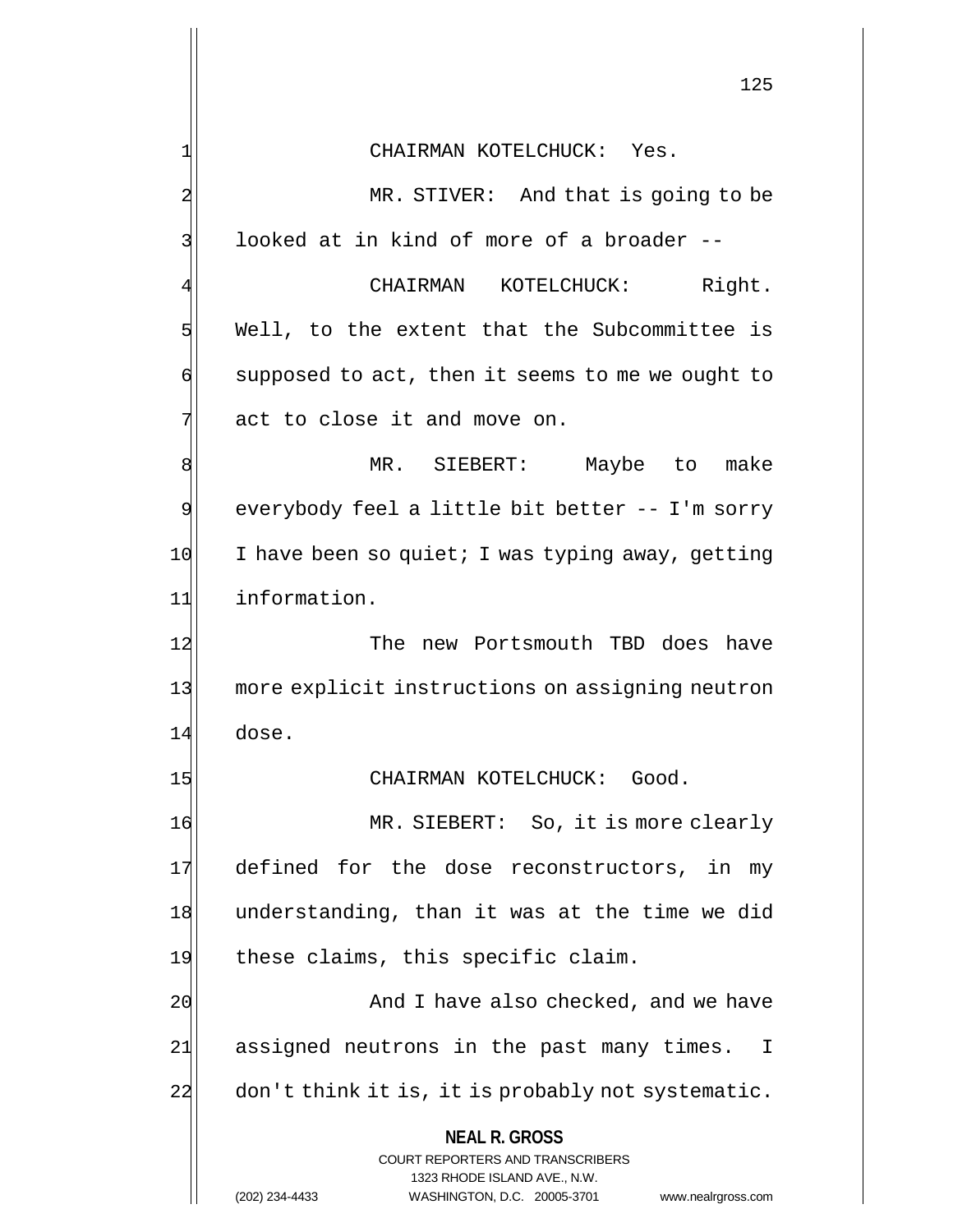**NEAL R. GROSS** COURT REPORTERS AND TRANSCRIBERS 1323 RHODE ISLAND AVE., N.W. (202) 234-4433 WASHINGTON, D.C. 20005-3701 www.nealrgross.com 1 CHAIRMAN KOTELCHUCK: Yes. 2 MR. STIVER: And that is going to be 3 looked at in kind of more of a broader --CHAIRMAN KOTELCHUCK: Right.  $5$  Well, to the extent that the Subcommittee is  $\left| \cdot \right|$  supposed to act, then it seems to me we ought to  $7$  act to close it and move on. 8 MR. SIEBERT: Maybe to make 9 everybody feel a little bit better -- I'm sorry  $10$  I have been so quiet; I was typing away, getting 11 information. 12 The new Portsmouth TBD does have 13 more explicit instructions on assigning neutron 14 dose. 15 CHAIRMAN KOTELCHUCK: Good. 16 MR. SIEBERT: So, it is more clearly 17 defined for the dose reconstructors, in my 18 understanding, than it was at the time we did 19 these claims, this specific claim. 20 And I have also checked, and we have 21| assigned neutrons in the past many times. I 22 don't think it is, it is probably not systematic.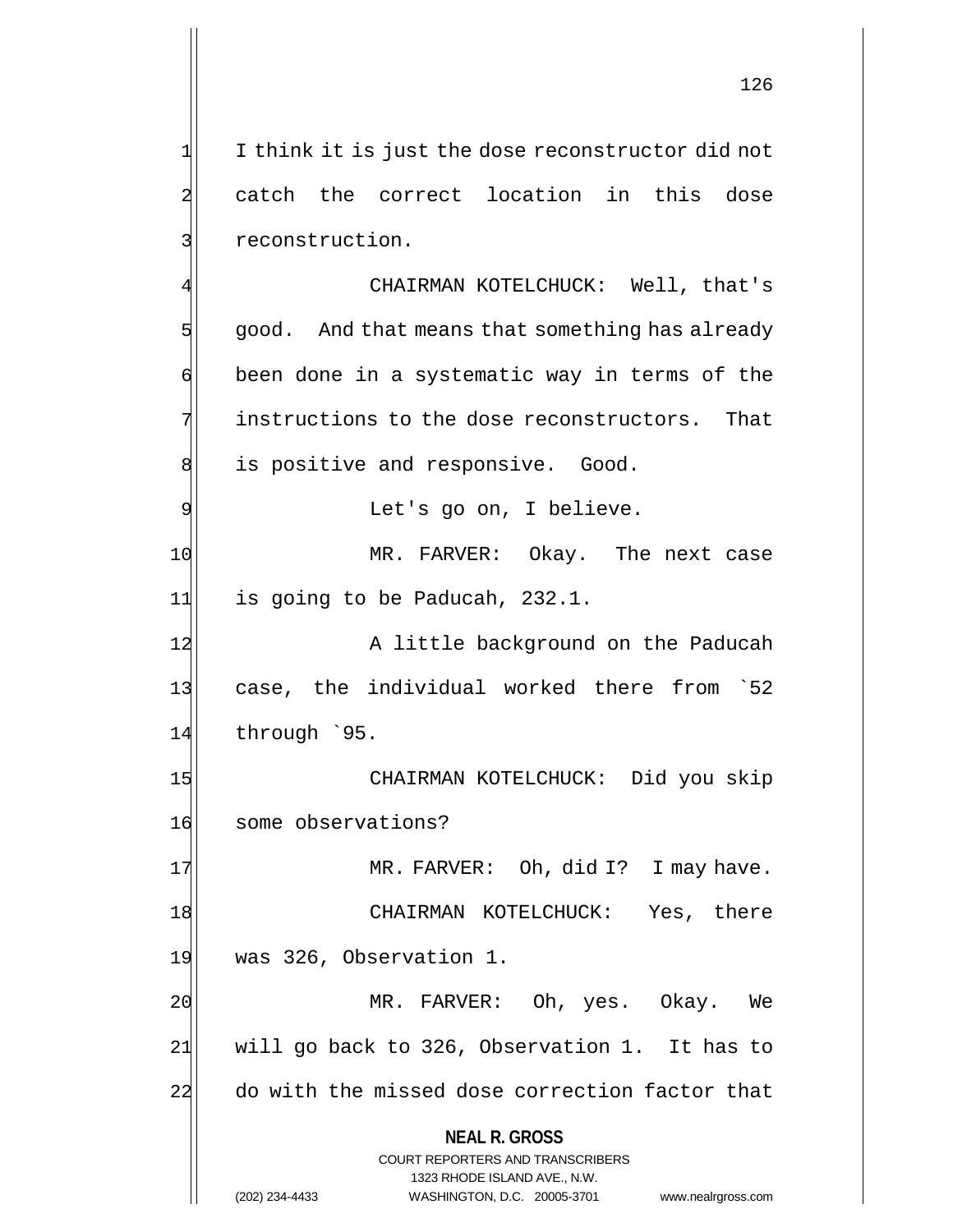$1$  I think it is just the dose reconstructor did not 2 catch the correct location in this dose 3 31 reconstruction.

CHAIRMAN KOTELCHUCK: Well, that's  $5$  good. And that means that something has already  $\mathfrak{q}$  been done in a systematic way in terms of the  $7$  instructions to the dose reconstructors. That 8 al is positive and responsive. Good. 9 Solution Let's go on, I believe.

10 MR. FARVER: Okay. The next case 11| is going to be Paducah, 232.1.

12 A little background on the Paducah 13 case, the individual worked there from 52  $14$  through  $95.$ 

15 | CHAIRMAN KOTELCHUCK: Did you skip 16 some observations?

17 MR. FARVER: Oh, did I? I may have. 18 CHAIRMAN KOTELCHUCK: Yes, there 19 was 326, Observation 1.

20 MR. FARVER: Oh, yes. Okay. We 21 will go back to 326, Observation 1. It has to 22 do with the missed dose correction factor that

**NEAL R. GROSS**

COURT REPORTERS AND TRANSCRIBERS 1323 RHODE ISLAND AVE., N.W. (202) 234-4433 WASHINGTON, D.C. 20005-3701 www.nealrgross.com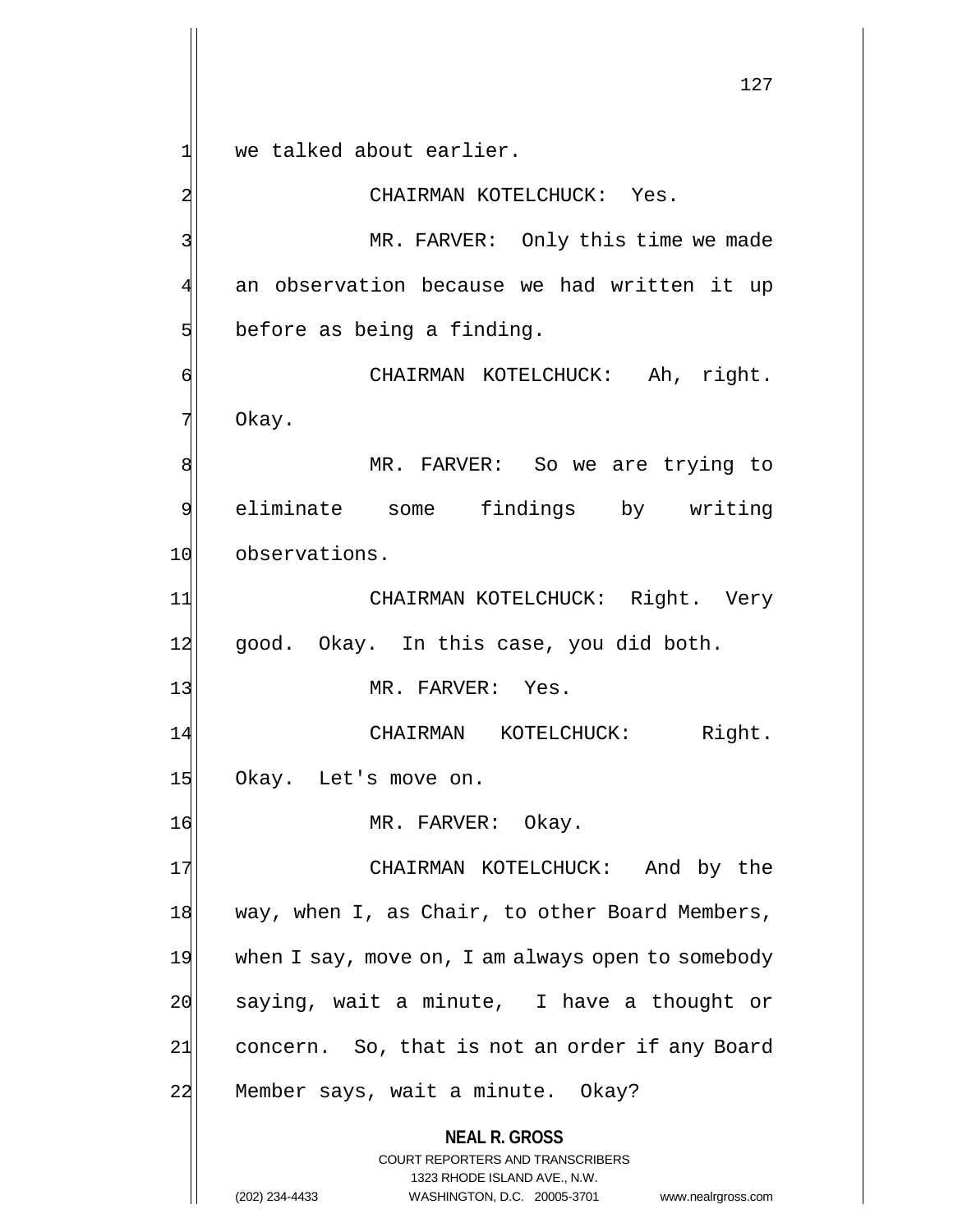**NEAL R. GROSS** COURT REPORTERS AND TRANSCRIBERS 1323 RHODE ISLAND AVE., N.W. 127 1| we talked about earlier. 2 CHAIRMAN KOTELCHUCK: Yes. 3 MR. FARVER: Only this time we made 4 an observation because we had written it up  $5$  before as being a finding. 6 CHAIRMAN KOTELCHUCK: Ah, right. 7 Okay. 8 MR. FARVER: So we are trying to 9 eliminate some findings by writing 10 observations. 11 CHAIRMAN KOTELCHUCK: Right. Very 12 good. Okay. In this case, you did both. 13 MR. FARVER: Yes. 14 CHAIRMAN KOTELCHUCK: Right. 15 Okay. Let's move on. 16 MR. FARVER: Okay. 17 CHAIRMAN KOTELCHUCK: And by the 18 way, when I, as Chair, to other Board Members, 19 when I say, move on, I am always open to somebody  $20$  saying, wait a minute, I have a thought or 21 concern. So, that is not an order if any Board 22 Member says, wait a minute. Okay?

(202) 234-4433 WASHINGTON, D.C. 20005-3701 www.nealrgross.com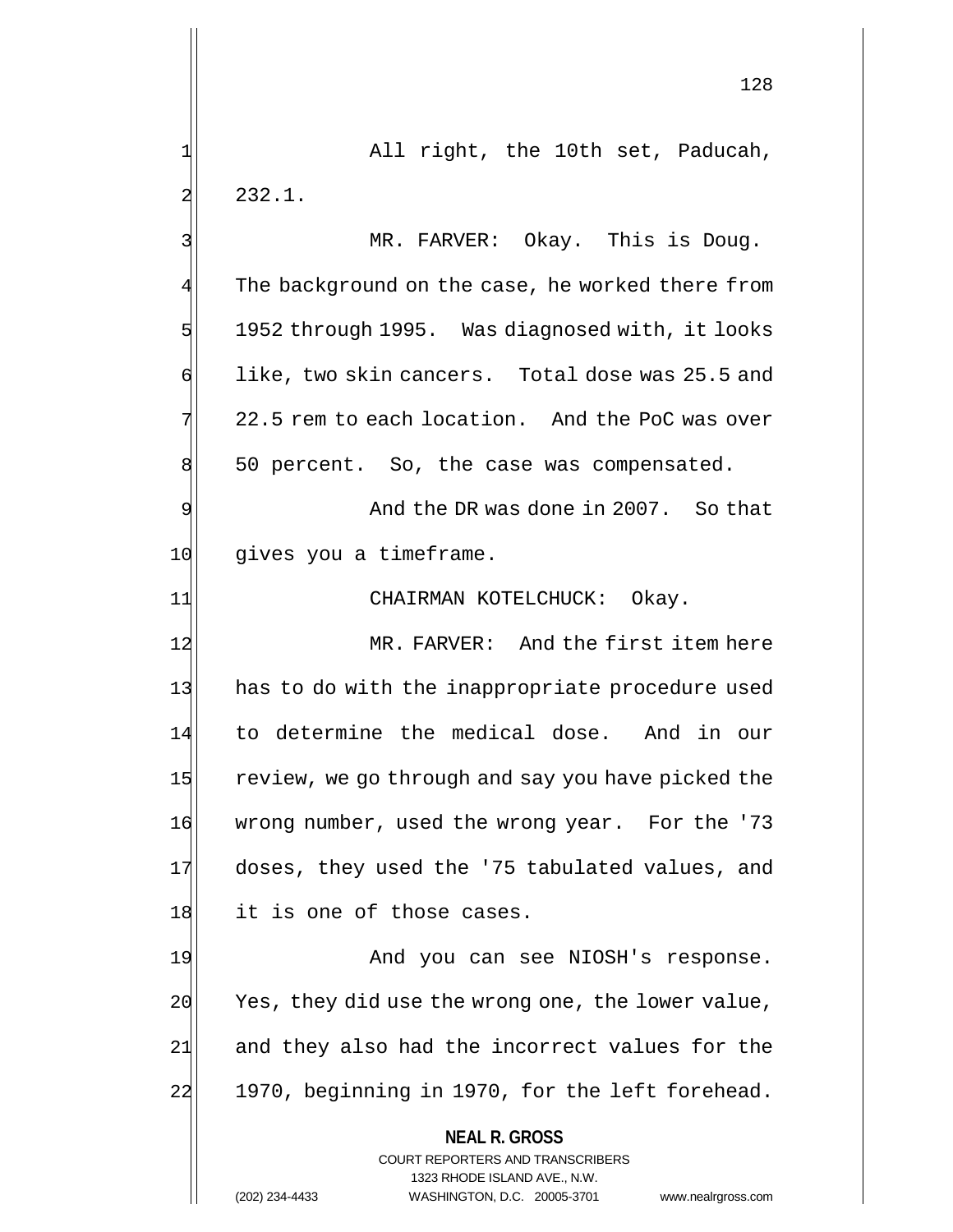1 All right, the 10th set, Paducah,  $2$  232.1.

3 MR. FARVER: Okay. This is Doug. 4 The background on the case, he worked there from  $5$  1952 through 1995. Was diagnosed with, it looks  $\phi$  like, two skin cancers. Total dose was 25.5 and  $7$  22.5 rem to each location. And the PoC was over 8 50 percent. So, the case was compensated.

9 and the DR was done in 2007. So that 10 gives you a timeframe.

11| CHAIRMAN KOTELCHUCK: Okay.

12 MR. FARVER: And the first item here 13 has to do with the inappropriate procedure used 14 to determine the medical dose. And in our 15 review, we go through and say you have picked the 16 wrong number, used the wrong year. For the '73 17 doses, they used the '75 tabulated values, and 18 it is one of those cases.

19 And you can see NIOSH's response. 20 Yes, they did use the wrong one, the lower value, 24 and they also had the incorrect values for the 22 1970, beginning in 1970, for the left forehead.

> **NEAL R. GROSS** COURT REPORTERS AND TRANSCRIBERS

> > 1323 RHODE ISLAND AVE., N.W.

(202) 234-4433 WASHINGTON, D.C. 20005-3701 www.nealrgross.com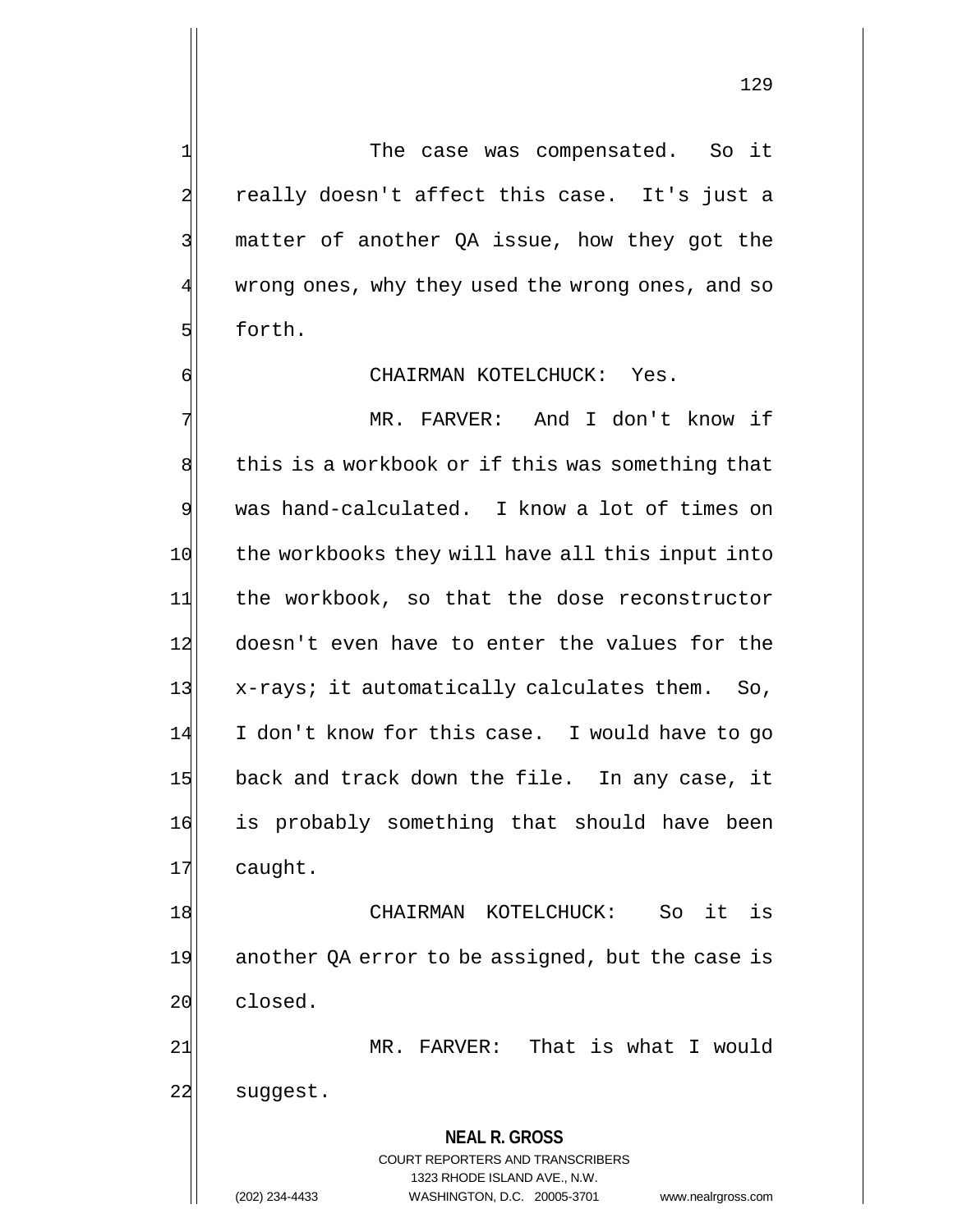$1$  The case was compensated. So it 2 really doesn't affect this case. It's just a 3 | matter of another QA issue, how they got the wrong ones, why they used the wrong ones, and so 5 forth.

# 6 CHAIRMAN KOTELCHUCK: Yes.

7 MR. FARVER: And I don't know if 8 this is a workbook or if this was something that 9 was hand-calculated. I know a lot of times on 10 the workbooks they will have all this input into 11 the workbook, so that the dose reconstructor 12 doesn't even have to enter the values for the 13 x-rays; it automatically calculates them. So, 14 I don't know for this case. I would have to go 15 back and track down the file. In any case, it 16 is probably something that should have been 17 caught.

18 CHAIRMAN KOTELCHUCK: So it is 19 another QA error to be assigned, but the case is 20 closed.

21| MR. FARVER: That is what I would 22 suggest.

> **NEAL R. GROSS** COURT REPORTERS AND TRANSCRIBERS 1323 RHODE ISLAND AVE., N.W. (202) 234-4433 WASHINGTON, D.C. 20005-3701 www.nealrgross.com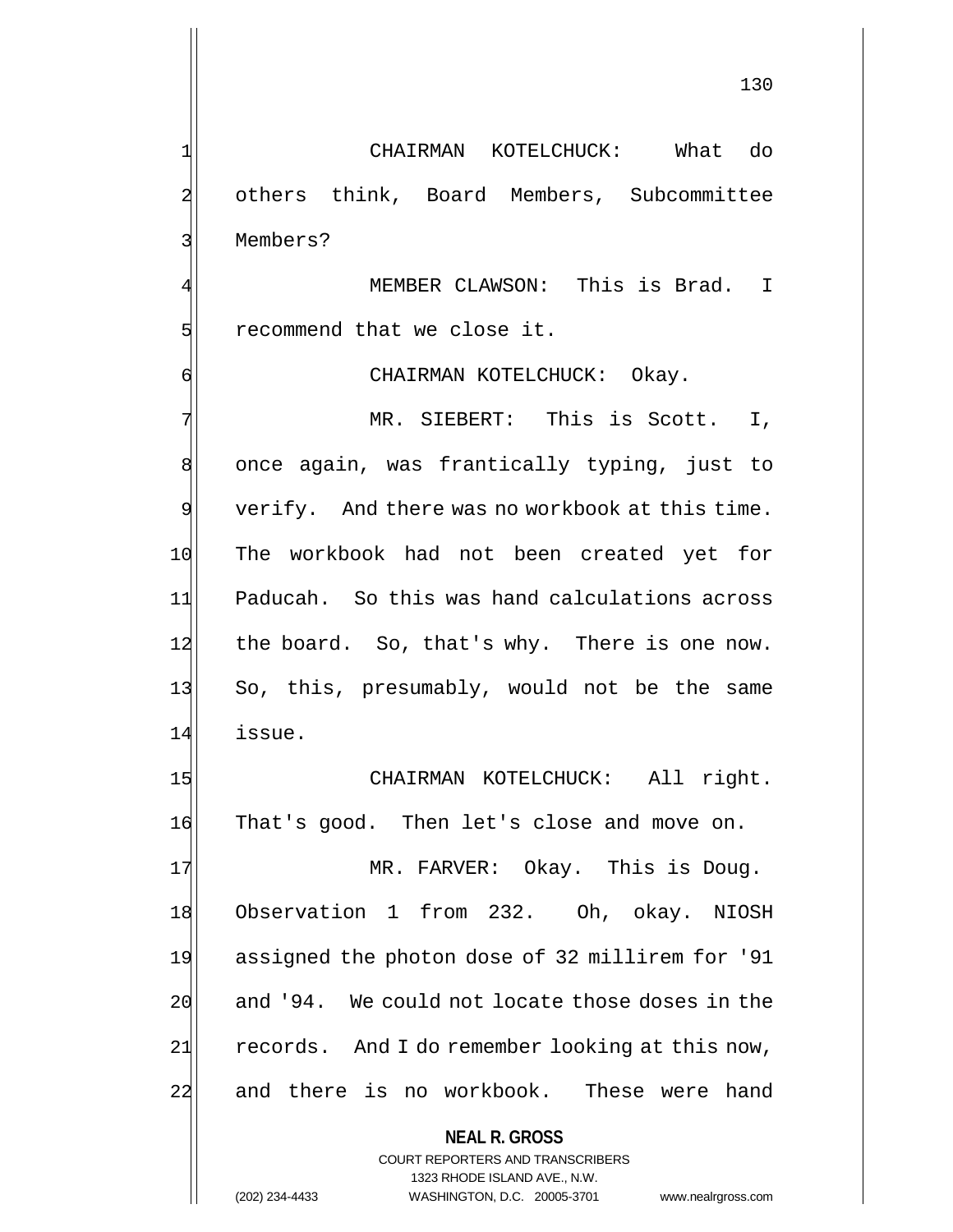130

1 CHAIRMAN KOTELCHUCK: What do 2 others think, Board Members, Subcommittee 3 Members?

MEMBER CLAWSON: This is Brad. I  $5$  recommend that we close it.

6 CHAIRMAN KOTELCHUCK: Okay.

7 MR. SIEBERT: This is Scott. I, 8 once again, was frantically typing, just to 9 verify. And there was no workbook at this time. 10 The workbook had not been created yet for 11 Paducah. So this was hand calculations across 12 the board. So, that's why. There is one now. 13 So, this, presumably, would not be the same 14 issue.

15 CHAIRMAN KOTELCHUCK: All right. 16 That's good. Then let's close and move on.

17 MR. FARVER: Okay. This is Doug. 18 Observation 1 from 232. Oh, okay. NIOSH 19 assigned the photon dose of 32 millirem for '91 20 and '94. We could not locate those doses in the 21 records. And I do remember looking at this now, 22 and there is no workbook. These were hand

> **NEAL R. GROSS** COURT REPORTERS AND TRANSCRIBERS 1323 RHODE ISLAND AVE., N.W. (202) 234-4433 WASHINGTON, D.C. 20005-3701 www.nealrgross.com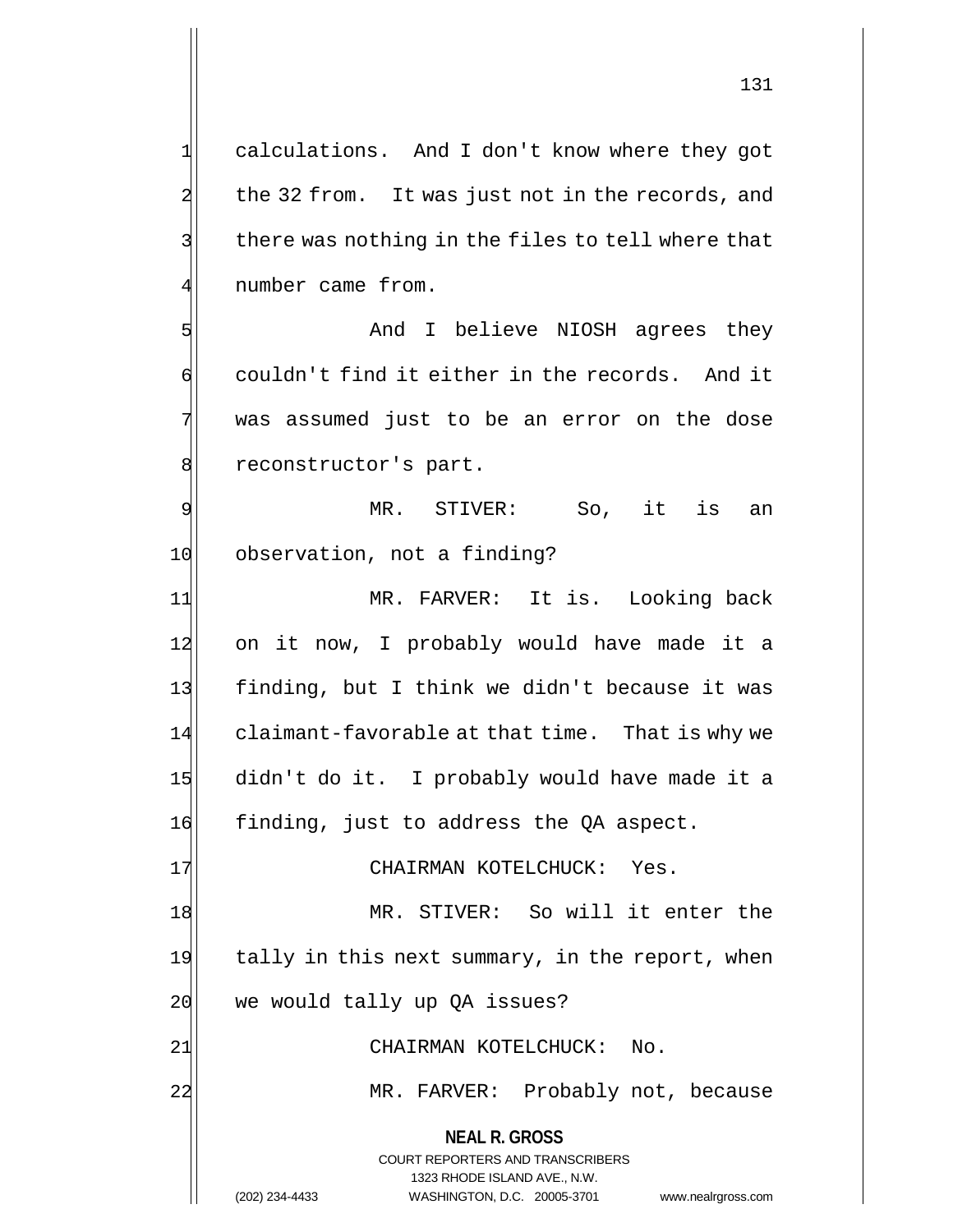1 calculations. And I don't know where they got 2 the 32 from. It was just not in the records, and  $3$  there was nothing in the files to tell where that 4 number came from.

5 Show and I believe NIOSH agrees they 6 couldn't find it either in the records. And it 7 was assumed just to be an error on the dose 8 reconstructor's part.

9 MR. STIVER: So, it is an 10 observation, not a finding?

11 | MR. FARVER: It is. Looking back 12 on it now, I probably would have made it a 13 finding, but I think we didn't because it was 14 claimant-favorable at that time. That is why we 15 didn't do it. I probably would have made it a 16 finding, just to address the QA aspect.

17 CHAIRMAN KOTELCHUCK: Yes.

18 MR. STIVER: So will it enter the 19 tally in this next summary, in the report, when  $20$  we would tally up QA issues?

21 CHAIRMAN KOTELCHUCK: No.

22 MR. FARVER: Probably not, because

**NEAL R. GROSS**

COURT REPORTERS AND TRANSCRIBERS 1323 RHODE ISLAND AVE., N.W. (202) 234-4433 WASHINGTON, D.C. 20005-3701 www.nealrgross.com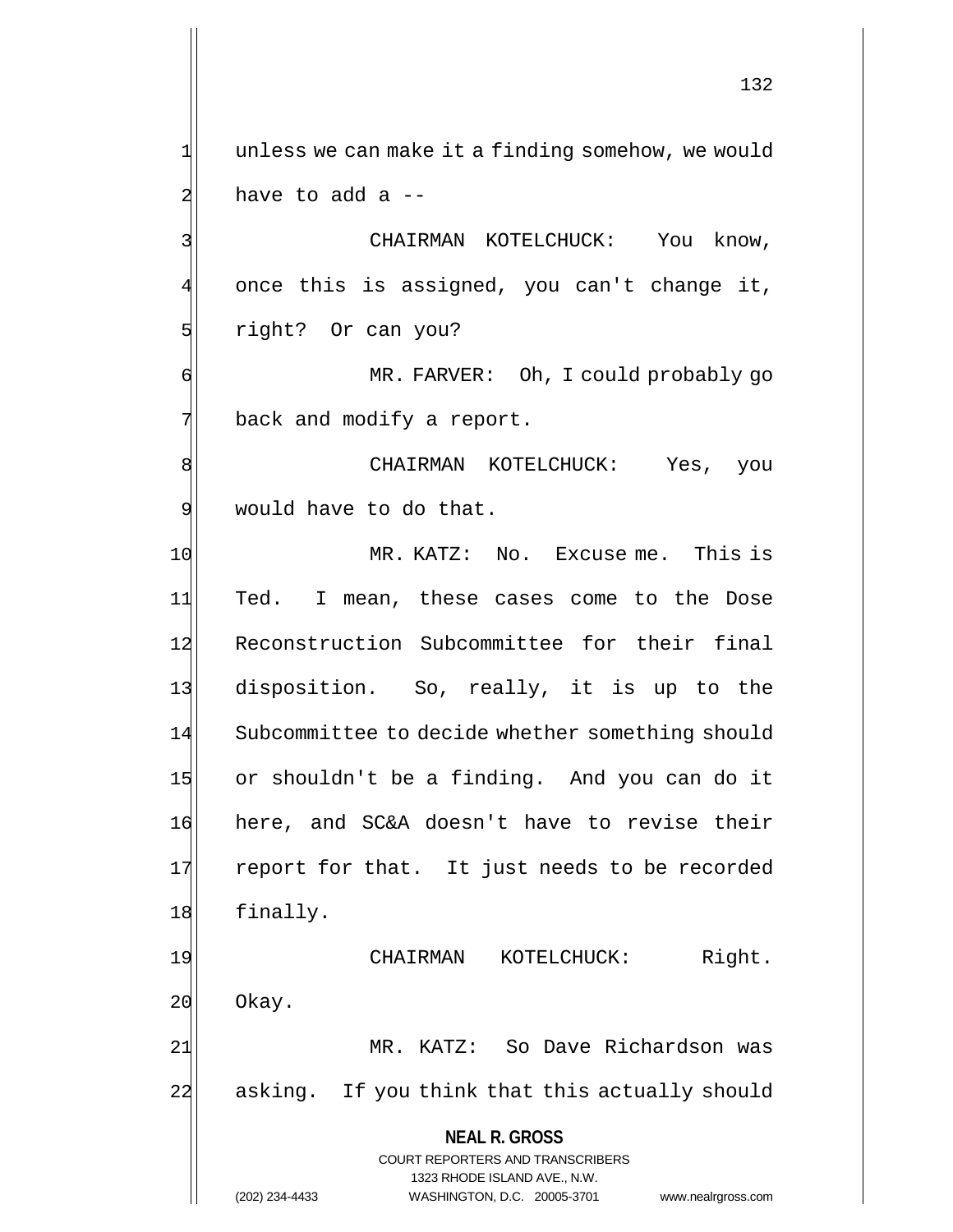1 unless we can make it a finding somehow, we would  $2$  have to add a  $-$ 3 | CHAIRMAN KOTELCHUCK: You know, 4 once this is assigned, you can't change it, 5 sight? Or can you? 6 MR. FARVER: Oh, I could probably go  $7$  back and modify a report. 8 | CHAIRMAN KOTELCHUCK: Yes, you 9 would have to do that. 10 MR. KATZ: No. Excuse me. This is 11 Ted. I mean, these cases come to the Dose 12 Reconstruction Subcommittee for their final 13 disposition. So, really, it is up to the 14 Subcommittee to decide whether something should 15 or shouldn't be a finding. And you can do it 16 here, and SC&A doesn't have to revise their 17 report for that. It just needs to be recorded 18 finally. 19 CHAIRMAN KOTELCHUCK: Right. 20 Okay. 21 MR. KATZ: So Dave Richardson was 22 asking. If you think that this actually should

> **NEAL R. GROSS** COURT REPORTERS AND TRANSCRIBERS 1323 RHODE ISLAND AVE., N.W.

(202) 234-4433 WASHINGTON, D.C. 20005-3701 www.nealrgross.com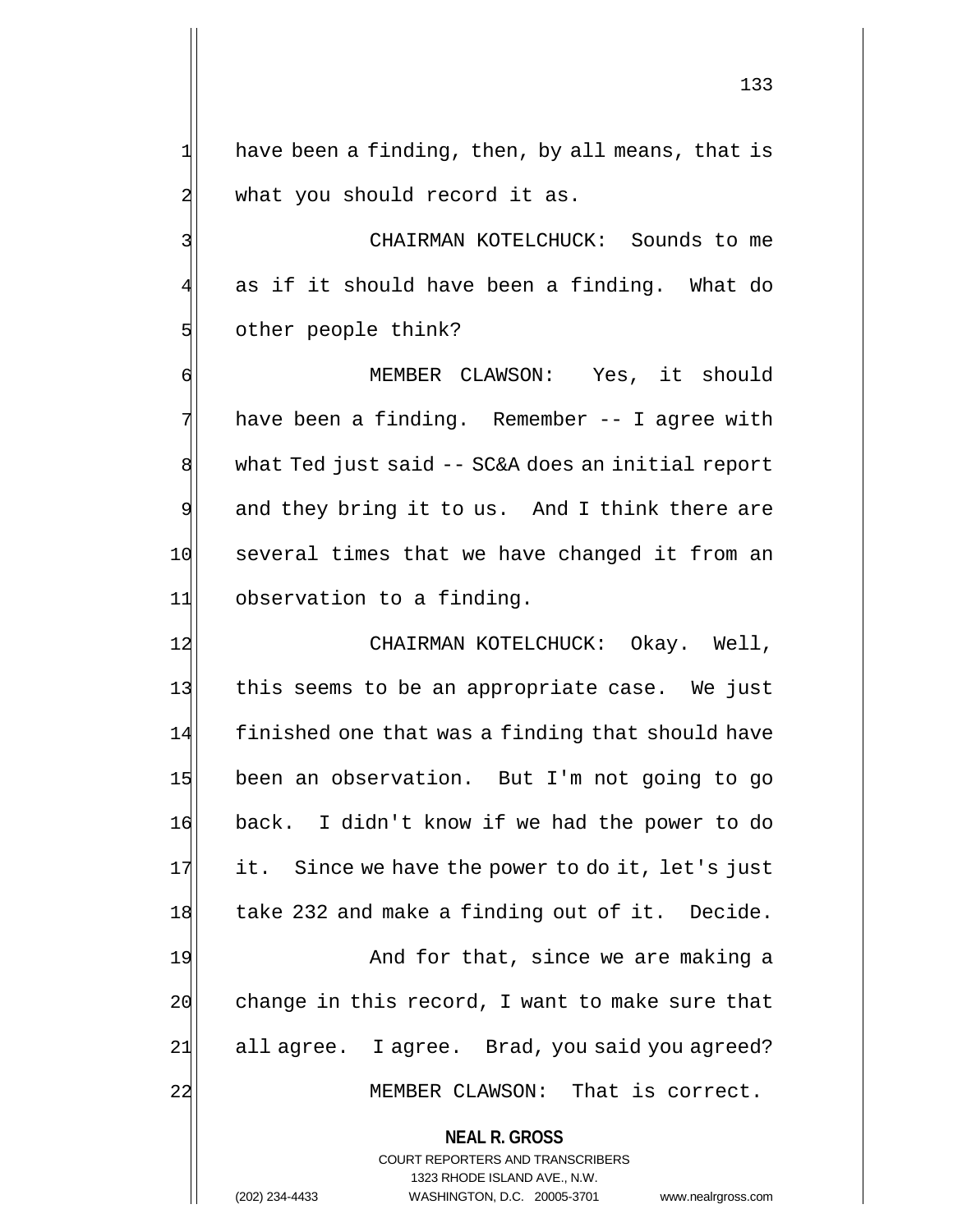133

 $1$  have been a finding, then, by all means, that is  $2$  what you should record it as.

3 CHAIRMAN KOTELCHUCK: Sounds to me 4 as if it should have been a finding. What do 5 other people think?

6 MEMBER CLAWSON: Yes, it should 7 have been a finding. Remember -- I agree with 8 what Ted just said -- SC&A does an initial report 9 and they bring it to us. And I think there are 10 several times that we have changed it from an 11 observation to a finding.

12 CHAIRMAN KOTELCHUCK: Okay. Well, 13 this seems to be an appropriate case. We just 14 finished one that was a finding that should have 15 been an observation. But I'm not going to go 16 back. I didn't know if we had the power to do  $17$  it. Since we have the power to do it, let's just 18 take 232 and make a finding out of it. Decide.

19 And for that, since we are making a  $20$  change in this record, I want to make sure that 21 all agree. I agree. Brad, you said you agreed? 22 MEMBER CLAWSON: That is correct.

**NEAL R. GROSS**

COURT REPORTERS AND TRANSCRIBERS 1323 RHODE ISLAND AVE., N.W. (202) 234-4433 WASHINGTON, D.C. 20005-3701 www.nealrgross.com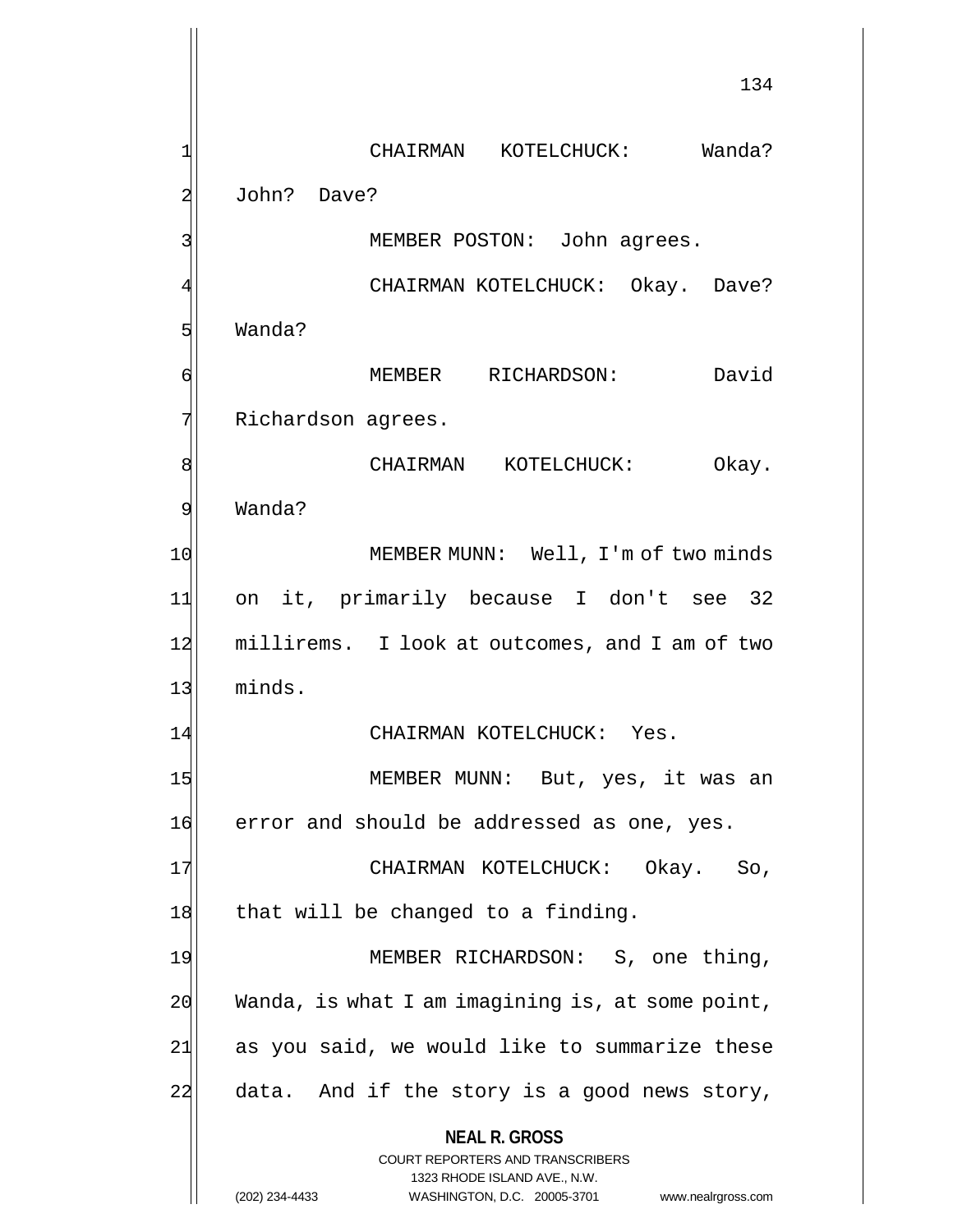**NEAL R. GROSS** COURT REPORTERS AND TRANSCRIBERS 1323 RHODE ISLAND AVE., N.W. (202) 234-4433 WASHINGTON, D.C. 20005-3701 www.nealrgross.com 134 1 CHAIRMAN KOTELCHUCK: Wanda? 2 John? Dave? 3 MEMBER POSTON: John agrees. 4 | CHAIRMAN KOTELCHUCK: Okay. Dave? 5 Wanda? 6 MEMBER RICHARDSON: David 7 Richardson agrees. 8 | CHAIRMAN KOTELCHUCK: Okay. 9 Wanda? 10 MEMBER MUNN: Well, I'm of two minds 11 on it, primarily because I don't see 32 12 millirems. I look at outcomes, and I am of two 13 minds. 14 CHAIRMAN KOTELCHUCK: Yes. 15 MEMBER MUNN: But, yes, it was an 16 error and should be addressed as one, yes. 17 | CHAIRMAN KOTELCHUCK: Okay. So, 18 that will be changed to a finding. 19 MEMBER RICHARDSON: S, one thing,  $20$  Wanda, is what I am imagining is, at some point,  $21$  as you said, we would like to summarize these  $22$  data. And if the story is a good news story,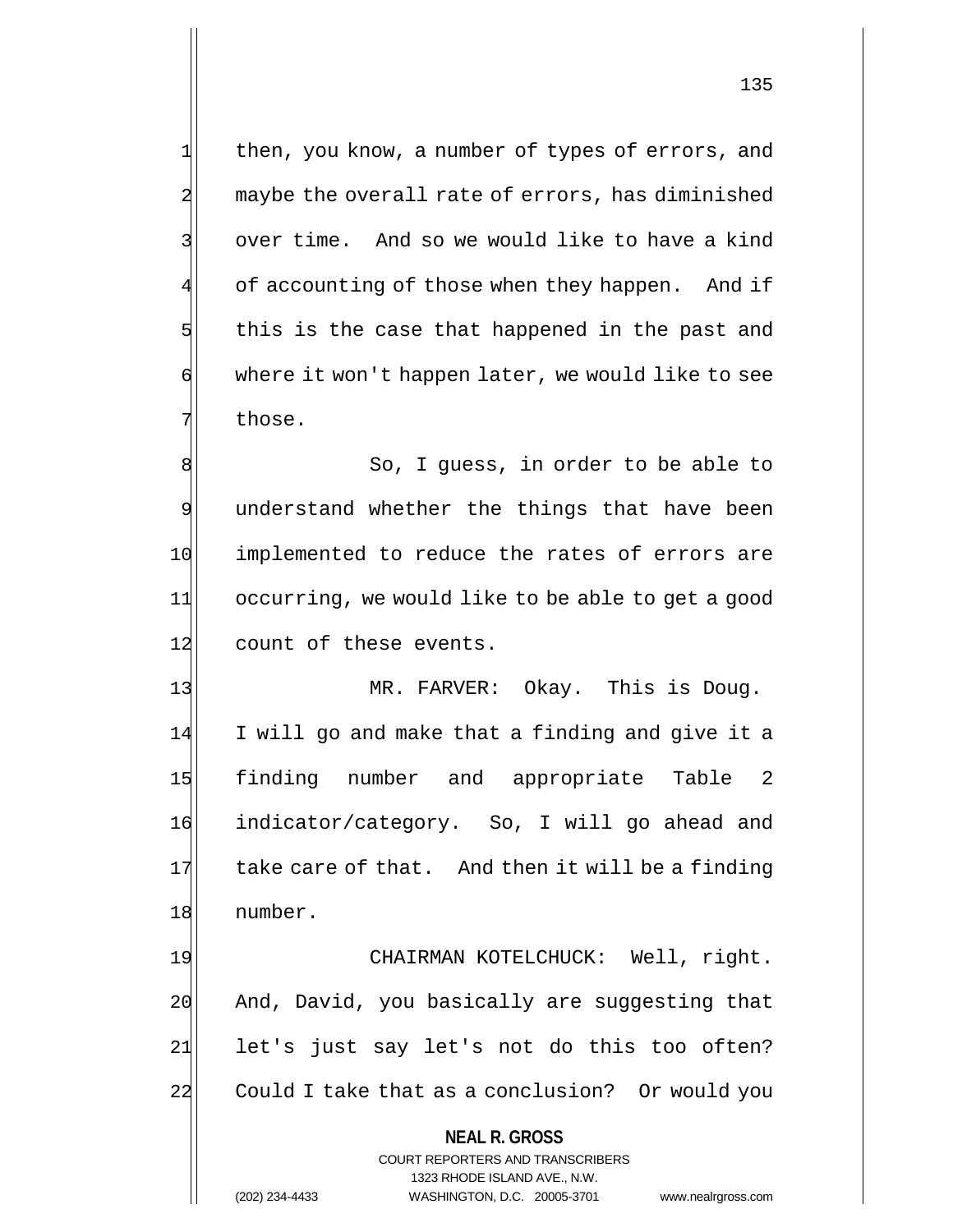1 then, you know, a number of types of errors, and 2 maybe the overall rate of errors, has diminished 3 over time. And so we would like to have a kind 4 of accounting of those when they happen. And if  $5$  this is the case that happened in the past and 6 where it won't happen later, we would like to see 7 those.

8 8 8 So, I guess, in order to be able to 9 understand whether the things that have been 10 implemented to reduce the rates of errors are 11 occurring, we would like to be able to get a good 12 count of these events.

13 MR. FARVER: Okay. This is Doug. 14 I will go and make that a finding and give it a 15 finding number and appropriate Table 2 16 indicator/category. So, I will go ahead and 17 take care of that. And then it will be a finding 18 number.

19 CHAIRMAN KOTELCHUCK: Well, right. 20 And, David, you basically are suggesting that 21 let's just say let's not do this too often? 22 Could I take that as a conclusion? Or would you

> **NEAL R. GROSS** COURT REPORTERS AND TRANSCRIBERS 1323 RHODE ISLAND AVE., N.W. (202) 234-4433 WASHINGTON, D.C. 20005-3701 www.nealrgross.com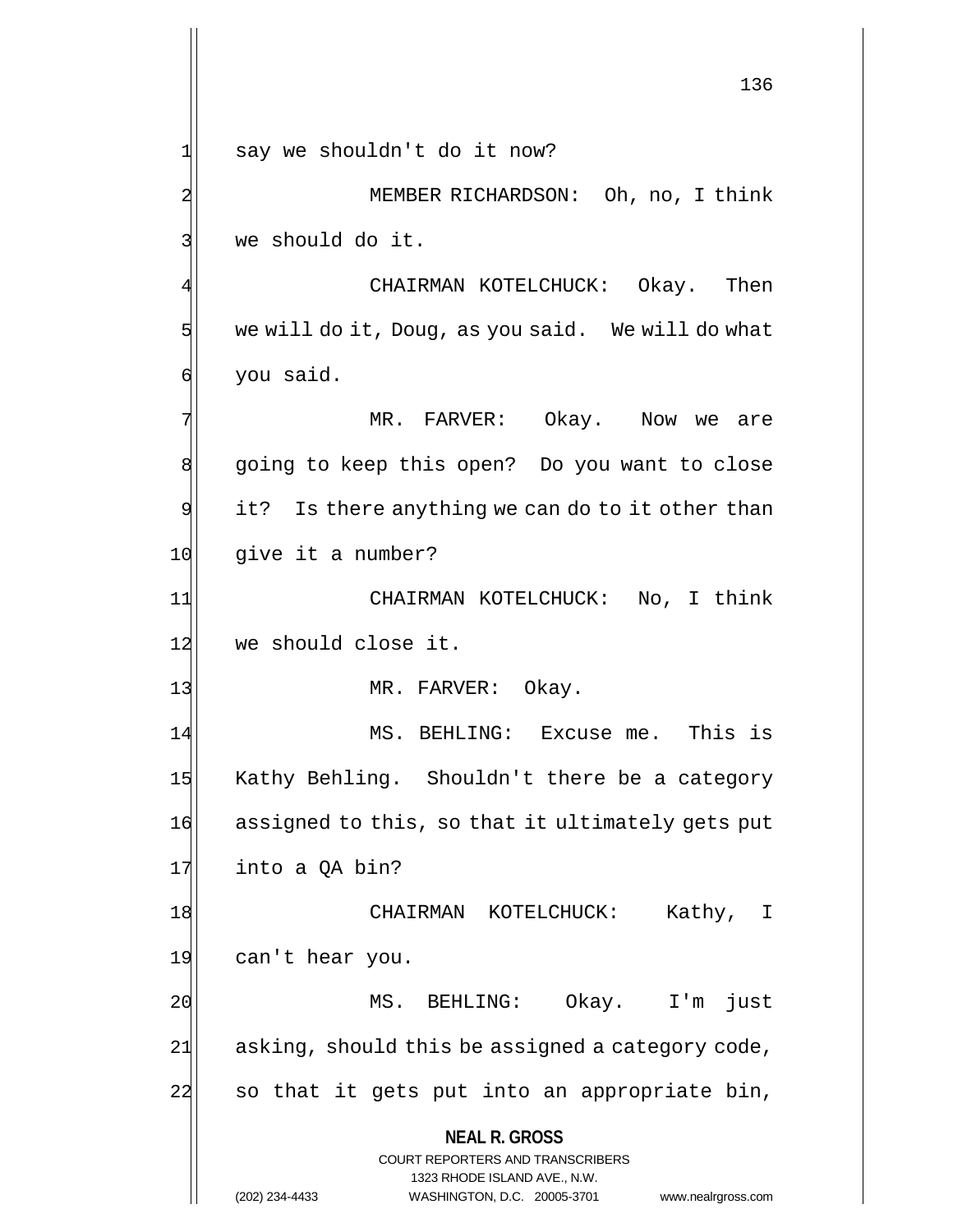**NEAL R. GROSS** COURT REPORTERS AND TRANSCRIBERS 1323 RHODE ISLAND AVE., N.W. 136 1 say we shouldn't do it now? 2 MEMBER RICHARDSON: Oh, no, I think 3 we should do it. CHAIRMAN KOTELCHUCK: Okay. Then  $5$  we will do it, Doug, as you said. We will do what 6 you said. 7 MR. FARVER: Okay. Now we are 8 going to keep this open? Do you want to close  $9$  it? Is there anything we can do to it other than 10 give it a number? 11 CHAIRMAN KOTELCHUCK: No, I think 12 we should close it. 13 MR. FARVER: Okay. 14 MS. BEHLING: Excuse me. This is 15 Kathy Behling. Shouldn't there be a category 16 assigned to this, so that it ultimately gets put 17 into a OA bin? 18 | CHAIRMAN KOTELCHUCK: Kathy, I 19 can't hear you. 20 MS. BEHLING: Okay. I'm just  $21$  asking, should this be assigned a category code, 22 so that it gets put into an appropriate bin,

(202) 234-4433 WASHINGTON, D.C. 20005-3701 www.nealrgross.com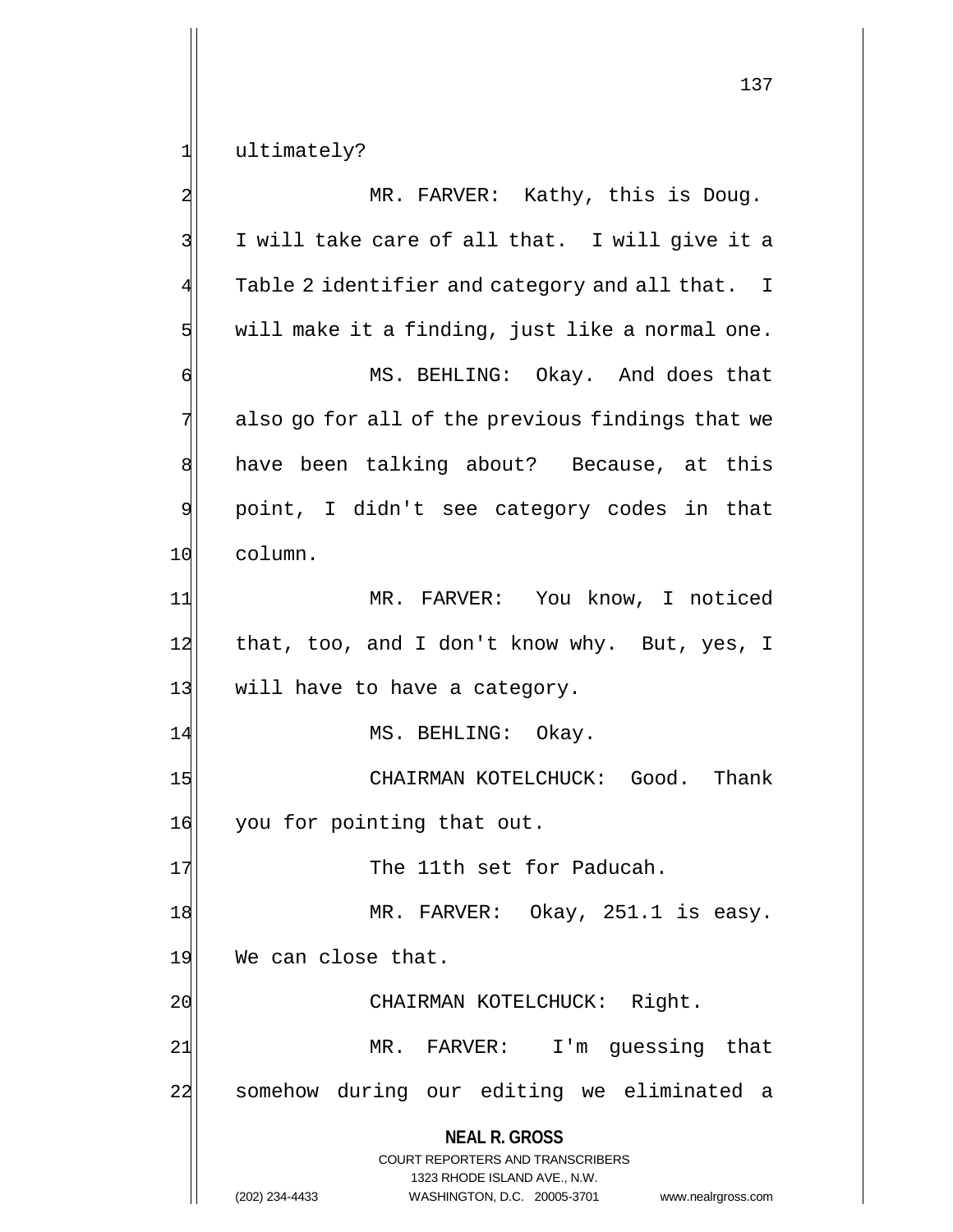1 ultimately?

**NEAL R. GROSS** COURT REPORTERS AND TRANSCRIBERS 1323 RHODE ISLAND AVE., N.W. (202) 234-4433 WASHINGTON, D.C. 20005-3701 www.nealrgross.com 2 MR. FARVER: Kathy, this is Doug. 3 I will take care of all that. I will give it a  $4$  Table 2 identifier and category and all that. I  $5$  will make it a finding, just like a normal one. 6 MS. BEHLING: Okay. And does that  $7$  also go for all of the previous findings that we 8 have been talking about? Because, at this 9 point, I didn't see category codes in that 10 column. 11 MR. FARVER: You know, I noticed 12 that, too, and I don't know why. But, yes, I 13 will have to have a category. 14 MS. BEHLING: Okay. 15 CHAIRMAN KOTELCHUCK: Good. Thank 16 you for pointing that out. 17 The 11th set for Paducah. 18 MR. FARVER: Okay, 251.1 is easy. 19 We can close that. 20 CHAIRMAN KOTELCHUCK: Right. 21 MR. FARVER: I'm guessing that 22 somehow during our editing we eliminated a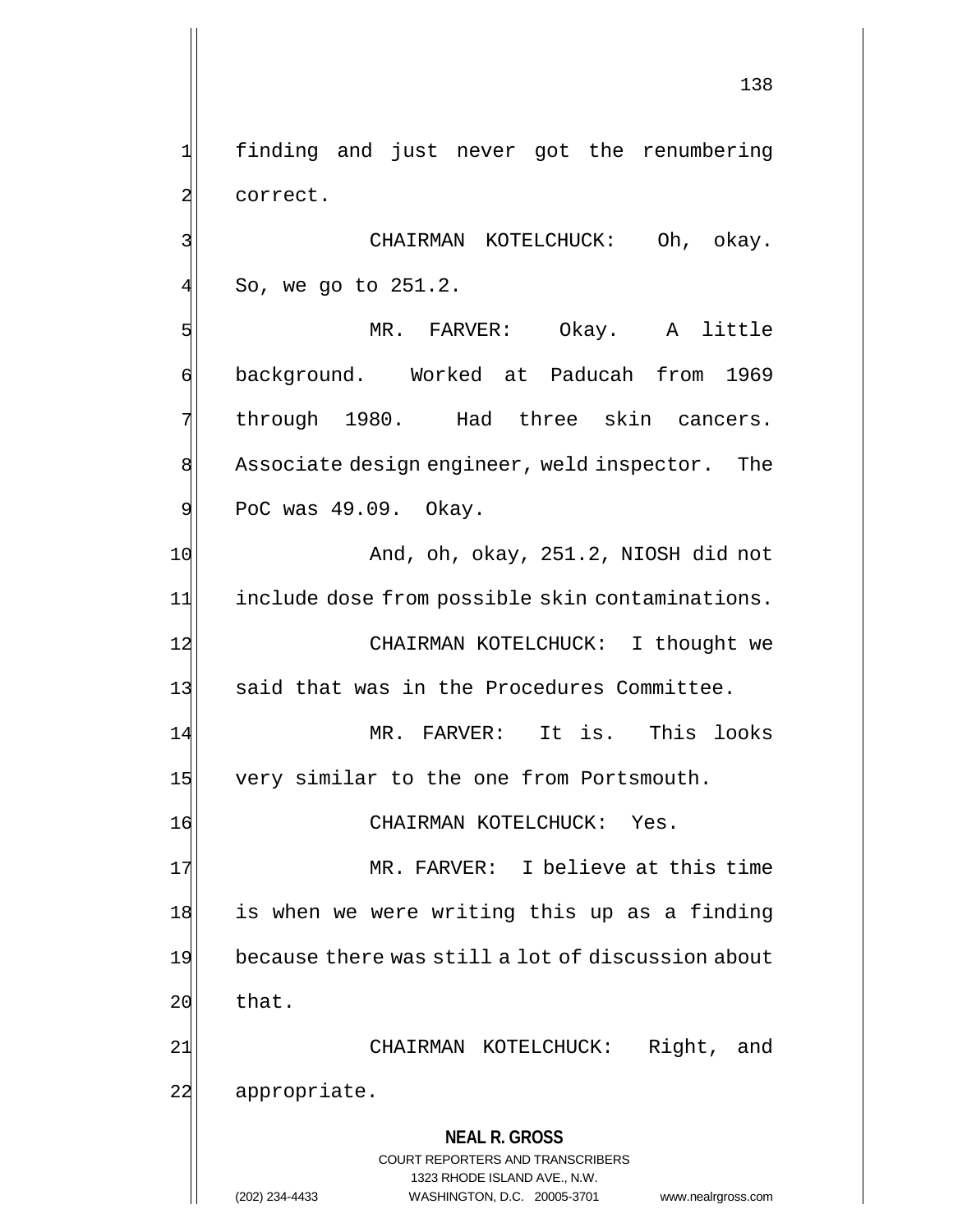1 finding and just never got the renumbering 2 correct.

3 CHAIRMAN KOTELCHUCK: Oh, okay.  $4$  So, we go to 251.2.

5 MR. FARVER: Okay. A little 6 background. Worked at Paducah from 1969 7 through 1980. Had three skin cancers. 8 Associate design engineer, weld inspector. The  $9$  PoC was  $49.09$ . Okay.

10 And, oh, okay, 251.2, NIOSH did not 11 include dose from possible skin contaminations. 12 CHAIRMAN KOTELCHUCK: I thought we 13 said that was in the Procedures Committee. 14 MR. FARVER: It is. This looks

15 very similar to the one from Portsmouth.

16 CHAIRMAN KOTELCHUCK: Yes.

17 MR. FARVER: I believe at this time 18 is when we were writing this up as a finding 19 because there was still a lot of discussion about  $20$  that.

21| CHAIRMAN KOTELCHUCK: Right, and 22 appropriate.

> **NEAL R. GROSS** COURT REPORTERS AND TRANSCRIBERS 1323 RHODE ISLAND AVE., N.W. (202) 234-4433 WASHINGTON, D.C. 20005-3701 www.nealrgross.com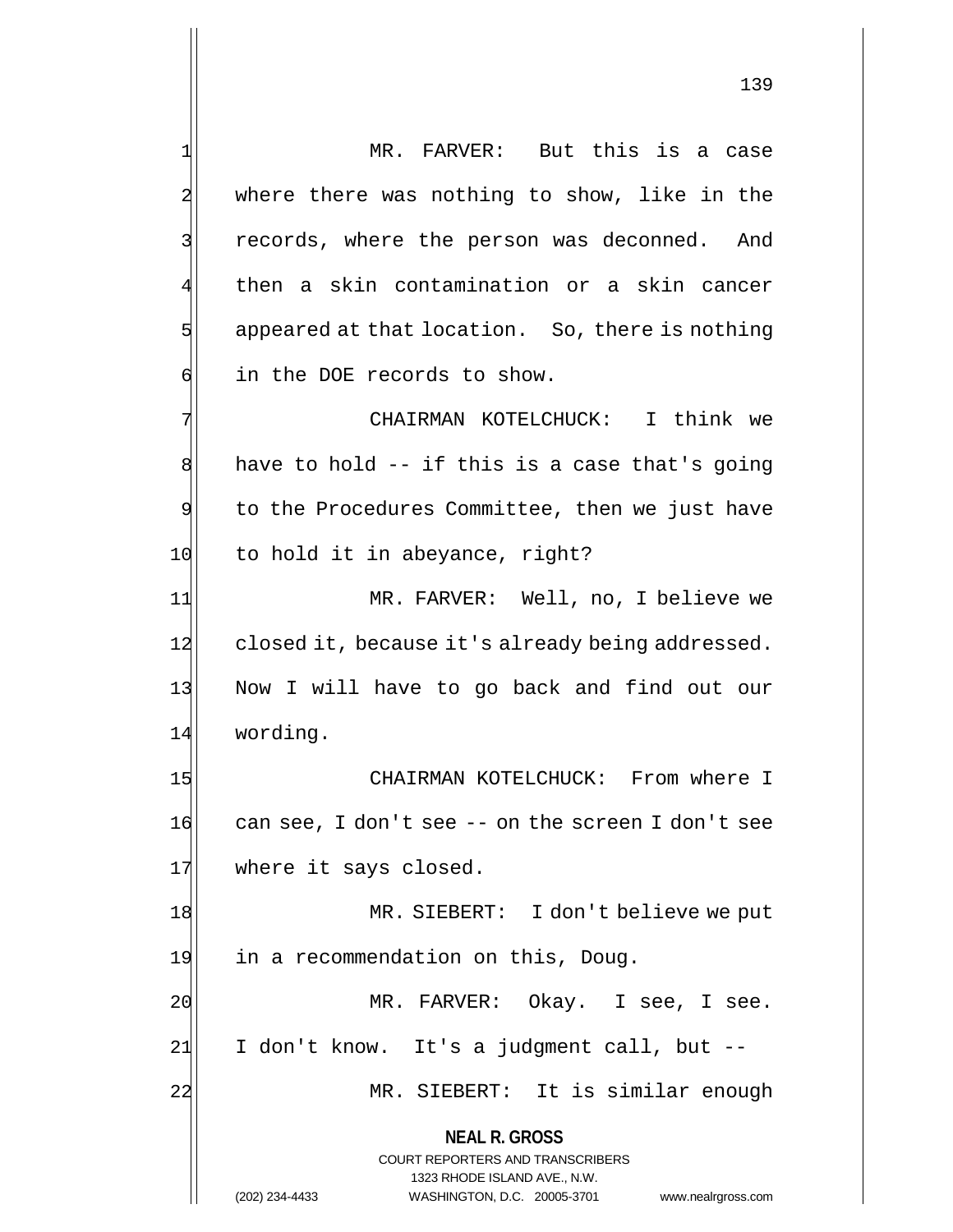**NEAL R. GROSS** COURT REPORTERS AND TRANSCRIBERS 1323 RHODE ISLAND AVE., N.W. (202) 234-4433 WASHINGTON, D.C. 20005-3701 www.nealrgross.com 1 MR. FARVER: But this is a case 2 where there was nothing to show, like in the 3 3 records, where the person was deconned. And 4 then a skin contamination or a skin cancer  $5$  appeared at that location. So, there is nothing 6 in the DOE records to show. 7 | Think we CHAIRMAN KOTELCHUCK: I think we  $8$  have to hold -- if this is a case that's going 9 to the Procedures Committee, then we just have 10 to hold it in abeyance, right? 11| MR. FARVER: Well, no, I believe we 12 closed it, because it's already being addressed. 13 Now I will have to go back and find out our 14 wording. 15 CHAIRMAN KOTELCHUCK: From where I  $16$  can see, I don't see -- on the screen I don't see 17 where it says closed. 18 MR. SIEBERT: I don't believe we put 19 in a recommendation on this, Doug. 20 MR. FARVER: Okay. I see, I see. 21 I don't know. It's a judgment call, but --22 MR. SIEBERT: It is similar enough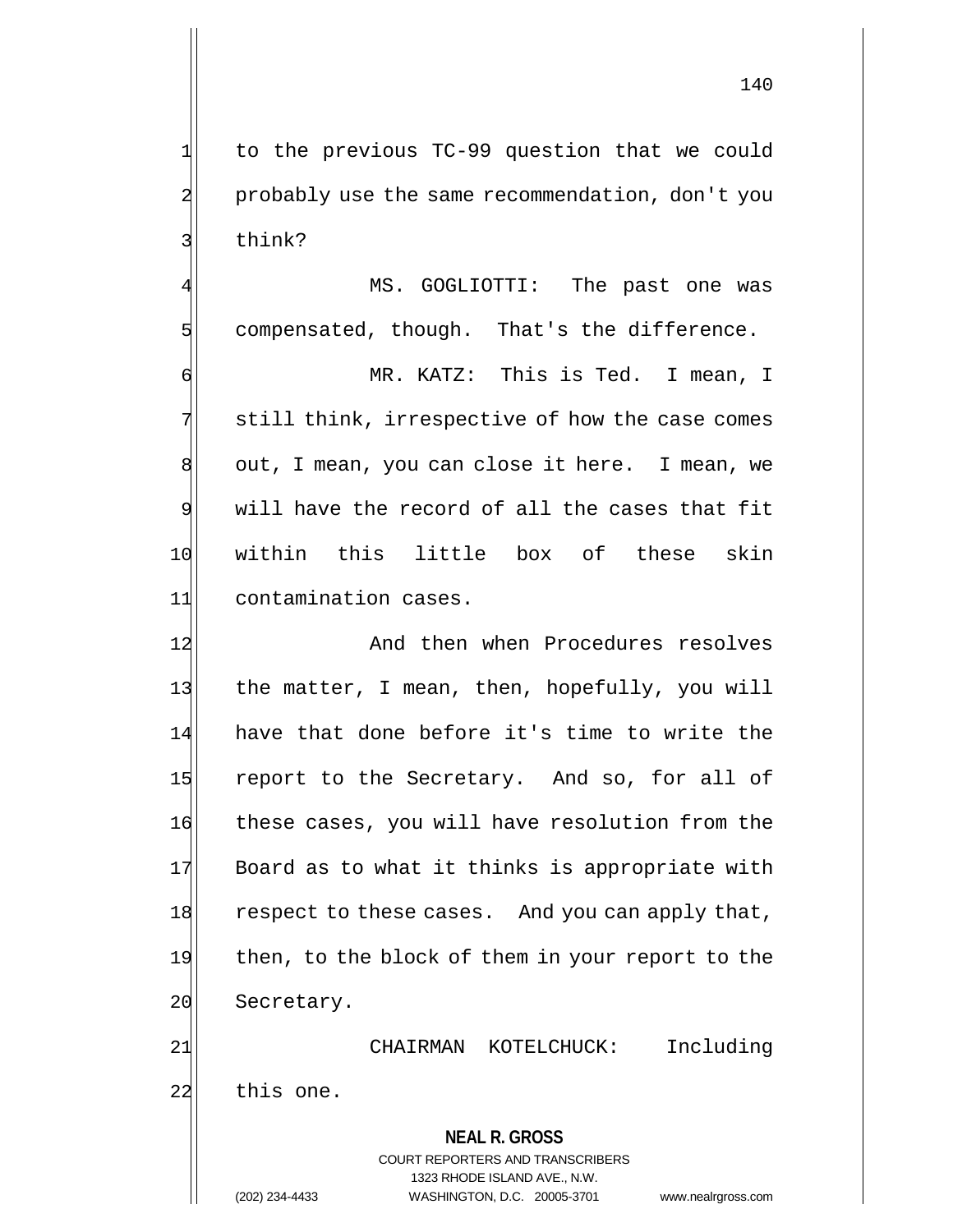1 to the previous TC-99 question that we could 2 probably use the same recommendation, don't you 3 think?

MS. GOGLIOTTI: The past one was  $5$  compensated, though. That's the difference.

 MR. KATZ: This is Ted. I mean, I 7 still think, irrespective of how the case comes 8 out, I mean, you can close it here. I mean, we will have the record of all the cases that fit within this little box of these skin contamination cases.

12 And then when Procedures resolves 13 the matter, I mean, then, hopefully, you will 14 have that done before it's time to write the 15 report to the Secretary. And so, for all of 16 these cases, you will have resolution from the 17 Board as to what it thinks is appropriate with 18 respect to these cases. And you can apply that, 19 then, to the block of them in your report to the 20 Secretary.

**NEAL R. GROSS** 21 CHAIRMAN KOTELCHUCK: Including 22 this one.

> COURT REPORTERS AND TRANSCRIBERS 1323 RHODE ISLAND AVE., N.W.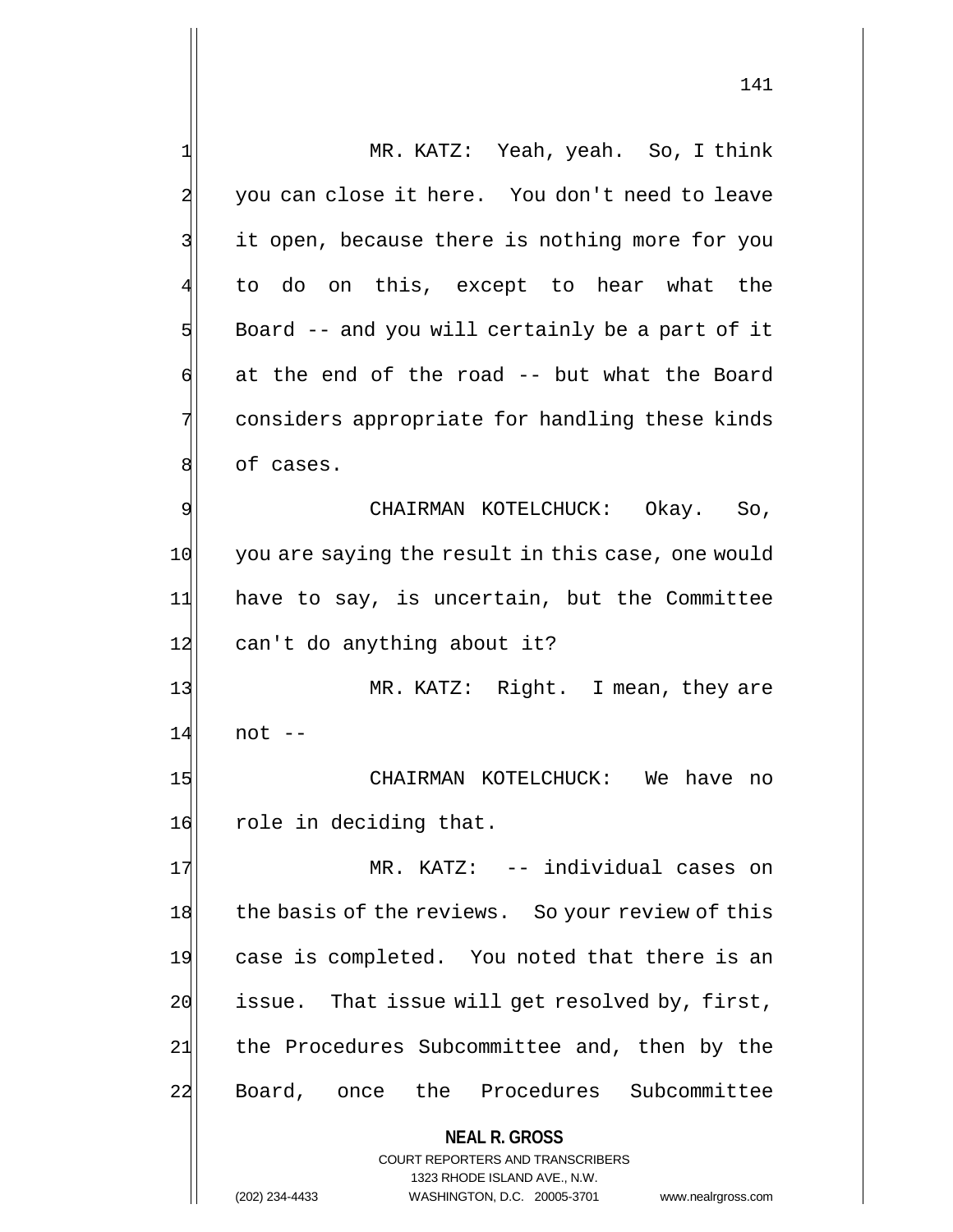| $\mathbf 1$    | MR. KATZ: Yeah, yeah. So, I think                        |
|----------------|----------------------------------------------------------|
| $\overline{a}$ | you can close it here. You don't need to leave           |
| 3              | it open, because there is nothing more for you           |
| 4              | to do on this, except to hear what the                   |
| 5              | Board -- and you will certainly be a part of it          |
| 6              | at the end of the road -- but what the Board             |
| 7              | considers appropriate for handling these kinds           |
| 8              | of cases.                                                |
| 9              | CHAIRMAN KOTELCHUCK: Okay. So,                           |
| 10             | you are saying the result in this case, one would        |
| 11             | have to say, is uncertain, but the Committee             |
| 12             | can't do anything about it?                              |
| 13             | MR. KATZ: Right. I mean, they are                        |
| 14             | $not --$                                                 |
| 15             | CHAIRMAN KOTELCHUCK: We have<br>no                       |
| 16             | role in deciding that.                                   |
| 17             | MR. KATZ: -- individual cases on                         |
| 18             | the basis of the reviews. So your review of this         |
| 19             | case is completed. You noted that there is an            |
| 20             | issue. That issue will get resolved by, first,           |
| 21             | the Procedures Subcommittee and, then by the             |
| 22             | Board, once the Procedures Subcommittee                  |
|                | <b>NEAL R. GROSS</b><br>COURT REPORTERS AND TRANSCRIBERS |

1323 RHODE ISLAND AVE., N.W.

 $\mathbf{I}$  $\prod$ 

(202) 234-4433 WASHINGTON, D.C. 20005-3701 www.nealrgross.com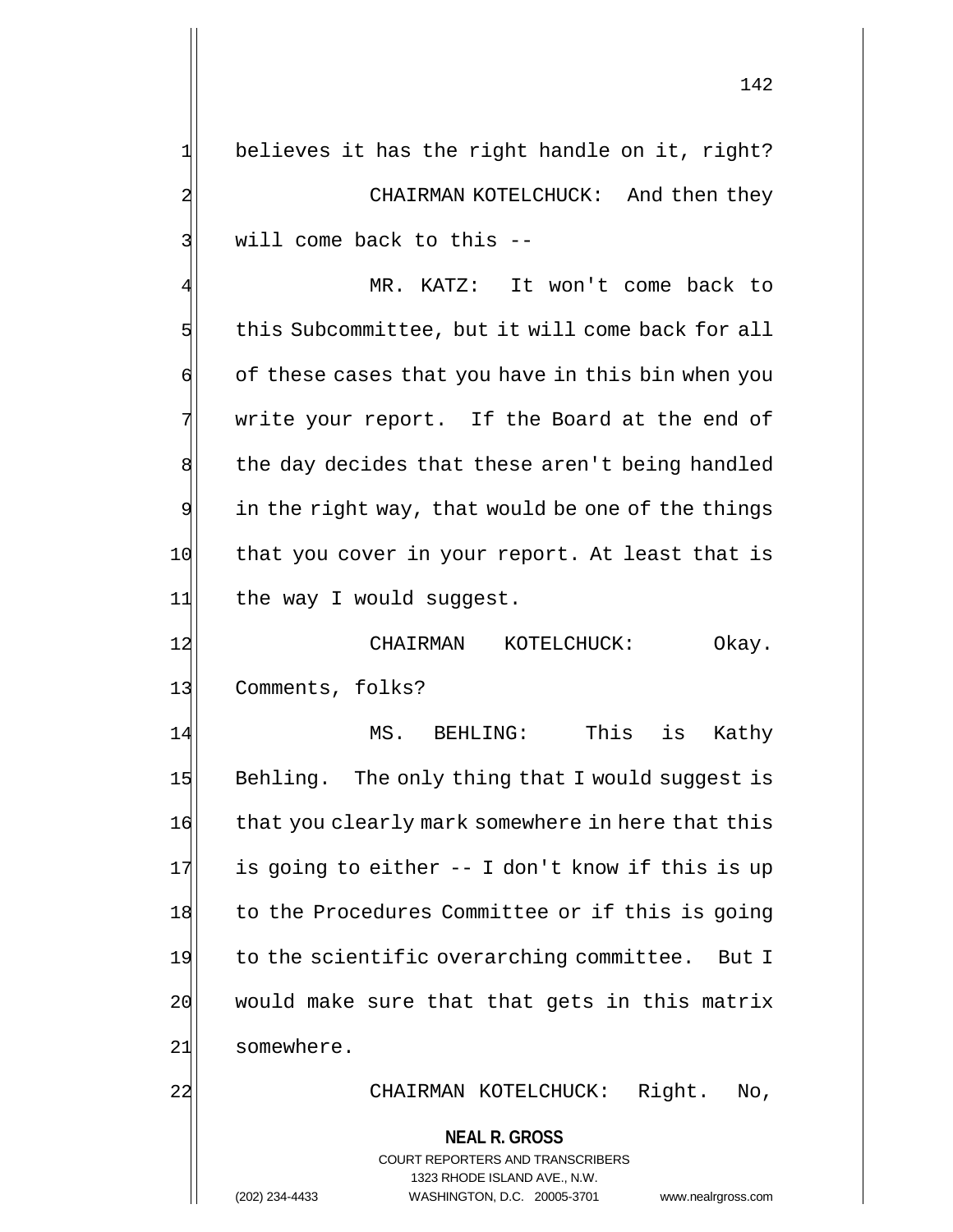1 believes it has the right handle on it, right? 2 CHAIRMAN KOTELCHUCK: And then they 3 | will come back to this --

MR. KATZ: It won't come back to 5 this Subcommittee, but it will come back for all  $\mathfrak{g}$  of these cases that you have in this bin when you 7 write your report. If the Board at the end of 8 the day decides that these aren't being handled 9 in the right way, that would be one of the things 10 that you cover in your report. At least that is 11 the way I would suggest.

12 CHAIRMAN KOTELCHUCK: Okay. 13 Comments, folks?

14 MS. BEHLING: This is Kathy 15 Behling. The only thing that I would suggest is 16 that you clearly mark somewhere in here that this  $17$  is going to either  $-$  I don't know if this is up 18 to the Procedures Committee or if this is going 19 to the scientific overarching committee. But I  $20$  would make sure that that gets in this matrix 21 somewhere.

22 CHAIRMAN KOTELCHUCK: Right. No,

**NEAL R. GROSS**

COURT REPORTERS AND TRANSCRIBERS 1323 RHODE ISLAND AVE., N.W. (202) 234-4433 WASHINGTON, D.C. 20005-3701 www.nealrgross.com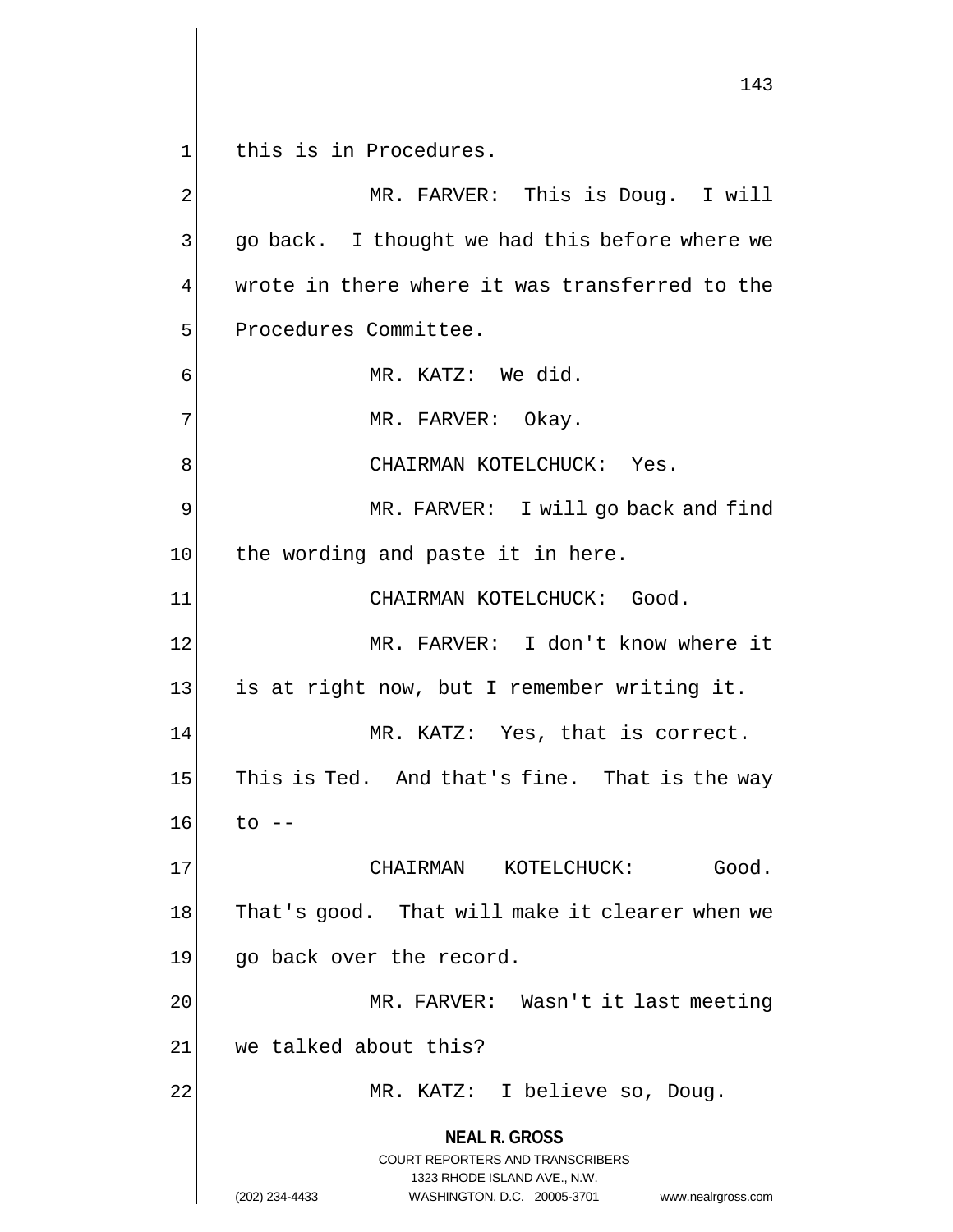**NEAL R. GROSS** COURT REPORTERS AND TRANSCRIBERS 1323 RHODE ISLAND AVE., N.W. 143 1 this is in Procedures. 2 MR. FARVER: This is Doug. I will 3 go back. I thought we had this before where we  $4\vert$  wrote in there where it was transferred to the 5 Procedures Committee. 6 MR. KATZ: We did. 7 MR. FARVER: Okay. 8 | CHAIRMAN KOTELCHUCK: Yes. 9 MR. FARVER: I will go back and find 10 the wording and paste it in here. 11 CHAIRMAN KOTELCHUCK: Good. 12 MR. FARVER: I don't know where it 13 is at right now, but I remember writing it. 14 MR. KATZ: Yes, that is correct. 15 This is Ted. And that's fine. That is the way  $16$  to  $-$ 17 CHAIRMAN KOTELCHUCK: Good. 18 That's good. That will make it clearer when we 19 go back over the record. 20 MR. FARVER: Wasn't it last meeting 21 we talked about this? 22 MR. KATZ: I believe so, Doug.

(202) 234-4433 WASHINGTON, D.C. 20005-3701 www.nealrgross.com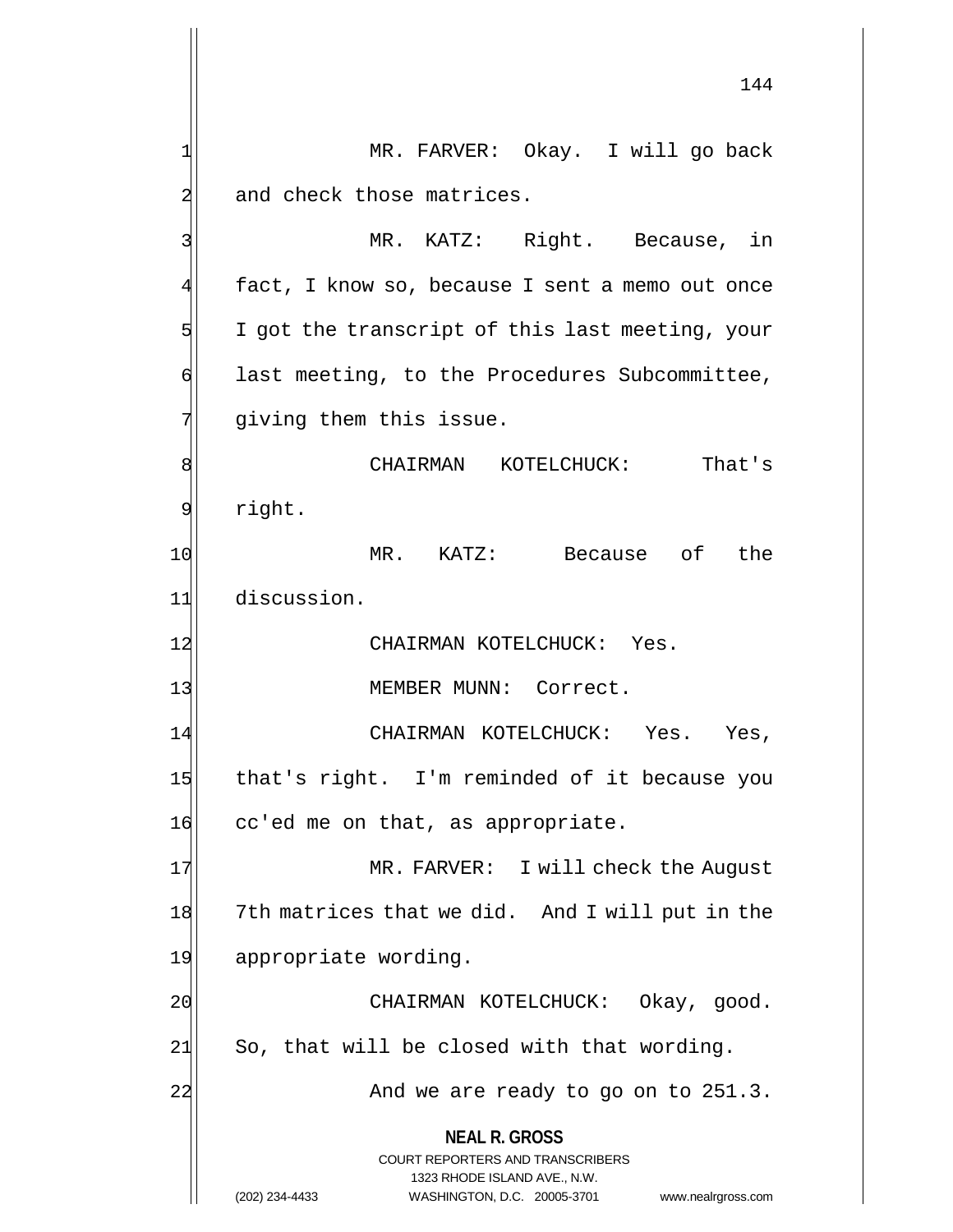**NEAL R. GROSS** COURT REPORTERS AND TRANSCRIBERS 1323 RHODE ISLAND AVE., N.W. (202) 234-4433 WASHINGTON, D.C. 20005-3701 www.nealrgross.com 144 1 MR. FARVER: Okay. I will go back 2 and check those matrices. 3 | MR. KATZ: Right. Because, in 4 fact, I know so, because I sent a memo out once  $5$  I got the transcript of this last meeting, your 6 digcarright last meeting, to the Procedures Subcommittee,  $7$  giving them this issue. 8 CHAIRMAN KOTELCHUCK: That's 9 right. 10 MR. KATZ: Because of the 11 discussion. 12 CHAIRMAN KOTELCHUCK: Yes. 13 MEMBER MUNN: Correct. 14 CHAIRMAN KOTELCHUCK: Yes. Yes, 15 that's right. I'm reminded of it because you 16 cc'ed me on that, as appropriate. 17 MR. FARVER: I will check the August 18 7th matrices that we did. And I will put in the 19 appropriate wording. 20 CHAIRMAN KOTELCHUCK: Okay, good.  $21$  So, that will be closed with that wording.  $22$  And we are ready to go on to  $251.3$ .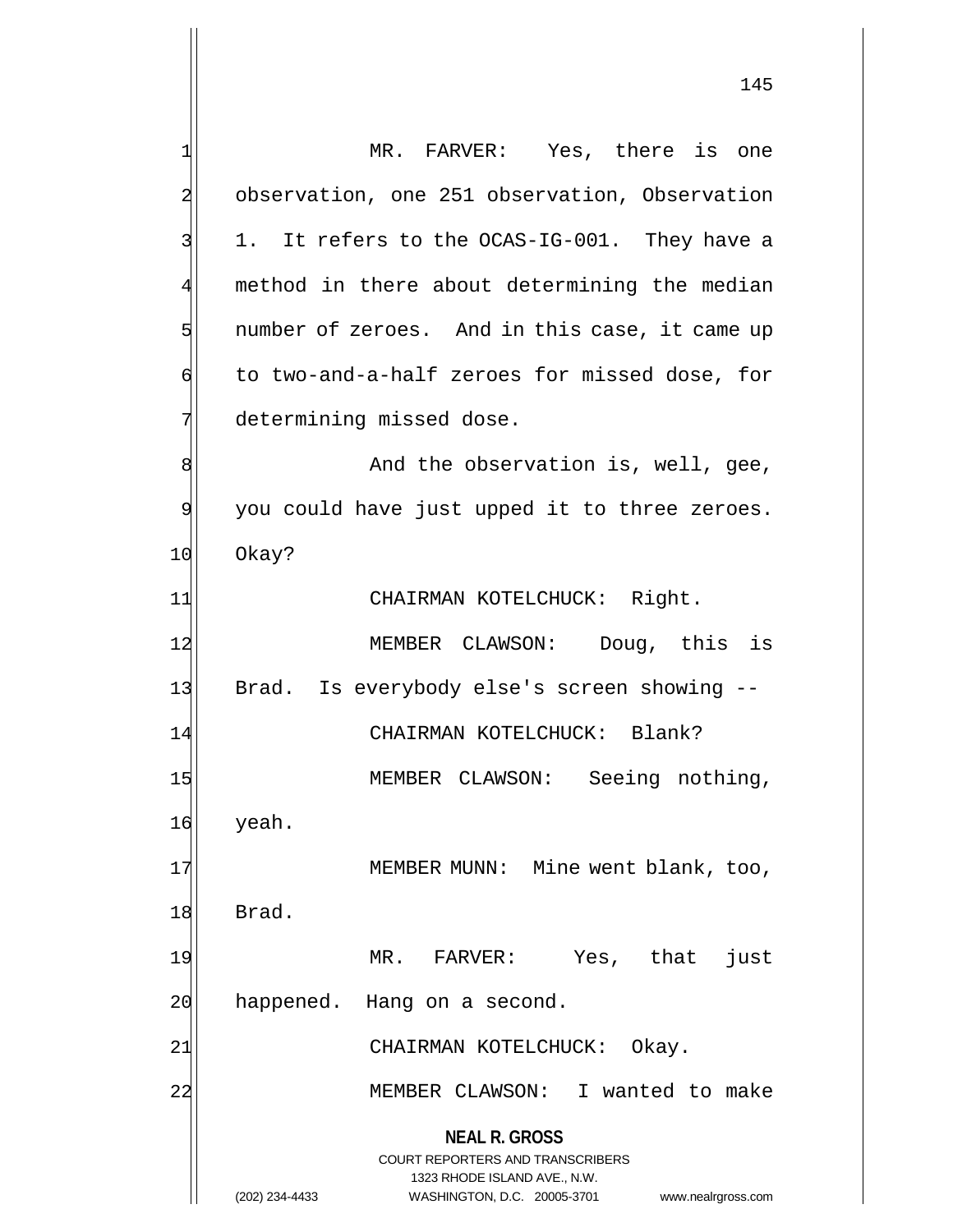|                | MR. FARVER: Yes, there is one                                                                       |
|----------------|-----------------------------------------------------------------------------------------------------|
|                | observation, one 251 observation, Observation                                                       |
|                | 1. It refers to the OCAS-IG-001. They have a                                                        |
|                | method in there about determining the median                                                        |
| 5              | number of zeroes. And in this case, it came up                                                      |
| б              | to two-and-a-half zeroes for missed dose, for                                                       |
|                | determining missed dose.                                                                            |
| 8              | And the observation is, well, gee,                                                                  |
| $\overline{9}$ | you could have just upped it to three zeroes.                                                       |
| 10             | Okay?                                                                                               |
| 11             | CHAIRMAN KOTELCHUCK: Right.                                                                         |
| 12             | MEMBER CLAWSON: Doug, this is                                                                       |
| 13             | Brad. Is everybody else's screen showing --                                                         |
| 14             | CHAIRMAN KOTELCHUCK: Blank?                                                                         |
| 15             | MEMBER CLAWSON: Seeing nothing,                                                                     |
| 16             | yeah.                                                                                               |
| 17             | MEMBER MUNN: Mine went blank, too,                                                                  |
| 18             | Brad.                                                                                               |
| 19             | Yes, that<br>MR. FARVER:<br>just                                                                    |
| 2C             | happened.<br>Hang on a second.                                                                      |
| 21             | CHAIRMAN KOTELCHUCK:<br>Okay.                                                                       |
|                |                                                                                                     |
| 22             | MEMBER CLAWSON:<br>I wanted to make                                                                 |
|                | <b>NEAL R. GROSS</b>                                                                                |
|                | <b>COURT REPORTERS AND TRANSCRIBERS</b>                                                             |
|                | 1323 RHODE ISLAND AVE., N.W.<br>(202) 234-4433<br>WASHINGTON, D.C. 20005-3701<br>www.nealrgross.com |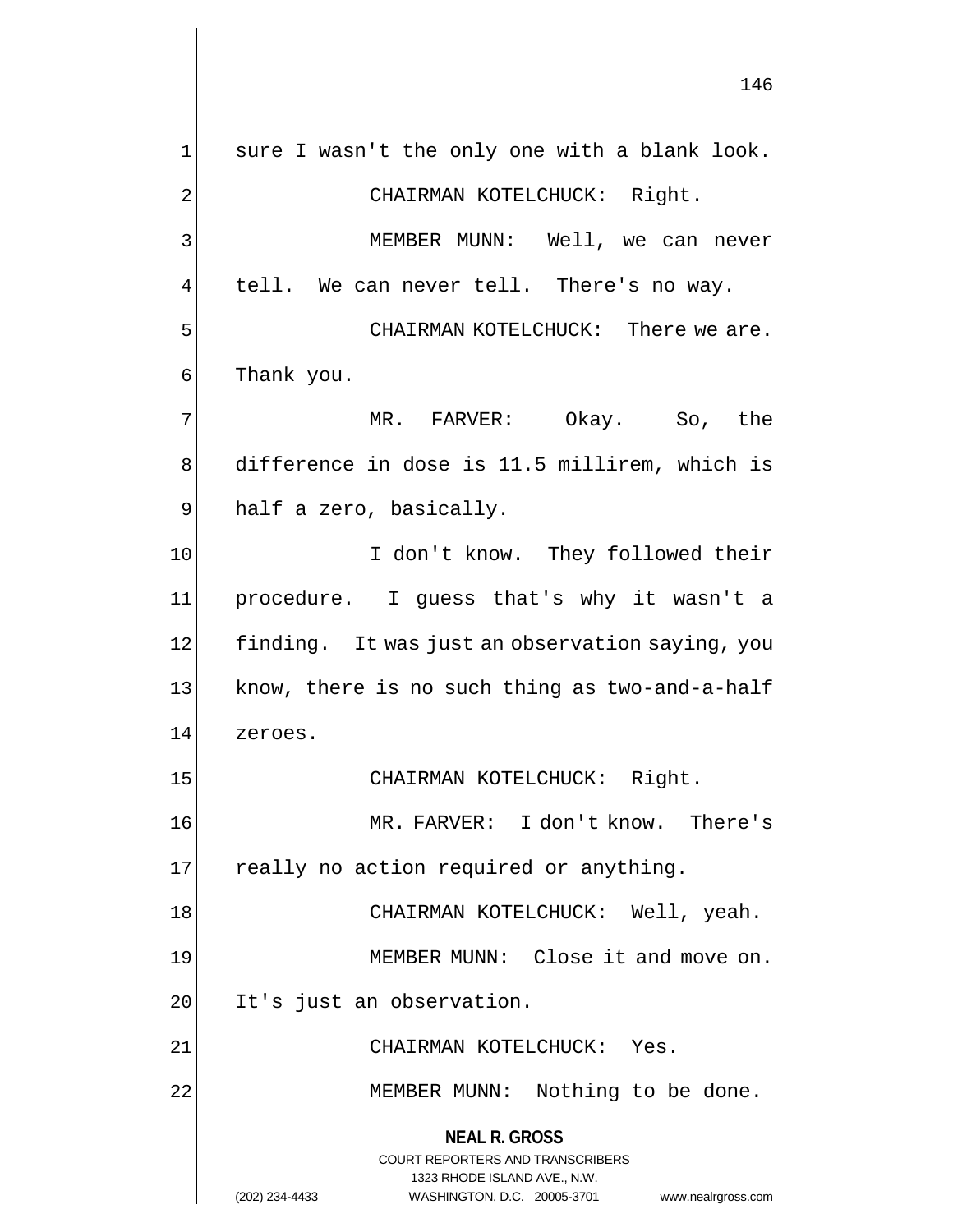**NEAL R. GROSS** COURT REPORTERS AND TRANSCRIBERS 1323 RHODE ISLAND AVE., N.W. (202) 234-4433 WASHINGTON, D.C. 20005-3701 www.nealrgross.com  $1$  sure I wasn't the only one with a blank look. 2 CHAIRMAN KOTELCHUCK: Right. 3 MEMBER MUNN: Well, we can never  $\frac{1}{4}$  tell. We can never tell. There's no way. 5 SW CHAIRMAN KOTELCHUCK: There we are. 6 Thank you. 7 MR. FARVER: Okay. So, the 8 difference in dose is 11.5 millirem, which is 9 half a zero, basically. 10 I don't know. They followed their 11 procedure. I guess that's why it wasn't a 12 finding. It was just an observation saying, you 13 know, there is no such thing as two-and-a-half 14 zeroes. 15 CHAIRMAN KOTELCHUCK: Right. 16 MR. FARVER: I don't know. There's 17 really no action required or anything. 18 CHAIRMAN KOTELCHUCK: Well, yeah. 19 MEMBER MUNN: Close it and move on. 20 It's just an observation. 21 CHAIRMAN KOTELCHUCK: Yes. 22 MEMBER MUNN: Nothing to be done.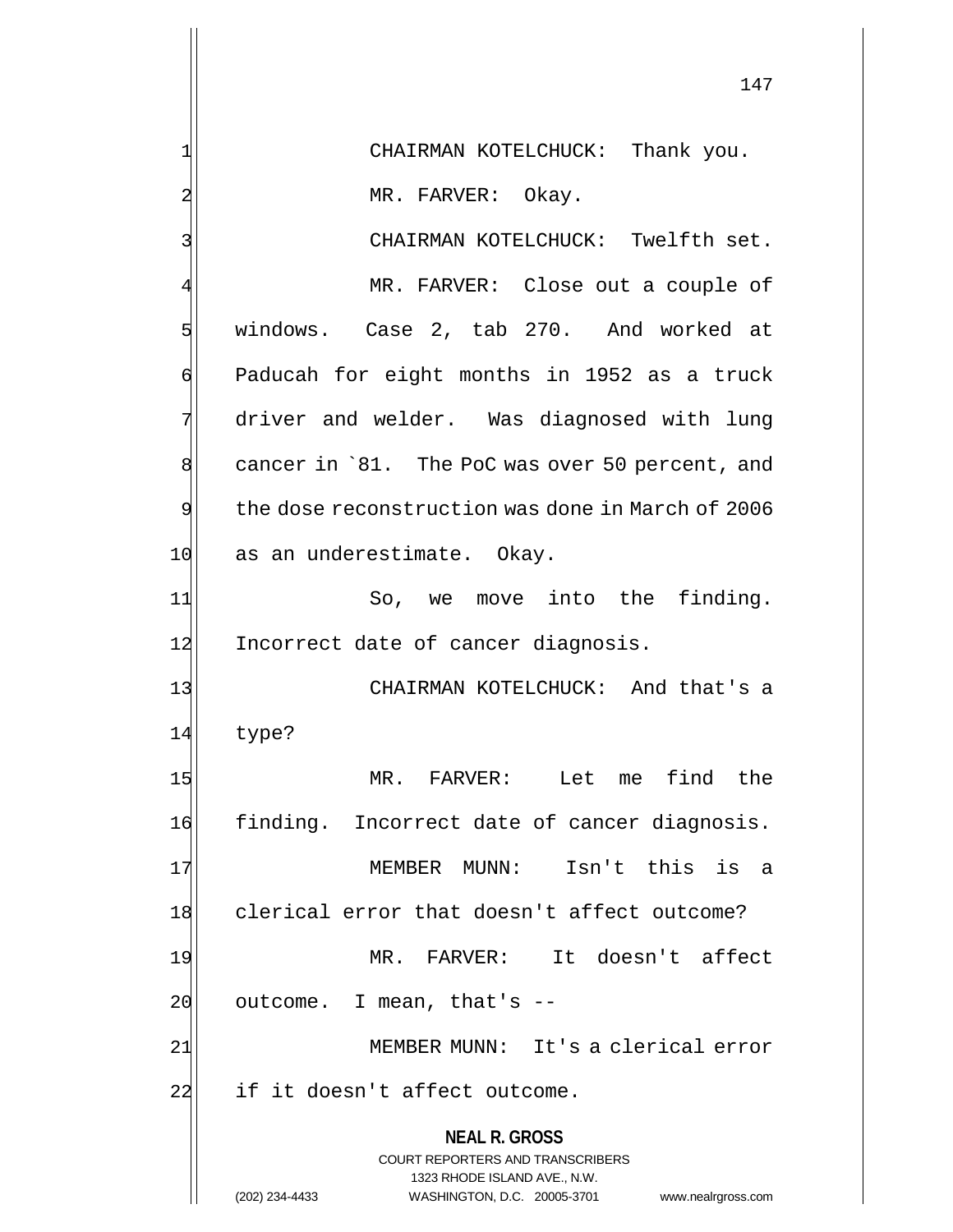**NEAL R. GROSS** COURT REPORTERS AND TRANSCRIBERS 1323 RHODE ISLAND AVE., N.W. (202) 234-4433 WASHINGTON, D.C. 20005-3701 www.nealrgross.com 1 CHAIRMAN KOTELCHUCK: Thank you. 2 MR. FARVER: Okay. 3 CHAIRMAN KOTELCHUCK: Twelfth set. MR. FARVER: Close out a couple of 5 windows. Case 2, tab 270. And worked at 6 Paducah for eight months in 1952 as a truck 7 driver and welder. Was diagnosed with lung 8 cancer in `81. The PoC was over 50 percent, and 9 the dose reconstruction was done in March of 2006 10 as an underestimate. Okay. 11 So, we move into the finding. 12 Incorrect date of cancer diagnosis. 13 CHAIRMAN KOTELCHUCK: And that's a 14 type? 15 MR. FARVER: Let me find the 16 finding. Incorrect date of cancer diagnosis. 17 MEMBER MUNN: Isn't this is a 18 clerical error that doesn't affect outcome? 19 MR. FARVER: It doesn't affect  $20$  outcome. I mean, that's  $-$ 21| MEMBER MUNN: It's a clerical error 22 if it doesn't affect outcome.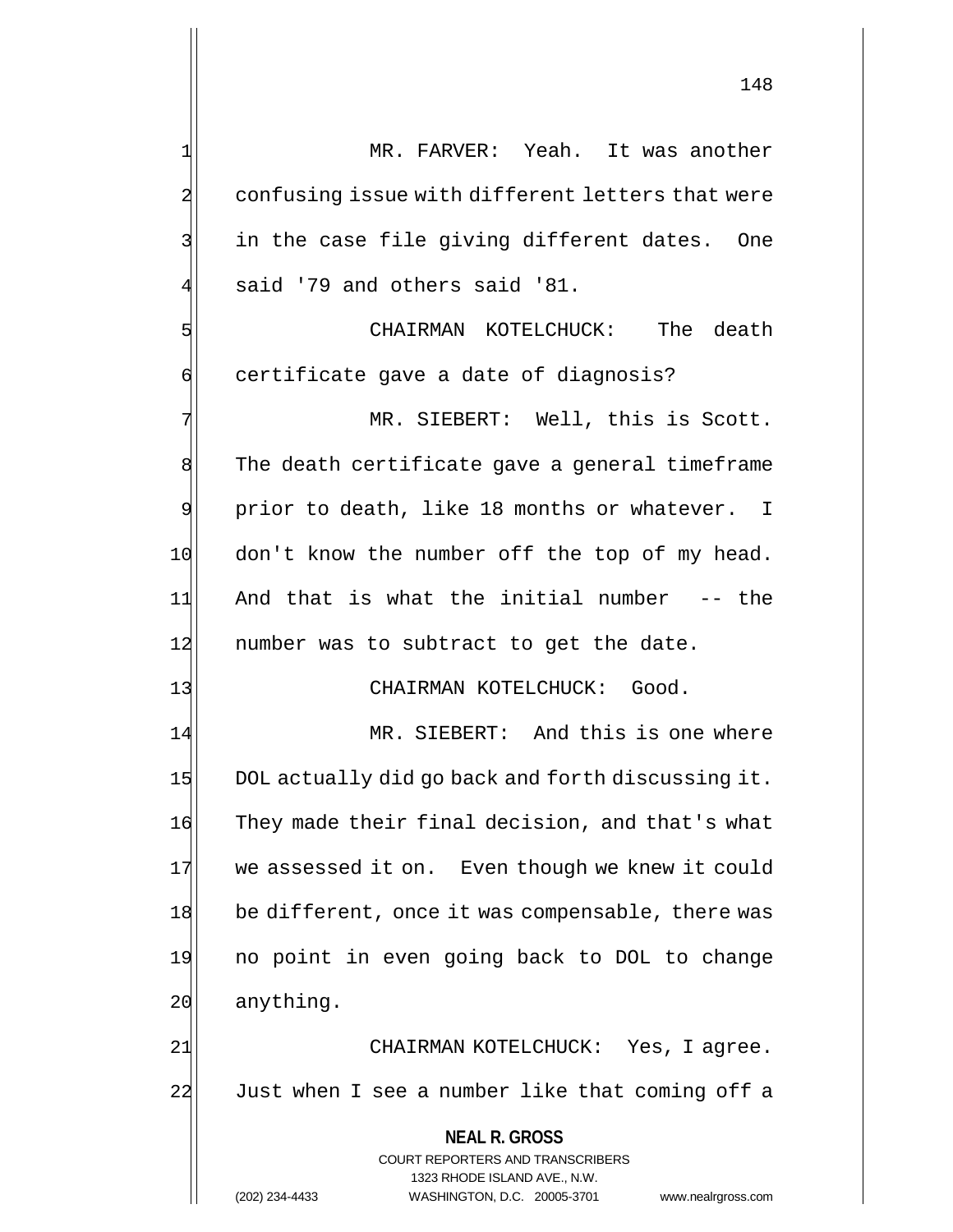**NEAL R. GROSS** COURT REPORTERS AND TRANSCRIBERS 1 MR. FARVER: Yeah. It was another 2 confusing issue with different letters that were  $3$  in the case file giving different dates. One said '79 and others said '81. 5 CHAIRMAN KOTELCHUCK: The death 6 certificate gave a date of diagnosis? 7 MR. SIEBERT: Well, this is Scott. 8 The death certificate gave a general timeframe 9 prior to death, like 18 months or whatever. I 10 don't know the number off the top of my head. 11 And that is what the initial number -- the 12 number was to subtract to get the date. 13 CHAIRMAN KOTELCHUCK: Good. 14 MR. SIEBERT: And this is one where 15 DOL actually did go back and forth discussing it. 16 They made their final decision, and that's what 17 we assessed it on. Even though we knew it could 18 be different, once it was compensable, there was 19 no point in even going back to DOL to change 20 anything. 21 | CHAIRMAN KOTELCHUCK: Yes, I agree. 22 Just when I see a number like that coming off a

1323 RHODE ISLAND AVE., N.W.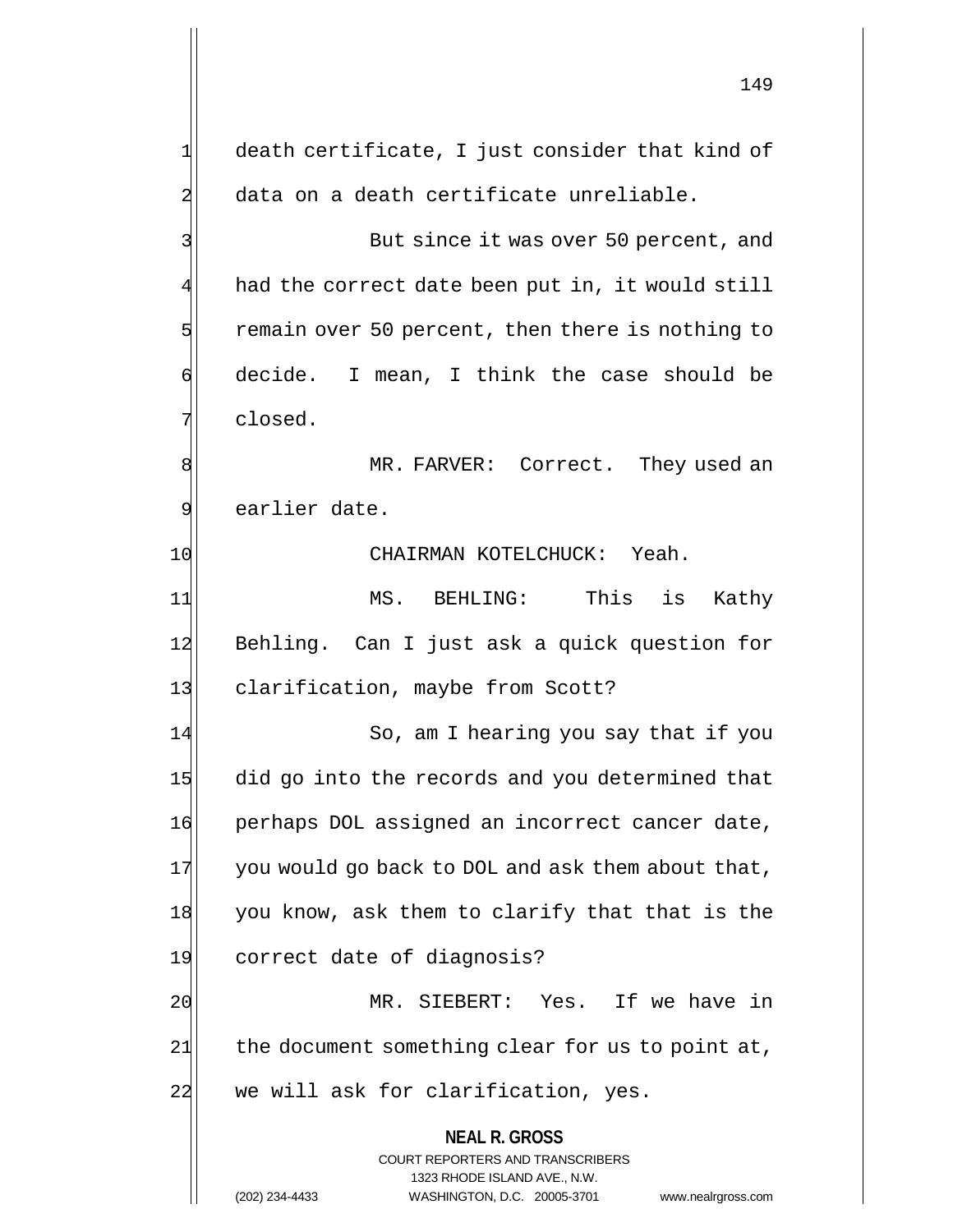**NEAL R. GROSS** COURT REPORTERS AND TRANSCRIBERS 1323 RHODE ISLAND AVE., N.W.  $1$  death certificate, I just consider that kind of 2 data on a death certificate unreliable. 3 But since it was over 50 percent, and  $4$  had the correct date been put in, it would still  $5$  remain over 50 percent, then there is nothing to  $\mathfrak{g}$  decide. I mean, I think the case should be  $7$  closed. 8 MR. FARVER: Correct. They used an 9 earlier date. 10 CHAIRMAN KOTELCHUCK: Yeah. 11 MS. BEHLING: This is Kathy 12 Behling. Can I just ask a quick question for 13 clarification, maybe from Scott? 14 So, am I hearing you say that if you 15 did go into the records and you determined that 16 perhaps DOL assigned an incorrect cancer date,  $17$  you would go back to DOL and ask them about that, 18 you know, ask them to clarify that that is the 19 correct date of diagnosis? 20 MR. SIEBERT: Yes. If we have in  $21$  the document something clear for us to point at, 22 we will ask for clarification, yes.

(202) 234-4433 WASHINGTON, D.C. 20005-3701 www.nealrgross.com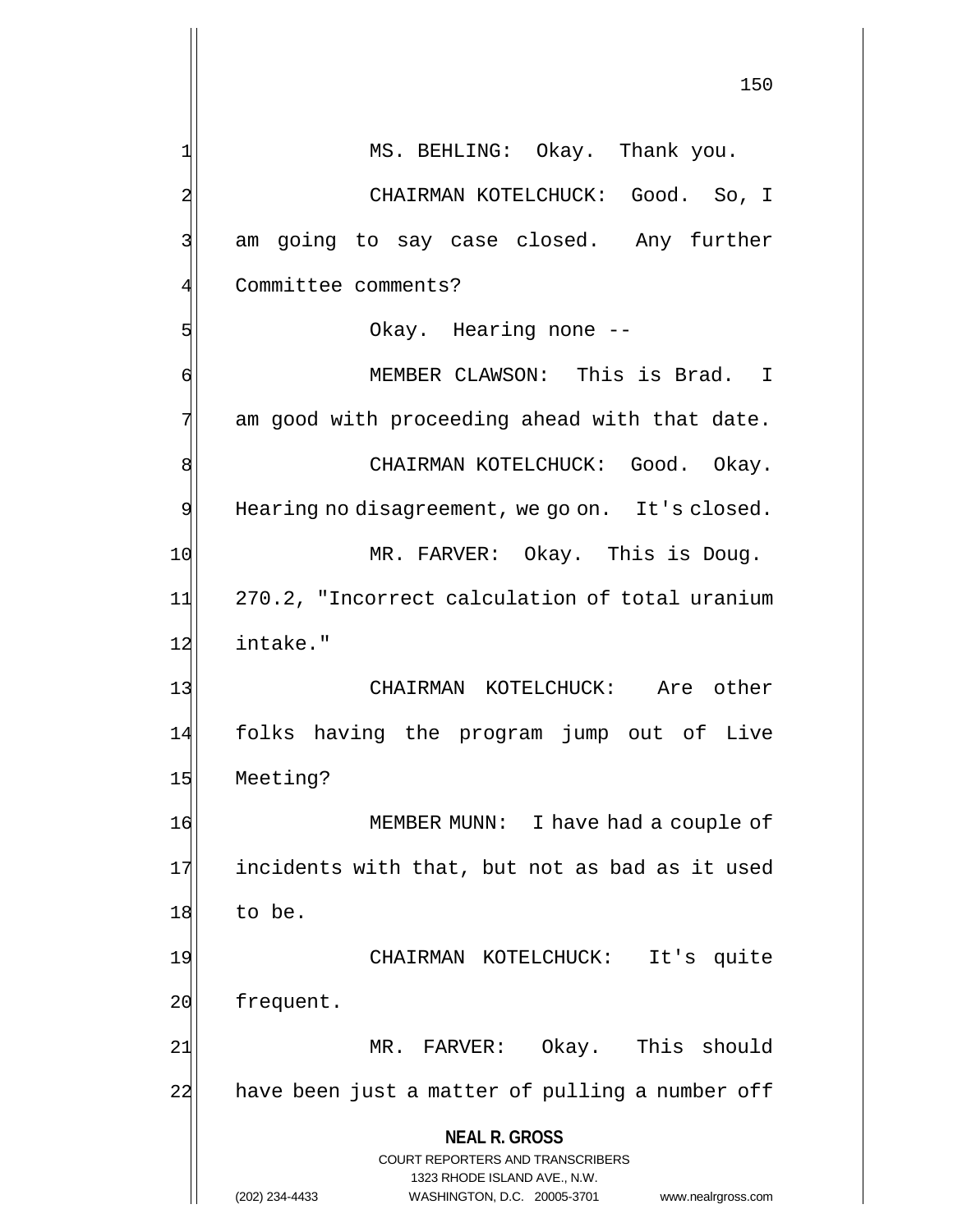**NEAL R. GROSS** COURT REPORTERS AND TRANSCRIBERS 1323 RHODE ISLAND AVE., N.W. (202) 234-4433 WASHINGTON, D.C. 20005-3701 www.nealrgross.com 150  $1$  MS. BEHLING: Okay. Thank you. 2 CHAIRMAN KOTELCHUCK: Good. So, I 3 am going to say case closed. Any further 4 Committee comments? 5 S 6 MEMBER CLAWSON: This is Brad. I  $7$  am good with proceeding ahead with that date. 8 CHAIRMAN KOTELCHUCK: Good. Okay. 9 Hearing no disagreement, we go on. It's closed. 10 MR. FARVER: Okay. This is Doug. 11 270.2, "Incorrect calculation of total uranium 12 intake." 13 CHAIRMAN KOTELCHUCK: Are other 14 folks having the program jump out of Live 15 Meeting? 16 MEMBER MUNN: I have had a couple of 17 incidents with that, but not as bad as it used 18 to be. 19 CHAIRMAN KOTELCHUCK: It's quite 20 frequent. 21 MR. FARVER: Okay. This should 22 have been just a matter of pulling a number off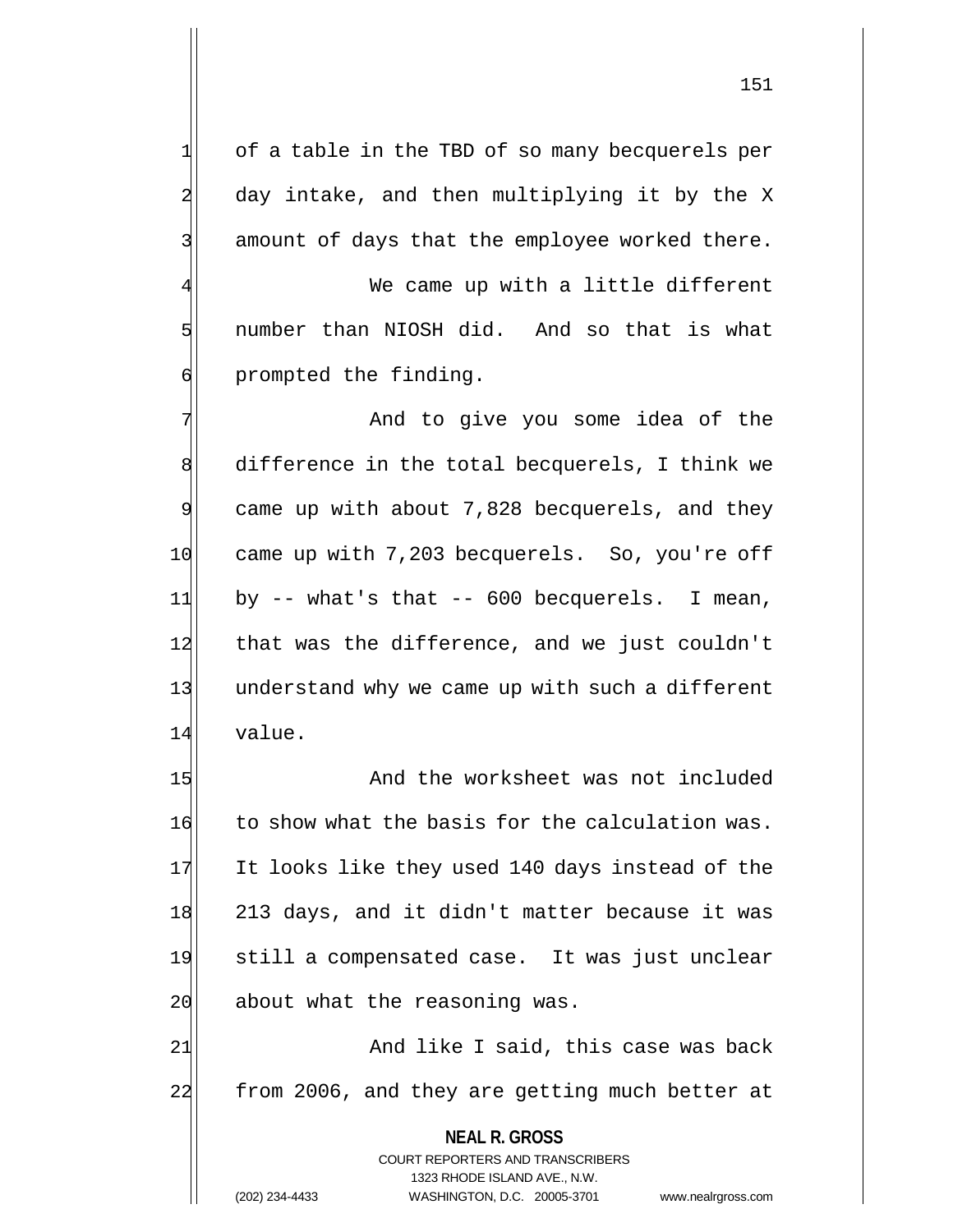151

 $1$  of a table in the TBD of so many becquerels per 2 day intake, and then multiplying it by the X 3 3 amount of days that the employee worked there.

We came up with a little different 5 I number than NIOSH did. And so that is what 6 6 6 prompted the finding.

7 And to give you some idea of the 8 difference in the total becquerels, I think we  $9$  came up with about 7,828 becquerels, and they 10 came up with 7,203 becquerels. So, you're off  $11$  by -- what's that -- 600 becquerels. I mean, 12 that was the difference, and we just couldn't 13 understand why we came up with such a different 14 value.

15 And the worksheet was not included 16 to show what the basis for the calculation was. 17 It looks like they used 140 days instead of the 18 213 days, and it didn't matter because it was 19 still a compensated case. It was just unclear 20 about what the reasoning was.

21 and like I said, this case was back 22 from 2006, and they are getting much better at

> **NEAL R. GROSS** COURT REPORTERS AND TRANSCRIBERS

> > 1323 RHODE ISLAND AVE., N.W.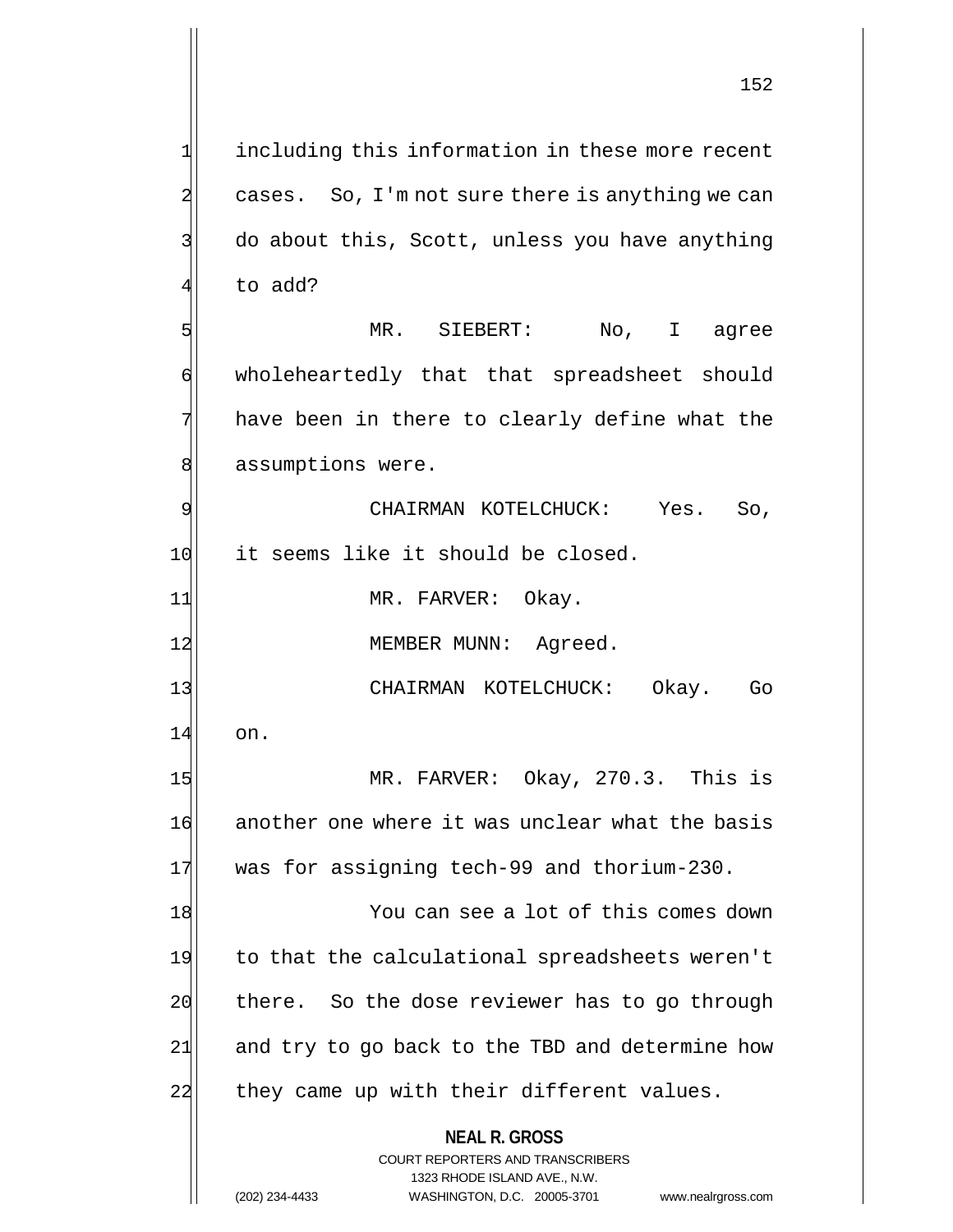$2$  cases. So, I'm not sure there is anything we can 3 do about this, Scott, unless you have anything 4 to add? 5 MR. SIEBERT: No, I agree 6 wholeheartedly that that spreadsheet should 7 have been in there to clearly define what the 8 assumptions were. 9 CHAIRMAN KOTELCHUCK: Yes. So, 10 it seems like it should be closed. 11 MR. FARVER: Okay. 12 MEMBER MUNN: Agreed. 13 | CHAIRMAN KOTELCHUCK: Okay. Go 14 on. 15 MR. FARVER: Okay, 270.3. This is 16 another one where it was unclear what the basis 17 was for assigning tech-99 and thorium-230. 18 You can see a lot of this comes down 19 to that the calculational spreadsheets weren't 20 there. So the dose reviewer has to go through 21 and try to go back to the TBD and determine how

1 including this information in these more recent

22 they came up with their different values.

**NEAL R. GROSS** COURT REPORTERS AND TRANSCRIBERS

1323 RHODE ISLAND AVE., N.W.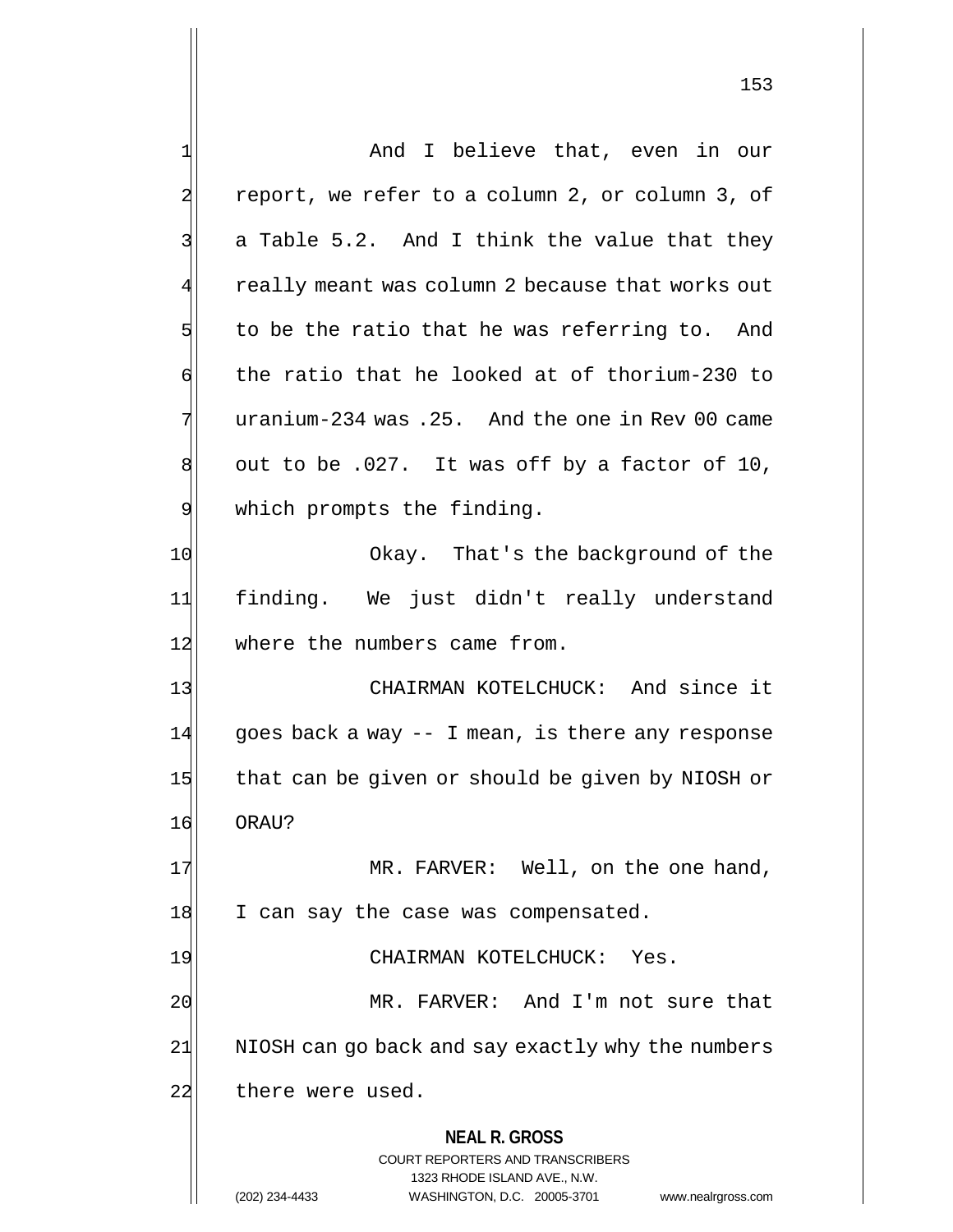**NEAL R. GROSS** COURT REPORTERS AND TRANSCRIBERS 1323 RHODE ISLAND AVE., N.W. 1 and I believe that, even in our 2 report, we refer to a column 2, or column 3, of  $3$  a Table 5.2. And I think the value that they really meant was column 2 because that works out  $5$  to be the ratio that he was referring to. And  $\mathfrak{h}$  the ratio that he looked at of thorium-230 to  $7$  uranium-234 was .25. And the one in Rev 00 came  $8$  out to be .027. It was off by a factor of 10, 9 which prompts the finding. 10 Okay. That's the background of the 11 finding. We just didn't really understand 12 where the numbers came from. 13 CHAIRMAN KOTELCHUCK: And since it  $14$  goes back a way  $-$  I mean, is there any response 15 that can be given or should be given by NIOSH or 16 ORAU? 17 MR. FARVER: Well, on the one hand, 18 I can say the case was compensated. 19 CHAIRMAN KOTELCHUCK: Yes. 20 MR. FARVER: And I'm not sure that 21 NIOSH can go back and say exactly why the numbers 22 there were used.

(202) 234-4433 WASHINGTON, D.C. 20005-3701 www.nealrgross.com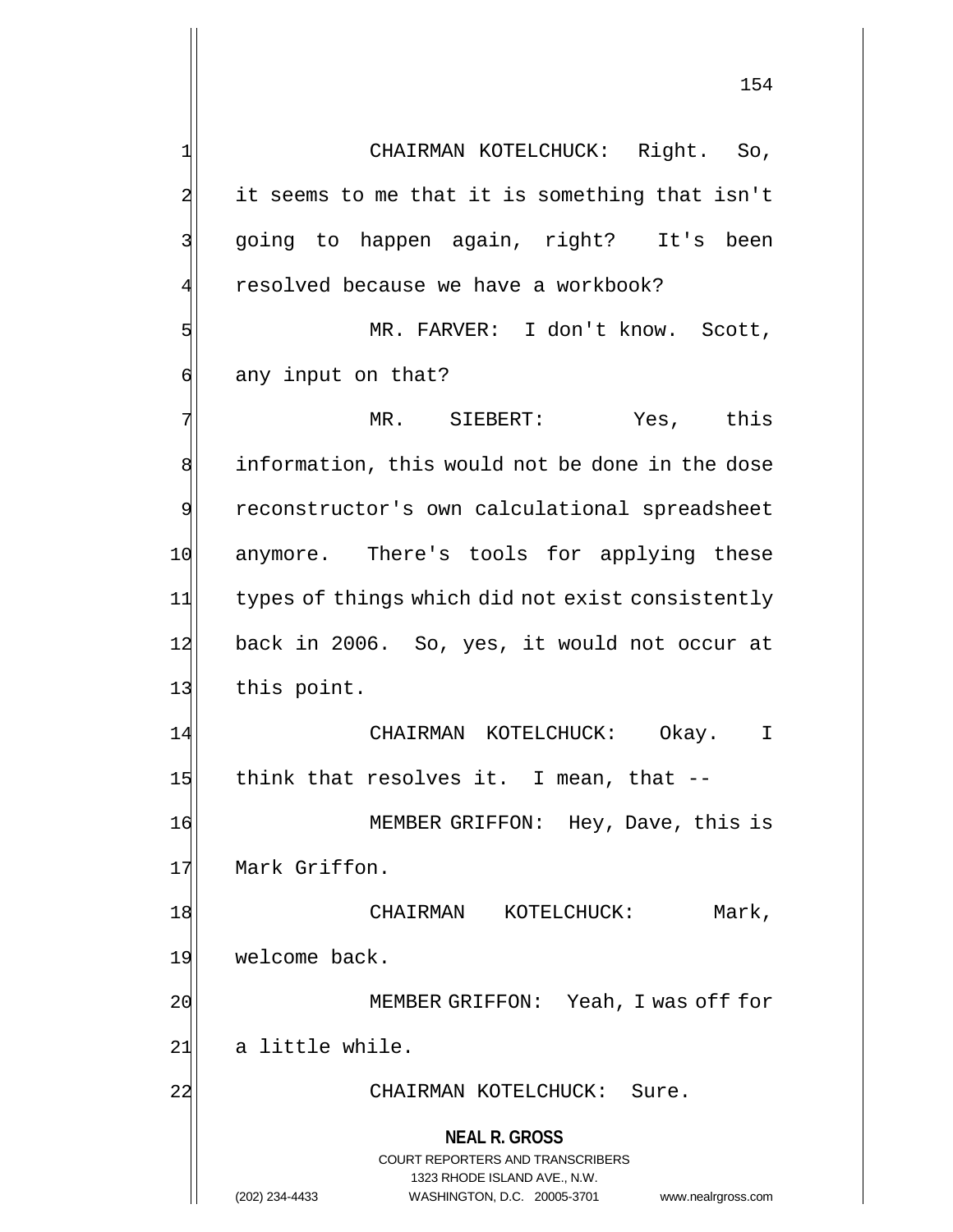**NEAL R. GROSS** COURT REPORTERS AND TRANSCRIBERS 1323 RHODE ISLAND AVE., N.W. 1 CHAIRMAN KOTELCHUCK: Right. So,  $2$  it seems to me that it is something that isn't 3| going to happen again, right? It's been 4 resolved because we have a workbook? 5 MR. FARVER: I don't know. Scott, 6 any input on that? 7 MR. SIEBERT: Yes, this 8 information, this would not be done in the dose 9 reconstructor's own calculational spreadsheet 10 anymore. There's tools for applying these 11 types of things which did not exist consistently 12 back in 2006. So, yes, it would not occur at 13 this point. 14 CHAIRMAN KOTELCHUCK: Okay. I 15 think that resolves it. I mean, that  $-$ 16 MEMBER GRIFFON: Hey, Dave, this is 17 Mark Griffon. 18 CHAIRMAN KOTELCHUCK: Mark, 19 welcome back. 20 | MEMBER GRIFFON: Yeah, I was off for  $21$  a little while. 22 | CHAIRMAN KOTELCHUCK: Sure.

(202) 234-4433 WASHINGTON, D.C. 20005-3701 www.nealrgross.com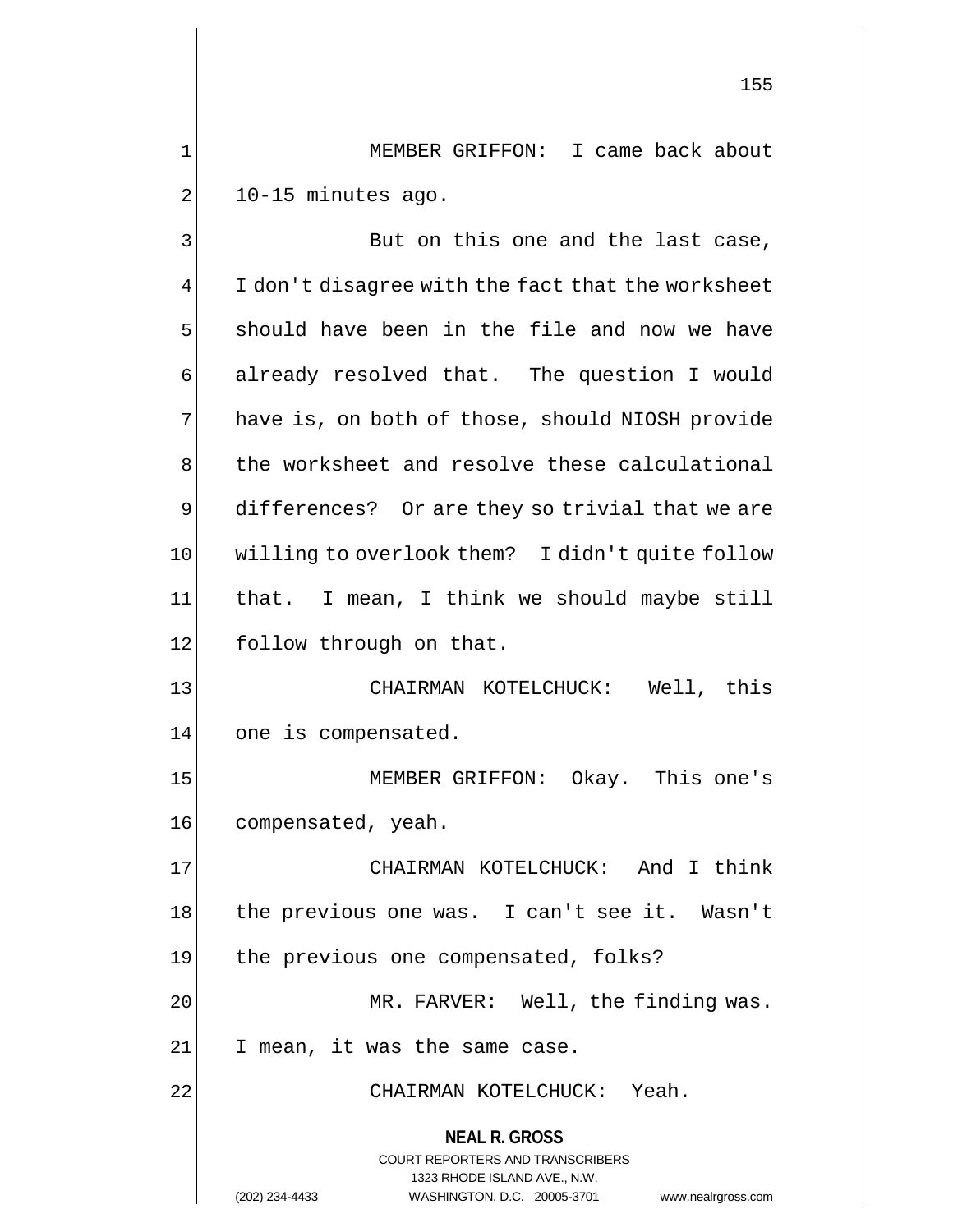1| MEMBER GRIFFON: I came back about  $2$  10-15 minutes ago.

**NEAL R. GROSS** COURT REPORTERS AND TRANSCRIBERS 1323 RHODE ISLAND AVE., N.W. (202) 234-4433 WASHINGTON, D.C. 20005-3701 www.nealrgross.com 3| But on this one and the last case,  $4$   $\mid$   $\mid$  I don't disagree with the fact that the worksheet 5 should have been in the file and now we have 6 already resolved that. The question I would 7 have is, on both of those, should NIOSH provide 8 the worksheet and resolve these calculational 9 differences? Or are they so trivial that we are 10 willing to overlook them? I didn't quite follow 11 that. I mean, I think we should maybe still 12 follow through on that. 13 CHAIRMAN KOTELCHUCK: Well, this 14 one is compensated. 15 MEMBER GRIFFON: Okay. This one's 16 compensated, yeah. 17 CHAIRMAN KOTELCHUCK: And I think 18 the previous one was. I can't see it. Wasn't 19 the previous one compensated, folks? 20 MR. FARVER: Well, the finding was.  $21$  I mean, it was the same case. 22 CHAIRMAN KOTELCHUCK: Yeah.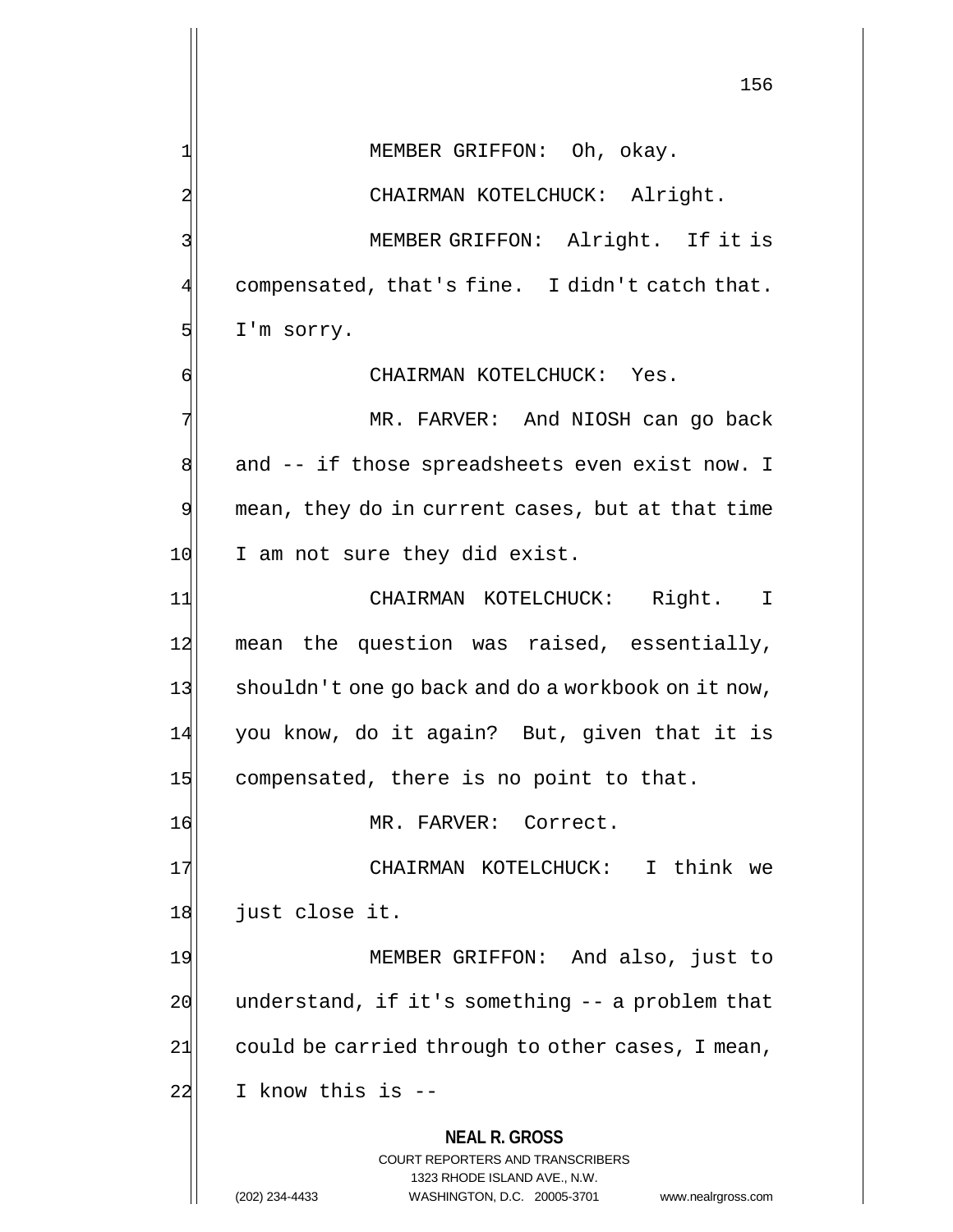**NEAL R. GROSS** COURT REPORTERS AND TRANSCRIBERS 156 1 MEMBER GRIFFON: Oh, okay. 2 CHAIRMAN KOTELCHUCK: Alright. 3 | MEMBER GRIFFON: Alright. If it is  $4$  compensated, that's fine. I didn't catch that.  $5$  I'm sorry. 6 CHAIRMAN KOTELCHUCK: Yes. 7 MR. FARVER: And NIOSH can go back 8 and -- if those spreadsheets even exist now. I 9 mean, they do in current cases, but at that time 10 I am not sure they did exist. 11 CHAIRMAN KOTELCHUCK: Right. I 12 mean the question was raised, essentially, 13 shouldn't one go back and do a workbook on it now, 14 you know, do it again? But, given that it is 15 compensated, there is no point to that. 16 MR. FARVER: Correct. 17 CHAIRMAN KOTELCHUCK: I think we 18 just close it. 19 MEMBER GRIFFON: And also, just to  $20$  understand, if it's something  $-$  a problem that  $21$  could be carried through to other cases, I mean,  $22$  I know this is  $-$ 

1323 RHODE ISLAND AVE., N.W.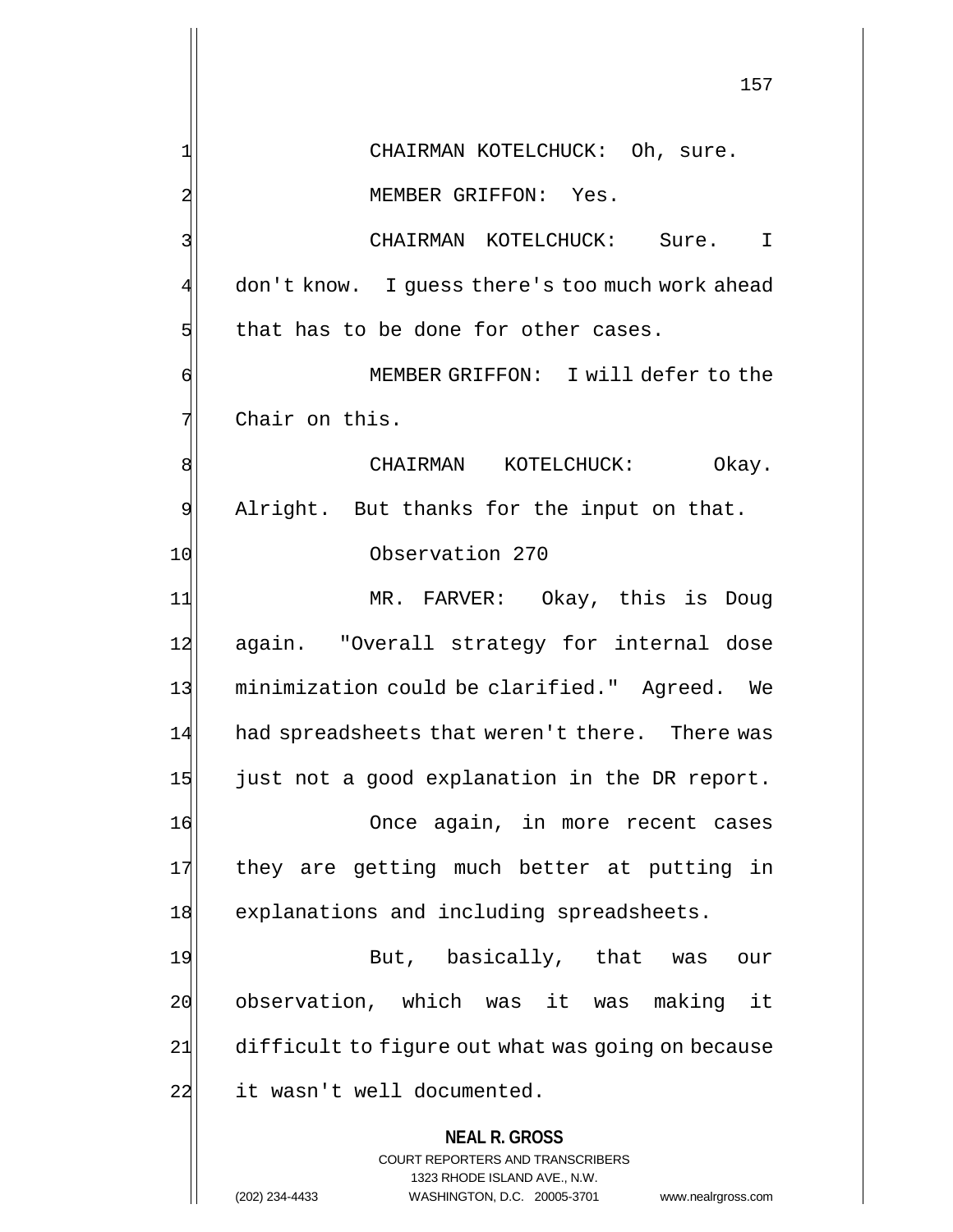**NEAL R. GROSS** COURT REPORTERS AND TRANSCRIBERS 1323 RHODE ISLAND AVE., N.W. (202) 234-4433 WASHINGTON, D.C. 20005-3701 www.nealrgross.com 157 1 CHAIRMAN KOTELCHUCK: Oh, sure. 2 MEMBER GRIFFON: Yes. 3 CHAIRMAN KOTELCHUCK: Sure. I 4 don't know. I guess there's too much work ahead  $5$  that has to be done for other cases. 6 MEMBER GRIFFON: I will defer to the  $7$  Chair on this. 8 | CHAIRMAN KOTELCHUCK: Okay. 9 Alright. But thanks for the input on that. 10 Observation 270 11 MR. FARVER: Okay, this is Doug 12 again. "Overall strategy for internal dose 13 minimization could be clarified." Agreed. We 14 had spreadsheets that weren't there. There was  $15$  just not a good explanation in the DR report. 16 Once again, in more recent cases 17 they are getting much better at putting in 18 explanations and including spreadsheets. 19 But, basically, that was our 20 observation, which was it was making it 21 difficult to figure out what was going on because 22 it wasn't well documented.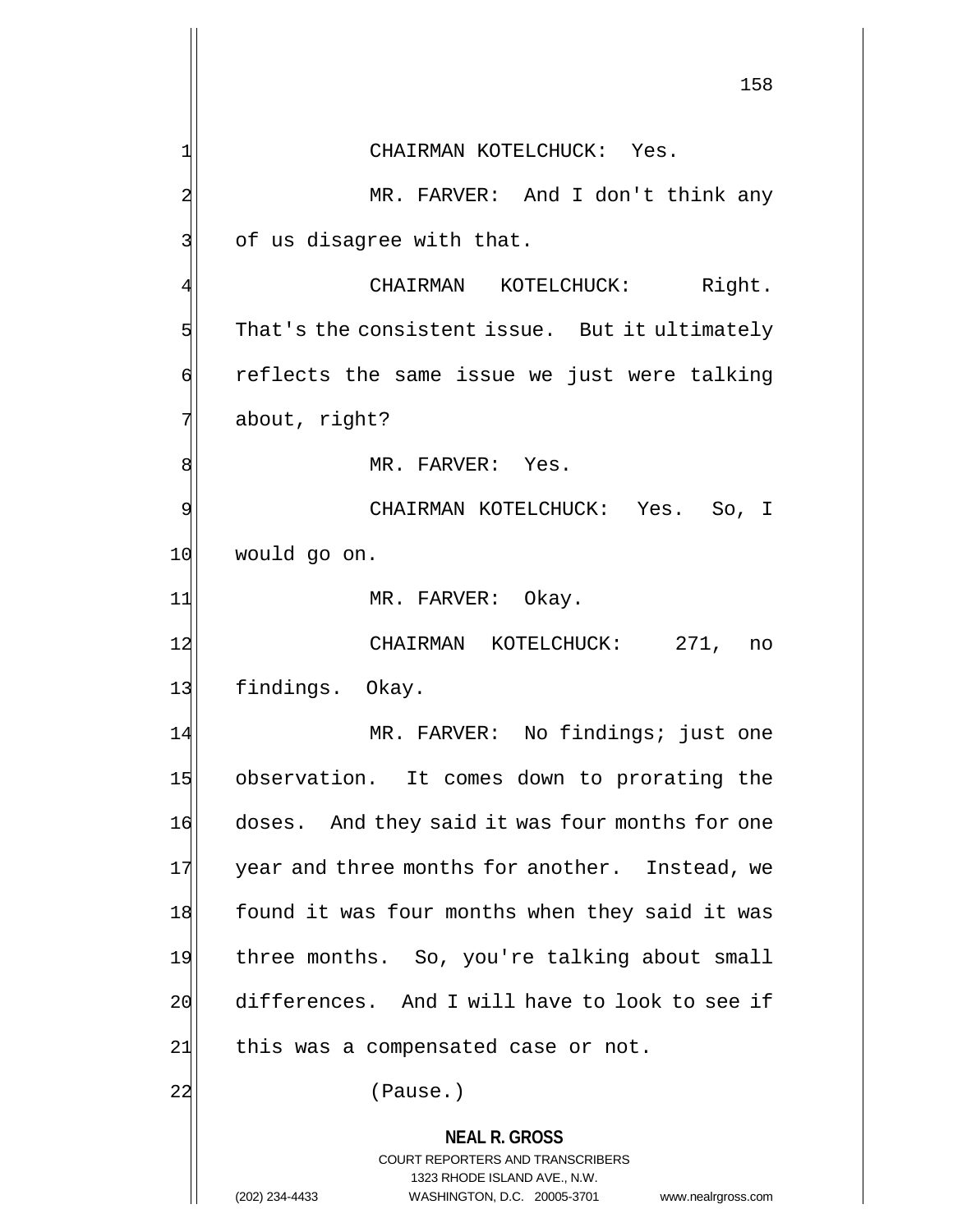**NEAL R. GROSS** COURT REPORTERS AND TRANSCRIBERS 1323 RHODE ISLAND AVE., N.W. (202) 234-4433 WASHINGTON, D.C. 20005-3701 www.nealrgross.com 158 1 CHAIRMAN KOTELCHUCK: Yes. 2 MR. FARVER: And I don't think any  $3$  of us disagree with that. CHAIRMAN KOTELCHUCK: Right.  $5$  That's the consistent issue. But it ultimately 6 reflects the same issue we just were talking 7 about, right? 8 MR. FARVER: Yes. 9 CHAIRMAN KOTELCHUCK: Yes. So, I 10 would go on. 11 MR. FARVER: Okay. 12 CHAIRMAN KOTELCHUCK: 271, no 13 findings. Okay. 14 MR. FARVER: No findings; just one 15 observation. It comes down to prorating the 16 doses. And they said it was four months for one 17 year and three months for another. Instead, we 18 found it was four months when they said it was 19 three months. So, you're talking about small 20 differences. And I will have to look to see if  $21$  this was a compensated case or not. 22 (Pause.)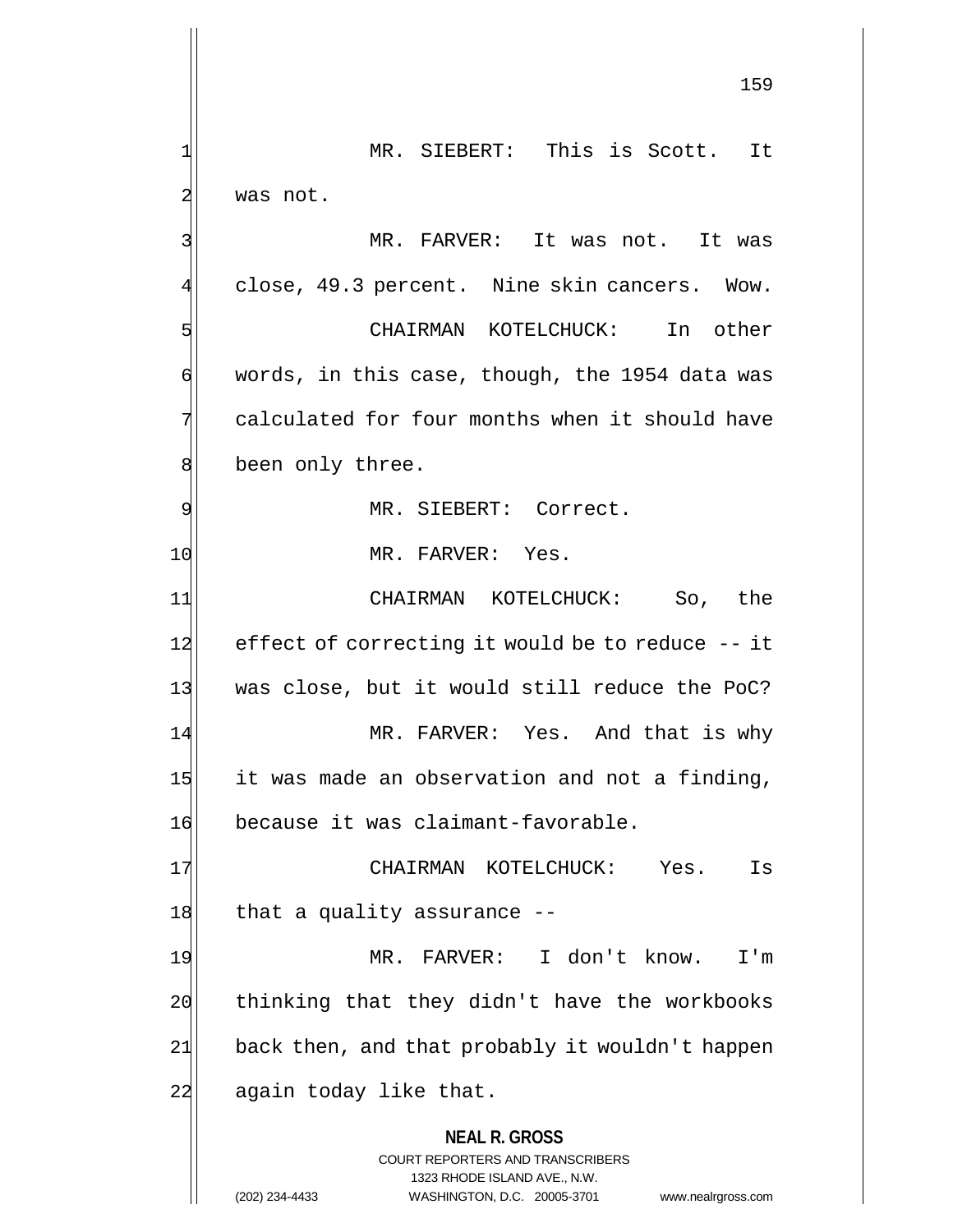**NEAL R. GROSS** COURT REPORTERS AND TRANSCRIBERS 1323 RHODE ISLAND AVE., N.W. (202) 234-4433 WASHINGTON, D.C. 20005-3701 www.nealrgross.com 159 1 MR. SIEBERT: This is Scott. It 2 was not. 3 MR. FARVER: It was not. It was 4 close, 49.3 percent. Nine skin cancers. Wow. 5 CHAIRMAN KOTELCHUCK: In other  $\frac{d}{dx}$  words, in this case, though, the 1954 data was 7 calculated for four months when it should have 8 been only three. 9 MR. SIEBERT: Correct. 10 MR. FARVER: Yes. 11 CHAIRMAN KOTELCHUCK: So, the 12 effect of correcting it would be to reduce -- it 13 was close, but it would still reduce the PoC? 14 MR. FARVER: Yes. And that is why  $15$  it was made an observation and not a finding, 16 because it was claimant-favorable. 17 | CHAIRMAN KOTELCHUCK: Yes. Is 18 that a quality assurance --19 MR. FARVER: I don't know. I'm 20 thinking that they didn't have the workbooks 21 back then, and that probably it wouldn't happen 22 again today like that.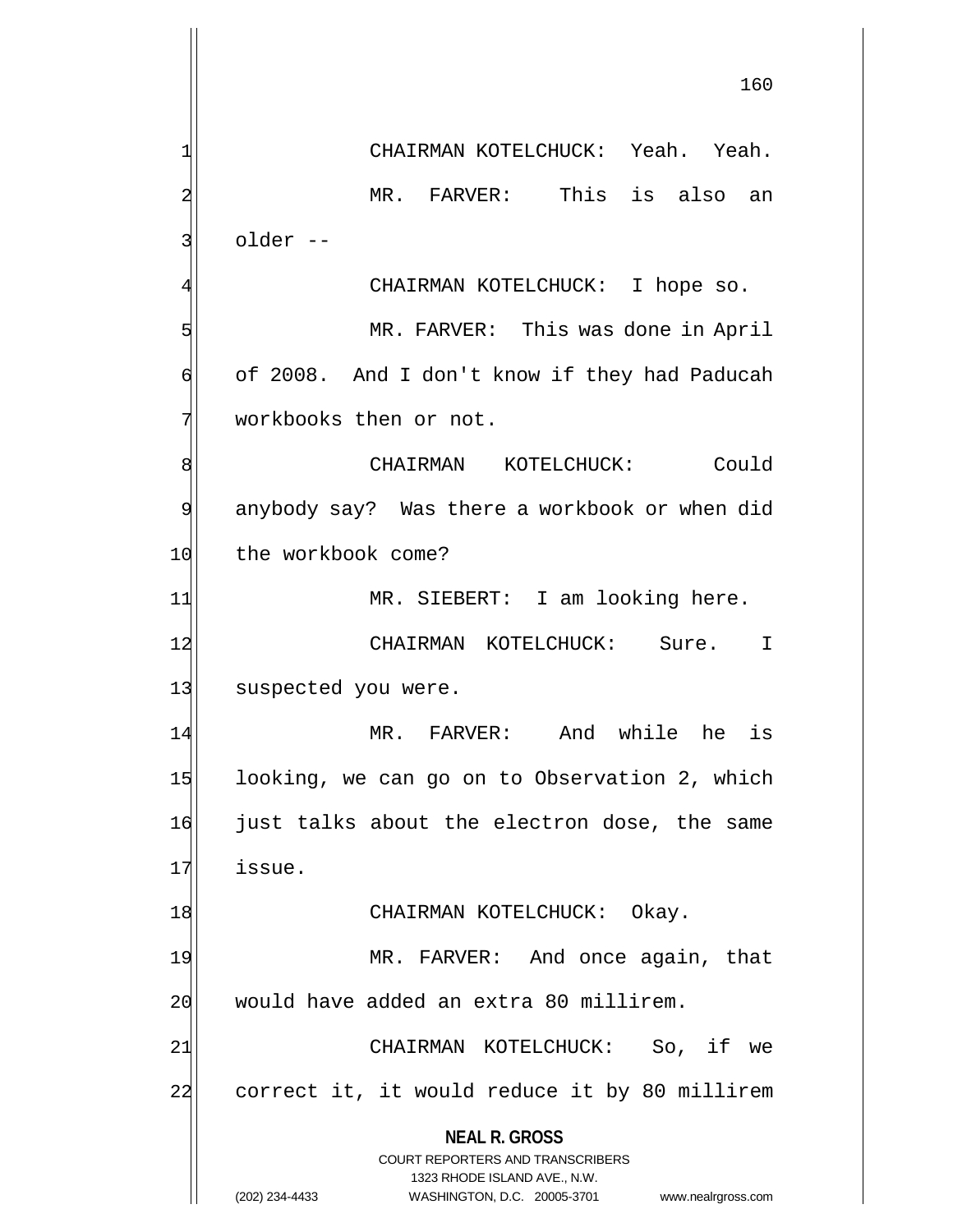**NEAL R. GROSS** COURT REPORTERS AND TRANSCRIBERS 1323 RHODE ISLAND AVE., N.W. 160 1 CHAIRMAN KOTELCHUCK: Yeah. Yeah. 2 MR. FARVER: This is also an 3| older --CHAIRMAN KOTELCHUCK: I hope so. 5 MR. FARVER: This was done in April 6 of 2008. And I don't know if they had Paducah  $7$  workbooks then or not. 8 CHAIRMAN KOTELCHUCK: Could 9 anybody say? Was there a workbook or when did 10 the workbook come? 14 MR. SIEBERT: I am looking here. 12 CHAIRMAN KOTELCHUCK: Sure. I 13 suspected you were. 14 MR. FARVER: And while he is 15 looking, we can go on to Observation 2, which 16 just talks about the electron dose, the same 17 issue. 18 CHAIRMAN KOTELCHUCK: Okay. 19 MR. FARVER: And once again, that 20 would have added an extra 80 millirem. 21| CHAIRMAN KOTELCHUCK: So, if we 22 correct it, it would reduce it by 80 millirem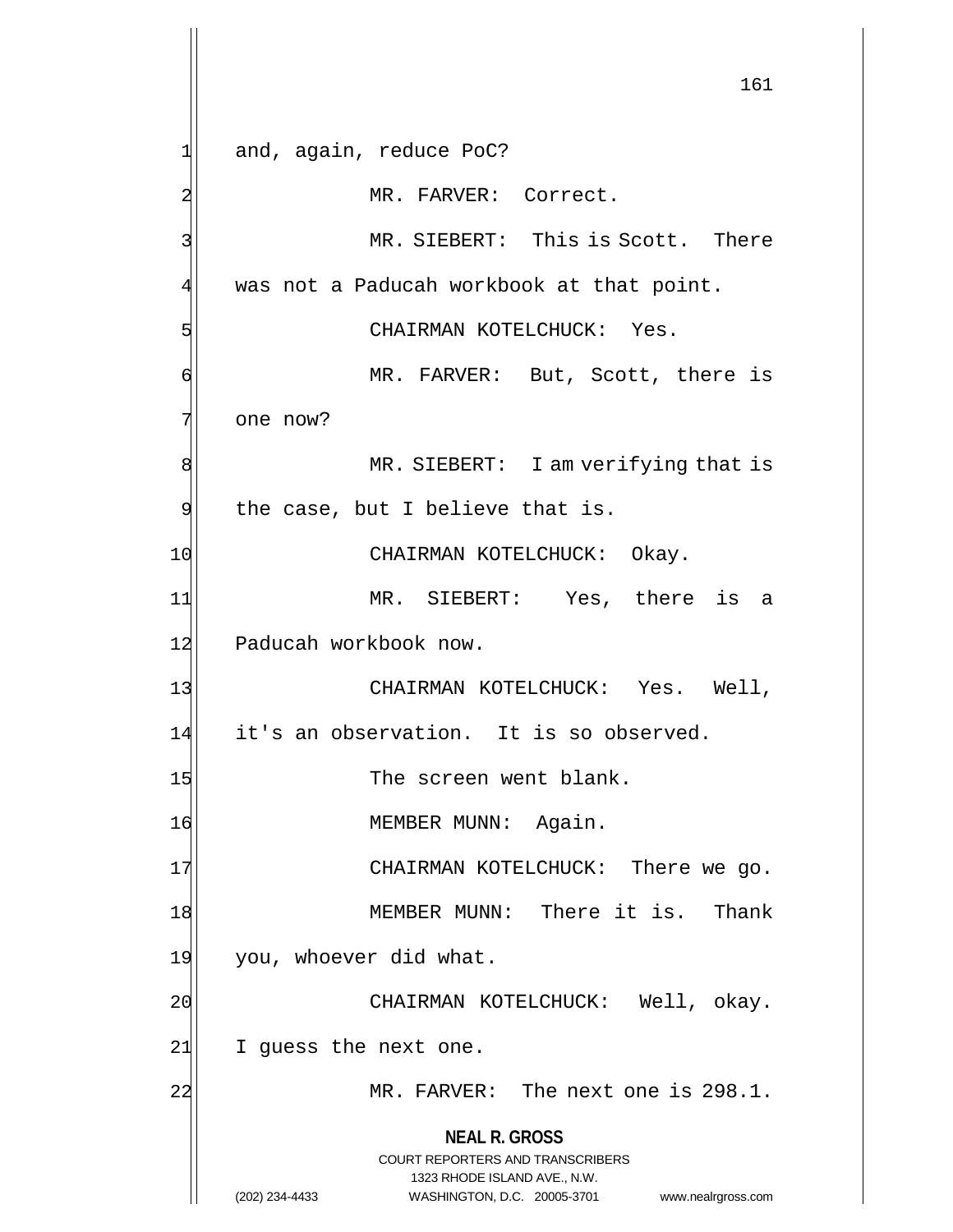**NEAL R. GROSS** COURT REPORTERS AND TRANSCRIBERS 1323 RHODE ISLAND AVE., N.W. (202) 234-4433 WASHINGTON, D.C. 20005-3701 www.nealrgross.com 161 1 and, again, reduce PoC? 2 MR. FARVER: Correct. 3 MR. SIEBERT: This is Scott. There  $4$  was not a Paducah workbook at that point. 5 CHAIRMAN KOTELCHUCK: Yes. 6 MR. FARVER: But, Scott, there is 7 one now? 8 MR. SIEBERT: I am verifying that is  $9$  the case, but I believe that is. 10 CHAIRMAN KOTELCHUCK: Okay. 11 MR. SIEBERT: Yes, there is a 12 Paducah workbook now. 13 CHAIRMAN KOTELCHUCK: Yes. Well, 14 it's an observation. It is so observed. 15 The screen went blank. 16 MEMBER MUNN: Again. 17 CHAIRMAN KOTELCHUCK: There we go. 18 MEMBER MUNN: There it is. Thank 19 you, whoever did what. 20 CHAIRMAN KOTELCHUCK: Well, okay. 21 I guess the next one. 22 MR. FARVER: The next one is 298.1.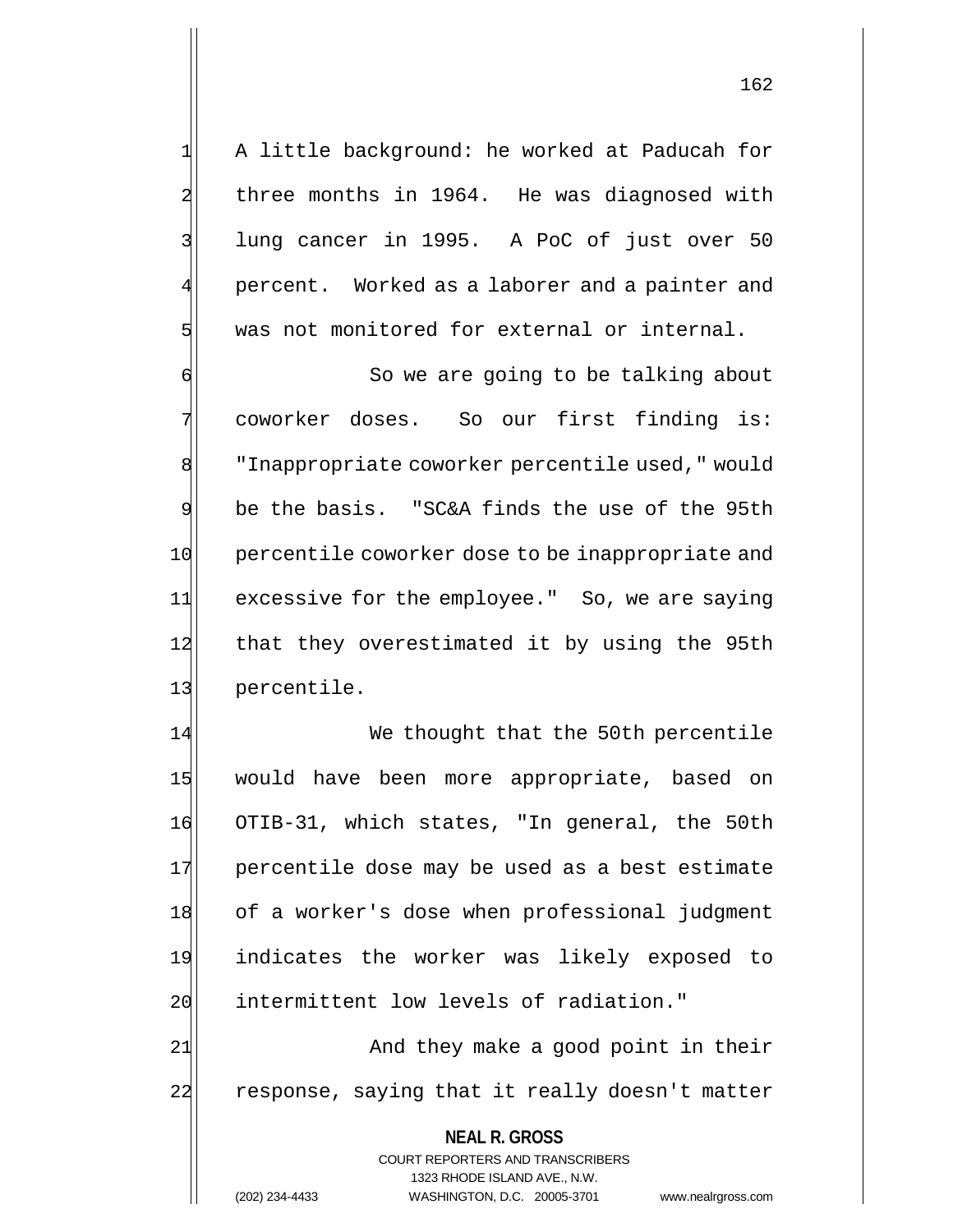1| A little background: he worked at Paducah for 2 three months in 1964. He was diagnosed with 3 lung cancer in 1995. A PoC of just over 50 percent. Worked as a laborer and a painter and 5 was not monitored for external or internal.

6 So we are going to be talking about 7 coworker doses. So our first finding is: 8 | Thappropriate coworker percentile used, " would 9 be the basis. "SC&A finds the use of the 95th 10 percentile coworker dose to be inappropriate and 11 excessive for the employee." So, we are saying 12 that they overestimated it by using the 95th 13 percentile.

14 We thought that the 50th percentile 15 would have been more appropriate, based on 16 OTIB-31, which states, "In general, the 50th 17 percentile dose may be used as a best estimate 18 of a worker's dose when professional judgment 19 indicates the worker was likely exposed to 20 intermittent low levels of radiation." 21 and they make a good point in their

22 response, saying that it really doesn't matter

**NEAL R. GROSS** COURT REPORTERS AND TRANSCRIBERS 1323 RHODE ISLAND AVE., N.W. (202) 234-4433 WASHINGTON, D.C. 20005-3701 www.nealrgross.com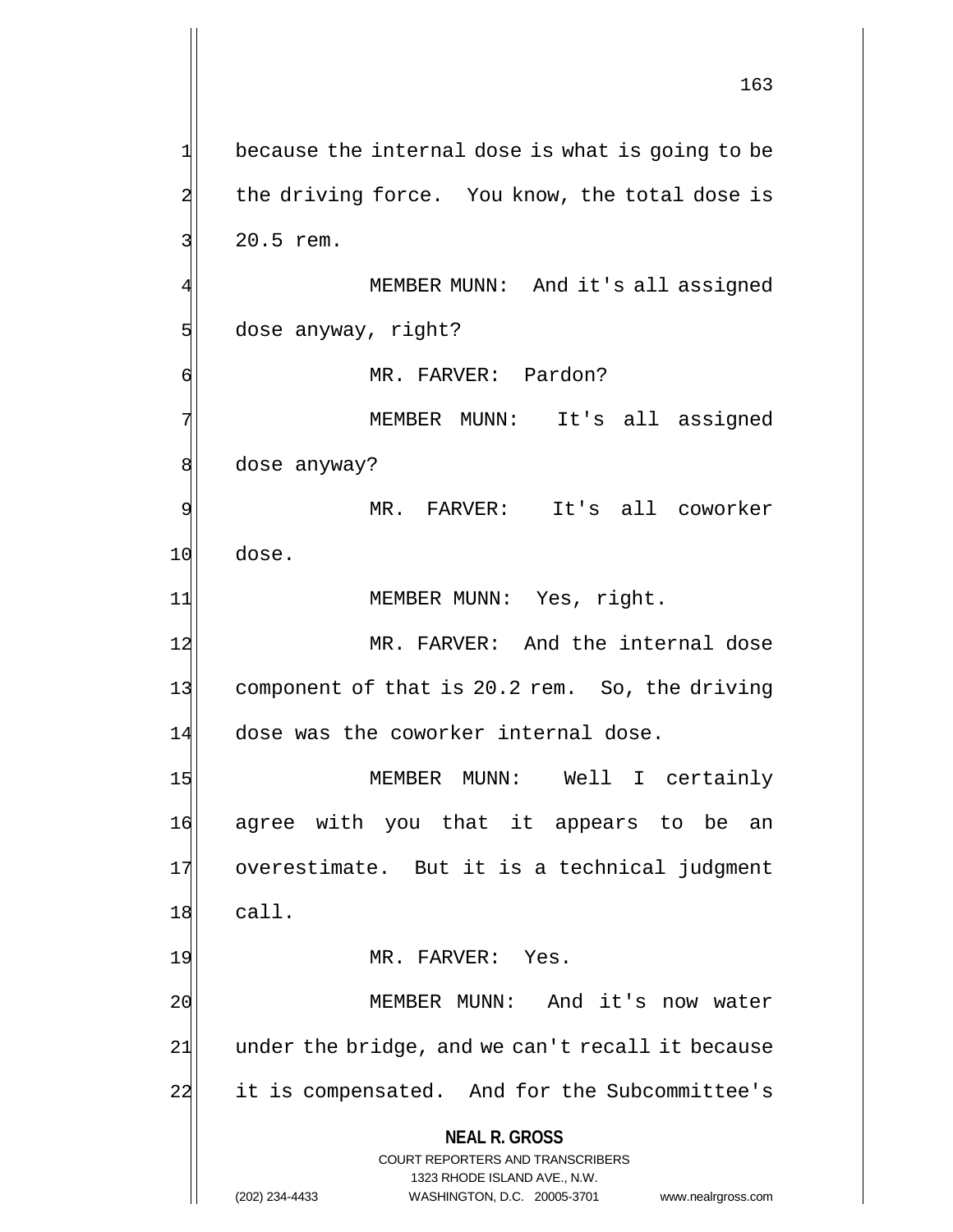**NEAL R. GROSS** COURT REPORTERS AND TRANSCRIBERS 1323 RHODE ISLAND AVE., N.W. 163  $1$  because the internal dose is what is going to be 2 the driving force. You know, the total dose is 3 3 20.5 rem. MEMBER MUNN: And it's all assigned 5 dose anyway, right? 6 | MR. FARVER: Pardon? 7 MEMBER MUNN: It's all assigned 8 dose anyway? 9 MR. FARVER: It's all coworker 10 dose. 11| MEMBER MUNN: Yes, right. 12 MR. FARVER: And the internal dose 13 component of that is 20.2 rem. So, the driving 14 dose was the coworker internal dose. 15 MEMBER MUNN: Well I certainly 16 agree with you that it appears to be an 17 overestimate. But it is a technical judgment  $18$  call. 19 MR. FARVER: Yes. 20 MEMBER MUNN: And it's now water  $21$  under the bridge, and we can't recall it because 22 it is compensated. And for the Subcommittee's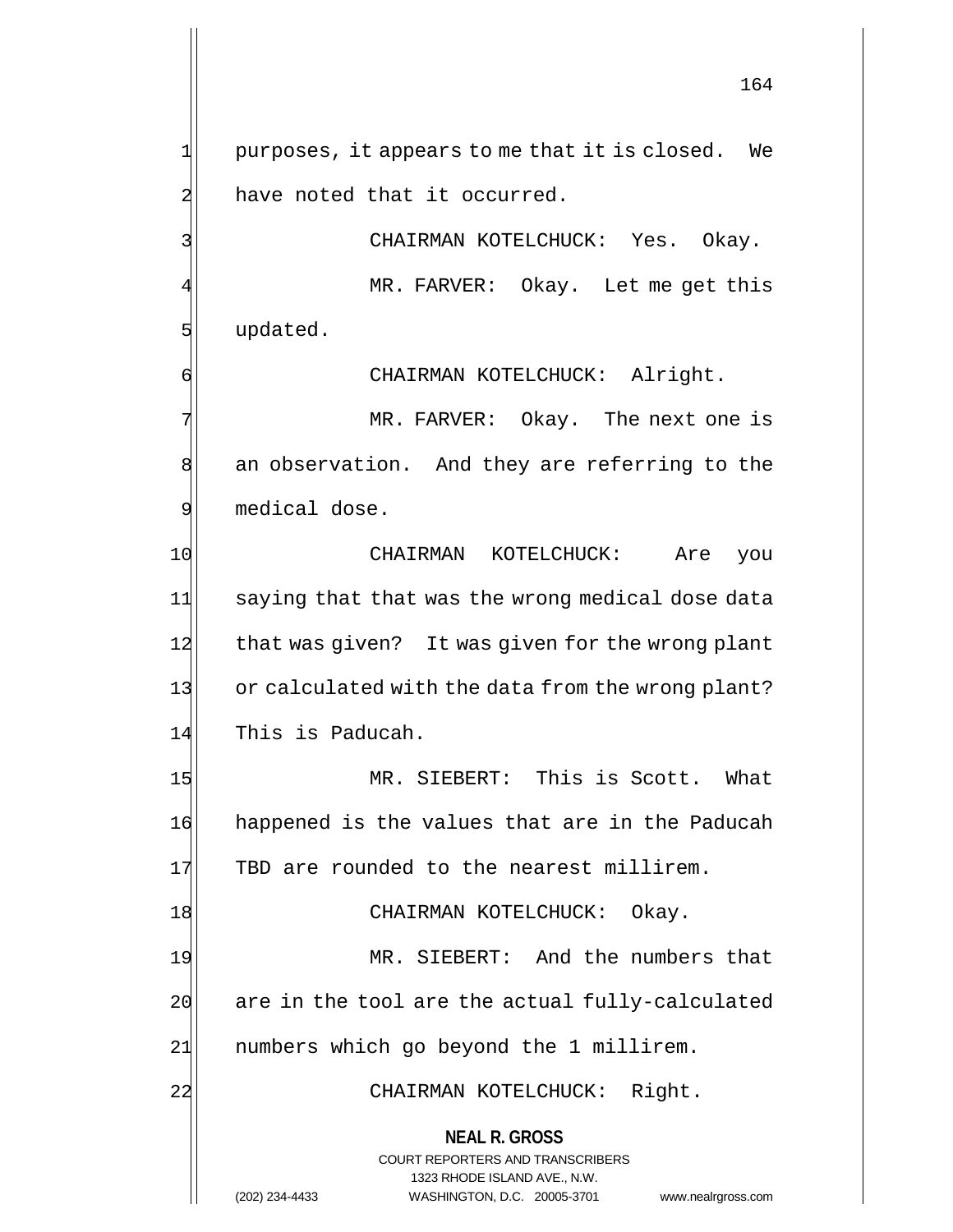$1$  purposes, it appears to me that it is closed. We 2 have noted that it occurred.

3 CHAIRMAN KOTELCHUCK: Yes. Okay. MR. FARVER: Okay. Let me get this 5 slot updated.

6 CHAIRMAN KOTELCHUCK: Alright.

7 MR. FARVER: Okay. The next one is 8 an observation. And they are referring to the 9 medical dose.

10 CHAIRMAN KOTELCHUCK: Are you 11 saying that that was the wrong medical dose data 12 that was given? It was given for the wrong plant 13 or calculated with the data from the wrong plant? 14 This is Paducah.

15 MR. SIEBERT: This is Scott. What 16 happened is the values that are in the Paducah 17 TBD are rounded to the nearest millirem.

18 CHAIRMAN KOTELCHUCK: Okay.

19 MR. SIEBERT: And the numbers that  $20$  are in the tool are the actual fully-calculated 21 | numbers which go beyond the 1 millirem.

22 CHAIRMAN KOTELCHUCK: Right.

**NEAL R. GROSS**

COURT REPORTERS AND TRANSCRIBERS 1323 RHODE ISLAND AVE., N.W. (202) 234-4433 WASHINGTON, D.C. 20005-3701 www.nealrgross.com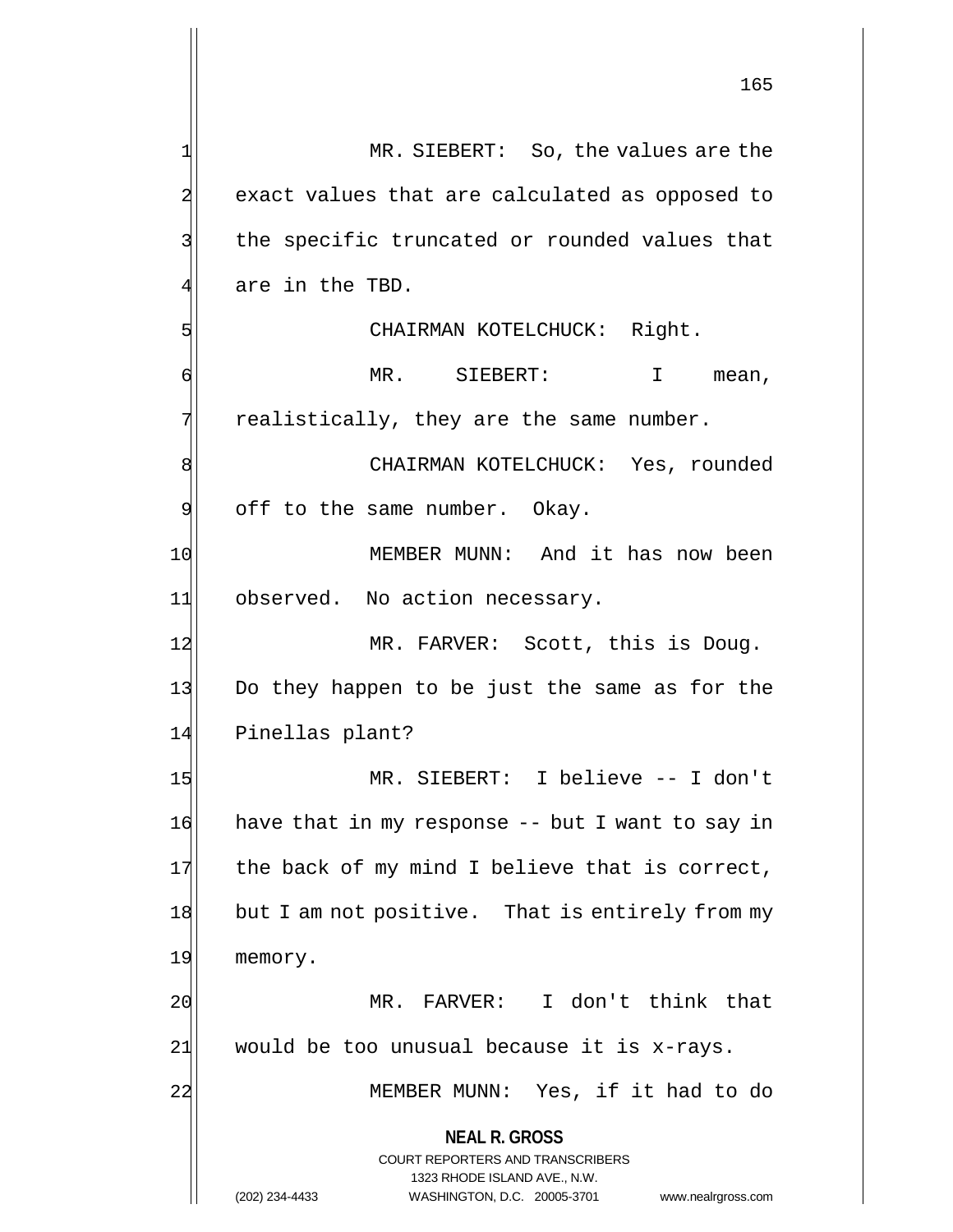**NEAL R. GROSS** COURT REPORTERS AND TRANSCRIBERS 1323 RHODE ISLAND AVE., N.W. 1 MR. SIEBERT: So, the values are the 2 exact values that are calculated as opposed to 3 | the specific truncated or rounded values that  $4$  are in the TBD. 5 | CHAIRMAN KOTELCHUCK: Right. 6 MR. SIEBERT: I mean,  $7$  realistically, they are the same number. 8 | CHAIRMAN KOTELCHUCK: Yes, rounded 9 off to the same number. Okay. 10 MEMBER MUNN: And it has now been 11 observed. No action necessary. 12 MR. FARVER: Scott, this is Doug. 13 Do they happen to be just the same as for the 14 Pinellas plant? 15 MR. SIEBERT: I believe -- I don't 16 have that in my response -- but I want to say in  $17$  the back of my mind I believe that is correct, 18 but I am not positive. That is entirely from my 19 memory. 20 MR. FARVER: I don't think that  $21$  would be too unusual because it is x-rays. 22 MEMBER MUNN: Yes, if it had to do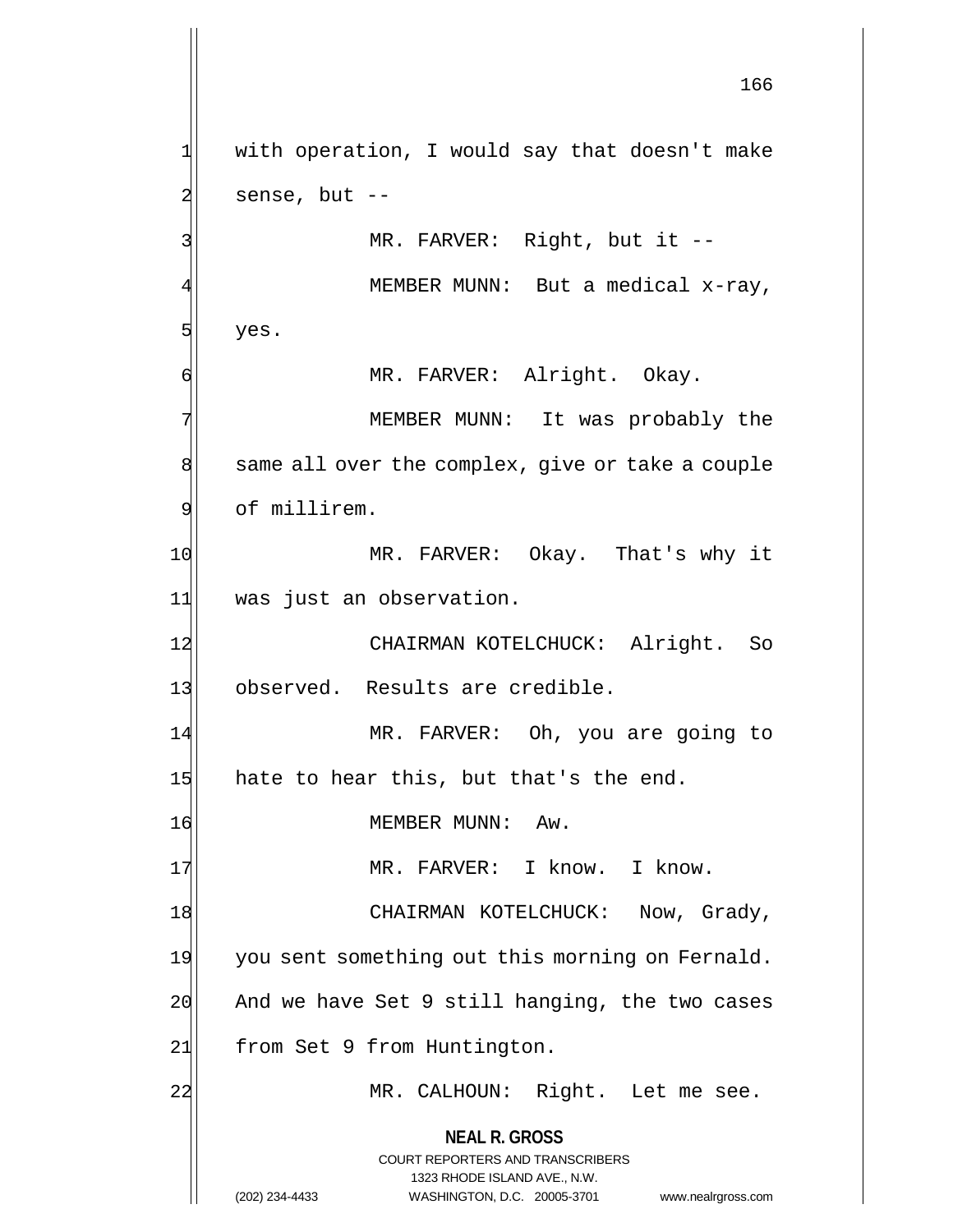**NEAL R. GROSS** COURT REPORTERS AND TRANSCRIBERS 1323 RHODE ISLAND AVE., N.W. (202) 234-4433 WASHINGTON, D.C. 20005-3701 www.nealrgross.com 166 1 with operation, I would say that doesn't make  $2$  sense, but  $-$ 3 MR. FARVER: Right, but it --MEMBER MUNN: But a medical x-ray,  $5$  yes. 6 MR. FARVER: Alright. Okay. 7 MEMBER MUNN: It was probably the 8 same all over the complex, give or take a couple 9 of millirem. 10 MR. FARVER: Okay. That's why it 11 was just an observation. 12 CHAIRMAN KOTELCHUCK: Alright. So 13 observed. Results are credible. 14 MR. FARVER: Oh, you are going to  $15$  hate to hear this, but that's the end. 16 MEMBER MUNN: Aw. 17 MR. FARVER: I know. I know. 18 CHAIRMAN KOTELCHUCK: Now, Grady, 19 you sent something out this morning on Fernald.  $20$  And we have Set 9 still hanging, the two cases 21 From Set 9 from Huntington. 22 MR. CALHOUN: Right. Let me see.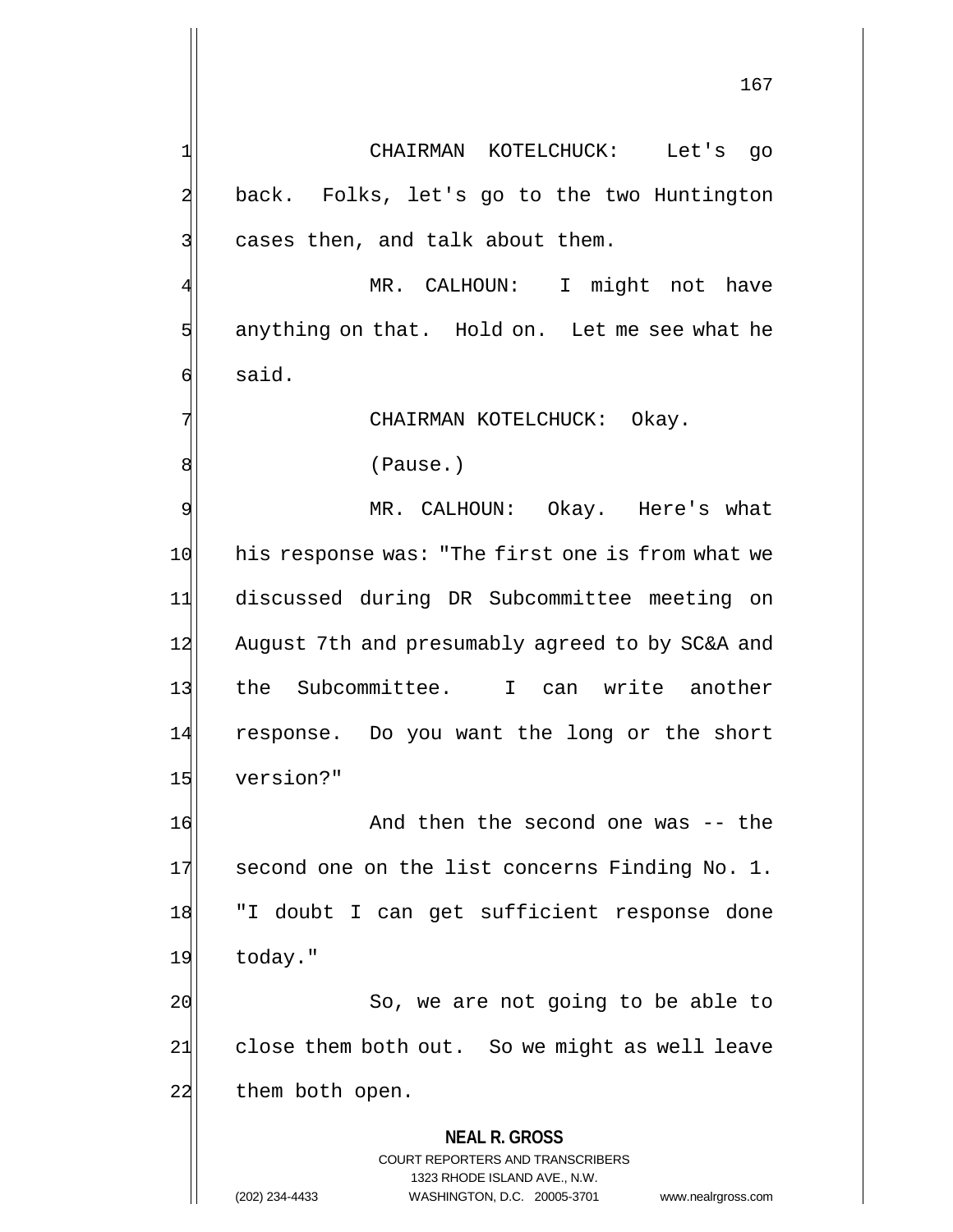**NEAL R. GROSS** COURT REPORTERS AND TRANSCRIBERS 1323 RHODE ISLAND AVE., N.W. 1 CHAIRMAN KOTELCHUCK: Let's go 2 back. Folks, let's go to the two Huntington  $3$  cases then, and talk about them. MR. CALHOUN: I might not have  $5$  anything on that. Hold on. Let me see what he 6 said. 7 CHAIRMAN KOTELCHUCK: Okay. 8 (Pause.) 9 MR. CALHOUN: Okay. Here's what 10 his response was: "The first one is from what we 11 discussed during DR Subcommittee meeting on 12 August 7th and presumably agreed to by SC&A and 13 the Subcommittee. I can write another 14 response. Do you want the long or the short 15 version?" 16 And then the second one was -- the 17 second one on the list concerns Finding No. 1. 18 TI doubt I can get sufficient response done 19 today." 20 So, we are not going to be able to  $21$  close them both out. So we might as well leave 22 them both open.

(202) 234-4433 WASHINGTON, D.C. 20005-3701 www.nealrgross.com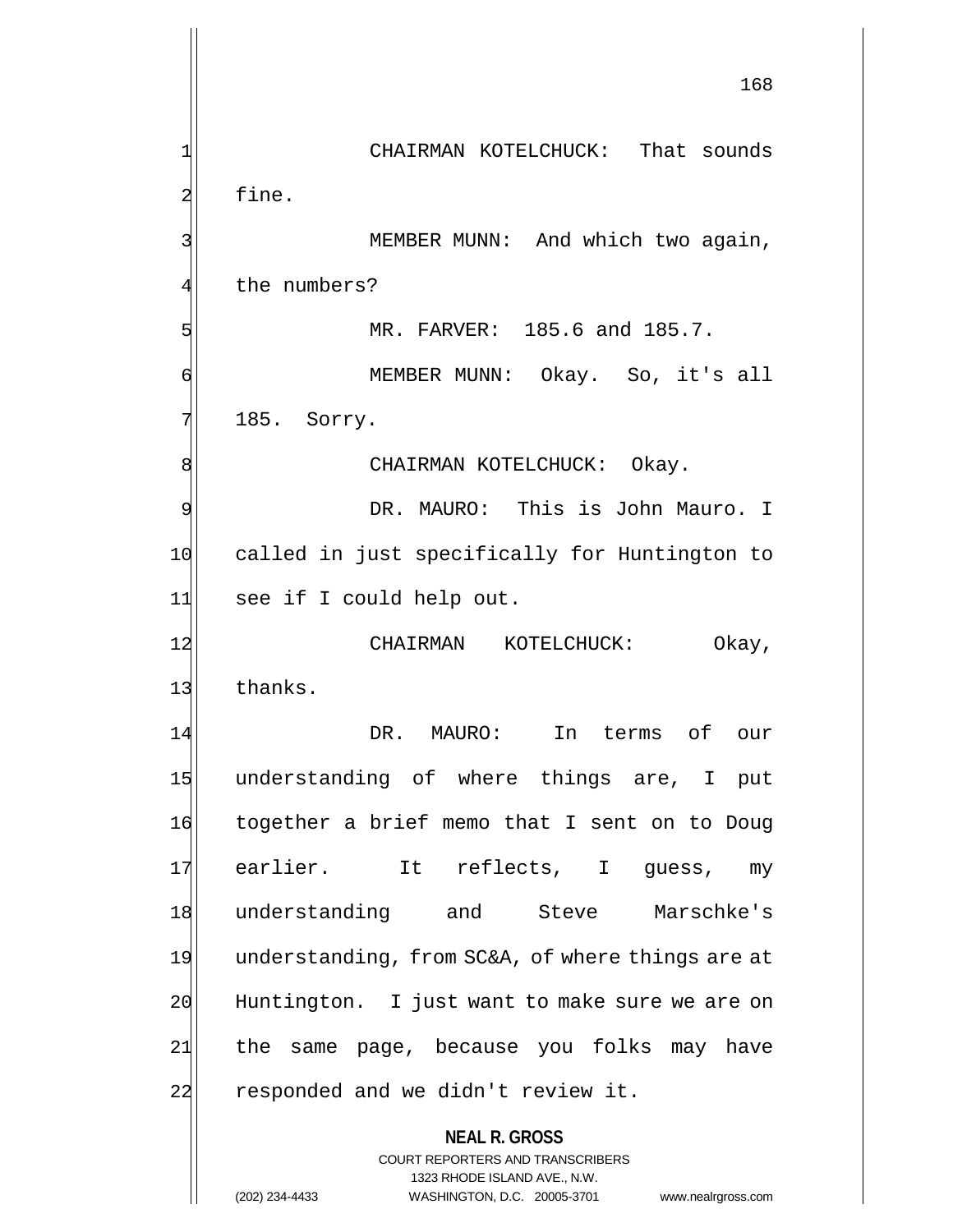**NEAL R. GROSS** COURT REPORTERS AND TRANSCRIBERS 1323 RHODE ISLAND AVE., N.W. 168 1 CHAIRMAN KOTELCHUCK: That sounds 2 fine. 3 MEMBER MUNN: And which two again, 4 the numbers? 5 MR. FARVER: 185.6 and 185.7. 6 MEMBER MUNN: Okay. So, it's all 7 185. Sorry. 8 | CHAIRMAN KOTELCHUCK: Okay. 9 DR. MAURO: This is John Mauro. I 10 called in just specifically for Huntington to 11 see if I could help out. 12 CHAIRMAN KOTELCHUCK: Okay, 13 thanks. 14 DR. MAURO: In terms of our 15 understanding of where things are, I put 16 together a brief memo that I sent on to Doug 17 earlier. It reflects, I guess, my 18 understanding and Steve Marschke's 19 understanding, from SC&A, of where things are at 20 Huntington. I just want to make sure we are on 21 | the same page, because you folks may have 22 responded and we didn't review it.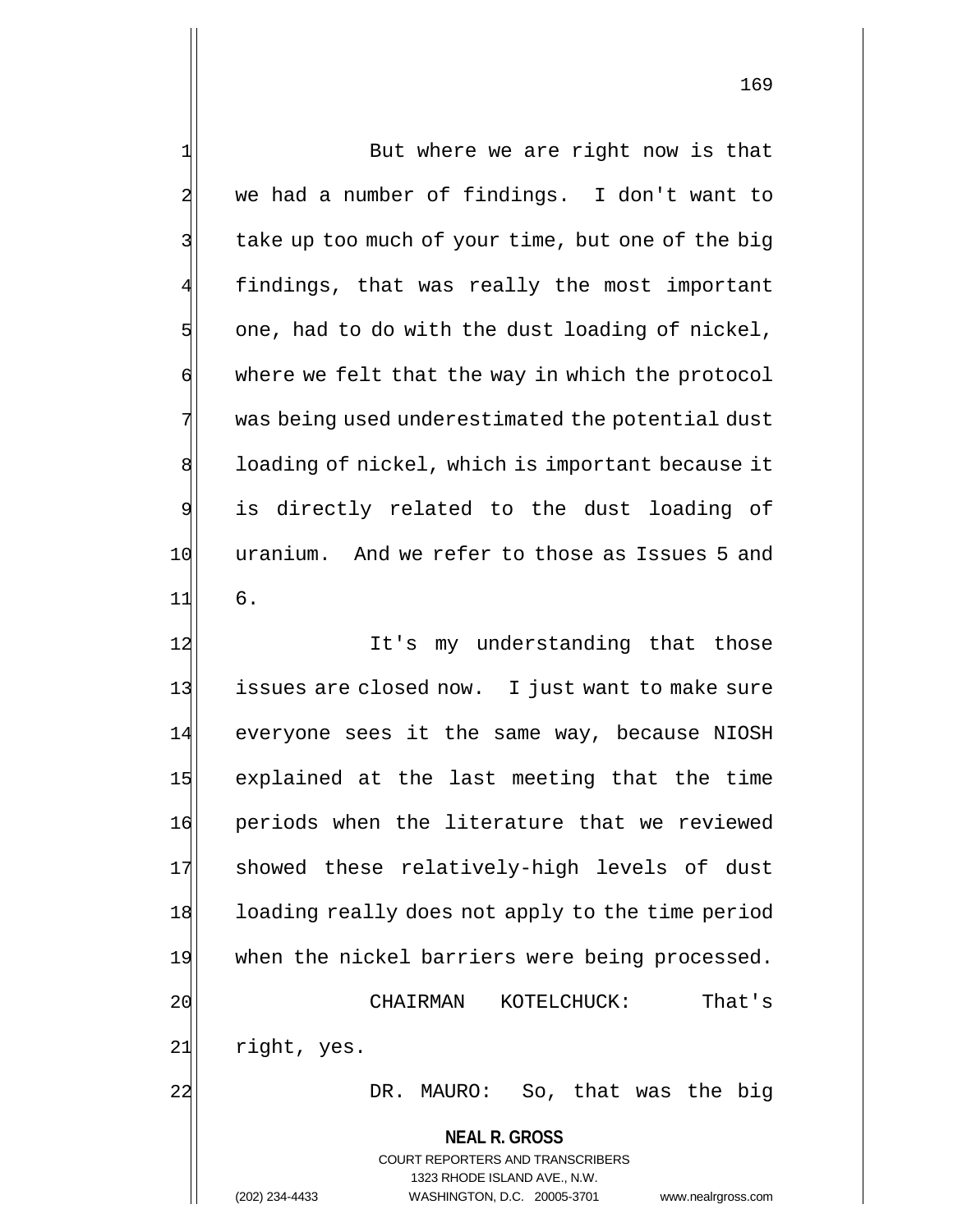| $\mathbf 1$    | But where we are right now is that                                  |
|----------------|---------------------------------------------------------------------|
| $\overline{a}$ | we had a number of findings. I don't want to                        |
| 3              | take up too much of your time, but one of the big                   |
| $\overline{4}$ | findings, that was really the most important                        |
| 5              | one, had to do with the dust loading of nickel,                     |
| $\sigma$       | where we felt that the way in which the protocol                    |
| 7              | was being used underestimated the potential dust                    |
| 8              | loading of nickel, which is important because it                    |
| $\overline{9}$ | is directly related to the dust loading of                          |
| 10             | uranium. And we refer to those as Issues 5 and                      |
| 11             | 6.                                                                  |
| 12             | It's my understanding that those                                    |
| 13             | issues are closed now. I just want to make sure                     |
| 14             | everyone sees it the same way, because NIOSH                        |
| 15             | explained at the last meeting that the time                         |
| 16             | periods when the literature that we reviewed                        |
| 17             | showed these relatively-high levels of dust                         |
| 18             | loading really does not apply to the time period                    |
| 19             | when the nickel barriers were being processed.                      |
| 20             | CHAIRMAN<br>KOTELCHUCK:<br>That's                                   |
| 21             | right, yes.                                                         |
| 22             | DR. MAURO: So, that was the big                                     |
|                | <b>NEAL R. GROSS</b>                                                |
|                | <b>COURT REPORTERS AND TRANSCRIBERS</b>                             |
|                | 1323 RHODE ISLAND AVE., N.W.                                        |
|                | (202) 234-4433<br>WASHINGTON, D.C. 20005-3701<br>www.nealrgross.com |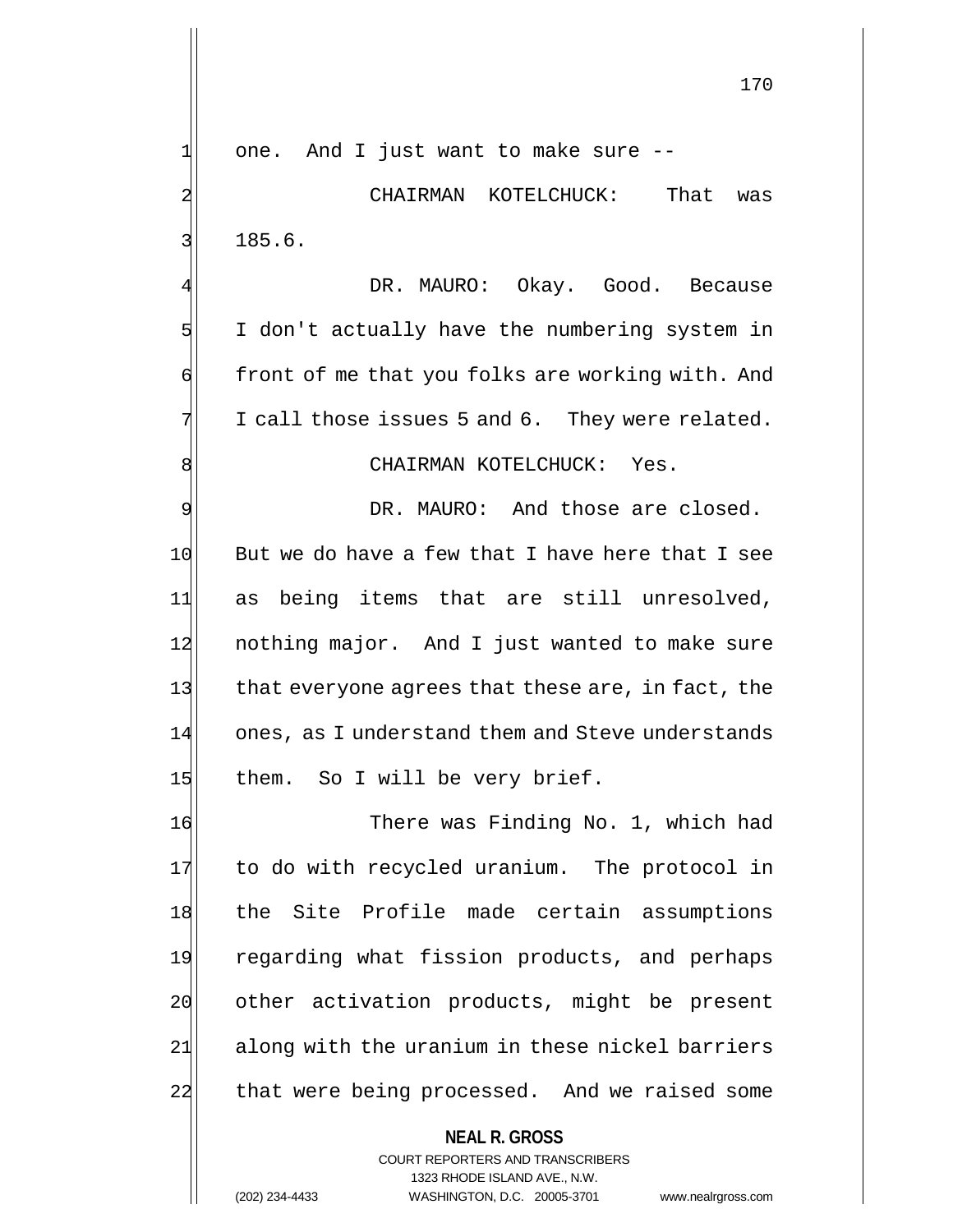$1$  one. And I just want to make sure  $-$ 

2 CHAIRMAN KOTELCHUCK: That was 3 185.6.

DR. MAURO: Okay. Good. Because 5 I don't actually have the numbering system in 6 front of me that you folks are working with. And  $7$  I call those issues 5 and 6. They were related.

8 | CHAIRMAN KOTELCHUCK: Yes.

9 9 DR. MAURO: And those are closed.  $10$  But we do have a few that I have here that I see 11 as being items that are still unresolved, 12 nothing major. And I just wanted to make sure 13 that everyone agrees that these are, in fact, the 14 ones, as I understand them and Steve understands 15 them. So I will be very brief.

16 There was Finding No. 1, which had 17 to do with recycled uranium. The protocol in 18 the Site Profile made certain assumptions 19 regarding what fission products, and perhaps 20 other activation products, might be present 21 along with the uranium in these nickel barriers 22 that were being processed. And we raised some

**NEAL R. GROSS**

COURT REPORTERS AND TRANSCRIBERS 1323 RHODE ISLAND AVE., N.W. (202) 234-4433 WASHINGTON, D.C. 20005-3701 www.nealrgross.com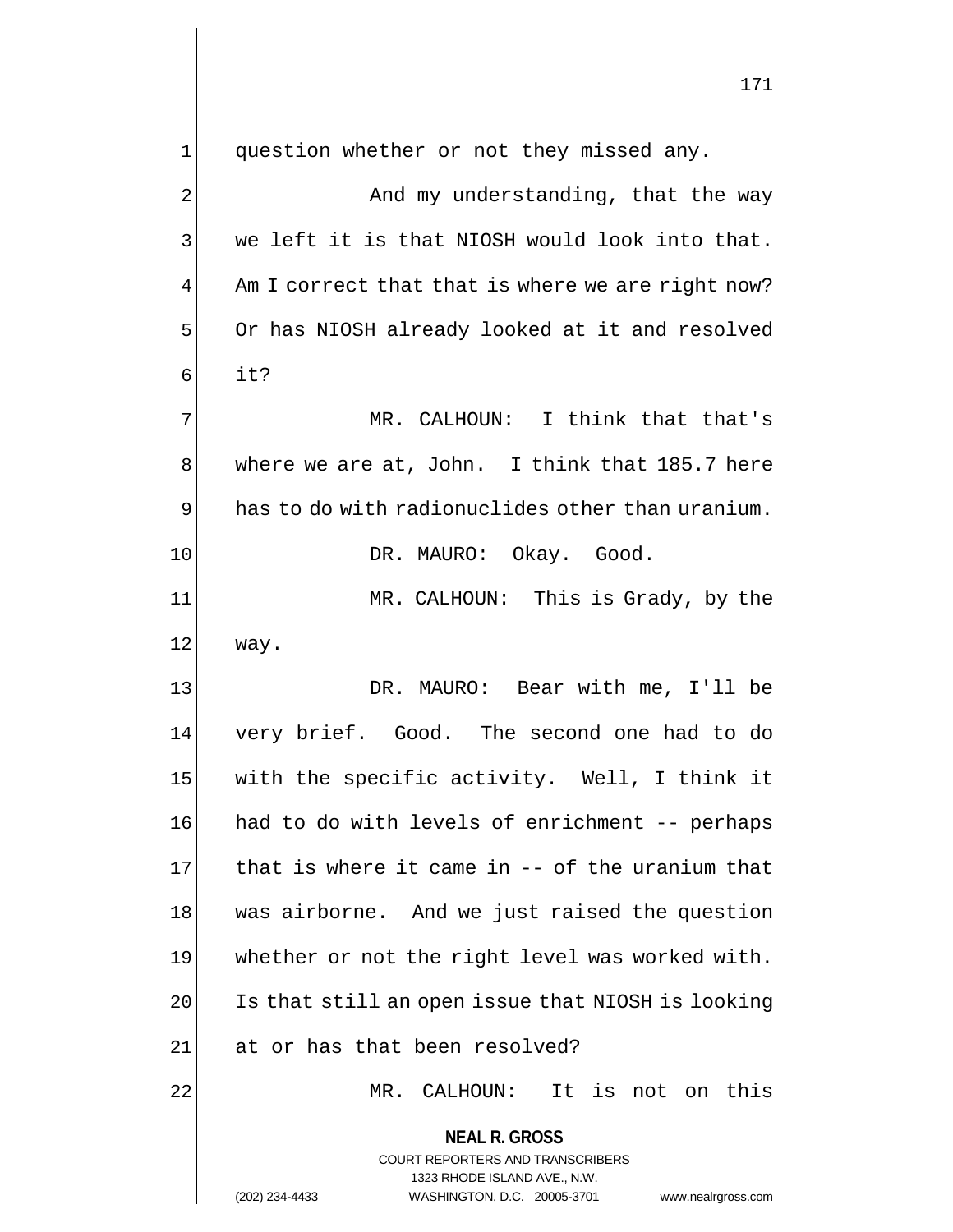1 question whether or not they missed any.

2 And my understanding, that the way  $3$  we left it is that NIOSH would look into that.  $4$  Am I correct that that is where we are right now? 5 Or has NIOSH already looked at it and resolved 6 it?

7 MR. CALHOUN: I think that that's 8 where we are at, John. I think that 185.7 here  $9$  has to do with radionuclides other than uranium. 10 DR. MAURO: Okay. Good.

11 MR. CALHOUN: This is Grady, by the  $12$  way.

13 | DR. MAURO: Bear with me, I'll be 14 very brief. Good. The second one had to do 15 with the specific activity. Well, I think it 16 had to do with levels of enrichment -- perhaps  $17$  that is where it came in -- of the uranium that 18 was airborne. And we just raised the question 19 whether or not the right level was worked with.  $20$  Is that still an open issue that NIOSH is looking 21 at or has that been resolved?

22 MR. CALHOUN: It is not on this

**NEAL R. GROSS** COURT REPORTERS AND TRANSCRIBERS 1323 RHODE ISLAND AVE., N.W.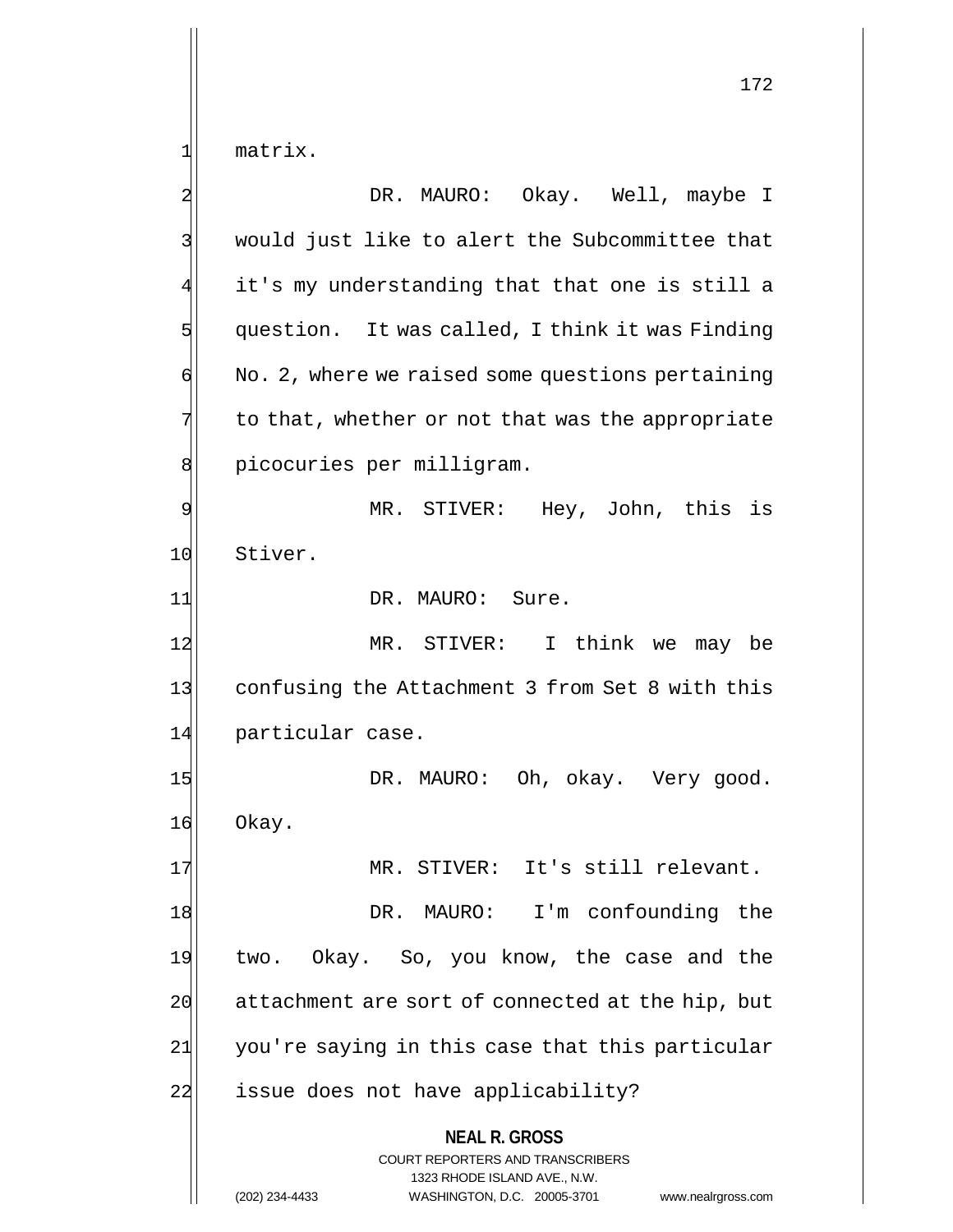1 matrix.

**NEAL R. GROSS** COURT REPORTERS AND TRANSCRIBERS 1323 RHODE ISLAND AVE., N.W. (202) 234-4433 WASHINGTON, D.C. 20005-3701 www.nealrgross.com 2 | DR. MAURO: Okay. Well, maybe I 3 would just like to alert the Subcommittee that 4 it's my understanding that that one is still a  $5$  question. It was called, I think it was Finding  $\phi$  No. 2, where we raised some questions pertaining  $7$  to that, whether or not that was the appropriate 8 picocuries per milligram. 9 MR. STIVER: Hey, John, this is 10 Stiver. 11 DR. MAURO: Sure. 12 MR. STIVER: I think we may be 13 confusing the Attachment 3 from Set 8 with this 14 particular case. 15 DR. MAURO: Oh, okay. Very good. 16 Okay. 17 MR. STIVER: It's still relevant. 18 DR. MAURO: I'm confounding the 19 two. Okay. So, you know, the case and the 20 attachment are sort of connected at the hip, but  $21$  you're saying in this case that this particular 22 issue does not have applicability?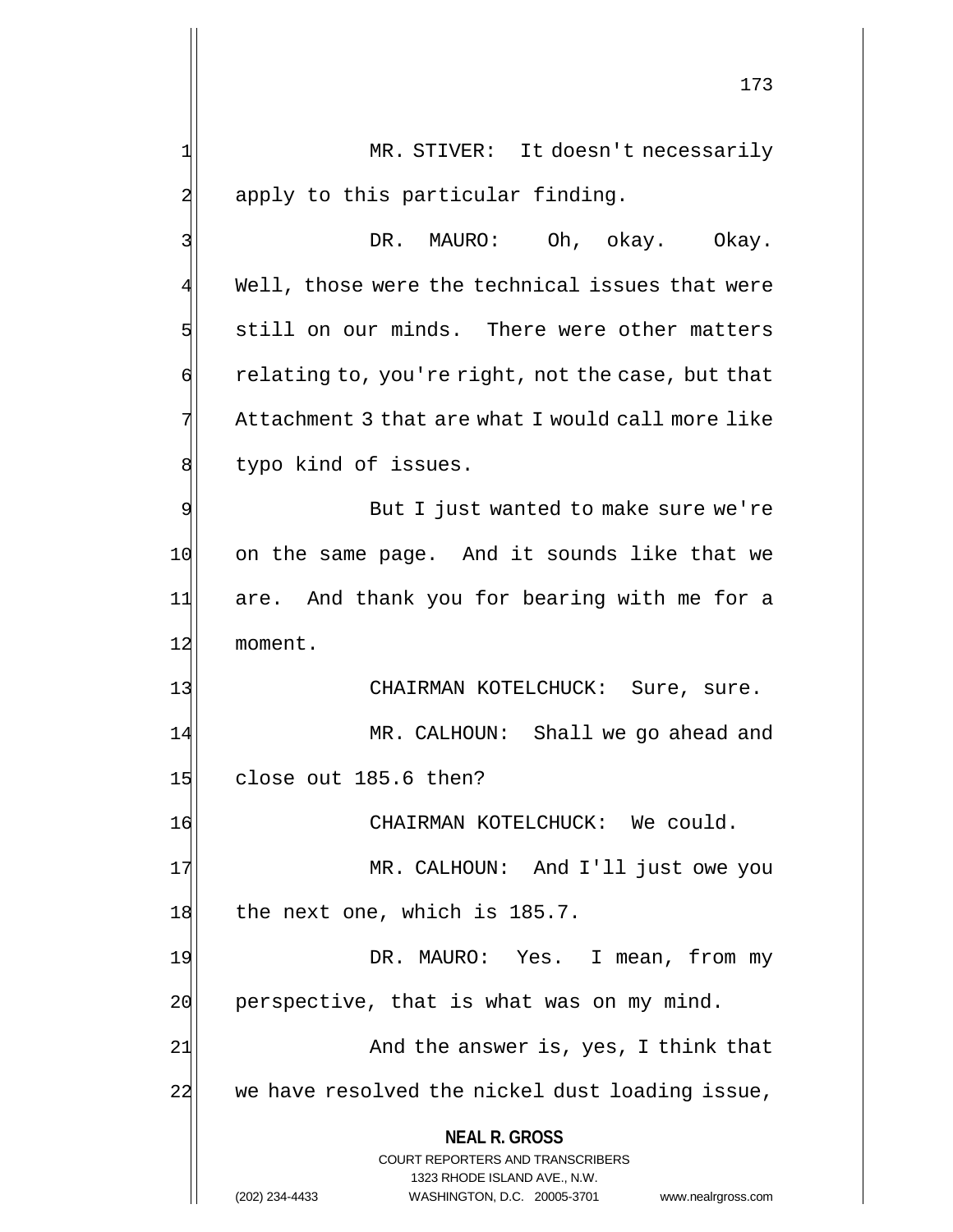**NEAL R. GROSS** COURT REPORTERS AND TRANSCRIBERS 1323 RHODE ISLAND AVE., N.W. (202) 234-4433 WASHINGTON, D.C. 20005-3701 www.nealrgross.com 173 1 MR. STIVER: It doesn't necessarily 2 apply to this particular finding. 3 DR. MAURO: Oh, okay. Okay. 4 Well, those were the technical issues that were 5 still on our minds. There were other matters  $\phi$  relating to, you're right, not the case, but that 7 Attachment 3 that are what I would call more like 8 b typo kind of issues. 9 But I just wanted to make sure we're 10 on the same page. And it sounds like that we 11 are. And thank you for bearing with me for a 12 moment. 13 | CHAIRMAN KOTELCHUCK: Sure, sure. 14 MR. CALHOUN: Shall we go ahead and 15 close out 185.6 then? 16 CHAIRMAN KOTELCHUCK: We could. 17 MR. CALHOUN: And I'll just owe you 18 the next one, which is 185.7. 19 DR. MAURO: Yes. I mean, from my  $20$  perspective, that is what was on my mind. 21 and the answer is, yes, I think that 22 we have resolved the nickel dust loading issue,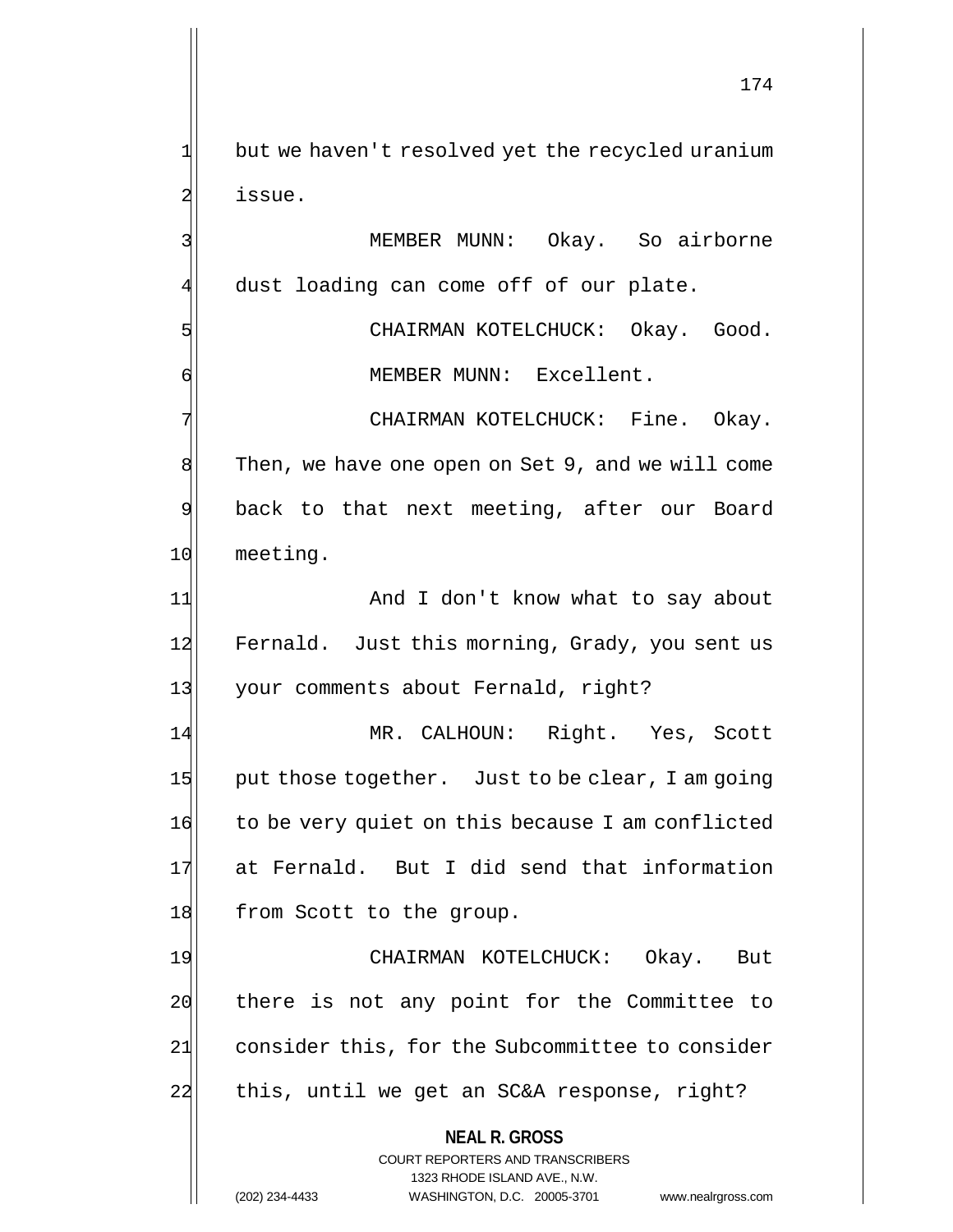1 but we haven't resolved yet the recycled uranium 2 issue.

3 MEMBER MUNN: Okay. So airborne 4 dust loading can come off of our plate.

5 CHAIRMAN KOTELCHUCK: Okay. Good. 6 MEMBER MUNN: Excellent.

7 | CHAIRMAN KOTELCHUCK: Fine. Okay. 8 Then, we have one open on Set 9, and we will come 9 back to that next meeting, after our Board 10 meeting.

11 And I don't know what to say about 12 Fernald. Just this morning, Grady, you sent us 13 your comments about Fernald, right?

14 MR. CALHOUN: Right. Yes, Scott 15 put those together. Just to be clear, I am going 16 to be very quiet on this because I am conflicted 17 at Fernald. But I did send that information 18 from Scott to the group.

19 CHAIRMAN KOTELCHUCK: Okay. But 20 there is not any point for the Committee to 21 consider this, for the Subcommittee to consider 22 this, until we get an SC&A response, right?

> **NEAL R. GROSS** COURT REPORTERS AND TRANSCRIBERS

> > 1323 RHODE ISLAND AVE., N.W.

174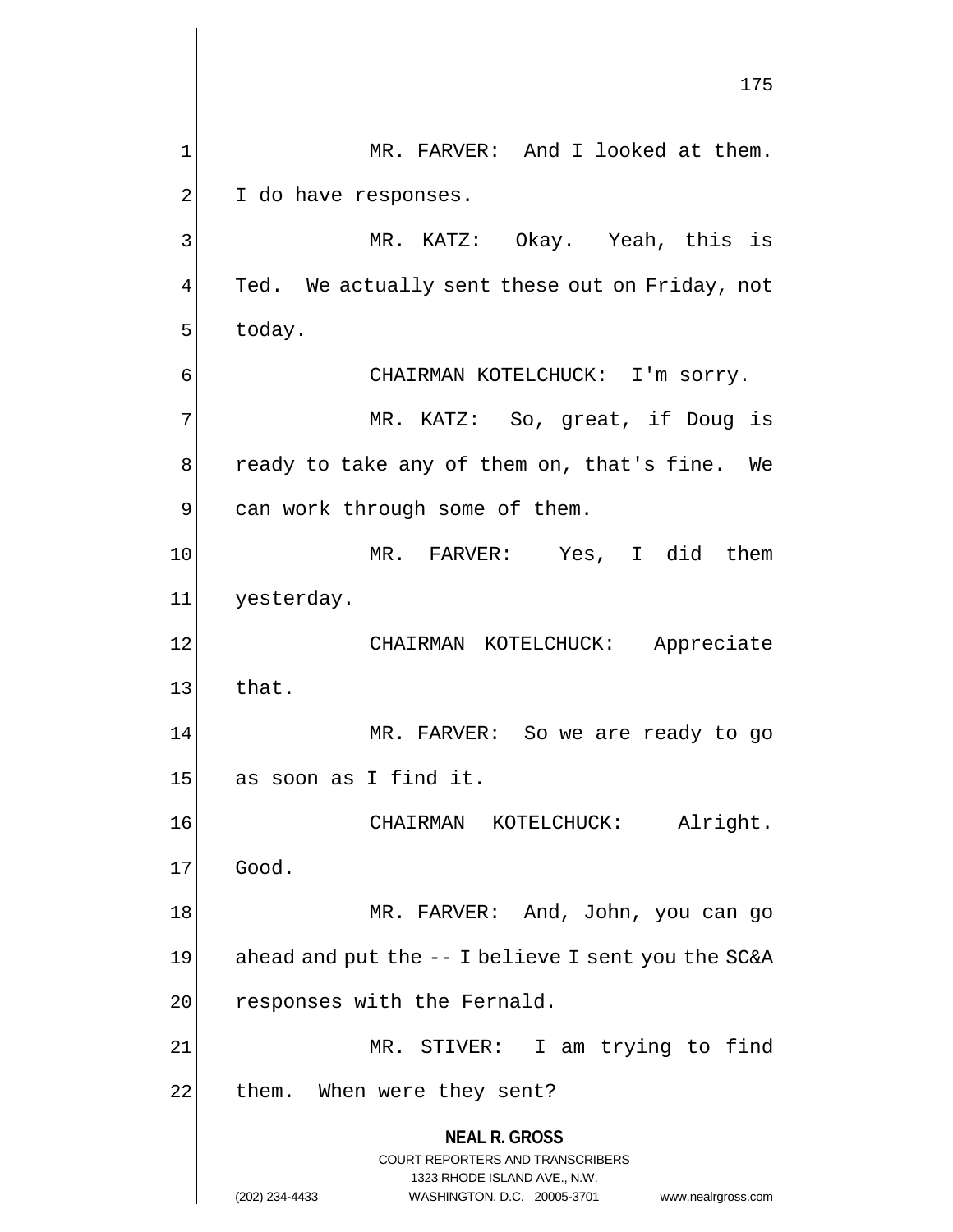**NEAL R. GROSS** COURT REPORTERS AND TRANSCRIBERS 1323 RHODE ISLAND AVE., N.W. (202) 234-4433 WASHINGTON, D.C. 20005-3701 www.nealrgross.com 175 1| MR. FARVER: And I looked at them.  $2$  I do have responses. 3 MR. KATZ: Okay. Yeah, this is  $4$  Ted. We actually sent these out on Friday, not  $5$  today. 6 CHAIRMAN KOTELCHUCK: I'm sorry. 7 | The MR. KATZ: So, great, if Doug is 8 ready to take any of them on, that's fine. We 9 can work through some of them. 10 MR. FARVER: Yes, I did them 11 yesterday. 12 CHAIRMAN KOTELCHUCK: Appreciate  $13$  that. 14 MR. FARVER: So we are ready to go 15 as soon as I find it. 16 CHAIRMAN KOTELCHUCK: Alright. 17 Good. 18 MR. FARVER: And, John, you can go 19 ahead and put the  $-$ - I believe I sent you the SC&A 20 responses with the Fernald. 21 MR. STIVER: I am trying to find 22 them. When were they sent?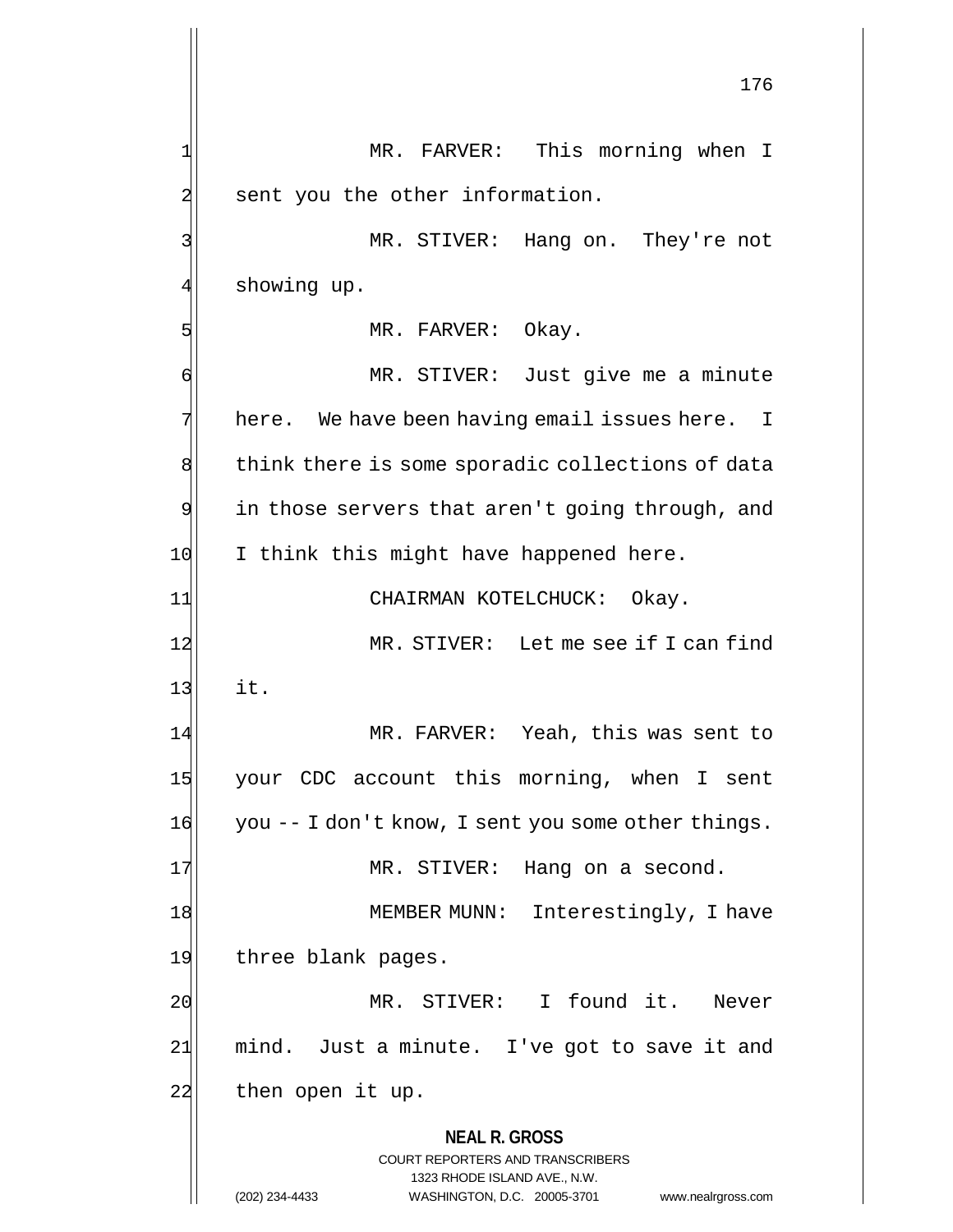**NEAL R. GROSS** COURT REPORTERS AND TRANSCRIBERS 1323 RHODE ISLAND AVE., N.W. (202) 234-4433 WASHINGTON, D.C. 20005-3701 www.nealrgross.com 176 1 MR. FARVER: This morning when I 2 sent you the other information. 3 MR. STIVER: Hang on. They're not 4 showing up. 5 MR. FARVER: Okay. 6 MR. STIVER: Just give me a minute  $7$  here. We have been having email issues here. I 8 think there is some sporadic collections of data  $9$  in those servers that aren't going through, and 10 I think this might have happened here. 11 CHAIRMAN KOTELCHUCK: Okay. 12 MR. STIVER: Let me see if I can find  $13$  it. 14 MR. FARVER: Yeah, this was sent to 15 your CDC account this morning, when I sent 16 you -- I don't know, I sent you some other things. 17 MR. STIVER: Hang on a second. 18 MEMBER MUNN: Interestingly, I have 19 three blank pages. 20 | MR. STIVER: I found it. Never 21 mind. Just a minute. I've got to save it and 22 then open it up.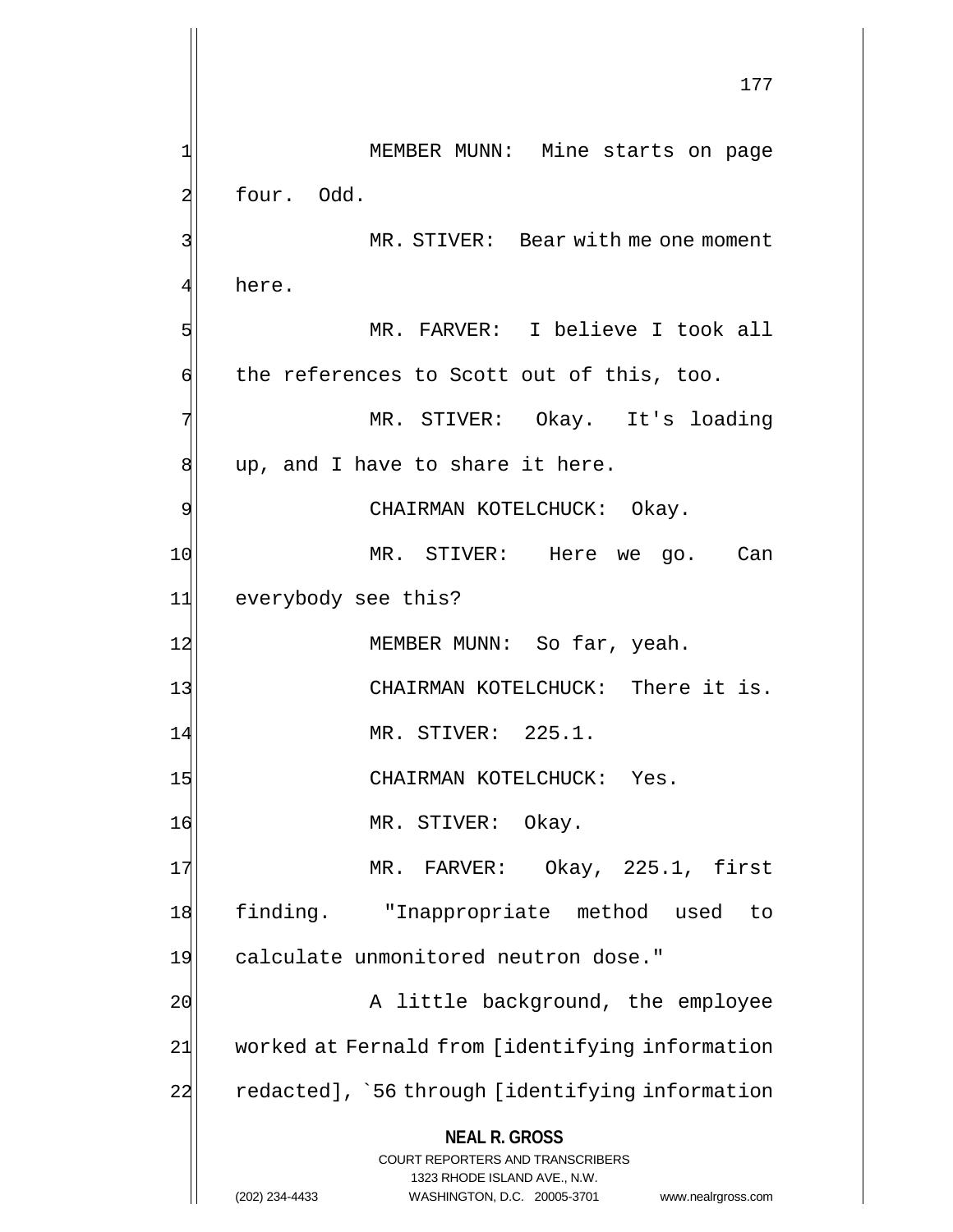**NEAL R. GROSS** COURT REPORTERS AND TRANSCRIBERS 1323 RHODE ISLAND AVE., N.W. (202) 234-4433 WASHINGTON, D.C. 20005-3701 www.nealrgross.com 177 1| MEMBER MUNN: Mine starts on page 2 four. Odd. 3 MR. STIVER: Bear with me one moment 4 here. 5 MR. FARVER: I believe I took all  $\phi$  the references to Scott out of this, too. 7 | MR. STIVER: Okay. It's loading  $\left| \right|$  up, and I have to share it here. 9 CHAIRMAN KOTELCHUCK: Okay. 10 MR. STIVER: Here we go. Can 11 everybody see this? 12 MEMBER MUNN: So far, yeah. 13 CHAIRMAN KOTELCHUCK: There it is. 14 MR. STIVER: 225.1. 15 CHAIRMAN KOTELCHUCK: Yes. 16 MR. STIVER: Okay. 17 MR. FARVER: Okay, 225.1, first 18 finding. "Inappropriate method used to 19 calculate unmonitored neutron dose." 20 A little background, the employee 21 worked at Fernald from [identifying information 22 redacted], `56 through [identifying information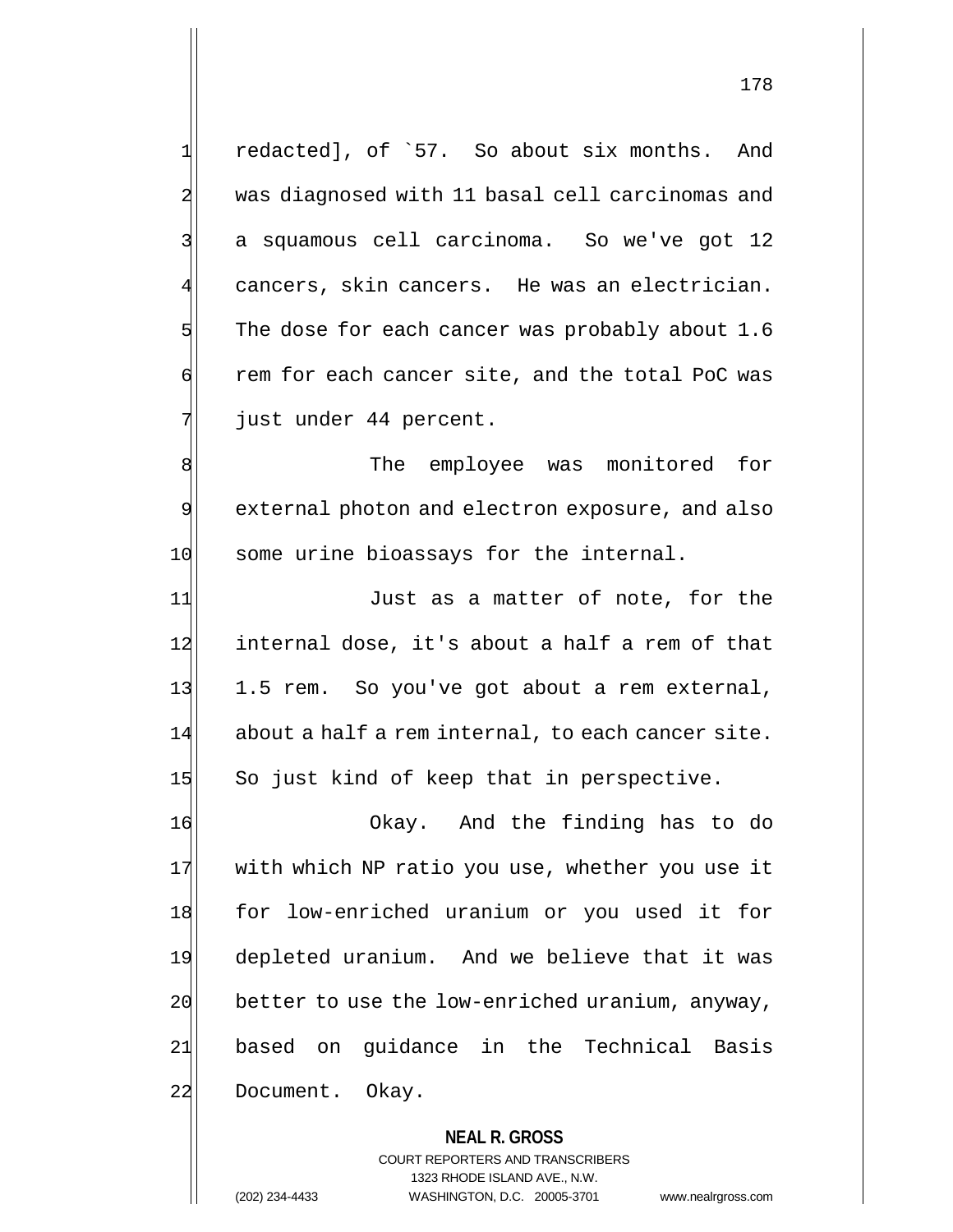1| redacted], of `57. So about six months. And 2 was diagnosed with 11 basal cell carcinomas and 3 a squamous cell carcinoma. So we've got 12  $\parallel$  cancers, skin cancers. He was an electrician.  $5$  The dose for each cancer was probably about 1.6  $\phi$  rem for each cancer site, and the total PoC was 7 just under 44 percent.

8| The employee was monitored for 9 external photon and electron exposure, and also 10 some urine bioassays for the internal.

11 Just as a matter of note, for the 12 internal dose, it's about a half a rem of that 13 1.5 rem. So you've got about a rem external,  $14$  about a half a rem internal, to each cancer site. 15 So just kind of keep that in perspective.

16 Okay. And the finding has to do 17 with which NP ratio you use, whether you use it 18 for low-enriched uranium or you used it for 19 depleted uranium. And we believe that it was  $20$  better to use the low-enriched uranium, anyway, 21 based on guidance in the Technical Basis 22 Document. Okay.

> **NEAL R. GROSS** COURT REPORTERS AND TRANSCRIBERS 1323 RHODE ISLAND AVE., N.W. (202) 234-4433 WASHINGTON, D.C. 20005-3701 www.nealrgross.com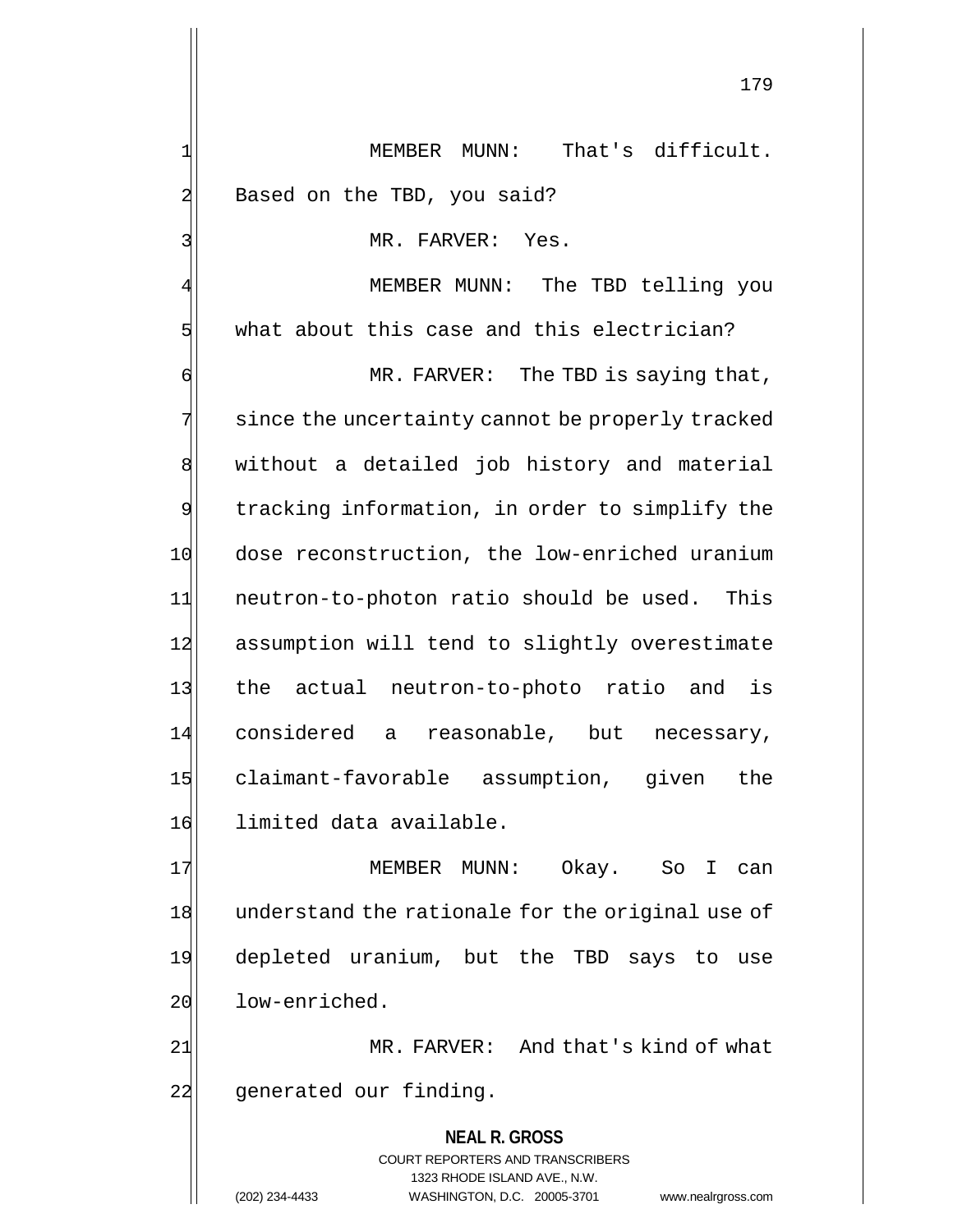1 MEMBER MUNN: That's difficult. 2 Based on the TBD, you said?

3 MR. FARVER: Yes.

MEMBER MUNN: The TBD telling you  $5$  what about this case and this electrician?

6 MR. FARVER: The TBD is saying that, 7 since the uncertainty cannot be properly tracked 8 without a detailed job history and material 9 tracking information, in order to simplify the 10 dose reconstruction, the low-enriched uranium 11 neutron-to-photon ratio should be used. This 12 assumption will tend to slightly overestimate 13 the actual neutron-to-photo ratio and is 14 considered a reasonable, but necessary, 15 claimant-favorable assumption, given the 16 limited data available.

17 MEMBER MUNN: Okay. So I can 18 understand the rationale for the original use of 19 depleted uranium, but the TBD says to use 20 low-enriched.

21 MR. FARVER: And that's kind of what 22 generated our finding.

> **NEAL R. GROSS** COURT REPORTERS AND TRANSCRIBERS 1323 RHODE ISLAND AVE., N.W. (202) 234-4433 WASHINGTON, D.C. 20005-3701 www.nealrgross.com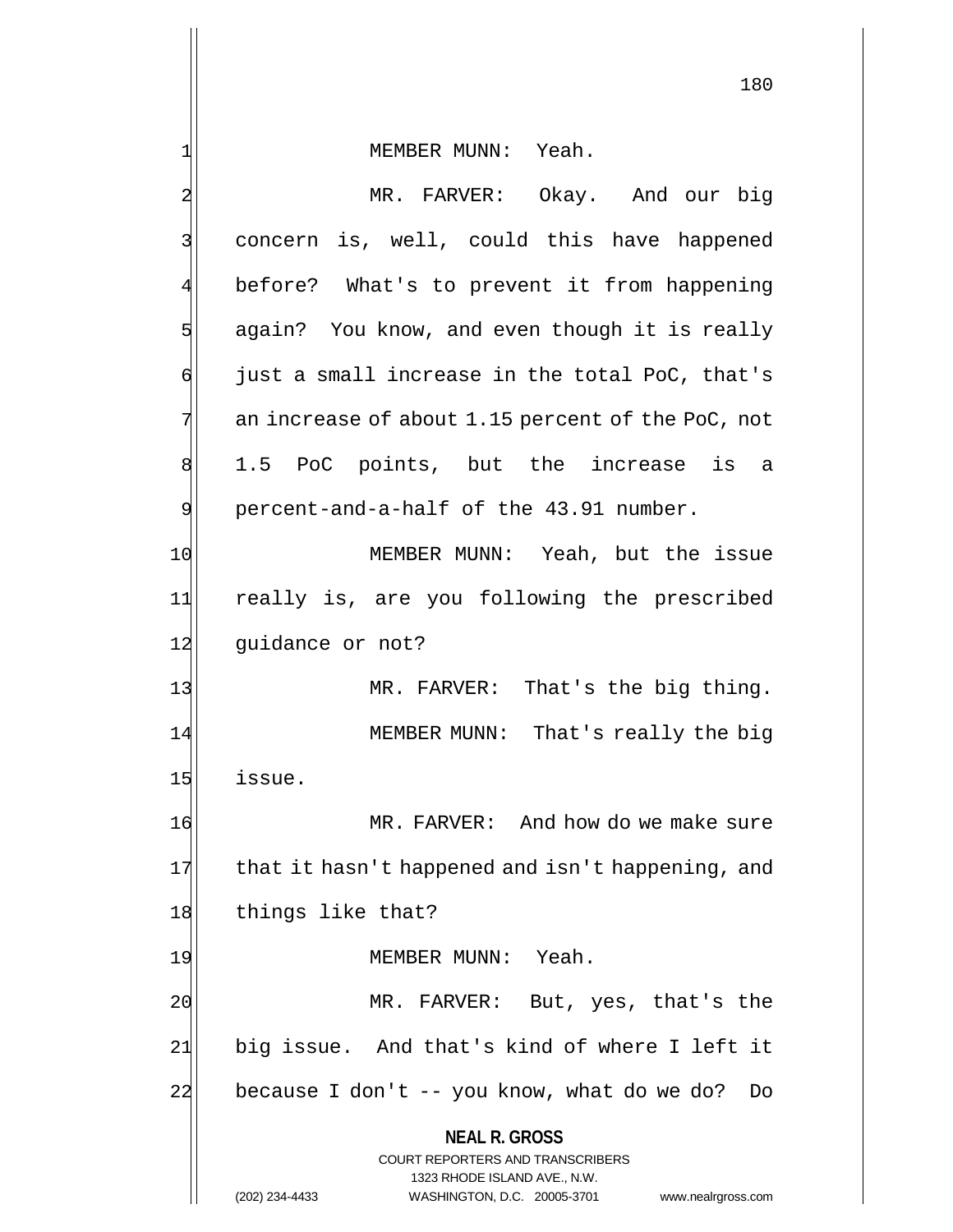1 MEMBER MUNN: Yeah.

| 2  | MR. FARVER: Okay. And our big                                                                                                                                   |
|----|-----------------------------------------------------------------------------------------------------------------------------------------------------------------|
| 3  | concern is, well, could this have happened                                                                                                                      |
| 4  | before? What's to prevent it from happening                                                                                                                     |
| 5  | again? You know, and even though it is really                                                                                                                   |
| б  | just a small increase in the total PoC, that's                                                                                                                  |
| 7  | an increase of about 1.15 percent of the PoC, not                                                                                                               |
| 8  | 1.5 PoC points, but the increase is a                                                                                                                           |
| 9  | percent-and-a-half of the 43.91 number.                                                                                                                         |
| 10 | MEMBER MUNN: Yeah, but the issue                                                                                                                                |
| 11 | really is, are you following the prescribed                                                                                                                     |
| 12 | guidance or not?                                                                                                                                                |
| 13 | MR. FARVER: That's the big thing.                                                                                                                               |
| 14 | MEMBER MUNN: That's really the big                                                                                                                              |
| 15 | issue.                                                                                                                                                          |
| 16 | MR. FARVER: And how do we make sure                                                                                                                             |
| 17 | that it hasn't happened and isn't happening, and                                                                                                                |
| 18 | things like that?                                                                                                                                               |
| 19 | MEMBER MUNN: Yeah.                                                                                                                                              |
| 20 | MR. FARVER: But, yes, that's the                                                                                                                                |
| 21 | big issue. And that's kind of where I left it                                                                                                                   |
| 22 | because I don't -- you know, what do we do?<br>Do                                                                                                               |
|    | <b>NEAL R. GROSS</b><br>COURT REPORTERS AND TRANSCRIBERS<br>1323 RHODE ISLAND AVE., N.W.<br>(202) 234-4433<br>WASHINGTON, D.C. 20005-3701<br>www.nealrgross.com |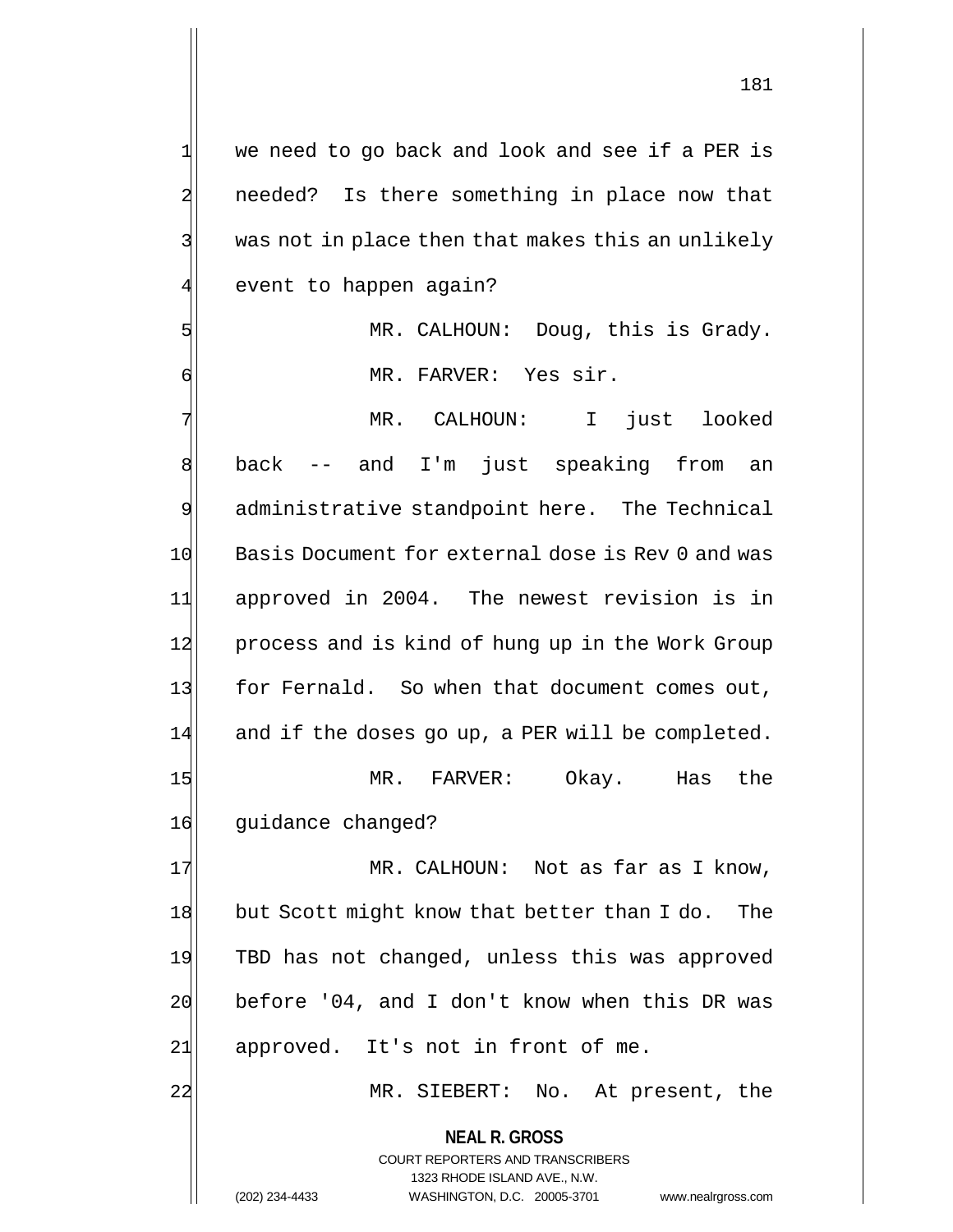**NEAL R. GROSS** 1 we need to go back and look and see if a PER is 2 needed? Is there something in place now that  $3$  was not in place then that makes this an unlikely 4 event to happen again? 5 MR. CALHOUN: Doug, this is Grady. 6 MR. FARVER: Yes sir. 7 | The MR. CALHOUN: I just looked 8 back -- and I'm just speaking from an 9 administrative standpoint here. The Technical 10 Basis Document for external dose is Rev 0 and was 11 approved in 2004. The newest revision is in 12 process and is kind of hung up in the Work Group 13 for Fernald. So when that document comes out, 14 and if the doses go up, a PER will be completed. 15 MR. FARVER: Okay. Has the 16 guidance changed? 17 MR. CALHOUN: Not as far as I know, 18 but Scott might know that better than I do. The 19 TBD has not changed, unless this was approved 20 before '04, and I don't know when this DR was 21| approved. It's not in front of me. 22 MR. SIEBERT: No. At present, the

> COURT REPORTERS AND TRANSCRIBERS 1323 RHODE ISLAND AVE., N.W.

(202) 234-4433 WASHINGTON, D.C. 20005-3701 www.nealrgross.com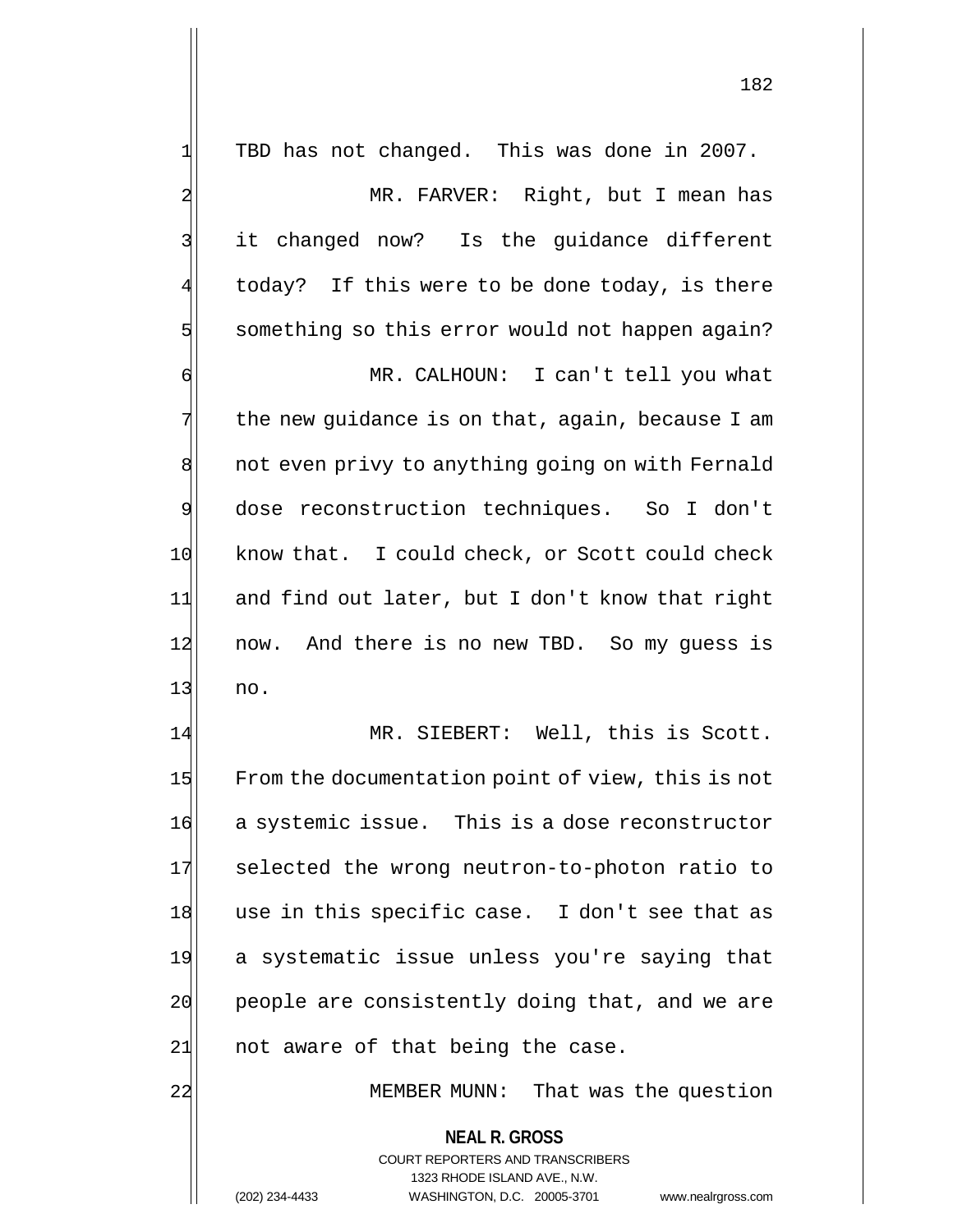| $\mathbf{1}$            | TBD has not changed. This was done in 2007.              |
|-------------------------|----------------------------------------------------------|
| $\overline{\mathbf{c}}$ | MR. FARVER: Right, but I mean has                        |
| 3                       | it changed now? Is the guidance different                |
| 4                       | today? If this were to be done today, is there           |
| 5                       | something so this error would not happen again?          |
| б                       | MR. CALHOUN: I can't tell you what                       |
| 7                       | the new guidance is on that, again, because I am         |
| 8                       | not even privy to anything going on with Fernald         |
| $\overline{9}$          | dose reconstruction techniques. So I don't               |
| 10                      | know that. I could check, or Scott could check           |
| 11                      | and find out later, but I don't know that right          |
| 12                      | now. And there is no new TBD. So my guess is             |
| 13                      | no.                                                      |
| 14                      | MR. SIEBERT: Well, this is Scott.                        |
| 15                      | From the documentation point of view, this is not        |
| 16                      | a systemic issue. This is a dose reconstructor           |
| 17                      | selected the wrong neutron-to-photon ratio to            |
| 18                      | use in this specific case. I don't see that as           |
| 19                      | a systematic issue unless you're saying that             |
| 20                      | people are consistently doing that, and we are           |
| 21                      | not aware of that being the case.                        |
| 22                      | MEMBER MUNN: That was the question                       |
|                         | <b>NEAL R. GROSS</b><br>COURT REPORTERS AND TRANSCRIBERS |

1323 RHODE ISLAND AVE., N.W.

 $\prod$ 

(202) 234-4433 WASHINGTON, D.C. 20005-3701 www.nealrgross.com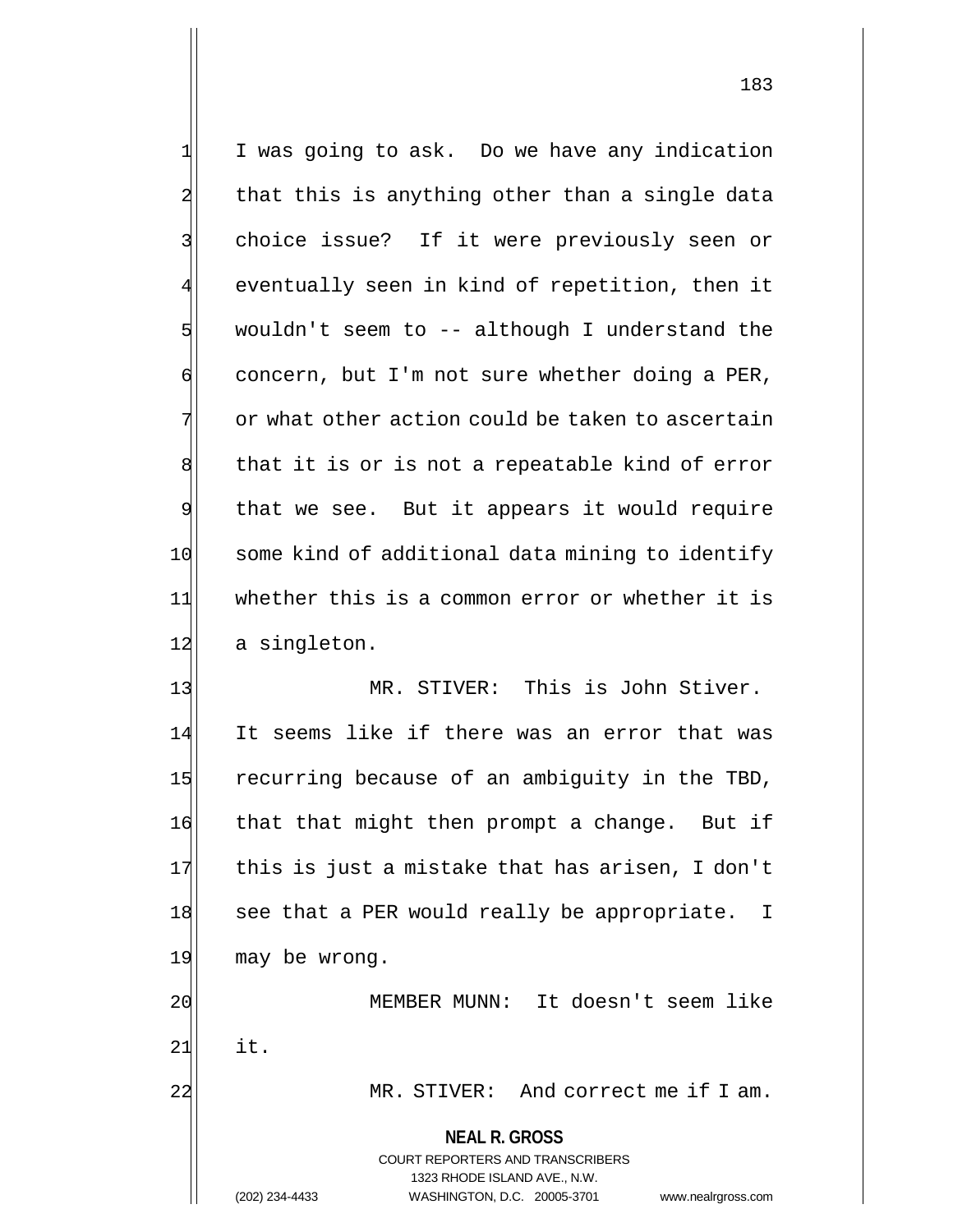1 I was going to ask. Do we have any indication  $2$  that this is anything other than a single data 3 | choice issue? If it were previously seen or 4 eventually seen in kind of repetition, then it  $5$  wouldn't seem to -- although I understand the  $\left| \cdot \right|$  concern, but I'm not sure whether doing a PER,  $7$  or what other action could be taken to ascertain  $8$  that it is or is not a repeatable kind of error 9 that we see. But it appears it would require 10 some kind of additional data mining to identify 11 whether this is a common error or whether it is 12 a singleton.

13 MR. STIVER: This is John Stiver. 14 It seems like if there was an error that was 15 recurring because of an ambiguity in the TBD, 16 that that might then prompt a change. But if  $17$  this is just a mistake that has arisen, I don't 18 see that a PER would really be appropriate. I 19 may be wrong. 20 MEMBER MUNN: It doesn't seem like

 $21$  it.

22 MR. STIVER: And correct me if I am.

## **NEAL R. GROSS**

COURT REPORTERS AND TRANSCRIBERS 1323 RHODE ISLAND AVE., N.W. (202) 234-4433 WASHINGTON, D.C. 20005-3701 www.nealrgross.com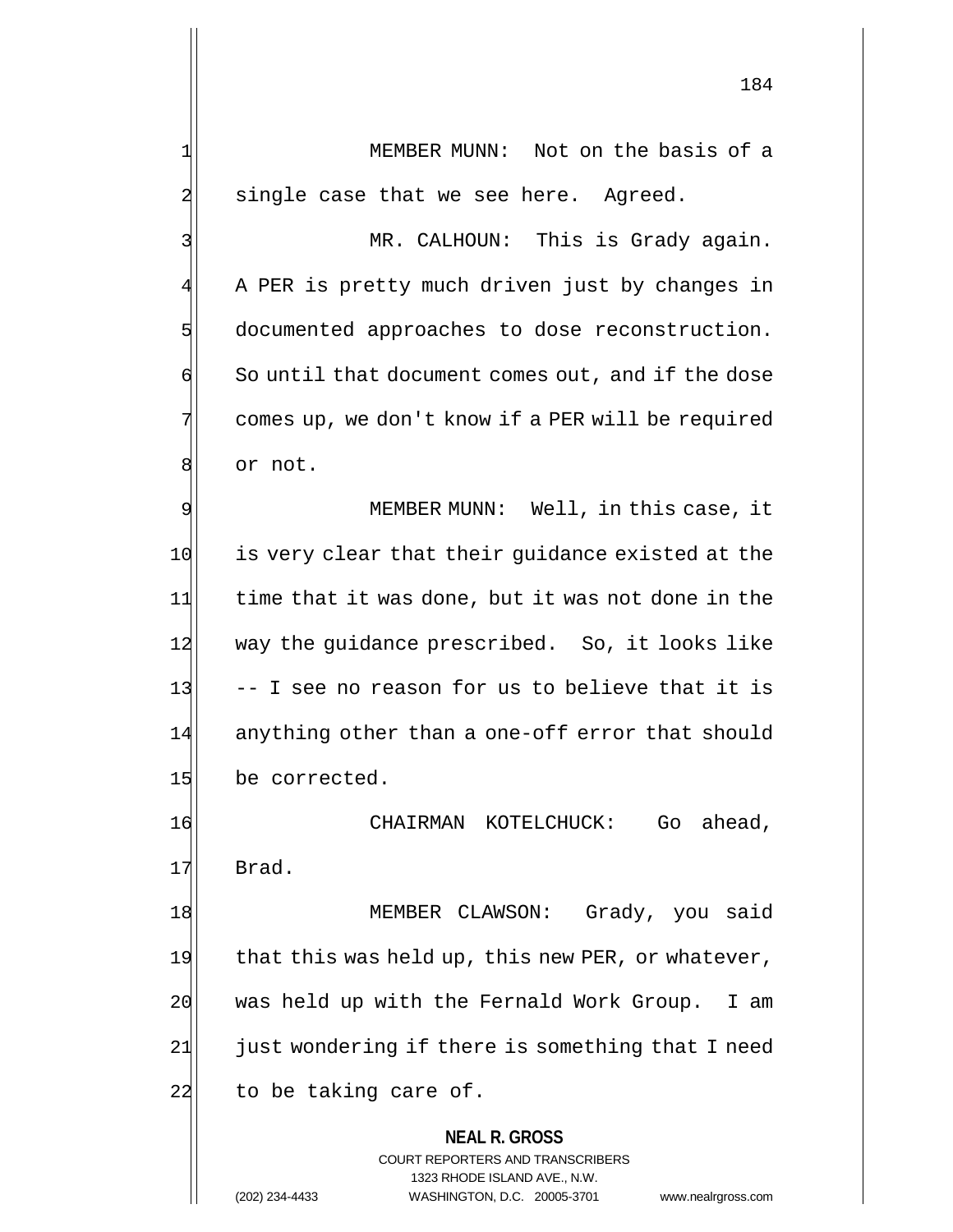1 MEMBER MUNN: Not on the basis of a  $2$  single case that we see here. Agreed.

3 MR. CALHOUN: This is Grady again. 4 A PER is pretty much driven just by changes in 5 documented approaches to dose reconstruction.  $\left| \cdot \right|$  So until that document comes out, and if the dose 7 comes up, we don't know if a PER will be required 8 or not.

9| MEMBER MUNN: Well, in this case, it 10 is very clear that their quidance existed at the 11 time that it was done, but it was not done in the 12 way the guidance prescribed. So, it looks like  $13$  -- I see no reason for us to believe that it is 14 anything other than a one-off error that should 15 be corrected.

16 CHAIRMAN KOTELCHUCK: Go ahead, 17 Brad.

18 MEMBER CLAWSON: Grady, you said 19 that this was held up, this new PER, or whatever, 20 was held up with the Fernald Work Group. I am 21 just wondering if there is something that I need  $22$  to be taking care of.

### **NEAL R. GROSS**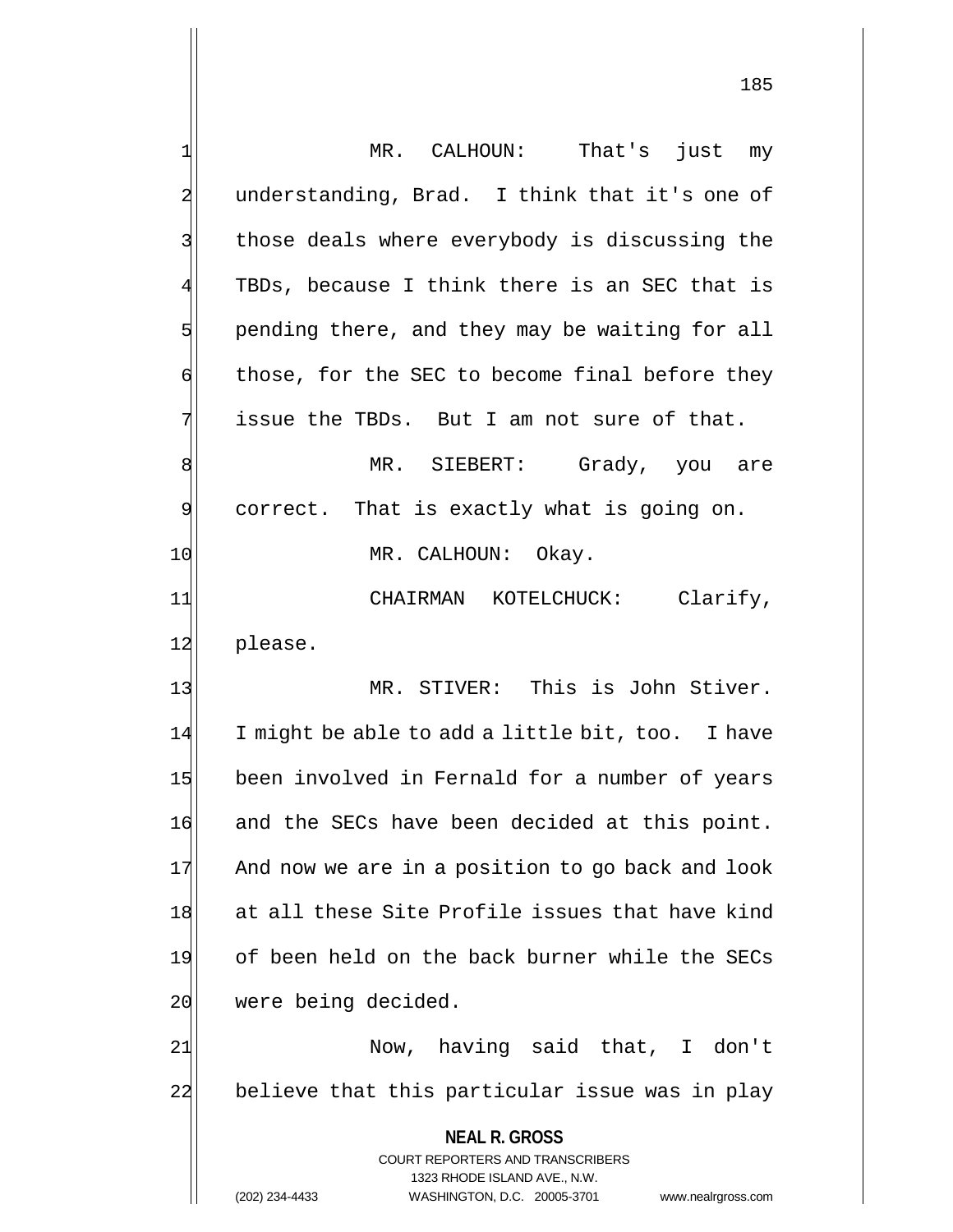| 1              | MR. CALHOUN:<br>That's just my                                      |
|----------------|---------------------------------------------------------------------|
| $\overline{a}$ | understanding, Brad. I think that it's one of                       |
| 3              | those deals where everybody is discussing the                       |
| 4              | TBDs, because I think there is an SEC that is                       |
| 5              | pending there, and they may be waiting for all                      |
| б              | those, for the SEC to become final before they                      |
| 7              | issue the TBDs. But I am not sure of that.                          |
| 8              | MR. SIEBERT: Grady, you are                                         |
| 9              | correct. That is exactly what is going on.                          |
| 10             | MR. CALHOUN: Okay.                                                  |
| 11             | CHAIRMAN KOTELCHUCK: Clarify,                                       |
| 12             | please.                                                             |
| 13             | MR. STIVER: This is John Stiver.                                    |
| 14             | I might be able to add a little bit, too. I have                    |
| 15             | been involved in Fernald for a number of years                      |
| 16             | and the SECs have been decided at this point.                       |
| 17             | And now we are in a position to go back and look                    |
| 18             | at all these Site Profile issues that have kind                     |
| 19             | of been held on the back burner while the SECs                      |
| 20             | were being decided.                                                 |
| 21             | Now, having said that, I don't                                      |
| 22             | believe that this particular issue was in play                      |
|                |                                                                     |
|                | <b>NEAL R. GROSS</b>                                                |
|                | COURT REPORTERS AND TRANSCRIBERS<br>1323 RHODE ISLAND AVE., N.W.    |
|                | (202) 234-4433<br>WASHINGTON, D.C. 20005-3701<br>www.nealrgross.com |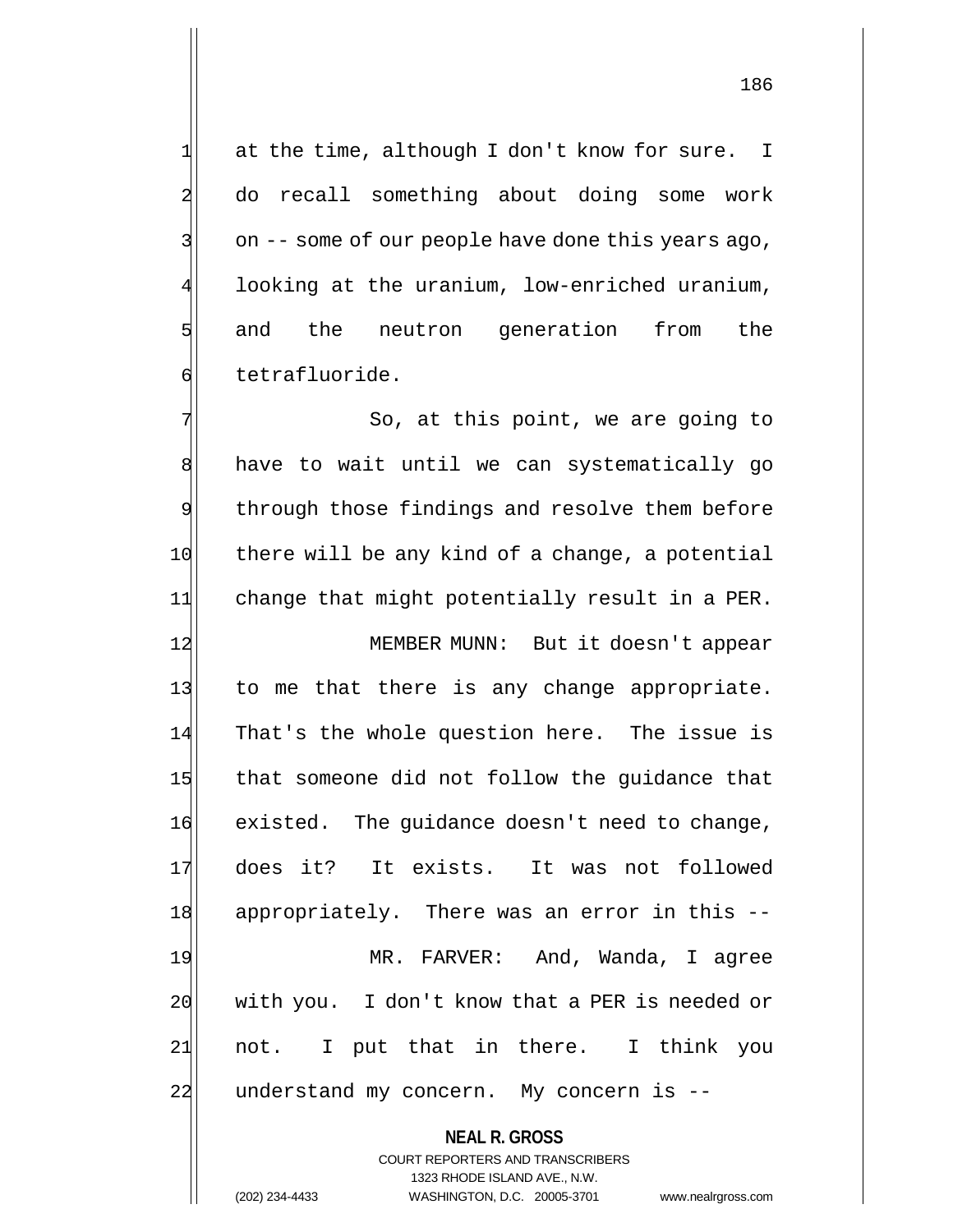1 at the time, although I don't know for sure. I 2 do recall something about doing some work  $3$  on  $-$ - some of our people have done this years ago, 4 looking at the uranium, low-enriched uranium, 5 and the neutron generation from the 6 tetrafluoride.

7 | So, at this point, we are going to 8 have to wait until we can systematically go 9 through those findings and resolve them before 10 there will be any kind of a change, a potential 11 change that might potentially result in a PER. 12 MEMBER MUNN: But it doesn't appear 13 to me that there is any change appropriate. 14 That's the whole question here. The issue is 15 that someone did not follow the guidance that 16 existed. The quidance doesn't need to change, 17 does it? It exists. It was not followed 18 appropriately. There was an error in this --

19 MR. FARVER: And, Wanda, I agree 20 with you. I don't know that a PER is needed or 21 not. I put that in there. I think you 22 understand my concern. My concern is --

> **NEAL R. GROSS** COURT REPORTERS AND TRANSCRIBERS 1323 RHODE ISLAND AVE., N.W. (202) 234-4433 WASHINGTON, D.C. 20005-3701 www.nealrgross.com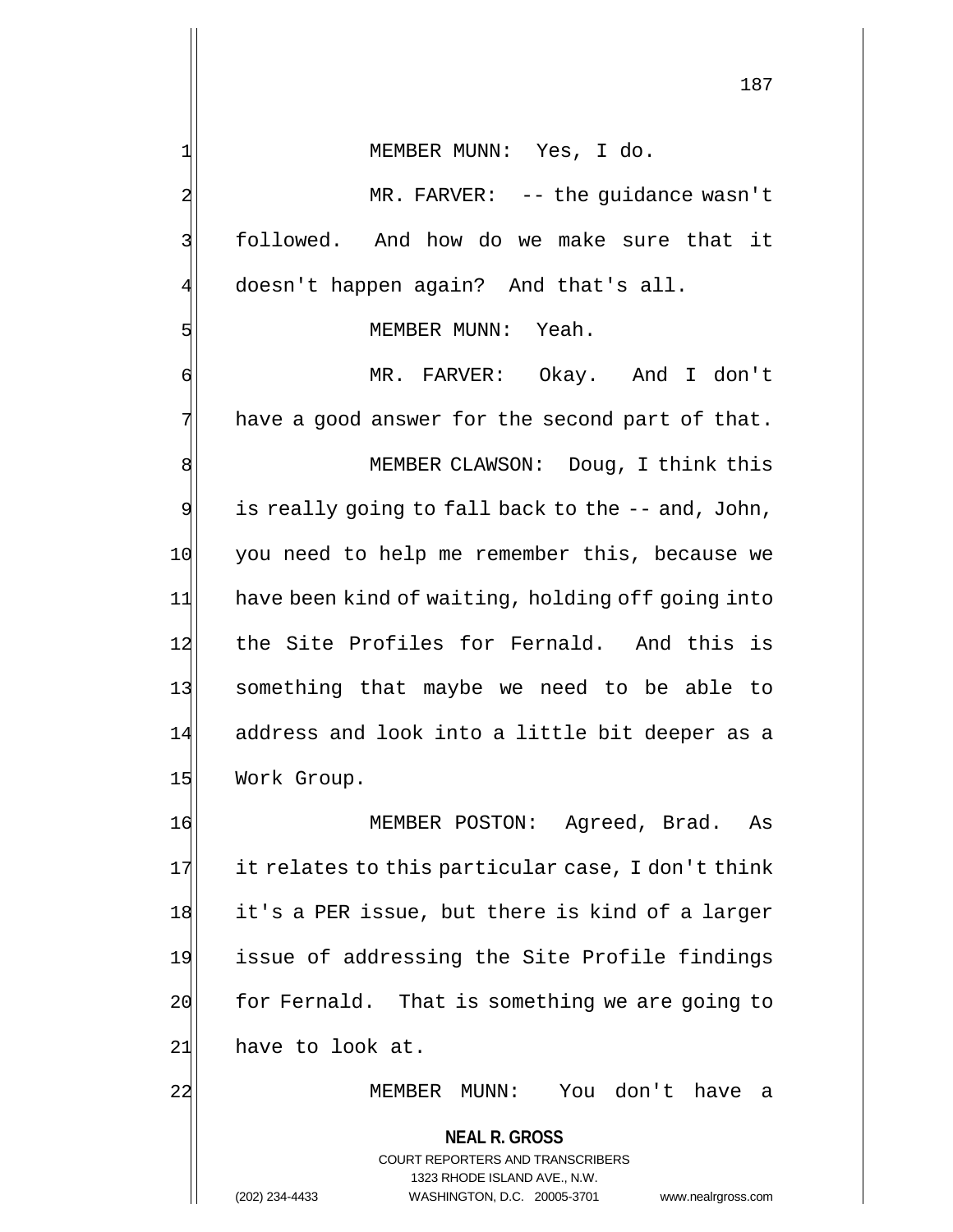1| MEMBER MUNN: Yes, I do.

2| MR. FARVER: -- the guidance wasn't 3 | followed. And how do we make sure that it 4 doesn't happen again? And that's all.

#### 5 MEMBER MUNN: Yeah.

6 MR. FARVER: Okay. And I don't  $7$  have a good answer for the second part of that.

8 MEMBER CLAWSON: Doug, I think this  $9$  is really going to fall back to the  $-$ - and, John, 10 you need to help me remember this, because we 11 have been kind of waiting, holding off going into 12 the Site Profiles for Fernald. And this is 13 something that maybe we need to be able to 14 address and look into a little bit deeper as a 15 Work Group.

16 MEMBER POSTON: Agreed, Brad. As  $17$  it relates to this particular case, I don't think 18 it's a PER issue, but there is kind of a larger 19 issue of addressing the Site Profile findings 20 for Fernald. That is something we are going to  $21$  have to look at.

22 MEMBER MUNN: You don't have a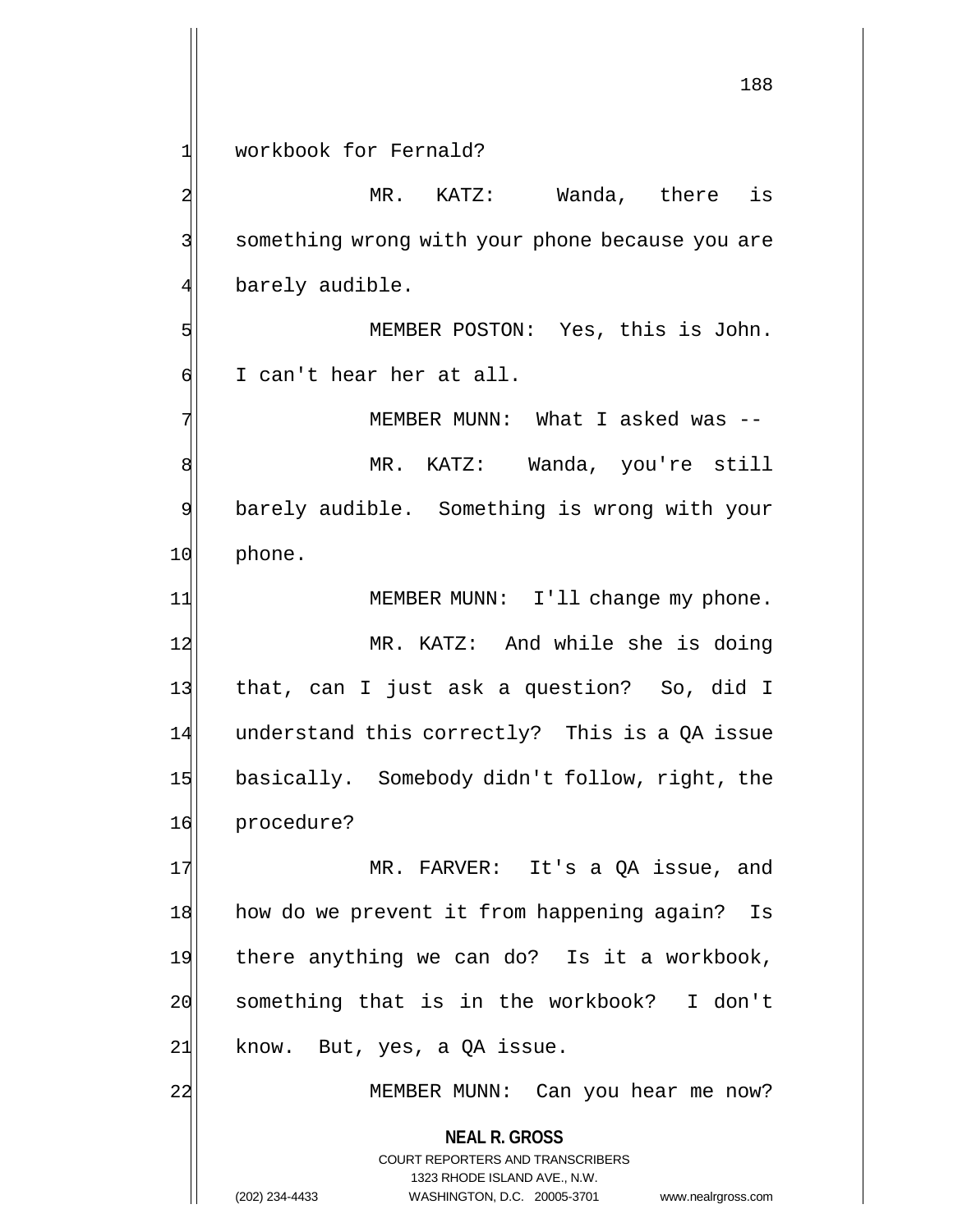1 workbook for Fernald?

**NEAL R. GROSS** COURT REPORTERS AND TRANSCRIBERS 2 MR. KATZ: Wanda, there is 3| something wrong with your phone because you are 4 barely audible. 5 MEMBER POSTON: Yes, this is John. 6 I can't hear her at all. 7| MEMBER MUNN: What I asked was --8 MR. KATZ: Wanda, you're still 9 barely audible. Something is wrong with your 10 phone. 11| MEMBER MUNN: I'll change my phone. 12 MR. KATZ: And while she is doing 13 that, can I just ask a question? So, did I 14 understand this correctly? This is a QA issue 15 basically. Somebody didn't follow, right, the 16 procedure? 17 MR. FARVER: It's a QA issue, and 18 how do we prevent it from happening again? Is 19 there anything we can do? Is it a workbook, 20 something that is in the workbook? I don't  $21$  know. But, yes, a QA issue. 22 MEMBER MUNN: Can you hear me now?

1323 RHODE ISLAND AVE., N.W.

(202) 234-4433 WASHINGTON, D.C. 20005-3701 www.nealrgross.com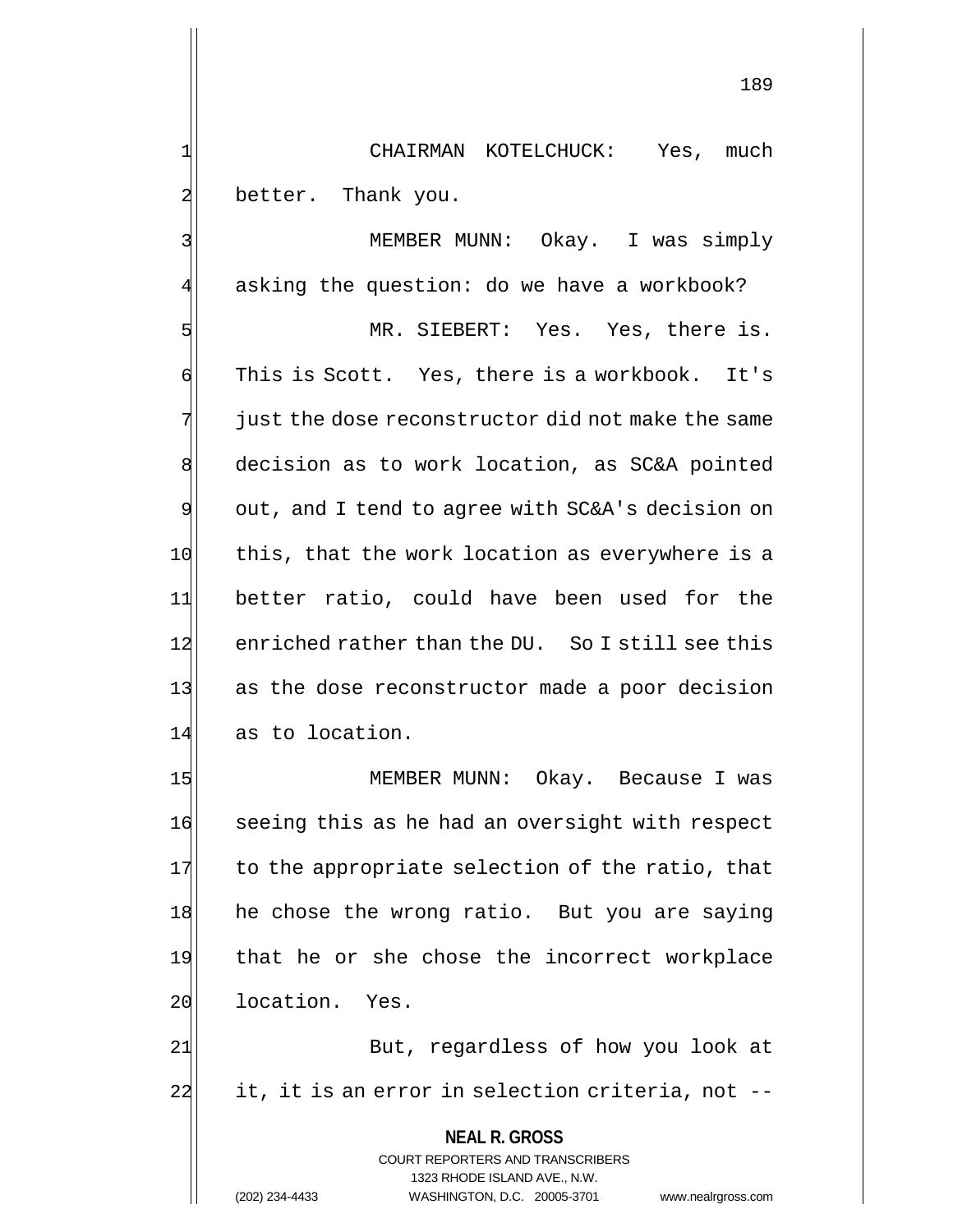1 CHAIRMAN KOTELCHUCK: Yes, much 2 better. Thank you.

3 MEMBER MUNN: Okay. I was simply 4 asking the question: do we have a workbook?

5 MR. SIEBERT: Yes. Yes, there is. 6 This is Scott. Yes, there is a workbook. It's  $7$  just the dose reconstructor did not make the same 8 decision as to work location, as SC&A pointed  $9$  out, and I tend to agree with SC&A's decision on 10 this, that the work location as everywhere is a 11 better ratio, could have been used for the 12 enriched rather than the DU. So I still see this 13 as the dose reconstructor made a poor decision 14 as to location.

15 MEMBER MUNN: Okay. Because I was 16 seeing this as he had an oversight with respect  $17$  to the appropriate selection of the ratio, that 18 he chose the wrong ratio. But you are saying 19 that he or she chose the incorrect workplace 20 location. Yes.

21 But, regardless of how you look at 22 it, it is an error in selection criteria, not --

> **NEAL R. GROSS** COURT REPORTERS AND TRANSCRIBERS 1323 RHODE ISLAND AVE., N.W. (202) 234-4433 WASHINGTON, D.C. 20005-3701 www.nealrgross.com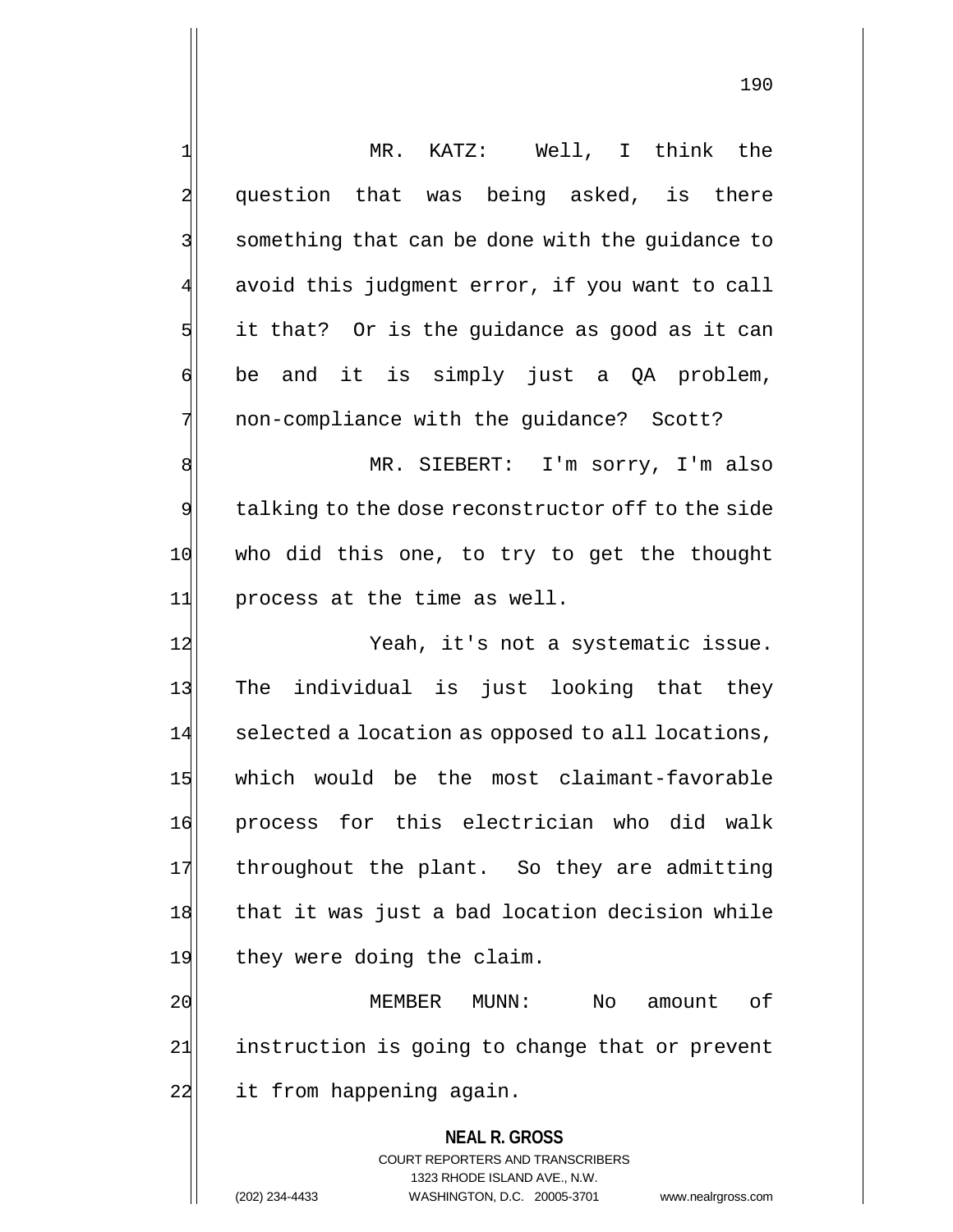1 MR. KATZ: Well, I think the 2 question that was being asked, is there 3 3 something that can be done with the guidance to 4 avoid this judgment error, if you want to call  $5$  it that? Or is the quidance as good as it can  $\mathfrak{q}$  be and it is simply just a QA problem, 7 non-compliance with the quidance? Scott? 8 | MR. SIEBERT: I'm sorry, I'm also 9 talking to the dose reconstructor off to the side 10 who did this one, to try to get the thought 11 process at the time as well. 12 Yeah, it's not a systematic issue. 13 The individual is just looking that they 14 selected a location as opposed to all locations, 15 which would be the most claimant-favorable 16 process for this electrician who did walk 17 throughout the plant. So they are admitting 18 that it was just a bad location decision while 19 they were doing the claim. 20 MEMBER MUNN: No amount of

21 instruction is going to change that or prevent 22 it from happening again.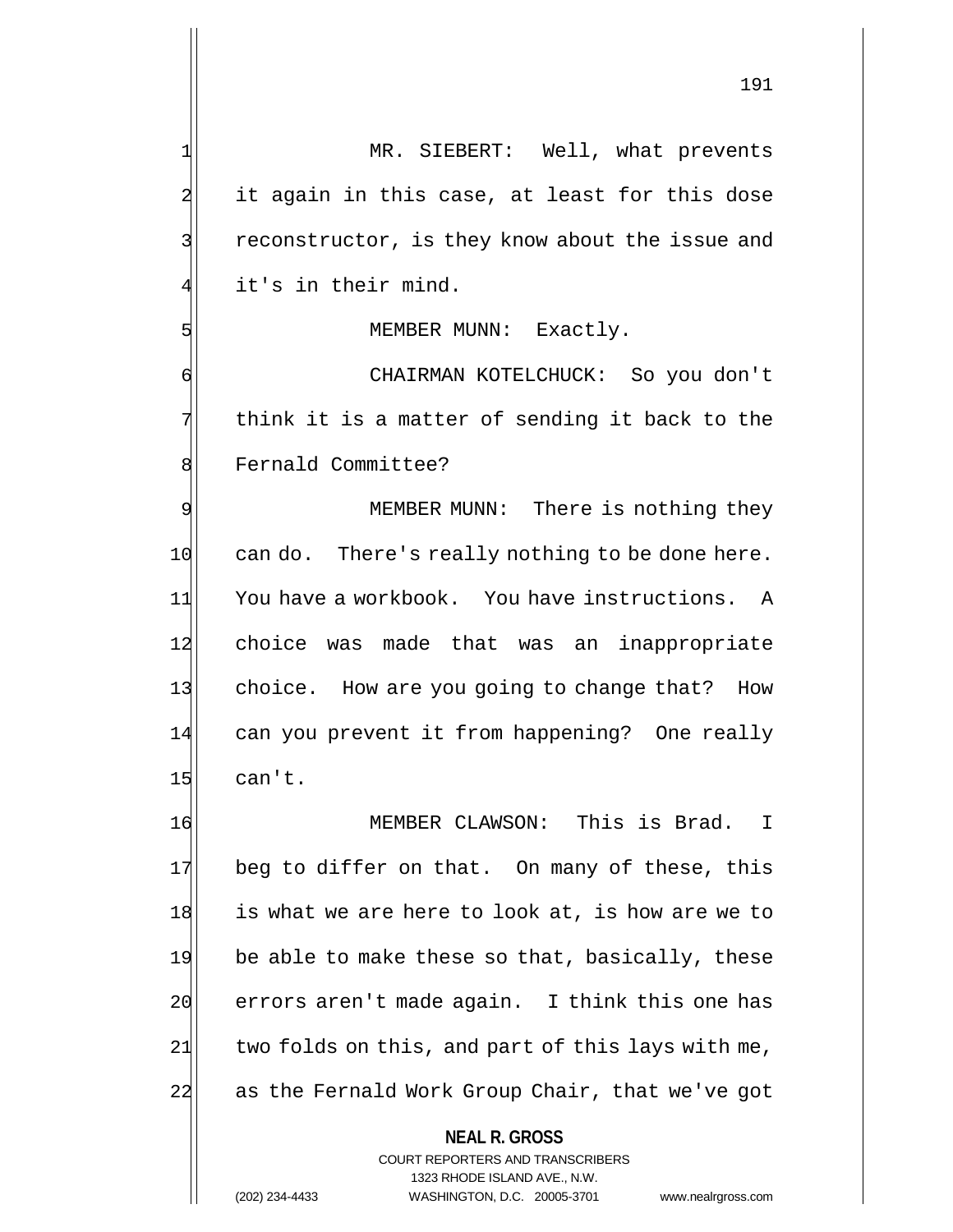MR. SIEBERT: Well, what prevents it again in this case, at least for this dose 3 3 reconstructor, is they know about the issue and it's in their mind.

5 MEMBER MUNN: Exactly.

6 CHAIRMAN KOTELCHUCK: So you don't  $7$  think it is a matter of sending it back to the 8 Fernald Committee?

9 MEMBER MUNN: There is nothing they  $10$  can do. There's really nothing to be done here. 11 You have a workbook. You have instructions. A 12 choice was made that was an inappropriate 13 choice. How are you going to change that? How 14 can you prevent it from happening? One really  $15$  can't.

16 MEMBER CLAWSON: This is Brad. I 17 beg to differ on that. On many of these, this 18 is what we are here to look at, is how are we to 19 be able to make these so that, basically, these 20 errors aren't made again. I think this one has  $21$  two folds on this, and part of this lays with me, 22 as the Fernald Work Group Chair, that we've got

**NEAL R. GROSS**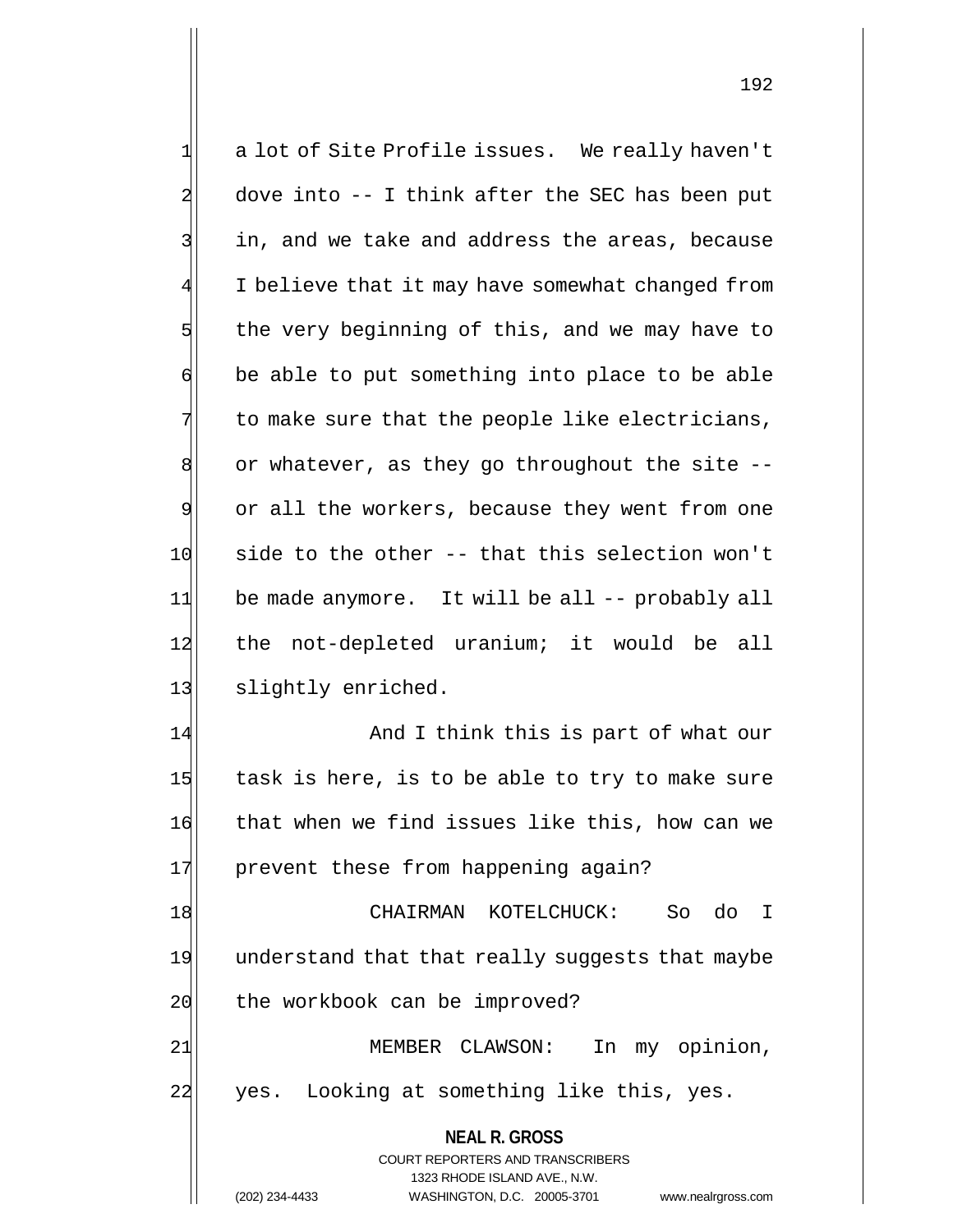**NEAL R. GROSS** COURT REPORTERS AND TRANSCRIBERS 1323 RHODE ISLAND AVE., N.W. 1 a lot of Site Profile issues. We really haven't  $2$  dove into  $-$ - I think after the SEC has been put 3 3 in, and we take and address the areas, because I believe that it may have somewhat changed from  $5$  the very beginning of this, and we may have to  $\mathfrak{g}$  be able to put something into place to be able  $7$  to make sure that the people like electricians,  $8$  or whatever, as they go throughout the site  $-$ -9 or all the workers, because they went from one  $10$  side to the other -- that this selection won't 11 be made anymore. It will be all -- probably all 12 the not-depleted uranium; it would be all 13 slightly enriched. 14 And I think this is part of what our  $15$  task is here, is to be able to try to make sure 16 that when we find issues like this, how can we 17 prevent these from happening again? 18 CHAIRMAN KOTELCHUCK: So do I 19 understand that that really suggests that maybe 20 the workbook can be improved? 21 | MEMBER CLAWSON: In my opinion, 22 yes. Looking at something like this, yes.

(202) 234-4433 WASHINGTON, D.C. 20005-3701 www.nealrgross.com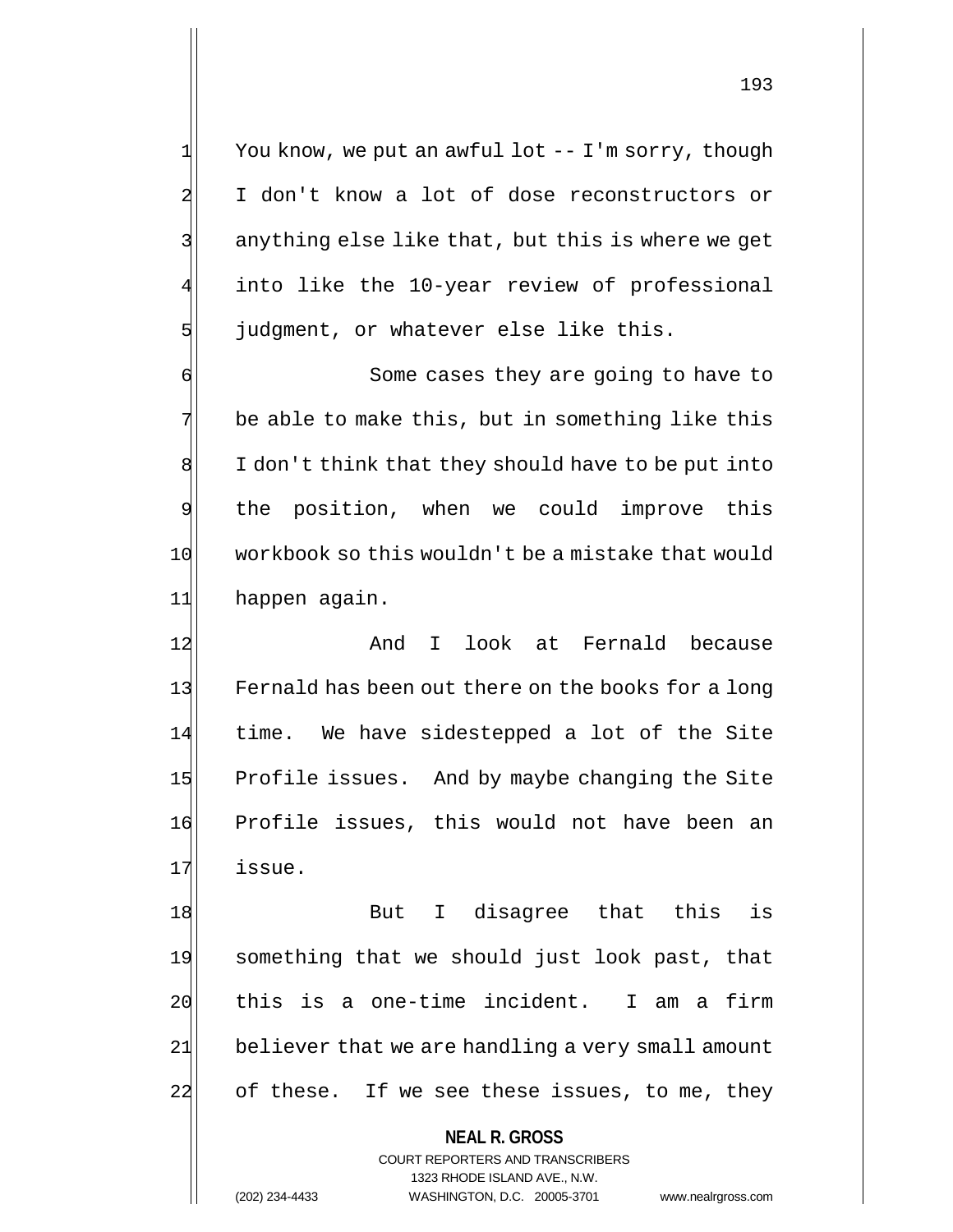$1 \mid$  You know, we put an awful lot -- I'm sorry, though 2 I don't know a lot of dose reconstructors or 3 3 3 anything else like that, but this is where we get into like the 10-year review of professional  $5$  judgment, or whatever else like this.

 Some cases they are going to have to be able to make this, but in something like this I don't think that they should have to be put into the position, when we could improve this 10 workbook so this wouldn't be a mistake that would 11 happen again.

12 and I look at Fernald because 13 Fernald has been out there on the books for a long 14 time. We have sidestepped a lot of the Site 15 Profile issues. And by maybe changing the Site 16 Profile issues, this would not have been an 17 issue.

18 But I disagree that this is 19 something that we should just look past, that 20 this is a one-time incident. I am a firm 21 believer that we are handling a very small amount 22 of these. If we see these issues, to me, they

**NEAL R. GROSS**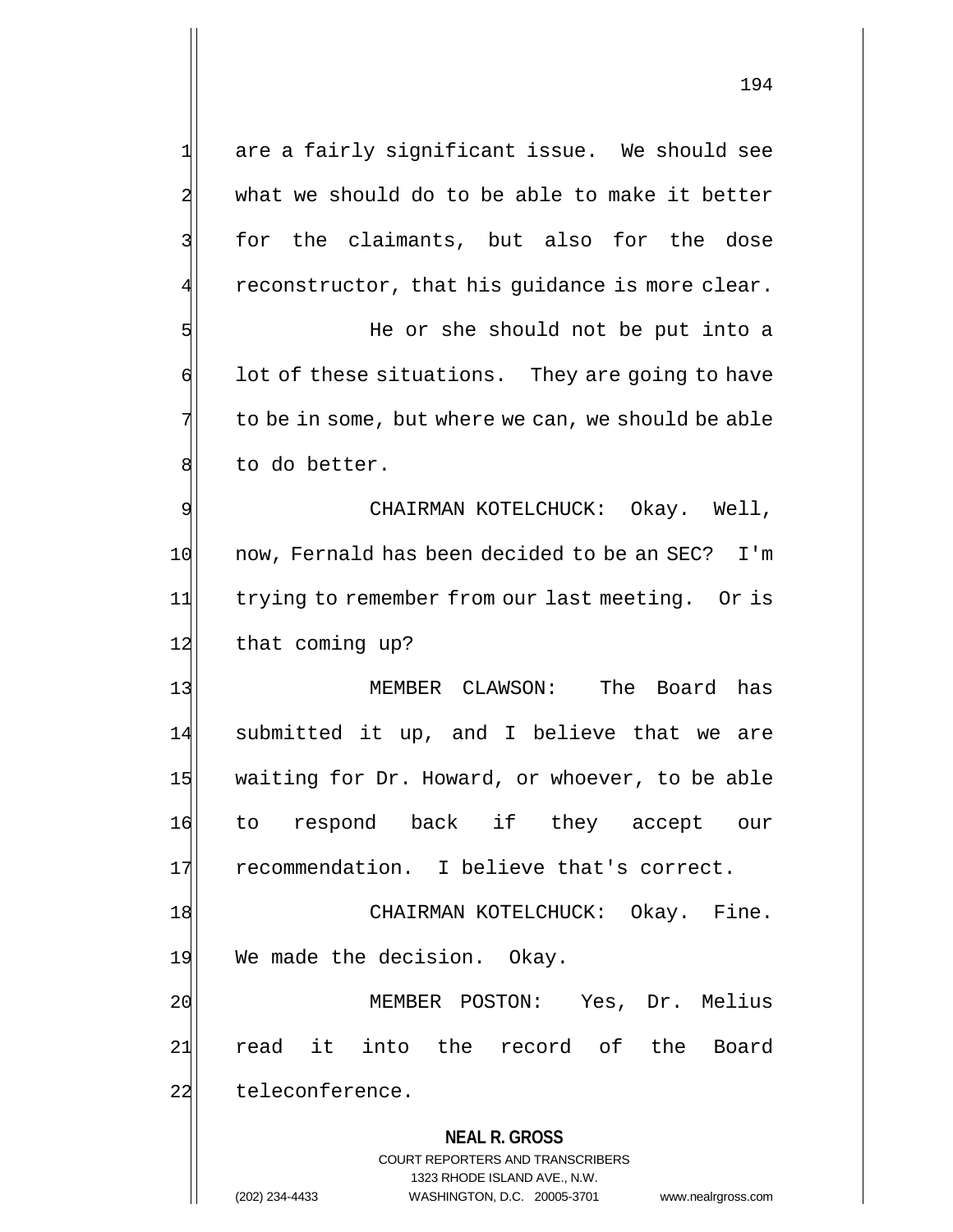**NEAL R. GROSS** COURT REPORTERS AND TRANSCRIBERS 1323 RHODE ISLAND AVE., N.W. 1 are a fairly significant issue. We should see 2 what we should do to be able to make it better 3 for the claimants, but also for the dose  $4$  reconstructor, that his guidance is more clear. 5 She should not be put into a  $\mathfrak{g}$  lot of these situations. They are going to have  $7$  to be in some, but where we can, we should be able 8 to do better. 9 CHAIRMAN KOTELCHUCK: Okay. Well, 10 10 now, Fernald has been decided to be an SEC? I'm 11 trying to remember from our last meeting. Or is 12 that coming up? 13 MEMBER CLAWSON: The Board has 14 submitted it up, and I believe that we are 15 waiting for Dr. Howard, or whoever, to be able 16 to respond back if they accept our 17 recommendation. I believe that's correct. 18 | CHAIRMAN KOTELCHUCK: Okay. Fine. 19 We made the decision. Okay. 20 MEMBER POSTON: Yes, Dr. Melius 21 read it into the record of the Board 22 teleconference.

(202) 234-4433 WASHINGTON, D.C. 20005-3701 www.nealrgross.com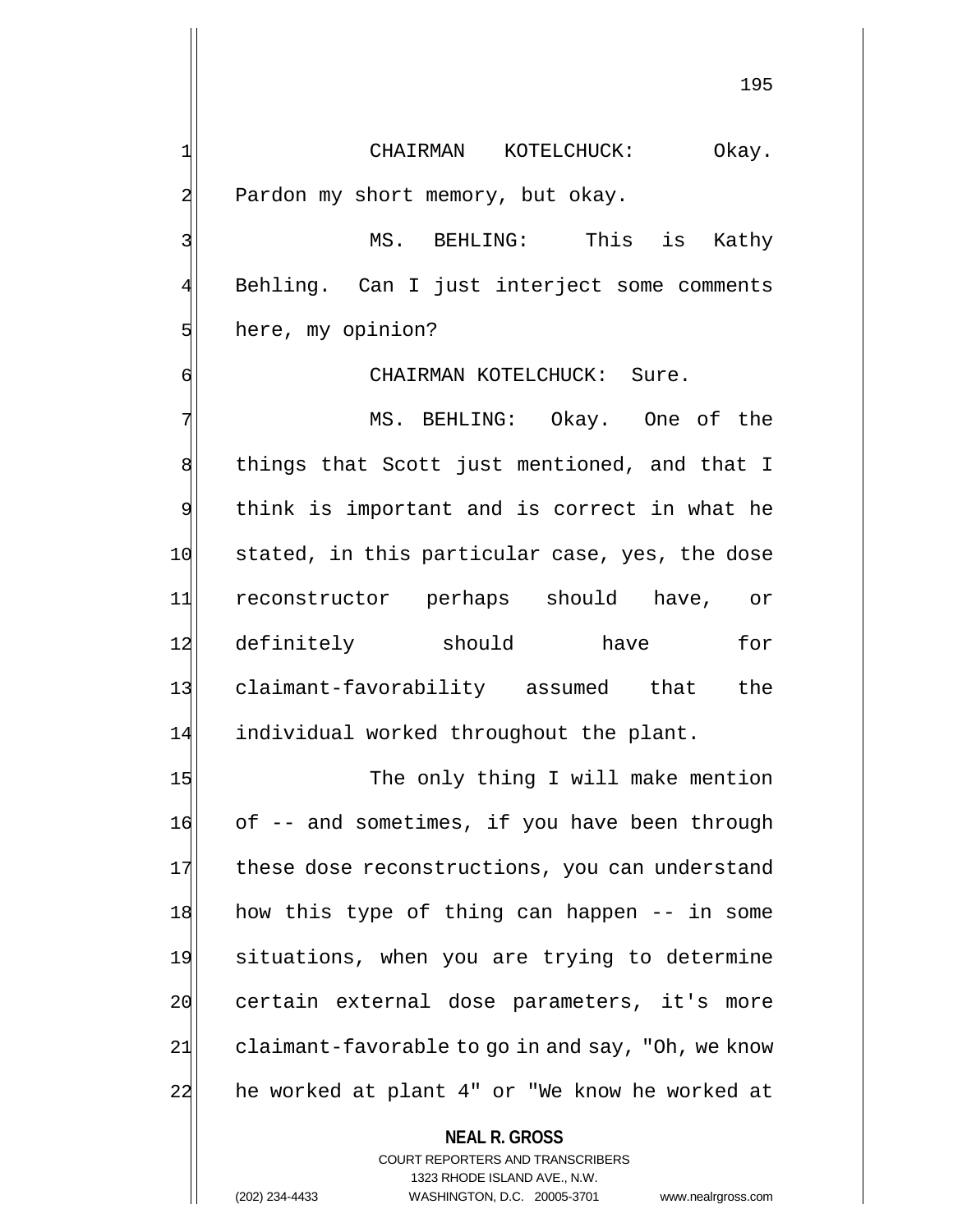1 CHAIRMAN KOTELCHUCK: Okay. 2 Pardon my short memory, but okay.

3 MS. BEHLING: This is Kathy 4 Behling. Can I just interject some comments 5 here, my opinion?

6 GI CHAIRMAN KOTELCHUCK: Sure.

 MS. BEHLING: Okay. One of the 8 8 and things that Scott just mentioned, and that I think is important and is correct in what he 10 stated, in this particular case, yes, the dose reconstructor perhaps should have, or definitely should have for claimant-favorability assumed that the 14 individual worked throughout the plant.

15 The only thing I will make mention 16 of -- and sometimes, if you have been through 17 these dose reconstructions, you can understand 18 how this type of thing can happen -- in some 19 situations, when you are trying to determine 20 certain external dose parameters, it's more 21 claimant-favorable to go in and say, "Oh, we know 22 he worked at plant 4" or "We know he worked at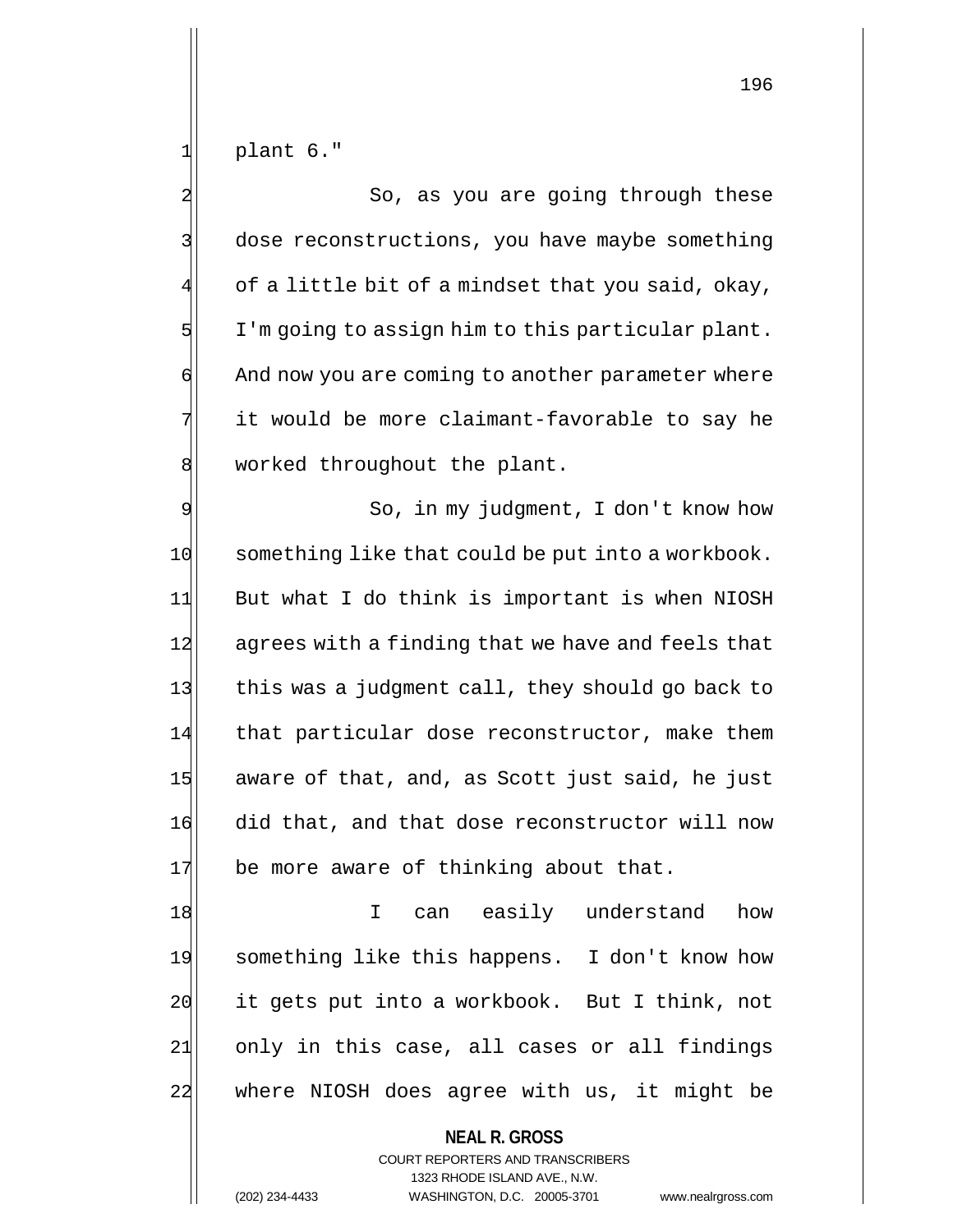$1$  plant 6."

2 3 So, as you are going through these 3 dose reconstructions, you have maybe something of a little bit of a mindset that you said, okay,  $5$  I'm going to assign him to this particular plant.  $\mathfrak{q}$  And now you are coming to another parameter where  $7$  it would be more claimant-favorable to say he 8 worked throughout the plant.

9 | So, in my judgment, I don't know how 10 something like that could be put into a workbook. 11 But what I do think is important is when NIOSH 12 agrees with a finding that we have and feels that 13 this was a judgment call, they should go back to 14 that particular dose reconstructor, make them  $15$  aware of that, and, as Scott just said, he just 16 did that, and that dose reconstructor will now 17 be more aware of thinking about that.

18 I can easily understand how 19 something like this happens. I don't know how 20 it gets put into a workbook. But I think, not 21 only in this case, all cases or all findings 22 where NIOSH does agree with us, it might be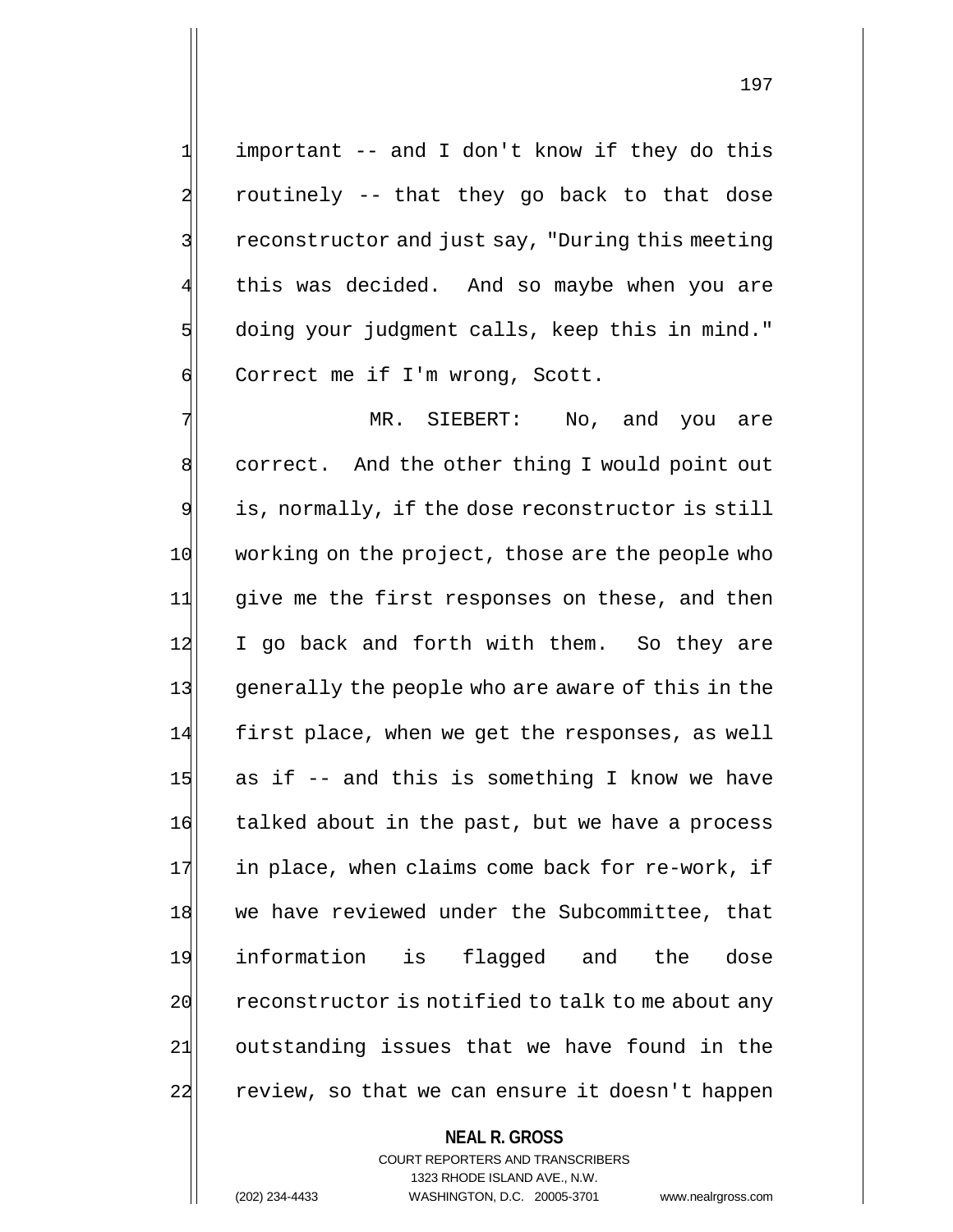1 important -- and I don't know if they do this 2 routinely -- that they go back to that dose 3 3 reconstructor and just say, "During this meeting this was decided. And so maybe when you are 5 doing your judgment calls, keep this in mind." 6 Correct me if I'm wrong, Scott.

7 MR. SIEBERT: No, and you are 8 correct. And the other thing I would point out 9 is, normally, if the dose reconstructor is still 10 working on the project, those are the people who 11 give me the first responses on these, and then 12 I go back and forth with them. So they are 13 generally the people who are aware of this in the 14 first place, when we get the responses, as well  $15$  as if -- and this is something I know we have 16 talked about in the past, but we have a process  $17$  in place, when claims come back for re-work, if 18 we have reviewed under the Subcommittee, that 19 information is flagged and the dose 20 reconstructor is notified to talk to me about any 21| outstanding issues that we have found in the 22 review, so that we can ensure it doesn't happen

# **NEAL R. GROSS**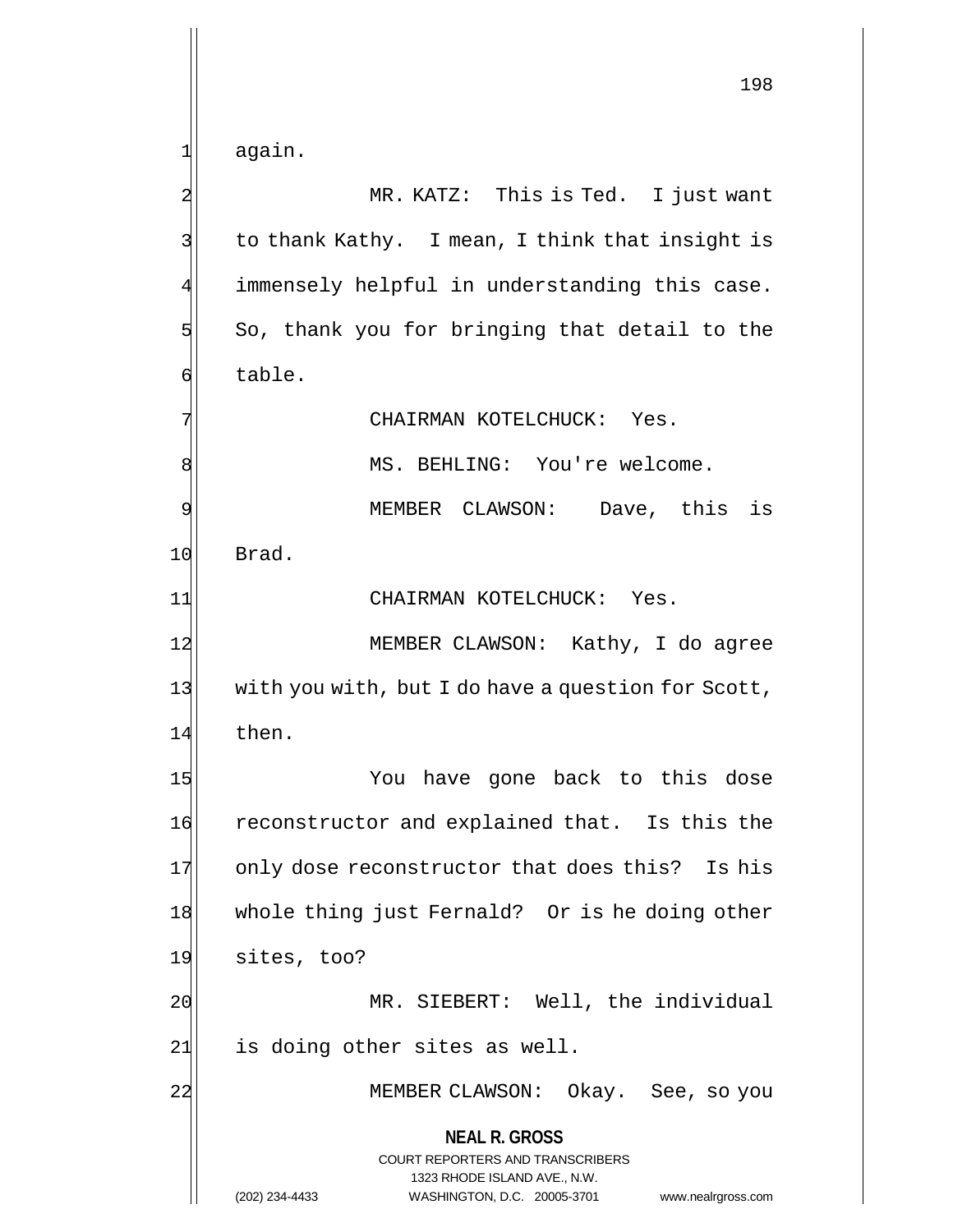1| again.

**NEAL R. GROSS** COURT REPORTERS AND TRANSCRIBERS 1323 RHODE ISLAND AVE., N.W. 2 MR. KATZ: This is Ted. I just want 3 | to thank Kathy. I mean, I think that insight is 4 immensely helpful in understanding this case.  $5$  So, thank you for bringing that detail to the 6 table. 7 CHAIRMAN KOTELCHUCK: Yes. 8 | MS. BEHLING: You're welcome. 9 MEMBER CLAWSON: Dave, this is 10 Brad. 11 CHAIRMAN KOTELCHUCK: Yes. 12 MEMBER CLAWSON: Kathy, I do agree 13 with you with, but I do have a question for Scott, 14 then. 15 You have gone back to this dose 16 reconstructor and explained that. Is this the 17 only dose reconstructor that does this? Is his 18 whole thing just Fernald? Or is he doing other 19 sites, too? 20 MR. SIEBERT: Well, the individual  $21$  is doing other sites as well. 22 MEMBER CLAWSON: Okay. See, so you

(202) 234-4433 WASHINGTON, D.C. 20005-3701 www.nealrgross.com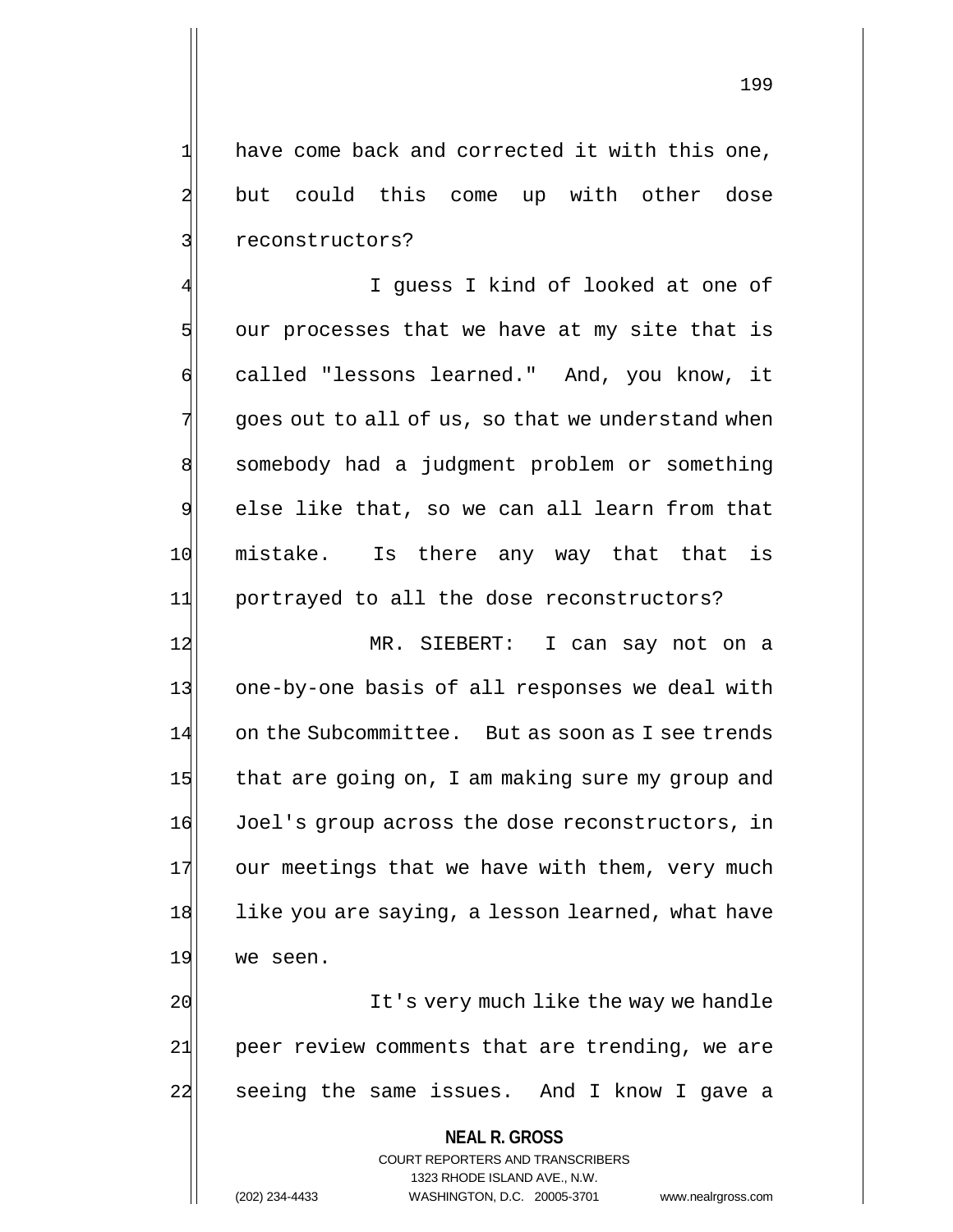1 have come back and corrected it with this one, 2 but could this come up with other dose 3 31 reconstructors?

I guess I kind of looked at one of  $5$  our processes that we have at my site that is 6 called "lessons learned." And, you know, it  $7$  goes out to all of us, so that we understand when 8 somebody had a judgment problem or something  $9$  else like that, so we can all learn from that 10 mistake. Is there any way that that is 11 portrayed to all the dose reconstructors?

12 MR. SIEBERT: I can say not on a 13 one-by-one basis of all responses we deal with 14 on the Subcommittee. But as soon as I see trends 15 that are going on, I am making sure my group and 16 Joel's group across the dose reconstructors, in 17 our meetings that we have with them, very much 18 like you are saying, a lesson learned, what have 19 we seen.

20 It's very much like the way we handle 21 peer review comments that are trending, we are 22 seeing the same issues. And I know I gave a

> **NEAL R. GROSS** COURT REPORTERS AND TRANSCRIBERS 1323 RHODE ISLAND AVE., N.W. (202) 234-4433 WASHINGTON, D.C. 20005-3701 www.nealrgross.com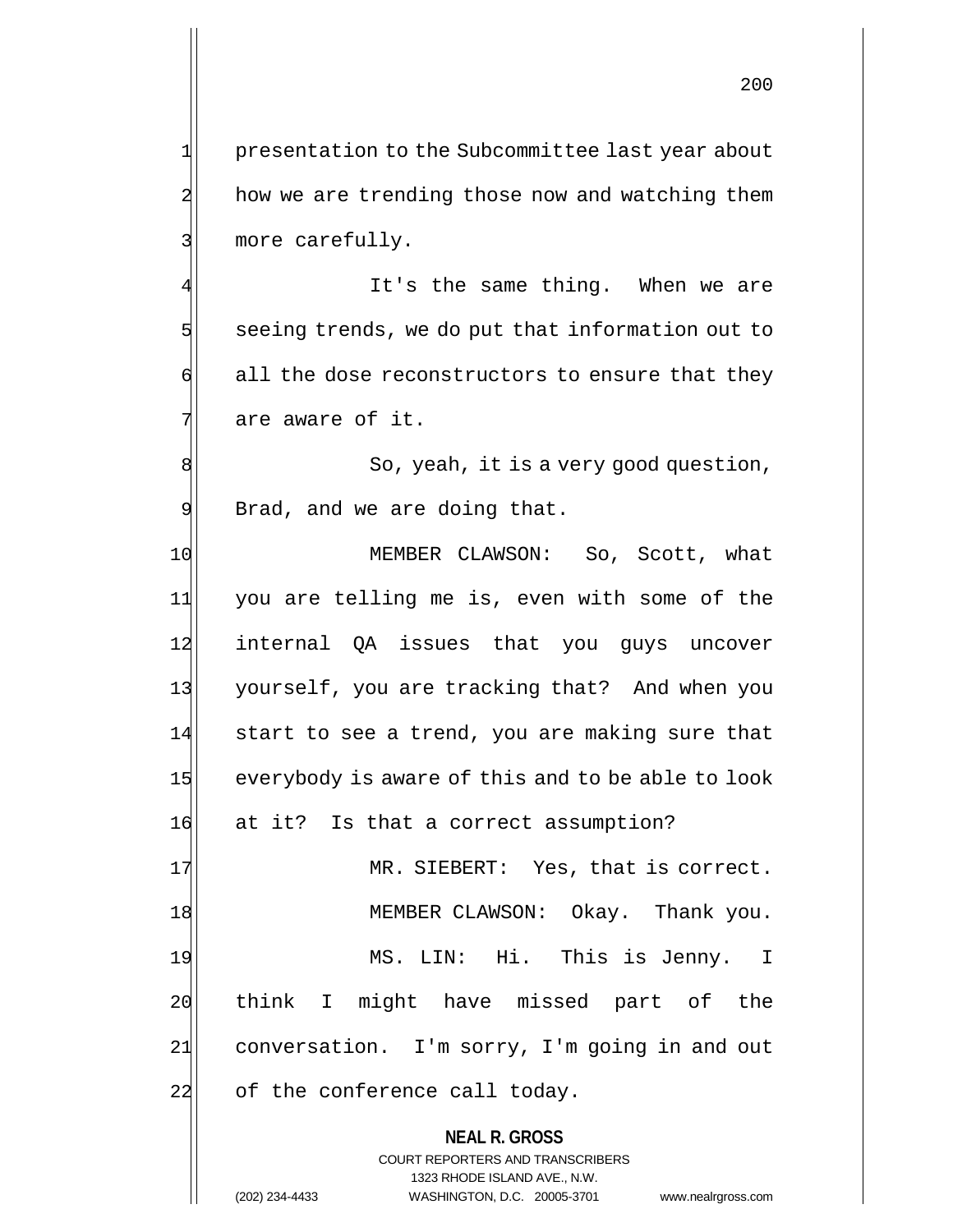1 presentation to the Subcommittee last year about 2 how we are trending those now and watching them 3 more carefully.

It's the same thing. When we are  $5$  seeing trends, we do put that information out to  $\phi$  all the dose reconstructors to ensure that they  $7$  are aware of it.

8 8 8 So, yeah, it is a very good question,  $9$  Brad, and we are doing that.

10 MEMBER CLAWSON: So, Scott, what 11 you are telling me is, even with some of the 12 internal QA issues that you guys uncover 13 yourself, you are tracking that? And when you 14 start to see a trend, you are making sure that 15 everybody is aware of this and to be able to look 16 at it? Is that a correct assumption?

17 MR. SIEBERT: Yes, that is correct. 18 MEMBER CLAWSON: Okay. Thank you. 19 MS. LIN: Hi. This is Jenny. I 20 think I might have missed part of the 21 conversation. I'm sorry, I'm going in and out 22 of the conference call today.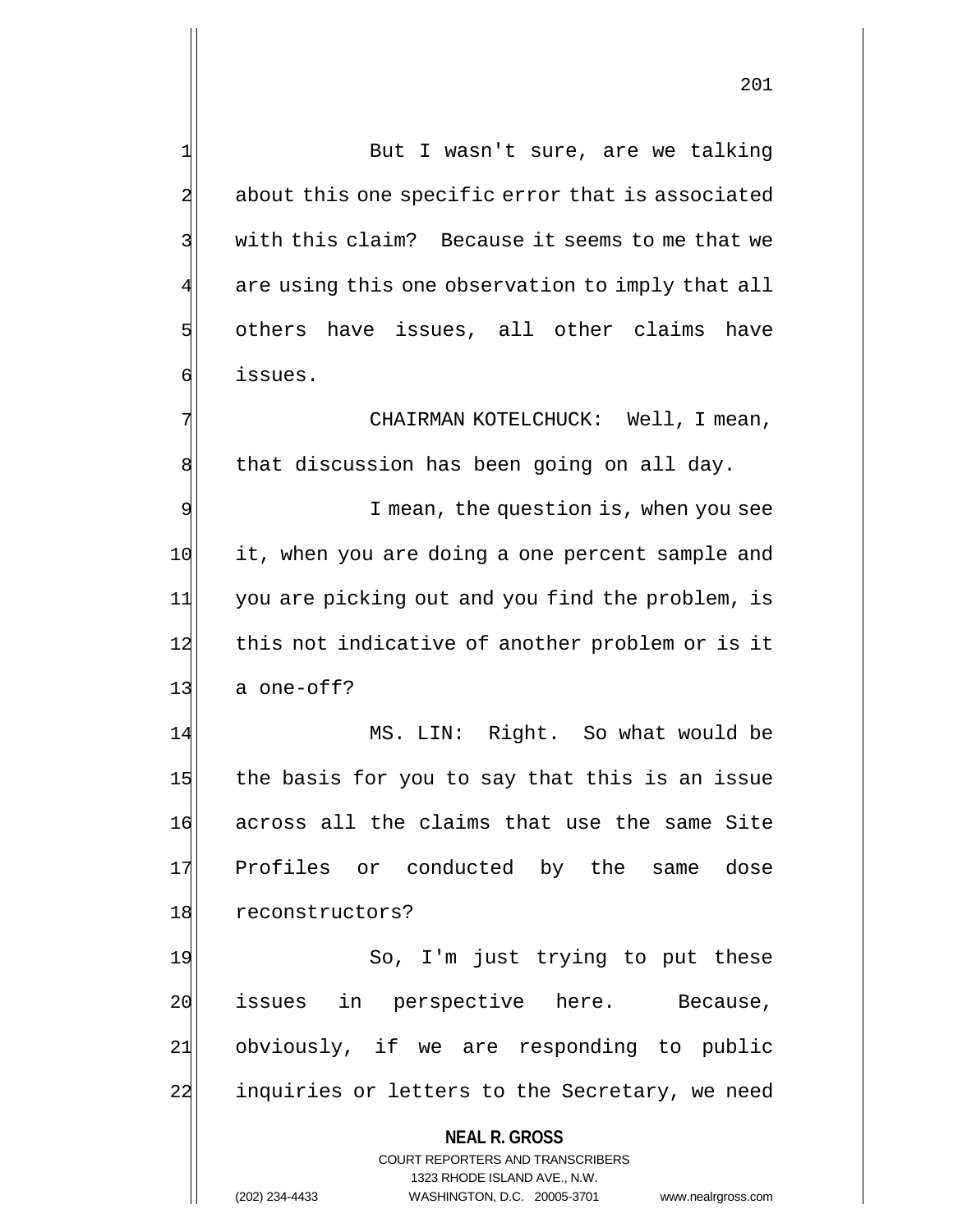1 But I wasn't sure, are we talking 2 about this one specific error that is associated 3 With this claim? Because it seems to me that we 4 are using this one observation to imply that all 5 others have issues, all other claims have 6 issues.

7 CHAIRMAN KOTELCHUCK: Well, I mean,  $8$  that discussion has been going on all day.

9 I mean, the question is, when you see 10 it, when you are doing a one percent sample and 11 you are picking out and you find the problem, is 12 this not indicative of another problem or is it  $13$  a one-off?

14 MS. LIN: Right. So what would be 15 the basis for you to say that this is an issue 16 across all the claims that use the same Site 17 Profiles or conducted by the same dose 18 reconstructors?

19 So, I'm just trying to put these 20 issues in perspective here. Because, 21 obviously, if we are responding to public 22 inquiries or letters to the Secretary, we need

#### **NEAL R. GROSS**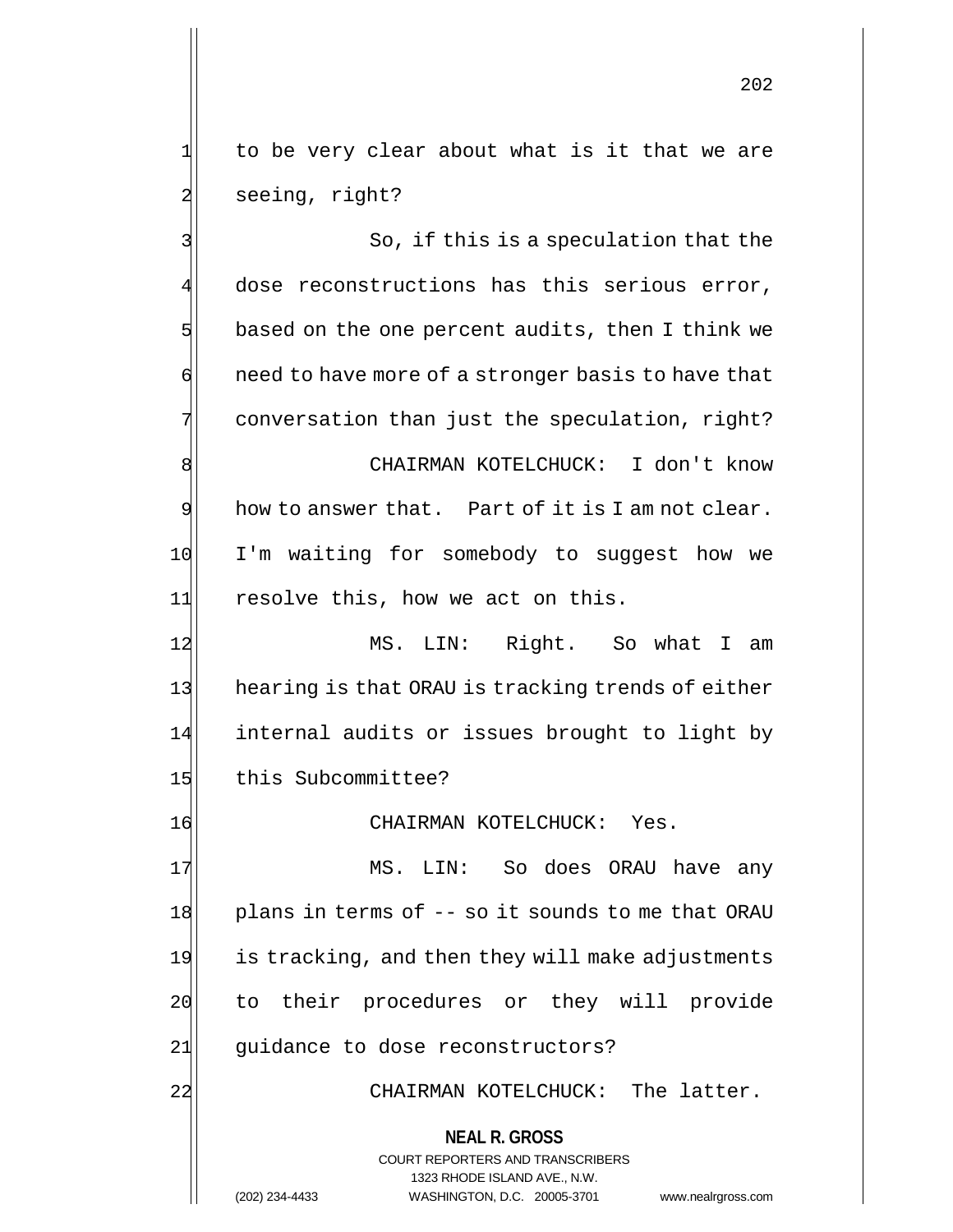$1$  to be very clear about what is it that we are 2 seeing, right?

**NEAL R. GROSS** COURT REPORTERS AND TRANSCRIBERS 1323 RHODE ISLAND AVE., N.W. 3 3 So, if this is a speculation that the 4 dose reconstructions has this serious error,  $5$  based on the one percent audits, then I think we  $\phi$  need to have more of a stronger basis to have that 7 conversation than just the speculation, right? 8 SI CHAIRMAN KOTELCHUCK: I don't know  $9$  how to answer that. Part of it is I am not clear. 10 I'm waiting for somebody to suggest how we 11 resolve this, how we act on this. 12 MS. LIN: Right. So what I am 13 hearing is that ORAU is tracking trends of either 14 internal audits or issues brought to light by 15 this Subcommittee? 16 CHAIRMAN KOTELCHUCK: Yes. 17 MS. LIN: So does ORAU have any  $18$  plans in terms of  $-$  so it sounds to me that ORAU 19 is tracking, and then they will make adjustments 20 to their procedures or they will provide 21 guidance to dose reconstructors? 22 CHAIRMAN KOTELCHUCK: The latter.

(202) 234-4433 WASHINGTON, D.C. 20005-3701 www.nealrgross.com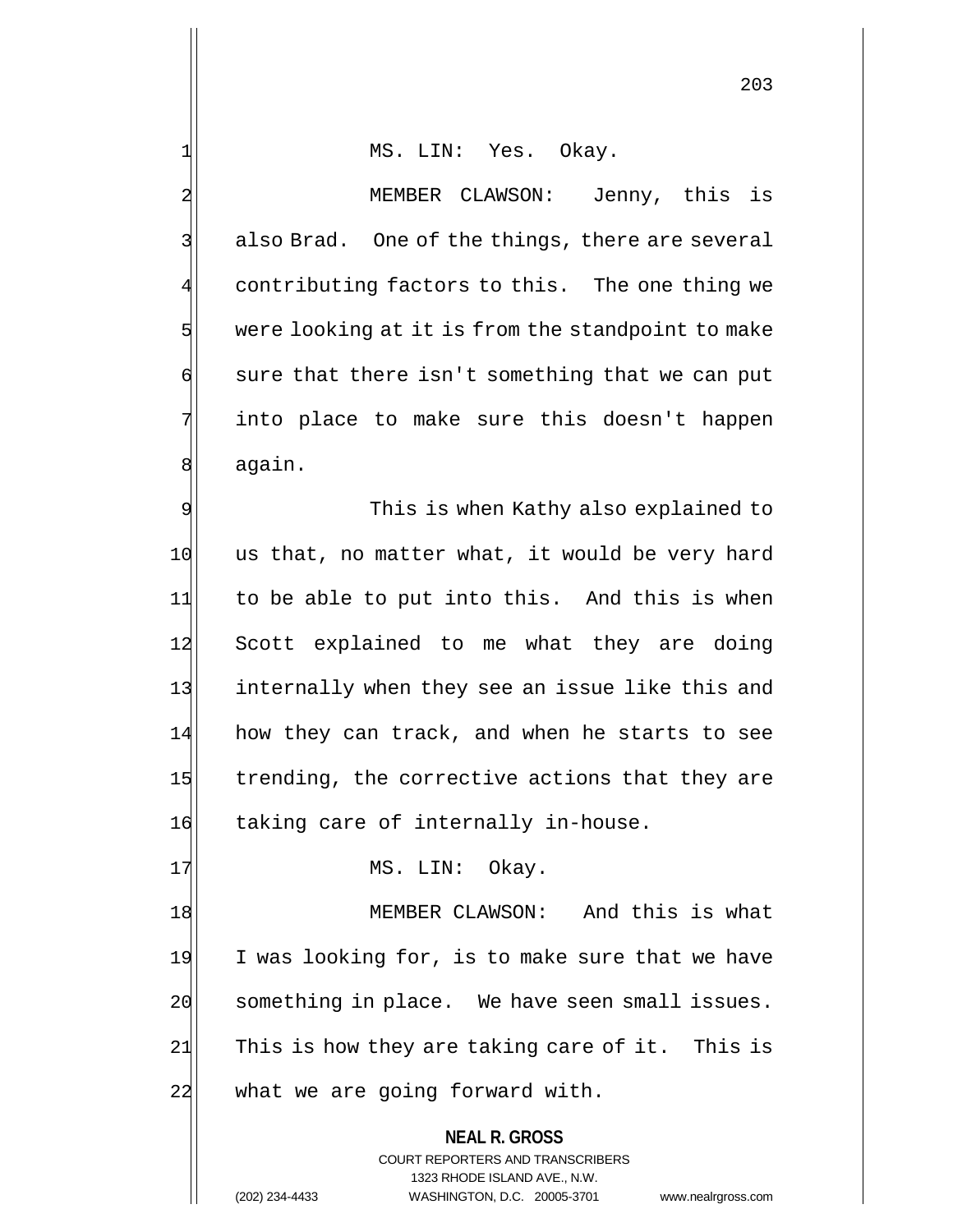1 MS. LIN: Yes. Okay.

2<sup>|</sup> MEMBER CLAWSON: Jenny, this is  $3$  also Brad. One of the things, there are several 4 contributing factors to this. The one thing we  $5$  were looking at it is from the standpoint to make  $\left| \cdot \right|$  sure that there isn't something that we can put 7 into place to make sure this doesn't happen 8 again.

9 This is when Kathy also explained to 10 us that, no matter what, it would be very hard 11 to be able to put into this. And this is when 12 Scott explained to me what they are doing 13 internally when they see an issue like this and 14 how they can track, and when he starts to see 15 trending, the corrective actions that they are 16 taking care of internally in-house.

18 MEMBER CLAWSON: And this is what 19 I was looking for, is to make sure that we have 20 something in place. We have seen small issues.  $21$  This is how they are taking care of it. This is 22 what we are going forward with.

17 MS. LIN: Okay.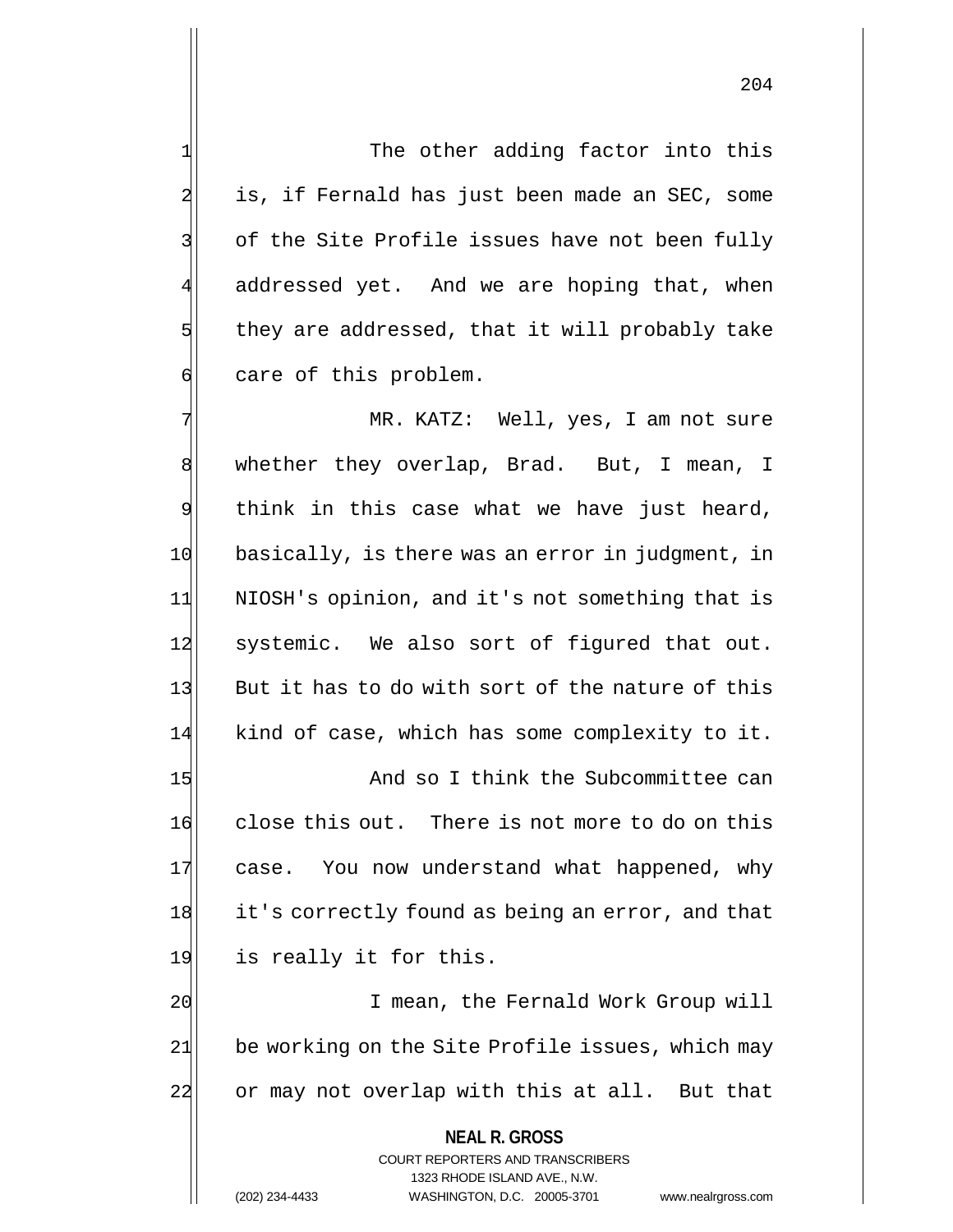1 The other adding factor into this 2 is, if Fernald has just been made an SEC, some 3 3 of the Site Profile issues have not been fully addressed yet. And we are hoping that, when  $5$  they are addressed, that it will probably take 6 care of this problem.

7 MR. KATZ: Well, yes, I am not sure 8 whether they overlap, Brad. But, I mean, I 9 think in this case what we have just heard, 10 basically, is there was an error in judgment, in 11 NIOSH's opinion, and it's not something that is 12 systemic. We also sort of figured that out. 13 But it has to do with sort of the nature of this 14 kind of case, which has some complexity to it.

15 And so I think the Subcommittee can 16 close this out. There is not more to do on this 17 case. You now understand what happened, why 18 it's correctly found as being an error, and that 19 is really it for this.

20 I mean, the Fernald Work Group will 21 be working on the Site Profile issues, which may 22 or may not overlap with this at all. But that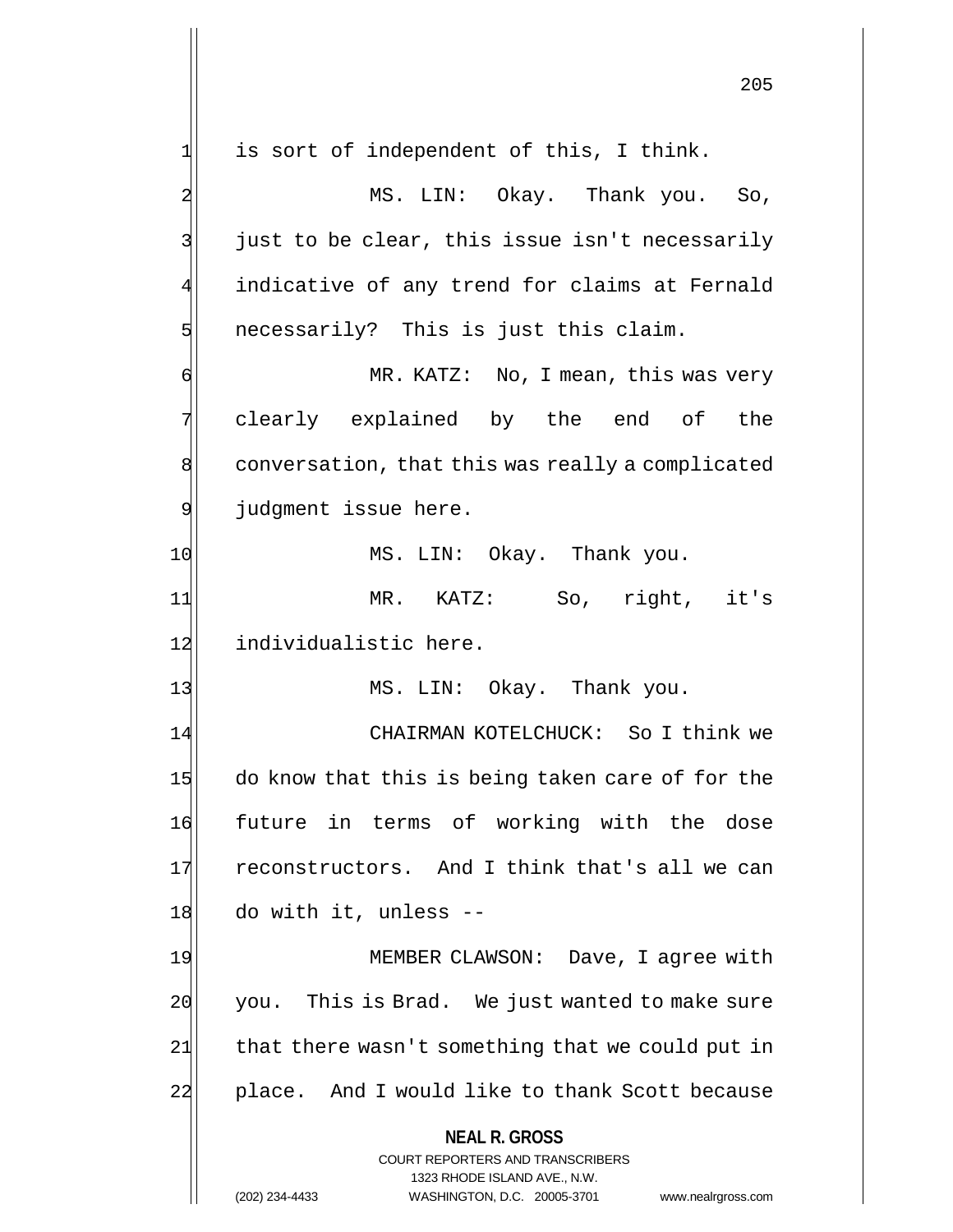**NEAL R. GROSS** COURT REPORTERS AND TRANSCRIBERS 1323 RHODE ISLAND AVE., N.W.  $1$  is sort of independent of this, I think. 2 MS. LIN: Okay. Thank you. So,  $3$  just to be clear, this issue isn't necessarily 4 indicative of any trend for claims at Fernald  $5$  necessarily? This is just this claim. 6 MR. KATZ: No, I mean, this was very 7 clearly explained by the end of the 8 conversation, that this was really a complicated 9 judgment issue here. 10 MS. LIN: Okay. Thank you. 11 MR. KATZ: So, right, it's 12 individualistic here. 13 MS. LIN: Okay. Thank you. 14 CHAIRMAN KOTELCHUCK: So I think we 15 do know that this is being taken care of for the 16 future in terms of working with the dose 17 reconstructors. And I think that's all we can  $18$  do with it, unless  $-$ 19 MEMBER CLAWSON: Dave, I agree with 20 you. This is Brad. We just wanted to make sure  $21$  that there wasn't something that we could put in 22 place. And I would like to thank Scott because

(202) 234-4433 WASHINGTON, D.C. 20005-3701 www.nealrgross.com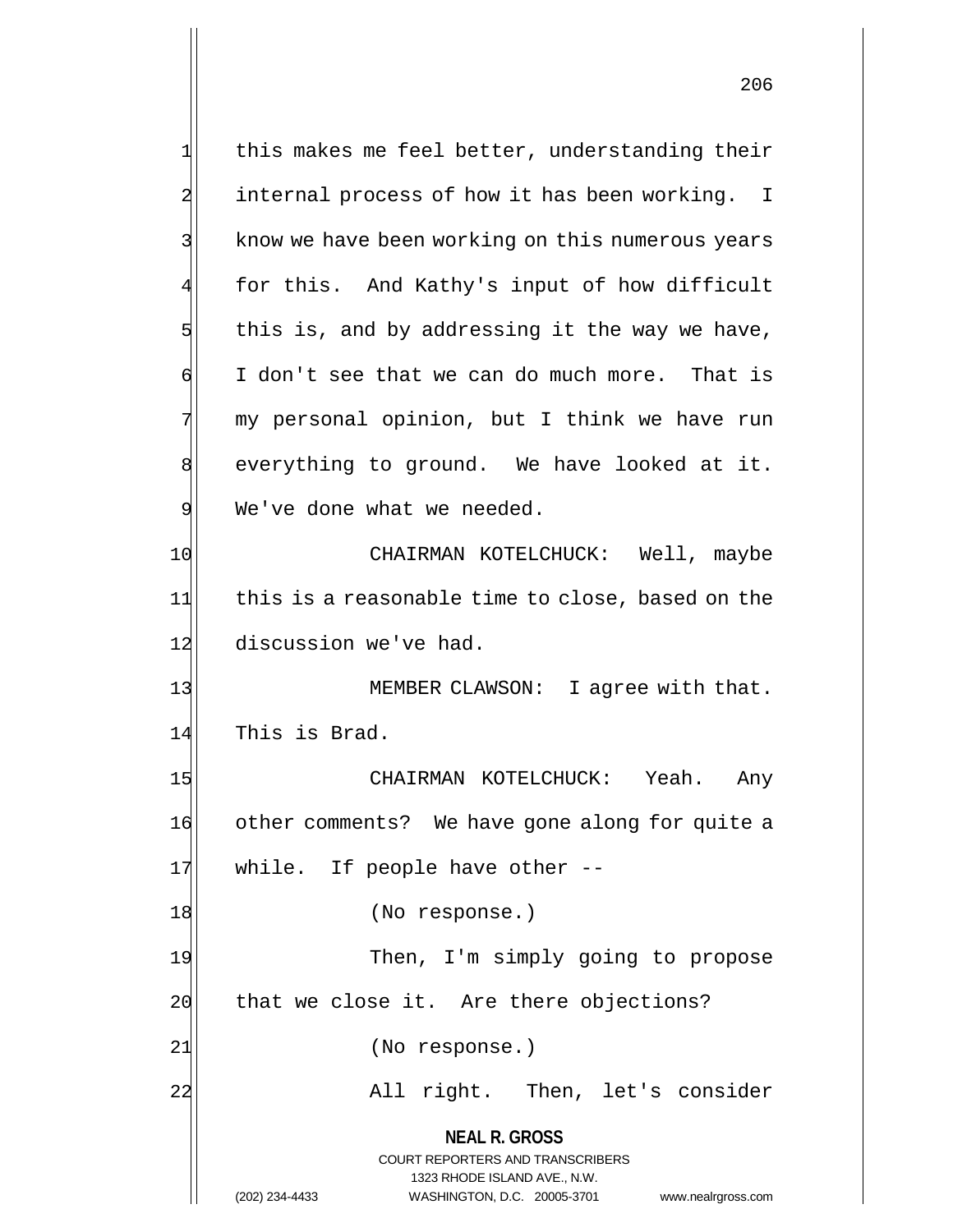**NEAL R. GROSS** COURT REPORTERS AND TRANSCRIBERS 1323 RHODE ISLAND AVE., N.W. (202) 234-4433 WASHINGTON, D.C. 20005-3701 www.nealrgross.com  $1$  this makes me feel better, understanding their 2 internal process of how it has been working. I 3 8 know we have been working on this numerous years 4 for this. And Kathy's input of how difficult  $5$  this is, and by addressing it the way we have,  $\mathfrak{g}$  I don't see that we can do much more. That is 7 my personal opinion, but I think we have run 8 everything to ground. We have looked at it. 9 We've done what we needed. 10 CHAIRMAN KOTELCHUCK: Well, maybe 11 this is a reasonable time to close, based on the 12 discussion we've had. 13 MEMBER CLAWSON: I agree with that. 14 This is Brad. 15 CHAIRMAN KOTELCHUCK: Yeah. Any 16 other comments? We have gone along for quite a 17 while. If people have other --18 (No response.) 19 Then, I'm simply going to propose  $20$  that we close it. Are there objections? 21 (No response.) 22 All right. Then, let's consider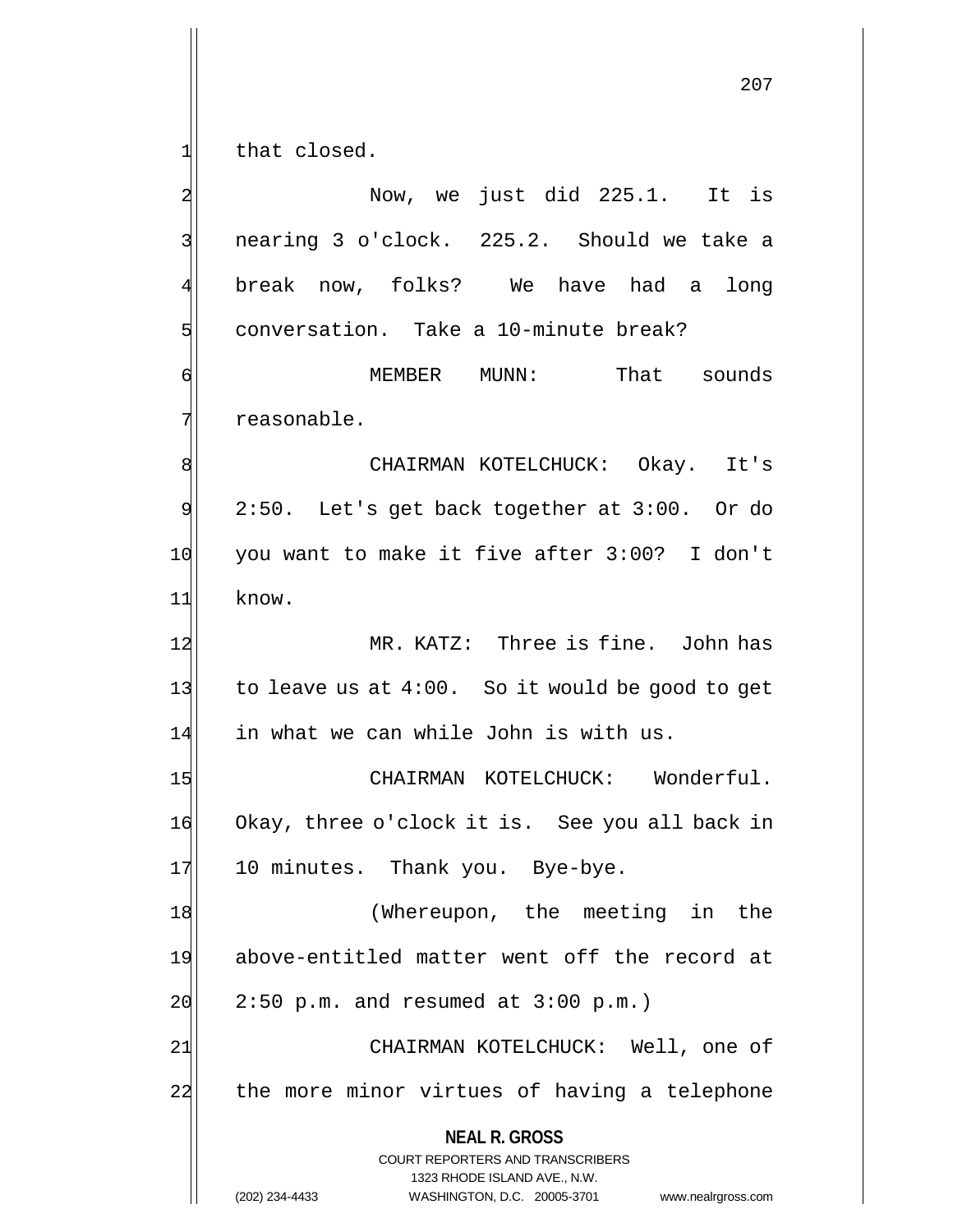**NEAL R. GROSS** COURT REPORTERS AND TRANSCRIBERS 207  $1$  that closed. 2 Now, we just did 225.1. It is 3 nearing 3 o'clock. 225.2. Should we take a 4 break now, folks? We have had a long 5 s conversation. Take a 10-minute break? 6 MEMBER MUNN: That sounds 7 reasonable. 8 | CHAIRMAN KOTELCHUCK: Okay. It's  $9$  2:50. Let's get back together at 3:00. Or do 10 you want to make it five after 3:00? I don't 11 know. 12 MR. KATZ: Three is fine. John has 13 to leave us at  $4:00$ . So it would be good to get 14 in what we can while John is with us. 15 | CHAIRMAN KOTELCHUCK: Wonderful. 16 Okay, three o'clock it is. See you all back in 17 10 minutes. Thank you. Bye-bye. 18 (Whereupon, the meeting in the 19 above-entitled matter went off the record at  $20$  2:50 p.m. and resumed at 3:00 p.m.) 21 CHAIRMAN KOTELCHUCK: Well, one of 22 the more minor virtues of having a telephone

> 1323 RHODE ISLAND AVE., N.W. (202) 234-4433 WASHINGTON, D.C. 20005-3701 www.nealrgross.com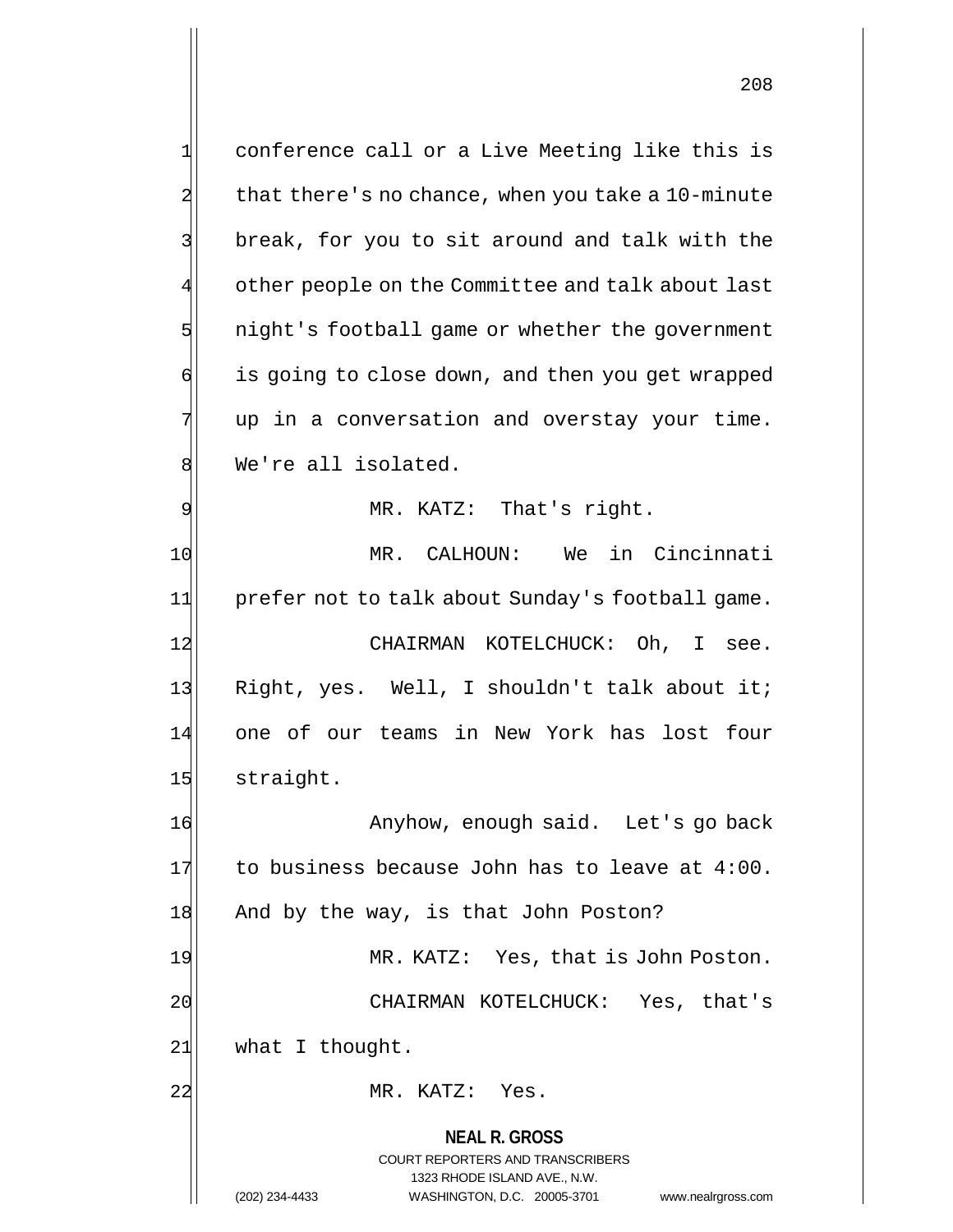**NEAL R. GROSS** COURT REPORTERS AND TRANSCRIBERS 1323 RHODE ISLAND AVE., N.W. 1 conference call or a Live Meeting like this is  $2$  that there's no chance, when you take a 10-minute 3 3 break, for you to sit around and talk with the other people on the Committee and talk about last  $5$  night's football game or whether the government 6 is going to close down, and then you get wrapped  $7$  up in a conversation and overstay your time. 8 We're all isolated. 9 MR. KATZ: That's right. 10 MR. CALHOUN: We in Cincinnati 11 prefer not to talk about Sunday's football game. 12 CHAIRMAN KOTELCHUCK: Oh, I see. 13 Right, yes. Well, I shouldn't talk about it; 14 one of our teams in New York has lost four 15 straight. 16 Anyhow, enough said. Let's go back  $17$  to business because John has to leave at 4:00. 18 And by the way, is that John Poston? 19 MR. KATZ: Yes, that is John Poston. 20 CHAIRMAN KOTELCHUCK: Yes, that's  $21$  what I thought. 22 MR. KATZ: Yes.

(202) 234-4433 WASHINGTON, D.C. 20005-3701 www.nealrgross.com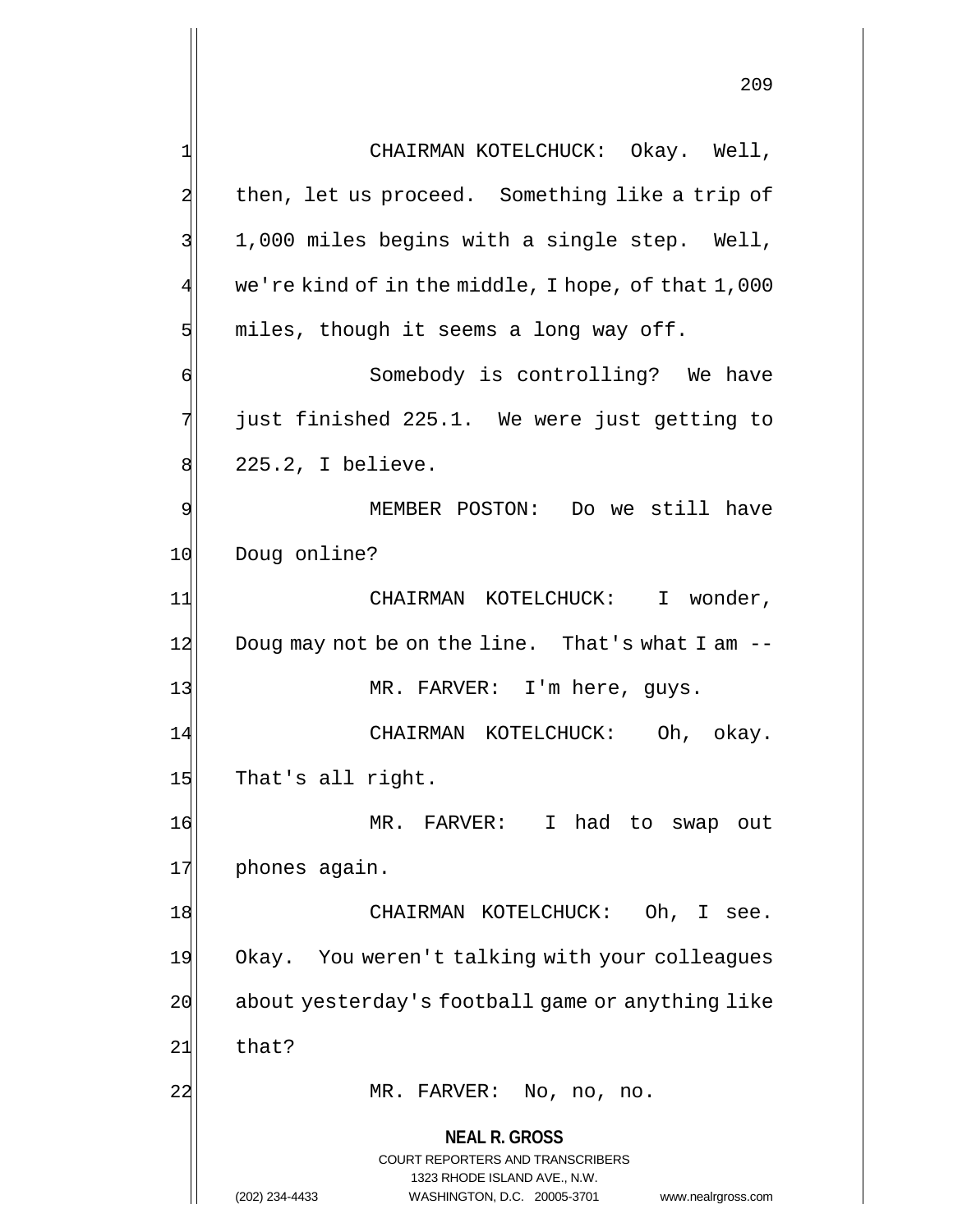|    | 209                                                                                                 |
|----|-----------------------------------------------------------------------------------------------------|
|    | CHAIRMAN KOTELCHUCK: Okay. Well,                                                                    |
|    | then, let us proceed. Something like a trip of                                                      |
|    | 1,000 miles begins with a single step. Well,                                                        |
| 4  | we're kind of in the middle, I hope, of that 1,000                                                  |
| 5  | miles, though it seems a long way off.                                                              |
| 6  | Somebody is controlling? We have                                                                    |
| 7  | just finished 225.1. We were just getting to                                                        |
| 8  | 225.2, I believe.                                                                                   |
| 9  | MEMBER POSTON: Do we still have                                                                     |
| 10 | Doug online?                                                                                        |
| 11 | CHAIRMAN KOTELCHUCK: I wonder,                                                                      |
| 12 | Doug may not be on the line. That's what I am --                                                    |
| 13 | MR. FARVER: I'm here, guys.                                                                         |
| 14 | CHAIRMAN KOTELCHUCK: Oh, okay.                                                                      |
| 15 | That's all right.                                                                                   |
| 16 | MR. FARVER: I had to swap out                                                                       |
| 17 | phones again.                                                                                       |
| 18 | CHAIRMAN KOTELCHUCK:<br>Oh, I see.                                                                  |
| 19 | Okay. You weren't talking with your colleagues                                                      |
| 20 | about yesterday's football game or anything like                                                    |
| 21 | that?                                                                                               |
| 22 | MR. FARVER: No, no, no.                                                                             |
|    | <b>NEAL R. GROSS</b>                                                                                |
|    | <b>COURT REPORTERS AND TRANSCRIBERS</b>                                                             |
|    | 1323 RHODE ISLAND AVE., N.W.<br>(202) 234-4433<br>WASHINGTON, D.C. 20005-3701<br>www.nealrgross.com |

Η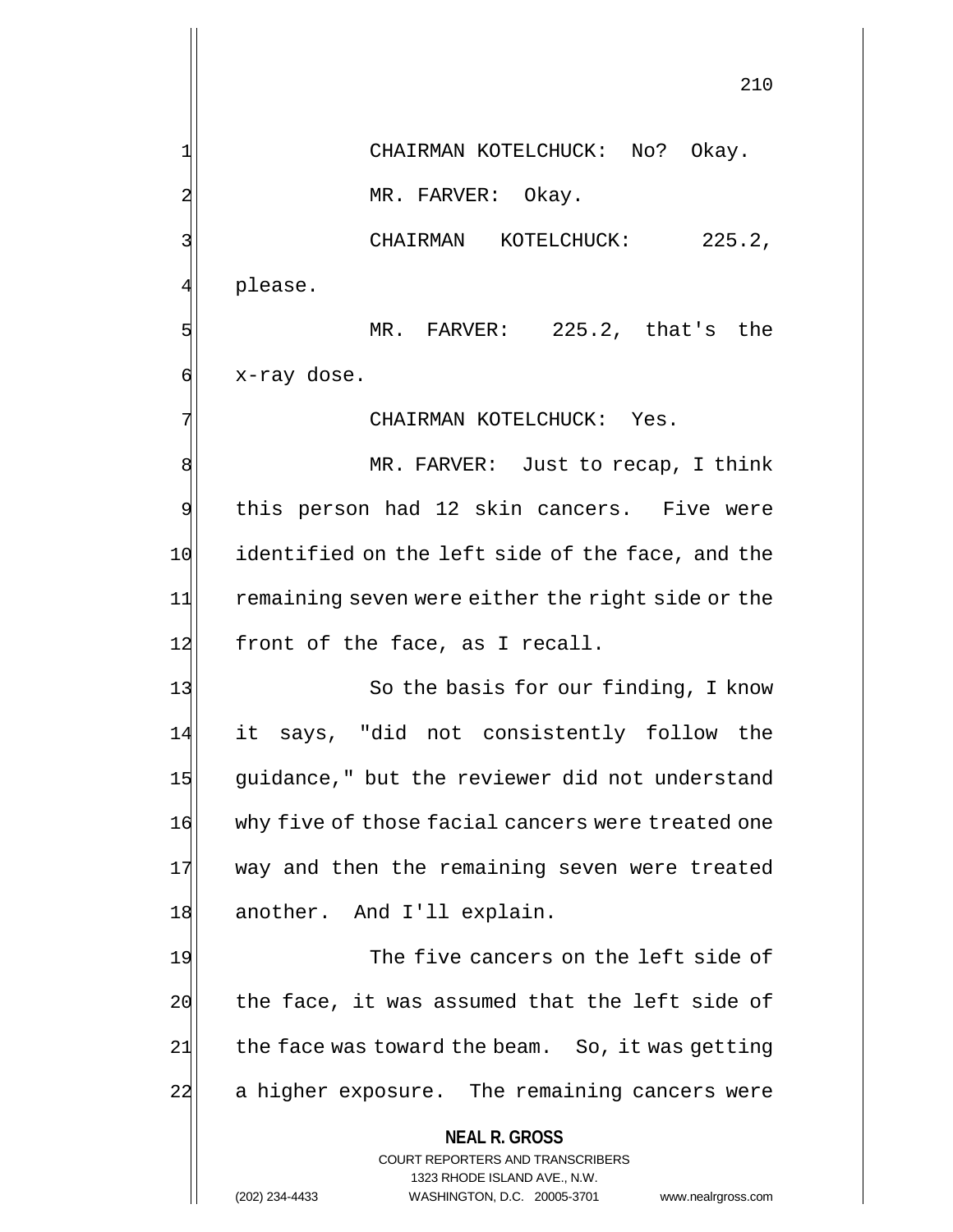**NEAL R. GROSS** COURT REPORTERS AND TRANSCRIBERS 1323 RHODE ISLAND AVE., N.W. 210 1 CHAIRMAN KOTELCHUCK: No? Okay. 2 MR. FARVER: Okay. 3 CHAIRMAN KOTELCHUCK: 225.2, 4 please. 5 MR. FARVER: 225.2, that's the  $\mathfrak{g}$  x-ray dose. 7 CHAIRMAN KOTELCHUCK: Yes. 8 MR. FARVER: Just to recap, I think 9 this person had 12 skin cancers. Five were 10 identified on the left side of the face, and the 11 remaining seven were either the right side or the 12 front of the face, as I recall. 13 So the basis for our finding, I know 14 it says, "did not consistently follow the 15 guidance," but the reviewer did not understand 16 why five of those facial cancers were treated one 17 way and then the remaining seven were treated 18 another. And I'll explain. 19 The five cancers on the left side of  $20$  the face, it was assumed that the left side of  $21$  the face was toward the beam. So, it was getting 22 a higher exposure. The remaining cancers were

(202) 234-4433 WASHINGTON, D.C. 20005-3701 www.nealrgross.com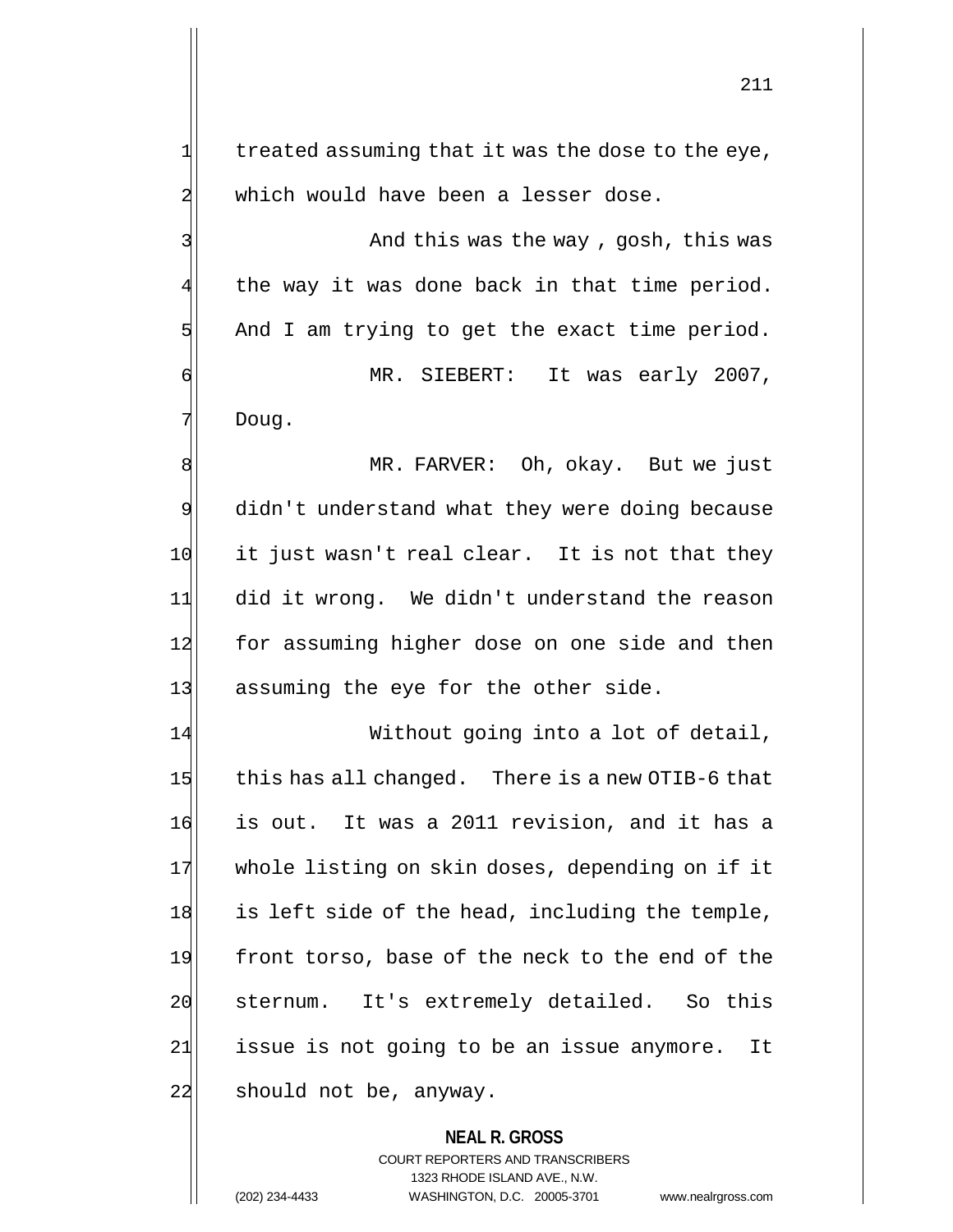$1$  treated assuming that it was the dose to the eye, 2 which would have been a lesser dose.

3 And this was the way, gosh, this was  $4$  the way it was done back in that time period.  $5$  And I am trying to get the exact time period.

6 MR. SIEBERT: It was early 2007, 7 Doug.

8 MR. FARVER: Oh, okay. But we just 9 didn't understand what they were doing because 10 it just wasn't real clear. It is not that they 11 did it wrong. We didn't understand the reason 12 for assuming higher dose on one side and then 13 assuming the eye for the other side.

14 Without going into a lot of detail, 15 this has all changed. There is a new OTIB-6 that 16 is out. It was a 2011 revision, and it has a 17 whole listing on skin doses, depending on if it 18 is left side of the head, including the temple, 19 front torso, base of the neck to the end of the 20 sternum. It's extremely detailed. So this 21 issue is not going to be an issue anymore. It 22 should not be, anyway.

> **NEAL R. GROSS** COURT REPORTERS AND TRANSCRIBERS 1323 RHODE ISLAND AVE., N.W. (202) 234-4433 WASHINGTON, D.C. 20005-3701 www.nealrgross.com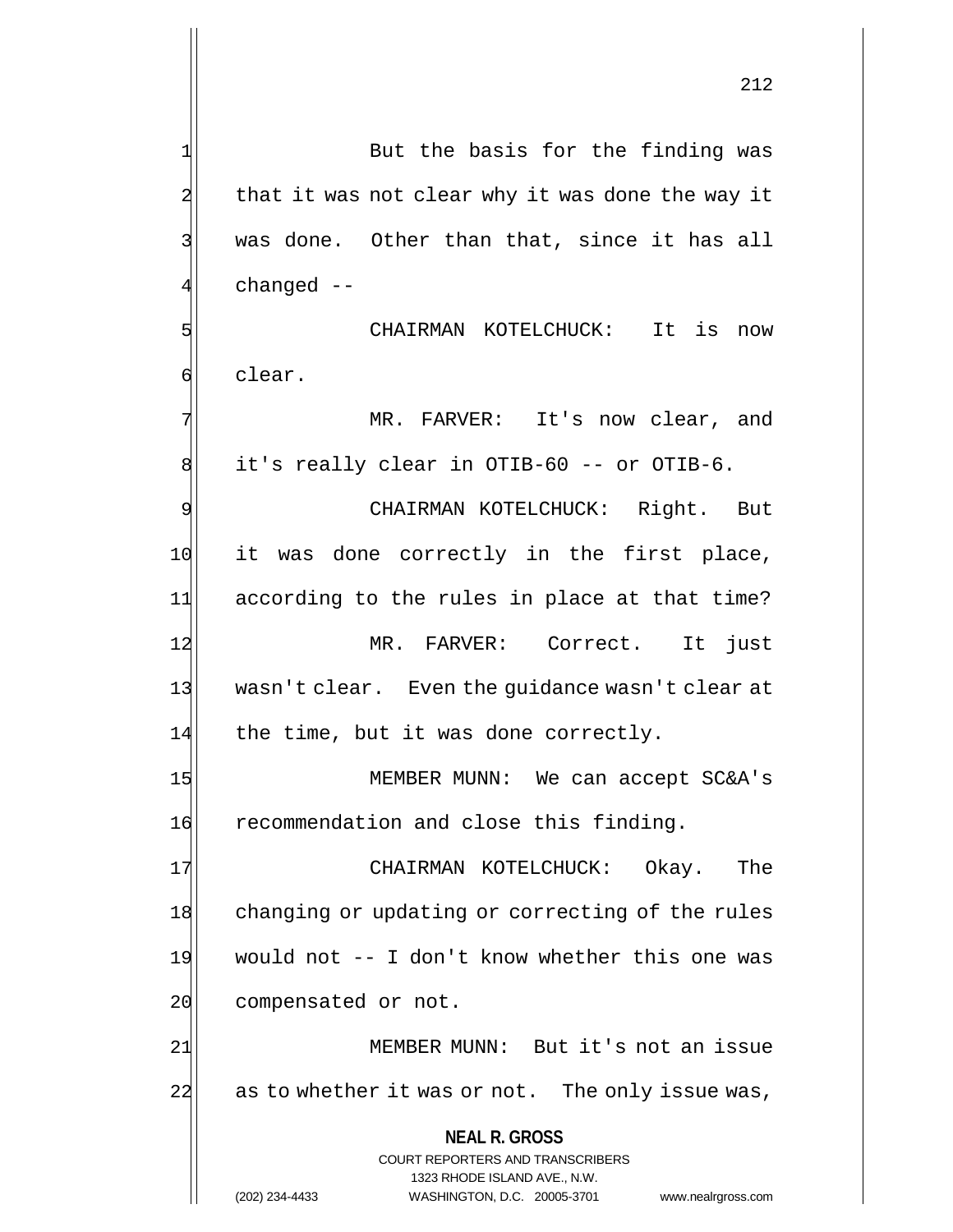**NEAL R. GROSS** COURT REPORTERS AND TRANSCRIBERS 1323 RHODE ISLAND AVE., N.W.  $2$  that it was not clear why it was done the way it 3 | was done. Other than that, since it has all 4 changed -- 5 SI CHAIRMAN KOTELCHUCK: It is now 6 clear. 7 MR. FARVER: It's now clear, and 8 it's really clear in OTIB-60 -- or OTIB-6. 9 | CHAIRMAN KOTELCHUCK: Right. But 10 it was done correctly in the first place, 11 according to the rules in place at that time? 12 MR. FARVER: Correct. It just 13 wasn't clear. Even the guidance wasn't clear at  $14$  the time, but it was done correctly. 15 MEMBER MUNN: We can accept SC&A's 16 recommendation and close this finding. 17 CHAIRMAN KOTELCHUCK: Okay. The 18 changing or updating or correcting of the rules 19 would not -- I don't know whether this one was 20 compensated or not. 21| MEMBER MUNN: But it's not an issue 22 as to whether it was or not. The only issue was,

1 But the basis for the finding was

(202) 234-4433 WASHINGTON, D.C. 20005-3701 www.nealrgross.com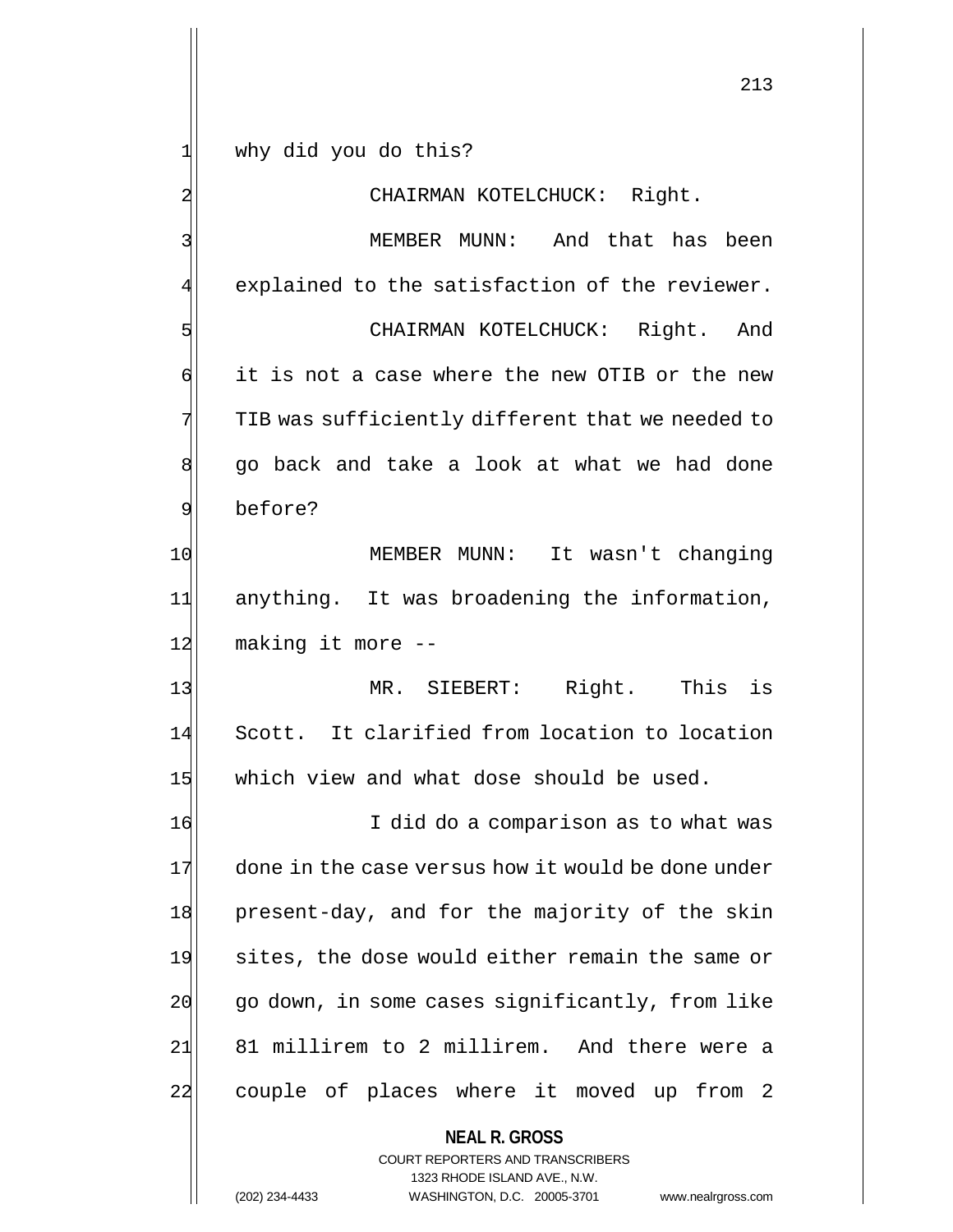1 why did you do this?

2 CHAIRMAN KOTELCHUCK: Right.

3 MEMBER MUNN: And that has been 4 explained to the satisfaction of the reviewer. 5 Solution CHAIRMAN KOTELCHUCK: Right. And 6 it is not a case where the new OTIB or the new  $7$  TIB was sufficiently different that we needed to 8 go back and take a look at what we had done 9 before?

10 MEMBER MUNN: It wasn't changing 11 anything. It was broadening the information, 12 making it more --

13 MR. SIEBERT: Right. This is 14 Scott. It clarified from location to location 15 which view and what dose should be used.

16 I did do a comparison as to what was 17 done in the case versus how it would be done under 18 present-day, and for the majority of the skin 19 sites, the dose would either remain the same or 20 go down, in some cases significantly, from like 21 81 millirem to 2 millirem. And there were a 22 couple of places where it moved up from 2

**NEAL R. GROSS**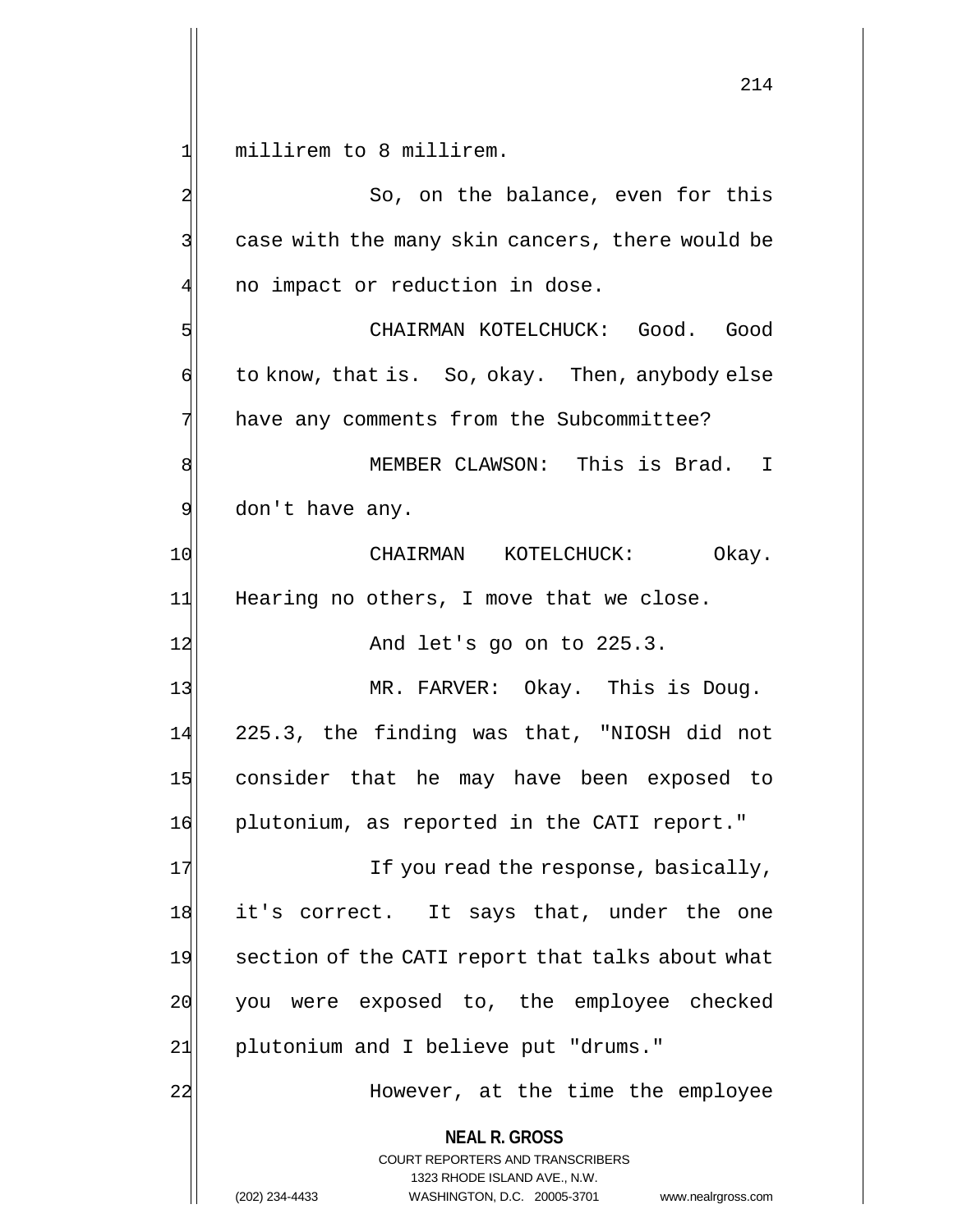1 millirem to 8 millirem.

**NEAL R. GROSS** COURT REPORTERS AND TRANSCRIBERS 1323 RHODE ISLAND AVE., N.W. (202) 234-4433 WASHINGTON, D.C. 20005-3701 www.nealrgross.com 2 So, on the balance, even for this 3 3 || case with the many skin cancers, there would be  $4$  no impact or reduction in dose. 5 CHAIRMAN KOTELCHUCK: Good. Good 6 to know, that is. So, okay. Then, anybody else 7 have any comments from the Subcommittee? 8 MEMBER CLAWSON: This is Brad. I  $9$  don't have any. 10 CHAIRMAN KOTELCHUCK: Okay. 11 Hearing no others, I move that we close. 12 And let's go on to 225.3. 13 MR. FARVER: Okay. This is Doug. 14 225.3, the finding was that, "NIOSH did not 15 consider that he may have been exposed to 16 plutonium, as reported in the CATI report." 17 If you read the response, basically, 18 it's correct. It says that, under the one 19 section of the CATI report that talks about what 20 you were exposed to, the employee checked 21 plutonium and I believe put "drums." 22 | Mowever, at the time the employee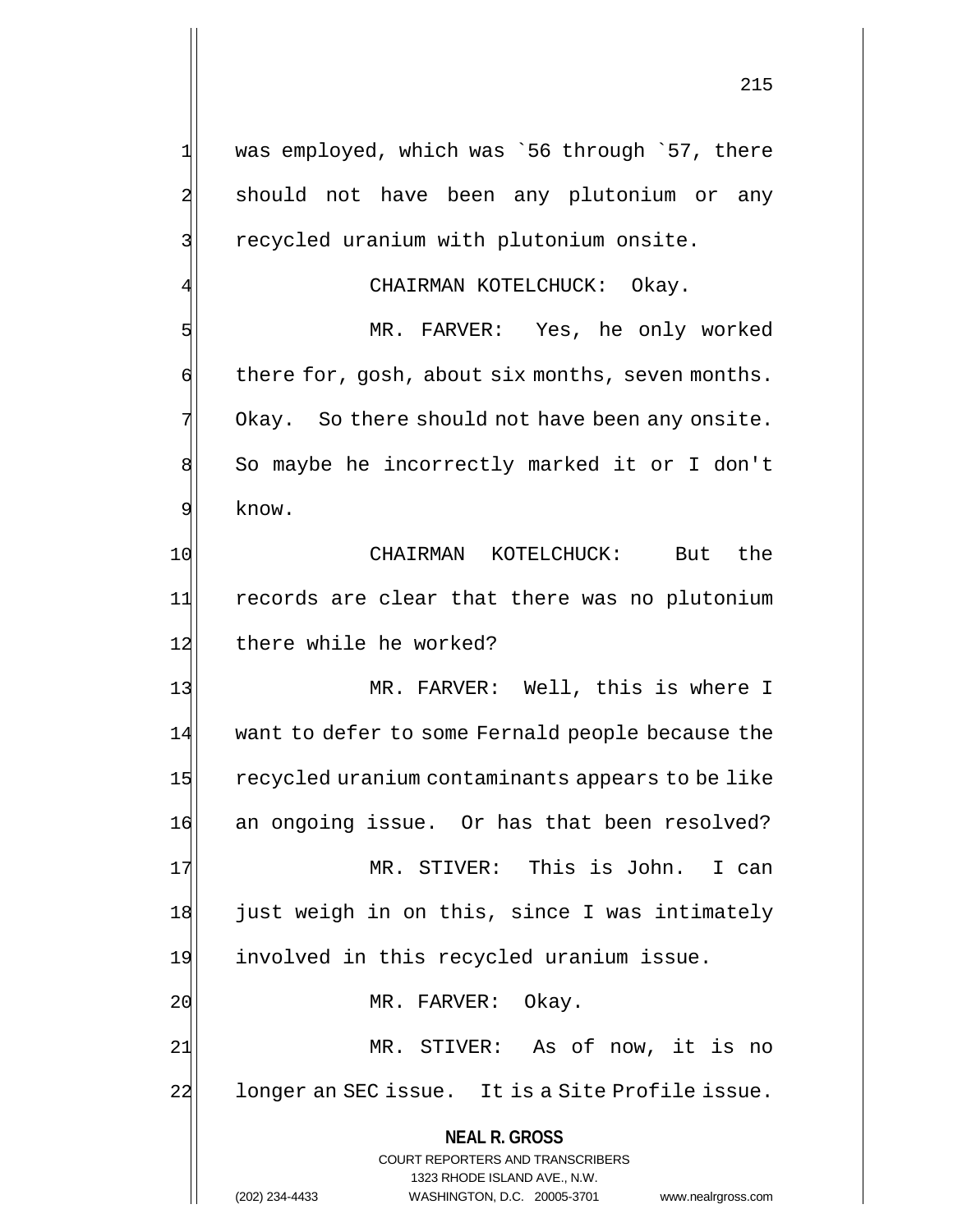1| was employed, which was `56 through `57, there 2 should not have been any plutonium or any 3 recycled uranium with plutonium onsite. CHAIRMAN KOTELCHUCK: Okay. 5 MR. FARVER: Yes, he only worked  $\phi$  there for, gosh, about six months, seven months.  $7$  Okay. So there should not have been any onsite. 8 So maybe he incorrectly marked it or I don't 9 know. 10 CHAIRMAN KOTELCHUCK: But the 11 records are clear that there was no plutonium 12 there while he worked? 13 MR. FARVER: Well, this is where I 14 want to defer to some Fernald people because the 15 recycled uranium contaminants appears to be like 16 an ongoing issue. Or has that been resolved? 17 MR. STIVER: This is John. I can 18 just weigh in on this, since I was intimately 19 involved in this recycled uranium issue. 20 MR. FARVER: Okay.

21 MR. STIVER: As of now, it is no 22 | longer an SEC issue. It is a Site Profile issue.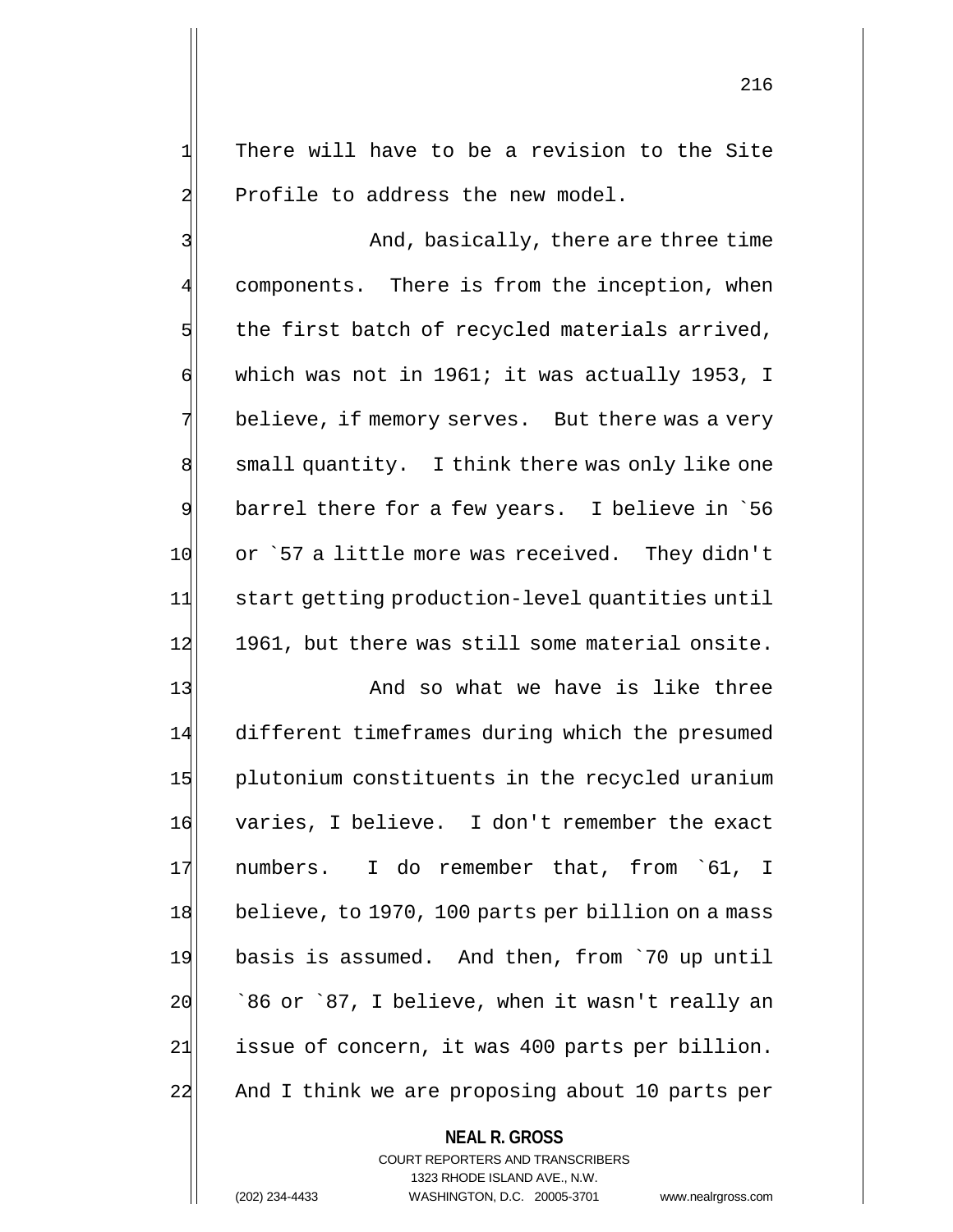$1$  There will have to be a revision to the Site 2 Profile to address the new model.

3 And, basically, there are three time components. There is from the inception, when  $5$  the first batch of recycled materials arrived, 6 which was not in 1961; it was actually 1953, I  $7$  believe, if memory serves. But there was a very 8 small quantity. I think there was only like one 9 barrel there for a few years. I believe in `56 10 or `57 a little more was received. They didn't 11| start getting production-level quantities until 12 1961, but there was still some material onsite.

13 And so what we have is like three 14 different timeframes during which the presumed 15 plutonium constituents in the recycled uranium 16 varies, I believe. I don't remember the exact 17 numbers. I do remember that, from `61, I 18 believe, to 1970, 100 parts per billion on a mass 19 basis is assumed. And then, from `70 up until  $20$   $\mid$   $86$  or  $87$ , I believe, when it wasn't really an 21 issue of concern, it was 400 parts per billion. 22 And I think we are proposing about 10 parts per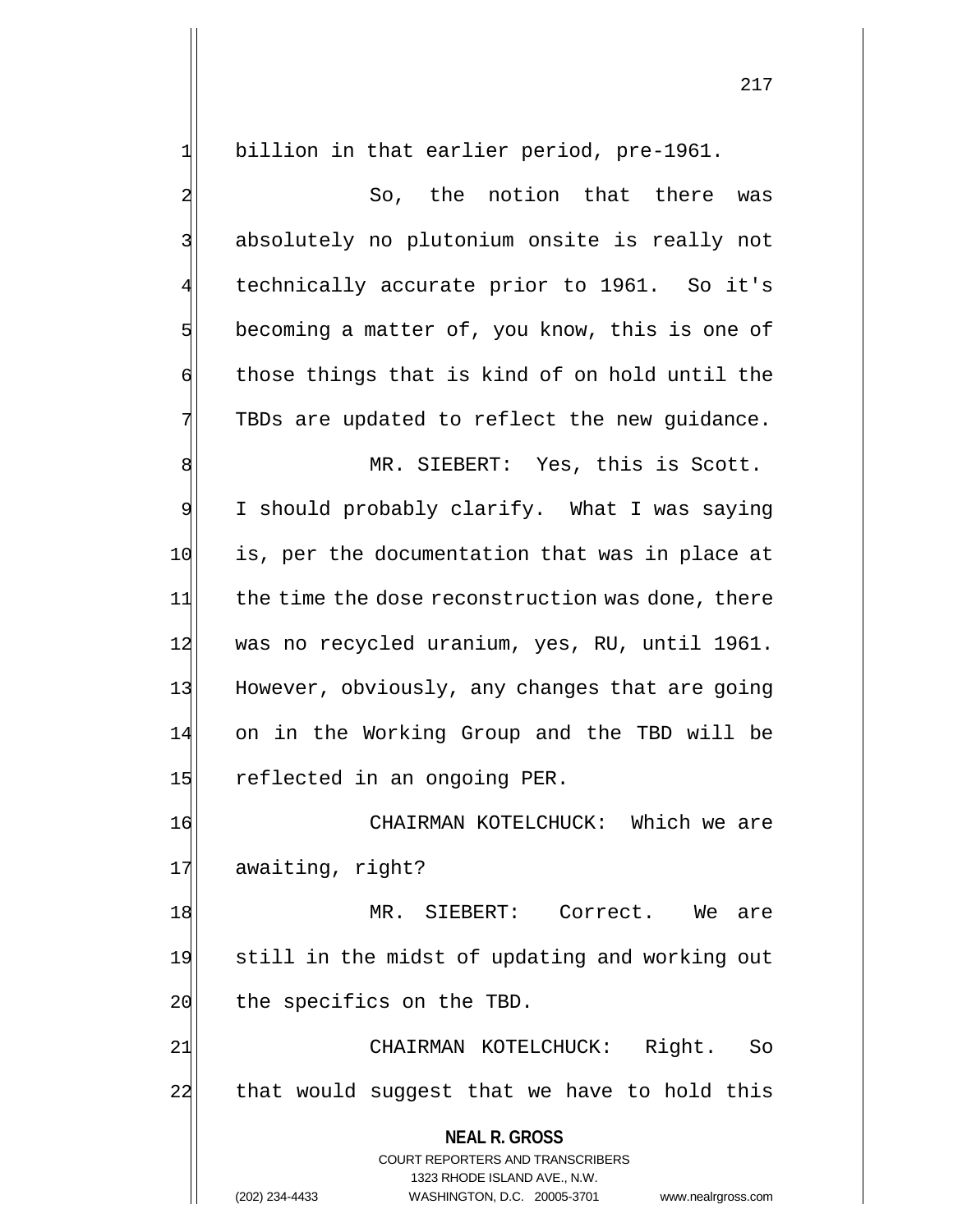1 billion in that earlier period, pre-1961.

2 So, the notion that there was 3 || absolutely no plutonium onsite is really not 4 technically accurate prior to 1961. So it's  $5$  becoming a matter of, you know, this is one of  $\mathfrak{h}$  those things that is kind of on hold until the 7 TBDs are updated to reflect the new quidance.

8 MR. SIEBERT: Yes, this is Scott. 9 I should probably clarify. What I was saying 10 is, per the documentation that was in place at 11 the time the dose reconstruction was done, there 12 was no recycled uranium, yes, RU, until 1961. 13 However, obviously, any changes that are going 14 on in the Working Group and the TBD will be 15 reflected in an ongoing PER.

16 CHAIRMAN KOTELCHUCK: Which we are 17 awaiting, right?

18 MR. SIEBERT: Correct. We are 19 still in the midst of updating and working out 20 the specifics on the TBD.

21 | CHAIRMAN KOTELCHUCK: Right. So 22 that would suggest that we have to hold this

> **NEAL R. GROSS** COURT REPORTERS AND TRANSCRIBERS

> > 1323 RHODE ISLAND AVE., N.W.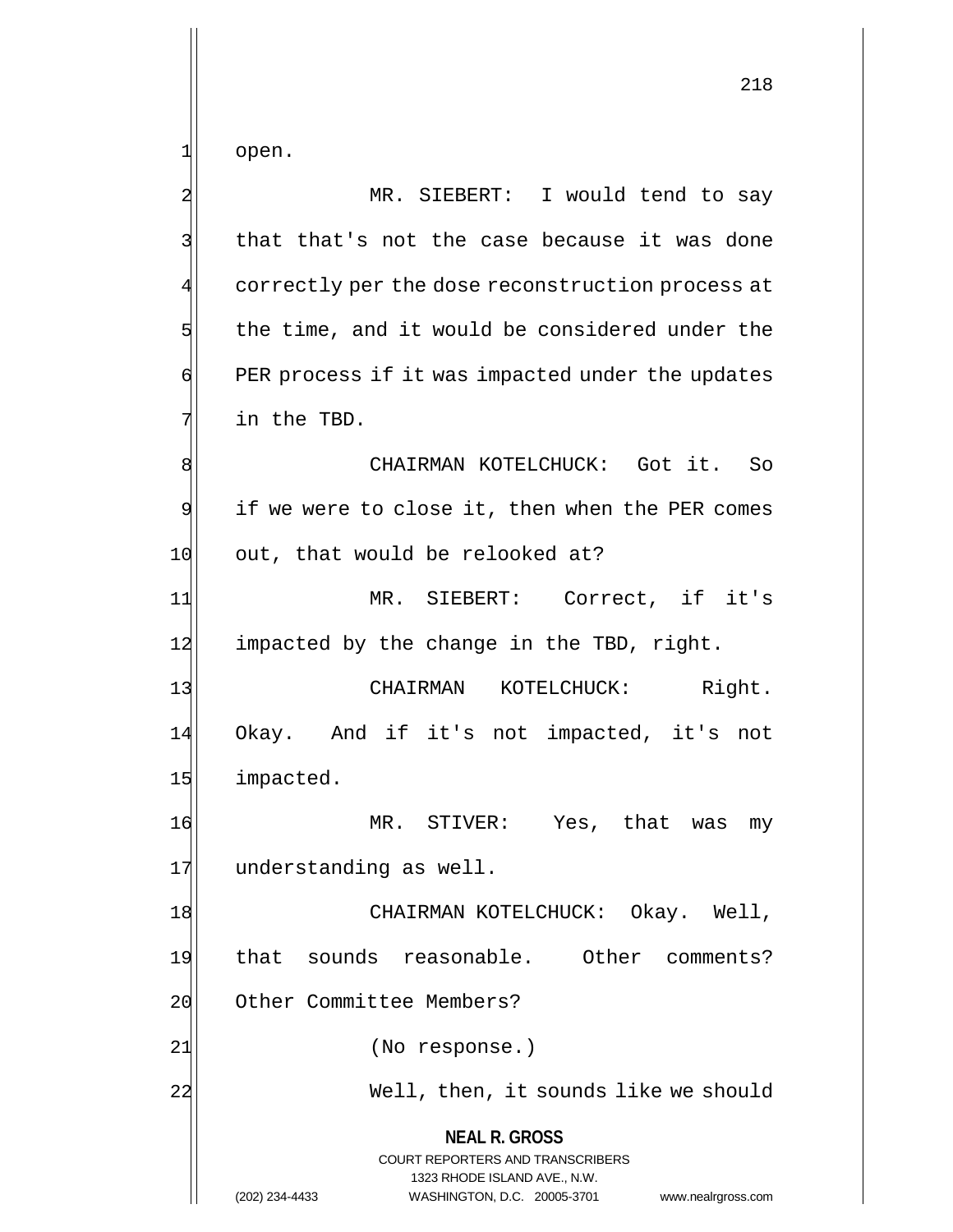1 open.

**NEAL R. GROSS** COURT REPORTERS AND TRANSCRIBERS 1323 RHODE ISLAND AVE., N.W. (202) 234-4433 WASHINGTON, D.C. 20005-3701 www.nealrgross.com 2 MR. SIEBERT: I would tend to say 3 that that's not the case because it was done 4 correctly per the dose reconstruction process at  $5$  the time, and it would be considered under the 6 PER process if it was impacted under the updates  $7$  in the TBD. 8 Solution of Music CHAIRMAN KOTELCHUCK: Got it. So  $9$  if we were to close it, then when the PER comes  $10$  out, that would be relooked at? 11 MR. SIEBERT: Correct, if it's  $12$  impacted by the change in the TBD, right. 13 | CHAIRMAN KOTELCHUCK: Right. 14 Okay. And if it's not impacted, it's not 15 impacted. 16 MR. STIVER: Yes, that was my 17 understanding as well. 18 | CHAIRMAN KOTELCHUCK: Okay. Well, 19 that sounds reasonable. Other comments? 20 Other Committee Members? 21| (No response.) 22 Mell, then, it sounds like we should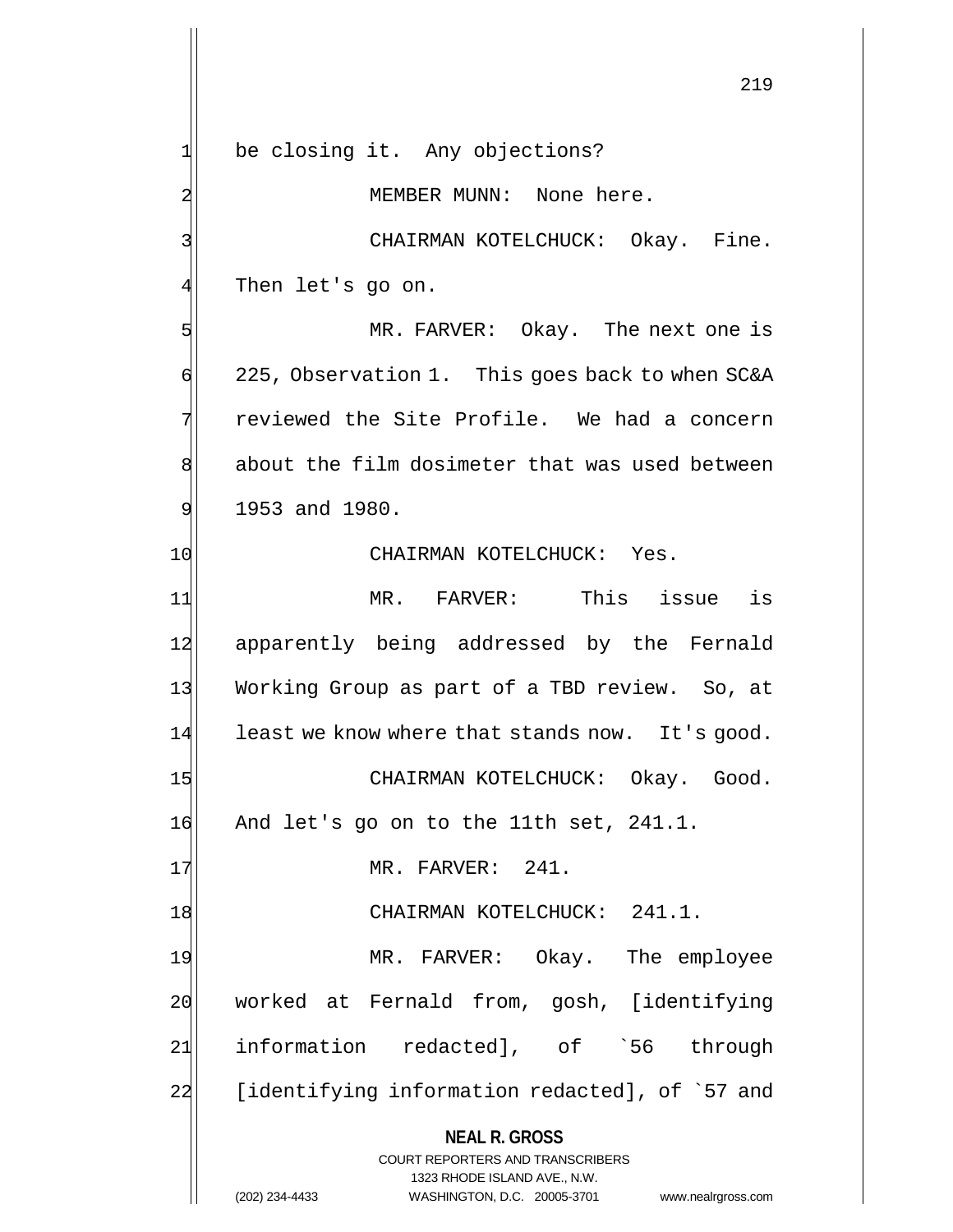**NEAL R. GROSS** COURT REPORTERS AND TRANSCRIBERS 1323 RHODE ISLAND AVE., N.W. (202) 234-4433 WASHINGTON, D.C. 20005-3701 www.nealrgross.com 219  $1$  be closing it. Any objections? 2 MEMBER MUNN: None here. 3 | CHAIRMAN KOTELCHUCK: Okay. Fine.  $4$  Then let's go on. 5 MR. FARVER: Okay. The next one is  $\left| \right|$  225, Observation 1. This goes back to when SC&A 7 reviewed the Site Profile. We had a concern 8 about the film dosimeter that was used between  $9!$  1953 and 1980. 10 CHAIRMAN KOTELCHUCK: Yes. 11 MR. FARVER: This issue is 12 apparently being addressed by the Fernald 13 Working Group as part of a TBD review. So, at  $14$  least we know where that stands now. It's good. 15 CHAIRMAN KOTELCHUCK: Okay. Good. 16 And let's go on to the 11th set, 241.1. 17 MR. FARVER: 241. 18 CHAIRMAN KOTELCHUCK: 241.1. 19 MR. FARVER: Okay. The employee 20 worked at Fernald from, gosh, [identifying 21 information redacted], of `56 through 22 [identifying information redacted], of `57 and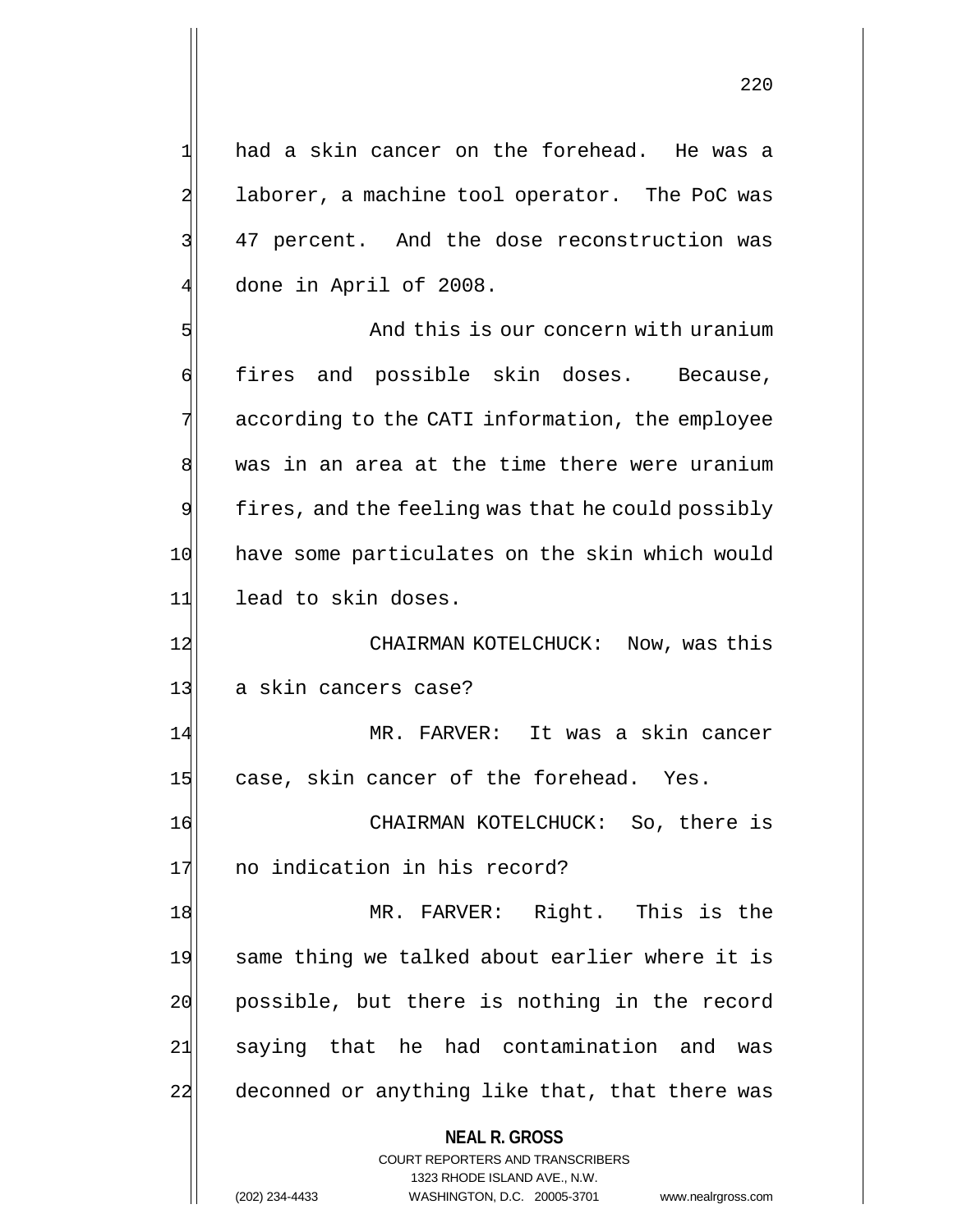$1$  had a skin cancer on the forehead. He was a 2 laborer, a machine tool operator. The PoC was 3 47 percent. And the dose reconstruction was 4 done in April of 2008.

5 Bell and this is our concern with uranium 6 fires and possible skin doses. Because, 7 according to the CATI information, the employee 8 was in an area at the time there were uranium  $9$  fires, and the feeling was that he could possibly 10 have some particulates on the skin which would 11 lead to skin doses.

12 CHAIRMAN KOTELCHUCK: Now, was this 13 a skin cancers case?

14 MR. FARVER: It was a skin cancer 15 case, skin cancer of the forehead. Yes.

16 CHAIRMAN KOTELCHUCK: So, there is 17 no indication in his record?

18 MR. FARVER: Right. This is the 19 same thing we talked about earlier where it is 20 possible, but there is nothing in the record 21 saying that he had contamination and was 22 deconned or anything like that, that there was

> **NEAL R. GROSS** COURT REPORTERS AND TRANSCRIBERS

1323 RHODE ISLAND AVE., N.W. (202) 234-4433 WASHINGTON, D.C. 20005-3701 www.nealrgross.com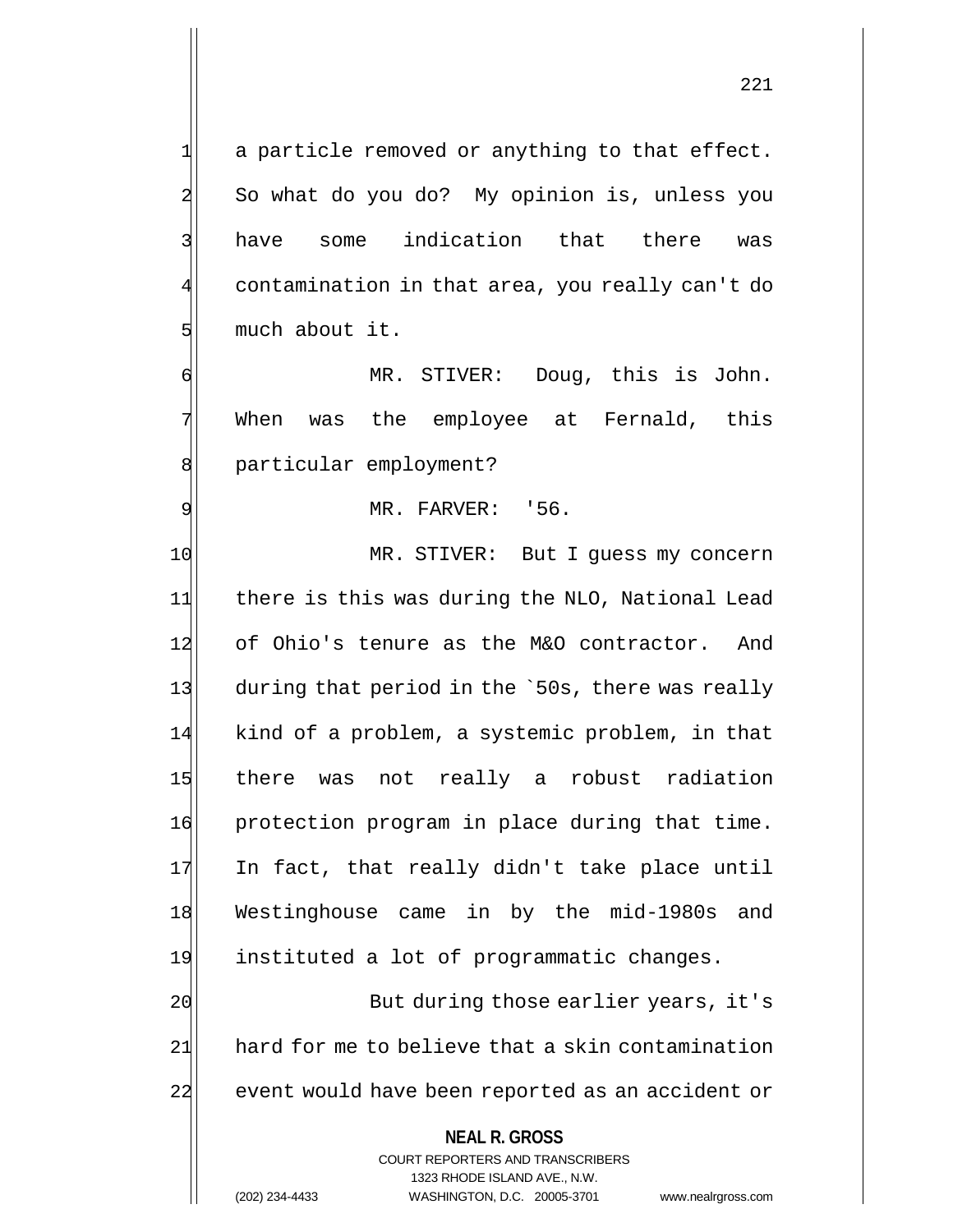221

 $1$  a particle removed or anything to that effect. 2 So what do you do? My opinion is, unless you 3 have some indication that there was contamination in that area, you really can't do 5 much about it.

6 MR. STIVER: Doug, this is John. 7 When was the employee at Fernald, this 8 | particular employment?

9 MR. FARVER: '56.

10 MR. STIVER: But I quess my concern 11 there is this was during the NLO, National Lead 12 of Ohio's tenure as the M&O contractor. And 13 during that period in the `50s, there was really 14 kind of a problem, a systemic problem, in that 15 there was not really a robust radiation 16 protection program in place during that time. 17 In fact, that really didn't take place until 18 Westinghouse came in by the mid-1980s and 19 instituted a lot of programmatic changes.

20 But during those earlier years, it's  $21$  hard for me to believe that a skin contamination 22 event would have been reported as an accident or

### **NEAL R. GROSS**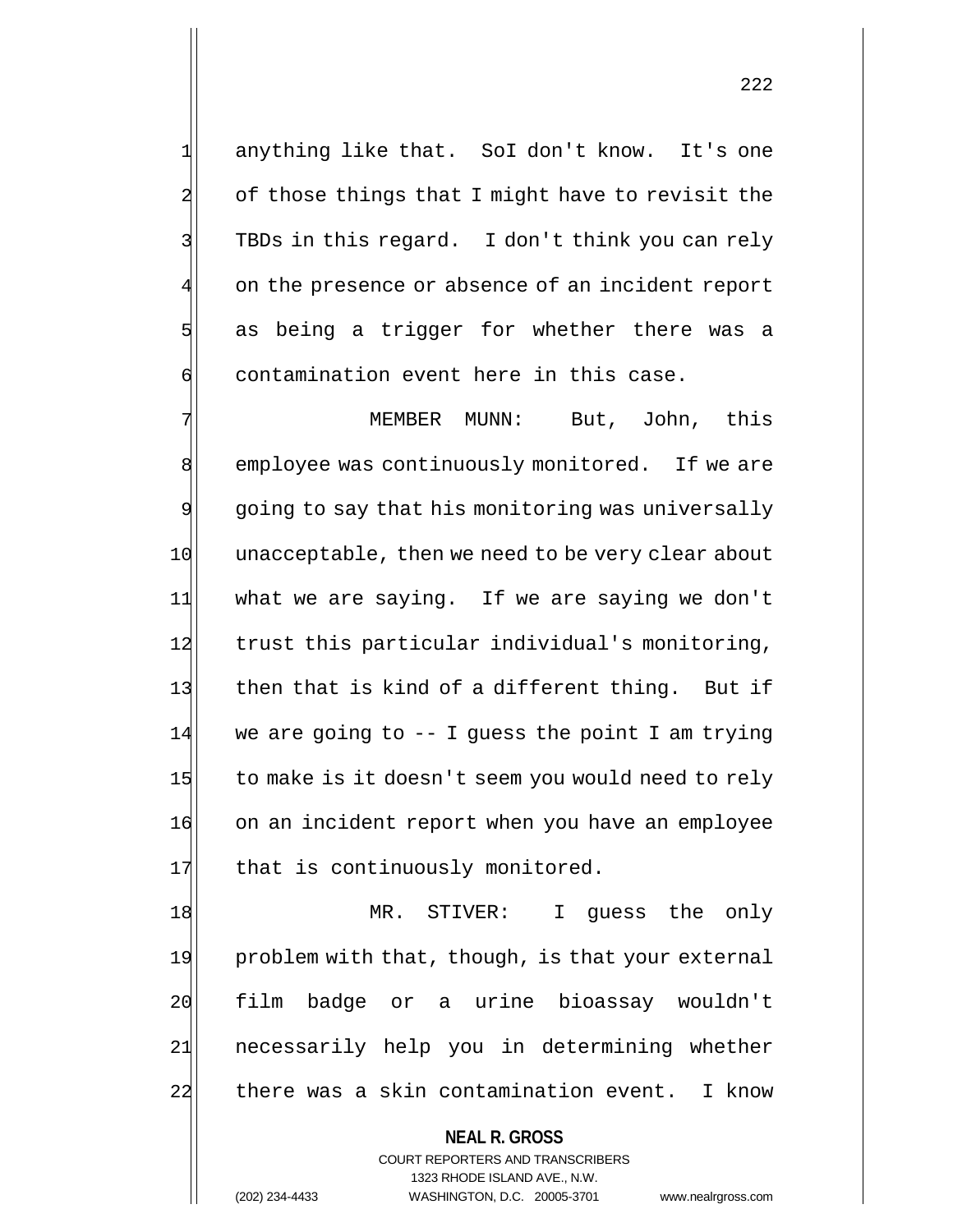1 anything like that. SoI don't know. It's one 2 of those things that I might have to revisit the 3 TBDs in this regard. I don't think you can rely on the presence or absence of an incident report 5 as being a trigger for whether there was a  $\mathfrak{g}$  contamination event here in this case.

7 MEMBER MUNN: But, John, this 8 employee was continuously monitored. If we are 9 going to say that his monitoring was universally 10 unacceptable, then we need to be very clear about 11 what we are saying. If we are saying we don't 12 trust this particular individual's monitoring, 13 then that is kind of a different thing. But if  $14$  we are going to  $-$  I guess the point I am trying 15 to make is it doesn't seem you would need to rely 16 on an incident report when you have an employee 17 that is continuously monitored.

18 MR. STIVER: I guess the only 19 problem with that, though, is that your external 20 film badge or a urine bioassay wouldn't 21 necessarily help you in determining whether 22 there was a skin contamination event. I know

> **NEAL R. GROSS** COURT REPORTERS AND TRANSCRIBERS 1323 RHODE ISLAND AVE., N.W. (202) 234-4433 WASHINGTON, D.C. 20005-3701 www.nealrgross.com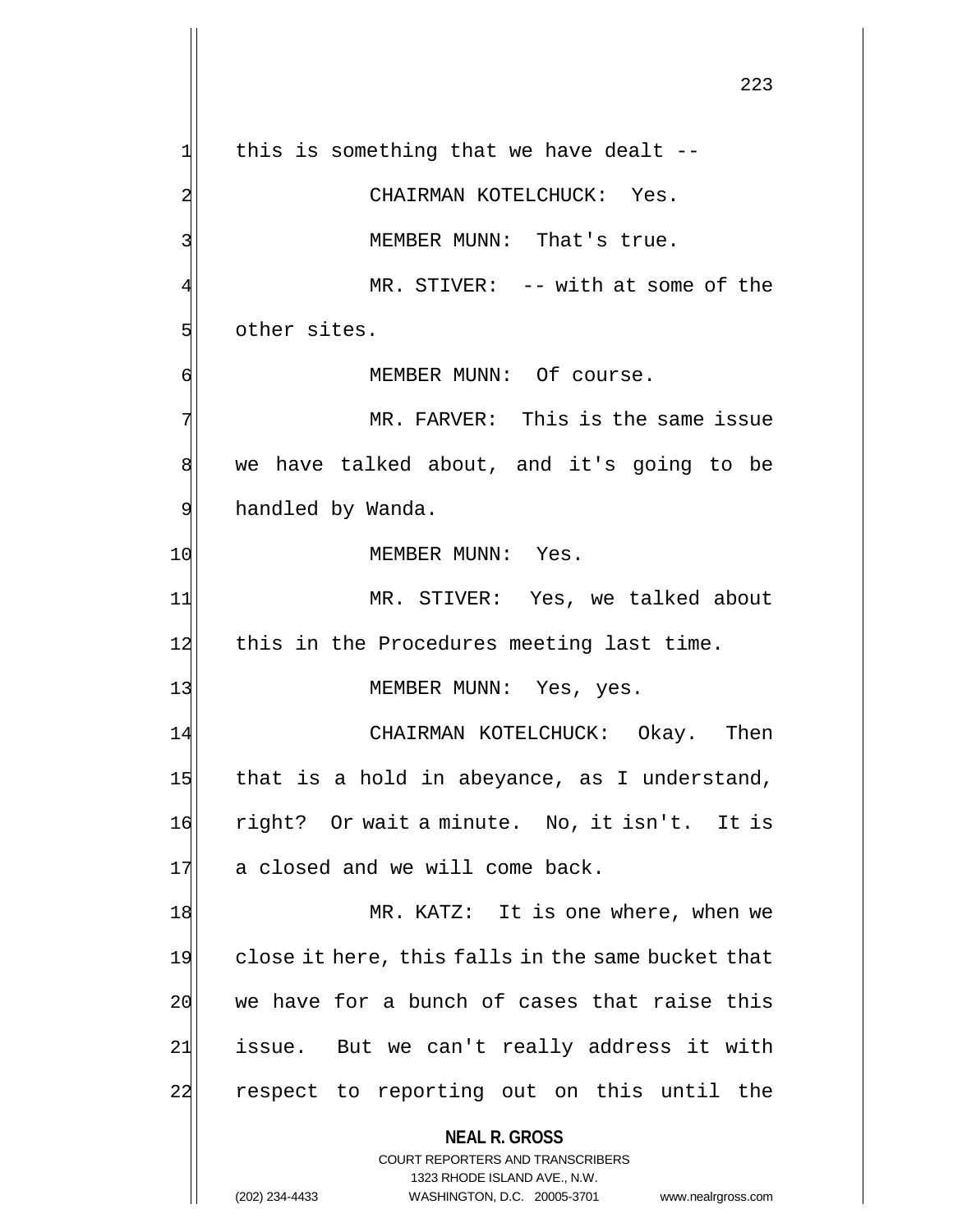**NEAL R. GROSS** COURT REPORTERS AND TRANSCRIBERS 1323 RHODE ISLAND AVE., N.W. 223  $1$  this is something that we have dealt --2 CHAIRMAN KOTELCHUCK: Yes. 3 MEMBER MUNN: That's true.  $MR.$  STIVER:  $--$  with at some of the 5 other sites. 6 | MEMBER MUNN: Of course. 7 MR. FARVER: This is the same issue 8 we have talked about, and it's going to be 9 handled by Wanda. 10 MEMBER MUNN: Yes. 11 MR. STIVER: Yes, we talked about 12 this in the Procedures meeting last time. 13 MEMBER MUNN: Yes, yes. 14 CHAIRMAN KOTELCHUCK: Okay. Then  $15$  that is a hold in abeyance, as I understand, 16 right? Or wait a minute. No, it isn't. It is 17 a closed and we will come back. 18 MR. KATZ: It is one where, when we 19 close it here, this falls in the same bucket that  $20$  we have for a bunch of cases that raise this 21 issue. But we can't really address it with 22 respect to reporting out on this until the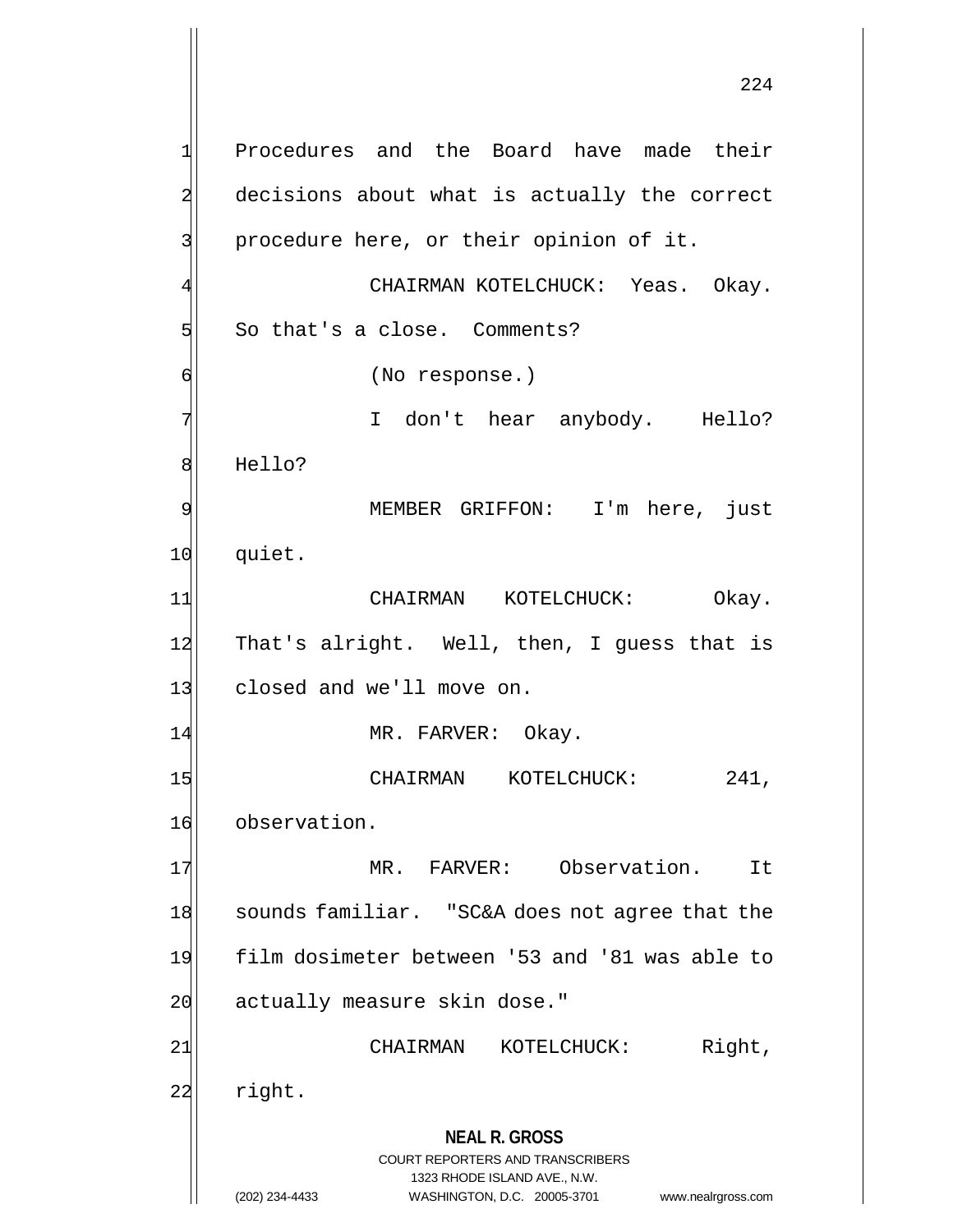**NEAL R. GROSS** COURT REPORTERS AND TRANSCRIBERS 1323 RHODE ISLAND AVE., N.W. 1 Procedures and the Board have made their 2 decisions about what is actually the correct 3 | procedure here, or their opinion of it. CHAIRMAN KOTELCHUCK: Yeas. Okay.  $5$  So that's a close. Comments? 6 (No response.) 7 I don't hear anybody. Hello? 8 Hello? 9 MEMBER GRIFFON: I'm here, just 10 quiet. 11 CHAIRMAN KOTELCHUCK: Okay. 12 That's alright. Well, then, I guess that is 13 closed and we'll move on. 14 MR. FARVER: Okay. 15 CHAIRMAN KOTELCHUCK: 241, 16 observation. 17 MR. FARVER: Observation. It 18 Sounds familiar. "SC&A does not agree that the 19 film dosimeter between '53 and '81 was able to 20 actually measure skin dose." 21 CHAIRMAN KOTELCHUCK: Right,  $22$  right.

<sup>(202) 234-4433</sup> WASHINGTON, D.C. 20005-3701 www.nealrgross.com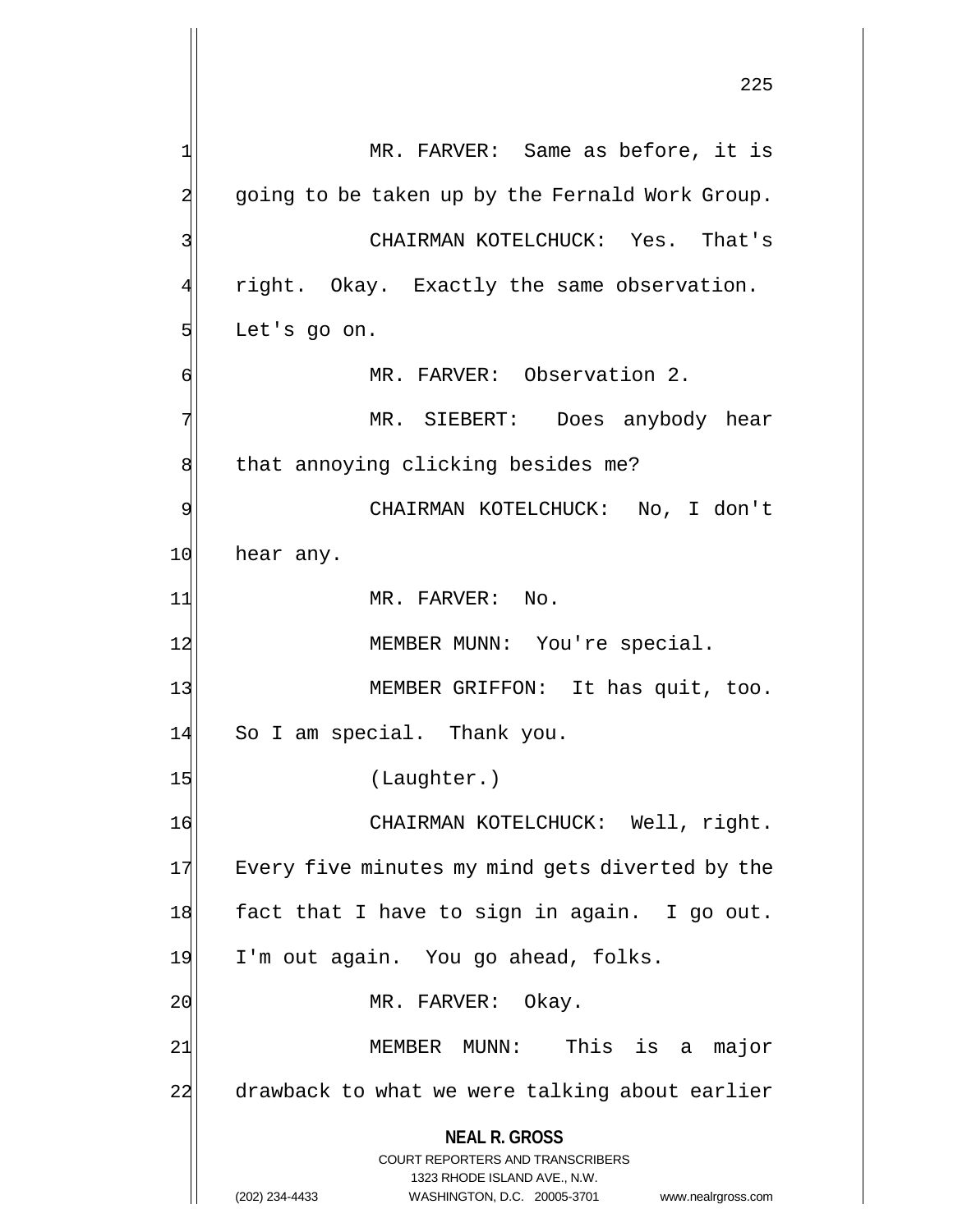**NEAL R. GROSS** COURT REPORTERS AND TRANSCRIBERS 1323 RHODE ISLAND AVE., N.W. (202) 234-4433 WASHINGTON, D.C. 20005-3701 www.nealrgross.com 1 MR. FARVER: Same as before, it is 2 going to be taken up by the Fernald Work Group. 3 CHAIRMAN KOTELCHUCK: Yes. That's right. Okay. Exactly the same observation.  $5$  Let's go on. 6 MR. FARVER: Observation 2. 7 | MR. SIEBERT: Does anybody hear 8 that annoying clicking besides me? 9 CHAIRMAN KOTELCHUCK: No, I don't 10 hear any. 11 MR. FARVER: No. 12 MEMBER MUNN: You're special. 13 MEMBER GRIFFON: It has quit, too. 14 So I am special. Thank you. 15 (Laughter.) 16 CHAIRMAN KOTELCHUCK: Well, right. 17 Every five minutes my mind gets diverted by the 18 fact that I have to sign in again. I go out. 19 I'm out again. You go ahead, folks. 20 MR. FARVER: Okay. 21 MEMBER MUNN: This is a major 22 drawback to what we were talking about earlier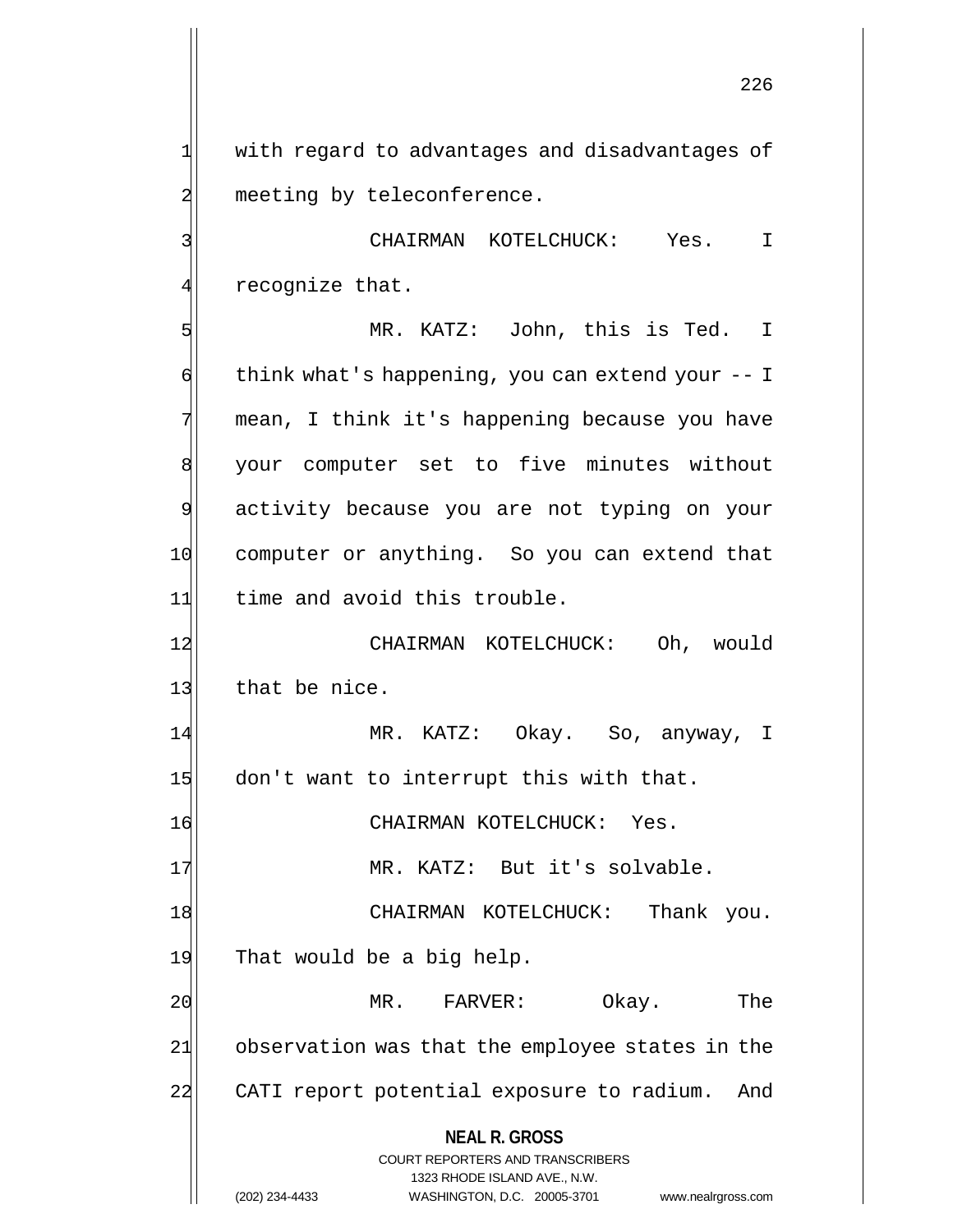1 with regard to advantages and disadvantages of 2 meeting by teleconference.

3 CHAIRMAN KOTELCHUCK: Yes. I  $4$  recognize that.

5 MR. KATZ: John, this is Ted. I  $\left| \cdot \right|$  think what's happening, you can extend your -- I 7 mean, I think it's happening because you have 8 | your computer set to five minutes without 9 activity because you are not typing on your 10 computer or anything. So you can extend that 11 time and avoid this trouble. 12 CHAIRMAN KOTELCHUCK: Oh, would 13 that be nice.

14 MR. KATZ: Okay. So, anyway, I 15 don't want to interrupt this with that.

16 CHAIRMAN KOTELCHUCK: Yes.

17 MR. KATZ: But it's solvable.

18 | CHAIRMAN KOTELCHUCK: Thank you. 19 That would be a big help.

20 MR. FARVER: Okay. The 21 observation was that the employee states in the 22 CATI report potential exposure to radium. And

**NEAL R. GROSS**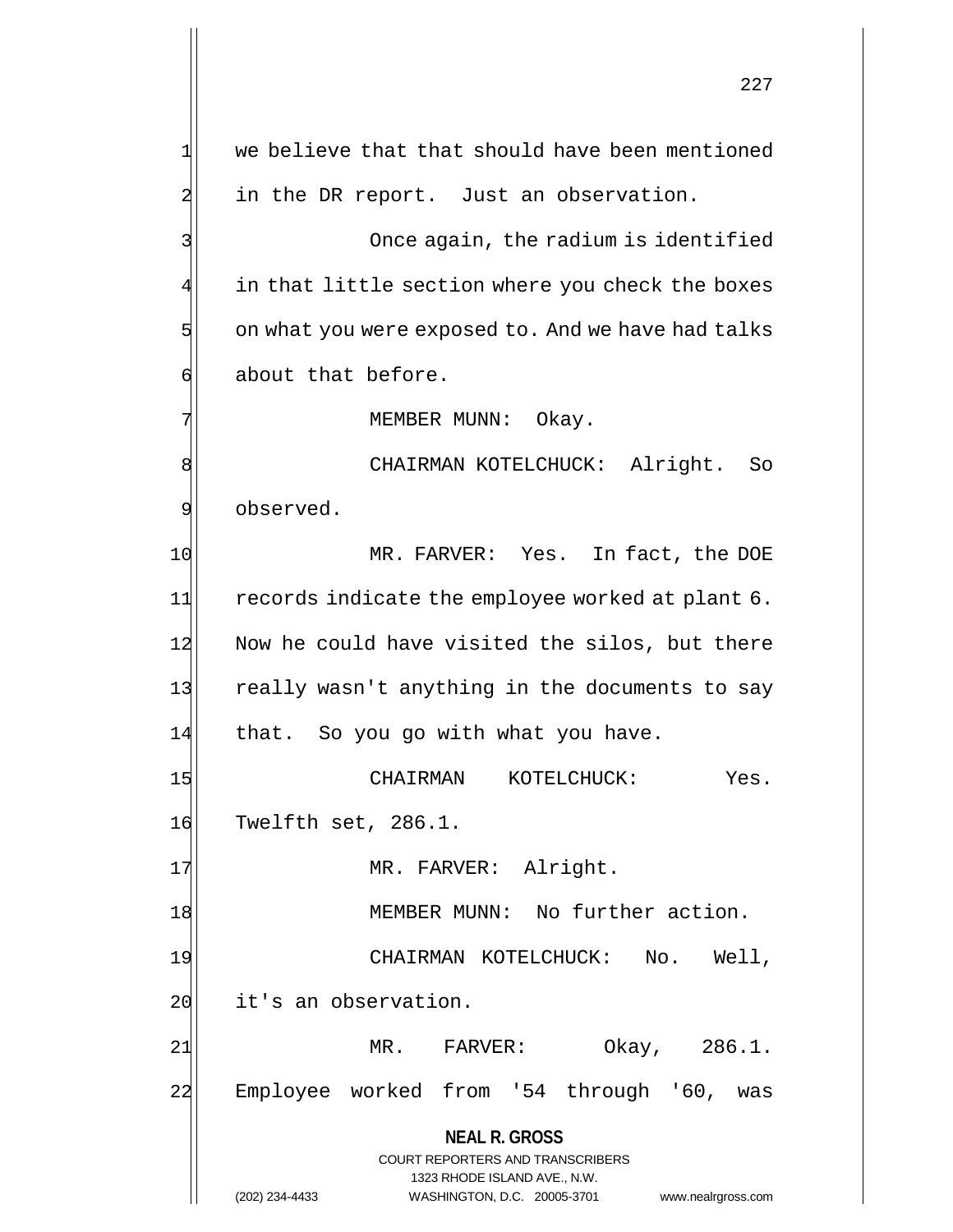**NEAL R. GROSS** COURT REPORTERS AND TRANSCRIBERS 1323 RHODE ISLAND AVE., N.W. (202) 234-4433 WASHINGTON, D.C. 20005-3701 www.nealrgross.com  $1$  we believe that that should have been mentioned  $2$  in the DR report. Just an observation. 3 3 Once again, the radium is identified 4 in that little section where you check the boxes  $5$  on what you were exposed to. And we have had talks 6 about that before. 7 | MEMBER MUNN: Okay. 8| CHAIRMAN KOTELCHUCK: Alright. So 9 observed. 10 MR. FARVER: Yes. In fact, the DOE 11 records indicate the employee worked at plant 6. 12 Now he could have visited the silos, but there 13 really wasn't anything in the documents to say 14 that. So you go with what you have. 15 CHAIRMAN KOTELCHUCK: Yes. 16 Twelfth set, 286.1. 17 MR. FARVER: Alright. 18 MEMBER MUNN: No further action. 19 CHAIRMAN KOTELCHUCK: No. Well, 20 it's an observation. 21 MR. FARVER: Okay, 286.1. 22 Employee worked from '54 through '60, was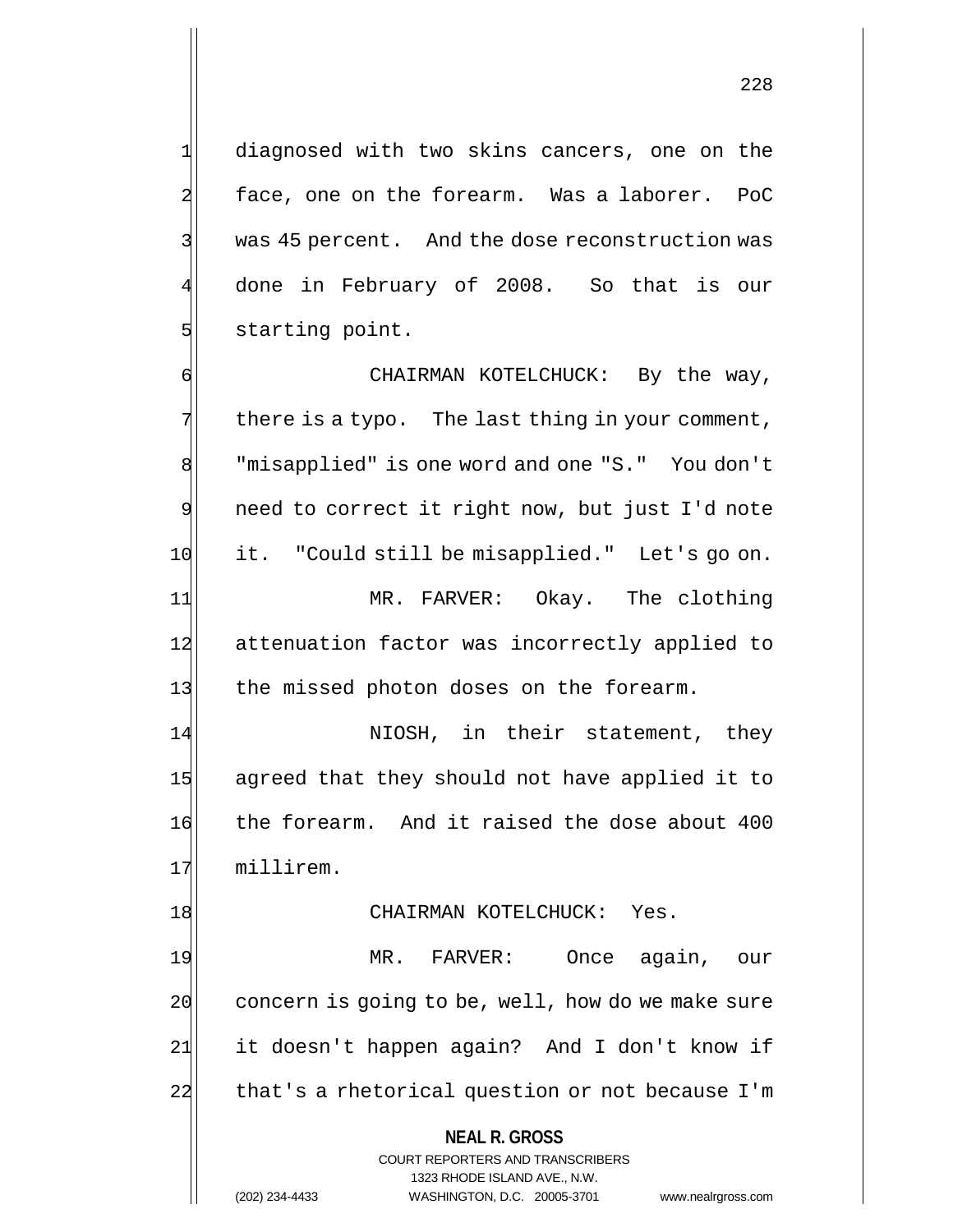1 diagnosed with two skins cancers, one on the 2 face, one on the forearm. Was a laborer. PoC 3 was 45 percent. And the dose reconstruction was 4 done in February of 2008. So that is our 5 starting point.

6 CHAIRMAN KOTELCHUCK: By the way,  $7$  there is a typo. The last thing in your comment, 8 | "misapplied" is one word and one "S." You don't 9 need to correct it right now, but just I'd note 10 it. "Could still be misapplied." Let's go on. 11 MR. FARVER: Okay. The clothing 12 attenuation factor was incorrectly applied to 13 the missed photon doses on the forearm. 14 NIOSH, in their statement, they 15 agreed that they should not have applied it to 16 the forearm. And it raised the dose about 400

17 millirem.

## 18 CHAIRMAN KOTELCHUCK: Yes.

19 MR. FARVER: Once again, our 20 concern is going to be, well, how do we make sure 21 it doesn't happen again? And I don't know if 22 that's a rhetorical question or not because I'm

### **NEAL R. GROSS**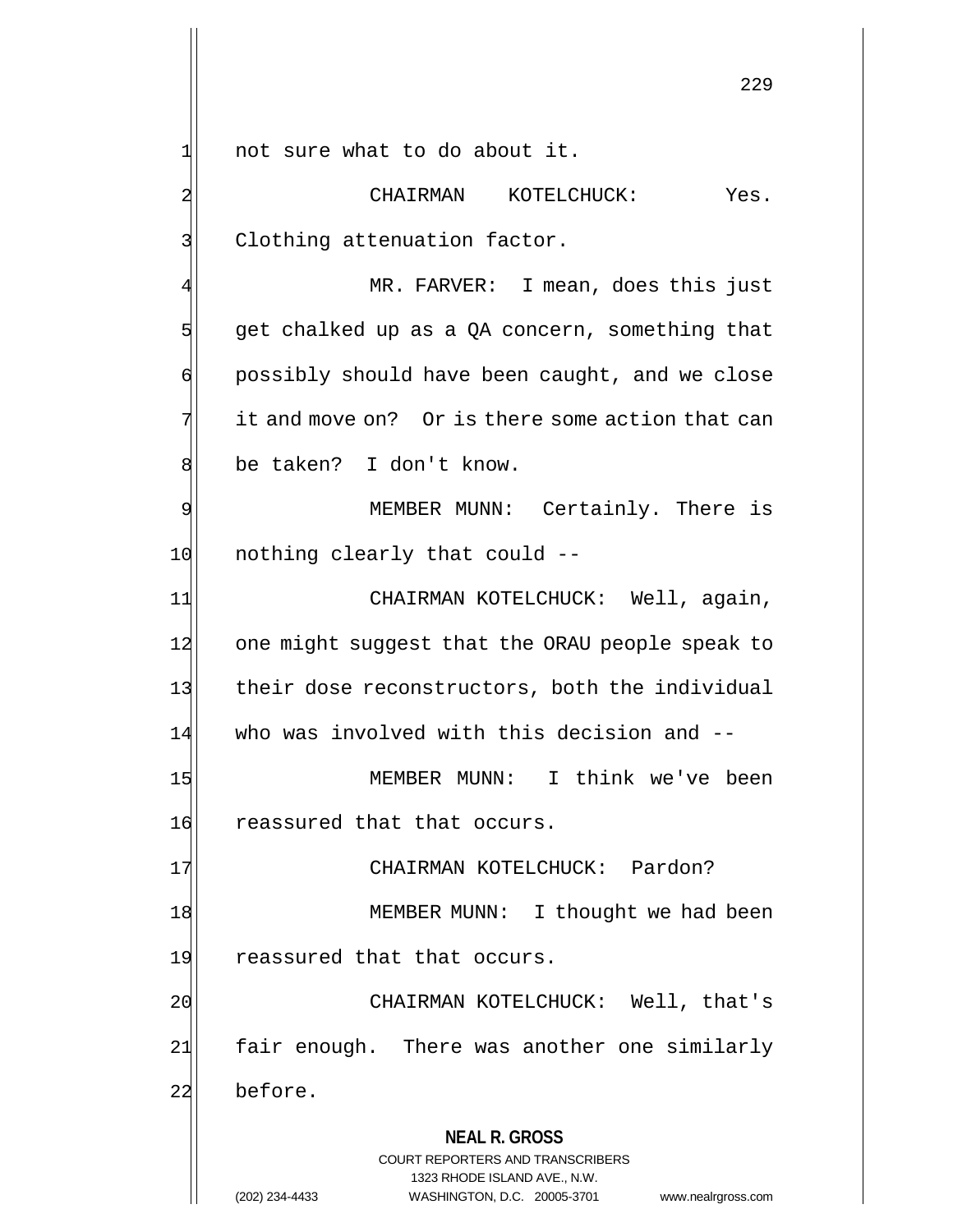1 1 not sure what to do about it.

2 CHAIRMAN KOTELCHUCK: Yes. 3 Clothing attenuation factor.

MR. FARVER: I mean, does this just  $5$  get chalked up as a QA concern, something that 6 possibly should have been caught, and we close  $7$  it and move on? Or is there some action that can 8 be taken? I don't know.

9 MEMBER MUNN: Certainly. There is 10 nothing clearly that could --

11 CHAIRMAN KOTELCHUCK: Well, again, 12 one might suggest that the ORAU people speak to 13 their dose reconstructors, both the individual 14 who was involved with this decision and --

15 MEMBER MUNN: I think we've been 16 reassured that that occurs.

17 | CHAIRMAN KOTELCHUCK: Pardon?

18 MEMBER MUNN: I thought we had been 19 reassured that that occurs.

20 CHAIRMAN KOTELCHUCK: Well, that's 21 fair enough. There was another one similarly 22 before.

## **NEAL R. GROSS**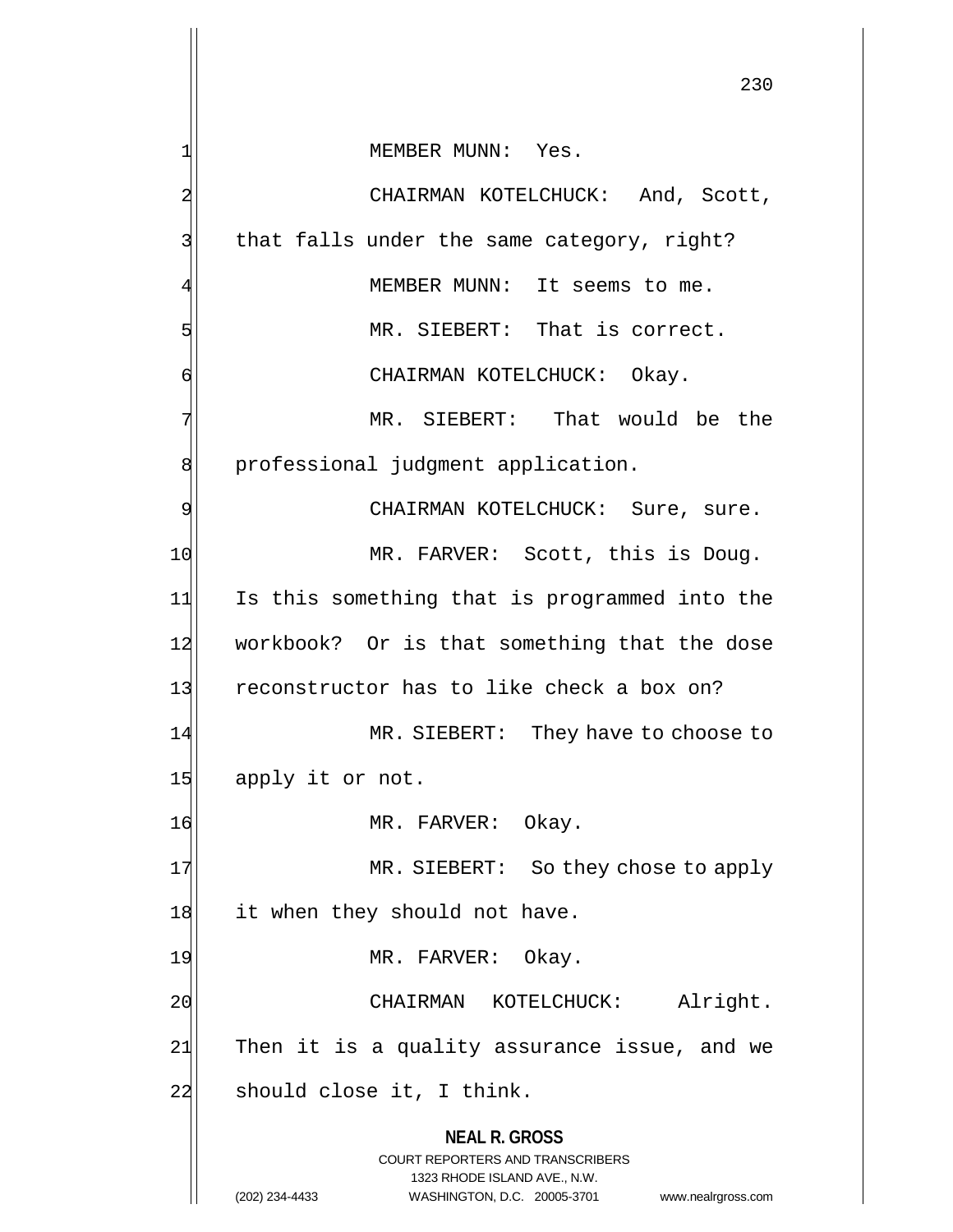**NEAL R. GROSS** COURT REPORTERS AND TRANSCRIBERS 1323 RHODE ISLAND AVE., N.W. (202) 234-4433 WASHINGTON, D.C. 20005-3701 www.nealrgross.com 230 1| MEMBER MUNN: Yes. 2 CHAIRMAN KOTELCHUCK: And, Scott, 3 | that falls under the same category, right? MEMBER MUNN: It seems to me. 5 MR. SIEBERT: That is correct. 6 CHAIRMAN KOTELCHUCK: Okay. 7 MR. SIEBERT: That would be the 8 | professional judgment application. 9 | CHAIRMAN KOTELCHUCK: Sure, sure. 10 MR. FARVER: Scott, this is Doug. 11 Is this something that is programmed into the 12 workbook? Or is that something that the dose 13 reconstructor has to like check a box on? 14 MR. SIEBERT: They have to choose to 15 apply it or not. 16 MR. FARVER: Okay. 17 MR. SIEBERT: So they chose to apply 18 it when they should not have. 19 MR. FARVER: Okay. 20 CHAIRMAN KOTELCHUCK: Alright. 21 Then it is a quality assurance issue, and we 22 should close it, I think.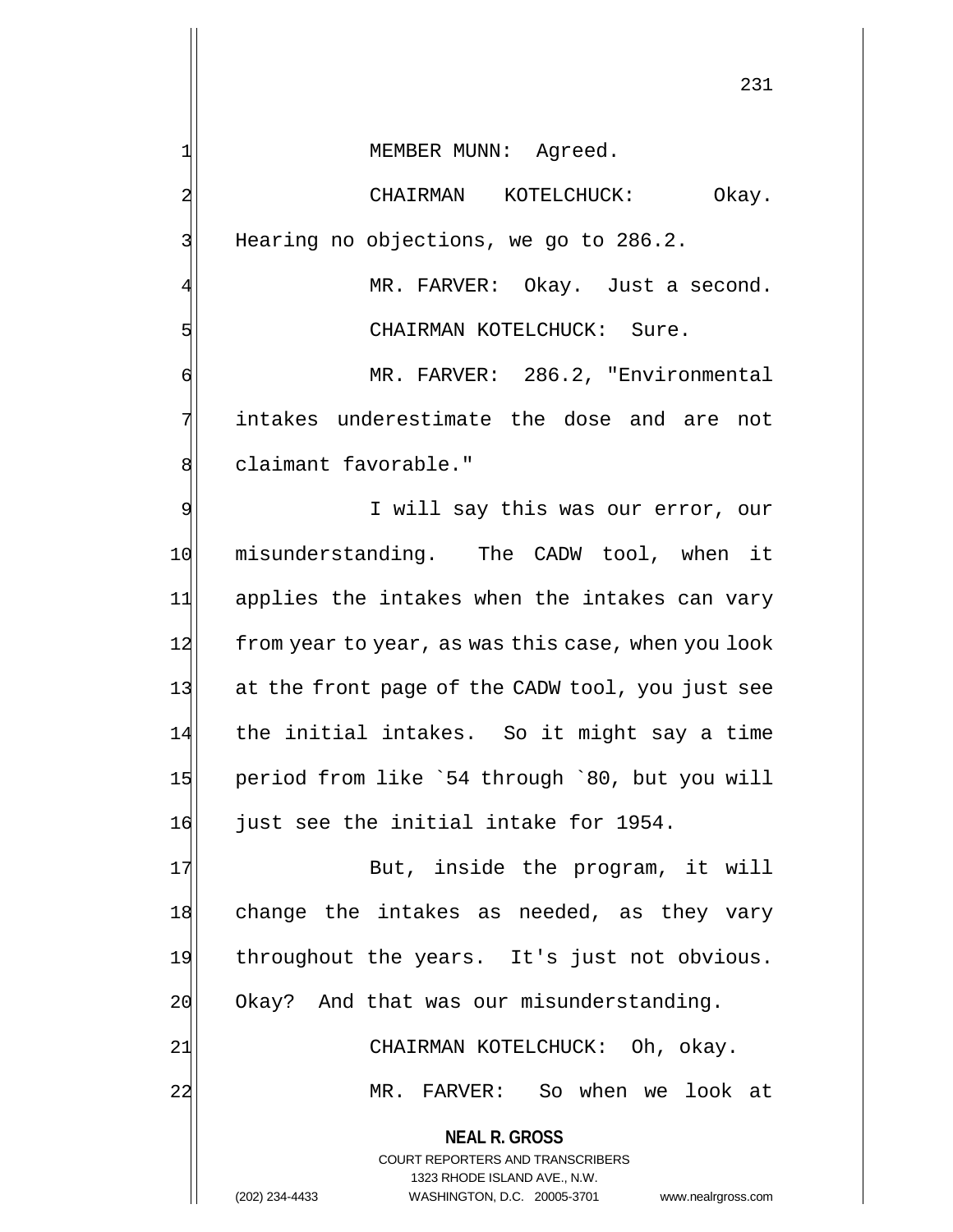1| MEMBER MUNN: Agreed.

2 CHAIRMAN KOTELCHUCK: Okay. 3 Hearing no objections, we go to 286.2.

MR. FARVER: Okay. Just a second. 5 Sure. CHAIRMAN KOTELCHUCK: Sure.

6 MR. FARVER: 286.2, "Environmental 7 intakes underestimate the dose and are not 8 claimant favorable."

9 I will say this was our error, our 10 misunderstanding. The CADW tool, when it 11 applies the intakes when the intakes can vary 12 from year to year, as was this case, when you look 13 at the front page of the CADW tool, you just see 14 the initial intakes. So it might say a time 15 period from like `54 through `80, but you will 16 just see the initial intake for 1954.

17 But, inside the program, it will 18 change the intakes as needed, as they vary 19 throughout the years. It's just not obvious. 20 Okay? And that was our misunderstanding.

21| CHAIRMAN KOTELCHUCK: Oh, okay.

22 MR. FARVER: So when we look at

**NEAL R. GROSS**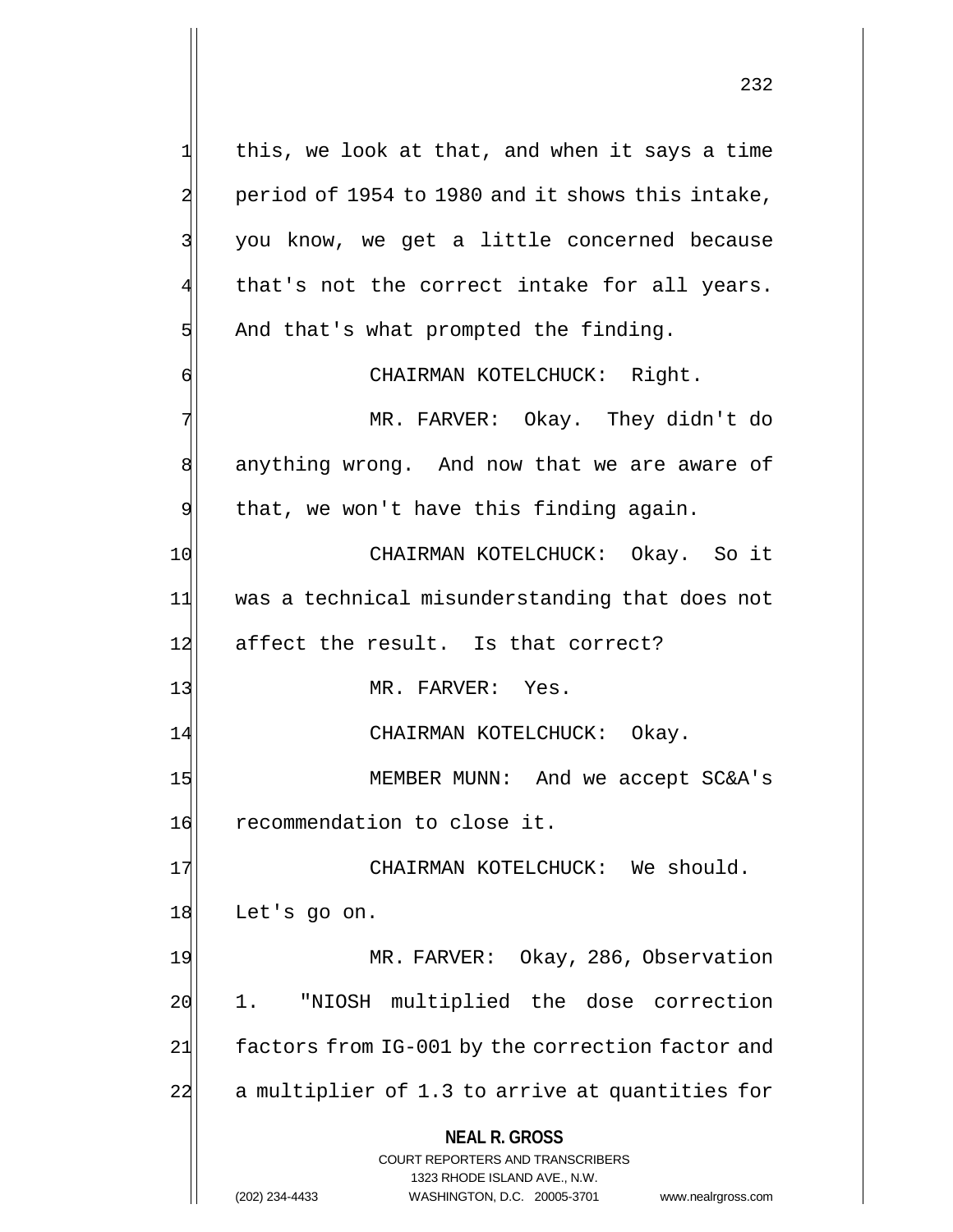**NEAL R. GROSS** COURT REPORTERS AND TRANSCRIBERS 1323 RHODE ISLAND AVE., N.W.  $1$  this, we look at that, and when it says a time 2 period of 1954 to 1980 and it shows this intake, 3 you know, we get a little concerned because that's not the correct intake for all years.  $5$  And that's what prompted the finding. 6 CHAIRMAN KOTELCHUCK: Right. 7 MR. FARVER: Okay. They didn't do 8 anything wrong. And now that we are aware of  $9$  that, we won't have this finding again. 10 CHAIRMAN KOTELCHUCK: Okay. So it 11 was a technical misunderstanding that does not 12 affect the result. Is that correct? 13 MR. FARVER: Yes. 14 CHAIRMAN KOTELCHUCK: Okay. 15 MEMBER MUNN: And we accept SC&A's 16 recommendation to close it. 17 | CHAIRMAN KOTELCHUCK: We should. 18 Let's go on. 19 MR. FARVER: Okay, 286, Observation 20 1. "NIOSH multiplied the dose correction 21 factors from IG-001 by the correction factor and 22 a multiplier of 1.3 to arrive at quantities for

(202) 234-4433 WASHINGTON, D.C. 20005-3701 www.nealrgross.com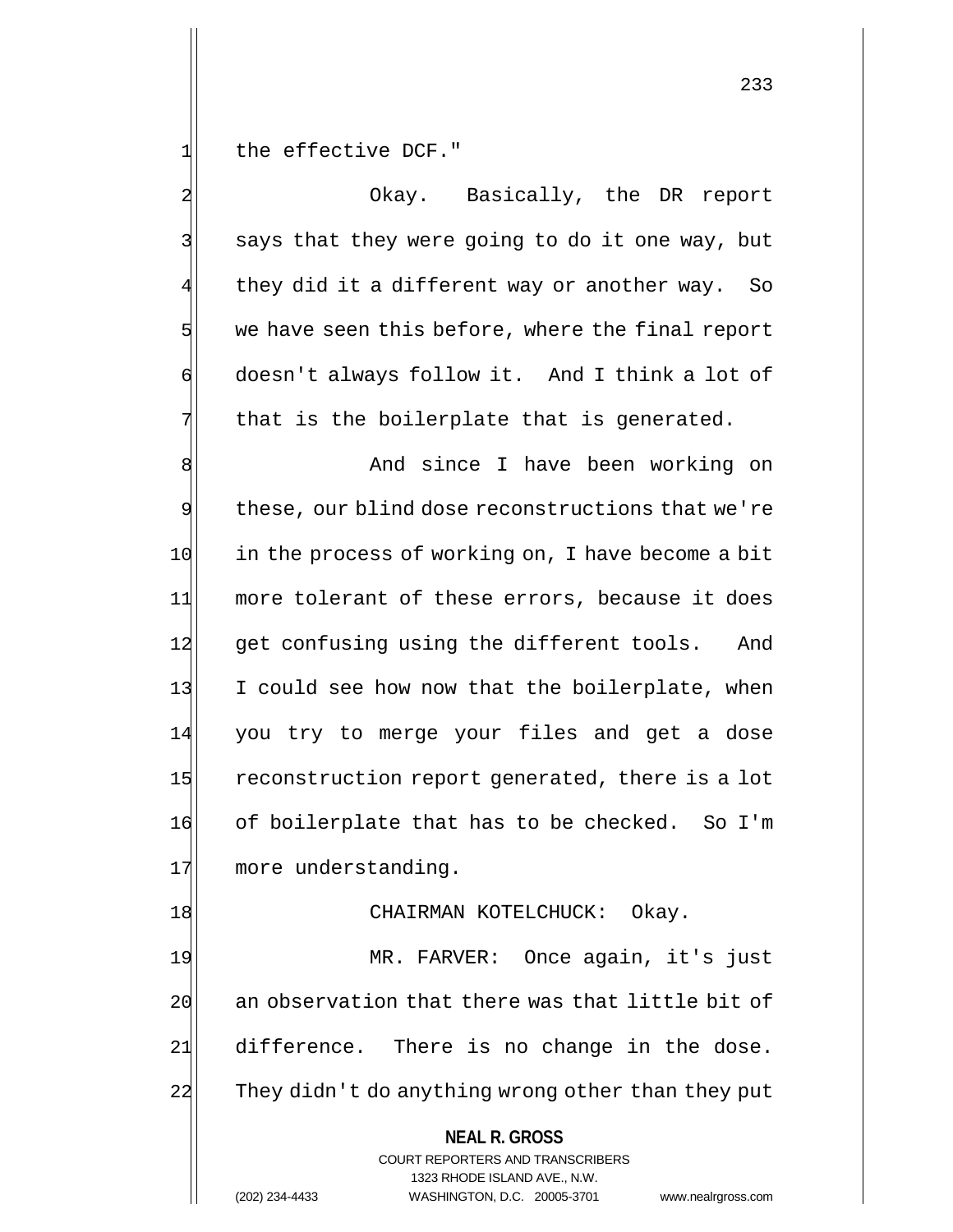1 the effective DCF."

2 Okay. Basically, the DR report 3 | says that they were going to do it one way, but they did it a different way or another way. So  $5$  we have seen this before, where the final report 6 doesn't always follow it. And I think a lot of  $7$  that is the boilerplate that is generated.

8 8 And since I have been working on  $9$  these, our blind dose reconstructions that we're 10 in the process of working on, I have become a bit 11 more tolerant of these errors, because it does 12 get confusing using the different tools. And 13 I could see how now that the boilerplate, when 14 you try to merge your files and get a dose 15 reconstruction report generated, there is a lot 16 of boilerplate that has to be checked. So I'm 17 more understanding.

### 18 CHAIRMAN KOTELCHUCK: Okay.

19 MR. FARVER: Once again, it's just 20 an observation that there was that little bit of  $21$  difference. There is no change in the dose. 22 They didn't do anything wrong other than they put

## **NEAL R. GROSS**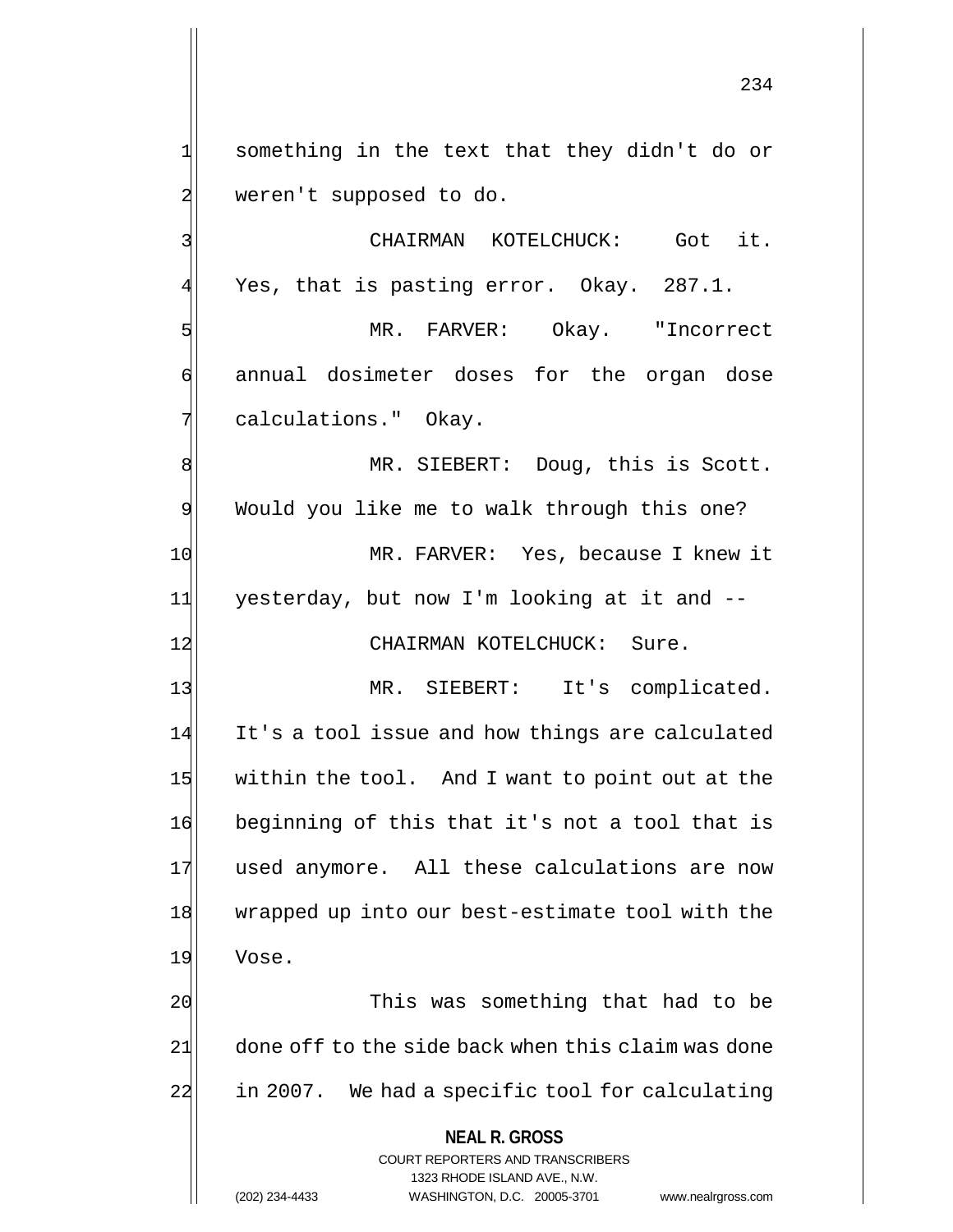$1$  something in the text that they didn't do or 2 weren't supposed to do.

3 | CHAIRMAN KOTELCHUCK: Got it.  $4$  Yes, that is pasting error. Okay. 287.1.

5 | The MR. FARVER: Okay. "Incorrect 6 annual dosimeter doses for the organ dose 7 | calculations." Okay.

8 MR. SIEBERT: Doug, this is Scott. 9 Would you like me to walk through this one? 10 MR. FARVER: Yes, because I knew it 11 yesterday, but now I'm looking at it and --12 CHAIRMAN KOTELCHUCK: Sure.

13 MR. SIEBERT: It's complicated. 14 It's a tool issue and how things are calculated 15 within the tool. And I want to point out at the 16 beginning of this that it's not a tool that is 17 used anymore. All these calculations are now 18 wrapped up into our best-estimate tool with the 19 Vose.

20 10 20 This was something that had to be 21 done off to the side back when this claim was done 22 in 2007. We had a specific tool for calculating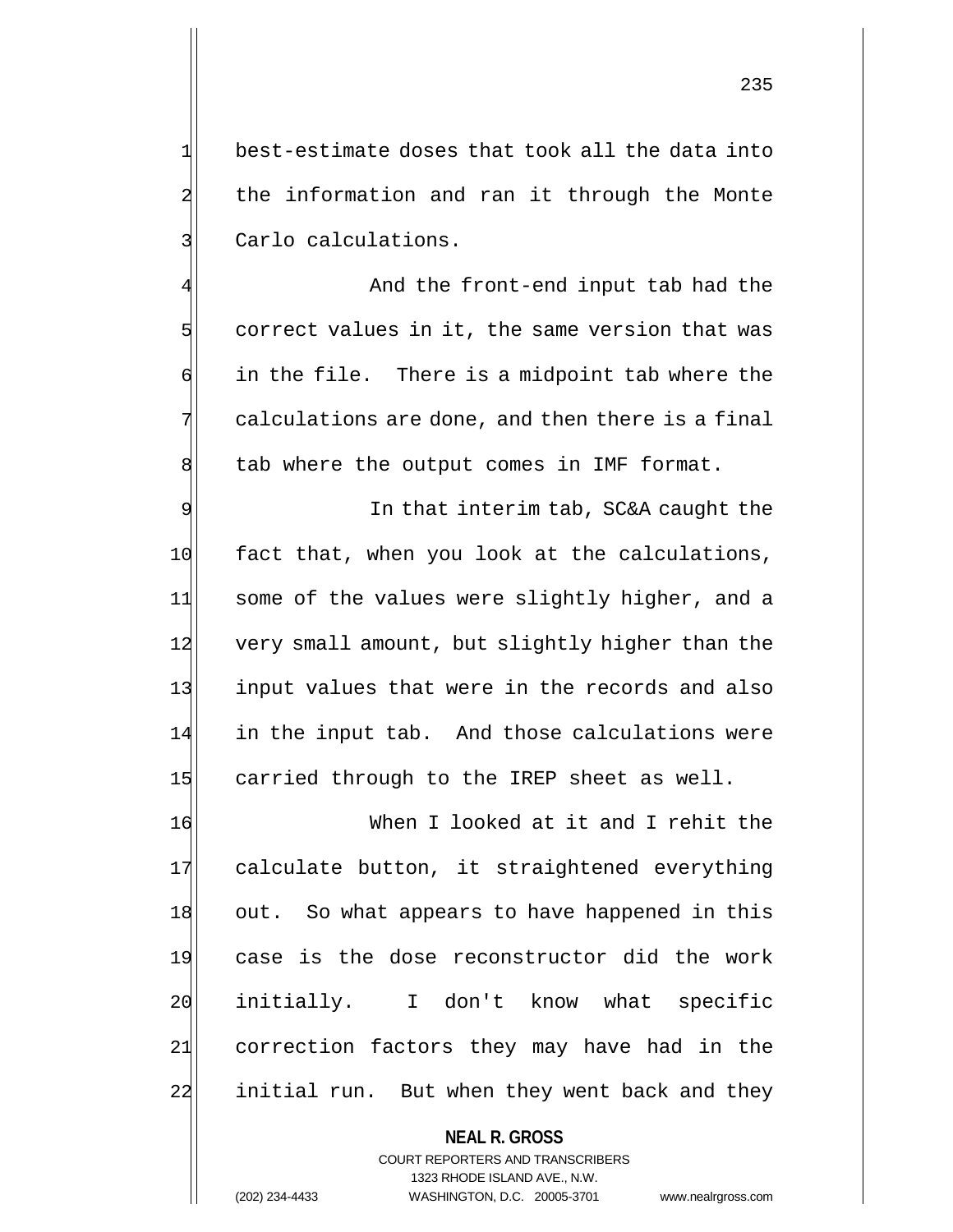$1$  best-estimate doses that took all the data into 2 the information and ran it through the Monte 3 Carlo calculations.

And the front-end input tab had the  $5$  correct values in it, the same version that was  $\mathfrak{h}$  in the file. There is a midpoint tab where the  $7$  calculations are done, and then there is a final  $8$  tab where the output comes in IMF format.

9 9 In that interim tab, SC&A caught the 10 fact that, when you look at the calculations, 11 some of the values were slightly higher, and a 12 very small amount, but slightly higher than the 13 input values that were in the records and also 14 in the input tab. And those calculations were 15 carried through to the IREP sheet as well.

16 When I looked at it and I rehit the 17 calculate button, it straightened everything 18 out. So what appears to have happened in this 19 case is the dose reconstructor did the work 20 initially. I don't know what specific 21 correction factors they may have had in the 22 initial run. But when they went back and they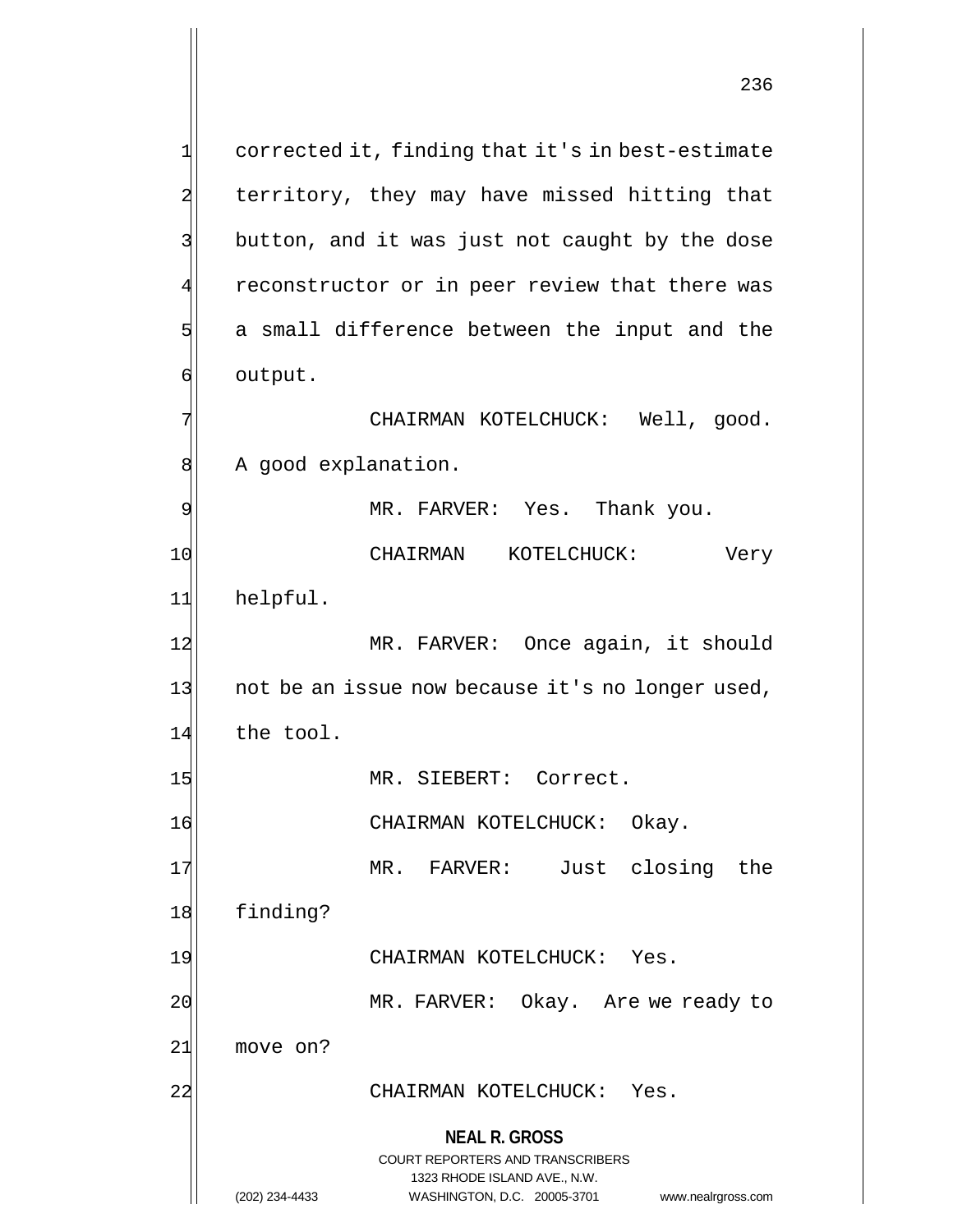**NEAL R. GROSS**  $1$  corrected it, finding that it's in best-estimate 2 territory, they may have missed hitting that 3 button, and it was just not caught by the dose 4 reconstructor or in peer review that there was  $5$  a small difference between the input and the 6 output. 7 | CHAIRMAN KOTELCHUCK: Well, good. 8 A good explanation. 9 MR. FARVER: Yes. Thank you. 10 CHAIRMAN KOTELCHUCK: Very 11 helpful. 12 MR. FARVER: Once again, it should 13 not be an issue now because it's no longer used, 14 the tool. 15 MR. SIEBERT: Correct. 16 CHAIRMAN KOTELCHUCK: Okay. 17 MR. FARVER: Just closing the 18 finding? 19 CHAIRMAN KOTELCHUCK: Yes. 20 MR. FARVER: Okay. Are we ready to 21 move on? 22 CHAIRMAN KOTELCHUCK: Yes.

> COURT REPORTERS AND TRANSCRIBERS 1323 RHODE ISLAND AVE., N.W.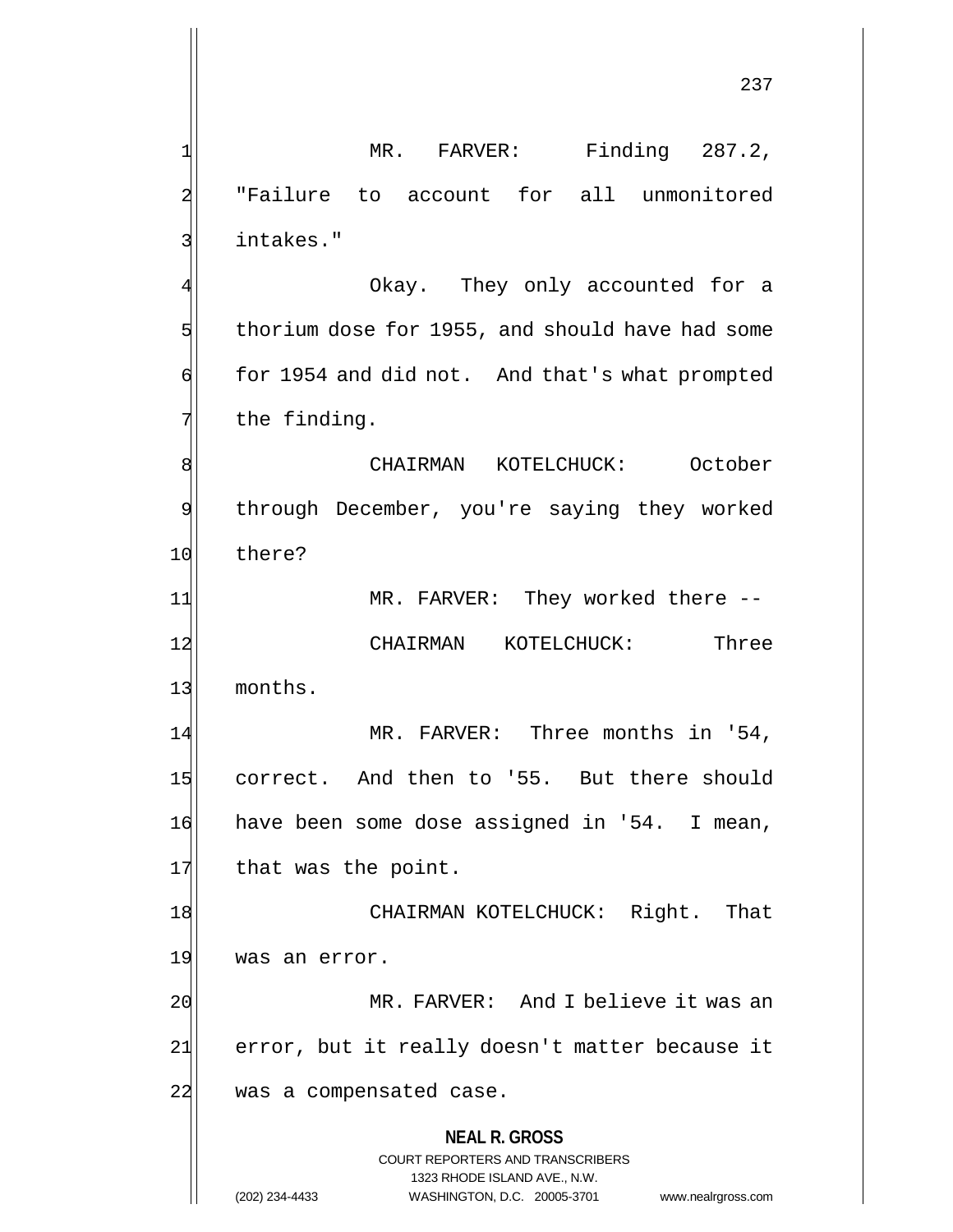**NEAL R. GROSS** COURT REPORTERS AND TRANSCRIBERS 1323 RHODE ISLAND AVE., N.W. 237 1 MR. FARVER: Finding 287.2, 2 "Failure to account for all unmonitored 3| intakes." 4 Okay. They only accounted for a  $5$  thorium dose for 1955, and should have had some 6 for 1954 and did not. And that's what prompted  $7$  the finding. 8 CHAIRMAN KOTELCHUCK: October 9 through December, you're saying they worked 10 there? 11 MR. FARVER: They worked there --12 CHAIRMAN KOTELCHUCK: Three 13 months. 14 MR. FARVER: Three months in '54, 15 correct. And then to '55. But there should 16 have been some dose assigned in '54. I mean, 17 that was the point. 18 CHAIRMAN KOTELCHUCK: Right. That 19 was an error. 20 MR. FARVER: And I believe it was an 21 error, but it really doesn't matter because it 22 was a compensated case.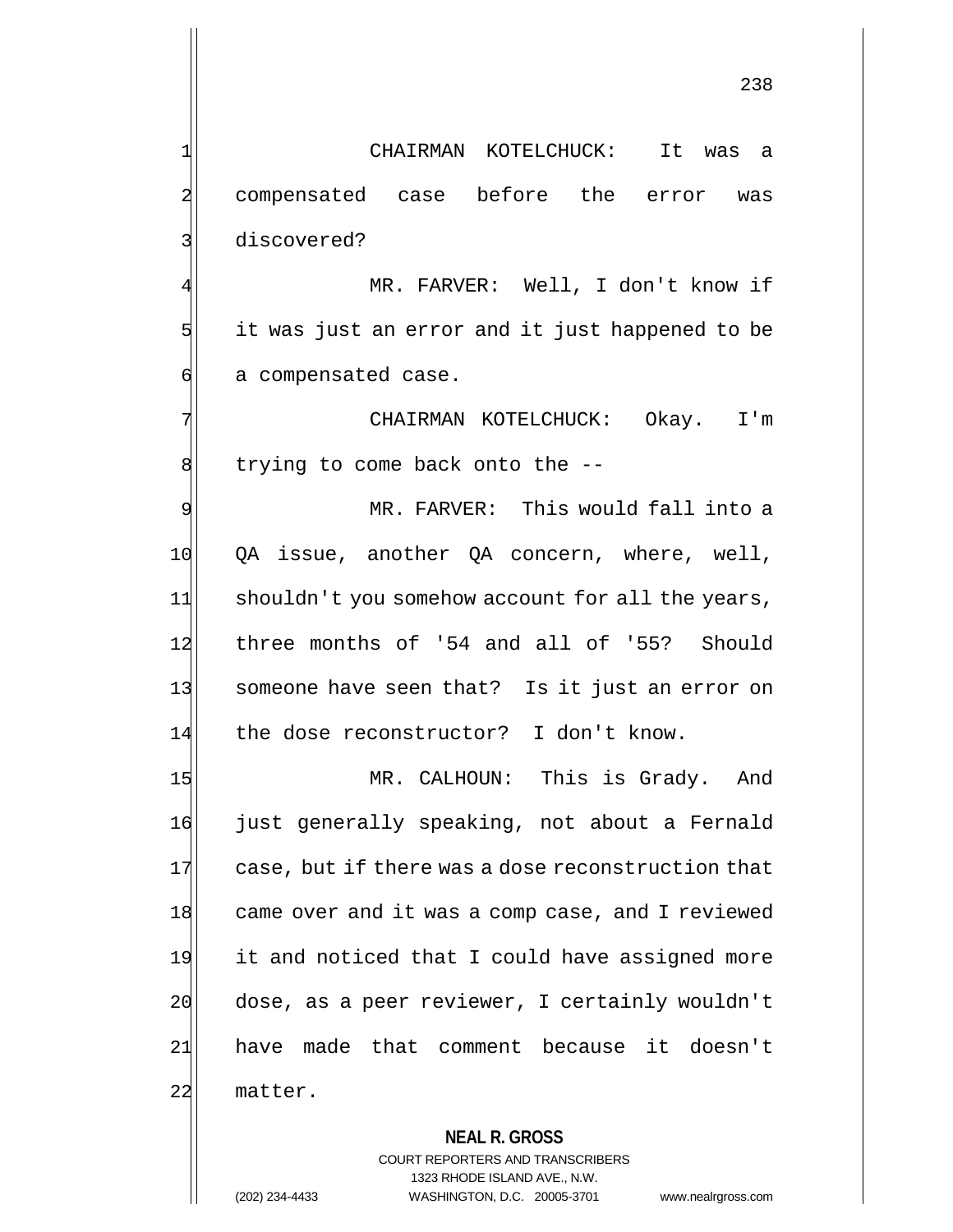238

1 CHAIRMAN KOTELCHUCK: It was a 2 compensated case before the error was 3 discovered?

MR. FARVER: Well, I don't know if 5 5 it was just an error and it just happened to be 6 a compensated case.

7 | CHAIRMAN KOTELCHUCK: Okay. I'm  $8$  trying to come back onto the  $-$ -

9 MR. FARVER: This would fall into a 10 QA issue, another QA concern, where, well, 11 shouldn't you somehow account for all the years, 12 three months of '54 and all of '55? Should 13 Someone have seen that? Is it just an error on 14 the dose reconstructor? I don't know.

15 MR. CALHOUN: This is Grady. And 16 just generally speaking, not about a Fernald 17 case, but if there was a dose reconstruction that 18 came over and it was a comp case, and I reviewed 19 it and noticed that I could have assigned more 20 dose, as a peer reviewer, I certainly wouldn't 21| have made that comment because it doesn't 22 matter.

### **NEAL R. GROSS**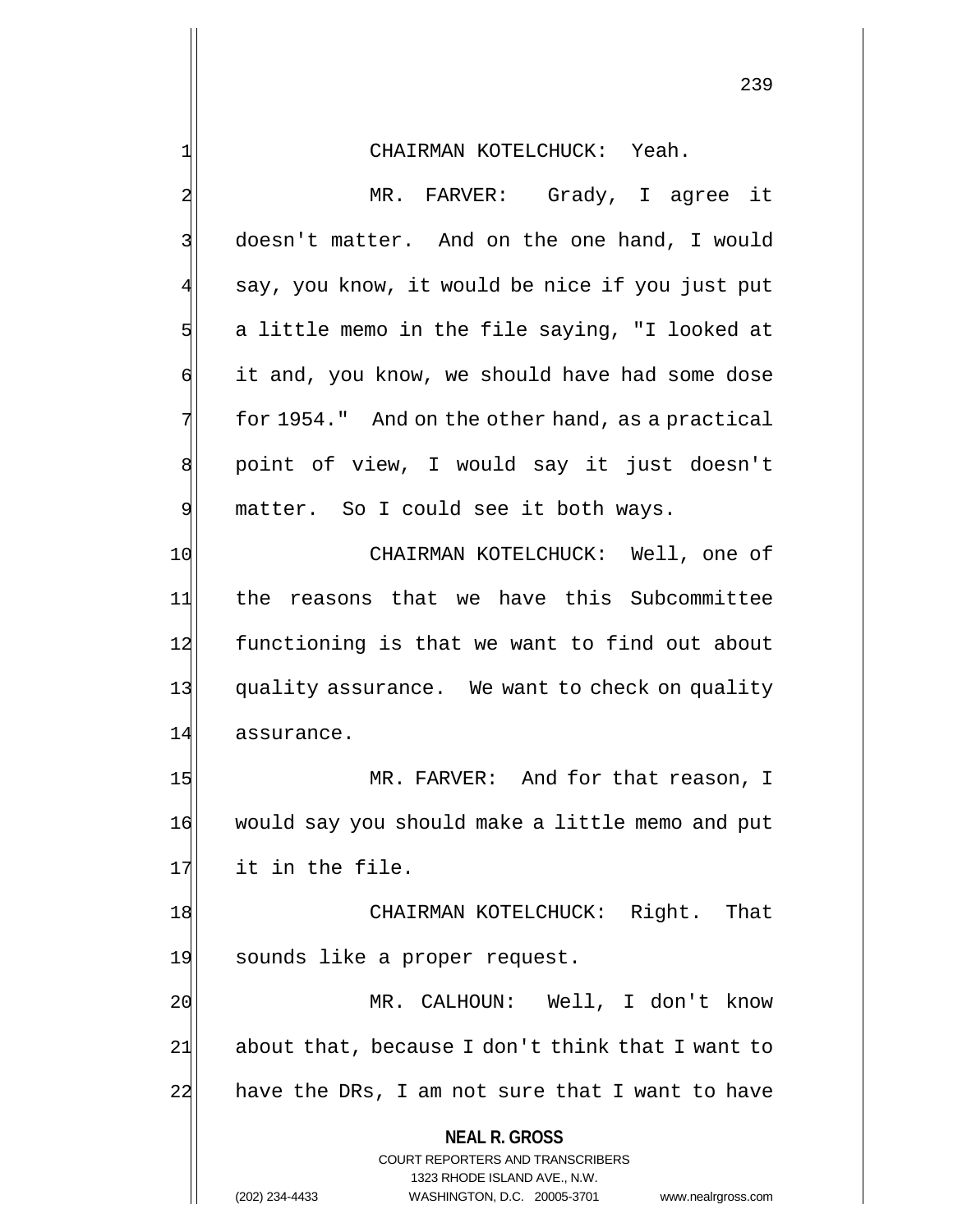**NEAL R. GROSS** COURT REPORTERS AND TRANSCRIBERS 1323 RHODE ISLAND AVE., N.W. 2 MR. FARVER: Grady, I agree it 3 doesn't matter. And on the one hand, I would 4 say, you know, it would be nice if you just put  $5$  a little memo in the file saying, "I looked at 6 it and, you know, we should have had some dose  $7$  for 1954." And on the other hand, as a practical 8 | point of view, I would say it just doesn't 9 matter. So I could see it both ways. 10 CHAIRMAN KOTELCHUCK: Well, one of 11 the reasons that we have this Subcommittee 12 functioning is that we want to find out about 13 quality assurance. We want to check on quality 14 assurance. 15 MR. FARVER: And for that reason, I 16 would say you should make a little memo and put 17 it in the file. 18 CHAIRMAN KOTELCHUCK: Right. That 19 sounds like a proper request. 20 MR. CALHOUN: Well, I don't know 21 about that, because I don't think that I want to 22 have the DRs, I am not sure that I want to have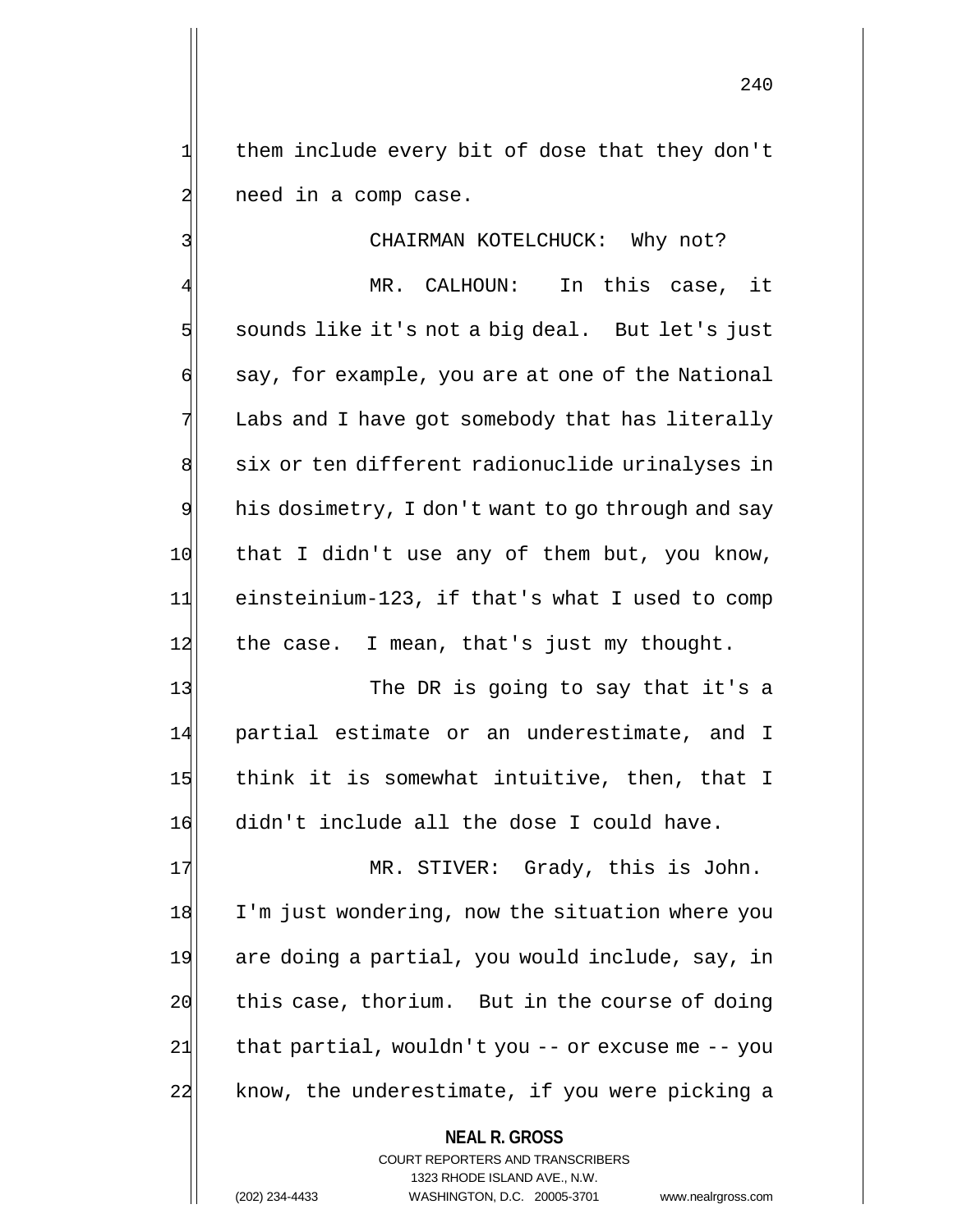1 them include every bit of dose that they don't  $2$  need in a comp case.

3 CHAIRMAN KOTELCHUCK: Why not?

MR. CALHOUN: In this case, it 5 sounds like it's not a big deal. But let's just  $\mathfrak{q}$  say, for example, you are at one of the National 7 Labs and I have got somebody that has literally 8 six or ten different radionuclide urinalyses in 9 his dosimetry, I don't want to go through and say 10 that I didn't use any of them but, you know, 11 einsteinium-123, if that's what I used to comp 12 the case. I mean, that's just my thought.

13 The DR is going to say that it's a 14 partial estimate or an underestimate, and I 15 think it is somewhat intuitive, then, that I 16 didn't include all the dose I could have.

17 MR. STIVER: Grady, this is John. 18 I'm just wondering, now the situation where you 19 are doing a partial, you would include, say, in 20 this case, thorium. But in the course of doing  $21$  that partial, wouldn't you  $-$ - or excuse me  $-$ - you 22 know, the underestimate, if you were picking a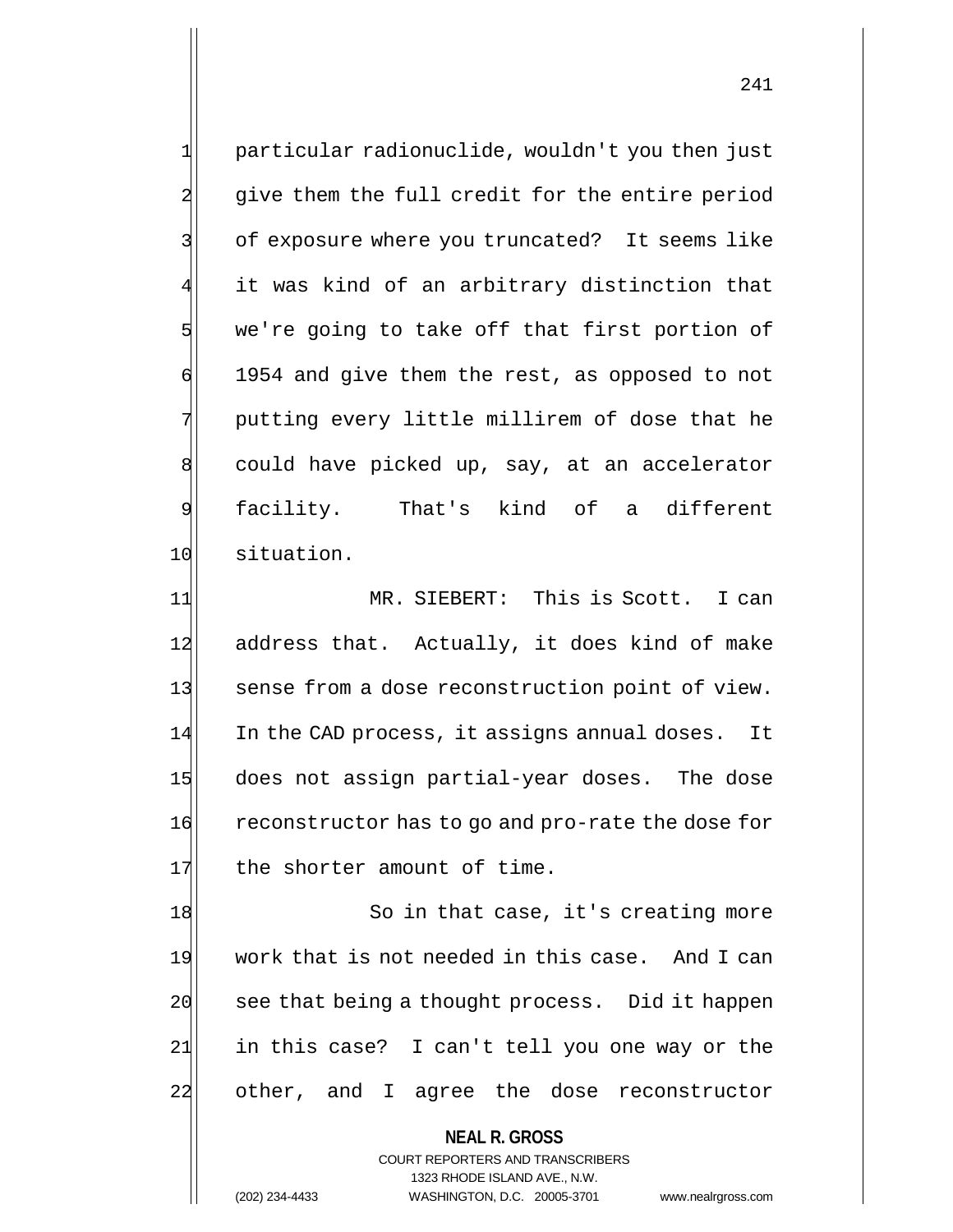1 particular radionuclide, wouldn't you then just 2 give them the full credit for the entire period 3 3 of exposure where you truncated? It seems like 4 it was kind of an arbitrary distinction that  $5$  we're going to take off that first portion of  $\phi$  1954 and give them the rest, as opposed to not 7 || putting every little millirem of dose that he 8 could have picked up, say, at an accelerator 9 facility. That's kind of a different 10 situation.

11 MR. SIEBERT: This is Scott. I can 12 address that. Actually, it does kind of make 13 sense from a dose reconstruction point of view. 14 In the CAD process, it assigns annual doses. It 15 does not assign partial-year doses. The dose 16 reconstructor has to go and pro-rate the dose for 17 the shorter amount of time.

18 So in that case, it's creating more 19 work that is not needed in this case. And I can 20 see that being a thought process. Did it happen  $21$  in this case? I can't tell you one way or the 22 other, and I agree the dose reconstructor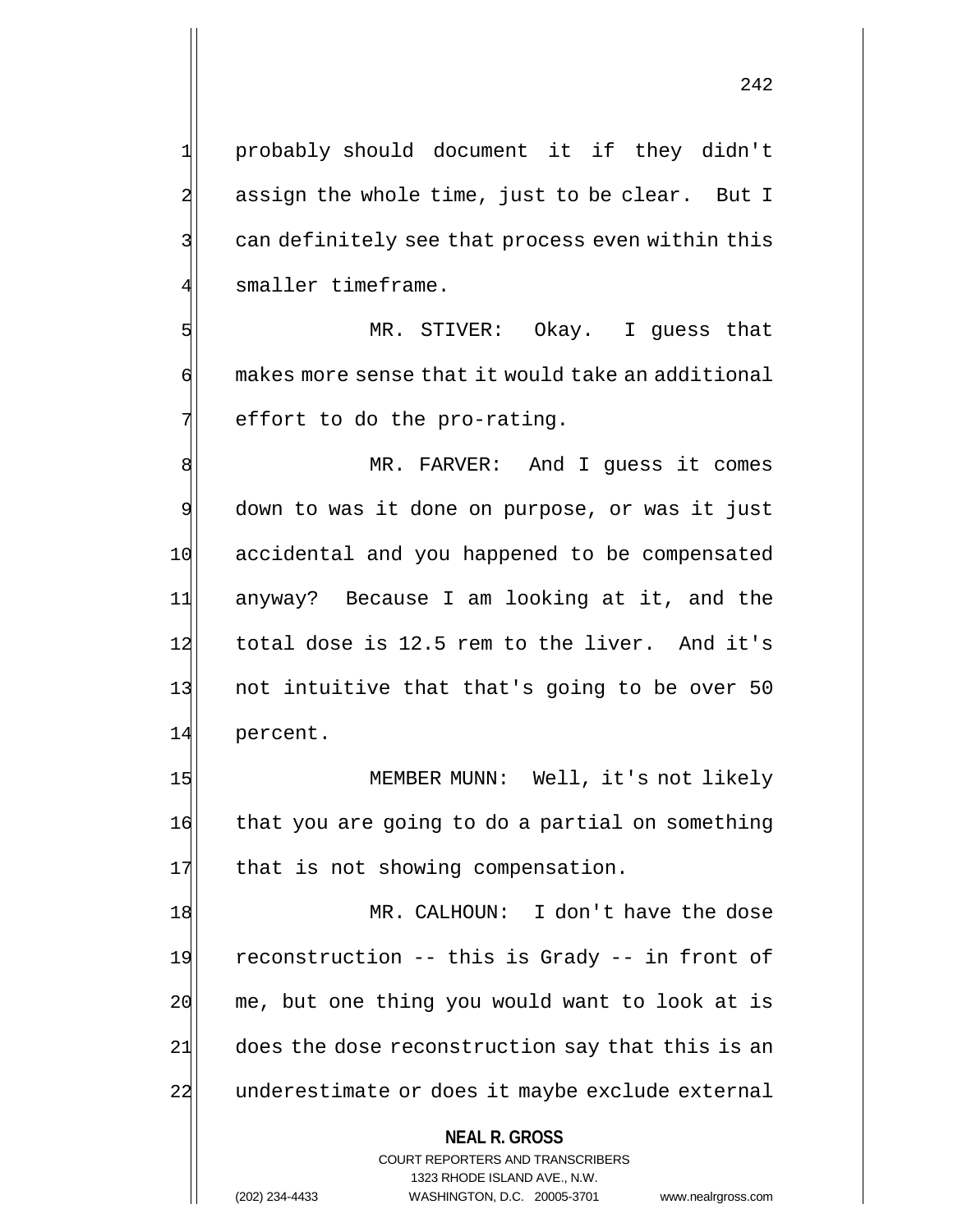1 probably should document it if they didn't  $2\vert$  assign the whole time, just to be clear. But I  $3$  can definitely see that process even within this smaller timeframe.

5 MR. STIVER: Okay. I guess that  $\mathfrak{g}$  makes more sense that it would take an additional  $7$  effort to do the pro-rating.

8 MR. FARVER: And I guess it comes 9 down to was it done on purpose, or was it just 10 accidental and you happened to be compensated 11 anyway? Because I am looking at it, and the 12 total dose is 12.5 rem to the liver. And it's 13 not intuitive that that's going to be over 50 14 percent.

15 MEMBER MUNN: Well, it's not likely 16 that you are going to do a partial on something 17 that is not showing compensation.

18 MR. CALHOUN: I don't have the dose 19 reconstruction -- this is Grady -- in front of  $20$  me, but one thing you would want to look at is 21 does the dose reconstruction say that this is an 22 underestimate or does it maybe exclude external

### **NEAL R. GROSS**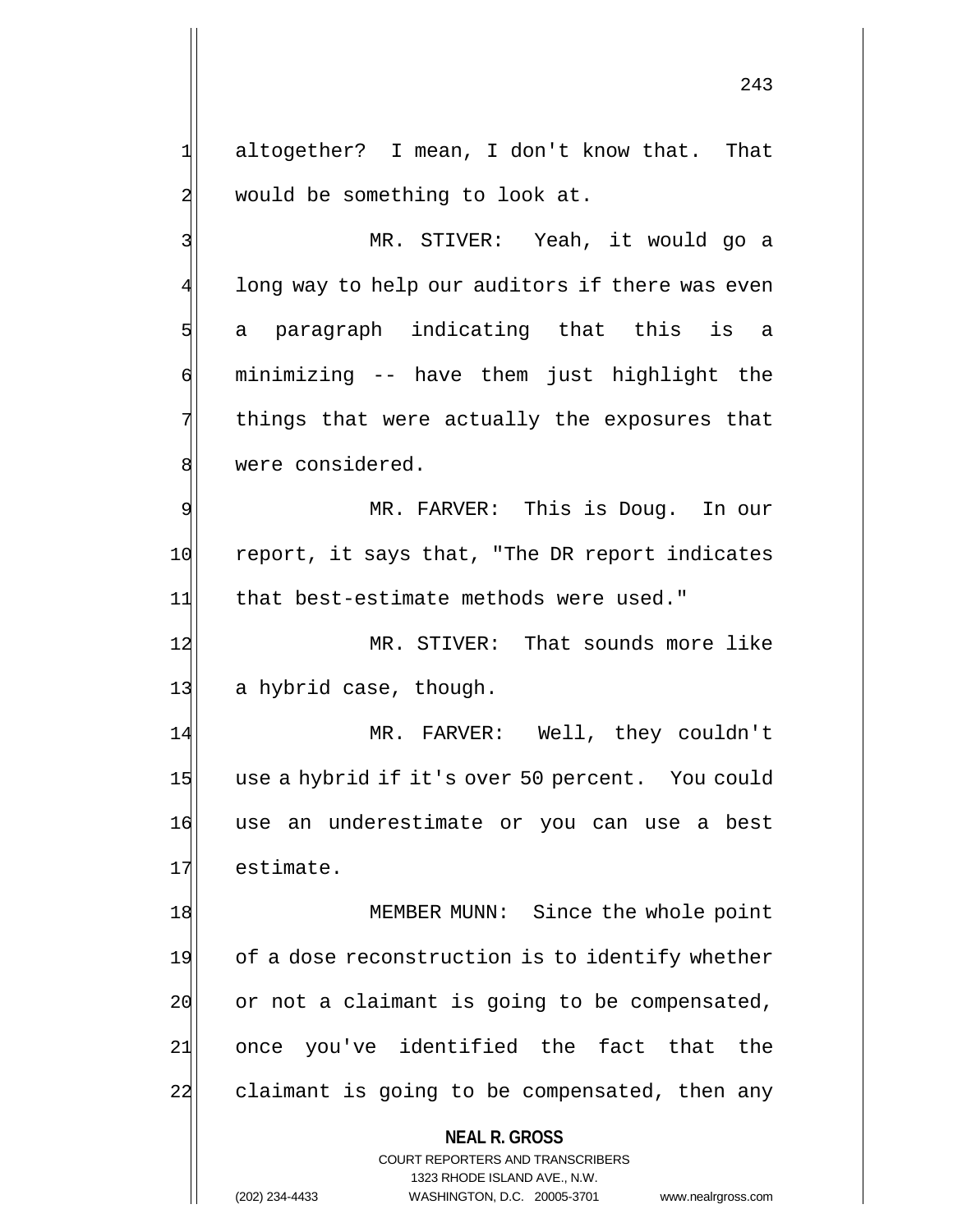1 altogether? I mean, I don't know that. That  $2$  would be something to look at.

3 MR. STIVER: Yeah, it would go a 4 long way to help our auditors if there was even 5 a paragraph indicating that this is a 6 minimizing -- have them just highlight the 7 things that were actually the exposures that 8 were considered.

9 MR. FARVER: This is Doug. In our 10 report, it says that, "The DR report indicates 11 that best-estimate methods were used."

12 MR. STIVER: That sounds more like 13 a hybrid case, though.

14 MR. FARVER: Well, they couldn't 15 use a hybrid if it's over 50 percent. You could 16 use an underestimate or you can use a best 17 estimate.

18 MEMBER MUNN: Since the whole point 19 of a dose reconstruction is to identify whether  $20$  or not a claimant is going to be compensated, 21| once you've identified the fact that the 22 claimant is going to be compensated, then any

**NEAL R. GROSS**

COURT REPORTERS AND TRANSCRIBERS 1323 RHODE ISLAND AVE., N.W. (202) 234-4433 WASHINGTON, D.C. 20005-3701 www.nealrgross.com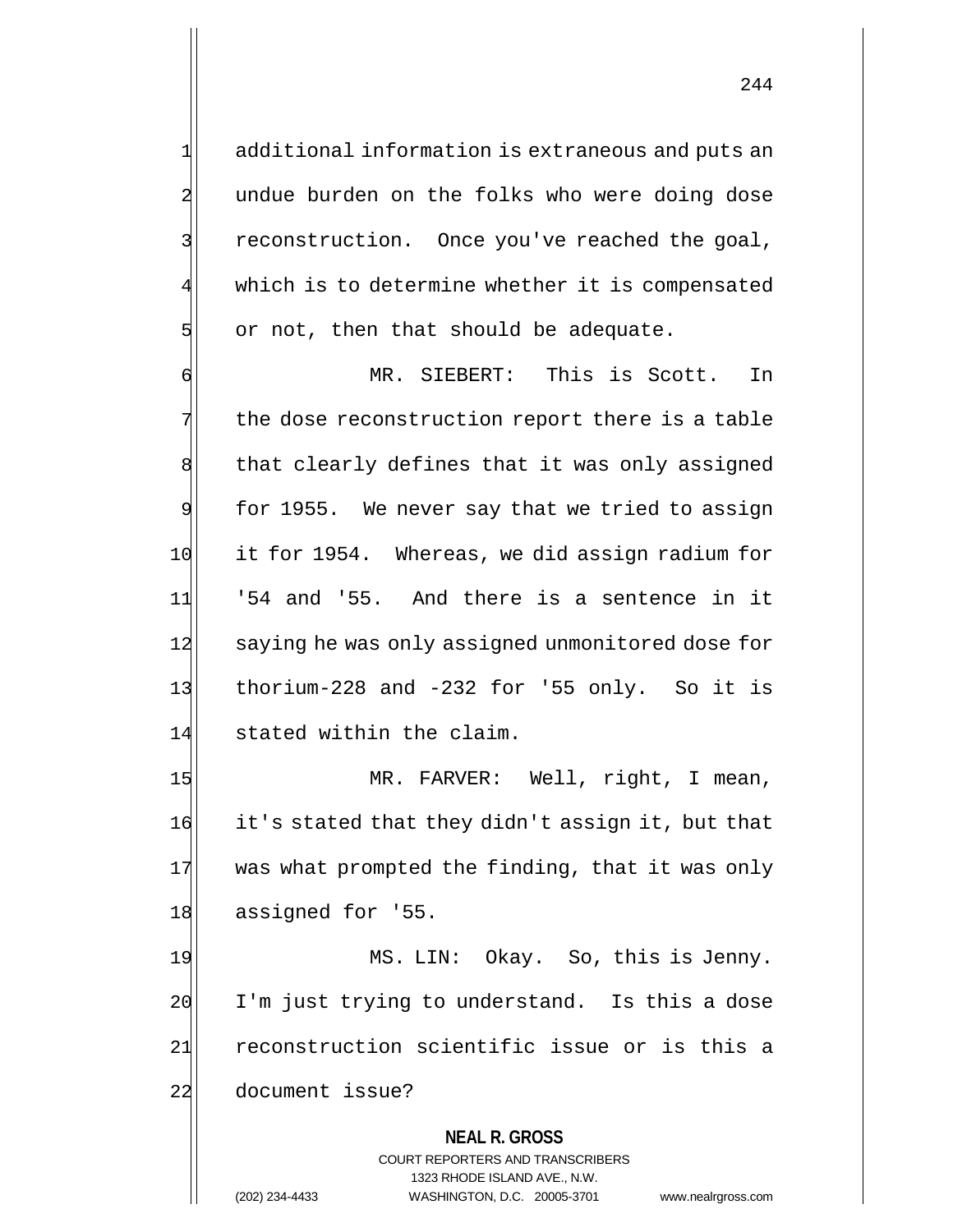1 additional information is extraneous and puts an 2 undue burden on the folks who were doing dose 3 3 reconstruction. Once you've reached the goal, which is to determine whether it is compensated  $5$  or not, then that should be adequate.

6 MR. SIEBERT: This is Scott. In  $7$  the dose reconstruction report there is a table 8 that clearly defines that it was only assigned 9 for 1955. We never say that we tried to assign 10 it for 1954. Whereas, we did assign radium for  $11$  '54 and '55. And there is a sentence in it 12 saying he was only assigned unmonitored dose for 13 thorium-228 and  $-232$  for '55 only. So it is 14 stated within the claim.

15 MR. FARVER: Well, right, I mean, 16 it's stated that they didn't assign it, but that 17 was what prompted the finding, that it was only 18 assigned for '55.

19 MS. LIN: Okay. So, this is Jenny.  $20$  I'm just trying to understand. Is this a dose 21 reconstruction scientific issue or is this a 22 document issue?

> **NEAL R. GROSS** COURT REPORTERS AND TRANSCRIBERS 1323 RHODE ISLAND AVE., N.W. (202) 234-4433 WASHINGTON, D.C. 20005-3701 www.nealrgross.com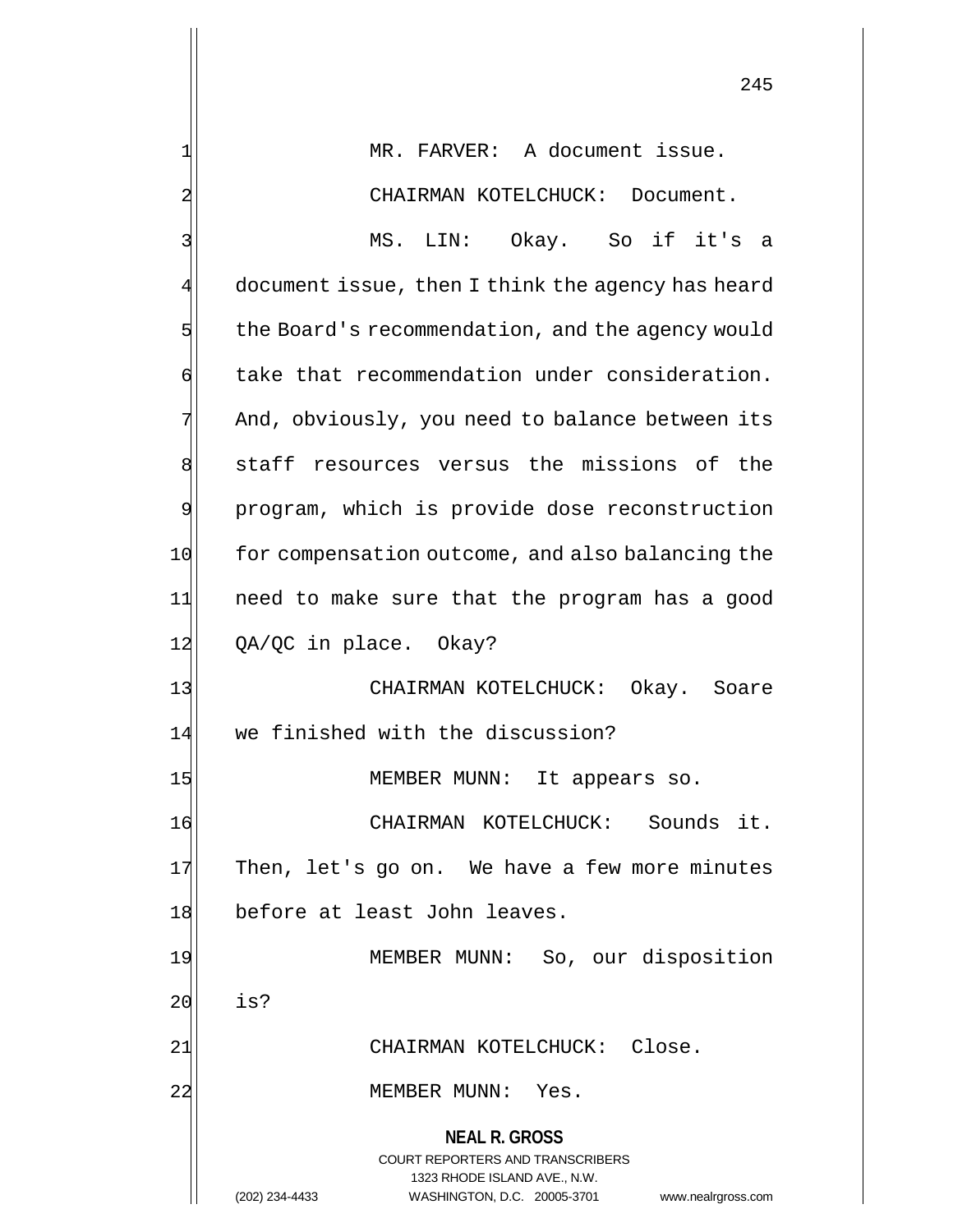**NEAL R. GROSS** COURT REPORTERS AND TRANSCRIBERS 1323 RHODE ISLAND AVE., N.W. (202) 234-4433 WASHINGTON, D.C. 20005-3701 www.nealrgross.com 1 MR. FARVER: A document issue. 2 CHAIRMAN KOTELCHUCK: Document. 3 MS. LIN: Okay. So if it's a 4 document issue, then I think the agency has heard  $5$  the Board's recommendation, and the agency would 6 take that recommendation under consideration. 7 And, obviously, you need to balance between its 8 staff resources versus the missions of the 9 program, which is provide dose reconstruction 10 for compensation outcome, and also balancing the 11 need to make sure that the program has a good 12 QA/QC in place. Okay? 13 | CHAIRMAN KOTELCHUCK: Okay. Soare 14 we finished with the discussion? 15 MEMBER MUNN: It appears so. 16 CHAIRMAN KOTELCHUCK: Sounds it.  $17$  Then, let's go on. We have a few more minutes 18 before at least John leaves. 19 MEMBER MUNN: So, our disposition 20 is? 21 CHAIRMAN KOTELCHUCK: Close. 22 MEMBER MUNN: Yes.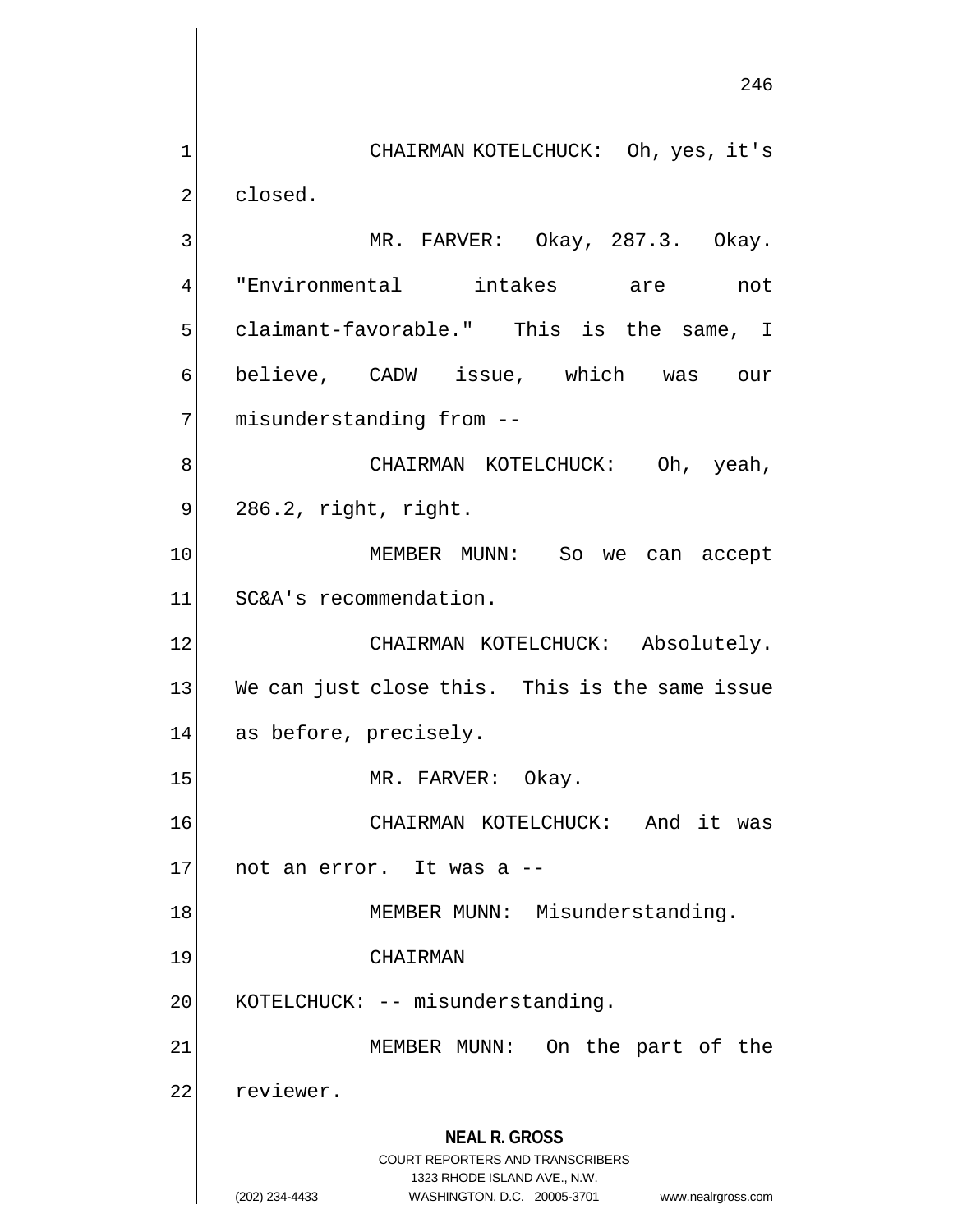**NEAL R. GROSS** COURT REPORTERS AND TRANSCRIBERS 1323 RHODE ISLAND AVE., N.W. (202) 234-4433 WASHINGTON, D.C. 20005-3701 www.nealrgross.com 246 1 CHAIRMAN KOTELCHUCK: Oh, yes, it's 2 alosed. 3 | MR. FARVER: Okay, 287.3. Okay. 4 "Environmental intakes are not 5 claimant-favorable." This is the same, I 6 believe, CADW issue, which was our 7 misunderstanding from --8 | CHAIRMAN KOTELCHUCK: Oh, yeah,  $9$  286.2, right, right. 10 MEMBER MUNN: So we can accept 11 SC&A's recommendation. 12 CHAIRMAN KOTELCHUCK: Absolutely. 13 We can just close this. This is the same issue 14 as before, precisely. 15 MR. FARVER: Okay. 16 CHAIRMAN KOTELCHUCK: And it was  $17$  not an error. It was a  $-$ 18 MEMBER MUNN: Misunderstanding. 19 CHAIRMAN 20 KOTELCHUCK: -- misunderstanding. 21| MEMBER MUNN: On the part of the 22 reviewer.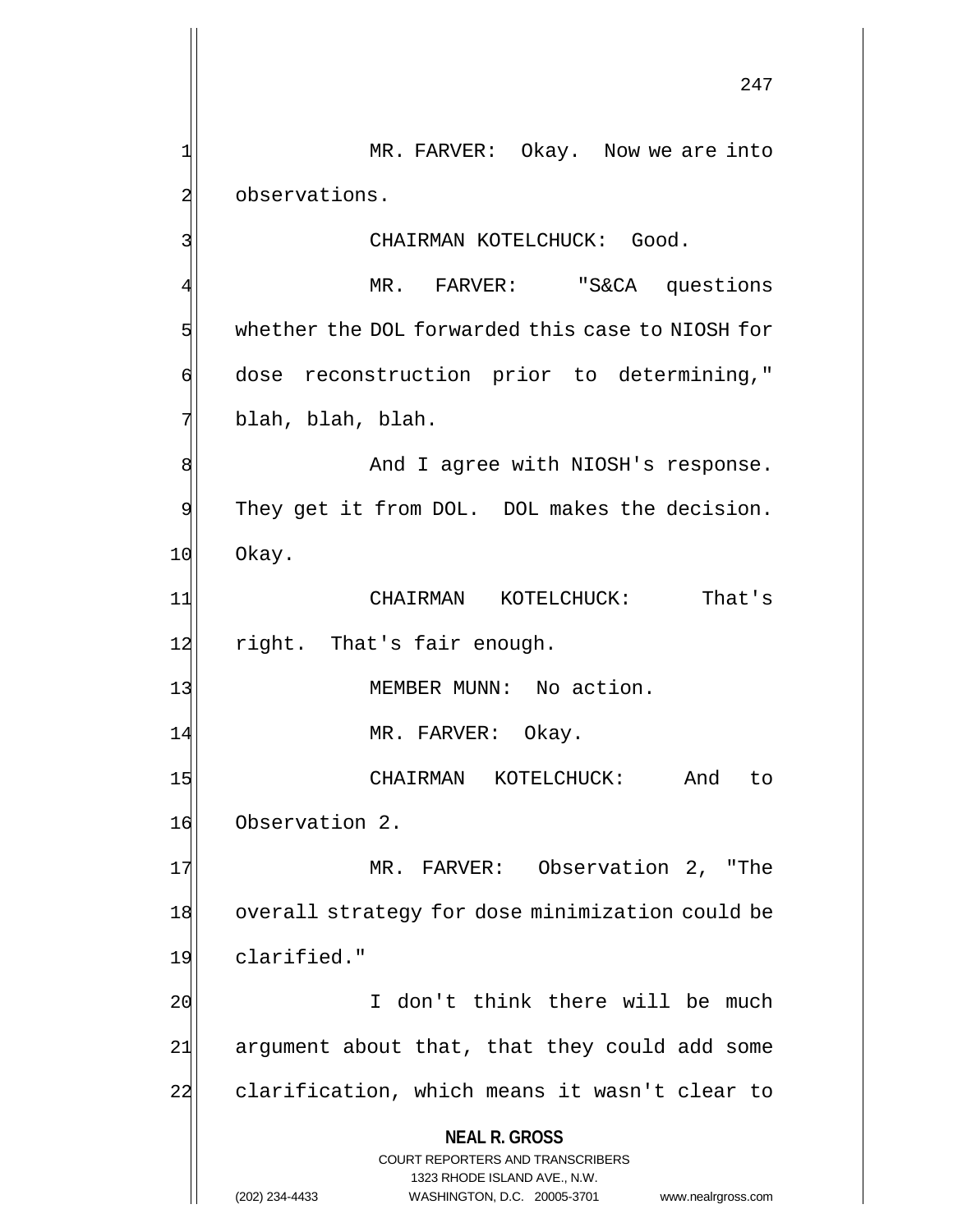**NEAL R. GROSS** COURT REPORTERS AND TRANSCRIBERS 1323 RHODE ISLAND AVE., N.W. 247 1 MR. FARVER: Okay. Now we are into 2 observations. 3 CHAIRMAN KOTELCHUCK: Good. 4 MR. FARVER: "S&CA questions 5 whether the DOL forwarded this case to NIOSH for 6 dose reconstruction prior to determining," 7 blah, blah, blah. 8 8 And I agree with NIOSH's response. 9 They get it from DOL. DOL makes the decision. 10 Okay. 11 CHAIRMAN KOTELCHUCK: That's 12 right. That's fair enough. 13 MEMBER MUNN: No action. 14 MR. FARVER: Okay. 15 CHAIRMAN KOTELCHUCK: And to 16 Observation 2. 17 MR. FARVER: Observation 2, "The 18 overall strategy for dose minimization could be 19 clarified." 20 I don't think there will be much 21 argument about that, that they could add some 22 clarification, which means it wasn't clear to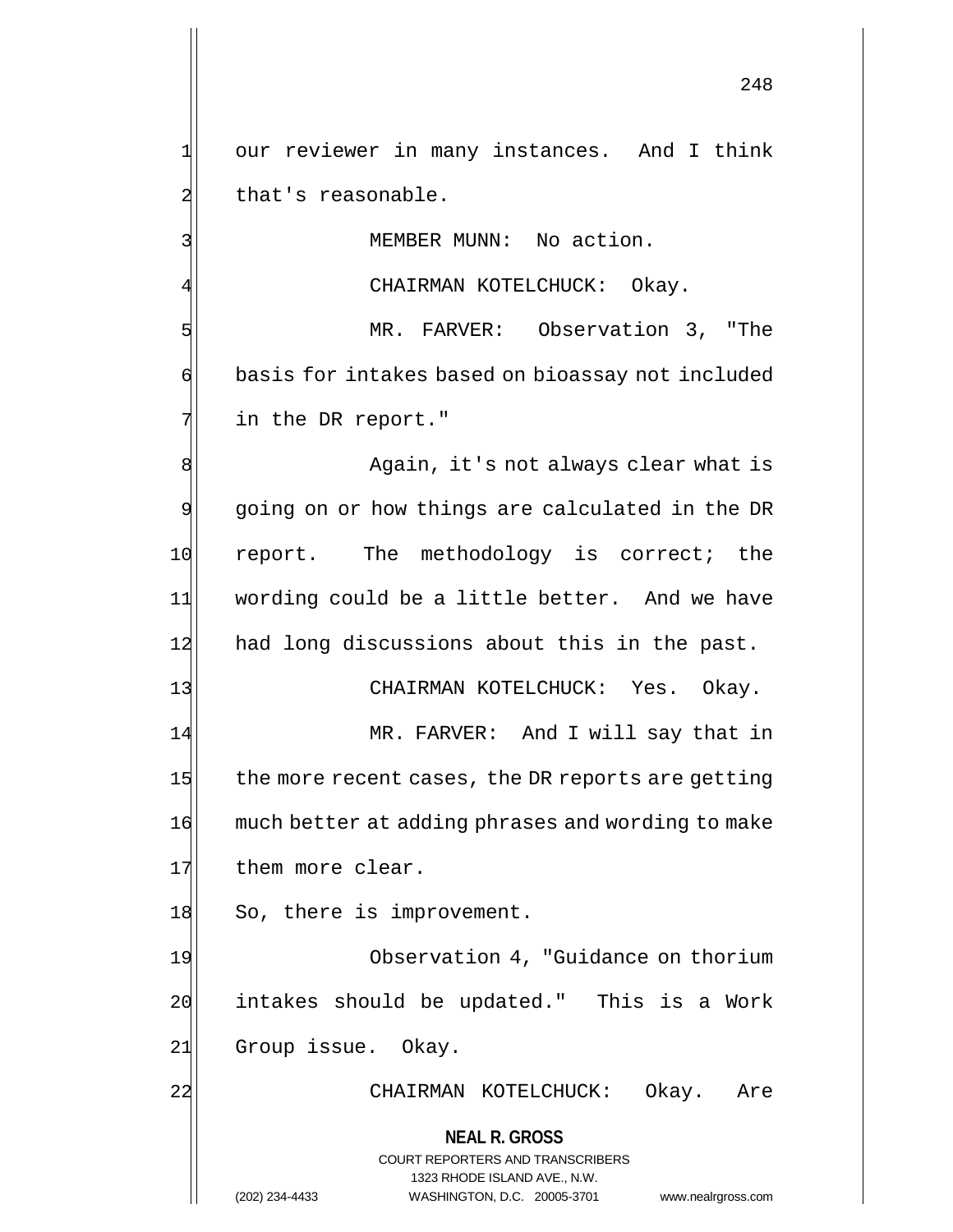1 our reviewer in many instances. And I think 2 that's reasonable.

3 MEMBER MUNN: No action.

CHAIRMAN KOTELCHUCK: Okay.

5 MR. FARVER: Observation 3, "The 6 basis for intakes based on bioassay not included  $7$  in the DR report."

8 again, it's not always clear what is 9 going on or how things are calculated in the DR 10 report. The methodology is correct; the 11 wording could be a little better. And we have 12 had long discussions about this in the past.

13 CHAIRMAN KOTELCHUCK: Yes. Okay.

14 MR. FARVER: And I will say that in  $15$  the more recent cases, the DR reports are getting 16 much better at adding phrases and wording to make 17 them more clear.

18 So, there is improvement.

19 Observation 4, "Guidance on thorium 20 intakes should be updated." This is a Work 21 Group issue. Okay.

22 CHAIRMAN KOTELCHUCK: Okay. Are

# **NEAL R. GROSS**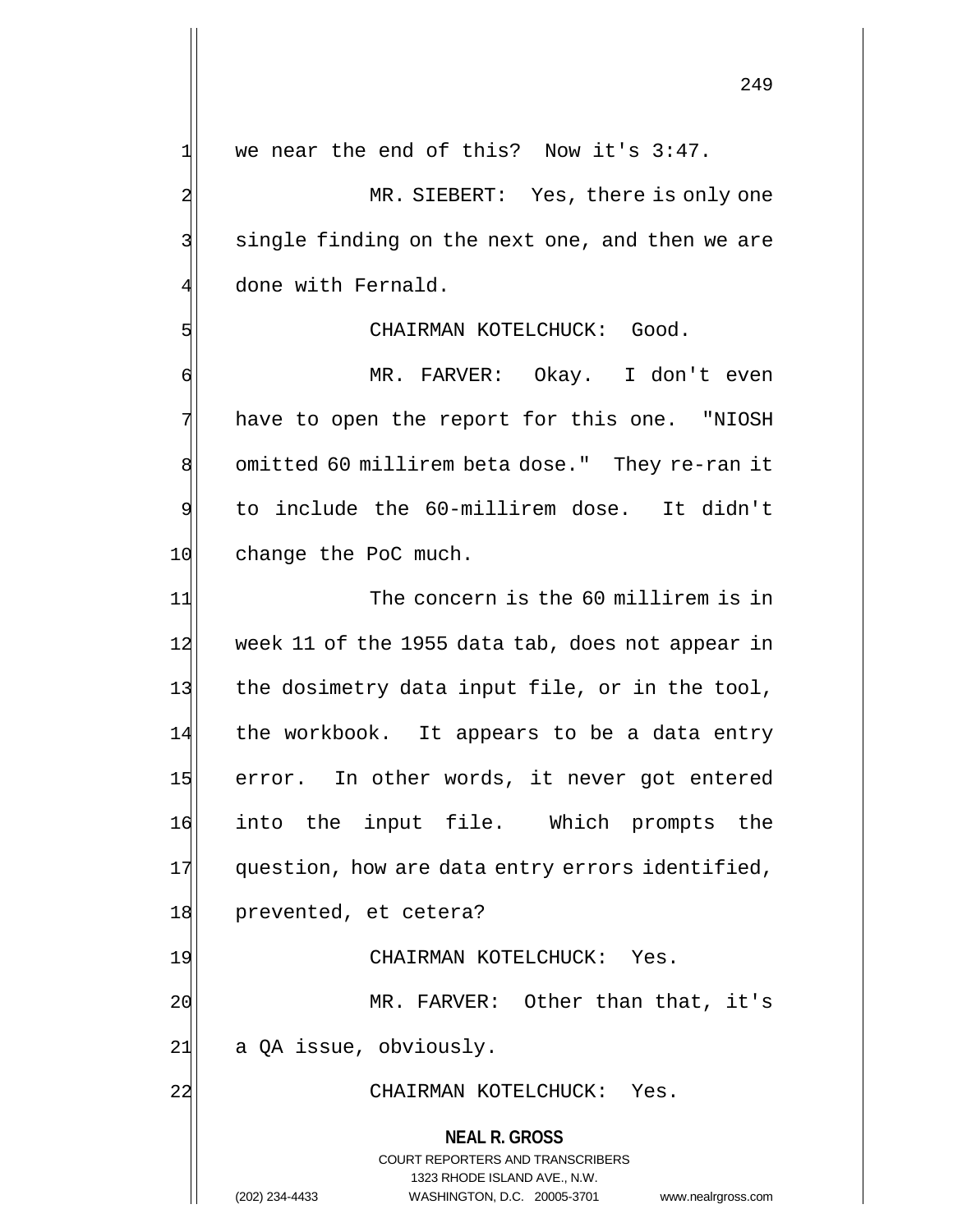$1$  we near the end of this? Now it's 3:47.

2 MR. SIEBERT: Yes, there is only one 3 single finding on the next one, and then we are 4 done with Fernald.

## 5 SI CHAIRMAN KOTELCHUCK: Good.

6 MR. FARVER: Okay. I don't even 7 have to open the report for this one. "NIOSH 8 omitted 60 millirem beta dose." They re-ran it 9 to include the 60-millirem dose. It didn't 10 change the PoC much.

**NEAL R. GROSS** COURT REPORTERS AND TRANSCRIBERS 1323 RHODE ISLAND AVE., N.W. 11 The concern is the 60 millirem is in 12 week 11 of the 1955 data tab, does not appear in 13 the dosimetry data input file, or in the tool, 14 the workbook. It appears to be a data entry 15 error. In other words, it never got entered 16 into the input file. Which prompts the 17 question, how are data entry errors identified, 18 prevented, et cetera? 19 CHAIRMAN KOTELCHUCK: Yes. 20 MR. FARVER: Other than that, it's  $21$  a QA issue, obviously. 22 CHAIRMAN KOTELCHUCK: Yes.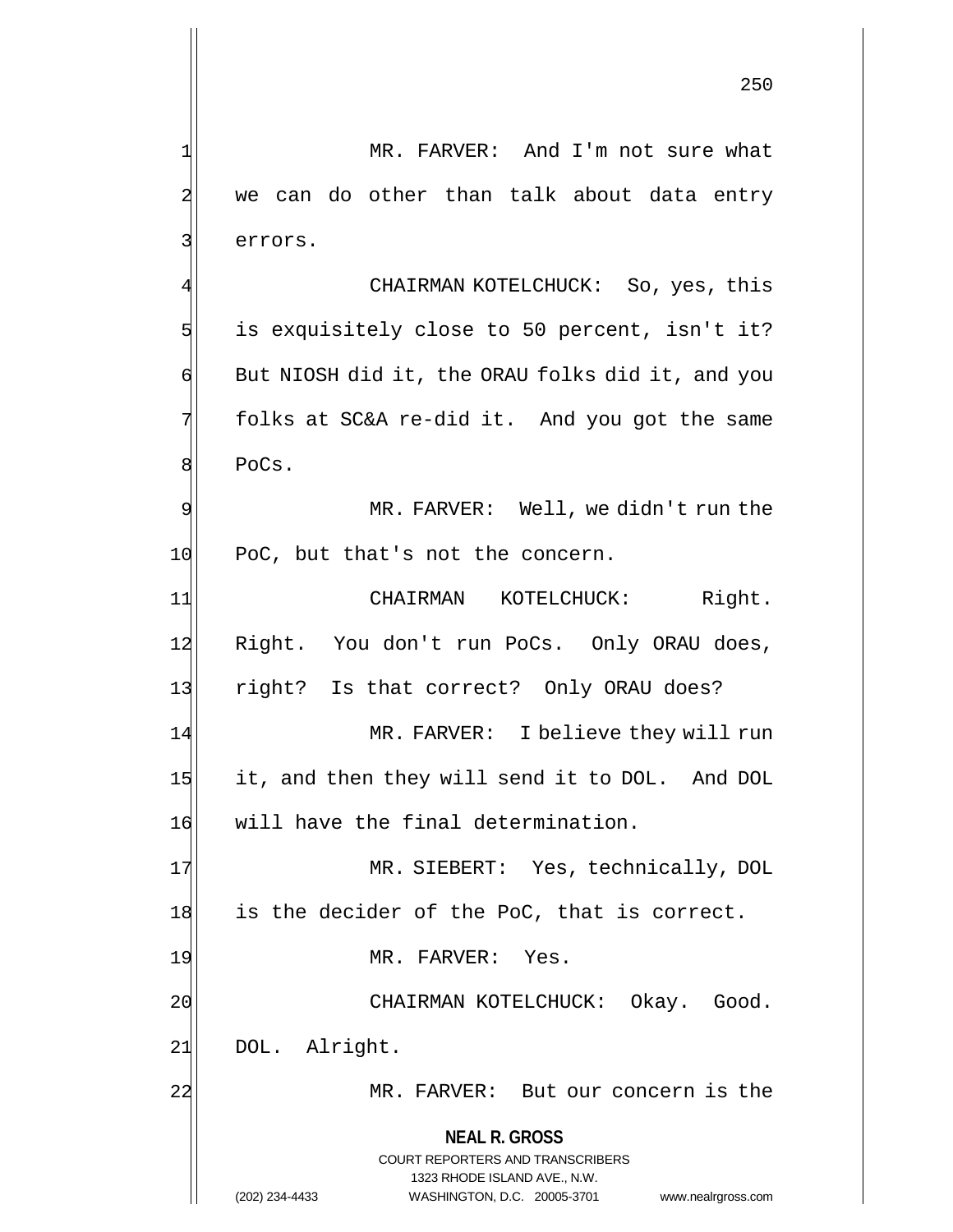1| MR. FARVER: And I'm not sure what 2 we can do other than talk about data entry 3 errors. CHAIRMAN KOTELCHUCK: So, yes, this

 $5$  is exquisitely close to 50 percent, isn't it?  $\mathfrak{g}$  But NIOSH did it, the ORAU folks did it, and you  $7$  folks at SC&A re-did it. And you got the same 8 PoCs.

9 MR. FARVER: Well, we didn't run the 10 PoC, but that's not the concern.

11 CHAIRMAN KOTELCHUCK: Right. 12 Right. You don't run PoCs. Only ORAU does, 13 right? Is that correct? Only ORAU does? 14 MR. FARVER: I believe they will run 15 it, and then they will send it to DOL. And DOL 16 will have the final determination.

17 MR. SIEBERT: Yes, technically, DOL 18 is the decider of the PoC, that is correct. 19 MR. FARVER: Yes.

20 CHAIRMAN KOTELCHUCK: Okay. Good. 21 DOL. Alright.

22 MR. FARVER: But our concern is the

## **NEAL R. GROSS**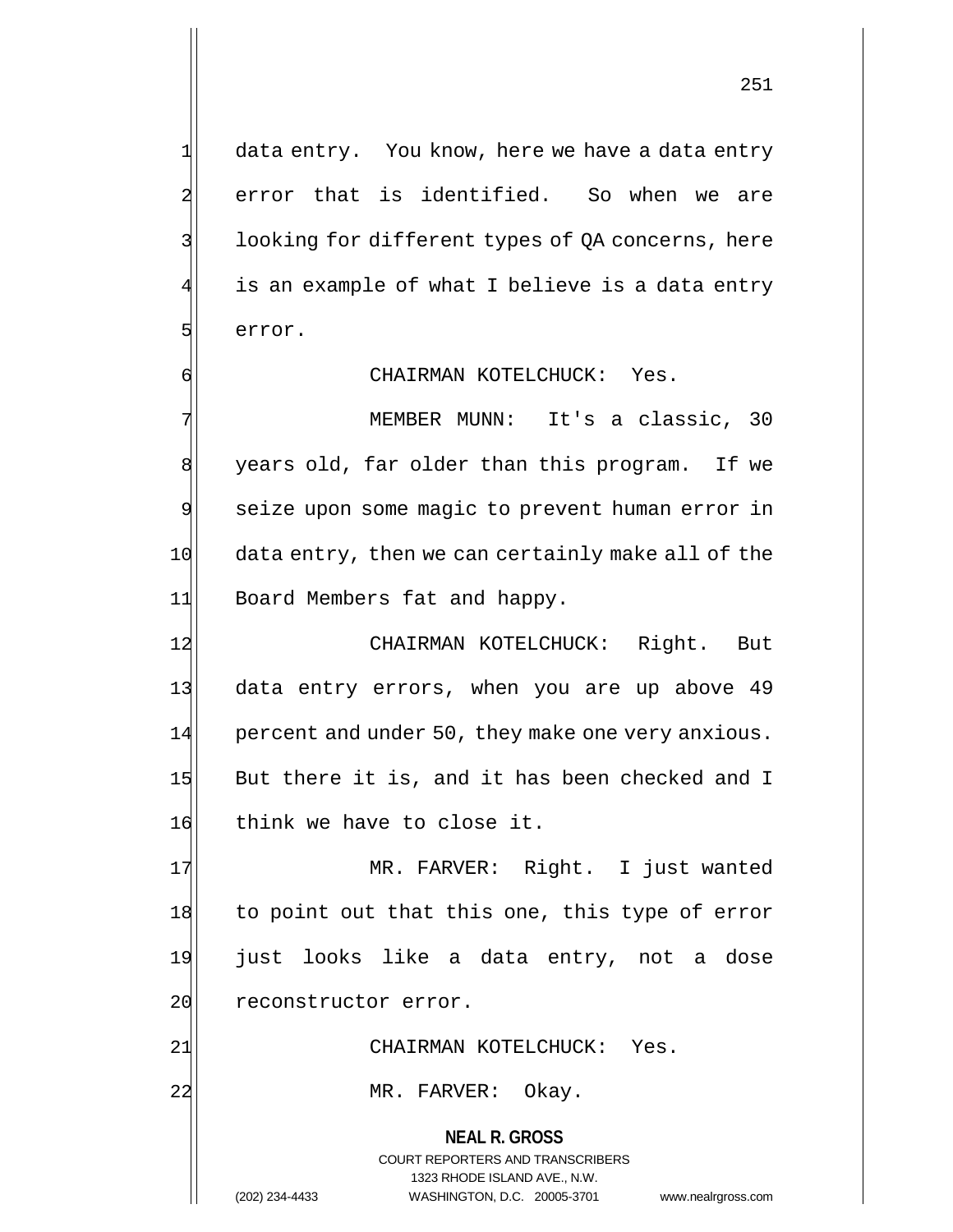1 data entry. You know, here we have a data entry 2 error that is identified. So when we are 3 | looking for different types of QA concerns, here is an example of what I believe is a data entry 5 serror.

6 CHAIRMAN KOTELCHUCK: Yes.

7 MEMBER MUNN: It's a classic, 30 8 years old, far older than this program. If we 9 seize upon some magic to prevent human error in 10 data entry, then we can certainly make all of the 11 Board Members fat and happy.

12 CHAIRMAN KOTELCHUCK: Right. But 13 data entry errors, when you are up above 49  $14$  percent and under 50, they make one very anxious. 15 But there it is, and it has been checked and I 16 think we have to close it.

17 MR. FARVER: Right. I just wanted 18 to point out that this one, this type of error 19 just looks like a data entry, not a dose 20 reconstructor error.

21 CHAIRMAN KOTELCHUCK: Yes.

22 MR. FARVER: Okay.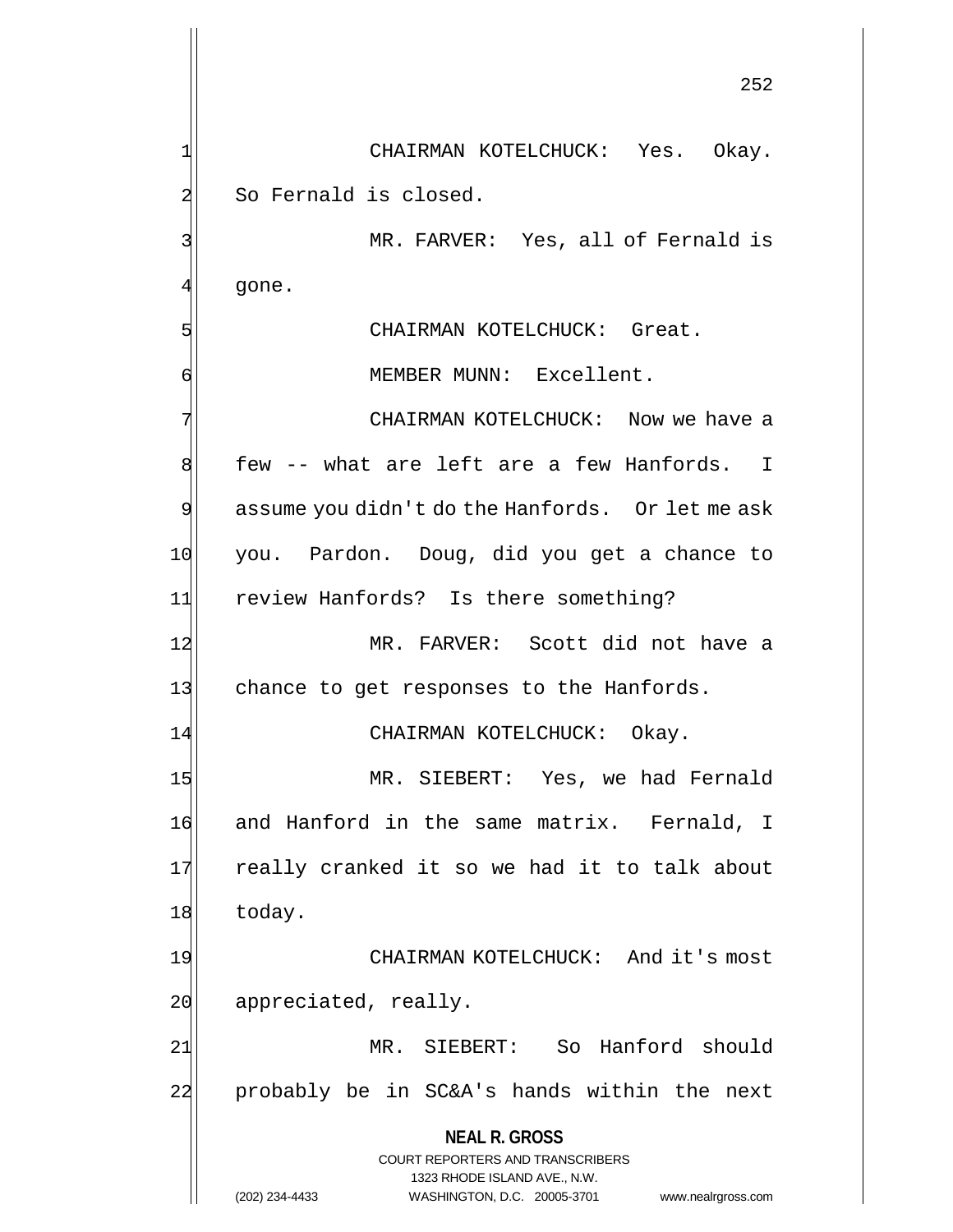**NEAL R. GROSS** COURT REPORTERS AND TRANSCRIBERS 1323 RHODE ISLAND AVE., N.W. 252 1 CHAIRMAN KOTELCHUCK: Yes. Okay. 2 So Fernald is closed. 3 MR. FARVER: Yes, all of Fernald is  $4$  qone. 5 SI CHAIRMAN KOTELCHUCK: Great. 6 MEMBER MUNN: Excellent. 7 CHAIRMAN KOTELCHUCK: Now we have a 8 few -- what are left are a few Hanfords. I  $9$  assume you didn't do the Hanfords. Or let me ask 10 you. Pardon. Doug, did you get a chance to 11 review Hanfords? Is there something? 12 MR. FARVER: Scott did not have a 13 chance to get responses to the Hanfords. 14 CHAIRMAN KOTELCHUCK: Okay. 15 MR. SIEBERT: Yes, we had Fernald 16 and Hanford in the same matrix. Fernald, I 17 really cranked it so we had it to talk about 18 today. 19 CHAIRMAN KOTELCHUCK: And it's most 20 appreciated, really. 21 MR. SIEBERT: So Hanford should 22 probably be in SC&A's hands within the next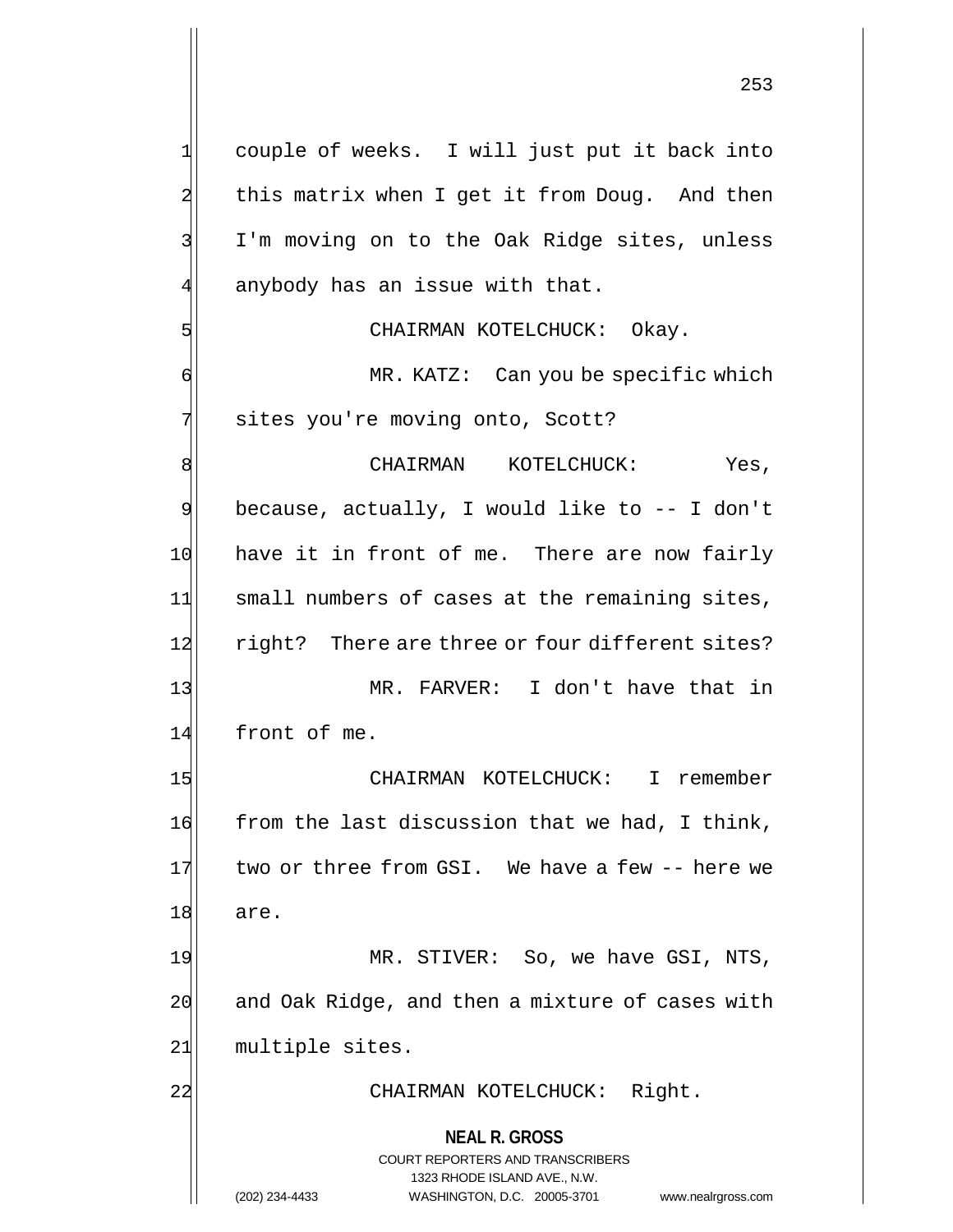**NEAL R. GROSS** COURT REPORTERS AND TRANSCRIBERS 1323 RHODE ISLAND AVE., N.W. 1| couple of weeks. I will just put it back into 2 this matrix when I get it from Doug. And then 3 I'm moving on to the Oak Ridge sites, unless  $4$  anybody has an issue with that. 5 | CHAIRMAN KOTELCHUCK: Okay. 6 MR. KATZ: Can you be specific which 7 sites you're moving onto, Scott? 8 CHAIRMAN KOTELCHUCK: Yes,  $9$  because, actually, I would like to  $-$ - I don't 10 have it in front of me. There are now fairly 11 small numbers of cases at the remaining sites, 12 right? There are three or four different sites? 13 MR. FARVER: I don't have that in 14 front of me. 15 CHAIRMAN KOTELCHUCK: I remember  $16$  from the last discussion that we had, I think, 17 two or three from GSI. We have a few -- here we 18 are. 19 MR. STIVER: So, we have GSI, NTS,  $20$  and Oak Ridge, and then a mixture of cases with 21 multiple sites. 22 | CHAIRMAN KOTELCHUCK: Right.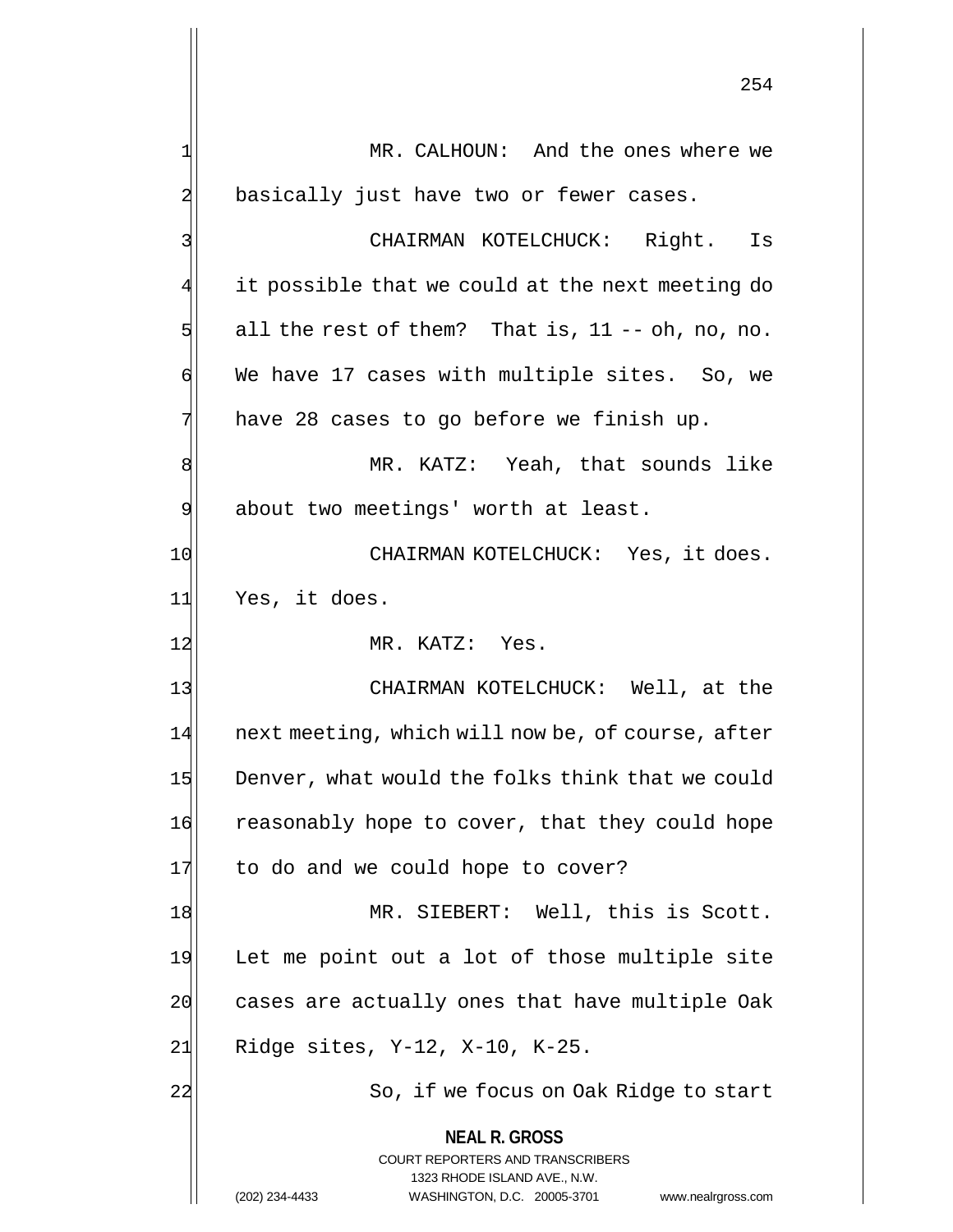**NEAL R. GROSS** COURT REPORTERS AND TRANSCRIBERS 1323 RHODE ISLAND AVE., N.W. (202) 234-4433 WASHINGTON, D.C. 20005-3701 www.nealrgross.com 1 MR. CALHOUN: And the ones where we 2 basically just have two or fewer cases. 3 CHAIRMAN KOTELCHUCK: Right. Is it possible that we could at the next meeting do  $5$  all the rest of them? That is, 11 -- oh, no, no. 6 We have 17 cases with multiple sites. So, we  $7$  have 28 cases to go before we finish up. 8 MR. KATZ: Yeah, that sounds like 9 about two meetings' worth at least. 10 CHAIRMAN KOTELCHUCK: Yes, it does. 11 Yes, it does. 12 MR. KATZ: Yes. 13 | CHAIRMAN KOTELCHUCK: Well, at the 14 next meeting, which will now be, of course, after 15 Denver, what would the folks think that we could 16 reasonably hope to cover, that they could hope 17 to do and we could hope to cover? 18 MR. SIEBERT: Well, this is Scott. 19 Let me point out a lot of those multiple site 20 cases are actually ones that have multiple Oak 21 Ridge sites, Y-12, X-10, K-25. 22 So, if we focus on Oak Ridge to start

254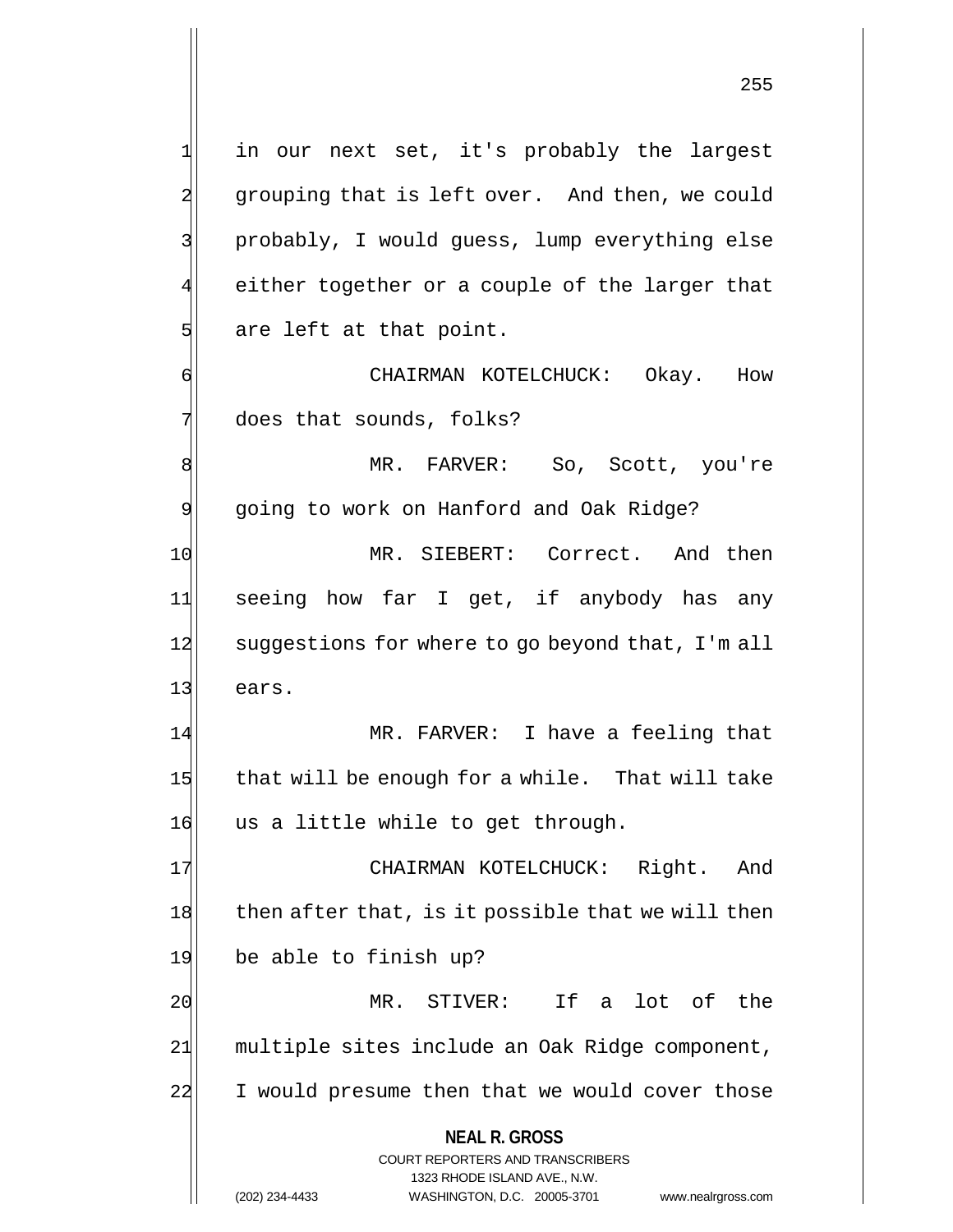**NEAL R. GROSS** COURT REPORTERS AND TRANSCRIBERS 1323 RHODE ISLAND AVE., N.W. 1 in our next set, it's probably the largest 2 grouping that is left over. And then, we could 3 || probably, I would guess, lump everything else  $4$  either together or a couple of the larger that  $5$  are left at that point. 6 CHAIRMAN KOTELCHUCK: Okay. How  $7$  does that sounds, folks? 8 MR. FARVER: So, Scott, you're 9 going to work on Hanford and Oak Ridge? 10 MR. SIEBERT: Correct. And then 11 seeing how far I get, if anybody has any 12 suggestions for where to go beyond that, I'm all 13 ears. 14 MR. FARVER: I have a feeling that 15 that will be enough for a while. That will take 16 us a little while to get through. 17 CHAIRMAN KOTELCHUCK: Right. And  $18$  then after that, is it possible that we will then 19 be able to finish up? 20 MR. STIVER: If a lot of the 21 multiple sites include an Oak Ridge component, 22 I would presume then that we would cover those

(202) 234-4433 WASHINGTON, D.C. 20005-3701 www.nealrgross.com

255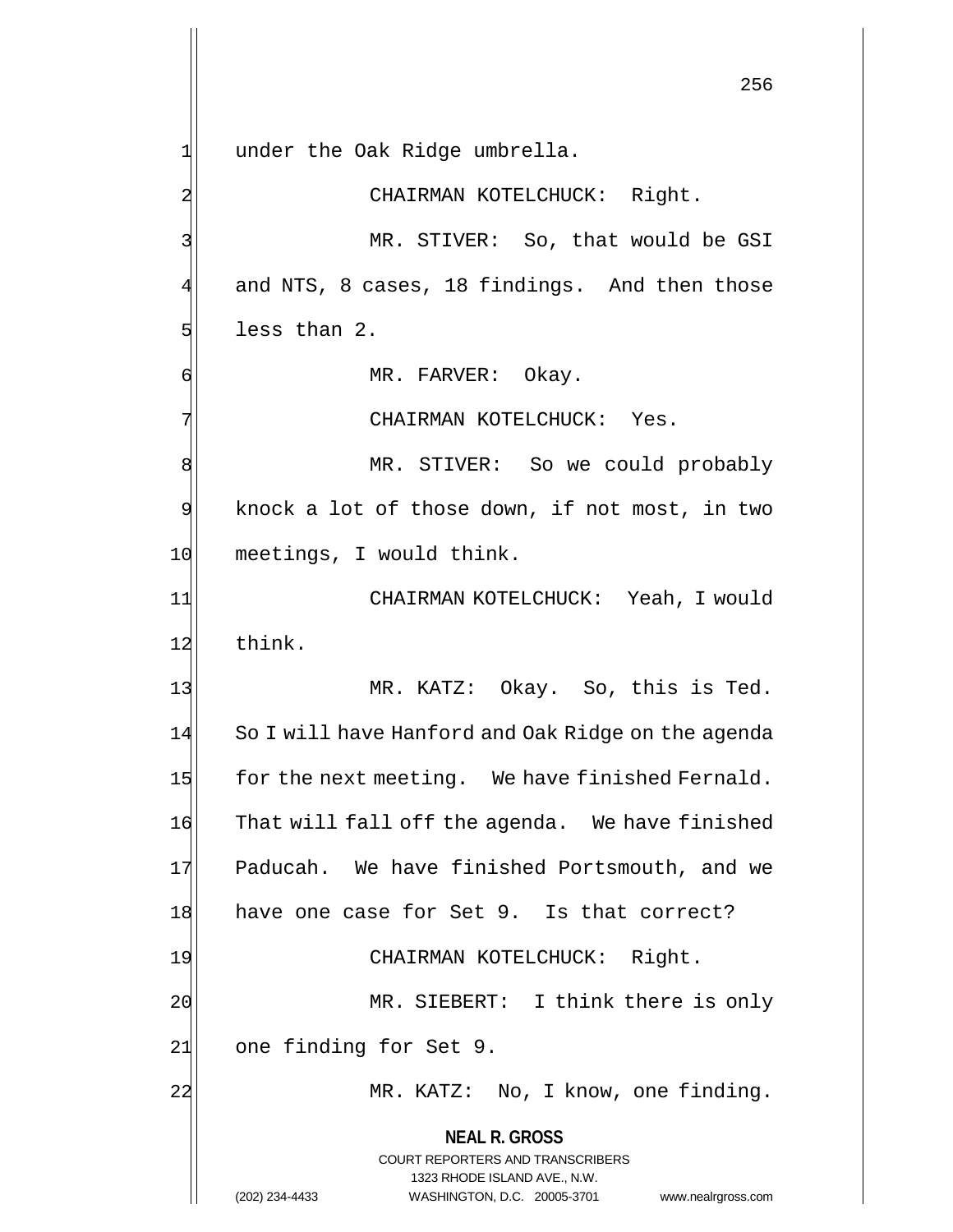**NEAL R. GROSS** COURT REPORTERS AND TRANSCRIBERS 1323 RHODE ISLAND AVE., N.W. 256  $1$  under the Oak Ridge umbrella. 2 CHAIRMAN KOTELCHUCK: Right. 3 MR. STIVER: So, that would be GSI 4 and NTS, 8 cases, 18 findings. And then those  $5$  less than 2. 6 MR. FARVER: Okay. 7 CHAIRMAN KOTELCHUCK: Yes. 8 MR. STIVER: So we could probably  $9$  knock a lot of those down, if not most, in two 10 meetings, I would think. 11 CHAIRMAN KOTELCHUCK: Yeah, I would 12 think. 13 MR. KATZ: Okay. So, this is Ted. 14 So I will have Hanford and Oak Ridge on the agenda  $15$  for the next meeting. We have finished Fernald. 16 That will fall off the agenda. We have finished 17 Paducah. We have finished Portsmouth, and we 18 have one case for Set 9. Is that correct? 19 CHAIRMAN KOTELCHUCK: Right. 20 MR. SIEBERT: I think there is only 21 one finding for Set 9. 22 MR. KATZ: No, I know, one finding.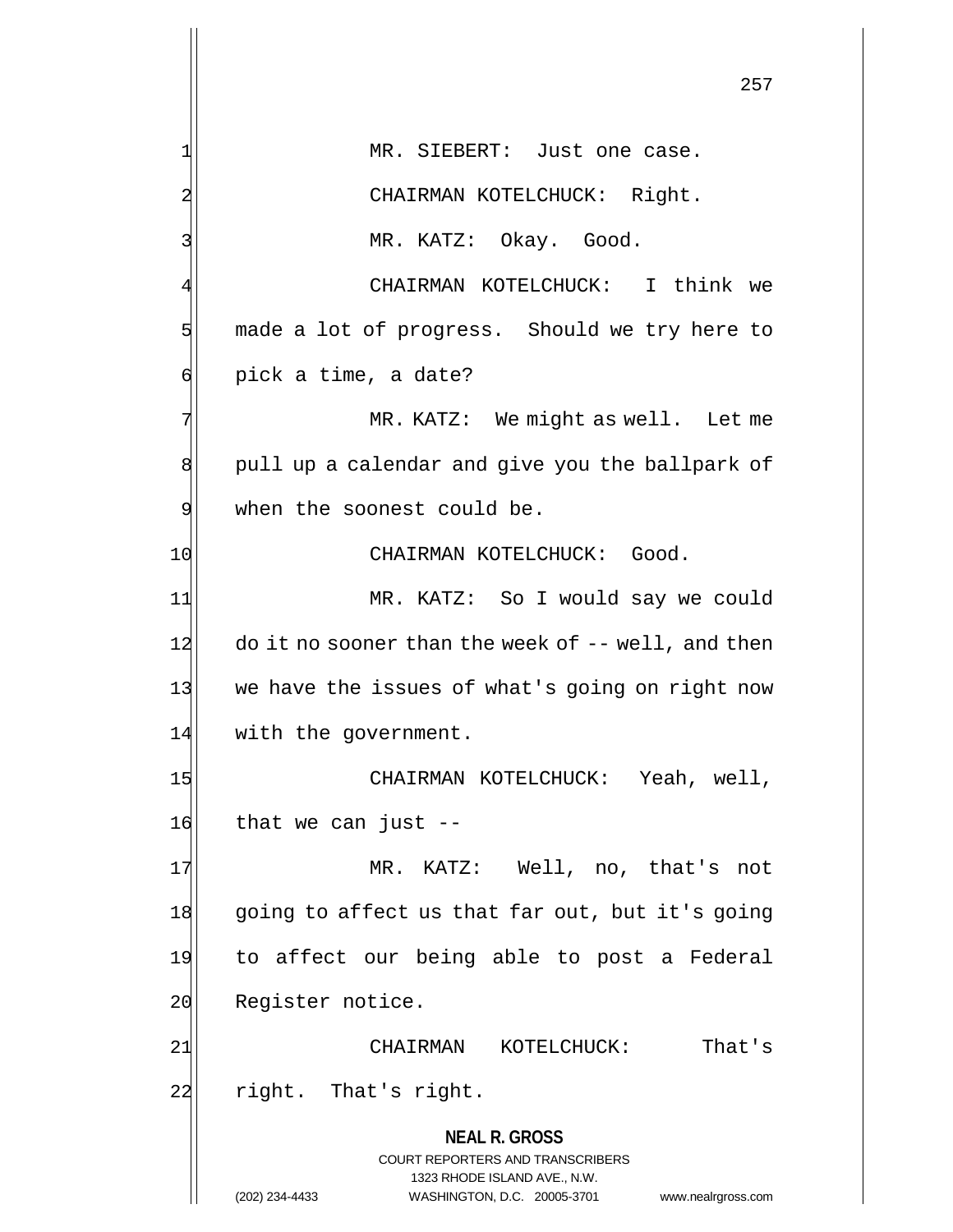|    | 257                                                                                             |
|----|-------------------------------------------------------------------------------------------------|
| 1  | MR. SIEBERT: Just one case.                                                                     |
| 2  | CHAIRMAN KOTELCHUCK: Right.                                                                     |
| 3  | MR. KATZ: Okay. Good.                                                                           |
| 4  | CHAIRMAN KOTELCHUCK: I think we                                                                 |
| 5  | made a lot of progress. Should we try here to                                                   |
| б  | pick a time, a date?                                                                            |
| 7  | MR. KATZ: We might as well. Let me                                                              |
| 8  | pull up a calendar and give you the ballpark of                                                 |
| 9  | when the soonest could be.                                                                      |
| 10 | CHAIRMAN KOTELCHUCK: Good.                                                                      |
| 11 | MR. KATZ: So I would say we could                                                               |
| 12 | do it no sooner than the week of $-$ - well, and then                                           |
| 13 | we have the issues of what's going on right now                                                 |
| 14 | with the government.                                                                            |
| 15 | CHAIRMAN KOTELCHUCK: Yeah, well,                                                                |
| 16 | that we can just $-$                                                                            |
| 17 | MR. KATZ: Well, no, that's not                                                                  |
| 18 | going to affect us that far out, but it's going                                                 |
| 19 | to affect our being able to post a Federal                                                      |
| 20 | Register notice.                                                                                |
| 21 | That's<br>CHAIRMAN KOTELCHUCK:                                                                  |
| 22 | right. That's right.                                                                            |
|    | <b>NEAL R. GROSS</b><br><b>COURT REPORTERS AND TRANSCRIBERS</b><br>1323 RHODE ISLAND AVE., N.W. |
|    | (202) 234-4433<br>WASHINGTON, D.C. 20005-3701<br>www.nealrgross.com                             |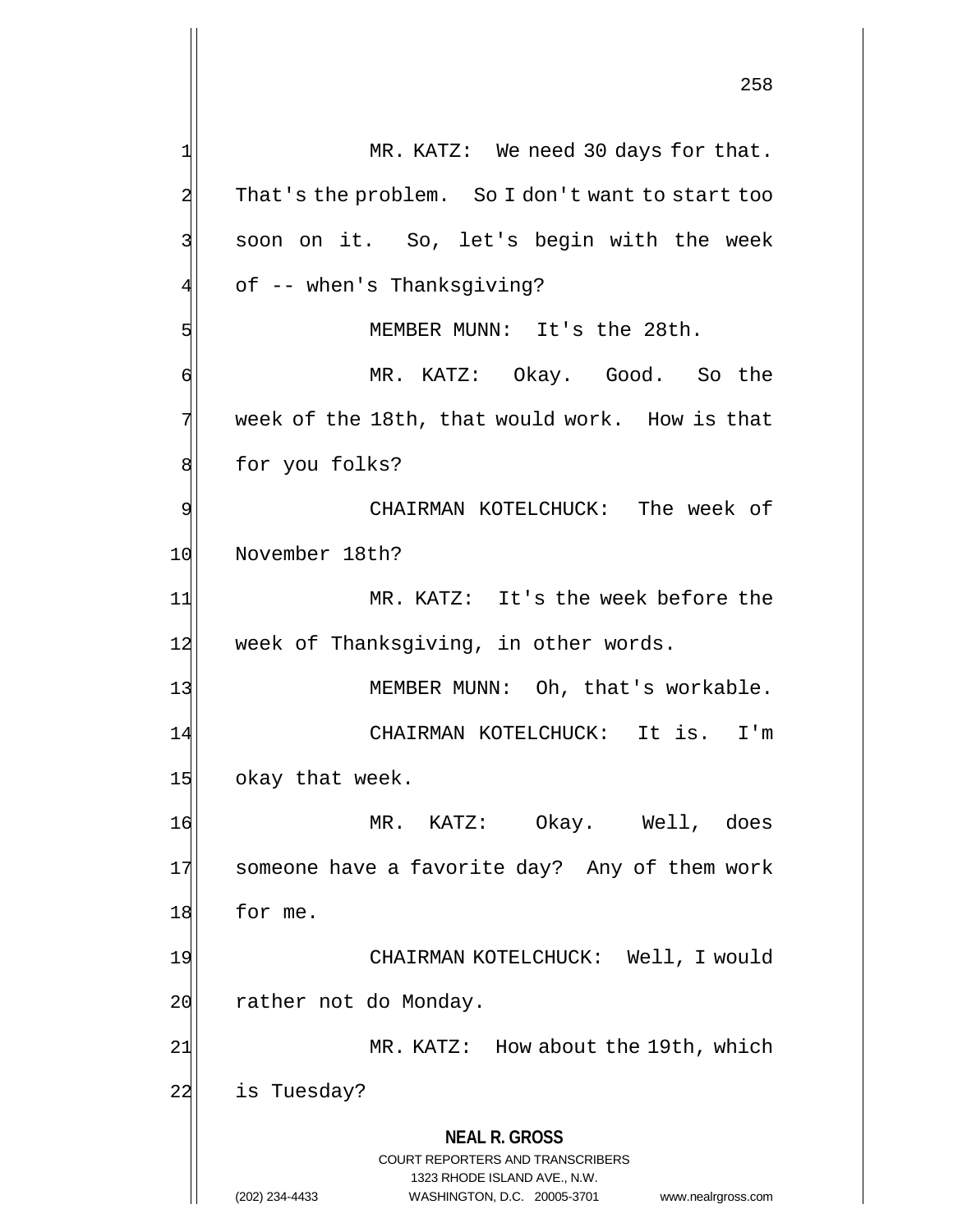**NEAL R. GROSS** COURT REPORTERS AND TRANSCRIBERS 1323 RHODE ISLAND AVE., N.W. 258 1| MR. KATZ: We need 30 days for that. 2 That's the problem. So I don't want to start too 3 soon on it. So, let's begin with the week 4 of -- when's Thanksgiving? 5 MEMBER MUNN: It's the 28th. 6 MR. KATZ: Okay. Good. So the 7 week of the 18th, that would work. How is that 8 for you folks? 9| CHAIRMAN KOTELCHUCK: The week of 10 November 18th? 11| MR. KATZ: It's the week before the 12 week of Thanksgiving, in other words. 13 MEMBER MUNN: Oh, that's workable. 14 CHAIRMAN KOTELCHUCK: It is. I'm 15 okay that week. 16 MR. KATZ: Okay. Well, does 17 someone have a favorite day? Any of them work 18 for me. 19 CHAIRMAN KOTELCHUCK: Well, I would 20 rather not do Monday. 21 MR. KATZ: How about the 19th, which 22 is Tuesday?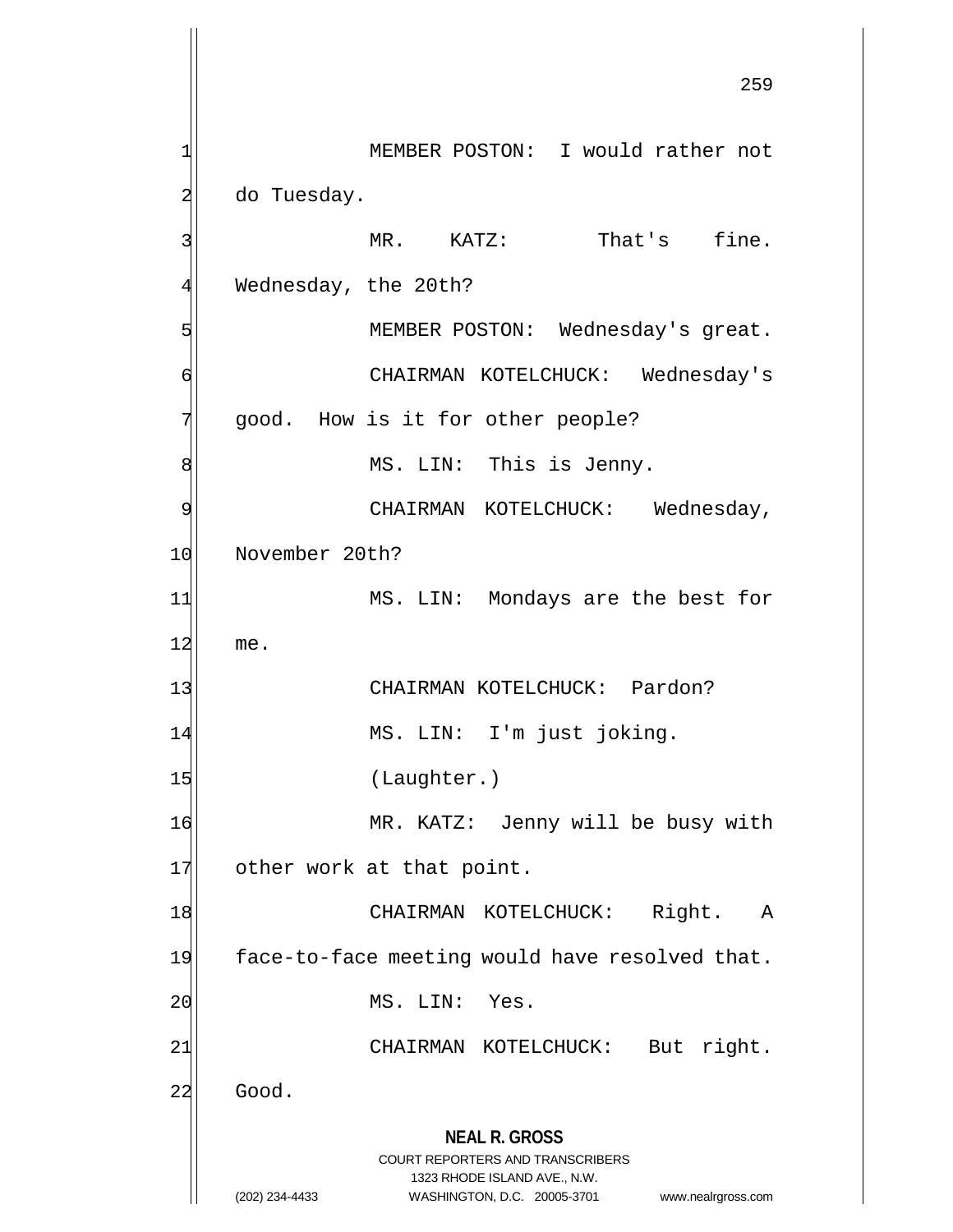**NEAL R. GROSS** COURT REPORTERS AND TRANSCRIBERS 1323 RHODE ISLAND AVE., N.W. (202) 234-4433 WASHINGTON, D.C. 20005-3701 www.nealrgross.com 259 1 MEMBER POSTON: I would rather not  $2$  do Tuesday. 3 | Solution MR. KATZ: That's fine. 4 Wednesday, the 20th? 5 MEMBER POSTON: Wednesday's great. 6 CHAIRMAN KOTELCHUCK: Wednesday's 7 good. How is it for other people? 8 MS. LIN: This is Jenny. 9 CHAIRMAN KOTELCHUCK: Wednesday, 10 November 20th? 11| MS. LIN: Mondays are the best for 12 me. 13 CHAIRMAN KOTELCHUCK: Pardon? 14 MS. LIN: I'm just joking. 15 (Laughter.) 16 MR. KATZ: Jenny will be busy with 17 other work at that point. 18 CHAIRMAN KOTELCHUCK: Right. A 19 face-to-face meeting would have resolved that. 20 MS. LIN: Yes. 21 | CHAIRMAN KOTELCHUCK: But right. 22 Good.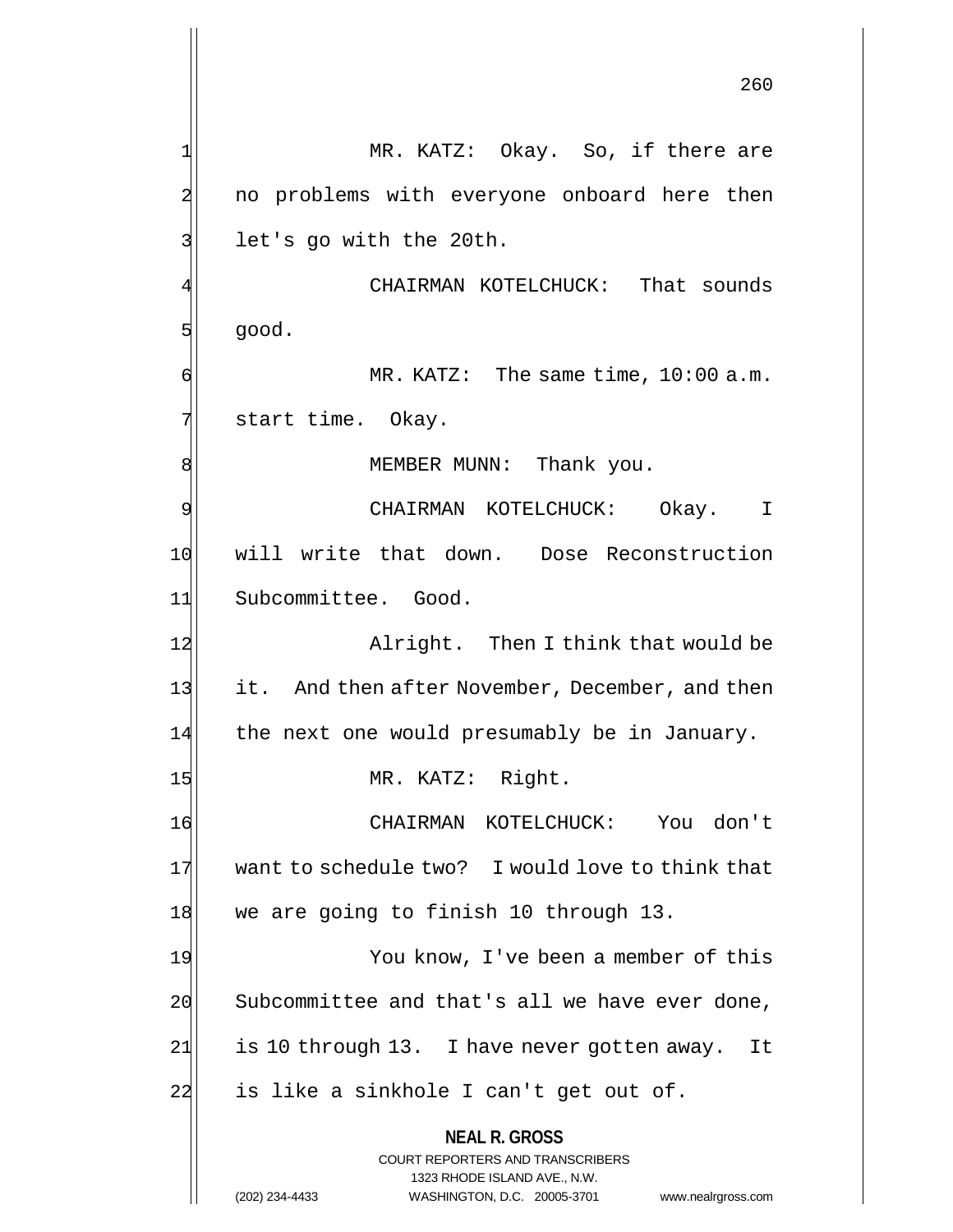**NEAL R. GROSS** COURT REPORTERS AND TRANSCRIBERS 1323 RHODE ISLAND AVE., N.W. 260 1 MR. KATZ: Okay. So, if there are 2 no problems with everyone onboard here then  $3$  let's go with the 20th. CHAIRMAN KOTELCHUCK: That sounds  $5$  good.  $\mathsf{R}$  MR. KATZ: The same time, 10:00 a.m. 7 | start time. Okay. 8 | MEMBER MUNN: Thank you. 9 CHAIRMAN KOTELCHUCK: Okay. I 10 will write that down. Dose Reconstruction 11 Subcommittee. Good. 12 Alright. Then I think that would be 13 it. And then after November, December, and then  $14$  the next one would presumably be in January. 15 MR. KATZ: Right. 16 CHAIRMAN KOTELCHUCK: You don't 17 want to schedule two? I would love to think that 18 we are going to finish 10 through 13. 19 You know, I've been a member of this 20 Subcommittee and that's all we have ever done, 21 is 10 through 13. I have never gotten away. It  $22$  is like a sinkhole I can't get out of.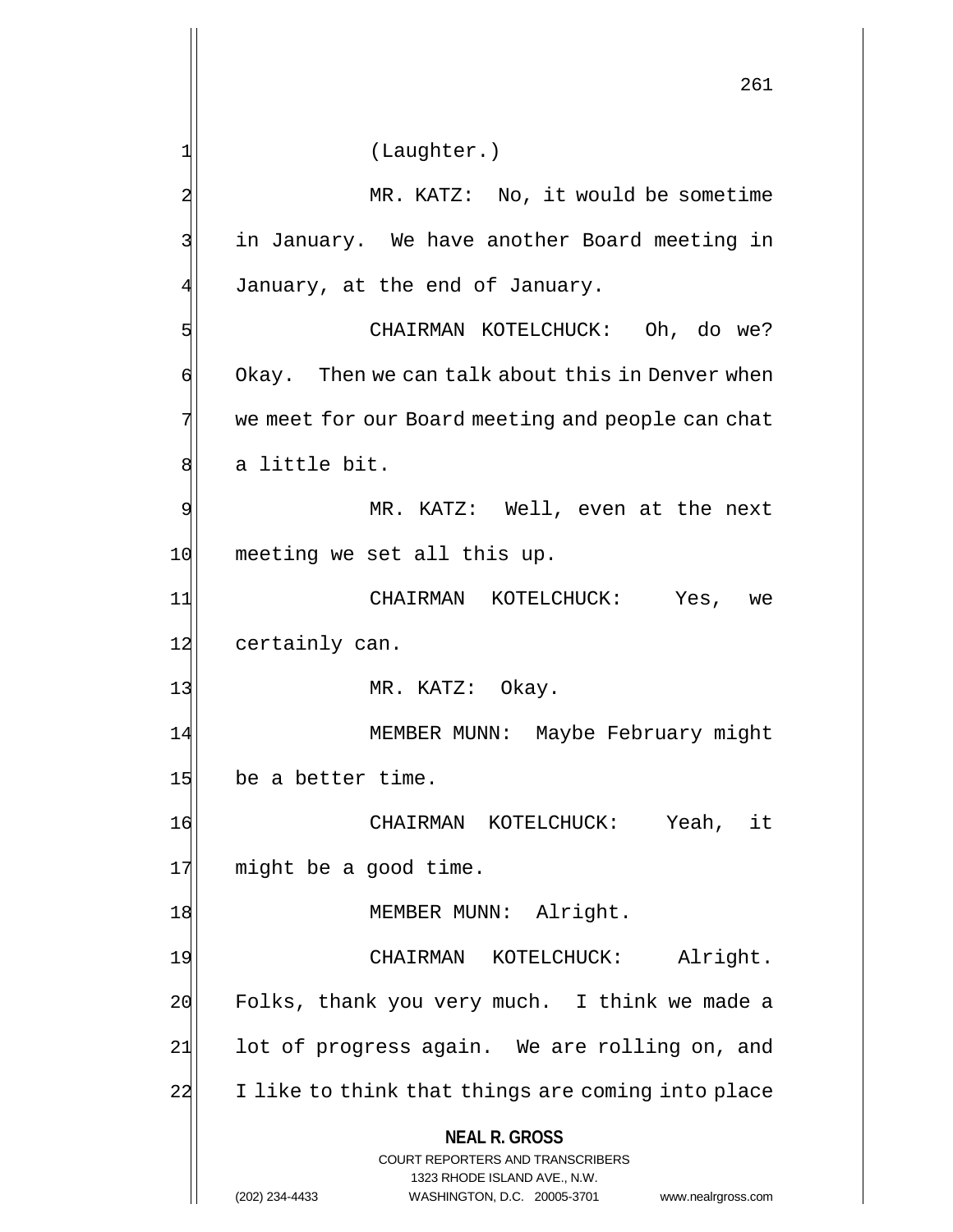**NEAL R. GROSS** COURT REPORTERS AND TRANSCRIBERS 1323 RHODE ISLAND AVE., N.W. (202) 234-4433 WASHINGTON, D.C. 20005-3701 www.nealrgross.com 261 1 (Laughter.) 2 MR. KATZ: No, it would be sometime 3 | in January. We have another Board meeting in  $4$  January, at the end of January. 5 SI CHAIRMAN KOTELCHUCK: Oh, do we?  $\phi$  Okay. Then we can talk about this in Denver when 7 we meet for our Board meeting and people can chat 8 a little bit. 9 MR. KATZ: Well, even at the next 10 meeting we set all this up. 11 CHAIRMAN KOTELCHUCK: Yes, we 12 certainly can. 13 MR. KATZ: Okay. 14 MEMBER MUNN: Maybe February might 15 be a better time. 16 CHAIRMAN KOTELCHUCK: Yeah, it 17 might be a good time. 18 MEMBER MUNN: Alright. 19 CHAIRMAN KOTELCHUCK: Alright.  $20$  Folks, thank you very much. I think we made a  $21$  lot of progress again. We are rolling on, and 22 I like to think that things are coming into place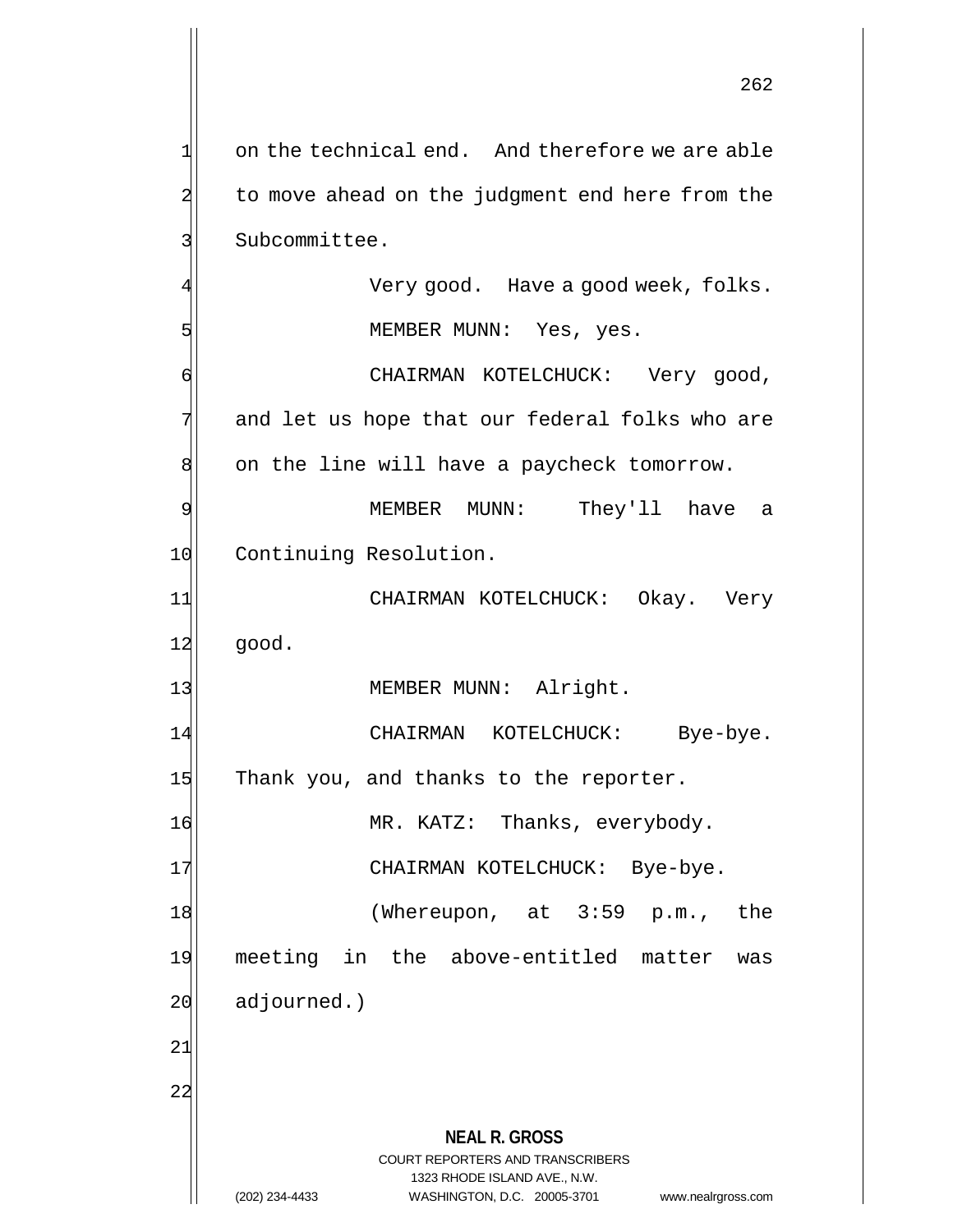**NEAL R. GROSS** COURT REPORTERS AND TRANSCRIBERS 1323 RHODE ISLAND AVE., N.W.  $1$  on the technical end. And therefore we are able 2 to move ahead on the judgment end here from the 3 Subcommittee. Very good. Have a good week, folks. 5 | Sommer MEMBER MUNN: Yes, yes. 6 CHAIRMAN KOTELCHUCK: Very good,  $7$  and let us hope that our federal folks who are 8 on the line will have a paycheck tomorrow. 9 MEMBER MUNN: They'll have a 10 Continuing Resolution. 11 CHAIRMAN KOTELCHUCK: Okay. Very  $12$  good. 13 MEMBER MUNN: Alright. 14 CHAIRMAN KOTELCHUCK: Bye-bye. 15 Thank you, and thanks to the reporter. 16 MR. KATZ: Thanks, everybody. 17 | CHAIRMAN KOTELCHUCK: Bye-bye. 18 (Whereupon, at 3:59 p.m., the 19 meeting in the above-entitled matter was  $20$  adjourned.) 21 22

(202) 234-4433 WASHINGTON, D.C. 20005-3701 www.nealrgross.com

262